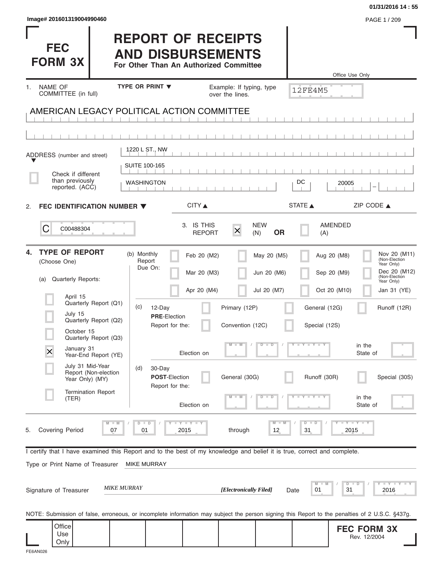| Image# 201601319004990460                                                                                                                      |                                                         |                                                                                                 |                                |                                | 01/31/2016 14:55<br>PAGE 1 / 209                                                                           |
|------------------------------------------------------------------------------------------------------------------------------------------------|---------------------------------------------------------|-------------------------------------------------------------------------------------------------|--------------------------------|--------------------------------|------------------------------------------------------------------------------------------------------------|
| <b>FEC</b><br><b>FORM 3X</b>                                                                                                                   |                                                         | <b>REPORT OF RECEIPTS</b><br><b>AND DISBURSEMENTS</b><br>For Other Than An Authorized Committee |                                |                                | Office Use Only                                                                                            |
| NAME OF<br>1.<br>COMMITTEE (in full)                                                                                                           | TYPE OR PRINT V                                         | Example: If typing, type<br>over the lines.                                                     |                                | 12FE4M5                        |                                                                                                            |
| AMERICAN LEGACY POLITICAL ACTION COMMITTEE                                                                                                     |                                                         |                                                                                                 |                                |                                |                                                                                                            |
|                                                                                                                                                |                                                         |                                                                                                 |                                |                                |                                                                                                            |
| ADDRESS (number and street)                                                                                                                    | 1220 L ST., NW                                          |                                                                                                 |                                |                                |                                                                                                            |
| Check if different<br>than previously<br>reported. (ACC)                                                                                       | <b>SUITE 100-165</b><br>WASHINGTON                      |                                                                                                 |                                | DC                             | 20005                                                                                                      |
| FEC IDENTIFICATION NUMBER ▼<br>2.                                                                                                              |                                                         | CITY ▲                                                                                          |                                | STATE A                        | ZIP CODE $\triangle$                                                                                       |
| C<br>C00488304                                                                                                                                 |                                                         | 3. IS THIS<br>$\overline{\mathsf{x}}$<br><b>REPORT</b>                                          | <b>NEW</b><br><b>OR</b><br>(N) | (A)                            | AMENDED                                                                                                    |
| <b>TYPE OF REPORT</b><br>4.<br>(Choose One)<br>Quarterly Reports:<br>(a)                                                                       | (b) Monthly<br>Report<br>Due On:                        | Feb 20 (M2)<br>Mar 20 (M3)                                                                      | May 20 (M5)<br>Jun 20 (M6)     |                                | Nov 20 (M11)<br>Aug 20 (M8)<br>(Non-Election<br>Year Only)<br>Dec 20 (M12)<br>Sep 20 (M9)<br>(Non-Election |
| April 15                                                                                                                                       |                                                         | Apr 20 (M4)                                                                                     | Jul 20 (M7)                    |                                | Year Only)<br>Oct 20 (M10)<br>Jan 31 (YE)                                                                  |
| Quarterly Report (Q1)<br>July 15<br>Quarterly Report (Q2)                                                                                      | (c)<br>12-Day<br><b>PRE-Election</b><br>Report for the: | Primary (12P)<br>Convention (12C)                                                               |                                | General (12G)<br>Special (12S) | Runoff (12R)                                                                                               |
| October 15<br>Quarterly Report (Q3)<br>January 31<br>X<br>Year-End Report (YE)                                                                 |                                                         | $\Box$ M<br>Election on                                                                         | $D$ $D$                        | $T - Y = T - Y$                | in the<br>State of                                                                                         |
| July 31 Mid-Year<br>Report (Non-election<br>Year Only) (MY)                                                                                    | (d)<br>30-Day<br>POST-Election                          | General (30G)                                                                                   |                                | Runoff (30R)                   | Special (30S)                                                                                              |
| <b>Termination Report</b><br>(TER)                                                                                                             | Report for the:                                         | Election on                                                                                     | $\overline{D}$<br>ъ            |                                | in the<br>State of                                                                                         |
| $M - M$<br><b>Covering Period</b><br>07<br>5.                                                                                                  | $T - Y = T - Y$<br>$D$ $D$<br>2015<br>01                | through                                                                                         | $M - M$<br>12                  | $D - D$<br>31                  | $-Y - Y - Y$<br>2015                                                                                       |
| I certify that I have examined this Report and to the best of my knowledge and belief it is true, correct and complete.                        |                                                         |                                                                                                 |                                |                                |                                                                                                            |
| Type or Print Name of Treasurer<br><b>MIKE MURRAY</b>                                                                                          | <b>MIKE MURRAY</b>                                      |                                                                                                 |                                | M<br>M                         | Y I Y I Y I<br>$D$ $D$                                                                                     |
| Signature of Treasurer                                                                                                                         |                                                         | [Electronically Filed]                                                                          | Date                           | 01                             | 31<br>2016                                                                                                 |
| NOTE: Submission of false, erroneous, or incomplete information may subject the person signing this Report to the penalties of 2 U.S.C. §437g. |                                                         |                                                                                                 |                                |                                |                                                                                                            |
| Office<br>Use<br>Only                                                                                                                          |                                                         |                                                                                                 |                                |                                | <b>FEC FORM 3X</b><br>Rev. 12/2004                                                                         |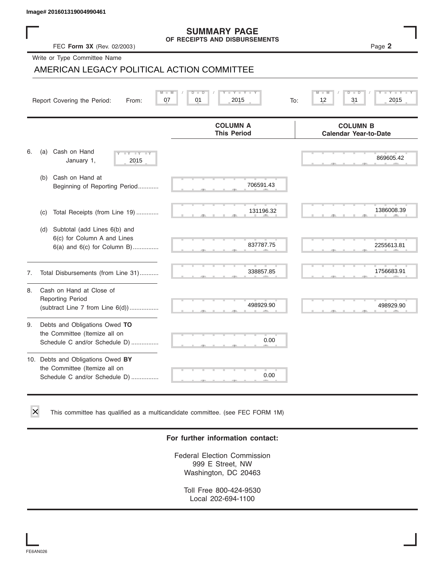# FEC **Form 3X** (Rev. 02/2003 ) Page **2 SUMMARY PAGE OF RECEIPTS AND DISBURSEMENTS**

|    | FEC Form 3X (Rev. 02/2003)                                                                          | <b>SUMMARY PAGE</b><br>OF RECEIPTS AND DISBURSEMENTS | Page 2                                          |
|----|-----------------------------------------------------------------------------------------------------|------------------------------------------------------|-------------------------------------------------|
|    | Write or Type Committee Name                                                                        |                                                      |                                                 |
|    | AMERICAN LEGACY POLITICAL ACTION COMMITTEE                                                          |                                                      |                                                 |
|    | $M - M$<br>07<br>Report Covering the Period:<br>From:                                               | Y TY<br>D<br>D<br>01<br>2015<br>To:                  | M<br>$-W$<br>$\overline{D}$<br>12<br>31<br>2015 |
|    |                                                                                                     | <b>COLUMN A</b><br><b>This Period</b>                | <b>COLUMN B</b><br><b>Calendar Year-to-Date</b> |
| 6. | Cash on Hand<br>(a)<br>$-1$ $Y - 1$ $Y$<br>$\overline{\mathbf{v}}$<br>January 1,<br>2015            |                                                      | 869605.42                                       |
|    | Cash on Hand at<br>(b)<br>Beginning of Reporting Period                                             | 706591.43                                            |                                                 |
|    | Total Receipts (from Line 19)<br>(c)                                                                | 131196.32                                            | 1386008.39                                      |
|    | Subtotal (add Lines 6(b) and<br>(d)<br>6(c) for Column A and Lines<br>6(a) and 6(c) for Column B)   | 837787.75                                            | 2255613.81                                      |
| 7. | Total Disbursements (from Line 31)                                                                  | 338857.85                                            | 1756683.91                                      |
| 8. | Cash on Hand at Close of<br><b>Reporting Period</b><br>(subtract Line $7$ from Line $6(d)$ )        | 498929.90                                            | 498929.90                                       |
| 9. | Debts and Obligations Owed TO<br>the Committee (Itemize all on<br>Schedule C and/or Schedule D)     | 0.00                                                 |                                                 |
|    | 10. Debts and Obligations Owed BY<br>the Committee (Itemize all on<br>Schedule C and/or Schedule D) | τ<br>0.00                                            |                                                 |

This committee has qualified as a multicandidate committee. (see FEC FORM 1M)

#### **For further information contact:**

Federal Election Commission 999 E Street, NW Washington, DC 20463

Toll Free 800-424-9530 Local 202-694-1100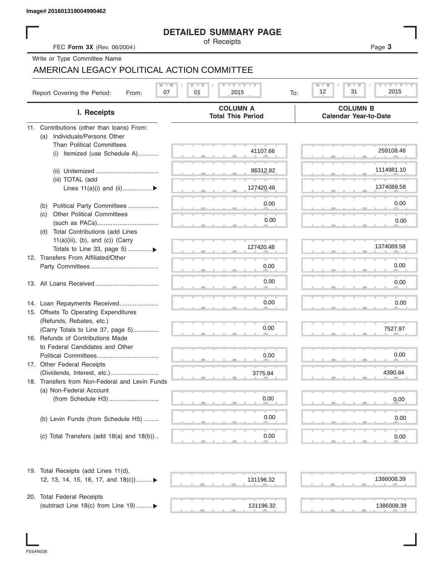#### **DETAILED SUMMARY PAGE**

|                                                                     | <b>DETAILED SUMMARY PAGE</b><br>of Receipts                                                        |                                                 |
|---------------------------------------------------------------------|----------------------------------------------------------------------------------------------------|-------------------------------------------------|
| FEC Form 3X (Rev. 06/2004)                                          |                                                                                                    | Page 3                                          |
| Write or Type Committee Name                                        |                                                                                                    |                                                 |
| AMERICAN LEGACY POLITICAL ACTION COMMITTEE                          |                                                                                                    |                                                 |
| Report Covering the Period:<br>07<br>From:                          | $\mathbf{I}$ $\mathbf{Y}$ $\mathbf{I}$ $\mathbf{Y}$ $\mathbf{I}$ $\mathbf{Y}$<br>01<br>2015<br>To: | Y TY<br>$M$ $-$<br>D<br>12<br>31<br>2015        |
| I. Receipts                                                         | <b>COLUMN A</b><br><b>Total This Period</b>                                                        | <b>COLUMN B</b><br><b>Calendar Year-to-Date</b> |
| 11. Contributions (other than loans) From:                          |                                                                                                    |                                                 |
| Individuals/Persons Other<br>(a)                                    |                                                                                                    |                                                 |
| <b>Than Political Committees</b>                                    |                                                                                                    |                                                 |
| (i) Itemized (use Schedule A)                                       | 41107.66                                                                                           | 259108.48                                       |
|                                                                     |                                                                                                    |                                                 |
|                                                                     | 86312.82                                                                                           | 1114981.10                                      |
| (iii) TOTAL (add                                                    |                                                                                                    |                                                 |
| Lines $11(a)(i)$ and $(ii)$                                         | 127420.48                                                                                          | 1374089.58                                      |
|                                                                     |                                                                                                    | 0.00                                            |
| Political Party Committees<br>(b)                                   | 0.00                                                                                               |                                                 |
| <b>Other Political Committees</b><br>(C)                            | 0.00                                                                                               | 0.00                                            |
|                                                                     |                                                                                                    |                                                 |
| Total Contributions (add Lines<br>(d)                               |                                                                                                    |                                                 |
| $11(a)(iii)$ , (b), and (c)) (Carry<br>Totals to Line 33, page 5) ▶ | 127420.48                                                                                          | 1374089.58                                      |
| 12. Transfers From Affiliated/Other                                 |                                                                                                    |                                                 |
|                                                                     | 0.00                                                                                               | 0.00                                            |
|                                                                     |                                                                                                    |                                                 |
|                                                                     | 0.00                                                                                               | 0.00                                            |
|                                                                     |                                                                                                    |                                                 |
| 14. Loan Repayments Received                                        | 0.00                                                                                               | 0.00                                            |
| 15. Offsets To Operating Expenditures                               |                                                                                                    |                                                 |
| (Refunds, Rebates, etc.)                                            |                                                                                                    |                                                 |
| (Carry Totals to Line 37, page 5)                                   | 0.00                                                                                               | 7527.97                                         |
| 16. Refunds of Contributions Made                                   |                                                                                                    |                                                 |
| to Federal Candidates and Other                                     |                                                                                                    |                                                 |
| Political Committees                                                | 0.00                                                                                               | 0.00                                            |
| 17. Other Federal Receipts                                          |                                                                                                    |                                                 |
|                                                                     | 3775.84                                                                                            | 4390.84                                         |
| 18. Transfers from Non-Federal and Levin Funds                      |                                                                                                    |                                                 |
| (a) Non-Federal Account                                             | 0.00                                                                                               |                                                 |
|                                                                     |                                                                                                    | 0.00                                            |
|                                                                     | 0.00                                                                                               |                                                 |
| (b) Levin Funds (from Schedule H5)                                  |                                                                                                    | 0.00                                            |
|                                                                     | 0.00                                                                                               |                                                 |
| (c) Total Transfers (add $18(a)$ and $18(b)$ )                      |                                                                                                    | 0.00                                            |
| 19. Total Receipts (add Lines 11(d),                                |                                                                                                    |                                                 |
| 12, 13, 14, 15, 16, 17, and 18(c)) ▶                                | 131196.32                                                                                          | 1386008.39                                      |
|                                                                     |                                                                                                    |                                                 |
| 20. Total Federal Receipts                                          |                                                                                                    |                                                 |
| (subtract Line 18(c) from Line 19)  ▶                               | 131196.32                                                                                          | 1386008.39                                      |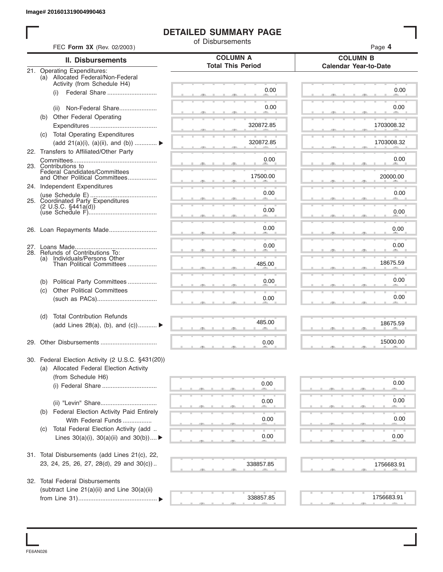#### **DETAILED SUMMARY PAGE**

|            |                                                                  | <b>DETAILED SUMMARY PAGE</b><br>of Disbursements |                                                 |
|------------|------------------------------------------------------------------|--------------------------------------------------|-------------------------------------------------|
|            | FEC Form 3X (Rev. 02/2003)                                       |                                                  | Page 4                                          |
|            | II. Disbursements                                                | <b>COLUMN A</b><br><b>Total This Period</b>      | <b>COLUMN B</b><br><b>Calendar Year-to-Date</b> |
|            | 21. Operating Expenditures:<br>(a) Allocated Federal/Non-Federal |                                                  |                                                 |
|            | Activity (from Schedule H4)                                      |                                                  |                                                 |
|            | Federal Share<br>(i)                                             | 0.00                                             | 0.00                                            |
|            | (ii) Non-Federal Share                                           | 0.00                                             | 0.00                                            |
|            | (b) Other Federal Operating                                      |                                                  |                                                 |
|            |                                                                  | 320872.85                                        | 1703008.32                                      |
|            | (c) Total Operating Expenditures                                 |                                                  |                                                 |
|            | (add 21(a)(i), (a)(ii), and (b))                                 | 320872.85                                        | 1703008.32                                      |
|            | 22. Transfers to Affiliated/Other Party                          |                                                  | 0.00                                            |
|            | 23. Contributions to                                             | 0.00                                             |                                                 |
|            | Federal Candidates/Committees<br>and Other Political Committees  | 17500.00                                         | 20000.00                                        |
|            | 24. Independent Expenditures                                     |                                                  |                                                 |
|            |                                                                  | 0.00                                             | 0.00                                            |
|            | 25. Coordinated Party Expenditures                               |                                                  |                                                 |
|            |                                                                  | 0.00                                             | 0.00                                            |
|            |                                                                  | 0.00                                             | 0.00                                            |
|            |                                                                  |                                                  |                                                 |
|            |                                                                  | 0.00                                             | 0.00                                            |
| (a)        | 28. Refunds of Contributions To:<br>Individuals/Persons Other    |                                                  |                                                 |
|            | Than Political Committees                                        | 485.00                                           | 18675.59                                        |
|            |                                                                  |                                                  | 0.00                                            |
| (b)<br>(c) | Political Party Committees<br><b>Other Political Committees</b>  | 0.00                                             |                                                 |
|            |                                                                  | 0.00                                             | 0.00                                            |
|            |                                                                  |                                                  |                                                 |
| (d)        | <b>Total Contribution Refunds</b>                                |                                                  |                                                 |
|            | (add Lines 28(a), (b), and (c))                                  | 485.00                                           | 18675.59                                        |
|            |                                                                  |                                                  | 15000.00                                        |
|            |                                                                  | 0.00                                             |                                                 |
|            | 30. Federal Election Activity (2 U.S.C. §431(20))                |                                                  |                                                 |
|            | (a) Allocated Federal Election Activity                          |                                                  |                                                 |
|            | (from Schedule H6)                                               |                                                  |                                                 |
|            |                                                                  | 0.00                                             | 0.00                                            |
|            |                                                                  | 0.00                                             | 0.00                                            |
| (b)        | <b>Federal Election Activity Paid Entirely</b>                   |                                                  |                                                 |
|            | With Federal Funds                                               | 0.00                                             | 0.00                                            |
| (C)        | Total Federal Election Activity (add                             |                                                  |                                                 |
|            | Lines $30(a)(i)$ , $30(a)(ii)$ and $30(b))$                      | 0.00                                             | 0.00                                            |
|            |                                                                  |                                                  |                                                 |
|            | 31. Total Disbursements (add Lines 21(c), 22,                    |                                                  |                                                 |
|            | 23, 24, 25, 26, 27, 28(d), 29 and 30(c))                         | 338857.85                                        | 1756683.91                                      |
|            | 32. Total Federal Disbursements                                  |                                                  |                                                 |
|            | (subtract Line 21(a)(ii) and Line 30(a)(ii)                      |                                                  |                                                 |
|            |                                                                  | 338857.85                                        | 1756683.91                                      |

FE6AN026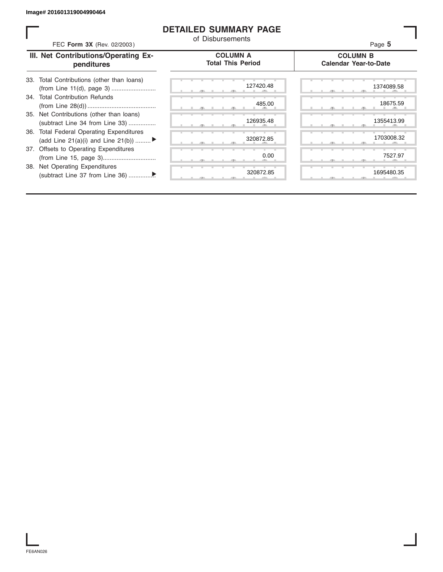#### **DETAILED SUMMARY PAGE**

| FEC Form 3X (Rev. 02/2003)                                                     | <b>DETAILED SUMMARY PAGE</b><br>of Disbursements | Page 5                                          |
|--------------------------------------------------------------------------------|--------------------------------------------------|-------------------------------------------------|
| III. Net Contributions/Operating Ex-<br>penditures                             | <b>COLUMN A</b><br><b>Total This Period</b>      | <b>COLUMN B</b><br><b>Calendar Year-to-Date</b> |
| Total Contributions (other than loans)<br>33.                                  | 127420.48                                        | 1374089.58                                      |
| 34. Total Contribution Refunds                                                 | 485.00                                           | 18675.59                                        |
| 35. Net Contributions (other than loans)<br>(subtract Line 34 from Line 33)    | 126935.48                                        | 1355413.99                                      |
| 36. Total Federal Operating Expenditures<br>(add Line 21(a)(i) and Line 21(b)) | 320872.85                                        | 1703008.32                                      |
| 37. Offsets to Operating Expenditures                                          | 0.00                                             | 7527.97                                         |
| Net Operating Expenditures<br>38.                                              | 320872.85                                        | 1695480.35                                      |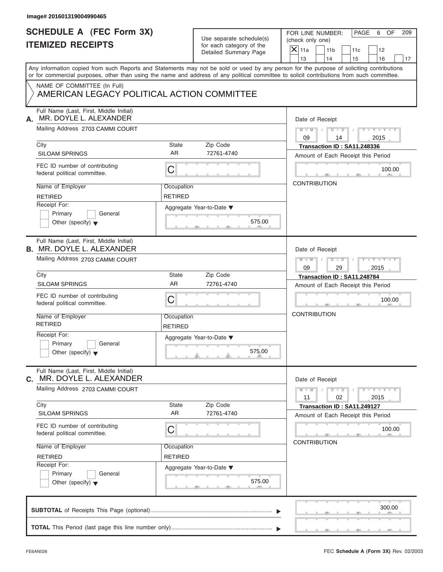| Any information copied from such Reports and Statements may not be sold or used by any person for the purpose of soliciting contributions<br>or for commercial purposes, other than using the name and address of any political committee to solicit contributions from such committee.<br>NAME OF COMMITTEE (In Full)<br>AMERICAN LEGACY POLITICAL ACTION COMMITTEE |                                                                                                         | 13<br>14<br>15<br>16<br>17                                                             |
|----------------------------------------------------------------------------------------------------------------------------------------------------------------------------------------------------------------------------------------------------------------------------------------------------------------------------------------------------------------------|---------------------------------------------------------------------------------------------------------|----------------------------------------------------------------------------------------|
|                                                                                                                                                                                                                                                                                                                                                                      |                                                                                                         |                                                                                        |
| Full Name (Last, First, Middle Initial)<br>MR. DOYLE L. ALEXANDER<br>А.<br>Mailing Address 2703 CAMMI COURT                                                                                                                                                                                                                                                          |                                                                                                         | Date of Receipt<br>$M - M$ /<br>$D$ $D$<br>$Y - Y - Y - Y - Y$<br>09<br>2015<br>14     |
| City<br><b>SILOAM SPRINGS</b>                                                                                                                                                                                                                                                                                                                                        | Zip Code<br>State<br>AR.<br>72761-4740                                                                  | Transaction ID: SA11.248336<br>Amount of Each Receipt this Period                      |
| FEC ID number of contributing<br>federal political committee.                                                                                                                                                                                                                                                                                                        | С                                                                                                       | 100.00<br><b>ALCOHOL:</b>                                                              |
| Name of Employer<br><b>RETIRED</b><br>Receipt For:<br>Primary<br>General<br>Other (specify) $\blacktriangledown$                                                                                                                                                                                                                                                     | Occupation<br><b>RETIRED</b><br>Aggregate Year-to-Date ▼<br>575.00<br><b>ALC: UNK</b><br>$-1$ $-1$ $-1$ | <b>CONTRIBUTION</b>                                                                    |
| Full Name (Last, First, Middle Initial)<br><b>B. MR. DOYLE L. ALEXANDER</b><br>Mailing Address 2703 CAMMI COURT                                                                                                                                                                                                                                                      |                                                                                                         | Date of Receipt<br>$M - M$<br>$D$ $\Box$ $D$<br>$+Y+Y+Y$<br>$\Box$<br>09<br>29<br>2015 |
| City<br><b>SILOAM SPRINGS</b>                                                                                                                                                                                                                                                                                                                                        | Zip Code<br>State<br>AR<br>72761-4740                                                                   | Transaction ID: SA11.248784<br>Amount of Each Receipt this Period                      |
| FEC ID number of contributing<br>federal political committee.                                                                                                                                                                                                                                                                                                        | С                                                                                                       | 100.00                                                                                 |
| Name of Employer<br><b>RETIRED</b>                                                                                                                                                                                                                                                                                                                                   | Occupation<br><b>RETIRED</b>                                                                            | <b>CONTRIBUTION</b>                                                                    |
| Receipt For:<br>Primary<br>General<br>Other (specify) $\blacktriangledown$                                                                                                                                                                                                                                                                                           | Aggregate Year-to-Date ▼<br>575.00                                                                      |                                                                                        |
| Full Name (Last, First, Middle Initial)<br>MR. DOYLE L. ALEXANDER<br>C.<br>Mailing Address 2703 CAMMI COURT                                                                                                                                                                                                                                                          |                                                                                                         | Date of Receipt<br>$M - M$<br>$D$ $D$<br>$Y - Y - Y - Y - Y$<br>11<br>02<br>2015       |
| City<br><b>SILOAM SPRINGS</b>                                                                                                                                                                                                                                                                                                                                        | Zip Code<br>State<br>AR<br>72761-4740                                                                   | Transaction ID: SA11.249127<br>Amount of Each Receipt this Period                      |
| FEC ID number of contributing<br>federal political committee.                                                                                                                                                                                                                                                                                                        | С                                                                                                       | 100.00<br><b>CONTRIBUTION</b>                                                          |
| Name of Employer<br><b>RETIRED</b>                                                                                                                                                                                                                                                                                                                                   | Occupation<br><b>RETIRED</b>                                                                            |                                                                                        |
| Receipt For:<br>Primary<br>General<br>Other (specify) $\blacktriangledown$                                                                                                                                                                                                                                                                                           | Aggregate Year-to-Date ▼<br>575.00<br>$-7$                                                              |                                                                                        |
|                                                                                                                                                                                                                                                                                                                                                                      |                                                                                                         | 300.00                                                                                 |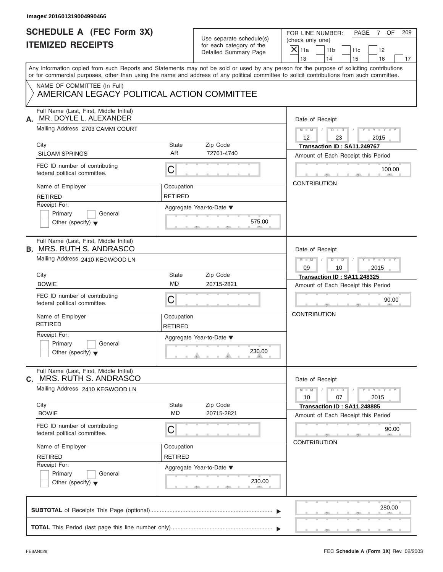| SCHEDULE A (FEC Form 3X)<br><b>ITEMIZED RECEIPTS</b>                                                                                                                                                          |                              | Use separate schedule(s)<br>for each category of the<br>Detailed Summary Page | FOR LINE NUMBER:<br>PAGE<br>OF<br>209<br>7<br>(check only one)<br>$\mathsf{X}$ 11a<br>11 <sub>b</sub><br>11c<br>12                                                                                                                                                                                                    |
|---------------------------------------------------------------------------------------------------------------------------------------------------------------------------------------------------------------|------------------------------|-------------------------------------------------------------------------------|-----------------------------------------------------------------------------------------------------------------------------------------------------------------------------------------------------------------------------------------------------------------------------------------------------------------------|
| NAME OF COMMITTEE (In Full)                                                                                                                                                                                   |                              |                                                                               | 13<br>14<br>15<br>16<br>17<br>Any information copied from such Reports and Statements may not be sold or used by any person for the purpose of soliciting contributions<br>or for commercial purposes, other than using the name and address of any political committee to solicit contributions from such committee. |
| AMERICAN LEGACY POLITICAL ACTION COMMITTEE                                                                                                                                                                    |                              |                                                                               |                                                                                                                                                                                                                                                                                                                       |
| Full Name (Last, First, Middle Initial)<br>MR. DOYLE L. ALEXANDER<br>А.<br>Mailing Address 2703 CAMMI COURT<br>City<br><b>SILOAM SPRINGS</b><br>FEC ID number of contributing<br>federal political committee. | State<br>AR.<br>С            | Zip Code<br>72761-4740                                                        | Date of Receipt<br>$M - M$ /<br>$D$ $D$<br>$Y - Y - Y - Y - Y$<br>12<br>23<br>2015<br>Transaction ID: SA11.249767<br>Amount of Each Receipt this Period<br>100.00<br><b>The Contract Contract Contract Contract Contract</b><br><b>ALCOHOL:</b><br><b>CONTRIBUTION</b>                                                |
| Name of Employer<br><b>RETIRED</b><br>Receipt For:<br>Primary<br>General<br>Other (specify) $\blacktriangledown$                                                                                              | Occupation<br><b>RETIRED</b> | Aggregate Year-to-Date ▼<br>575.00<br><b>ALC: UNK</b><br>____                 |                                                                                                                                                                                                                                                                                                                       |
| Full Name (Last, First, Middle Initial)<br><b>B. MRS. RUTH S. ANDRASCO</b><br>Mailing Address 2410 KEGWOOD LN                                                                                                 |                              |                                                                               | Date of Receipt<br>$M - M$<br>$D$ $\Box$ $D$<br>$+Y+Y+Y$<br>09<br>10<br>2015                                                                                                                                                                                                                                          |
| City<br><b>BOWIE</b>                                                                                                                                                                                          | State<br><b>MD</b>           | Zip Code<br>20715-2821                                                        | Transaction ID: SA11.248325<br>Amount of Each Receipt this Period                                                                                                                                                                                                                                                     |
| FEC ID number of contributing<br>federal political committee.                                                                                                                                                 | С                            |                                                                               | 90.00                                                                                                                                                                                                                                                                                                                 |
| Name of Employer<br><b>RETIRED</b>                                                                                                                                                                            | Occupation<br><b>RETIRED</b> |                                                                               | <b>CONTRIBUTION</b>                                                                                                                                                                                                                                                                                                   |
| Receipt For:<br>Primary<br>General<br>Other (specify) $\blacktriangledown$                                                                                                                                    |                              | Aggregate Year-to-Date ▼<br>230.00                                            |                                                                                                                                                                                                                                                                                                                       |
| Full Name (Last, First, Middle Initial)<br>MRS. RUTH S. ANDRASCO<br>C.                                                                                                                                        |                              |                                                                               | Date of Receipt                                                                                                                                                                                                                                                                                                       |
| Mailing Address 2410 KEGWOOD LN                                                                                                                                                                               |                              |                                                                               | $M - M$<br>$D$ $D$<br>Y = Y = Y = Y<br>10<br>07<br>2015                                                                                                                                                                                                                                                               |
| City<br><b>BOWIE</b>                                                                                                                                                                                          | State<br>MD                  | Zip Code<br>20715-2821                                                        | Transaction ID: SA11.248885<br>Amount of Each Receipt this Period                                                                                                                                                                                                                                                     |
| FEC ID number of contributing<br>federal political committee.                                                                                                                                                 | С                            |                                                                               | 90.00<br><b>CONTRIBUTION</b>                                                                                                                                                                                                                                                                                          |
| Name of Employer<br><b>RETIRED</b>                                                                                                                                                                            | Occupation<br><b>RETIRED</b> |                                                                               |                                                                                                                                                                                                                                                                                                                       |
| Receipt For:<br>Primary<br>General<br>Other (specify) $\blacktriangledown$                                                                                                                                    |                              | Aggregate Year-to-Date ▼<br>230.00<br>$-7$                                    |                                                                                                                                                                                                                                                                                                                       |
|                                                                                                                                                                                                               |                              |                                                                               | 280.00                                                                                                                                                                                                                                                                                                                |
|                                                                                                                                                                                                               |                              |                                                                               |                                                                                                                                                                                                                                                                                                                       |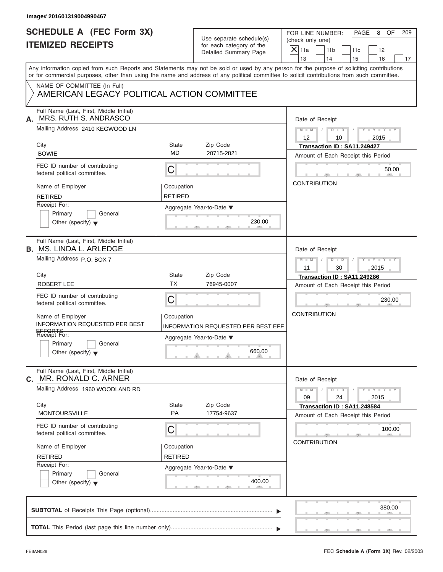#### **Image# 201601319004990467**

# **SCHEDULE A (FEC Form 3X) ITEMIZED RECEIPTS**

FOR LINE NUMBER: PAGE 8 OF<br>(check only one)

|    | SCHEDULE A (FEC FOrm 3X)<br><b>ITEMIZED RECEIPTS</b>                                                                                       |                              | Use separate schedule(s)<br>for each category of the<br>Detailed Summary Page | FOR LINE NUMBER:<br>PAGE<br>8<br>OF<br>209<br>(check only one)<br>$\overline{X}$ 11a<br>11 <sub>b</sub><br>12<br>11c                                                    |
|----|--------------------------------------------------------------------------------------------------------------------------------------------|------------------------------|-------------------------------------------------------------------------------|-------------------------------------------------------------------------------------------------------------------------------------------------------------------------|
|    |                                                                                                                                            |                              |                                                                               | 13<br>14<br>15<br>16<br>17<br>Any information copied from such Reports and Statements may not be sold or used by any person for the purpose of soliciting contributions |
|    | or for commercial purposes, other than using the name and address of any political committee to solicit contributions from such committee. |                              |                                                                               |                                                                                                                                                                         |
|    | NAME OF COMMITTEE (In Full)<br>AMERICAN LEGACY POLITICAL ACTION COMMITTEE                                                                  |                              |                                                                               |                                                                                                                                                                         |
| А. | Full Name (Last, First, Middle Initial)<br>MRS. RUTH S. ANDRASCO                                                                           |                              |                                                                               | Date of Receipt                                                                                                                                                         |
|    | Mailing Address 2410 KEGWOOD LN<br>City                                                                                                    |                              | Zip Code                                                                      | $M - M$ /<br>$D$ $D$<br>$Y = Y +$<br>12<br>2015<br>10                                                                                                                   |
|    | <b>BOWIE</b>                                                                                                                               | State<br>MD                  | 20715-2821                                                                    | Transaction ID: SA11.249427<br>Amount of Each Receipt this Period                                                                                                       |
|    | FEC ID number of contributing<br>federal political committee.                                                                              | С                            |                                                                               | 50.00                                                                                                                                                                   |
|    | Name of Employer<br><b>RETIRED</b>                                                                                                         | Occupation<br><b>RETIRED</b> |                                                                               | <b>CONTRIBUTION</b>                                                                                                                                                     |
|    | Receipt For:<br>General<br>Primary<br>Other (specify) $\blacktriangledown$                                                                 |                              | Aggregate Year-to-Date ▼<br>230.00                                            |                                                                                                                                                                         |
|    | Full Name (Last, First, Middle Initial)<br><b>B. MS. LINDA L. ARLEDGE</b>                                                                  |                              |                                                                               | Date of Receipt                                                                                                                                                         |
|    | Mailing Address P.O. BOX 7                                                                                                                 |                              |                                                                               | $M - M$<br>$D$ $D$<br>2015<br>11<br>30                                                                                                                                  |
|    | City<br><b>ROBERT LEE</b>                                                                                                                  | State<br>ТX                  | Zip Code<br>76945-0007                                                        | Transaction ID: SA11.249286<br>Amount of Each Receipt this Period                                                                                                       |
|    | FEC ID number of contributing<br>federal political committee.                                                                              | C                            |                                                                               | 230.00                                                                                                                                                                  |
|    | Name of Employer<br>INFORMATION REQUESTED PER BEST                                                                                         | Occupation                   | <b>INFORMATION REQUESTED PER BEST EFF</b>                                     | <b>CONTRIBUTION</b>                                                                                                                                                     |
|    | EFFORTS<br>Receipt For:<br>Primary<br>General                                                                                              |                              | Aggregate Year-to-Date ▼                                                      |                                                                                                                                                                         |
|    | Other (specify) $\blacktriangledown$                                                                                                       |                              | 660.00<br>$\overline{1}$                                                      |                                                                                                                                                                         |
| C. | Full Name (Last, First, Middle Initial)<br>MR. RONALD C. ARNER                                                                             |                              |                                                                               | Date of Receipt                                                                                                                                                         |
|    | Mailing Address 1960 WOODLAND RD                                                                                                           |                              |                                                                               | $M - M$<br>$T - Y = Y - T Y$<br>$\overline{D}$<br>$\overline{D}$<br>09<br>24<br>2015                                                                                    |
|    | City<br><b>MONTOURSVILLE</b>                                                                                                               | State<br>PA                  | Zip Code<br>17754-9637                                                        | Transaction ID: SA11.248584<br>Amount of Each Receipt this Period                                                                                                       |
|    | FEC ID number of contributing<br>federal political committee.                                                                              | С                            |                                                                               | 100.00                                                                                                                                                                  |
|    | Name of Employer                                                                                                                           | Occupation                   |                                                                               | <b>CONTRIBUTION</b>                                                                                                                                                     |
|    | <b>RETIRED</b><br>Receipt For:                                                                                                             | <b>RETIRED</b>               |                                                                               |                                                                                                                                                                         |
|    | Primary<br>General<br>Other (specify) $\bullet$                                                                                            |                              | Aggregate Year-to-Date ▼<br>400.00                                            |                                                                                                                                                                         |
|    |                                                                                                                                            |                              |                                                                               | 380.00                                                                                                                                                                  |
|    |                                                                                                                                            |                              |                                                                               |                                                                                                                                                                         |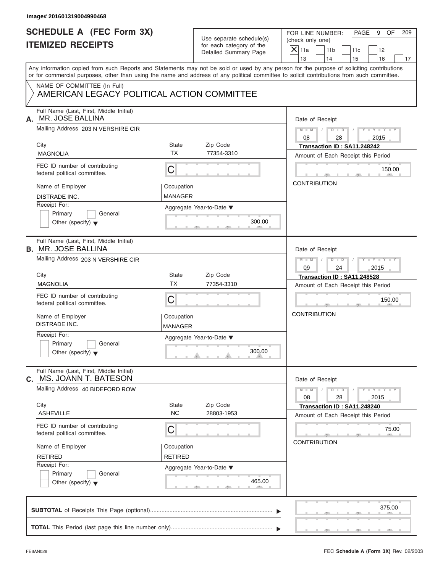#### **Image# 201601319004990468**

### **SCHEDULE A (FEC Form 3X) ITEMIZED RECEIPTS**

| Use separate schedule(s) |
|--------------------------|
| for each category of the |
| Detailed Summary Page    |

FOR LINE NUMBER: | PAGE 9 OF

| <b>ITEMIZED RECEIPTS</b>                                                                                                                                                                                                                                                                                                          | Use separate schedule(s)<br>for each category of the<br>Detailed Summary Page                                                                        | FOR LINE NUMBER:<br>PAGE<br>9<br>OF<br>209<br>(check only one)<br>$\mathsf{X}$ 11a<br>11 <sub>b</sub><br>12<br>11c<br>13<br>14<br>15<br>16<br>17                                                                                                                                        |
|-----------------------------------------------------------------------------------------------------------------------------------------------------------------------------------------------------------------------------------------------------------------------------------------------------------------------------------|------------------------------------------------------------------------------------------------------------------------------------------------------|-----------------------------------------------------------------------------------------------------------------------------------------------------------------------------------------------------------------------------------------------------------------------------------------|
| NAME OF COMMITTEE (In Full)<br>AMERICAN LEGACY POLITICAL ACTION COMMITTEE                                                                                                                                                                                                                                                         |                                                                                                                                                      | Any information copied from such Reports and Statements may not be sold or used by any person for the purpose of soliciting contributions<br>or for commercial purposes, other than using the name and address of any political committee to solicit contributions from such committee. |
| Full Name (Last, First, Middle Initial)<br>MR. JOSE BALLINA<br>А.<br>Mailing Address 203 N VERSHIRE CIR<br>City<br><b>MAGNOLIA</b><br>FEC ID number of contributing<br>federal political committee.<br>Name of Employer<br><b>DISTRADE INC.</b><br>Receipt For:<br>General<br>Primary<br>Other (specify) $\blacktriangledown$     | State<br>Zip Code<br><b>TX</b><br>77354-3310<br>С<br>Occupation<br><b>MANAGER</b><br>Aggregate Year-to-Date ▼<br>300.00                              | Date of Receipt<br>$Y = Y + Y + Y$<br>$M - M$ /<br>$D - D$<br>08<br>28<br>2015<br>Transaction ID: SA11.248242<br>Amount of Each Receipt this Period<br>150.00<br>- 91 -<br><b>CONTRIBUTION</b>                                                                                          |
| Full Name (Last, First, Middle Initial)<br><b>B. MR. JOSE BALLINA</b><br>Mailing Address 203 N VERSHIRE CIR<br>City<br><b>MAGNOLIA</b><br>FEC ID number of contributing<br>federal political committee.<br>Name of Employer<br><b>DISTRADE INC.</b><br>Receipt For:<br>General<br>Primary<br>Other (specify) $\blacktriangledown$ | Zip Code<br>State<br>ТX<br>77354-3310<br>C<br>Occupation<br><b>MANAGER</b><br>Aggregate Year-to-Date ▼<br>300.00<br>$\theta$ and the set of $\theta$ | Date of Receipt<br>$M - M$<br>$D$ $D$<br>$Y - Y$<br>09<br>2015<br>24<br>Transaction ID: SA11.248528<br>Amount of Each Receipt this Period<br>150.00<br><b>CONTRIBUTION</b>                                                                                                              |
| Full Name (Last, First, Middle Initial)<br>MS. JOANN T. BATESON<br>C. .<br>Mailing Address 40 BIDEFORD ROW<br>City<br><b>ASHEVILLE</b><br>FEC ID number of contributing<br>federal political committee.<br>Name of Employer<br><b>RETIRED</b><br>Receipt For:<br>Primary<br>General<br>Other (specify) $\blacktriangledown$       | Zip Code<br>State<br>NC.<br>28803-1953<br>C<br>Occupation<br><b>RETIRED</b><br>Aggregate Year-to-Date ▼<br>465.00                                    | Date of Receipt<br>$Y - Y - Y - Y - Y$<br>$M - M$<br>$D$ $D$<br>08<br>28<br>2015<br>Transaction ID: SA11.248240<br>Amount of Each Receipt this Period<br>75.00<br><b>CONTRIBUTION</b>                                                                                                   |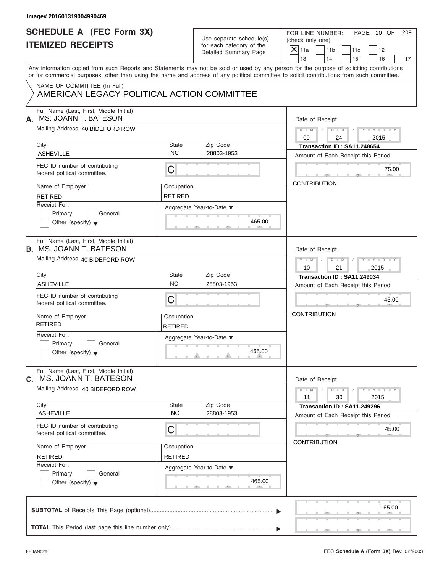| Image# 201601319004990469                                                  |                              |                                                      |                                                                                                                                                                                                                                                                                         |  |
|----------------------------------------------------------------------------|------------------------------|------------------------------------------------------|-----------------------------------------------------------------------------------------------------------------------------------------------------------------------------------------------------------------------------------------------------------------------------------------|--|
| <b>SCHEDULE A (FEC Form 3X)</b><br><b>ITEMIZED RECEIPTS</b>                |                              | Use separate schedule(s)<br>for each category of the | PAGE 10 OF<br>FOR LINE NUMBER:<br>209<br>(check only one)<br>$X$ 11a<br>11 <sub>b</sub><br>11c<br>12                                                                                                                                                                                    |  |
|                                                                            |                              | Detailed Summary Page                                | 13<br>14<br>15<br>16                                                                                                                                                                                                                                                                    |  |
|                                                                            |                              |                                                      | Any information copied from such Reports and Statements may not be sold or used by any person for the purpose of soliciting contributions<br>or for commercial purposes, other than using the name and address of any political committee to solicit contributions from such committee. |  |
| NAME OF COMMITTEE (In Full)<br>AMERICAN LEGACY POLITICAL ACTION COMMITTEE  |                              |                                                      |                                                                                                                                                                                                                                                                                         |  |
| Full Name (Last, First, Middle Initial)<br>MS. JOANN T. BATESON<br>А.      |                              |                                                      | Date of Receipt                                                                                                                                                                                                                                                                         |  |
| Mailing Address 40 BIDEFORD ROW                                            |                              |                                                      | $M - M$ / $D - D$<br>$Y - Y - Y - Y - Y$<br>$\sqrt{ }$<br>09<br>24<br>2015                                                                                                                                                                                                              |  |
| City<br><b>ASHEVILLE</b>                                                   | State<br><b>NC</b>           | Zip Code<br>28803-1953                               | Transaction ID: SA11.248654<br>Amount of Each Receipt this Period                                                                                                                                                                                                                       |  |
| FEC ID number of contributing<br>federal political committee.              | С                            |                                                      | 75.00                                                                                                                                                                                                                                                                                   |  |
| Name of Employer<br><b>RETIRED</b>                                         | Occupation<br><b>RETIRED</b> |                                                      | <b>CONTRIBUTION</b>                                                                                                                                                                                                                                                                     |  |
| Receipt For:<br>Primary<br>General<br>Other (specify) $\blacktriangledown$ |                              | Aggregate Year-to-Date ▼<br>465.00                   |                                                                                                                                                                                                                                                                                         |  |
| Full Name (Last, First, Middle Initial)<br><b>B.</b> MS. JOANN T. BATESON  |                              |                                                      | Date of Receipt                                                                                                                                                                                                                                                                         |  |
| Mailing Address 40 BIDEFORD ROW                                            |                              |                                                      | $M = M - 1$<br>$D - D$<br>$Y = Y = Y' - Y'$<br>$\sqrt{2}$<br>2015<br>10<br>21                                                                                                                                                                                                           |  |
| City                                                                       | State                        | Zip Code                                             | Transaction ID: SA11.249034                                                                                                                                                                                                                                                             |  |
| <b>ASHEVILLE</b>                                                           | <b>NC</b>                    | 28803-1953                                           | Amount of Each Receipt this Period                                                                                                                                                                                                                                                      |  |
| FEC ID number of contributing<br>federal political committee.              | С                            |                                                      | 45.00                                                                                                                                                                                                                                                                                   |  |
| Name of Employer<br><b>RETIRED</b>                                         | Occupation<br><b>RETIRED</b> |                                                      | <b>CONTRIBUTION</b>                                                                                                                                                                                                                                                                     |  |
| Receipt For:<br>Primary<br>General<br>Other (specify) $\blacktriangledown$ |                              | Aggregate Year-to-Date ▼<br>465.00                   |                                                                                                                                                                                                                                                                                         |  |
| Full Name (Last, First, Middle Initial)<br>C. MS. JOANN T. BATESON         |                              |                                                      | Date of Receipt                                                                                                                                                                                                                                                                         |  |
| Mailing Address 40 BIDEFORD ROW                                            |                              |                                                      | $Y - Y - Y - Y - Y$<br>$M - M$<br>$D - D$<br>11<br>30<br>2015                                                                                                                                                                                                                           |  |
| City<br><b>ASHEVILLE</b>                                                   | State<br><b>NC</b>           | Zip Code<br>28803-1953                               | Transaction ID: SA11.249296<br>Amount of Each Receipt this Period                                                                                                                                                                                                                       |  |
| FEC ID number of contributing<br>federal political committee.              | С                            |                                                      | 45.00<br><b>CONTRIBUTION</b>                                                                                                                                                                                                                                                            |  |
| Name of Employer<br><b>RETIRED</b>                                         | Occupation<br><b>RETIRED</b> |                                                      |                                                                                                                                                                                                                                                                                         |  |
| Receipt For:<br>Primary<br>General<br>Other (specify) $\blacktriangledown$ |                              | Aggregate Year-to-Date ▼<br>465.00                   |                                                                                                                                                                                                                                                                                         |  |
|                                                                            |                              |                                                      | 165.00                                                                                                                                                                                                                                                                                  |  |
|                                                                            |                              |                                                      |                                                                                                                                                                                                                                                                                         |  |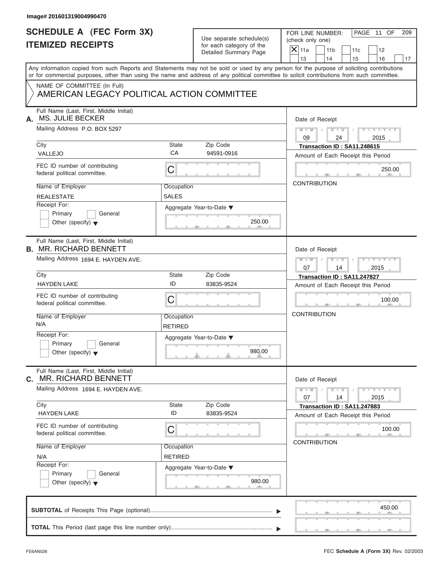| Image# 201601319004990470                                                 |                |                                                      |                                                                                                                                            |  |  |
|---------------------------------------------------------------------------|----------------|------------------------------------------------------|--------------------------------------------------------------------------------------------------------------------------------------------|--|--|
| <b>SCHEDULE A (FEC Form 3X)</b><br><b>ITEMIZED RECEIPTS</b>               |                | Use separate schedule(s)<br>for each category of the | PAGE 11 OF<br>FOR LINE NUMBER:<br>209<br>(check only one)                                                                                  |  |  |
|                                                                           |                |                                                      | $\mathsf{X}$ 11a<br>11 <sub>b</sub><br>12<br>11c                                                                                           |  |  |
|                                                                           |                | Detailed Summary Page                                | 13<br>14<br>15<br>16                                                                                                                       |  |  |
|                                                                           |                |                                                      | Any information copied from such Reports and Statements may not be sold or used by any person for the purpose of soliciting contributions  |  |  |
|                                                                           |                |                                                      | or for commercial purposes, other than using the name and address of any political committee to solicit contributions from such committee. |  |  |
| NAME OF COMMITTEE (In Full)<br>AMERICAN LEGACY POLITICAL ACTION COMMITTEE |                |                                                      |                                                                                                                                            |  |  |
| Full Name (Last, First, Middle Initial)<br>MS. JULIE BECKER<br>А.         |                |                                                      | Date of Receipt                                                                                                                            |  |  |
| Mailing Address P.O. BOX 5297                                             |                |                                                      | $D$ $\Box$ $D$<br>$Y - Y - Y - Y - Y$<br>$M - M$<br>09<br>24<br>2015                                                                       |  |  |
| City                                                                      | State          | Zip Code                                             | Transaction ID: SA11.248615                                                                                                                |  |  |
| VALLEJO                                                                   | CA             | 94591-0916                                           | Amount of Each Receipt this Period                                                                                                         |  |  |
| FEC ID number of contributing<br>federal political committee.             | С              |                                                      | 250.00                                                                                                                                     |  |  |
| Name of Employer                                                          | Occupation     |                                                      | <b>CONTRIBUTION</b>                                                                                                                        |  |  |
| <b>REALESTATE</b>                                                         | SALES          |                                                      |                                                                                                                                            |  |  |
| Receipt For:                                                              |                | Aggregate Year-to-Date ▼                             |                                                                                                                                            |  |  |
| Primary<br>General                                                        |                |                                                      |                                                                                                                                            |  |  |
| Other (specify) $\blacktriangledown$                                      |                | 250.00                                               |                                                                                                                                            |  |  |
| Full Name (Last, First, Middle Initial)<br><b>B. MR. RICHARD BENNETT</b>  |                |                                                      | Date of Receipt                                                                                                                            |  |  |
| Mailing Address 1694 E. HAYDEN AVE.                                       |                |                                                      | $M - M$<br>$D - D$<br>Y T Y T Y T                                                                                                          |  |  |
|                                                                           |                |                                                      | 07<br>14<br>2015                                                                                                                           |  |  |
| City                                                                      | State          | Zip Code                                             | Transaction ID: SA11.247827                                                                                                                |  |  |
| <b>HAYDEN LAKE</b>                                                        | ID             | 83835-9524                                           | Amount of Each Receipt this Period                                                                                                         |  |  |
| FEC ID number of contributing<br>federal political committee.             | C              |                                                      | 100.00                                                                                                                                     |  |  |
| Name of Employer                                                          | Occupation     |                                                      | <b>CONTRIBUTION</b>                                                                                                                        |  |  |
| N/A                                                                       | <b>RETIRED</b> |                                                      |                                                                                                                                            |  |  |
| Receipt For:                                                              |                | Aggregate Year-to-Date ▼                             |                                                                                                                                            |  |  |
| Primary<br>General<br>Other (specify) $\blacktriangledown$                |                | 980.00                                               |                                                                                                                                            |  |  |
| Full Name (Last, First, Middle Initial)<br>MR. RICHARD BENNETT<br>С.      |                |                                                      | Date of Receipt                                                                                                                            |  |  |
| Mailing Address 1694 E. HAYDEN AVE.                                       |                |                                                      | $M - M$<br>$D - D$<br>$-1 - Y - 1 - Y - 1$<br>07<br>14<br>2015                                                                             |  |  |
| City<br><b>HAYDEN LAKE</b>                                                | State<br>ID    | Zip Code<br>83835-9524                               | Transaction ID: SA11.247883                                                                                                                |  |  |
|                                                                           |                |                                                      | Amount of Each Receipt this Period                                                                                                         |  |  |
| FEC ID number of contributing<br>federal political committee.             | С              |                                                      | 100.00                                                                                                                                     |  |  |
| Name of Employer                                                          | Occupation     |                                                      | <b>CONTRIBUTION</b>                                                                                                                        |  |  |
| N/A                                                                       | <b>RETIRED</b> |                                                      |                                                                                                                                            |  |  |
| Receipt For:                                                              |                | Aggregate Year-to-Date ▼                             |                                                                                                                                            |  |  |
| Primary<br>General<br>Other (specify) $\blacktriangledown$                |                | 980.00                                               |                                                                                                                                            |  |  |
|                                                                           |                |                                                      | 450.00                                                                                                                                     |  |  |
|                                                                           |                |                                                      |                                                                                                                                            |  |  |
|                                                                           |                |                                                      |                                                                                                                                            |  |  |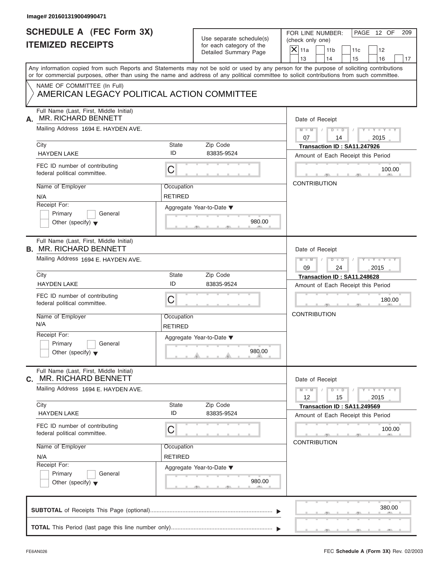| <b>SCHEDULE A (FEC Form 3X)</b>                                                                                                                                                                                                                                                         |                | Use separate schedule(s) | FOR LINE NUMBER:       |                      |                                    | PAGE 12 OF                  | 209 |
|-----------------------------------------------------------------------------------------------------------------------------------------------------------------------------------------------------------------------------------------------------------------------------------------|----------------|--------------------------|------------------------|----------------------|------------------------------------|-----------------------------|-----|
| <b>ITEMIZED RECEIPTS</b>                                                                                                                                                                                                                                                                |                | for each category of the | (check only one)       |                      |                                    |                             |     |
|                                                                                                                                                                                                                                                                                         |                | Detailed Summary Page    | $\mathsf{X}$ 11a<br>13 | 11 <sub>b</sub>      | 11c                                | 12                          |     |
|                                                                                                                                                                                                                                                                                         |                |                          |                        | 14                   | 15                                 | 16                          | 17  |
| Any information copied from such Reports and Statements may not be sold or used by any person for the purpose of soliciting contributions<br>or for commercial purposes, other than using the name and address of any political committee to solicit contributions from such committee. |                |                          |                        |                      |                                    |                             |     |
| NAME OF COMMITTEE (In Full)<br>AMERICAN LEGACY POLITICAL ACTION COMMITTEE                                                                                                                                                                                                               |                |                          |                        |                      |                                    |                             |     |
| Full Name (Last, First, Middle Initial)<br><b>MR. RICHARD BENNETT</b>                                                                                                                                                                                                                   |                |                          |                        | Date of Receipt      |                                    |                             |     |
| Mailing Address 1694 E. HAYDEN AVE.                                                                                                                                                                                                                                                     |                |                          | $M - M$<br>07          | $D$ $\Box$ $D$<br>14 |                                    | $Y - Y - Y - Y - Y$<br>2015 |     |
| City                                                                                                                                                                                                                                                                                    | State          | Zip Code                 |                        |                      | Transaction ID: SA11.247926        |                             |     |
| <b>HAYDEN LAKE</b>                                                                                                                                                                                                                                                                      | ID             | 83835-9524               |                        |                      | Amount of Each Receipt this Period |                             |     |
| FEC ID number of contributing<br>federal political committee.                                                                                                                                                                                                                           | C              |                          |                        |                      |                                    | 100.00                      |     |
| Name of Employer                                                                                                                                                                                                                                                                        | Occupation     |                          |                        | <b>CONTRIBUTION</b>  |                                    |                             |     |
|                                                                                                                                                                                                                                                                                         |                |                          |                        |                      |                                    |                             |     |
| N/A                                                                                                                                                                                                                                                                                     | <b>RETIRED</b> |                          |                        |                      |                                    |                             |     |
| Receipt For:                                                                                                                                                                                                                                                                            |                | Aggregate Year-to-Date ▼ |                        |                      |                                    |                             |     |
| Primary<br>General                                                                                                                                                                                                                                                                      |                | 980.00                   |                        |                      |                                    |                             |     |
| Other (specify) $\blacktriangledown$                                                                                                                                                                                                                                                    |                |                          |                        |                      |                                    |                             |     |
| Full Name (Last, First, Middle Initial)<br><b>B. MR. RICHARD BENNETT</b>                                                                                                                                                                                                                |                |                          |                        | Date of Receipt      |                                    |                             |     |
|                                                                                                                                                                                                                                                                                         |                |                          |                        |                      |                                    |                             |     |
| Mailing Address 1694 E. HAYDEN AVE.                                                                                                                                                                                                                                                     |                |                          | $M - M$<br>09          | $D - I - D$<br>24    |                                    | Y TYTTYTTY<br>2015          |     |
| City                                                                                                                                                                                                                                                                                    | State          | Zip Code                 |                        |                      | Transaction ID: SA11.248628        |                             |     |
| <b>HAYDEN LAKE</b>                                                                                                                                                                                                                                                                      | ID             | 83835-9524               |                        |                      | Amount of Each Receipt this Period |                             |     |
|                                                                                                                                                                                                                                                                                         |                |                          |                        |                      |                                    |                             |     |
| FEC ID number of contributing<br>federal political committee.                                                                                                                                                                                                                           | C              |                          |                        |                      |                                    | 180.00                      |     |
| Name of Employer                                                                                                                                                                                                                                                                        | Occupation     |                          | <b>CONTRIBUTION</b>    |                      |                                    |                             |     |
| N/A                                                                                                                                                                                                                                                                                     | <b>RETIRED</b> |                          |                        |                      |                                    |                             |     |
| Receipt For:                                                                                                                                                                                                                                                                            |                |                          |                        |                      |                                    |                             |     |
| Primary<br>General                                                                                                                                                                                                                                                                      |                | Aggregate Year-to-Date ▼ |                        |                      |                                    |                             |     |
| Other (specify) $\blacktriangledown$                                                                                                                                                                                                                                                    |                | 980.00                   |                        |                      |                                    |                             |     |
| Full Name (Last, First, Middle Initial)<br><b>MR. RICHARD BENNETT</b><br>С.                                                                                                                                                                                                             |                |                          |                        | Date of Receipt      |                                    |                             |     |
| Mailing Address 1694 E. HAYDEN AVE.                                                                                                                                                                                                                                                     |                |                          | $M - M$<br>12          | $D - D$<br>15        |                                    | $Y = Y = Y$<br>2015         |     |
| City                                                                                                                                                                                                                                                                                    | State          | Zip Code                 |                        |                      | Transaction ID: SA11.249569        |                             |     |
| <b>HAYDEN LAKE</b>                                                                                                                                                                                                                                                                      | ID             | 83835-9524               |                        |                      | Amount of Each Receipt this Period |                             |     |
| FEC ID number of contributing<br>federal political committee.                                                                                                                                                                                                                           | С              |                          |                        |                      |                                    | 100.00                      |     |
| Name of Employer                                                                                                                                                                                                                                                                        | Occupation     |                          |                        | <b>CONTRIBUTION</b>  |                                    |                             |     |
|                                                                                                                                                                                                                                                                                         | <b>RETIRED</b> |                          |                        |                      |                                    |                             |     |
| N/A<br>Receipt For:                                                                                                                                                                                                                                                                     |                |                          |                        |                      |                                    |                             |     |
|                                                                                                                                                                                                                                                                                         |                | Aggregate Year-to-Date ▼ |                        |                      |                                    |                             |     |
| Primary<br>General<br>Other (specify) $\blacktriangledown$                                                                                                                                                                                                                              |                | 980.00                   |                        |                      |                                    |                             |     |
|                                                                                                                                                                                                                                                                                         |                |                          |                        |                      |                                    | 380.00                      |     |
|                                                                                                                                                                                                                                                                                         |                |                          |                        |                      |                                    |                             |     |
|                                                                                                                                                                                                                                                                                         |                |                          |                        |                      |                                    |                             |     |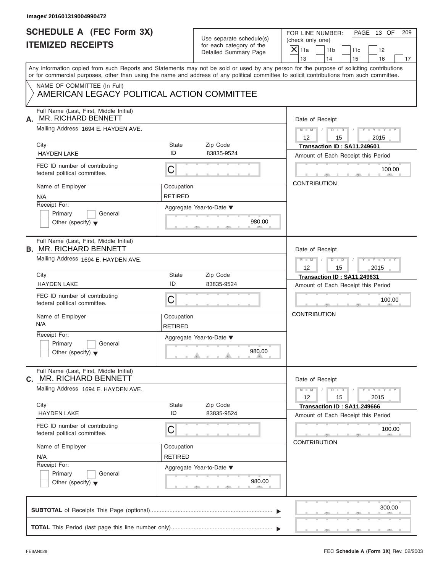| Image# 201601319004990472                                                  |                              |                                                                               |                                                                                                                                                                                                                                                                                                                       |
|----------------------------------------------------------------------------|------------------------------|-------------------------------------------------------------------------------|-----------------------------------------------------------------------------------------------------------------------------------------------------------------------------------------------------------------------------------------------------------------------------------------------------------------------|
| <b>SCHEDULE A (FEC Form 3X)</b><br><b>ITEMIZED RECEIPTS</b>                |                              | Use separate schedule(s)<br>for each category of the<br>Detailed Summary Page | PAGE 13 OF<br>FOR LINE NUMBER:<br>209<br>(check only one)<br>$\mathsf{X}$ 11a<br>11 <sub>b</sub><br>11c<br>12                                                                                                                                                                                                         |
|                                                                            |                              |                                                                               | 13<br>14<br>15<br>16<br>17<br>Any information copied from such Reports and Statements may not be sold or used by any person for the purpose of soliciting contributions<br>or for commercial purposes, other than using the name and address of any political committee to solicit contributions from such committee. |
| NAME OF COMMITTEE (In Full)<br>AMERICAN LEGACY POLITICAL ACTION COMMITTEE  |                              |                                                                               |                                                                                                                                                                                                                                                                                                                       |
| Full Name (Last, First, Middle Initial)<br>MR. RICHARD BENNETT<br>А.       |                              |                                                                               | Date of Receipt                                                                                                                                                                                                                                                                                                       |
| Mailing Address 1694 E. HAYDEN AVE.                                        |                              |                                                                               | $D - D$<br>$M - M$<br>$Y - Y - Y - Y - Y$<br>12<br>2015<br>15                                                                                                                                                                                                                                                         |
| City                                                                       | State                        | Zip Code                                                                      | Transaction ID: SA11.249601                                                                                                                                                                                                                                                                                           |
| <b>HAYDEN LAKE</b>                                                         | ID                           | 83835-9524                                                                    | Amount of Each Receipt this Period                                                                                                                                                                                                                                                                                    |
| FEC ID number of contributing<br>federal political committee.              | C                            |                                                                               | 100.00                                                                                                                                                                                                                                                                                                                |
| Name of Employer<br>N/A                                                    | Occupation<br><b>RETIRED</b> |                                                                               | <b>CONTRIBUTION</b>                                                                                                                                                                                                                                                                                                   |
| Receipt For:<br>Primary<br>General<br>Other (specify) $\blacktriangledown$ |                              | Aggregate Year-to-Date ▼<br>980.00                                            |                                                                                                                                                                                                                                                                                                                       |
| Full Name (Last, First, Middle Initial)<br><b>B. MR. RICHARD BENNETT</b>   |                              |                                                                               | Date of Receipt                                                                                                                                                                                                                                                                                                       |
| Mailing Address 1694 E. HAYDEN AVE.                                        |                              |                                                                               | $D - I$<br>Y T Y T Y T<br>$M - M$<br>$12 \overline{ }$<br>2015<br>15                                                                                                                                                                                                                                                  |
| City                                                                       | State                        | Zip Code                                                                      | Transaction ID: SA11.249631                                                                                                                                                                                                                                                                                           |
| <b>HAYDEN LAKE</b>                                                         | ID                           | 83835-9524                                                                    | Amount of Each Receipt this Period                                                                                                                                                                                                                                                                                    |
| FEC ID number of contributing<br>federal political committee.              | C                            |                                                                               | 100.00                                                                                                                                                                                                                                                                                                                |
| Name of Employer<br>N/A                                                    | Occupation<br><b>RETIRED</b> |                                                                               | <b>CONTRIBUTION</b>                                                                                                                                                                                                                                                                                                   |
| Receipt For:<br>Primary<br>General<br>Other (specify) $\blacktriangledown$ |                              | Aggregate Year-to-Date ▼<br>980.00                                            |                                                                                                                                                                                                                                                                                                                       |
| Full Name (Last, First, Middle Initial)<br>MR. RICHARD BENNETT<br>С.       |                              |                                                                               | Date of Receipt                                                                                                                                                                                                                                                                                                       |
| Mailing Address 1694 E. HAYDEN AVE.                                        |                              |                                                                               | $M - M$<br>$D$ $\Box$ $D$<br>$-1 - Y$ $-1 - Y$ $-1$<br>12<br>15<br>2015                                                                                                                                                                                                                                               |
| City<br><b>HAYDEN LAKE</b>                                                 | State<br>ID                  | Zip Code<br>83835-9524                                                        | Transaction ID: SA11.249666                                                                                                                                                                                                                                                                                           |
| FEC ID number of contributing<br>federal political committee.              | С                            |                                                                               | Amount of Each Receipt this Period<br>100.00                                                                                                                                                                                                                                                                          |
| Name of Employer                                                           | Occupation                   |                                                                               | <b>CONTRIBUTION</b>                                                                                                                                                                                                                                                                                                   |
| N/A<br>Receipt For:                                                        | <b>RETIRED</b>               |                                                                               |                                                                                                                                                                                                                                                                                                                       |
| Primary<br>General<br>Other (specify) $\blacktriangledown$                 |                              | Aggregate Year-to-Date ▼<br>980.00                                            |                                                                                                                                                                                                                                                                                                                       |
|                                                                            |                              |                                                                               | 300.00                                                                                                                                                                                                                                                                                                                |
|                                                                            |                              |                                                                               |                                                                                                                                                                                                                                                                                                                       |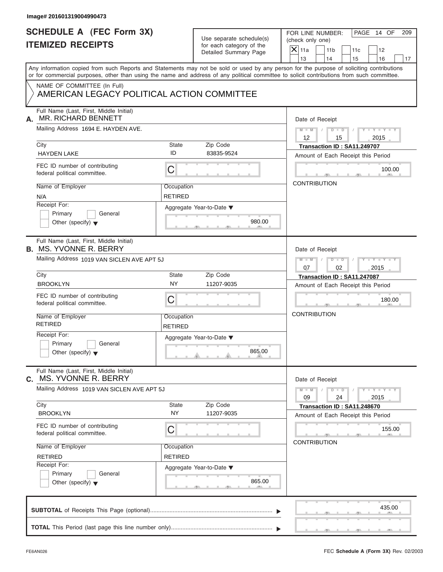| Image# 201601319004990473                                                  |                              |                                                                               |                                                                                                                                                                                                                                                                                                                       |  |  |  |  |
|----------------------------------------------------------------------------|------------------------------|-------------------------------------------------------------------------------|-----------------------------------------------------------------------------------------------------------------------------------------------------------------------------------------------------------------------------------------------------------------------------------------------------------------------|--|--|--|--|
| <b>SCHEDULE A (FEC Form 3X)</b><br><b>ITEMIZED RECEIPTS</b>                |                              | Use separate schedule(s)<br>for each category of the<br>Detailed Summary Page | FOR LINE NUMBER:<br>PAGE 14 OF<br>209<br>(check only one)<br>$\mathsf{X}$ 11a<br>11 <sub>b</sub><br>11c<br>12                                                                                                                                                                                                         |  |  |  |  |
|                                                                            |                              |                                                                               | 13<br>14<br>15<br>16<br>17<br>Any information copied from such Reports and Statements may not be sold or used by any person for the purpose of soliciting contributions<br>or for commercial purposes, other than using the name and address of any political committee to solicit contributions from such committee. |  |  |  |  |
| NAME OF COMMITTEE (In Full)<br>AMERICAN LEGACY POLITICAL ACTION COMMITTEE  |                              |                                                                               |                                                                                                                                                                                                                                                                                                                       |  |  |  |  |
| Full Name (Last, First, Middle Initial)<br>MR. RICHARD BENNETT<br>А.       |                              |                                                                               | Date of Receipt                                                                                                                                                                                                                                                                                                       |  |  |  |  |
| Mailing Address 1694 E. HAYDEN AVE.                                        |                              |                                                                               | $D - D$<br>$M - M$<br>$Y - Y - Y - Y - Y$<br>12<br>2015<br>15                                                                                                                                                                                                                                                         |  |  |  |  |
| City                                                                       | State                        | Zip Code                                                                      | Transaction ID: SA11.249707                                                                                                                                                                                                                                                                                           |  |  |  |  |
| <b>HAYDEN LAKE</b>                                                         | ID                           | 83835-9524                                                                    | Amount of Each Receipt this Period                                                                                                                                                                                                                                                                                    |  |  |  |  |
| FEC ID number of contributing<br>federal political committee.              | C                            |                                                                               | 100.00                                                                                                                                                                                                                                                                                                                |  |  |  |  |
| Name of Employer<br>N/A                                                    | Occupation<br><b>RETIRED</b> |                                                                               | <b>CONTRIBUTION</b>                                                                                                                                                                                                                                                                                                   |  |  |  |  |
| Receipt For:<br>Primary<br>General<br>Other (specify) $\blacktriangledown$ |                              | Aggregate Year-to-Date ▼<br>980.00                                            |                                                                                                                                                                                                                                                                                                                       |  |  |  |  |
| Full Name (Last, First, Middle Initial)<br><b>B. MS. YVONNE R. BERRY</b>   |                              |                                                                               | Date of Receipt                                                                                                                                                                                                                                                                                                       |  |  |  |  |
| Mailing Address 1019 VAN SICLEN AVE APT 5J                                 |                              |                                                                               | $D - I$<br>Y T Y T Y T<br>$M - M$<br>07<br>2015<br>02                                                                                                                                                                                                                                                                 |  |  |  |  |
| City                                                                       | State                        | Zip Code                                                                      | Transaction ID: SA11.247087                                                                                                                                                                                                                                                                                           |  |  |  |  |
| <b>BROOKLYN</b>                                                            | <b>NY</b>                    | 11207-9035                                                                    | Amount of Each Receipt this Period                                                                                                                                                                                                                                                                                    |  |  |  |  |
| FEC ID number of contributing<br>federal political committee.              | C                            |                                                                               | 180.00                                                                                                                                                                                                                                                                                                                |  |  |  |  |
| Name of Employer<br><b>RETIRED</b>                                         | Occupation<br><b>RETIRED</b> |                                                                               | <b>CONTRIBUTION</b>                                                                                                                                                                                                                                                                                                   |  |  |  |  |
| Receipt For:<br>Primary<br>General<br>Other (specify) $\blacktriangledown$ |                              | Aggregate Year-to-Date ▼<br>865.00                                            |                                                                                                                                                                                                                                                                                                                       |  |  |  |  |
| Full Name (Last, First, Middle Initial)<br>MS. YVONNE R. BERRY<br>С.       |                              |                                                                               | Date of Receipt                                                                                                                                                                                                                                                                                                       |  |  |  |  |
| Mailing Address 1019 VAN SICLEN AVE APT 5J                                 |                              |                                                                               | $M - M$<br>$D$ $\Box$ $D$<br>$-1 - Y$ $-1 - Y$ $-1$<br>09<br>24<br>2015                                                                                                                                                                                                                                               |  |  |  |  |
| City<br><b>BROOKLYN</b>                                                    | State<br><b>NY</b>           | Zip Code<br>11207-9035                                                        | Transaction ID: SA11.248670<br>Amount of Each Receipt this Period                                                                                                                                                                                                                                                     |  |  |  |  |
| FEC ID number of contributing<br>federal political committee.              | С                            |                                                                               | 155.00<br><b>CONTRIBUTION</b>                                                                                                                                                                                                                                                                                         |  |  |  |  |
| Name of Employer                                                           | Occupation                   |                                                                               |                                                                                                                                                                                                                                                                                                                       |  |  |  |  |
| <b>RETIRED</b>                                                             | <b>RETIRED</b>               |                                                                               |                                                                                                                                                                                                                                                                                                                       |  |  |  |  |
| Receipt For:<br>Primary<br>General<br>Other (specify) $\blacktriangledown$ |                              | Aggregate Year-to-Date ▼<br>865.00                                            |                                                                                                                                                                                                                                                                                                                       |  |  |  |  |
|                                                                            |                              |                                                                               | 435.00                                                                                                                                                                                                                                                                                                                |  |  |  |  |
|                                                                            |                              |                                                                               |                                                                                                                                                                                                                                                                                                                       |  |  |  |  |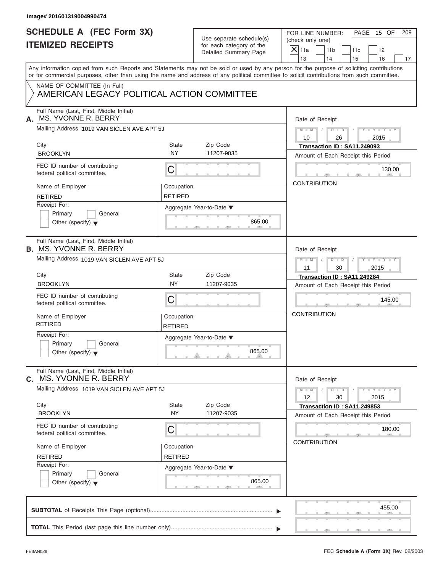| Image# 201601319004990474                                                 |                       |                          |                                                                                                                                                                                                                                                                                         |
|---------------------------------------------------------------------------|-----------------------|--------------------------|-----------------------------------------------------------------------------------------------------------------------------------------------------------------------------------------------------------------------------------------------------------------------------------------|
| <b>SCHEDULE A (FEC Form 3X)</b>                                           |                       | Use separate schedule(s) | PAGE 15 OF<br>FOR LINE NUMBER:<br>209<br>(check only one)                                                                                                                                                                                                                               |
| <b>ITEMIZED RECEIPTS</b>                                                  |                       | for each category of the | $X$ 11a<br>11 <sub>b</sub><br>11c<br>12                                                                                                                                                                                                                                                 |
|                                                                           |                       | Detailed Summary Page    | 13<br>14<br>15<br>16<br>17                                                                                                                                                                                                                                                              |
|                                                                           |                       |                          | Any information copied from such Reports and Statements may not be sold or used by any person for the purpose of soliciting contributions<br>or for commercial purposes, other than using the name and address of any political committee to solicit contributions from such committee. |
| NAME OF COMMITTEE (In Full)<br>AMERICAN LEGACY POLITICAL ACTION COMMITTEE |                       |                          |                                                                                                                                                                                                                                                                                         |
| Full Name (Last, First, Middle Initial)<br>MS. YVONNE R. BERRY<br>А.      |                       |                          | Date of Receipt                                                                                                                                                                                                                                                                         |
| Mailing Address 1019 VAN SICLEN AVE APT 5J                                |                       |                          | $D$ $D$ $I$<br>$Y - Y - Y - Y - Y$<br>$M - M$ /<br>10<br>2015<br>26                                                                                                                                                                                                                     |
| City                                                                      | State                 | Zip Code                 | Transaction ID: SA11.249093                                                                                                                                                                                                                                                             |
| <b>BROOKLYN</b>                                                           | <b>NY</b>             | 11207-9035               | Amount of Each Receipt this Period                                                                                                                                                                                                                                                      |
| FEC ID number of contributing<br>federal political committee.             | C                     |                          | 130.00                                                                                                                                                                                                                                                                                  |
| Name of Employer                                                          | Occupation            |                          | <b>CONTRIBUTION</b>                                                                                                                                                                                                                                                                     |
| <b>RETIRED</b>                                                            | <b>RETIRED</b>        |                          |                                                                                                                                                                                                                                                                                         |
| Receipt For:                                                              |                       | Aggregate Year-to-Date ▼ |                                                                                                                                                                                                                                                                                         |
| Primary<br>General                                                        |                       |                          |                                                                                                                                                                                                                                                                                         |
| Other (specify) $\blacktriangledown$                                      |                       | 865.00                   |                                                                                                                                                                                                                                                                                         |
| Full Name (Last, First, Middle Initial)<br><b>B. MS. YVONNE R. BERRY</b>  |                       |                          | Date of Receipt                                                                                                                                                                                                                                                                         |
| Mailing Address 1019 VAN SICLEN AVE APT 5J                                |                       |                          | $D - I - D$<br>$Y = Y = Y' - Y'$<br>$M - M$<br>$\sqrt{ }$                                                                                                                                                                                                                               |
|                                                                           |                       |                          | 11<br>30<br>2015                                                                                                                                                                                                                                                                        |
| City                                                                      | State                 | Zip Code                 | Transaction ID: SA11.249284                                                                                                                                                                                                                                                             |
| <b>BROOKLYN</b>                                                           | <b>NY</b>             | 11207-9035               | Amount of Each Receipt this Period                                                                                                                                                                                                                                                      |
| FEC ID number of contributing<br>federal political committee.             | C                     |                          | 145.00                                                                                                                                                                                                                                                                                  |
| Name of Employer<br><b>RETIRED</b>                                        | Occupation<br>RETIRED |                          | <b>CONTRIBUTION</b>                                                                                                                                                                                                                                                                     |
| Receipt For:                                                              |                       | Aggregate Year-to-Date ▼ |                                                                                                                                                                                                                                                                                         |
| Primary<br>General<br>Other (specify) $\blacktriangledown$                |                       | 865.00                   |                                                                                                                                                                                                                                                                                         |
| Full Name (Last, First, Middle Initial)                                   |                       |                          |                                                                                                                                                                                                                                                                                         |
| MS. YVONNE R. BERRY<br>С.                                                 |                       |                          | Date of Receipt                                                                                                                                                                                                                                                                         |
| Mailing Address 1019 VAN SICLEN AVE APT 5J                                |                       |                          | $Y - Y - Y - Y - Y$<br>$M - M$<br>$D$ $\Box$ $D$<br>12<br>30<br>2015                                                                                                                                                                                                                    |
| City<br><b>BROOKLYN</b>                                                   | State<br><b>NY</b>    | Zip Code<br>11207-9035   | Transaction ID: SA11.249853                                                                                                                                                                                                                                                             |
|                                                                           |                       |                          | Amount of Each Receipt this Period                                                                                                                                                                                                                                                      |
| FEC ID number of contributing<br>federal political committee.             | С                     |                          | 180.00                                                                                                                                                                                                                                                                                  |
| Name of Employer                                                          | Occupation            |                          | <b>CONTRIBUTION</b>                                                                                                                                                                                                                                                                     |
| <b>RETIRED</b>                                                            | <b>RETIRED</b>        |                          |                                                                                                                                                                                                                                                                                         |
| Receipt For:                                                              |                       | Aggregate Year-to-Date ▼ |                                                                                                                                                                                                                                                                                         |
| Primary<br>General<br>Other (specify) $\blacktriangledown$                |                       | 865.00                   |                                                                                                                                                                                                                                                                                         |
|                                                                           |                       |                          | 455.00                                                                                                                                                                                                                                                                                  |
|                                                                           |                       |                          |                                                                                                                                                                                                                                                                                         |
|                                                                           |                       |                          |                                                                                                                                                                                                                                                                                         |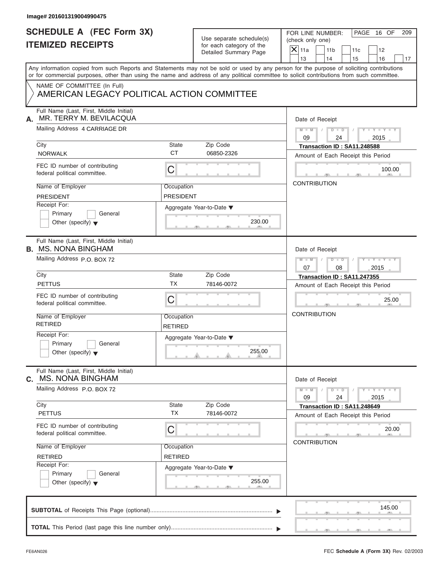|      | Image# 201601319004990475                                                                                                                                                                                                                                                               |                              |                                                       |                                      |                                     |     |                             |     |
|------|-----------------------------------------------------------------------------------------------------------------------------------------------------------------------------------------------------------------------------------------------------------------------------------------|------------------------------|-------------------------------------------------------|--------------------------------------|-------------------------------------|-----|-----------------------------|-----|
|      | <b>SCHEDULE A (FEC Form 3X)</b><br><b>ITEMIZED RECEIPTS</b>                                                                                                                                                                                                                             |                              | Use separate schedule(s)<br>for each category of the  | (check only one)<br>$\mathsf{X}$ 11a | FOR LINE NUMBER:<br>11 <sub>b</sub> | 11c | PAGE 16 OF<br>12            | 209 |
|      |                                                                                                                                                                                                                                                                                         |                              | Detailed Summary Page                                 | 13                                   | 14                                  | 15  | 16                          | 17  |
|      | Any information copied from such Reports and Statements may not be sold or used by any person for the purpose of soliciting contributions<br>or for commercial purposes, other than using the name and address of any political committee to solicit contributions from such committee. |                              |                                                       |                                      |                                     |     |                             |     |
|      | NAME OF COMMITTEE (In Full)<br>AMERICAN LEGACY POLITICAL ACTION COMMITTEE                                                                                                                                                                                                               |                              |                                                       |                                      |                                     |     |                             |     |
| А.   | Full Name (Last, First, Middle Initial)<br>MR. TERRY M. BEVILACQUA                                                                                                                                                                                                                      |                              |                                                       |                                      | Date of Receipt                     |     |                             |     |
|      | Mailing Address 4 CARRIAGE DR                                                                                                                                                                                                                                                           |                              |                                                       | $M - M$<br>09                        | $D$ $D$<br>24                       |     | $Y - Y - Y - Y$<br>2015     |     |
| City |                                                                                                                                                                                                                                                                                         | State                        | Zip Code                                              |                                      | Transaction ID: SA11.248588         |     |                             |     |
|      | <b>NORWALK</b>                                                                                                                                                                                                                                                                          | <b>CT</b>                    | 06850-2326                                            |                                      | Amount of Each Receipt this Period  |     |                             |     |
|      | FEC ID number of contributing<br>federal political committee.                                                                                                                                                                                                                           | $\mathsf C$                  |                                                       |                                      |                                     |     | 100.00                      |     |
|      | Name of Employer                                                                                                                                                                                                                                                                        | Occupation                   |                                                       |                                      | <b>CONTRIBUTION</b>                 |     |                             |     |
|      | <b>PRESIDENT</b>                                                                                                                                                                                                                                                                        | <b>PRESIDENT</b>             |                                                       |                                      |                                     |     |                             |     |
|      | Receipt For:<br>Primary<br>General                                                                                                                                                                                                                                                      |                              | Aggregate Year-to-Date ▼                              |                                      |                                     |     |                             |     |
|      | Other (specify) $\blacktriangledown$                                                                                                                                                                                                                                                    |                              | 230.00                                                |                                      |                                     |     |                             |     |
|      | Full Name (Last, First, Middle Initial)<br><b>B.</b> MS. NONA BINGHAM                                                                                                                                                                                                                   |                              |                                                       |                                      | Date of Receipt                     |     |                             |     |
|      | Mailing Address P.O. BOX 72                                                                                                                                                                                                                                                             |                              |                                                       | $M - M$<br>07                        | $D$ $D$<br>08                       |     | $Y = Y = Y + Y + Y$<br>2015 |     |
| City |                                                                                                                                                                                                                                                                                         | State                        | Zip Code                                              |                                      | Transaction ID: SA11.247355         |     |                             |     |
|      | <b>PETTUS</b>                                                                                                                                                                                                                                                                           | <b>TX</b>                    | 78146-0072                                            |                                      | Amount of Each Receipt this Period  |     |                             |     |
|      | FEC ID number of contributing<br>federal political committee.                                                                                                                                                                                                                           | C                            |                                                       |                                      |                                     |     | 25.00                       |     |
|      | Name of Employer<br><b>RETIRED</b>                                                                                                                                                                                                                                                      | Occupation<br><b>RETIRED</b> |                                                       | <b>CONTRIBUTION</b>                  |                                     |     |                             |     |
|      | Receipt For:<br>Primary<br>General<br>Other (specify) $\blacktriangledown$                                                                                                                                                                                                              |                              | Aggregate Year-to-Date $\blacktriangledown$<br>255.00 |                                      |                                     |     |                             |     |
| C.   | Full Name (Last, First, Middle Initial)<br><b>MS. NONA BINGHAM</b>                                                                                                                                                                                                                      |                              |                                                       |                                      | Date of Receipt                     |     |                             |     |
|      | Mailing Address P.O. BOX 72                                                                                                                                                                                                                                                             |                              |                                                       | $M - M$<br>09                        | $D - D$<br>24                       |     | $Y = Y$<br>2015             |     |
| City | <b>PETTUS</b>                                                                                                                                                                                                                                                                           | State<br><b>TX</b>           | Zip Code<br>78146-0072                                |                                      | Transaction ID: SA11.248649         |     |                             |     |
|      | FEC ID number of contributing<br>federal political committee.                                                                                                                                                                                                                           | C                            |                                                       |                                      | Amount of Each Receipt this Period  |     | 20.00                       |     |
|      | Name of Employer                                                                                                                                                                                                                                                                        | Occupation                   |                                                       |                                      | <b>CONTRIBUTION</b>                 |     |                             |     |
|      | <b>RETIRED</b>                                                                                                                                                                                                                                                                          | <b>RETIRED</b>               |                                                       |                                      |                                     |     |                             |     |
|      | Receipt For:                                                                                                                                                                                                                                                                            |                              | Aggregate Year-to-Date ▼                              |                                      |                                     |     |                             |     |
|      | Primary<br>General<br>Other (specify) $\blacktriangledown$                                                                                                                                                                                                                              |                              | 255.00                                                |                                      |                                     |     |                             |     |
|      |                                                                                                                                                                                                                                                                                         |                              |                                                       |                                      |                                     |     | 145.00                      |     |
|      |                                                                                                                                                                                                                                                                                         |                              |                                                       |                                      |                                     |     |                             |     |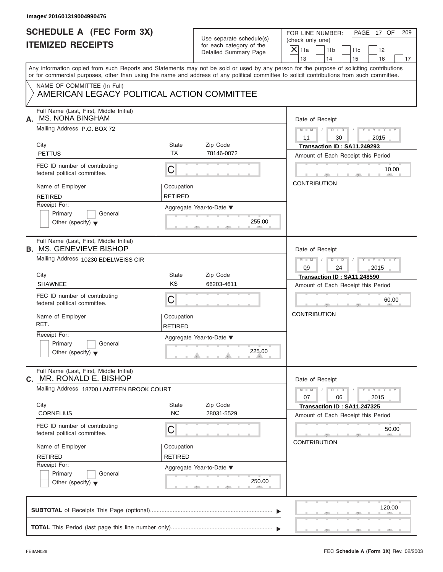| Image# 201601319004990476                                                  |                              |                                                      |                                                                                                                                                                                                                                                                                         |
|----------------------------------------------------------------------------|------------------------------|------------------------------------------------------|-----------------------------------------------------------------------------------------------------------------------------------------------------------------------------------------------------------------------------------------------------------------------------------------|
| <b>SCHEDULE A (FEC Form 3X)</b><br><b>ITEMIZED RECEIPTS</b>                |                              | Use separate schedule(s)<br>for each category of the | FOR LINE NUMBER:<br>PAGE 17 OF<br>209<br>(check only one)<br>$\mathsf{X}$ 11a                                                                                                                                                                                                           |
|                                                                            |                              | Detailed Summary Page                                | 11 <sub>b</sub><br>11c<br>12<br>13<br>14<br>15<br>16<br>17                                                                                                                                                                                                                              |
|                                                                            |                              |                                                      | Any information copied from such Reports and Statements may not be sold or used by any person for the purpose of soliciting contributions<br>or for commercial purposes, other than using the name and address of any political committee to solicit contributions from such committee. |
| NAME OF COMMITTEE (In Full)<br>AMERICAN LEGACY POLITICAL ACTION COMMITTEE  |                              |                                                      |                                                                                                                                                                                                                                                                                         |
| Full Name (Last, First, Middle Initial)<br><b>MS. NONA BINGHAM</b><br>А.   |                              |                                                      | Date of Receipt                                                                                                                                                                                                                                                                         |
| Mailing Address P.O. BOX 72                                                |                              |                                                      | $M - M$<br>$D$ $D$<br>$Y - Y - Y - Y$<br>11<br>30<br>2015                                                                                                                                                                                                                               |
| City                                                                       | State                        | Zip Code                                             | Transaction ID: SA11.249293                                                                                                                                                                                                                                                             |
| <b>PETTUS</b>                                                              | <b>TX</b>                    | 78146-0072                                           | Amount of Each Receipt this Period                                                                                                                                                                                                                                                      |
| FEC ID number of contributing<br>federal political committee.              | C                            |                                                      | 10.00                                                                                                                                                                                                                                                                                   |
| Name of Employer                                                           | Occupation                   |                                                      | <b>CONTRIBUTION</b>                                                                                                                                                                                                                                                                     |
| <b>RETIRED</b>                                                             | <b>RETIRED</b>               |                                                      |                                                                                                                                                                                                                                                                                         |
| Receipt For:<br>Primary<br>General<br>Other (specify) $\blacktriangledown$ |                              | Aggregate Year-to-Date ▼<br>255.00                   |                                                                                                                                                                                                                                                                                         |
| Full Name (Last, First, Middle Initial)<br><b>B. MS. GENEVIEVE BISHOP</b>  |                              |                                                      | Date of Receipt                                                                                                                                                                                                                                                                         |
| Mailing Address 10230 EDELWEISS CIR                                        |                              |                                                      | $D - I - D$<br>$Y = Y = Y + Y + Y$<br>$M - M$                                                                                                                                                                                                                                           |
|                                                                            |                              |                                                      | 2015<br>09<br>24                                                                                                                                                                                                                                                                        |
| City                                                                       | State                        | Zip Code                                             | Transaction ID: SA11.248590                                                                                                                                                                                                                                                             |
| <b>SHAWNEE</b>                                                             | KS                           | 66203-4611                                           | Amount of Each Receipt this Period                                                                                                                                                                                                                                                      |
| FEC ID number of contributing<br>federal political committee.              | C                            |                                                      | 60.00                                                                                                                                                                                                                                                                                   |
| Name of Employer<br>RET.                                                   | Occupation<br><b>RETIRED</b> |                                                      | <b>CONTRIBUTION</b>                                                                                                                                                                                                                                                                     |
| Receipt For:<br>Primary<br>General<br>Other (specify) $\blacktriangledown$ |                              | Aggregate Year-to-Date ▼<br>225.00                   |                                                                                                                                                                                                                                                                                         |
| Full Name (Last, First, Middle Initial)<br>MR. RONALD E. BISHOP<br>C.      |                              |                                                      | Date of Receipt                                                                                                                                                                                                                                                                         |
| Mailing Address 18700 LANTEEN BROOK COURT                                  |                              |                                                      | $M - M$<br>$D - D$<br>$Y + Y + Y + Y$<br>07<br>06<br>2015                                                                                                                                                                                                                               |
| City<br><b>CORNELIUS</b>                                                   | State<br><b>NC</b>           | Zip Code<br>28031-5529                               | Transaction ID: SA11.247325<br>Amount of Each Receipt this Period                                                                                                                                                                                                                       |
| FEC ID number of contributing<br>federal political committee.              | C                            |                                                      | 50.00<br><b>CONTRIBUTION</b>                                                                                                                                                                                                                                                            |
| Name of Employer                                                           | Occupation                   |                                                      |                                                                                                                                                                                                                                                                                         |
| <b>RETIRED</b>                                                             | <b>RETIRED</b>               |                                                      |                                                                                                                                                                                                                                                                                         |
| Receipt For:<br>Primary<br>General<br>Other (specify) $\blacktriangledown$ |                              | Aggregate Year-to-Date ▼<br>250.00                   |                                                                                                                                                                                                                                                                                         |
|                                                                            |                              |                                                      | 120.00                                                                                                                                                                                                                                                                                  |
|                                                                            |                              |                                                      |                                                                                                                                                                                                                                                                                         |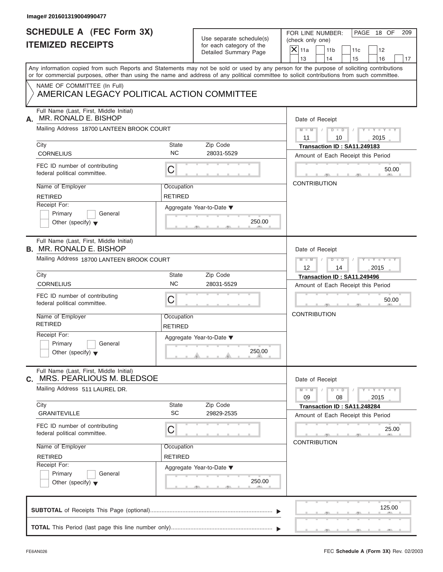| Image# 201601319004990477                                                  |                              |                                                                               |                                                                                                                                                                                                                                                                                         |
|----------------------------------------------------------------------------|------------------------------|-------------------------------------------------------------------------------|-----------------------------------------------------------------------------------------------------------------------------------------------------------------------------------------------------------------------------------------------------------------------------------------|
| <b>SCHEDULE A (FEC Form 3X)</b><br><b>ITEMIZED RECEIPTS</b>                |                              | Use separate schedule(s)<br>for each category of the<br>Detailed Summary Page | FOR LINE NUMBER:<br>PAGE 18 OF<br>209<br>(check only one)<br>$\overline{X}$ 11a<br>11 <sub>b</sub><br>11c<br>12<br>13<br>14<br>15<br>16<br>17                                                                                                                                           |
|                                                                            |                              |                                                                               | Any information copied from such Reports and Statements may not be sold or used by any person for the purpose of soliciting contributions<br>or for commercial purposes, other than using the name and address of any political committee to solicit contributions from such committee. |
| NAME OF COMMITTEE (In Full)<br>AMERICAN LEGACY POLITICAL ACTION COMMITTEE  |                              |                                                                               |                                                                                                                                                                                                                                                                                         |
| Full Name (Last, First, Middle Initial)<br>MR. RONALD E. BISHOP<br>А.      |                              |                                                                               | Date of Receipt                                                                                                                                                                                                                                                                         |
| Mailing Address 18700 LANTEEN BROOK COURT                                  |                              |                                                                               | $D$ $D$<br>$M - M$<br>$Y - Y - Y - Y - Y$<br>2015<br>11<br>10                                                                                                                                                                                                                           |
| City<br><b>CORNELIUS</b>                                                   | State<br><b>NC</b>           | Zip Code<br>28031-5529                                                        | Transaction ID: SA11.249183                                                                                                                                                                                                                                                             |
| FEC ID number of contributing<br>federal political committee.              | C                            |                                                                               | Amount of Each Receipt this Period<br>50.00                                                                                                                                                                                                                                             |
| Name of Employer<br><b>RETIRED</b>                                         | Occupation<br><b>RETIRED</b> |                                                                               | <b>CONTRIBUTION</b>                                                                                                                                                                                                                                                                     |
| Receipt For:<br>Primary<br>General<br>Other (specify) $\blacktriangledown$ |                              | Aggregate Year-to-Date ▼<br>250.00                                            |                                                                                                                                                                                                                                                                                         |
| Full Name (Last, First, Middle Initial)<br><b>B. MR. RONALD E. BISHOP</b>  |                              |                                                                               | Date of Receipt                                                                                                                                                                                                                                                                         |
| Mailing Address 18700 LANTEEN BROOK COURT                                  |                              |                                                                               | $D - I - D$<br>Y T Y T Y T<br>$M - M$<br>2015<br>12<br>14                                                                                                                                                                                                                               |
| City<br><b>CORNELIUS</b>                                                   | State<br><b>NC</b>           | Zip Code<br>28031-5529                                                        | Transaction ID: SA11.249496<br>Amount of Each Receipt this Period                                                                                                                                                                                                                       |
| FEC ID number of contributing<br>federal political committee.              | C                            |                                                                               | 50.00                                                                                                                                                                                                                                                                                   |
| Name of Employer<br><b>RETIRED</b>                                         | Occupation<br><b>RETIRED</b> |                                                                               | <b>CONTRIBUTION</b>                                                                                                                                                                                                                                                                     |
| Receipt For:<br>Primary<br>General<br>Other (specify) $\blacktriangledown$ |                              | Aggregate Year-to-Date ▼<br>250.00                                            |                                                                                                                                                                                                                                                                                         |
| Full Name (Last, First, Middle Initial)<br>MRS. PEARLIOUS M. BLEDSOE<br>С. |                              |                                                                               | Date of Receipt                                                                                                                                                                                                                                                                         |
| Mailing Address 511 LAUREL DR.<br>City                                     | State                        | Zip Code                                                                      | $M - M$<br>$D$ $\Box$ $D$<br>$-1 - Y - 1 - Y - 1$<br>09<br>08<br>2015                                                                                                                                                                                                                   |
| <b>GRANITEVILLE</b>                                                        | SC                           | 29829-2535                                                                    | Transaction ID: SA11.248284<br>Amount of Each Receipt this Period                                                                                                                                                                                                                       |
| FEC ID number of contributing<br>federal political committee.              | С                            |                                                                               | 25.00<br><b>CONTRIBUTION</b>                                                                                                                                                                                                                                                            |
| Name of Employer<br><b>RETIRED</b>                                         | Occupation<br><b>RETIRED</b> |                                                                               |                                                                                                                                                                                                                                                                                         |
| Receipt For:<br>Primary<br>General<br>Other (specify) $\blacktriangledown$ |                              | Aggregate Year-to-Date ▼<br>250.00                                            |                                                                                                                                                                                                                                                                                         |
|                                                                            |                              |                                                                               | 125.00                                                                                                                                                                                                                                                                                  |
|                                                                            |                              |                                                                               |                                                                                                                                                                                                                                                                                         |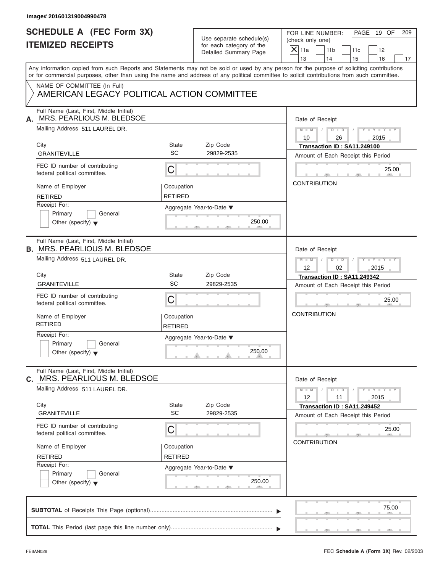| Image# 201601319004990478                                                      |                              |                                                      |                                                                                                                                                                                                                                                                                         |
|--------------------------------------------------------------------------------|------------------------------|------------------------------------------------------|-----------------------------------------------------------------------------------------------------------------------------------------------------------------------------------------------------------------------------------------------------------------------------------------|
| <b>SCHEDULE A (FEC Form 3X)</b><br><b>ITEMIZED RECEIPTS</b>                    |                              | Use separate schedule(s)<br>for each category of the | PAGE 19 OF<br>FOR LINE NUMBER:<br>209<br>(check only one)<br>$X$ 11a                                                                                                                                                                                                                    |
|                                                                                |                              | Detailed Summary Page                                | 11 <sub>b</sub><br>11c<br>12<br>13<br>14<br>15<br>16<br>17                                                                                                                                                                                                                              |
|                                                                                |                              |                                                      | Any information copied from such Reports and Statements may not be sold or used by any person for the purpose of soliciting contributions<br>or for commercial purposes, other than using the name and address of any political committee to solicit contributions from such committee. |
| NAME OF COMMITTEE (In Full)<br>AMERICAN LEGACY POLITICAL ACTION COMMITTEE      |                              |                                                      |                                                                                                                                                                                                                                                                                         |
| Full Name (Last, First, Middle Initial)<br>MRS. PEARLIOUS M. BLEDSOE<br>А.     |                              |                                                      | Date of Receipt                                                                                                                                                                                                                                                                         |
| Mailing Address 511 LAUREL DR.                                                 |                              |                                                      | $M - M$ / $D - D$ /<br>$Y - Y - Y - Y - Y$<br>10<br>2015<br>26                                                                                                                                                                                                                          |
| City<br><b>GRANITEVILLE</b>                                                    | State<br>SC                  | Zip Code<br>29829-2535                               | Transaction ID: SA11.249100<br>Amount of Each Receipt this Period                                                                                                                                                                                                                       |
| FEC ID number of contributing<br>federal political committee.                  | С                            |                                                      | 25.00                                                                                                                                                                                                                                                                                   |
| Name of Employer<br><b>RETIRED</b>                                             | Occupation<br><b>RETIRED</b> |                                                      | <b>CONTRIBUTION</b>                                                                                                                                                                                                                                                                     |
| Receipt For:<br>Primary<br>General<br>Other (specify) $\blacktriangledown$     |                              | Aggregate Year-to-Date ▼<br>250.00                   |                                                                                                                                                                                                                                                                                         |
| Full Name (Last, First, Middle Initial)<br><b>B. MRS. PEARLIOUS M. BLEDSOE</b> |                              |                                                      | Date of Receipt                                                                                                                                                                                                                                                                         |
| Mailing Address 511 LAUREL DR.                                                 |                              |                                                      | Y TY TY TY<br>$M$ $-M$ $/$<br>$D - D$<br>$\Box$<br>12<br>02<br>2015                                                                                                                                                                                                                     |
| City                                                                           | State                        | Zip Code                                             | Transaction ID: SA11.249342                                                                                                                                                                                                                                                             |
| <b>GRANITEVILLE</b>                                                            | SC                           | 29829-2535                                           | Amount of Each Receipt this Period                                                                                                                                                                                                                                                      |
| FEC ID number of contributing<br>federal political committee.                  | С                            |                                                      | 25.00                                                                                                                                                                                                                                                                                   |
| Name of Employer<br><b>RETIRED</b>                                             | Occupation<br><b>RETIRED</b> |                                                      | <b>CONTRIBUTION</b>                                                                                                                                                                                                                                                                     |
| Receipt For:<br>Primary<br>General<br>Other (specify) $\blacktriangledown$     |                              | Aggregate Year-to-Date ▼<br>250.00                   |                                                                                                                                                                                                                                                                                         |
| Full Name (Last, First, Middle Initial)<br>MRS. PEARLIOUS M. BLEDSOE<br>C.     |                              |                                                      | Date of Receipt                                                                                                                                                                                                                                                                         |
| Mailing Address 511 LAUREL DR.                                                 |                              |                                                      | $Y - Y - Y - Y - Y$<br>$M - M$<br>$D$ $\Box$ $D$<br>12<br>11<br>2015                                                                                                                                                                                                                    |
| City<br><b>GRANITEVILLE</b>                                                    | <b>State</b><br>SC           | Zip Code<br>29829-2535                               | Transaction ID: SA11.249452<br>Amount of Each Receipt this Period                                                                                                                                                                                                                       |
| FEC ID number of contributing<br>federal political committee.                  | С                            |                                                      | 25.00<br><b>CONTRIBUTION</b>                                                                                                                                                                                                                                                            |
| Name of Employer<br><b>RETIRED</b>                                             | Occupation<br><b>RETIRED</b> |                                                      |                                                                                                                                                                                                                                                                                         |
| Receipt For:<br>Primary<br>General<br>Other (specify) $\blacktriangledown$     |                              | Aggregate Year-to-Date ▼<br>250.00                   |                                                                                                                                                                                                                                                                                         |
|                                                                                |                              |                                                      | 75.00                                                                                                                                                                                                                                                                                   |
|                                                                                |                              |                                                      |                                                                                                                                                                                                                                                                                         |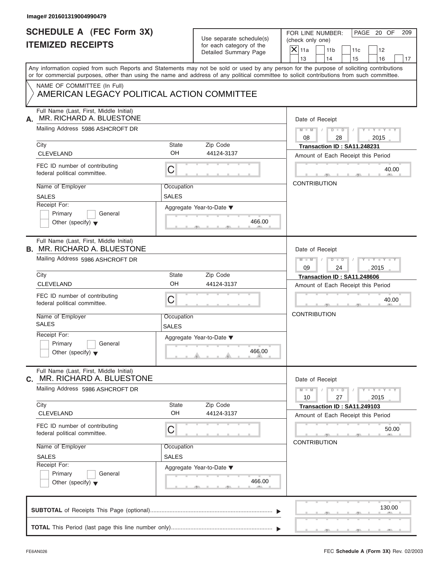| Use separate schedule(s) |
|--------------------------|
| for each category of the |
| Detailed Summary Page    |

| Image# 201601319004990479                                                     |                            |                                                      |                                                                                                                                                                                                                                                                                         |
|-------------------------------------------------------------------------------|----------------------------|------------------------------------------------------|-----------------------------------------------------------------------------------------------------------------------------------------------------------------------------------------------------------------------------------------------------------------------------------------|
| <b>SCHEDULE A (FEC Form 3X)</b><br><b>ITEMIZED RECEIPTS</b>                   |                            | Use separate schedule(s)<br>for each category of the | PAGE 20 OF<br>FOR LINE NUMBER:<br>209<br>(check only one)<br>$X$ 11a                                                                                                                                                                                                                    |
|                                                                               |                            | Detailed Summary Page                                | 11 <sub>b</sub><br>11c<br>12<br>13<br>14<br>15<br>16<br>17                                                                                                                                                                                                                              |
|                                                                               |                            |                                                      | Any information copied from such Reports and Statements may not be sold or used by any person for the purpose of soliciting contributions<br>or for commercial purposes, other than using the name and address of any political committee to solicit contributions from such committee. |
| NAME OF COMMITTEE (In Full)<br>AMERICAN LEGACY POLITICAL ACTION COMMITTEE     |                            |                                                      |                                                                                                                                                                                                                                                                                         |
| Full Name (Last, First, Middle Initial)<br>MR. RICHARD A. BLUESTONE<br>А.     |                            |                                                      | Date of Receipt                                                                                                                                                                                                                                                                         |
| Mailing Address 5986 ASHCROFT DR                                              |                            |                                                      | $M = M$ / $D = D$ /<br>$Y - Y - Y - Y - Y$<br>08<br>28<br>2015                                                                                                                                                                                                                          |
| City<br><b>CLEVELAND</b>                                                      | State<br>OH                | Zip Code<br>44124-3137                               | Transaction ID: SA11.248231<br>Amount of Each Receipt this Period                                                                                                                                                                                                                       |
| FEC ID number of contributing<br>federal political committee.                 | С                          |                                                      | 40.00<br>$\sqrt{10}$                                                                                                                                                                                                                                                                    |
| Name of Employer<br><b>SALES</b>                                              | Occupation<br>SALES        |                                                      | <b>CONTRIBUTION</b>                                                                                                                                                                                                                                                                     |
| Receipt For:<br>Primary<br>General<br>Other (specify) $\blacktriangledown$    |                            | Aggregate Year-to-Date ▼<br>466.00                   |                                                                                                                                                                                                                                                                                         |
| Full Name (Last, First, Middle Initial)<br><b>B. MR. RICHARD A. BLUESTONE</b> |                            |                                                      | Date of Receipt                                                                                                                                                                                                                                                                         |
| Mailing Address 5986 ASHCROFT DR                                              |                            |                                                      | $\begin{array}{c c c c c c} \hline \multicolumn{3}{ c }{\textbf{D} \quad \textbf{I} \quad \textbf{D} \quad \textbf{I} \quad \textbf{I}} \end{array}$<br>$Y = Y = Y - Y$<br>$M$ $M$ $/$<br>09<br>24<br>2015                                                                              |
| City                                                                          | State                      | Zip Code                                             | Transaction ID: SA11.248606                                                                                                                                                                                                                                                             |
| <b>CLEVELAND</b>                                                              | OH                         | 44124-3137                                           | Amount of Each Receipt this Period                                                                                                                                                                                                                                                      |
| FEC ID number of contributing<br>federal political committee.                 | C                          |                                                      | 40.00                                                                                                                                                                                                                                                                                   |
| Name of Employer<br><b>SALES</b>                                              | Occupation<br><b>SALES</b> |                                                      | <b>CONTRIBUTION</b>                                                                                                                                                                                                                                                                     |
| Receipt For:<br>Primary<br>General<br>Other (specify) $\blacktriangledown$    |                            | Aggregate Year-to-Date ▼<br>466.00                   |                                                                                                                                                                                                                                                                                         |
| Full Name (Last, First, Middle Initial)<br>MR. RICHARD A. BLUESTONE<br>C.     |                            |                                                      | Date of Receipt                                                                                                                                                                                                                                                                         |
| Mailing Address 5986 ASHCROFT DR                                              |                            |                                                      | $Y - Y - Y - Y - Y$<br>$M - M$<br>$D$ $D$<br>10<br>27<br>2015                                                                                                                                                                                                                           |
| City<br><b>CLEVELAND</b>                                                      | State<br>OH                | Zip Code<br>44124-3137                               | Transaction ID: SA11.249103<br>Amount of Each Receipt this Period                                                                                                                                                                                                                       |
| FEC ID number of contributing<br>federal political committee.                 | С                          |                                                      | 50.00<br><b>CONTRIBUTION</b>                                                                                                                                                                                                                                                            |
| Name of Employer<br><b>SALES</b>                                              | Occupation<br><b>SALES</b> |                                                      |                                                                                                                                                                                                                                                                                         |
| Receipt For:<br>Primary<br>General<br>Other (specify) $\blacktriangledown$    |                            | Aggregate Year-to-Date ▼<br>466.00                   |                                                                                                                                                                                                                                                                                         |
|                                                                               |                            |                                                      | 130.00                                                                                                                                                                                                                                                                                  |
|                                                                               |                            |                                                      |                                                                                                                                                                                                                                                                                         |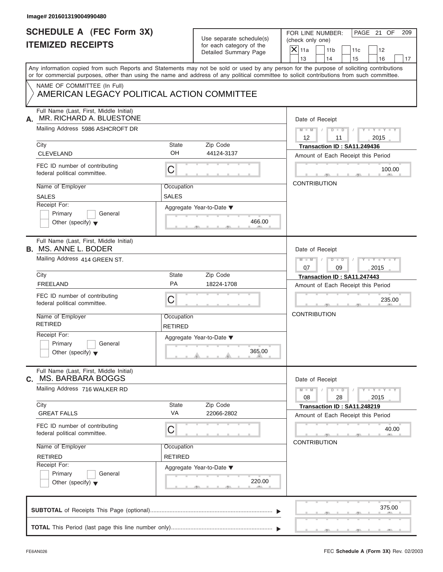| Image# 201601319004990480                                                  |                              |                                                      |                                                                                                                                                                                                                                                                                         |
|----------------------------------------------------------------------------|------------------------------|------------------------------------------------------|-----------------------------------------------------------------------------------------------------------------------------------------------------------------------------------------------------------------------------------------------------------------------------------------|
| <b>SCHEDULE A (FEC Form 3X)</b><br><b>ITEMIZED RECEIPTS</b>                |                              | Use separate schedule(s)<br>for each category of the | PAGE 21 OF<br>FOR LINE NUMBER:<br>209<br>(check only one)<br>$\overline{X}$ 11a<br>11 <sub>b</sub><br>11c<br>12                                                                                                                                                                         |
|                                                                            |                              | Detailed Summary Page                                | 13<br>14<br>15<br>16<br>17                                                                                                                                                                                                                                                              |
|                                                                            |                              |                                                      | Any information copied from such Reports and Statements may not be sold or used by any person for the purpose of soliciting contributions<br>or for commercial purposes, other than using the name and address of any political committee to solicit contributions from such committee. |
| NAME OF COMMITTEE (In Full)<br>AMERICAN LEGACY POLITICAL ACTION COMMITTEE  |                              |                                                      |                                                                                                                                                                                                                                                                                         |
| Full Name (Last, First, Middle Initial)<br>MR. RICHARD A. BLUESTONE<br>А.  |                              |                                                      | Date of Receipt                                                                                                                                                                                                                                                                         |
| Mailing Address 5986 ASHCROFT DR                                           |                              |                                                      | $M = M \qquad / \qquad D = D \qquad /$<br>$Y - Y - Y - Y - Y$<br>12<br>2015<br>11                                                                                                                                                                                                       |
| City<br><b>CLEVELAND</b>                                                   | State<br>OH                  | Zip Code<br>44124-3137                               | Transaction ID: SA11.249436<br>Amount of Each Receipt this Period                                                                                                                                                                                                                       |
| FEC ID number of contributing<br>federal political committee.              | $\mathsf C$                  |                                                      | 100.00                                                                                                                                                                                                                                                                                  |
| Name of Employer<br><b>SALES</b>                                           | Occupation<br>SALES          |                                                      | <b>CONTRIBUTION</b>                                                                                                                                                                                                                                                                     |
| Receipt For:<br>Primary<br>General<br>Other (specify) $\blacktriangledown$ | Aggregate Year-to-Date ▼     | 466.00                                               |                                                                                                                                                                                                                                                                                         |
| Full Name (Last, First, Middle Initial)<br><b>B. MS. ANNE L. BODER</b>     |                              |                                                      | Date of Receipt                                                                                                                                                                                                                                                                         |
| Mailing Address 414 GREEN ST.                                              |                              |                                                      | $D - D$<br>$Y = Y = Y' + Y' + Y$<br>$M$ $M$ $/$<br>$\Box$<br>07<br>2015<br>09                                                                                                                                                                                                           |
| City<br><b>FREELAND</b>                                                    | State<br>PA                  | Zip Code<br>18224-1708                               | Transaction ID: SA11.247443                                                                                                                                                                                                                                                             |
|                                                                            |                              |                                                      | Amount of Each Receipt this Period                                                                                                                                                                                                                                                      |
| FEC ID number of contributing<br>federal political committee.              | C                            |                                                      | 235.00                                                                                                                                                                                                                                                                                  |
| Name of Employer<br><b>RETIRED</b>                                         | Occupation<br><b>RETIRED</b> |                                                      | <b>CONTRIBUTION</b>                                                                                                                                                                                                                                                                     |
| Receipt For:<br>Primary<br>General<br>Other (specify) $\blacktriangledown$ | Aggregate Year-to-Date ▼     | 365.00                                               |                                                                                                                                                                                                                                                                                         |
| Full Name (Last, First, Middle Initial)<br>MS. BARBARA BOGGS<br>С.         |                              |                                                      | Date of Receipt                                                                                                                                                                                                                                                                         |
| Mailing Address 716 WALKER RD                                              |                              |                                                      | $Y - Y - Y - Y - Y$<br>$M - M$<br>$D$ $\Box$ $D$<br>08<br>28<br>2015                                                                                                                                                                                                                    |
| City<br><b>GREAT FALLS</b>                                                 | State<br>VA                  | Zip Code<br>22066-2802                               | Transaction ID: SA11.248219<br>Amount of Each Receipt this Period                                                                                                                                                                                                                       |
| FEC ID number of contributing<br>federal political committee.              | C                            |                                                      | 40.00<br><b>CONTRIBUTION</b>                                                                                                                                                                                                                                                            |
| Name of Employer<br><b>RETIRED</b>                                         | Occupation<br><b>RETIRED</b> |                                                      |                                                                                                                                                                                                                                                                                         |
| Receipt For:<br>Primary<br>General<br>Other (specify) $\blacktriangledown$ | Aggregate Year-to-Date ▼     | 220.00                                               |                                                                                                                                                                                                                                                                                         |
|                                                                            |                              |                                                      | 375.00                                                                                                                                                                                                                                                                                  |
|                                                                            |                              |                                                      |                                                                                                                                                                                                                                                                                         |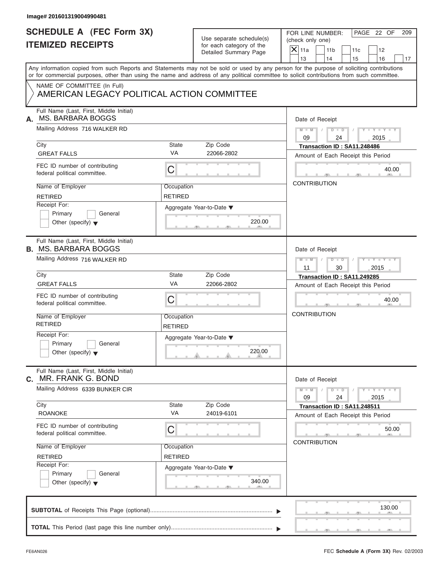| Image# 201601319004990481                                                                                                                                                                                                                                                               |                              |                                                      |                     |                                      |                                                                   |                             |     |
|-----------------------------------------------------------------------------------------------------------------------------------------------------------------------------------------------------------------------------------------------------------------------------------------|------------------------------|------------------------------------------------------|---------------------|--------------------------------------|-------------------------------------------------------------------|-----------------------------|-----|
| <b>SCHEDULE A (FEC Form 3X)</b><br><b>ITEMIZED RECEIPTS</b>                                                                                                                                                                                                                             |                              | Use separate schedule(s)<br>for each category of the |                     | FOR LINE NUMBER:<br>(check only one) |                                                                   | PAGE 22 OF                  | 209 |
|                                                                                                                                                                                                                                                                                         |                              | Detailed Summary Page                                | $X$ 11a<br>13       | 11 <sub>b</sub><br>14                | 11c<br>15                                                         | 12<br>16                    | 17  |
| Any information copied from such Reports and Statements may not be sold or used by any person for the purpose of soliciting contributions<br>or for commercial purposes, other than using the name and address of any political committee to solicit contributions from such committee. |                              |                                                      |                     |                                      |                                                                   |                             |     |
| NAME OF COMMITTEE (In Full)<br>AMERICAN LEGACY POLITICAL ACTION COMMITTEE                                                                                                                                                                                                               |                              |                                                      |                     |                                      |                                                                   |                             |     |
| Full Name (Last, First, Middle Initial)<br><b>MS. BARBARA BOGGS</b><br>А.                                                                                                                                                                                                               |                              |                                                      |                     | Date of Receipt                      |                                                                   |                             |     |
| Mailing Address 716 WALKER RD                                                                                                                                                                                                                                                           |                              |                                                      | $M = M$ /<br>09     | $D$ $D$<br>24                        | $\sqrt{ }$                                                        | $Y - Y - Y - Y - Y$<br>2015 |     |
| City<br><b>GREAT FALLS</b>                                                                                                                                                                                                                                                              | State<br><b>VA</b>           | Zip Code<br>22066-2802                               |                     |                                      | Transaction ID: SA11.248486<br>Amount of Each Receipt this Period |                             |     |
| FEC ID number of contributing<br>federal political committee.                                                                                                                                                                                                                           | C                            |                                                      |                     |                                      |                                                                   | 40.00<br>$\sqrt{10}$        |     |
| Name of Employer<br><b>RETIRED</b>                                                                                                                                                                                                                                                      | Occupation<br><b>RETIRED</b> |                                                      | <b>CONTRIBUTION</b> |                                      |                                                                   |                             |     |
| Receipt For:<br>Primary<br>General<br>Other (specify) $\blacktriangledown$                                                                                                                                                                                                              |                              | Aggregate Year-to-Date ▼<br>220.00                   |                     |                                      |                                                                   |                             |     |
| Full Name (Last, First, Middle Initial)<br><b>B. MS. BARBARA BOGGS</b>                                                                                                                                                                                                                  |                              |                                                      |                     | Date of Receipt                      |                                                                   |                             |     |
| Mailing Address 716 WALKER RD                                                                                                                                                                                                                                                           |                              |                                                      | $M = M - 1$<br>11   | $D - D$<br>30                        |                                                                   | Y T Y T Y T<br>2015         |     |
| City                                                                                                                                                                                                                                                                                    | State                        | Zip Code                                             |                     |                                      | Transaction ID: SA11.249285                                       |                             |     |
| <b>GREAT FALLS</b>                                                                                                                                                                                                                                                                      | VA                           | 22066-2802                                           |                     |                                      | Amount of Each Receipt this Period                                |                             |     |
| FEC ID number of contributing<br>federal political committee.                                                                                                                                                                                                                           | C                            |                                                      |                     |                                      |                                                                   | 40.00                       |     |
| Name of Employer<br><b>RETIRED</b>                                                                                                                                                                                                                                                      | Occupation<br><b>RETIRED</b> |                                                      | <b>CONTRIBUTION</b> |                                      |                                                                   |                             |     |
| Receipt For:<br>Primary<br>General<br>Other (specify) $\blacktriangledown$                                                                                                                                                                                                              |                              | Aggregate Year-to-Date ▼<br>220.00                   |                     |                                      |                                                                   |                             |     |
| Full Name (Last, First, Middle Initial)<br>MR. FRANK G. BOND<br>С.                                                                                                                                                                                                                      |                              |                                                      |                     | Date of Receipt                      |                                                                   |                             |     |
| Mailing Address 6339 BUNKER CIR                                                                                                                                                                                                                                                         |                              |                                                      | $M - M$<br>09       | $D$ $\Box$ $D$<br>24                 |                                                                   | $Y - Y - Y - Y - Y$<br>2015 |     |
| City<br><b>ROANOKE</b>                                                                                                                                                                                                                                                                  | State<br>VA                  | Zip Code<br>24019-6101                               |                     |                                      | Transaction ID: SA11.248511<br>Amount of Each Receipt this Period |                             |     |
| FEC ID number of contributing<br>federal political committee.                                                                                                                                                                                                                           | С                            |                                                      | <b>CONTRIBUTION</b> |                                      |                                                                   | 50.00                       |     |
| Name of Employer<br><b>RETIRED</b>                                                                                                                                                                                                                                                      | Occupation<br>RETIRED        |                                                      |                     |                                      |                                                                   |                             |     |
| Receipt For:<br>Primary<br>General<br>Other (specify) $\blacktriangledown$                                                                                                                                                                                                              |                              | Aggregate Year-to-Date ▼<br>340.00                   |                     |                                      |                                                                   |                             |     |
|                                                                                                                                                                                                                                                                                         |                              |                                                      |                     |                                      |                                                                   | 130.00                      |     |
|                                                                                                                                                                                                                                                                                         |                              |                                                      |                     |                                      |                                                                   |                             |     |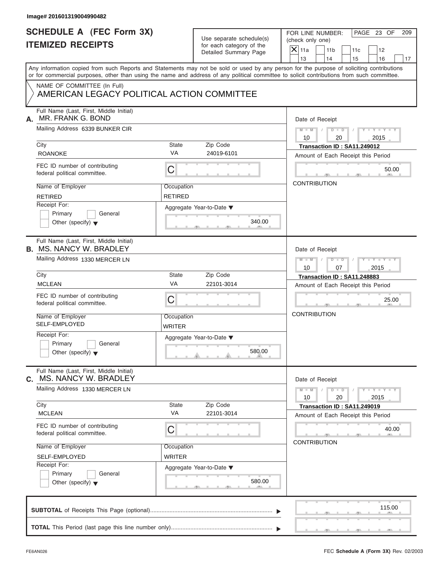| Use separate schedule(s) |
|--------------------------|
| for each category of the |
| Detailed Summary Page    |

| Image# 201601319004990482                                                  |                              |                                                       |                                                                                                                                                                                                                                                                                         |  |  |  |  |
|----------------------------------------------------------------------------|------------------------------|-------------------------------------------------------|-----------------------------------------------------------------------------------------------------------------------------------------------------------------------------------------------------------------------------------------------------------------------------------------|--|--|--|--|
| <b>SCHEDULE A (FEC Form 3X)</b><br><b>ITEMIZED RECEIPTS</b>                |                              | Use separate schedule(s)<br>for each category of the  | PAGE 23 OF<br>FOR LINE NUMBER:<br>209<br>(check only one)<br>$X$ 11a<br>11 <sub>b</sub><br>11c<br>12                                                                                                                                                                                    |  |  |  |  |
|                                                                            |                              | Detailed Summary Page                                 | 13<br>14<br>15<br>16<br>17                                                                                                                                                                                                                                                              |  |  |  |  |
|                                                                            |                              |                                                       | Any information copied from such Reports and Statements may not be sold or used by any person for the purpose of soliciting contributions<br>or for commercial purposes, other than using the name and address of any political committee to solicit contributions from such committee. |  |  |  |  |
| NAME OF COMMITTEE (In Full)<br>AMERICAN LEGACY POLITICAL ACTION COMMITTEE  |                              |                                                       |                                                                                                                                                                                                                                                                                         |  |  |  |  |
| Full Name (Last, First, Middle Initial)<br>MR. FRANK G. BOND<br>А.         |                              |                                                       | Date of Receipt                                                                                                                                                                                                                                                                         |  |  |  |  |
| Mailing Address 6339 BUNKER CIR                                            |                              |                                                       | $M = M$ / $D = D$ /<br>$Y - Y - Y - Y - Y$<br>10<br>20<br>2015                                                                                                                                                                                                                          |  |  |  |  |
| City<br><b>ROANOKE</b>                                                     | State<br><b>VA</b>           | Zip Code<br>24019-6101                                | Transaction ID: SA11.249012<br>Amount of Each Receipt this Period                                                                                                                                                                                                                       |  |  |  |  |
| FEC ID number of contributing<br>federal political committee.              | C                            |                                                       | 50.00                                                                                                                                                                                                                                                                                   |  |  |  |  |
| Name of Employer<br><b>RETIRED</b>                                         | Occupation<br><b>RETIRED</b> |                                                       | <b>CONTRIBUTION</b>                                                                                                                                                                                                                                                                     |  |  |  |  |
| Receipt For:<br>Primary<br>General<br>Other (specify) $\blacktriangledown$ |                              | Aggregate Year-to-Date ▼<br>340.00                    |                                                                                                                                                                                                                                                                                         |  |  |  |  |
| Full Name (Last, First, Middle Initial)<br><b>B. MS. NANCY W. BRADLEY</b>  |                              |                                                       | Date of Receipt                                                                                                                                                                                                                                                                         |  |  |  |  |
| Mailing Address 1330 MERCER LN                                             |                              |                                                       | Y TY TY TY<br>$M - M$ / $D - D$ /<br>10<br>07<br>2015                                                                                                                                                                                                                                   |  |  |  |  |
| City                                                                       | State                        | Zip Code                                              | Transaction ID: SA11.248883                                                                                                                                                                                                                                                             |  |  |  |  |
| <b>MCLEAN</b>                                                              | VA                           | 22101-3014                                            | Amount of Each Receipt this Period                                                                                                                                                                                                                                                      |  |  |  |  |
| FEC ID number of contributing<br>federal political committee.              | C                            |                                                       | 25.00                                                                                                                                                                                                                                                                                   |  |  |  |  |
| Name of Employer<br><b>SELF-EMPLOYED</b>                                   | Occupation<br>WRITER         |                                                       | <b>CONTRIBUTION</b>                                                                                                                                                                                                                                                                     |  |  |  |  |
| Receipt For:<br>Primary<br>General<br>Other (specify) $\blacktriangledown$ |                              | Aggregate Year-to-Date $\blacktriangledown$<br>580.00 |                                                                                                                                                                                                                                                                                         |  |  |  |  |
| Full Name (Last, First, Middle Initial)<br>MS. NANCY W. BRADLEY<br>C.      |                              |                                                       | Date of Receipt                                                                                                                                                                                                                                                                         |  |  |  |  |
| Mailing Address 1330 MERCER LN                                             |                              |                                                       | $M - M$<br>$Y - Y - Y - Y - Y$<br>$D$ $\Box$ $D$<br>20<br>10<br>2015                                                                                                                                                                                                                    |  |  |  |  |
| City<br><b>MCLEAN</b>                                                      | State<br>VA                  | Zip Code<br>22101-3014                                | Transaction ID: SA11.249019<br>Amount of Each Receipt this Period                                                                                                                                                                                                                       |  |  |  |  |
| FEC ID number of contributing<br>federal political committee.              | C                            |                                                       | 40.00<br><b>CONTRIBUTION</b>                                                                                                                                                                                                                                                            |  |  |  |  |
| Name of Employer                                                           | Occupation                   |                                                       |                                                                                                                                                                                                                                                                                         |  |  |  |  |
| SELF-EMPLOYED                                                              | <b>WRITER</b>                |                                                       |                                                                                                                                                                                                                                                                                         |  |  |  |  |
| Receipt For:<br>Primary<br>General<br>Other (specify) $\blacktriangledown$ |                              | Aggregate Year-to-Date ▼<br>580.00                    |                                                                                                                                                                                                                                                                                         |  |  |  |  |
|                                                                            |                              |                                                       | 115.00                                                                                                                                                                                                                                                                                  |  |  |  |  |
|                                                                            |                              |                                                       |                                                                                                                                                                                                                                                                                         |  |  |  |  |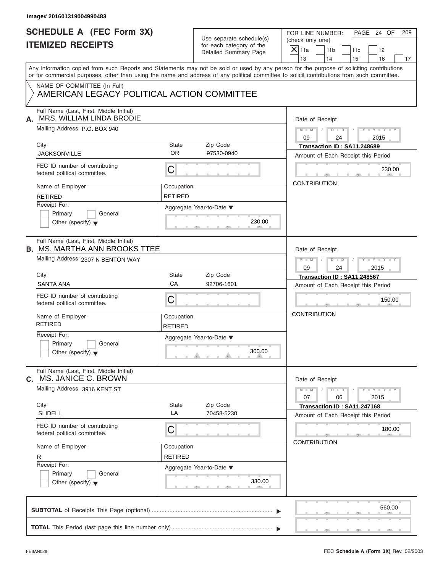| Image# 201601319004990483                                                       |                              |                                                                               |                                                                                                                                                                                                                                                                                         |
|---------------------------------------------------------------------------------|------------------------------|-------------------------------------------------------------------------------|-----------------------------------------------------------------------------------------------------------------------------------------------------------------------------------------------------------------------------------------------------------------------------------------|
| <b>SCHEDULE A (FEC Form 3X)</b><br><b>ITEMIZED RECEIPTS</b>                     |                              | Use separate schedule(s)<br>for each category of the<br>Detailed Summary Page | PAGE 24 OF<br>FOR LINE NUMBER:<br>209<br>(check only one)<br>$\overline{X}$ 11a<br>11 <sub>b</sub><br>12<br>11c<br>13<br>14<br>15<br>16<br>17                                                                                                                                           |
|                                                                                 |                              |                                                                               | Any information copied from such Reports and Statements may not be sold or used by any person for the purpose of soliciting contributions<br>or for commercial purposes, other than using the name and address of any political committee to solicit contributions from such committee. |
| NAME OF COMMITTEE (In Full)<br>AMERICAN LEGACY POLITICAL ACTION COMMITTEE       |                              |                                                                               |                                                                                                                                                                                                                                                                                         |
| Full Name (Last, First, Middle Initial)<br>MRS. WILLIAM LINDA BRODIE<br>А.      |                              |                                                                               | Date of Receipt                                                                                                                                                                                                                                                                         |
| Mailing Address P.O. BOX 940                                                    |                              |                                                                               | $D$ $\Box$ $D$<br>$Y - Y - Y - Y - Y$<br>$M - M$<br>09<br>24<br>2015                                                                                                                                                                                                                    |
| City                                                                            | State                        | Zip Code                                                                      | Transaction ID: SA11.248689                                                                                                                                                                                                                                                             |
| <b>JACKSONVILLE</b>                                                             | <b>OR</b>                    | 97530-0940                                                                    | Amount of Each Receipt this Period                                                                                                                                                                                                                                                      |
| FEC ID number of contributing<br>federal political committee.                   | С                            |                                                                               | 230.00                                                                                                                                                                                                                                                                                  |
| Name of Employer<br><b>RETIRED</b>                                              | Occupation<br><b>RETIRED</b> |                                                                               | <b>CONTRIBUTION</b>                                                                                                                                                                                                                                                                     |
| Receipt For:<br>Primary<br>General<br>Other (specify) $\blacktriangledown$      |                              | Aggregate Year-to-Date ▼<br>230.00                                            |                                                                                                                                                                                                                                                                                         |
| Full Name (Last, First, Middle Initial)<br><b>B. MS. MARTHA ANN BROOKS TTEE</b> |                              |                                                                               | Date of Receipt                                                                                                                                                                                                                                                                         |
| Mailing Address 2307 N BENTON WAY                                               |                              |                                                                               | $D - D$<br>Y T Y T Y T<br>$M - M$<br>09<br>24<br>2015                                                                                                                                                                                                                                   |
| City                                                                            | State                        | Zip Code                                                                      | Transaction ID: SA11.248567                                                                                                                                                                                                                                                             |
| <b>SANTA ANA</b>                                                                | CA                           | 92706-1601                                                                    | Amount of Each Receipt this Period                                                                                                                                                                                                                                                      |
| FEC ID number of contributing<br>federal political committee.                   | С                            |                                                                               | 150.00                                                                                                                                                                                                                                                                                  |
| Name of Employer<br><b>RETIRED</b>                                              | Occupation<br><b>RETIRED</b> |                                                                               | <b>CONTRIBUTION</b>                                                                                                                                                                                                                                                                     |
| Receipt For:<br>Primary<br>General<br>Other (specify) $\blacktriangledown$      |                              | Aggregate Year-to-Date ▼<br>300.00                                            |                                                                                                                                                                                                                                                                                         |
| Full Name (Last, First, Middle Initial)<br>MS. JANICE C. BROWN<br>C.            |                              |                                                                               | Date of Receipt                                                                                                                                                                                                                                                                         |
| Mailing Address 3916 KENT ST                                                    |                              |                                                                               | $Y - Y - Y - Y$<br>$M - M$<br>$D$ $\Box$ $D$<br>07<br>06<br>2015                                                                                                                                                                                                                        |
| City                                                                            | State                        | Zip Code                                                                      | Transaction ID: SA11.247168                                                                                                                                                                                                                                                             |
| <b>SLIDELL</b>                                                                  | LA                           | 70458-5230                                                                    | Amount of Each Receipt this Period                                                                                                                                                                                                                                                      |
| FEC ID number of contributing<br>federal political committee.                   | С                            |                                                                               | 180.00<br><b>CONTRIBUTION</b>                                                                                                                                                                                                                                                           |
| Name of Employer<br>R                                                           | Occupation<br><b>RETIRED</b> |                                                                               |                                                                                                                                                                                                                                                                                         |
| Receipt For:<br>Primary<br>General<br>Other (specify) $\blacktriangledown$      |                              | Aggregate Year-to-Date ▼<br>330.00                                            |                                                                                                                                                                                                                                                                                         |
|                                                                                 |                              |                                                                               | 560.00                                                                                                                                                                                                                                                                                  |
|                                                                                 |                              |                                                                               |                                                                                                                                                                                                                                                                                         |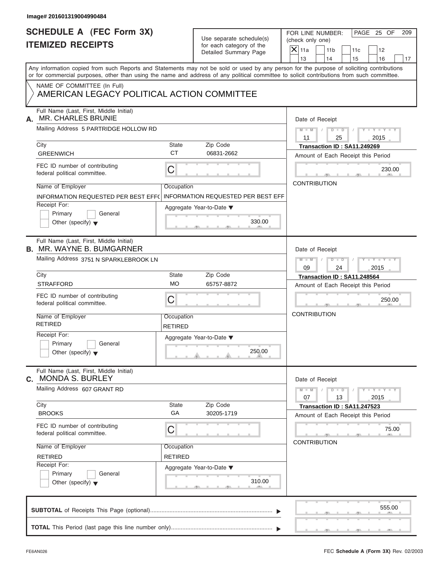| Image# 201601319004990484                                                   |                              |                                                      |                                                                                                                                                                                                                                                                                         |
|-----------------------------------------------------------------------------|------------------------------|------------------------------------------------------|-----------------------------------------------------------------------------------------------------------------------------------------------------------------------------------------------------------------------------------------------------------------------------------------|
| <b>SCHEDULE A (FEC Form 3X)</b><br><b>ITEMIZED RECEIPTS</b>                 |                              | Use separate schedule(s)<br>for each category of the | PAGE 25 OF<br>FOR LINE NUMBER:<br>209<br>(check only one)                                                                                                                                                                                                                               |
|                                                                             |                              | Detailed Summary Page                                | $X$ 11a<br>11 <sub>b</sub><br>11c<br>12<br>13<br>14<br>15<br>16<br>17                                                                                                                                                                                                                   |
|                                                                             |                              |                                                      | Any information copied from such Reports and Statements may not be sold or used by any person for the purpose of soliciting contributions<br>or for commercial purposes, other than using the name and address of any political committee to solicit contributions from such committee. |
| NAME OF COMMITTEE (In Full)<br>AMERICAN LEGACY POLITICAL ACTION COMMITTEE   |                              |                                                      |                                                                                                                                                                                                                                                                                         |
| Full Name (Last, First, Middle Initial)<br><b>MR. CHARLES BRUNIE</b><br>А.  |                              |                                                      | Date of Receipt                                                                                                                                                                                                                                                                         |
| Mailing Address 5 PARTRIDGE HOLLOW RD                                       |                              |                                                      | $M - M$ / $D - D$ /<br>$Y - Y - Y - Y - Y$<br>11<br>2015<br>25                                                                                                                                                                                                                          |
| City<br><b>GREENWICH</b>                                                    | State<br><b>CT</b>           | Zip Code<br>06831-2662                               | Transaction ID: SA11.249269<br>Amount of Each Receipt this Period                                                                                                                                                                                                                       |
| FEC ID number of contributing<br>federal political committee.               | C                            |                                                      | 230.00                                                                                                                                                                                                                                                                                  |
| Name of Employer<br>INFORMATION REQUESTED PER BEST EFF(                     | Occupation                   | <b>INFORMATION REQUESTED PER BEST EFF</b>            | <b>CONTRIBUTION</b>                                                                                                                                                                                                                                                                     |
| Receipt For:<br>Primary<br>General<br>Other (specify) $\bullet$             |                              | Aggregate Year-to-Date ▼<br>330.00                   |                                                                                                                                                                                                                                                                                         |
| Full Name (Last, First, Middle Initial)<br><b>B. MR. WAYNE B. BUMGARNER</b> |                              |                                                      | Date of Receipt                                                                                                                                                                                                                                                                         |
| Mailing Address 3751 N SPARKLEBROOK LN                                      |                              |                                                      | $M - M$<br>$D - D$<br>$Y = Y = Y - Y$<br>$\sqrt{2}$<br>09<br>24<br>2015                                                                                                                                                                                                                 |
| City<br><b>STRAFFORD</b>                                                    | State<br><b>MO</b>           | Zip Code<br>65757-8872                               | Transaction ID: SA11.248564                                                                                                                                                                                                                                                             |
| FEC ID number of contributing<br>federal political committee.               | С                            |                                                      | Amount of Each Receipt this Period<br>250.00                                                                                                                                                                                                                                            |
| Name of Employer<br><b>RETIRED</b>                                          | Occupation<br>RETIRED        |                                                      | <b>CONTRIBUTION</b>                                                                                                                                                                                                                                                                     |
| Receipt For:<br>Primary<br>General<br>Other (specify) $\blacktriangledown$  |                              | Aggregate Year-to-Date ▼<br>250.00                   |                                                                                                                                                                                                                                                                                         |
| Full Name (Last, First, Middle Initial)<br><b>MONDA S. BURLEY</b><br>C.     |                              |                                                      | Date of Receipt                                                                                                                                                                                                                                                                         |
| Mailing Address 607 GRANT RD                                                |                              |                                                      | $Y - Y - Y - Y - Y$<br>$M - M$<br>$D$ $\Box$ $D$<br>07<br>13<br>2015                                                                                                                                                                                                                    |
| City<br><b>BROOKS</b>                                                       | <b>State</b><br>GA           | Zip Code<br>30205-1719                               | Transaction ID: SA11.247523<br>Amount of Each Receipt this Period                                                                                                                                                                                                                       |
| FEC ID number of contributing<br>federal political committee.               | С                            |                                                      | 75.00<br><b>CONTRIBUTION</b>                                                                                                                                                                                                                                                            |
| Name of Employer<br><b>RETIRED</b>                                          | Occupation<br><b>RETIRED</b> |                                                      |                                                                                                                                                                                                                                                                                         |
| Receipt For:<br>Primary<br>General<br>Other (specify) $\blacktriangledown$  |                              | Aggregate Year-to-Date ▼<br>310.00                   |                                                                                                                                                                                                                                                                                         |
|                                                                             |                              |                                                      | 555.00                                                                                                                                                                                                                                                                                  |
|                                                                             |                              |                                                      |                                                                                                                                                                                                                                                                                         |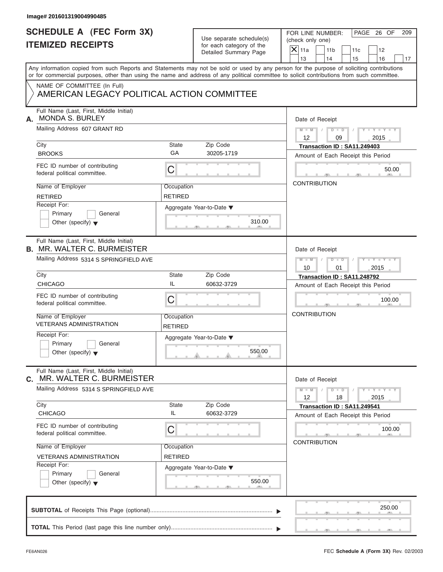| Image# 201601319004990485                                                     |                              |                                                                               |                                                                                                                                                                                                                                                                                         |  |  |  |
|-------------------------------------------------------------------------------|------------------------------|-------------------------------------------------------------------------------|-----------------------------------------------------------------------------------------------------------------------------------------------------------------------------------------------------------------------------------------------------------------------------------------|--|--|--|
| <b>SCHEDULE A (FEC Form 3X)</b><br><b>ITEMIZED RECEIPTS</b>                   |                              | Use separate schedule(s)<br>for each category of the<br>Detailed Summary Page | PAGE 26 OF<br>FOR LINE NUMBER:<br>(check only one)<br>$X$ 11a                                                                                                                                                                                                                           |  |  |  |
|                                                                               |                              |                                                                               | 11 <sub>b</sub><br>11c<br>12<br>13<br>14<br>15<br>16                                                                                                                                                                                                                                    |  |  |  |
|                                                                               |                              |                                                                               | Any information copied from such Reports and Statements may not be sold or used by any person for the purpose of soliciting contributions<br>or for commercial purposes, other than using the name and address of any political committee to solicit contributions from such committee. |  |  |  |
| NAME OF COMMITTEE (In Full)<br>AMERICAN LEGACY POLITICAL ACTION COMMITTEE     |                              |                                                                               |                                                                                                                                                                                                                                                                                         |  |  |  |
| Full Name (Last, First, Middle Initial)<br><b>MONDA S. BURLEY</b><br>А.       |                              |                                                                               | Date of Receipt                                                                                                                                                                                                                                                                         |  |  |  |
| Mailing Address 607 GRANT RD                                                  |                              |                                                                               | $M = M$ /<br>$D$ $D$ $/$<br>$Y - Y - Y - Y - Y$<br>$12 \overline{ }$<br>09<br>2015                                                                                                                                                                                                      |  |  |  |
| City                                                                          | State                        | Zip Code                                                                      | Transaction ID: SA11.249403                                                                                                                                                                                                                                                             |  |  |  |
| <b>BROOKS</b>                                                                 | GA                           | 30205-1719                                                                    | Amount of Each Receipt this Period                                                                                                                                                                                                                                                      |  |  |  |
| FEC ID number of contributing<br>federal political committee.                 | C                            |                                                                               | 50.00                                                                                                                                                                                                                                                                                   |  |  |  |
| Name of Employer                                                              | Occupation                   |                                                                               | <b>CONTRIBUTION</b>                                                                                                                                                                                                                                                                     |  |  |  |
| <b>RETIRED</b>                                                                | <b>RETIRED</b>               |                                                                               |                                                                                                                                                                                                                                                                                         |  |  |  |
| Receipt For:                                                                  |                              | Aggregate Year-to-Date $\blacktriangledown$                                   |                                                                                                                                                                                                                                                                                         |  |  |  |
| Primary<br>General                                                            |                              |                                                                               |                                                                                                                                                                                                                                                                                         |  |  |  |
| Other (specify) $\blacktriangledown$                                          |                              | 310.00                                                                        |                                                                                                                                                                                                                                                                                         |  |  |  |
| Full Name (Last, First, Middle Initial)<br><b>B. MR. WALTER C. BURMEISTER</b> |                              |                                                                               | Date of Receipt                                                                                                                                                                                                                                                                         |  |  |  |
| Mailing Address 5314 S SPRINGFIELD AVE                                        |                              |                                                                               | $M$ $M$<br>$D - D$<br>$Y - Y - Y - Y - Y$                                                                                                                                                                                                                                               |  |  |  |
|                                                                               |                              |                                                                               | 10<br>01<br>2015                                                                                                                                                                                                                                                                        |  |  |  |
| City                                                                          | State                        | Zip Code                                                                      | Transaction ID: SA11.248792                                                                                                                                                                                                                                                             |  |  |  |
| <b>CHICAGO</b>                                                                | IL                           | 60632-3729                                                                    | Amount of Each Receipt this Period                                                                                                                                                                                                                                                      |  |  |  |
| FEC ID number of contributing<br>federal political committee.                 | C                            |                                                                               | 100.00                                                                                                                                                                                                                                                                                  |  |  |  |
| Name of Employer<br><b>VETERANS ADMINISTRATION</b>                            | Occupation<br><b>RETIRED</b> |                                                                               | <b>CONTRIBUTION</b>                                                                                                                                                                                                                                                                     |  |  |  |
| Receipt For:                                                                  |                              | Aggregate Year-to-Date ▼                                                      |                                                                                                                                                                                                                                                                                         |  |  |  |
| Primary<br>General<br>Other (specify) $\blacktriangledown$                    |                              | 550.00                                                                        |                                                                                                                                                                                                                                                                                         |  |  |  |
| Full Name (Last, First, Middle Initial)<br>MR. WALTER C. BURMEISTER<br>С.     |                              |                                                                               | Date of Receipt                                                                                                                                                                                                                                                                         |  |  |  |
| Mailing Address 5314 S SPRINGFIELD AVE                                        |                              |                                                                               | $Y - Y - Y - Y - Y$<br>$M - M$<br>$D$ $\Box$ $D$<br>12<br>18<br>2015                                                                                                                                                                                                                    |  |  |  |
| City                                                                          | State                        | Zip Code                                                                      | Transaction ID: SA11.249541                                                                                                                                                                                                                                                             |  |  |  |
| <b>CHICAGO</b>                                                                | IL                           | 60632-3729                                                                    | Amount of Each Receipt this Period                                                                                                                                                                                                                                                      |  |  |  |
| FEC ID number of contributing<br>federal political committee.                 | С                            |                                                                               | 100.00                                                                                                                                                                                                                                                                                  |  |  |  |
| Name of Employer                                                              | Occupation                   |                                                                               | <b>CONTRIBUTION</b>                                                                                                                                                                                                                                                                     |  |  |  |
| <b>VETERANS ADMINISTRATION</b>                                                | RETIRED                      |                                                                               |                                                                                                                                                                                                                                                                                         |  |  |  |
| Receipt For:                                                                  |                              | Aggregate Year-to-Date ▼                                                      |                                                                                                                                                                                                                                                                                         |  |  |  |
| Primary<br>General<br>Other (specify) $\blacktriangledown$                    |                              | 550.00                                                                        |                                                                                                                                                                                                                                                                                         |  |  |  |
|                                                                               |                              |                                                                               | 250.00                                                                                                                                                                                                                                                                                  |  |  |  |
|                                                                               |                              |                                                                               |                                                                                                                                                                                                                                                                                         |  |  |  |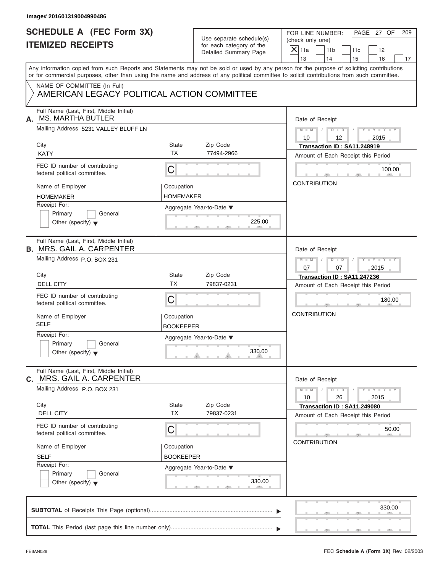| Image# 201601319004990486                                                   |                                |                                                                               |                                                                                                                                                                                                                                                                                         |
|-----------------------------------------------------------------------------|--------------------------------|-------------------------------------------------------------------------------|-----------------------------------------------------------------------------------------------------------------------------------------------------------------------------------------------------------------------------------------------------------------------------------------|
| <b>SCHEDULE A (FEC Form 3X)</b><br><b>ITEMIZED RECEIPTS</b>                 |                                | Use separate schedule(s)<br>for each category of the<br>Detailed Summary Page | PAGE 27 OF<br>FOR LINE NUMBER:<br>209<br>(check only one)<br>$X$ 11a<br>11 <sub>b</sub><br>11c<br>12<br>13<br>14<br>15<br>16<br>17                                                                                                                                                      |
|                                                                             |                                |                                                                               | Any information copied from such Reports and Statements may not be sold or used by any person for the purpose of soliciting contributions<br>or for commercial purposes, other than using the name and address of any political committee to solicit contributions from such committee. |
| NAME OF COMMITTEE (In Full)<br>AMERICAN LEGACY POLITICAL ACTION COMMITTEE   |                                |                                                                               |                                                                                                                                                                                                                                                                                         |
| Full Name (Last, First, Middle Initial)<br><b>MS. MARTHA BUTLER</b><br>А.   |                                |                                                                               | Date of Receipt                                                                                                                                                                                                                                                                         |
| Mailing Address 5231 VALLEY BLUFF LN                                        |                                |                                                                               | $M = M$ / $D = D$ /<br>$Y - Y - Y - Y - Y$<br>10<br>12<br>2015                                                                                                                                                                                                                          |
| City<br><b>KATY</b>                                                         | State<br><b>TX</b>             | Zip Code<br>77494-2966                                                        | Transaction ID: SA11.248919<br>Amount of Each Receipt this Period                                                                                                                                                                                                                       |
| FEC ID number of contributing<br>federal political committee.               | C                              |                                                                               | 100.00                                                                                                                                                                                                                                                                                  |
| Name of Employer<br><b>HOMEMAKER</b>                                        | Occupation<br><b>HOMEMAKER</b> |                                                                               | <b>CONTRIBUTION</b>                                                                                                                                                                                                                                                                     |
| Receipt For:<br>Primary<br>General<br>Other (specify) $\blacktriangledown$  |                                | Aggregate Year-to-Date ▼<br>225.00                                            |                                                                                                                                                                                                                                                                                         |
| Full Name (Last, First, Middle Initial)<br><b>B. MRS. GAIL A. CARPENTER</b> |                                |                                                                               | Date of Receipt                                                                                                                                                                                                                                                                         |
| Mailing Address P.O. BOX 231                                                |                                |                                                                               | Y TY TY TY<br>$M = M - 1$<br>$D - D$<br>$\Box$<br>07<br>07<br>2015                                                                                                                                                                                                                      |
| City<br><b>DELL CITY</b>                                                    | State<br><b>TX</b>             | Zip Code<br>79837-0231                                                        | Transaction ID: SA11.247236<br>Amount of Each Receipt this Period                                                                                                                                                                                                                       |
| FEC ID number of contributing<br>federal political committee.               | C                              |                                                                               | 180.00                                                                                                                                                                                                                                                                                  |
| Name of Employer<br><b>SELF</b>                                             | Occupation<br><b>BOOKEEPER</b> |                                                                               | <b>CONTRIBUTION</b>                                                                                                                                                                                                                                                                     |
| Receipt For:<br>Primary<br>General<br>Other (specify) $\blacktriangledown$  |                                | Aggregate Year-to-Date ▼<br>330.00                                            |                                                                                                                                                                                                                                                                                         |
| Full Name (Last, First, Middle Initial)<br>MRS. GAIL A. CARPENTER<br>C.     |                                |                                                                               | Date of Receipt                                                                                                                                                                                                                                                                         |
| Mailing Address P.O. BOX 231                                                |                                |                                                                               | $Y - Y - Y - Y - Y$<br>$M - M$<br>$D$ $\Box$ $D$<br>26<br>10<br>2015                                                                                                                                                                                                                    |
| City<br><b>DELL CITY</b>                                                    | <b>State</b><br><b>TX</b>      | Zip Code<br>79837-0231                                                        | Transaction ID: SA11.249080<br>Amount of Each Receipt this Period                                                                                                                                                                                                                       |
| FEC ID number of contributing<br>federal political committee.               | С                              |                                                                               | 50.00<br><b>CONTRIBUTION</b>                                                                                                                                                                                                                                                            |
| Name of Employer<br><b>SELF</b>                                             | Occupation<br>BOOKEEPER        |                                                                               |                                                                                                                                                                                                                                                                                         |
| Receipt For:<br>Primary<br>General<br>Other (specify) $\blacktriangledown$  |                                | Aggregate Year-to-Date ▼<br>330.00                                            |                                                                                                                                                                                                                                                                                         |
|                                                                             |                                |                                                                               |                                                                                                                                                                                                                                                                                         |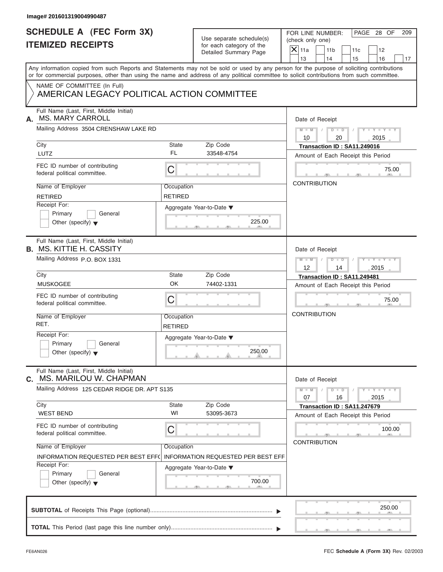| Image# 201601319004990487                                                  |                              |                                                      |                                                                                                                                                                                                                                                                                         |
|----------------------------------------------------------------------------|------------------------------|------------------------------------------------------|-----------------------------------------------------------------------------------------------------------------------------------------------------------------------------------------------------------------------------------------------------------------------------------------|
| <b>SCHEDULE A (FEC Form 3X)</b><br><b>ITEMIZED RECEIPTS</b>                |                              | Use separate schedule(s)<br>for each category of the | PAGE 28 OF<br>FOR LINE NUMBER:<br>209<br>(check only one)                                                                                                                                                                                                                               |
|                                                                            |                              | Detailed Summary Page                                | $\mathsf{X}$ 11a<br>11 <sub>b</sub><br>11c<br>12<br>13<br>14<br>15<br>16<br>17                                                                                                                                                                                                          |
|                                                                            |                              |                                                      | Any information copied from such Reports and Statements may not be sold or used by any person for the purpose of soliciting contributions<br>or for commercial purposes, other than using the name and address of any political committee to solicit contributions from such committee. |
| NAME OF COMMITTEE (In Full)<br>AMERICAN LEGACY POLITICAL ACTION COMMITTEE  |                              |                                                      |                                                                                                                                                                                                                                                                                         |
| Full Name (Last, First, Middle Initial)<br><b>MS. MARY CARROLL</b><br>А.   |                              |                                                      | Date of Receipt                                                                                                                                                                                                                                                                         |
| Mailing Address 3504 CRENSHAW LAKE RD                                      |                              |                                                      | $D$ $\Box$ $D$<br>$Y - Y - Y - Y - Y$<br>$M - M$ /<br>10<br>20<br>2015                                                                                                                                                                                                                  |
| City                                                                       | State                        | Zip Code                                             | Transaction ID: SA11.249016                                                                                                                                                                                                                                                             |
| LUTZ                                                                       | FL                           | 33548-4754                                           | Amount of Each Receipt this Period                                                                                                                                                                                                                                                      |
| FEC ID number of contributing<br>federal political committee.              | C                            |                                                      | 75.00                                                                                                                                                                                                                                                                                   |
| Name of Employer                                                           | Occupation                   |                                                      | <b>CONTRIBUTION</b>                                                                                                                                                                                                                                                                     |
| <b>RETIRED</b>                                                             | <b>RETIRED</b>               |                                                      |                                                                                                                                                                                                                                                                                         |
| Receipt For:                                                               |                              | Aggregate Year-to-Date ▼                             |                                                                                                                                                                                                                                                                                         |
| Primary<br>General                                                         |                              |                                                      |                                                                                                                                                                                                                                                                                         |
| Other (specify) $\blacktriangledown$                                       |                              | 225.00                                               |                                                                                                                                                                                                                                                                                         |
| Full Name (Last, First, Middle Initial)<br><b>B. MS. KITTIE H. CASSITY</b> |                              |                                                      | Date of Receipt                                                                                                                                                                                                                                                                         |
| Mailing Address P.O. BOX 1331                                              |                              |                                                      | $M - M$<br>$D - I - D$<br>Y T Y T Y T                                                                                                                                                                                                                                                   |
|                                                                            |                              |                                                      | 12<br>14<br>2015                                                                                                                                                                                                                                                                        |
| City                                                                       | State                        | Zip Code                                             | Transaction ID: SA11.249481                                                                                                                                                                                                                                                             |
| <b>MUSKOGEE</b>                                                            | OK                           | 74402-1331                                           | Amount of Each Receipt this Period                                                                                                                                                                                                                                                      |
| FEC ID number of contributing<br>federal political committee.              | C                            |                                                      | 75.00                                                                                                                                                                                                                                                                                   |
| Name of Employer<br>RET.                                                   | Occupation<br><b>RETIRED</b> |                                                      | <b>CONTRIBUTION</b>                                                                                                                                                                                                                                                                     |
| Receipt For:                                                               |                              | Aggregate Year-to-Date ▼                             |                                                                                                                                                                                                                                                                                         |
| Primary<br>General<br>Other (specify) $\blacktriangledown$                 |                              | 250.00                                               |                                                                                                                                                                                                                                                                                         |
| Full Name (Last, First, Middle Initial)<br>MS. MARILOU W. CHAPMAN<br>С.    |                              |                                                      | Date of Receipt                                                                                                                                                                                                                                                                         |
| Mailing Address 125 CEDAR RIDGE DR. APT S135                               |                              |                                                      | $Y - Y - Y - Y - I$<br>$M - M$<br>$D - D$<br>07<br>16<br>2015                                                                                                                                                                                                                           |
| City                                                                       | State<br>WI                  | Zip Code                                             | Transaction ID: SA11.247679                                                                                                                                                                                                                                                             |
| <b>WEST BEND</b>                                                           |                              | 53095-3673                                           | Amount of Each Receipt this Period                                                                                                                                                                                                                                                      |
| FEC ID number of contributing<br>federal political committee.              | С                            |                                                      | 100.00                                                                                                                                                                                                                                                                                  |
| Name of Employer                                                           | Occupation                   |                                                      | <b>CONTRIBUTION</b>                                                                                                                                                                                                                                                                     |
| INFORMATION REQUESTED PER BEST EFF(                                        |                              | <b>INFORMATION REQUESTED PER BEST EFF</b>            |                                                                                                                                                                                                                                                                                         |
| Receipt For:                                                               |                              | Aggregate Year-to-Date ▼                             |                                                                                                                                                                                                                                                                                         |
| Primary<br>General<br>Other (specify) $\blacktriangledown$                 |                              | 700.00                                               |                                                                                                                                                                                                                                                                                         |
|                                                                            |                              |                                                      | 250.00                                                                                                                                                                                                                                                                                  |
|                                                                            |                              |                                                      |                                                                                                                                                                                                                                                                                         |
|                                                                            |                              |                                                      |                                                                                                                                                                                                                                                                                         |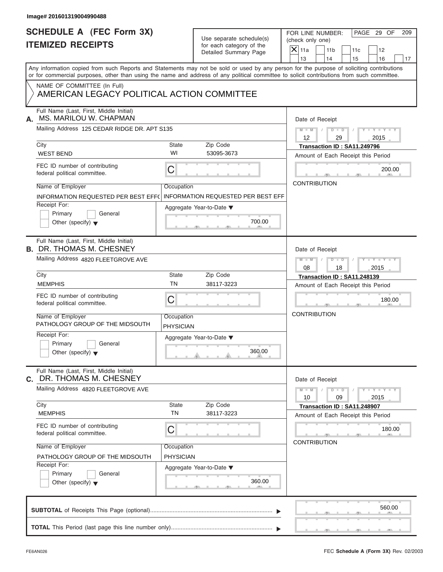| Image# 201601319004990488                                                                                                                  |                                |                                                      |                                                                                                                                           |
|--------------------------------------------------------------------------------------------------------------------------------------------|--------------------------------|------------------------------------------------------|-------------------------------------------------------------------------------------------------------------------------------------------|
| <b>SCHEDULE A (FEC Form 3X)</b><br><b>ITEMIZED RECEIPTS</b>                                                                                |                                | Use separate schedule(s)<br>for each category of the | PAGE 29 OF<br>FOR LINE NUMBER:<br>209<br>(check only one)<br>$X$ 11a<br>11 <sub>b</sub><br>11c<br>12                                      |
|                                                                                                                                            |                                | Detailed Summary Page                                | 13<br>14<br>15<br>16<br>17                                                                                                                |
| or for commercial purposes, other than using the name and address of any political committee to solicit contributions from such committee. |                                |                                                      | Any information copied from such Reports and Statements may not be sold or used by any person for the purpose of soliciting contributions |
| NAME OF COMMITTEE (In Full)<br>AMERICAN LEGACY POLITICAL ACTION COMMITTEE                                                                  |                                |                                                      |                                                                                                                                           |
| Full Name (Last, First, Middle Initial)<br>MS. MARILOU W. CHAPMAN<br>А.                                                                    |                                |                                                      | Date of Receipt                                                                                                                           |
| Mailing Address 125 CEDAR RIDGE DR. APT S135                                                                                               |                                |                                                      | $D$ $\Box$ $D$<br>$Y - Y - Y - Y - Y$<br>$M - M$ /<br>$\sqrt{ }$<br>$12 \overline{ }$<br>2015<br>29                                       |
| City<br><b>WEST BEND</b>                                                                                                                   | State<br>WI                    | Zip Code<br>53095-3673                               | Transaction ID: SA11.249796<br>Amount of Each Receipt this Period                                                                         |
| FEC ID number of contributing<br>federal political committee.                                                                              | С                              |                                                      | 200.00                                                                                                                                    |
| Name of Employer<br><b>INFORMATION REQUESTED PER BEST EFF(</b>                                                                             | Occupation                     | <b>INFORMATION REQUESTED PER BEST EFF</b>            | <b>CONTRIBUTION</b>                                                                                                                       |
| Receipt For:<br>Primary<br>General<br>Other (specify) $\bullet$                                                                            |                                | Aggregate Year-to-Date ▼<br>700.00                   |                                                                                                                                           |
| Full Name (Last, First, Middle Initial)<br><b>B. DR. THOMAS M. CHESNEY</b>                                                                 |                                |                                                      | Date of Receipt                                                                                                                           |
| Mailing Address 4820 FLEETGROVE AVE                                                                                                        |                                |                                                      | $M - M$<br>$D - I - D$<br>$Y = Y = Y' - Y'$<br>$\sqrt{ }$<br>08<br>18<br>2015                                                             |
| City                                                                                                                                       | State                          | Zip Code                                             | Transaction ID: SA11.248139                                                                                                               |
| <b>MEMPHIS</b>                                                                                                                             | <b>TN</b>                      | 38117-3223                                           | Amount of Each Receipt this Period                                                                                                        |
| FEC ID number of contributing<br>federal political committee.                                                                              | C                              |                                                      | 180.00                                                                                                                                    |
| Name of Employer<br>PATHOLOGY GROUP OF THE MIDSOUTH                                                                                        | Occupation<br><b>PHYSICIAN</b> |                                                      | <b>CONTRIBUTION</b>                                                                                                                       |
| Receipt For:<br>Primary<br>General<br>Other (specify) $\blacktriangledown$                                                                 |                                | Aggregate Year-to-Date ▼<br>360.00                   |                                                                                                                                           |
| Full Name (Last, First, Middle Initial)<br>C. DR. THOMAS M. CHESNEY                                                                        |                                |                                                      | Date of Receipt                                                                                                                           |
| Mailing Address 4820 FLEETGROVE AVE                                                                                                        |                                |                                                      | $M - M$<br>$D$ $\Box$ $D$<br>$Y - Y - Y - Y - I$<br>10<br>09<br>2015                                                                      |
| City<br><b>MEMPHIS</b>                                                                                                                     | <b>State</b><br><b>TN</b>      | Zip Code<br>38117-3223                               | Transaction ID: SA11.248907<br>Amount of Each Receipt this Period                                                                         |
| FEC ID number of contributing<br>federal political committee.                                                                              | С                              |                                                      | 180.00                                                                                                                                    |
| Name of Employer<br>PATHOLOGY GROUP OF THE MIDSOUTH                                                                                        | Occupation<br>PHYSICIAN        |                                                      | <b>CONTRIBUTION</b>                                                                                                                       |
| Receipt For:<br>Primary<br>General<br>Other (specify) $\blacktriangledown$                                                                 |                                | Aggregate Year-to-Date ▼<br>360.00                   |                                                                                                                                           |
|                                                                                                                                            |                                |                                                      | 560.00                                                                                                                                    |
|                                                                                                                                            |                                |                                                      |                                                                                                                                           |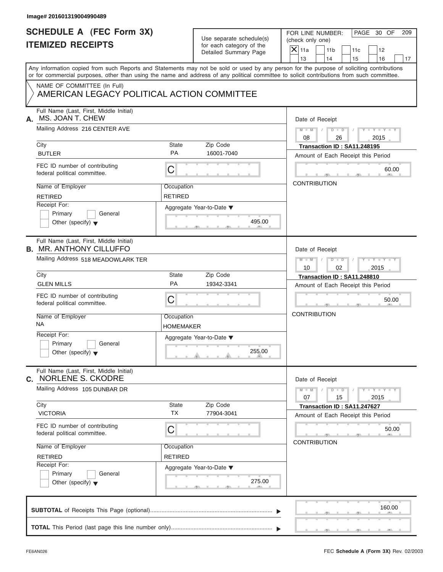| <b>ITEMIZED RECEIPTS</b><br>Any information copied from such Reports and Statements may not be sold or used by any person for the purpose of soliciting contributions<br>or for commercial purposes, other than using the name and address of any political committee to solicit contributions from such committee.<br>NAME OF COMMITTEE (In Full)<br>AMERICAN LEGACY POLITICAL ACTION COMMITTEE<br>Full Name (Last, First, Middle Initial)<br>MS. JOAN T. CHEW<br>Mailing Address 216 CENTER AVE<br>City<br><b>BUTLER</b><br>FEC ID number of contributing<br>federal political committee.<br>Name of Employer | State<br>Zip Code<br><b>PA</b><br>C<br>Occupation<br><b>RETIRED</b> | for each category of the<br>Detailed Summary Page<br>16001-7040 | $\overline{X}$ 11a<br>11 <sub>b</sub><br>11c<br>12<br>13<br>14<br>15<br>16<br>Date of Receipt<br>$D$ $D$<br>$Y - Y - Y - Y - Y$<br>$M - M$ /<br>$\sqrt{ }$<br>08<br>26<br>2015<br>Transaction ID: SA11.248195<br>Amount of Each Receipt this Period<br>60.00 |
|-----------------------------------------------------------------------------------------------------------------------------------------------------------------------------------------------------------------------------------------------------------------------------------------------------------------------------------------------------------------------------------------------------------------------------------------------------------------------------------------------------------------------------------------------------------------------------------------------------------------|---------------------------------------------------------------------|-----------------------------------------------------------------|--------------------------------------------------------------------------------------------------------------------------------------------------------------------------------------------------------------------------------------------------------------|
|                                                                                                                                                                                                                                                                                                                                                                                                                                                                                                                                                                                                                 |                                                                     |                                                                 |                                                                                                                                                                                                                                                              |
|                                                                                                                                                                                                                                                                                                                                                                                                                                                                                                                                                                                                                 |                                                                     |                                                                 |                                                                                                                                                                                                                                                              |
|                                                                                                                                                                                                                                                                                                                                                                                                                                                                                                                                                                                                                 |                                                                     |                                                                 |                                                                                                                                                                                                                                                              |
|                                                                                                                                                                                                                                                                                                                                                                                                                                                                                                                                                                                                                 |                                                                     |                                                                 |                                                                                                                                                                                                                                                              |
|                                                                                                                                                                                                                                                                                                                                                                                                                                                                                                                                                                                                                 |                                                                     |                                                                 |                                                                                                                                                                                                                                                              |
|                                                                                                                                                                                                                                                                                                                                                                                                                                                                                                                                                                                                                 |                                                                     |                                                                 |                                                                                                                                                                                                                                                              |
|                                                                                                                                                                                                                                                                                                                                                                                                                                                                                                                                                                                                                 |                                                                     |                                                                 |                                                                                                                                                                                                                                                              |
| <b>RETIRED</b>                                                                                                                                                                                                                                                                                                                                                                                                                                                                                                                                                                                                  |                                                                     |                                                                 | <b>CONTRIBUTION</b>                                                                                                                                                                                                                                          |
| Receipt For:<br>Primary<br>General<br>Other (specify) $\blacktriangledown$                                                                                                                                                                                                                                                                                                                                                                                                                                                                                                                                      | Aggregate Year-to-Date ▼                                            | 495.00                                                          |                                                                                                                                                                                                                                                              |
| Full Name (Last, First, Middle Initial)<br><b>B. MR. ANTHONY CILLUFFO</b>                                                                                                                                                                                                                                                                                                                                                                                                                                                                                                                                       |                                                                     |                                                                 | Date of Receipt                                                                                                                                                                                                                                              |
| Mailing Address 518 MEADOWLARK TER                                                                                                                                                                                                                                                                                                                                                                                                                                                                                                                                                                              |                                                                     |                                                                 | $M - M$<br>$D - I - D$<br>$Y - Y - Y - Y - Y$<br>10<br>02<br>2015                                                                                                                                                                                            |
| City<br><b>GLEN MILLS</b>                                                                                                                                                                                                                                                                                                                                                                                                                                                                                                                                                                                       | State<br>Zip Code<br>PA                                             | 19342-3341                                                      | Transaction ID: SA11.248810<br>Amount of Each Receipt this Period                                                                                                                                                                                            |
| FEC ID number of contributing<br>federal political committee.                                                                                                                                                                                                                                                                                                                                                                                                                                                                                                                                                   | C                                                                   |                                                                 | 50.00                                                                                                                                                                                                                                                        |
| Name of Employer<br><b>NA</b>                                                                                                                                                                                                                                                                                                                                                                                                                                                                                                                                                                                   | Occupation<br>HOMEMAKER                                             |                                                                 | <b>CONTRIBUTION</b>                                                                                                                                                                                                                                          |
| Receipt For:<br>Primary<br>General<br>Other (specify) $\blacktriangledown$                                                                                                                                                                                                                                                                                                                                                                                                                                                                                                                                      | Aggregate Year-to-Date ▼                                            | 255.00                                                          |                                                                                                                                                                                                                                                              |
| Full Name (Last, First, Middle Initial)<br>C. NORLENE S. CKODRE                                                                                                                                                                                                                                                                                                                                                                                                                                                                                                                                                 |                                                                     |                                                                 | Date of Receipt                                                                                                                                                                                                                                              |
| Mailing Address 105 DUNBAR DR                                                                                                                                                                                                                                                                                                                                                                                                                                                                                                                                                                                   |                                                                     |                                                                 | $Y - Y - Y - Y - Y$<br>$M - M$<br>$D$ $\Box$ $D$<br>07<br>15<br>2015                                                                                                                                                                                         |
| City<br><b>VICTORIA</b>                                                                                                                                                                                                                                                                                                                                                                                                                                                                                                                                                                                         | Zip Code<br>State<br><b>TX</b>                                      | 77904-3041                                                      | Transaction ID: SA11.247627<br>Amount of Each Receipt this Period                                                                                                                                                                                            |
| FEC ID number of contributing<br>federal political committee.                                                                                                                                                                                                                                                                                                                                                                                                                                                                                                                                                   | С                                                                   |                                                                 | 50.00<br><b>CONTRIBUTION</b>                                                                                                                                                                                                                                 |
| Name of Employer<br><b>RETIRED</b>                                                                                                                                                                                                                                                                                                                                                                                                                                                                                                                                                                              | Occupation<br><b>RETIRED</b>                                        |                                                                 |                                                                                                                                                                                                                                                              |
| Receipt For:<br>Primary<br>General<br>Other (specify) $\blacktriangledown$                                                                                                                                                                                                                                                                                                                                                                                                                                                                                                                                      | Aggregate Year-to-Date ▼                                            | 275.00                                                          |                                                                                                                                                                                                                                                              |
|                                                                                                                                                                                                                                                                                                                                                                                                                                                                                                                                                                                                                 |                                                                     |                                                                 | 160.00                                                                                                                                                                                                                                                       |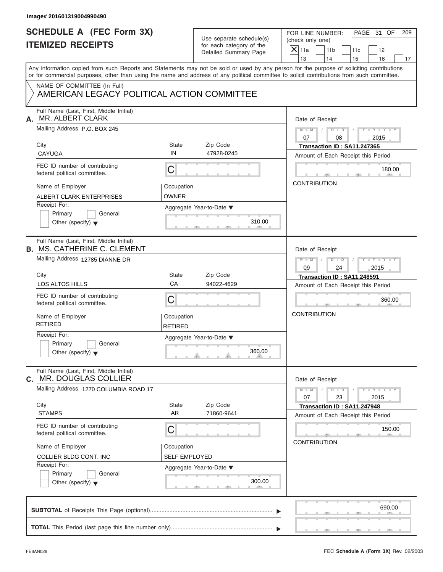| Use separate schedule(s) |
|--------------------------|
| for each category of the |
| Detailed Summary Page    |

| Image# 201601319004990490                                                     |                      |                                                                               |                                                                                                                                                                         |
|-------------------------------------------------------------------------------|----------------------|-------------------------------------------------------------------------------|-------------------------------------------------------------------------------------------------------------------------------------------------------------------------|
| <b>SCHEDULE A (FEC Form 3X)</b><br><b>ITEMIZED RECEIPTS</b>                   |                      | Use separate schedule(s)<br>for each category of the<br>Detailed Summary Page | PAGE 31 OF<br>FOR LINE NUMBER:<br>209<br>(check only one)<br>$\overline{X}$ 11a<br>11 <sub>b</sub><br>11c<br>12                                                         |
|                                                                               |                      |                                                                               | 13<br>14<br>15<br>16<br>17<br>Any information copied from such Reports and Statements may not be sold or used by any person for the purpose of soliciting contributions |
|                                                                               |                      |                                                                               | or for commercial purposes, other than using the name and address of any political committee to solicit contributions from such committee.                              |
| NAME OF COMMITTEE (In Full)<br>AMERICAN LEGACY POLITICAL ACTION COMMITTEE     |                      |                                                                               |                                                                                                                                                                         |
| Full Name (Last, First, Middle Initial)<br>MR. ALBERT CLARK<br>А.             |                      |                                                                               | Date of Receipt                                                                                                                                                         |
| Mailing Address P.O. BOX 245                                                  |                      |                                                                               | $M = M$ / $D = D$ /<br>$Y = Y = Y + Y$<br>07<br>08<br>2015                                                                                                              |
| City                                                                          | State<br>IN          | Zip Code                                                                      | Transaction ID: SA11.247365                                                                                                                                             |
| CAYUGA                                                                        |                      | 47928-0245                                                                    | Amount of Each Receipt this Period                                                                                                                                      |
| FEC ID number of contributing<br>federal political committee.                 | С                    |                                                                               | 180.00                                                                                                                                                                  |
| Name of Employer                                                              | Occupation           |                                                                               | <b>CONTRIBUTION</b>                                                                                                                                                     |
| <b>ALBERT CLARK ENTERPRISES</b>                                               | <b>OWNER</b>         |                                                                               |                                                                                                                                                                         |
| Receipt For:                                                                  |                      | Aggregate Year-to-Date ▼                                                      |                                                                                                                                                                         |
| Primary<br>General                                                            |                      | 310.00                                                                        |                                                                                                                                                                         |
| Other (specify) $\blacktriangledown$                                          |                      |                                                                               |                                                                                                                                                                         |
| Full Name (Last, First, Middle Initial)<br><b>B. MS. CATHERINE C. CLEMENT</b> |                      |                                                                               | Date of Receipt                                                                                                                                                         |
| Mailing Address 12785 DIANNE DR                                               |                      |                                                                               | $\begin{array}{ccccccccc}\nD & - & D & - & \end{array}$<br>$Y = Y = Y' = Y'$<br>$M$ $M$ $/$                                                                             |
|                                                                               |                      |                                                                               | 09<br>2015<br>24                                                                                                                                                        |
| City                                                                          | State                | Zip Code                                                                      | Transaction ID: SA11.248591                                                                                                                                             |
| LOS ALTOS HILLS                                                               | CA                   | 94022-4629                                                                    | Amount of Each Receipt this Period                                                                                                                                      |
| FEC ID number of contributing<br>federal political committee.                 | С                    |                                                                               | 360.00                                                                                                                                                                  |
| Name of Employer                                                              | Occupation           |                                                                               | <b>CONTRIBUTION</b>                                                                                                                                                     |
| <b>RETIRED</b>                                                                | <b>RETIRED</b>       |                                                                               |                                                                                                                                                                         |
| Receipt For:                                                                  |                      | Aggregate Year-to-Date ▼                                                      |                                                                                                                                                                         |
| Primary<br>General<br>Other (specify) $\blacktriangledown$                    |                      | 360.00                                                                        |                                                                                                                                                                         |
| Full Name (Last, First, Middle Initial)<br>MR. DOUGLAS COLLIER<br>C.          |                      |                                                                               | Date of Receipt                                                                                                                                                         |
| Mailing Address 1270 COLUMBIA ROAD 17                                         |                      |                                                                               | $Y - Y - Y - Y - Y$<br>$M - M$<br>$D$ $\Box$ $D$<br>23<br>07<br>2015                                                                                                    |
| City                                                                          | State                | Zip Code                                                                      | Transaction ID: SA11.247948                                                                                                                                             |
| <b>STAMPS</b>                                                                 | AR                   | 71860-9641                                                                    | Amount of Each Receipt this Period                                                                                                                                      |
| FEC ID number of contributing<br>federal political committee.                 | С                    |                                                                               | 150.00                                                                                                                                                                  |
| Name of Employer                                                              | Occupation           |                                                                               | <b>CONTRIBUTION</b>                                                                                                                                                     |
| COLLIER BLDG CONT. INC                                                        | <b>SELF EMPLOYED</b> |                                                                               |                                                                                                                                                                         |
| Receipt For:                                                                  |                      | Aggregate Year-to-Date ▼                                                      |                                                                                                                                                                         |
| Primary<br>General<br>Other (specify) $\blacktriangledown$                    |                      | 300.00                                                                        |                                                                                                                                                                         |
|                                                                               |                      |                                                                               | 690.00                                                                                                                                                                  |
|                                                                               |                      |                                                                               |                                                                                                                                                                         |
|                                                                               |                      |                                                                               |                                                                                                                                                                         |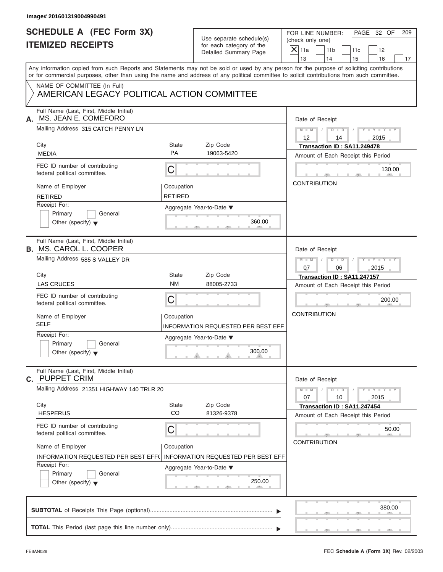| Image# 201601319004990491                                                                                                                                                                                                                                                               |                |                                                                               |                                |                                                           |                                    |                             |    |  |
|-----------------------------------------------------------------------------------------------------------------------------------------------------------------------------------------------------------------------------------------------------------------------------------------|----------------|-------------------------------------------------------------------------------|--------------------------------|-----------------------------------------------------------|------------------------------------|-----------------------------|----|--|
| <b>SCHEDULE A (FEC Form 3X)</b><br><b>ITEMIZED RECEIPTS</b>                                                                                                                                                                                                                             |                | Use separate schedule(s)<br>for each category of the<br>Detailed Summary Page |                                | PAGE 32 OF<br>FOR LINE NUMBER:<br>209<br>(check only one) |                                    |                             |    |  |
|                                                                                                                                                                                                                                                                                         |                |                                                                               | $X$ 11a<br>13                  | 11 <sub>b</sub><br>14                                     | 11c<br>15                          | 12<br>16                    | 17 |  |
| Any information copied from such Reports and Statements may not be sold or used by any person for the purpose of soliciting contributions<br>or for commercial purposes, other than using the name and address of any political committee to solicit contributions from such committee. |                |                                                                               |                                |                                                           |                                    |                             |    |  |
| NAME OF COMMITTEE (In Full)<br>AMERICAN LEGACY POLITICAL ACTION COMMITTEE                                                                                                                                                                                                               |                |                                                                               |                                |                                                           |                                    |                             |    |  |
| Full Name (Last, First, Middle Initial)<br>MS. JEAN E. COMEFORO<br>А.                                                                                                                                                                                                                   |                |                                                                               | Date of Receipt                |                                                           |                                    |                             |    |  |
| Mailing Address 315 CATCH PENNY LN                                                                                                                                                                                                                                                      |                |                                                                               | $M = M$ /<br>$12 \overline{ }$ | $D$ $D$<br>14                                             | $\sqrt{ }$                         | $Y - Y - Y - Y - Y$<br>2015 |    |  |
| City                                                                                                                                                                                                                                                                                    | State          | Zip Code                                                                      |                                |                                                           | Transaction ID: SA11.249478        |                             |    |  |
| <b>MEDIA</b>                                                                                                                                                                                                                                                                            | PA             | 19063-5420                                                                    |                                |                                                           | Amount of Each Receipt this Period |                             |    |  |
| FEC ID number of contributing<br>federal political committee.                                                                                                                                                                                                                           | C              |                                                                               |                                |                                                           |                                    | 130.00                      |    |  |
| Name of Employer                                                                                                                                                                                                                                                                        | Occupation     |                                                                               | <b>CONTRIBUTION</b>            |                                                           |                                    |                             |    |  |
| <b>RETIRED</b>                                                                                                                                                                                                                                                                          | <b>RETIRED</b> |                                                                               |                                |                                                           |                                    |                             |    |  |
| Receipt For:                                                                                                                                                                                                                                                                            |                | Aggregate Year-to-Date ▼                                                      |                                |                                                           |                                    |                             |    |  |
| Primary<br>General                                                                                                                                                                                                                                                                      |                |                                                                               |                                |                                                           |                                    |                             |    |  |
| Other (specify) $\bullet$                                                                                                                                                                                                                                                               |                | 360.00                                                                        |                                |                                                           |                                    |                             |    |  |
| Full Name (Last, First, Middle Initial)<br><b>B. MS. CAROL L. COOPER</b>                                                                                                                                                                                                                |                |                                                                               | Date of Receipt                |                                                           |                                    |                             |    |  |
| Mailing Address 585 S VALLEY DR                                                                                                                                                                                                                                                         |                |                                                                               | $M$ $M$<br>07                  | $D - D$<br>06                                             |                                    | Y T Y T Y T<br>2015         |    |  |
| City                                                                                                                                                                                                                                                                                    | State          | Zip Code                                                                      |                                |                                                           | Transaction ID: SA11.247157        |                             |    |  |
| <b>LAS CRUCES</b>                                                                                                                                                                                                                                                                       | <b>NM</b>      | 88005-2733                                                                    |                                |                                                           | Amount of Each Receipt this Period |                             |    |  |
| FEC ID number of contributing<br>federal political committee.                                                                                                                                                                                                                           | C              |                                                                               |                                |                                                           |                                    | 200.00                      |    |  |
| Name of Employer                                                                                                                                                                                                                                                                        | Occupation     |                                                                               | <b>CONTRIBUTION</b>            |                                                           |                                    |                             |    |  |
| <b>SELF</b>                                                                                                                                                                                                                                                                             |                | INFORMATION REQUESTED PER BEST EFF                                            |                                |                                                           |                                    |                             |    |  |
| Receipt For:                                                                                                                                                                                                                                                                            |                |                                                                               |                                |                                                           |                                    |                             |    |  |
| Primary<br>General                                                                                                                                                                                                                                                                      |                | Aggregate Year-to-Date ▼                                                      |                                |                                                           |                                    |                             |    |  |
| Other (specify) $\blacktriangledown$                                                                                                                                                                                                                                                    |                | 300.00                                                                        |                                |                                                           |                                    |                             |    |  |
| Full Name (Last, First, Middle Initial)<br><b>C. PUPPET CRIM</b>                                                                                                                                                                                                                        |                |                                                                               | Date of Receipt                |                                                           |                                    |                             |    |  |
| Mailing Address 21351 HIGHWAY 140 TRLR 20                                                                                                                                                                                                                                               |                |                                                                               | $M - M$<br>07                  | $D$ $\Box$ $D$<br>10                                      |                                    | $Y = Y = Y + Y$<br>2015     |    |  |
| City                                                                                                                                                                                                                                                                                    | State          | Zip Code                                                                      |                                |                                                           | Transaction ID: SA11.247454        |                             |    |  |
| <b>HESPERUS</b>                                                                                                                                                                                                                                                                         | CO             | 81326-9378                                                                    |                                |                                                           | Amount of Each Receipt this Period |                             |    |  |
| FEC ID number of contributing<br>federal political committee.                                                                                                                                                                                                                           | С              |                                                                               |                                |                                                           |                                    | 50.00                       |    |  |
| Name of Employer                                                                                                                                                                                                                                                                        | Occupation     |                                                                               | <b>CONTRIBUTION</b>            |                                                           |                                    |                             |    |  |
| INFORMATION REQUESTED PER BEST EFF(                                                                                                                                                                                                                                                     |                | <b>INFORMATION REQUESTED PER BEST EFF</b>                                     |                                |                                                           |                                    |                             |    |  |
| Receipt For:                                                                                                                                                                                                                                                                            |                | Aggregate Year-to-Date ▼                                                      |                                |                                                           |                                    |                             |    |  |
| Primary<br>General                                                                                                                                                                                                                                                                      |                |                                                                               |                                |                                                           |                                    |                             |    |  |
| Other (specify) $\blacktriangledown$                                                                                                                                                                                                                                                    |                | 250.00                                                                        |                                |                                                           |                                    |                             |    |  |
|                                                                                                                                                                                                                                                                                         |                |                                                                               |                                |                                                           |                                    | 380.00                      |    |  |
|                                                                                                                                                                                                                                                                                         |                |                                                                               |                                |                                                           |                                    |                             |    |  |
|                                                                                                                                                                                                                                                                                         |                |                                                                               |                                |                                                           |                                    |                             |    |  |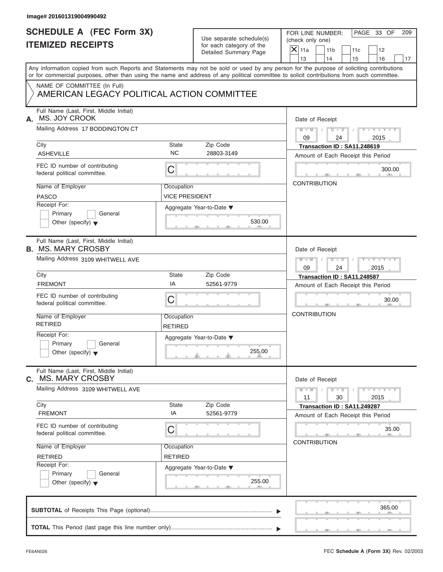| Use separate schedule(s) |
|--------------------------|
| for each category of the |
| Detailed Summary Page    |

| PAGE 33 OF<br>FOR LINE NUMBER:<br>209<br>(check only one)                                                                                                                                                                                                                               |
|-----------------------------------------------------------------------------------------------------------------------------------------------------------------------------------------------------------------------------------------------------------------------------------------|
| 11 <sub>b</sub><br>11c<br>12<br>14<br>15<br>16                                                                                                                                                                                                                                          |
| Any information copied from such Reports and Statements may not be sold or used by any person for the purpose of soliciting contributions<br>or for commercial purposes, other than using the name and address of any political committee to solicit contributions from such committee. |
|                                                                                                                                                                                                                                                                                         |
| Date of Receipt                                                                                                                                                                                                                                                                         |
| $M = M$ / $D = D$ /<br>$Y - Y - Y - Y - Y$<br>24<br>2015                                                                                                                                                                                                                                |
| Transaction ID: SA11.248619<br>Amount of Each Receipt this Period                                                                                                                                                                                                                       |
| 300.00                                                                                                                                                                                                                                                                                  |
| <b>CONTRIBUTION</b>                                                                                                                                                                                                                                                                     |
|                                                                                                                                                                                                                                                                                         |
| Date of Receipt                                                                                                                                                                                                                                                                         |
| Y TY TY TY<br>$M - M$<br>$\begin{array}{c c c c c c} \hline \multicolumn{3}{ c }{\textbf{D} \textbf{I} \textbf{I} \textbf{D} \textbf{I}} & \textbf{1} \end{array}$<br>$\sqrt{2}$<br>24<br>2015                                                                                          |
| Transaction ID: SA11.248587                                                                                                                                                                                                                                                             |
| Amount of Each Receipt this Period                                                                                                                                                                                                                                                      |
| 30.00                                                                                                                                                                                                                                                                                   |
| <b>CONTRIBUTION</b>                                                                                                                                                                                                                                                                     |
|                                                                                                                                                                                                                                                                                         |
| Date of Receipt                                                                                                                                                                                                                                                                         |
| $Y - Y - Y - Y - Y$<br>$M - M$<br>$D$ $\Box$ $D$<br>30<br>2015                                                                                                                                                                                                                          |
| Transaction ID: SA11.249287<br>Amount of Each Receipt this Period                                                                                                                                                                                                                       |
| 35.00<br><b>CONTRIBUTION</b>                                                                                                                                                                                                                                                            |
|                                                                                                                                                                                                                                                                                         |
|                                                                                                                                                                                                                                                                                         |
|                                                                                                                                                                                                                                                                                         |
| 365.00                                                                                                                                                                                                                                                                                  |
|                                                                                                                                                                                                                                                                                         |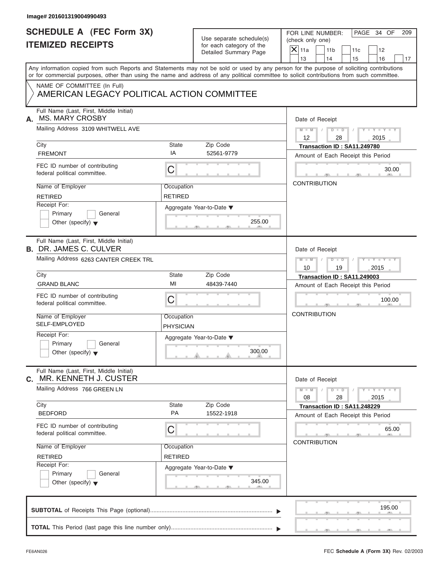| Image# 201601319004990493                                                 |                  |                                                                               |                                                                                                                                                                                                                                                                                         |
|---------------------------------------------------------------------------|------------------|-------------------------------------------------------------------------------|-----------------------------------------------------------------------------------------------------------------------------------------------------------------------------------------------------------------------------------------------------------------------------------------|
| <b>SCHEDULE A (FEC Form 3X)</b><br><b>ITEMIZED RECEIPTS</b>               |                  | Use separate schedule(s)<br>for each category of the<br>Detailed Summary Page | PAGE 34 OF<br>FOR LINE NUMBER:<br>209<br>(check only one)<br>$\mathsf{X}$ 11a<br>11 <sub>b</sub><br>11c<br>12                                                                                                                                                                           |
|                                                                           |                  |                                                                               | 13<br>14<br>15<br>16<br>17                                                                                                                                                                                                                                                              |
|                                                                           |                  |                                                                               | Any information copied from such Reports and Statements may not be sold or used by any person for the purpose of soliciting contributions<br>or for commercial purposes, other than using the name and address of any political committee to solicit contributions from such committee. |
| NAME OF COMMITTEE (In Full)<br>AMERICAN LEGACY POLITICAL ACTION COMMITTEE |                  |                                                                               |                                                                                                                                                                                                                                                                                         |
| Full Name (Last, First, Middle Initial)<br><b>MS. MARY CROSBY</b><br>А.   |                  |                                                                               | Date of Receipt                                                                                                                                                                                                                                                                         |
| Mailing Address 3109 WHITWELL AVE                                         |                  |                                                                               | $D - D$<br>$M - M$<br>$Y - Y - Y - Y - Y$<br>12<br>28<br>2015                                                                                                                                                                                                                           |
| City                                                                      | State            | Zip Code                                                                      | Transaction ID: SA11.249780                                                                                                                                                                                                                                                             |
| <b>FREMONT</b>                                                            | IA               | 52561-9779                                                                    | Amount of Each Receipt this Period                                                                                                                                                                                                                                                      |
| FEC ID number of contributing<br>federal political committee.             | C                |                                                                               | 30.00                                                                                                                                                                                                                                                                                   |
| Name of Employer                                                          | Occupation       |                                                                               | <b>CONTRIBUTION</b>                                                                                                                                                                                                                                                                     |
| <b>RETIRED</b>                                                            | <b>RETIRED</b>   |                                                                               |                                                                                                                                                                                                                                                                                         |
| Receipt For:                                                              |                  | Aggregate Year-to-Date ▼                                                      |                                                                                                                                                                                                                                                                                         |
| Primary<br>General                                                        |                  |                                                                               |                                                                                                                                                                                                                                                                                         |
| Other (specify) $\blacktriangledown$                                      |                  | 255.00                                                                        |                                                                                                                                                                                                                                                                                         |
| Full Name (Last, First, Middle Initial)<br><b>B. DR. JAMES C. CULVER</b>  |                  |                                                                               | Date of Receipt                                                                                                                                                                                                                                                                         |
| Mailing Address 6263 CANTER CREEK TRL                                     |                  |                                                                               | $M - M$<br>$D - D$<br>$Y - Y - Y - Y - Y$                                                                                                                                                                                                                                               |
|                                                                           |                  |                                                                               | 2015<br>10<br>19                                                                                                                                                                                                                                                                        |
| City                                                                      | State            | Zip Code                                                                      | Transaction ID: SA11.249003                                                                                                                                                                                                                                                             |
| <b>GRAND BLANC</b>                                                        | MI               | 48439-7440                                                                    | Amount of Each Receipt this Period                                                                                                                                                                                                                                                      |
| FEC ID number of contributing<br>federal political committee.             | C                |                                                                               | 100.00                                                                                                                                                                                                                                                                                  |
| Name of Employer                                                          | Occupation       |                                                                               | <b>CONTRIBUTION</b>                                                                                                                                                                                                                                                                     |
| SELF-EMPLOYED                                                             | <b>PHYSICIAN</b> |                                                                               |                                                                                                                                                                                                                                                                                         |
| Receipt For:                                                              |                  | Aggregate Year-to-Date ▼                                                      |                                                                                                                                                                                                                                                                                         |
| Primary<br>General<br>Other (specify) $\blacktriangledown$                |                  | 300.00                                                                        |                                                                                                                                                                                                                                                                                         |
| Full Name (Last, First, Middle Initial)<br>MR. KENNETH J. CUSTER<br>С.    |                  |                                                                               | Date of Receipt                                                                                                                                                                                                                                                                         |
| Mailing Address 766 GREEN LN                                              |                  |                                                                               | $M - M$<br>$D$ $\Box$ $D$<br>$\mathbf{I} = \mathbf{Y} + \mathbf{I} - \mathbf{Y}$<br>2015<br>08<br>28                                                                                                                                                                                    |
| City                                                                      | <b>State</b>     | Zip Code                                                                      | Transaction ID: SA11.248229                                                                                                                                                                                                                                                             |
| <b>BEDFORD</b>                                                            | PA               | 15522-1918                                                                    | Amount of Each Receipt this Period                                                                                                                                                                                                                                                      |
| FEC ID number of contributing<br>federal political committee.             | С                |                                                                               | 65.00                                                                                                                                                                                                                                                                                   |
| Name of Employer                                                          | Occupation       |                                                                               | <b>CONTRIBUTION</b>                                                                                                                                                                                                                                                                     |
| <b>RETIRED</b>                                                            | <b>RETIRED</b>   |                                                                               |                                                                                                                                                                                                                                                                                         |
| Receipt For:                                                              |                  | Aggregate Year-to-Date ▼                                                      |                                                                                                                                                                                                                                                                                         |
| Primary<br>General<br>Other (specify) $\blacktriangledown$                |                  | 345.00                                                                        |                                                                                                                                                                                                                                                                                         |
|                                                                           |                  |                                                                               | 195.00                                                                                                                                                                                                                                                                                  |
|                                                                           |                  |                                                                               |                                                                                                                                                                                                                                                                                         |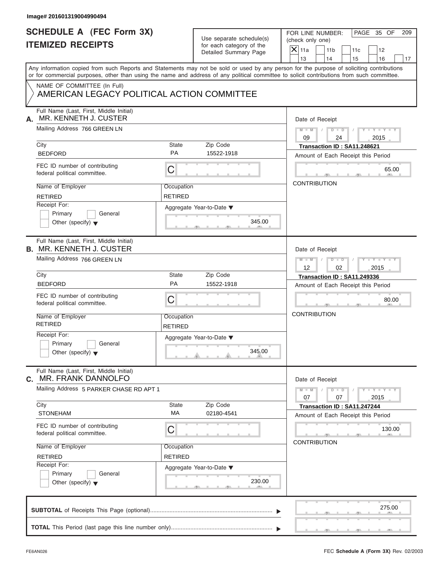| Image# 201601319004990494                                                  |                              |                                                      |                                                                                                                                                                                                                                                                                         |
|----------------------------------------------------------------------------|------------------------------|------------------------------------------------------|-----------------------------------------------------------------------------------------------------------------------------------------------------------------------------------------------------------------------------------------------------------------------------------------|
| <b>SCHEDULE A (FEC Form 3X)</b><br><b>ITEMIZED RECEIPTS</b>                |                              | Use separate schedule(s)<br>for each category of the | PAGE 35 OF<br>FOR LINE NUMBER:<br>209<br>(check only one)                                                                                                                                                                                                                               |
|                                                                            |                              | Detailed Summary Page                                | $X$ 11a<br>11 <sub>b</sub><br>11c<br>12<br>13<br>14<br>15<br>16<br>17                                                                                                                                                                                                                   |
|                                                                            |                              |                                                      | Any information copied from such Reports and Statements may not be sold or used by any person for the purpose of soliciting contributions<br>or for commercial purposes, other than using the name and address of any political committee to solicit contributions from such committee. |
| NAME OF COMMITTEE (In Full)<br>AMERICAN LEGACY POLITICAL ACTION COMMITTEE  |                              |                                                      |                                                                                                                                                                                                                                                                                         |
| Full Name (Last, First, Middle Initial)<br>MR. KENNETH J. CUSTER<br>А.     | Date of Receipt              |                                                      |                                                                                                                                                                                                                                                                                         |
| Mailing Address 766 GREEN LN                                               |                              |                                                      | $M = M$ /<br>$D$ $D$<br>$Y - Y - Y - Y - Y$<br>$\sqrt{ }$<br>09<br>24<br>2015                                                                                                                                                                                                           |
| City                                                                       | State                        | Zip Code                                             | Transaction ID: SA11.248621                                                                                                                                                                                                                                                             |
| <b>BEDFORD</b>                                                             | <b>PA</b>                    | 15522-1918                                           | Amount of Each Receipt this Period                                                                                                                                                                                                                                                      |
| FEC ID number of contributing<br>federal political committee.              | C                            |                                                      | 65.00                                                                                                                                                                                                                                                                                   |
| Name of Employer                                                           | Occupation                   |                                                      | <b>CONTRIBUTION</b>                                                                                                                                                                                                                                                                     |
| <b>RETIRED</b>                                                             | <b>RETIRED</b>               |                                                      |                                                                                                                                                                                                                                                                                         |
| Receipt For:                                                               |                              | Aggregate Year-to-Date ▼                             |                                                                                                                                                                                                                                                                                         |
| Primary<br>General<br>Other (specify) $\bullet$                            |                              | 345.00                                               |                                                                                                                                                                                                                                                                                         |
| Full Name (Last, First, Middle Initial)                                    |                              |                                                      |                                                                                                                                                                                                                                                                                         |
| <b>B. MR. KENNETH J. CUSTER</b>                                            |                              |                                                      | Date of Receipt                                                                                                                                                                                                                                                                         |
| Mailing Address 766 GREEN LN                                               |                              |                                                      | Y T Y T Y T<br>$M$ $M$ $/$<br>$D - D$<br>12<br>02<br>2015                                                                                                                                                                                                                               |
| City                                                                       | State                        | Zip Code                                             | Transaction ID: SA11.249336                                                                                                                                                                                                                                                             |
| <b>BEDFORD</b>                                                             | PA                           | 15522-1918                                           | Amount of Each Receipt this Period                                                                                                                                                                                                                                                      |
| FEC ID number of contributing<br>federal political committee.              | C                            |                                                      | 80.00                                                                                                                                                                                                                                                                                   |
| Name of Employer<br><b>RETIRED</b>                                         | Occupation<br><b>RETIRED</b> |                                                      | <b>CONTRIBUTION</b>                                                                                                                                                                                                                                                                     |
| Receipt For:                                                               |                              | Aggregate Year-to-Date ▼                             |                                                                                                                                                                                                                                                                                         |
| Primary<br>General<br>Other (specify) $\blacktriangledown$                 |                              | 345.00                                               |                                                                                                                                                                                                                                                                                         |
| Full Name (Last, First, Middle Initial)<br><b>MR. FRANK DANNOLFO</b><br>С. |                              |                                                      | Date of Receipt                                                                                                                                                                                                                                                                         |
| Mailing Address 5 PARKER CHASE RD APT 1                                    |                              |                                                      | $Y = Y = Y + Y$<br>$M - M$<br>$D$ $\Box$ $D$<br>07<br>07<br>2015                                                                                                                                                                                                                        |
| City                                                                       | State                        | Zip Code                                             | Transaction ID: SA11.247244                                                                                                                                                                                                                                                             |
| <b>STONEHAM</b>                                                            | MA                           | 02180-4541                                           | Amount of Each Receipt this Period                                                                                                                                                                                                                                                      |
| FEC ID number of contributing<br>federal political committee.              | С                            |                                                      | 130.00                                                                                                                                                                                                                                                                                  |
| Name of Employer                                                           | Occupation                   |                                                      | <b>CONTRIBUTION</b>                                                                                                                                                                                                                                                                     |
| <b>RETIRED</b>                                                             | RETIRED                      |                                                      |                                                                                                                                                                                                                                                                                         |
| Receipt For:                                                               |                              | Aggregate Year-to-Date ▼                             |                                                                                                                                                                                                                                                                                         |
| Primary<br>General<br>Other (specify) $\blacktriangledown$                 |                              | 230.00                                               |                                                                                                                                                                                                                                                                                         |
|                                                                            |                              |                                                      | 275.00                                                                                                                                                                                                                                                                                  |
|                                                                            |                              |                                                      |                                                                                                                                                                                                                                                                                         |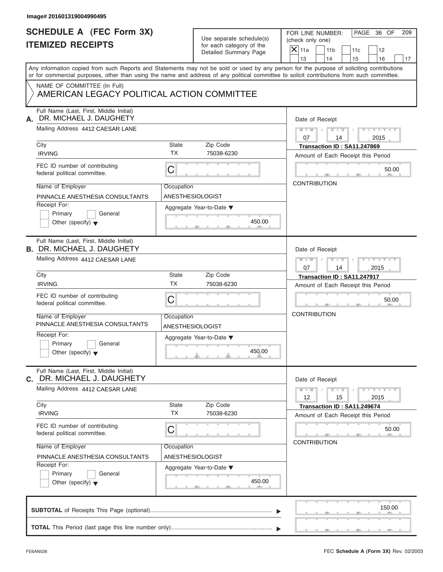| Image# 201601319004990495                                                    |                                                      |                                                                                                                                                                                                                                                                                         |
|------------------------------------------------------------------------------|------------------------------------------------------|-----------------------------------------------------------------------------------------------------------------------------------------------------------------------------------------------------------------------------------------------------------------------------------------|
| <b>SCHEDULE A (FEC Form 3X)</b><br><b>ITEMIZED RECEIPTS</b>                  | Use separate schedule(s)<br>for each category of the | PAGE 36 OF<br>FOR LINE NUMBER:<br>209<br>(check only one)                                                                                                                                                                                                                               |
|                                                                              | Detailed Summary Page                                | $X$ 11a<br>11 <sub>b</sub><br>11c<br>12<br>13<br>14<br>15<br>16<br>17                                                                                                                                                                                                                   |
|                                                                              |                                                      | Any information copied from such Reports and Statements may not be sold or used by any person for the purpose of soliciting contributions<br>or for commercial purposes, other than using the name and address of any political committee to solicit contributions from such committee. |
| NAME OF COMMITTEE (In Full)<br>AMERICAN LEGACY POLITICAL ACTION COMMITTEE    |                                                      |                                                                                                                                                                                                                                                                                         |
| Full Name (Last, First, Middle Initial)<br>DR. MICHAEL J. DAUGHETY<br>А.     | Date of Receipt                                      |                                                                                                                                                                                                                                                                                         |
| Mailing Address 4412 CAESAR LANE                                             |                                                      | $D$ $D$<br>$Y - Y - Y - Y - Y$<br>$M - M$<br>$\sqrt{ }$<br>07<br>14<br>2015                                                                                                                                                                                                             |
| City<br><b>IRVING</b>                                                        | State<br>Zip Code<br><b>TX</b><br>75038-6230         | Transaction ID: SA11.247869<br>Amount of Each Receipt this Period                                                                                                                                                                                                                       |
| FEC ID number of contributing<br>federal political committee.                | C                                                    | 50.00                                                                                                                                                                                                                                                                                   |
| Name of Employer<br>PINNACLE ANESTHESIA CONSULTANTS                          | Occupation<br>ANESTHESIOLOGIST                       | <b>CONTRIBUTION</b>                                                                                                                                                                                                                                                                     |
| Receipt For:<br>Primary<br>General<br>Other (specify) $\blacktriangledown$   | Aggregate Year-to-Date $\blacktriangledown$          | 450.00                                                                                                                                                                                                                                                                                  |
| Full Name (Last, First, Middle Initial)<br><b>B. DR. MICHAEL J. DAUGHETY</b> | Date of Receipt                                      |                                                                                                                                                                                                                                                                                         |
| Mailing Address 4412 CAESAR LANE                                             |                                                      | $M$ $M$<br>$D - D$<br>$Y - Y - Y - Y - Y$<br>07<br>14<br>2015                                                                                                                                                                                                                           |
| City                                                                         | State<br>Zip Code<br><b>TX</b>                       | Transaction ID: SA11.247917                                                                                                                                                                                                                                                             |
| <b>IRVING</b>                                                                | 75038-6230                                           | Amount of Each Receipt this Period                                                                                                                                                                                                                                                      |
| FEC ID number of contributing<br>federal political committee.                | C                                                    | 50.00                                                                                                                                                                                                                                                                                   |
| Name of Employer<br>PINNACLE ANESTHESIA CONSULTANTS                          | Occupation<br>ANESTHESIOLOGIST                       | <b>CONTRIBUTION</b>                                                                                                                                                                                                                                                                     |
| Receipt For:<br>Primary<br>General<br>Other (specify) $\blacktriangledown$   | Aggregate Year-to-Date ▼                             | 450.00                                                                                                                                                                                                                                                                                  |
| Full Name (Last, First, Middle Initial)<br>C. DR. MICHAEL J. DAUGHETY        |                                                      | Date of Receipt                                                                                                                                                                                                                                                                         |
| Mailing Address 4412 CAESAR LANE                                             |                                                      | $Y - Y - Y - Y - Y$<br>$M - M$<br>$D$ $\Box$ $D$<br>12<br>15<br>2015                                                                                                                                                                                                                    |
| City<br><b>IRVING</b>                                                        | State<br>Zip Code<br><b>TX</b><br>75038-6230         | Transaction ID: SA11.249674<br>Amount of Each Receipt this Period                                                                                                                                                                                                                       |
| FEC ID number of contributing<br>federal political committee.                | С                                                    | 50.00                                                                                                                                                                                                                                                                                   |
| Name of Employer<br>PINNACLE ANESTHESIA CONSULTANTS                          | Occupation<br>ANESTHESIOLOGIST                       | <b>CONTRIBUTION</b>                                                                                                                                                                                                                                                                     |
| Receipt For:<br>Primary<br>General<br>Other (specify) $\blacktriangledown$   | Aggregate Year-to-Date ▼                             | 450.00                                                                                                                                                                                                                                                                                  |
|                                                                              |                                                      | 150.00                                                                                                                                                                                                                                                                                  |
|                                                                              |                                                      |                                                                                                                                                                                                                                                                                         |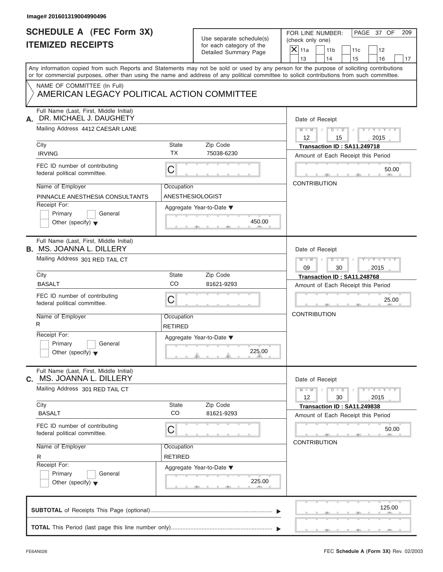| Image# 201601319004990496                                                                                                                                                                                                                                                               |                                |                                                                               |                                                                                                                                    |
|-----------------------------------------------------------------------------------------------------------------------------------------------------------------------------------------------------------------------------------------------------------------------------------------|--------------------------------|-------------------------------------------------------------------------------|------------------------------------------------------------------------------------------------------------------------------------|
| <b>SCHEDULE A (FEC Form 3X)</b><br><b>ITEMIZED RECEIPTS</b>                                                                                                                                                                                                                             |                                | Use separate schedule(s)<br>for each category of the<br>Detailed Summary Page | PAGE 37 OF<br>FOR LINE NUMBER:<br>209<br>(check only one)<br>$X$ 11a<br>11 <sub>b</sub><br>11c<br>12<br>13<br>14<br>15<br>16<br>17 |
| Any information copied from such Reports and Statements may not be sold or used by any person for the purpose of soliciting contributions<br>or for commercial purposes, other than using the name and address of any political committee to solicit contributions from such committee. |                                |                                                                               |                                                                                                                                    |
| NAME OF COMMITTEE (In Full)<br>AMERICAN LEGACY POLITICAL ACTION COMMITTEE                                                                                                                                                                                                               |                                |                                                                               |                                                                                                                                    |
| Full Name (Last, First, Middle Initial)<br>DR. MICHAEL J. DAUGHETY<br>А.                                                                                                                                                                                                                |                                |                                                                               | Date of Receipt                                                                                                                    |
| Mailing Address 4412 CAESAR LANE                                                                                                                                                                                                                                                        |                                |                                                                               | $M - M$ / $D - D$ /<br>$Y - Y - Y - Y - Y$<br>$12 \overline{ }$<br>2015<br>15                                                      |
| City<br><b>IRVING</b>                                                                                                                                                                                                                                                                   | State<br><b>TX</b>             | Zip Code<br>75038-6230                                                        | Transaction ID: SA11.249718<br>Amount of Each Receipt this Period                                                                  |
| FEC ID number of contributing<br>federal political committee.                                                                                                                                                                                                                           | C                              |                                                                               | 50.00                                                                                                                              |
| Name of Employer<br>PINNACLE ANESTHESIA CONSULTANTS                                                                                                                                                                                                                                     | Occupation<br>ANESTHESIOLOGIST |                                                                               | <b>CONTRIBUTION</b>                                                                                                                |
| Receipt For:<br>Primary<br>General<br>Other (specify) $\blacktriangledown$                                                                                                                                                                                                              |                                | Aggregate Year-to-Date ▼<br>450.00                                            |                                                                                                                                    |
| Full Name (Last, First, Middle Initial)<br><b>B. MS. JOANNA L. DILLERY</b>                                                                                                                                                                                                              |                                |                                                                               | Date of Receipt                                                                                                                    |
| Mailing Address 301 RED TAIL CT                                                                                                                                                                                                                                                         |                                |                                                                               | $M = M - 1$<br>$D - D$<br>$Y = Y = Y' - Y'$<br>$\Box$<br>09<br>30<br>2015                                                          |
| City<br><b>BASALT</b>                                                                                                                                                                                                                                                                   | State<br>CO                    | Zip Code<br>81621-9293                                                        | Transaction ID: SA11.248768                                                                                                        |
| FEC ID number of contributing<br>federal political committee.                                                                                                                                                                                                                           | C                              |                                                                               | Amount of Each Receipt this Period<br>25.00                                                                                        |
| Name of Employer<br>R                                                                                                                                                                                                                                                                   | Occupation<br><b>RETIRED</b>   |                                                                               | <b>CONTRIBUTION</b>                                                                                                                |
| Receipt For:<br>Primary<br>General<br>Other (specify) $\blacktriangledown$                                                                                                                                                                                                              |                                | Aggregate Year-to-Date ▼<br>225.00                                            |                                                                                                                                    |
| Full Name (Last, First, Middle Initial)<br>MS. JOANNA L. DILLERY<br>C.                                                                                                                                                                                                                  |                                |                                                                               | Date of Receipt                                                                                                                    |
| Mailing Address 301 RED TAIL CT                                                                                                                                                                                                                                                         |                                |                                                                               | $Y - Y - Y - Y - Y$<br>$M - M$<br>$D$ $\Box$ $D$<br>30<br>12<br>2015                                                               |
| City<br><b>BASALT</b>                                                                                                                                                                                                                                                                   | <b>State</b><br>CO             | Zip Code<br>81621-9293                                                        | Transaction ID: SA11.249838<br>Amount of Each Receipt this Period                                                                  |
| FEC ID number of contributing<br>federal political committee.                                                                                                                                                                                                                           | С                              |                                                                               | 50.00<br><b>CONTRIBUTION</b>                                                                                                       |
| Name of Employer<br>R                                                                                                                                                                                                                                                                   | Occupation<br><b>RETIRED</b>   |                                                                               |                                                                                                                                    |
| Receipt For:<br>Primary<br>General<br>Other (specify) $\blacktriangledown$                                                                                                                                                                                                              |                                | Aggregate Year-to-Date ▼<br>225.00                                            |                                                                                                                                    |
|                                                                                                                                                                                                                                                                                         |                                |                                                                               | 125.00                                                                                                                             |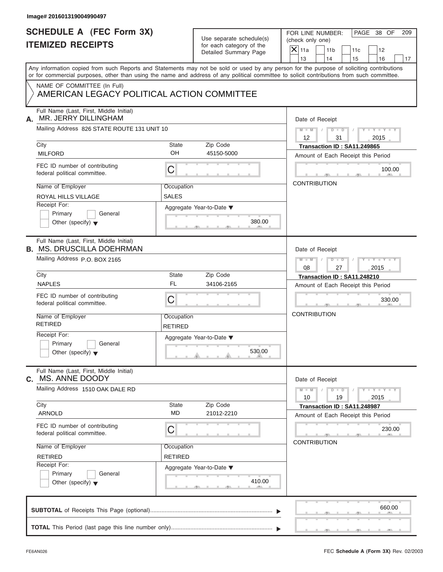| Image# 201601319004990497                                                                                                                                                                                                                                                               |                              |                                                      |                                      |                       |                                                                   |                             |     |
|-----------------------------------------------------------------------------------------------------------------------------------------------------------------------------------------------------------------------------------------------------------------------------------------|------------------------------|------------------------------------------------------|--------------------------------------|-----------------------|-------------------------------------------------------------------|-----------------------------|-----|
| <b>SCHEDULE A (FEC Form 3X)</b><br><b>ITEMIZED RECEIPTS</b>                                                                                                                                                                                                                             |                              | Use separate schedule(s)<br>for each category of the | FOR LINE NUMBER:<br>(check only one) |                       |                                                                   | PAGE 38 OF                  | 209 |
|                                                                                                                                                                                                                                                                                         |                              | Detailed Summary Page                                | $X$ 11a<br>13                        | 11 <sub>b</sub><br>14 | 11c<br>15                                                         | 12<br>16                    | 17  |
| Any information copied from such Reports and Statements may not be sold or used by any person for the purpose of soliciting contributions<br>or for commercial purposes, other than using the name and address of any political committee to solicit contributions from such committee. |                              |                                                      |                                      |                       |                                                                   |                             |     |
| NAME OF COMMITTEE (In Full)<br>AMERICAN LEGACY POLITICAL ACTION COMMITTEE                                                                                                                                                                                                               |                              |                                                      |                                      |                       |                                                                   |                             |     |
| Full Name (Last, First, Middle Initial)<br>MR. JERRY DILLINGHAM<br>А.                                                                                                                                                                                                                   |                              |                                                      |                                      | Date of Receipt       |                                                                   |                             |     |
| Mailing Address 826 STATE ROUTE 131 UNIT 10                                                                                                                                                                                                                                             |                              |                                                      | $12 \overline{ }$                    | $M = M - 1$<br>31     | $D$ $D$ $/$                                                       | $Y - Y - Y - Y - Y$<br>2015 |     |
| City<br><b>MILFORD</b>                                                                                                                                                                                                                                                                  | State<br>OH                  | Zip Code<br>45150-5000                               |                                      |                       | Transaction ID: SA11.249865<br>Amount of Each Receipt this Period |                             |     |
| FEC ID number of contributing<br>federal political committee.                                                                                                                                                                                                                           | C                            |                                                      |                                      |                       |                                                                   | 100.00                      |     |
| Name of Employer<br>ROYAL HILLS VILLAGE                                                                                                                                                                                                                                                 | Occupation<br>SALES          |                                                      |                                      | <b>CONTRIBUTION</b>   |                                                                   |                             |     |
| Receipt For:<br>Primary<br>General<br>Other (specify) $\blacktriangledown$                                                                                                                                                                                                              |                              | Aggregate Year-to-Date ▼<br>380.00                   |                                      |                       |                                                                   |                             |     |
| Full Name (Last, First, Middle Initial)<br><b>B. MS. DRUSCILLA DOEHRMAN</b>                                                                                                                                                                                                             |                              |                                                      |                                      | Date of Receipt       |                                                                   |                             |     |
| Mailing Address P.O. BOX 2165                                                                                                                                                                                                                                                           |                              |                                                      | $M$ $M$<br>08                        | $D - D$<br>27         |                                                                   | Y T Y T Y T<br>2015         |     |
| City                                                                                                                                                                                                                                                                                    | State                        | Zip Code                                             |                                      |                       | Transaction ID: SA11.248210                                       |                             |     |
| <b>NAPLES</b>                                                                                                                                                                                                                                                                           | <b>FL</b>                    | 34106-2165                                           |                                      |                       | Amount of Each Receipt this Period                                |                             |     |
| FEC ID number of contributing<br>federal political committee.                                                                                                                                                                                                                           | C                            |                                                      |                                      |                       |                                                                   | 330.00                      |     |
| Name of Employer<br><b>RETIRED</b>                                                                                                                                                                                                                                                      | Occupation<br><b>RETIRED</b> |                                                      | <b>CONTRIBUTION</b>                  |                       |                                                                   |                             |     |
| Receipt For:<br>Primary<br>General<br>Other (specify) $\blacktriangledown$                                                                                                                                                                                                              |                              | Aggregate Year-to-Date ▼<br>530.00                   |                                      |                       |                                                                   |                             |     |
| Full Name (Last, First, Middle Initial)<br>MS. ANNE DOODY<br>C.                                                                                                                                                                                                                         |                              |                                                      |                                      | Date of Receipt       |                                                                   |                             |     |
| Mailing Address 1510 OAK DALE RD                                                                                                                                                                                                                                                        |                              |                                                      | $M - M$<br>10                        | $D$ $\Box$ $D$<br>19  |                                                                   | $Y - Y - Y - Y - Y$<br>2015 |     |
| City<br><b>ARNOLD</b>                                                                                                                                                                                                                                                                   | State<br><b>MD</b>           | Zip Code<br>21012-2210                               |                                      |                       | Transaction ID: SA11.248987<br>Amount of Each Receipt this Period |                             |     |
| FEC ID number of contributing<br>federal political committee.                                                                                                                                                                                                                           | С                            |                                                      |                                      |                       |                                                                   | 230.00                      |     |
| Name of Employer<br><b>RETIRED</b>                                                                                                                                                                                                                                                      | Occupation<br>RETIRED        |                                                      |                                      | <b>CONTRIBUTION</b>   |                                                                   |                             |     |
| Receipt For:<br>Primary<br>General<br>Other (specify) $\blacktriangledown$                                                                                                                                                                                                              |                              | Aggregate Year-to-Date ▼<br>410.00                   |                                      |                       |                                                                   |                             |     |
|                                                                                                                                                                                                                                                                                         |                              |                                                      |                                      |                       |                                                                   | 660.00                      |     |
|                                                                                                                                                                                                                                                                                         |                              |                                                      |                                      |                       |                                                                   |                             |     |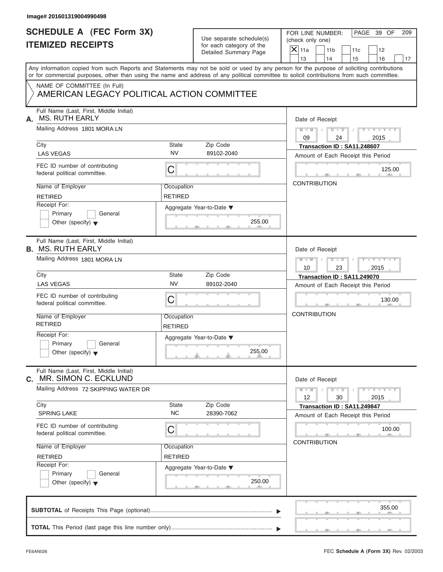| <b>SCHEDULE A (FEC Form 3X)</b><br><b>ITEMIZED RECEIPTS</b>                                                                                                                                                                                                                             |                              | Use separate schedule(s)<br>for each category of the | PAGE 39 OF<br>FOR LINE NUMBER:<br>(check only one) |                       |                                    |                             |    |
|-----------------------------------------------------------------------------------------------------------------------------------------------------------------------------------------------------------------------------------------------------------------------------------------|------------------------------|------------------------------------------------------|----------------------------------------------------|-----------------------|------------------------------------|-----------------------------|----|
|                                                                                                                                                                                                                                                                                         |                              | Detailed Summary Page                                | $\mathsf{X}$ 11a<br>13                             | 11 <sub>b</sub><br>14 | 11c<br>15                          | 12<br>16                    | 17 |
| Any information copied from such Reports and Statements may not be sold or used by any person for the purpose of soliciting contributions<br>or for commercial purposes, other than using the name and address of any political committee to solicit contributions from such committee. |                              |                                                      |                                                    |                       |                                    |                             |    |
| NAME OF COMMITTEE (In Full)<br>AMERICAN LEGACY POLITICAL ACTION COMMITTEE                                                                                                                                                                                                               |                              |                                                      |                                                    |                       |                                    |                             |    |
| Full Name (Last, First, Middle Initial)<br><b>MS. RUTH EARLY</b>                                                                                                                                                                                                                        |                              |                                                      | Date of Receipt                                    |                       |                                    |                             |    |
| Mailing Address 1801 MORA LN                                                                                                                                                                                                                                                            |                              |                                                      | $M$ $M$ $N$ $N$<br>09                              | $D$ $D$<br>24         | $\sqrt{ }$                         | $Y - Y - Y - Y - Y$<br>2015 |    |
| City                                                                                                                                                                                                                                                                                    | State                        | Zip Code                                             |                                                    |                       | Transaction ID: SA11.248607        |                             |    |
| <b>LAS VEGAS</b>                                                                                                                                                                                                                                                                        | <b>NV</b>                    | 89102-2040                                           |                                                    |                       | Amount of Each Receipt this Period |                             |    |
| FEC ID number of contributing<br>federal political committee.                                                                                                                                                                                                                           | C                            |                                                      |                                                    |                       |                                    | 125.00                      |    |
| Name of Employer                                                                                                                                                                                                                                                                        | Occupation                   |                                                      | <b>CONTRIBUTION</b>                                |                       |                                    |                             |    |
| <b>RETIRED</b>                                                                                                                                                                                                                                                                          | <b>RETIRED</b>               |                                                      |                                                    |                       |                                    |                             |    |
| Receipt For:                                                                                                                                                                                                                                                                            |                              | Aggregate Year-to-Date ▼                             |                                                    |                       |                                    |                             |    |
| Primary<br>General                                                                                                                                                                                                                                                                      |                              | 255.00                                               |                                                    |                       |                                    |                             |    |
| Other (specify) $\blacktriangledown$                                                                                                                                                                                                                                                    |                              |                                                      |                                                    |                       |                                    |                             |    |
| Full Name (Last, First, Middle Initial)<br><b>B. MS. RUTH EARLY</b>                                                                                                                                                                                                                     |                              |                                                      | Date of Receipt                                    |                       |                                    |                             |    |
| Mailing Address 1801 MORA LN                                                                                                                                                                                                                                                            |                              |                                                      | $M$ $M$ $/$                                        | $D - I - D$           |                                    | Y T Y T Y T                 |    |
|                                                                                                                                                                                                                                                                                         |                              |                                                      | 10                                                 | 23                    |                                    | 2015                        |    |
| City<br><b>LAS VEGAS</b>                                                                                                                                                                                                                                                                | State<br><b>NV</b>           | Zip Code                                             |                                                    |                       | Transaction ID: SA11.249070        |                             |    |
|                                                                                                                                                                                                                                                                                         |                              | 89102-2040                                           |                                                    |                       | Amount of Each Receipt this Period |                             |    |
| FEC ID number of contributing<br>federal political committee.                                                                                                                                                                                                                           | C                            |                                                      |                                                    |                       |                                    | 130.00                      |    |
| Name of Employer<br><b>RETIRED</b>                                                                                                                                                                                                                                                      | Occupation<br><b>RETIRED</b> |                                                      | <b>CONTRIBUTION</b>                                |                       |                                    |                             |    |
| Receipt For:                                                                                                                                                                                                                                                                            |                              | Aggregate Year-to-Date ▼                             |                                                    |                       |                                    |                             |    |
| Primary<br>General<br>Other (specify) $\blacktriangledown$                                                                                                                                                                                                                              |                              | 255.00                                               |                                                    |                       |                                    |                             |    |
| Full Name (Last, First, Middle Initial)<br>MR. SIMON C. ECKLUND                                                                                                                                                                                                                         |                              |                                                      | Date of Receipt                                    |                       |                                    |                             |    |
| Mailing Address 72 SKIPPING WATER DR                                                                                                                                                                                                                                                    |                              |                                                      | $M - M$<br>12                                      | $D - D$<br>30         |                                    | $Y - Y - Y - Y - I$<br>2015 |    |
| City<br><b>SPRING LAKE</b>                                                                                                                                                                                                                                                              | <b>State</b><br><b>NC</b>    | Zip Code<br>28390-7062                               |                                                    |                       | Transaction ID: SA11.249847        |                             |    |
|                                                                                                                                                                                                                                                                                         |                              |                                                      |                                                    |                       | Amount of Each Receipt this Period |                             |    |
| FEC ID number of contributing<br>federal political committee.                                                                                                                                                                                                                           | С                            |                                                      |                                                    |                       |                                    | 100.00                      |    |
|                                                                                                                                                                                                                                                                                         |                              |                                                      | <b>CONTRIBUTION</b>                                |                       |                                    |                             |    |
| Name of Employer                                                                                                                                                                                                                                                                        | Occupation                   |                                                      |                                                    |                       |                                    |                             |    |
| <b>RETIRED</b><br>Receipt For:                                                                                                                                                                                                                                                          | <b>RETIRED</b>               |                                                      |                                                    |                       |                                    |                             |    |
| Primary<br>General                                                                                                                                                                                                                                                                      |                              | Aggregate Year-to-Date ▼                             |                                                    |                       |                                    |                             |    |
| Other (specify) $\blacktriangledown$                                                                                                                                                                                                                                                    |                              | 250.00                                               |                                                    |                       |                                    |                             |    |
|                                                                                                                                                                                                                                                                                         |                              |                                                      |                                                    |                       |                                    |                             |    |
|                                                                                                                                                                                                                                                                                         |                              |                                                      |                                                    |                       |                                    | 355.00                      |    |
|                                                                                                                                                                                                                                                                                         |                              |                                                      |                                                    |                       |                                    |                             |    |
|                                                                                                                                                                                                                                                                                         |                              |                                                      |                                                    |                       |                                    |                             |    |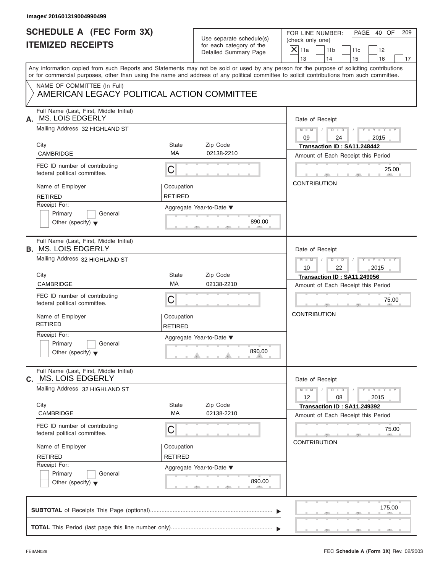| <b>SCHEDULE A (FEC Form 3X)</b>                                          |                | Use separate schedule(s) | PAGE 40 OF<br>FOR LINE NUMBER:<br>209                                                                                                                 |
|--------------------------------------------------------------------------|----------------|--------------------------|-------------------------------------------------------------------------------------------------------------------------------------------------------|
| <b>ITEMIZED RECEIPTS</b>                                                 |                | for each category of the | (check only one)                                                                                                                                      |
|                                                                          |                | Detailed Summary Page    | $X$ 11a<br>11 <sub>b</sub><br>11c<br>12<br>13<br>14<br>16                                                                                             |
|                                                                          |                |                          | 15<br>17<br>Any information copied from such Reports and Statements may not be sold or used by any person for the purpose of soliciting contributions |
|                                                                          |                |                          | or for commercial purposes, other than using the name and address of any political committee to solicit contributions from such committee.            |
| NAME OF COMMITTEE (In Full)                                              |                |                          |                                                                                                                                                       |
| AMERICAN LEGACY POLITICAL ACTION COMMITTEE                               |                |                          |                                                                                                                                                       |
| Full Name (Last, First, Middle Initial)<br><b>MS. LOIS EDGERLY</b><br>А. |                |                          | Date of Receipt                                                                                                                                       |
| Mailing Address 32 HIGHLAND ST                                           |                |                          | $M - M$ / $D - D$ /<br>$Y - Y - Y - Y - Y$<br>09<br>24<br>2015                                                                                        |
| City                                                                     | State          | Zip Code                 | Transaction ID: SA11.248442                                                                                                                           |
| <b>CAMBRIDGE</b>                                                         | MA             | 02138-2210               | Amount of Each Receipt this Period                                                                                                                    |
| FEC ID number of contributing<br>federal political committee.            | С              |                          | 25.00                                                                                                                                                 |
| Name of Employer                                                         | Occupation     |                          | <b>CONTRIBUTION</b>                                                                                                                                   |
| <b>RETIRED</b>                                                           | <b>RETIRED</b> |                          |                                                                                                                                                       |
| Receipt For:                                                             |                | Aggregate Year-to-Date ▼ |                                                                                                                                                       |
| Primary<br>General                                                       |                |                          |                                                                                                                                                       |
| Other (specify) $\blacktriangledown$                                     |                | 890.00                   |                                                                                                                                                       |
| Full Name (Last, First, Middle Initial)<br><b>B. MS. LOIS EDGERLY</b>    |                |                          | Date of Receipt                                                                                                                                       |
| Mailing Address 32 HIGHLAND ST                                           |                |                          | Y TY TY TY<br>$M - M$ / $D - D$<br>$\Box$<br>10<br>22<br>2015                                                                                         |
| City                                                                     | State          | Zip Code                 | Transaction ID: SA11.249056                                                                                                                           |
| <b>CAMBRIDGE</b>                                                         | MA             | 02138-2210               | Amount of Each Receipt this Period                                                                                                                    |
| FEC ID number of contributing<br>federal political committee.            | С              |                          | 75.00                                                                                                                                                 |
| Name of Employer                                                         | Occupation     |                          | <b>CONTRIBUTION</b>                                                                                                                                   |
| <b>RETIRED</b>                                                           | <b>RETIRED</b> |                          |                                                                                                                                                       |
| Receipt For:                                                             |                | Aggregate Year-to-Date ▼ |                                                                                                                                                       |
| Primary<br>General                                                       |                |                          |                                                                                                                                                       |
| Other (specify) $\blacktriangledown$                                     |                | 890.00                   |                                                                                                                                                       |
| Full Name (Last, First, Middle Initial)<br><b>MS. LOIS EDGERLY</b><br>C. |                |                          | Date of Receipt                                                                                                                                       |
| Mailing Address 32 HIGHLAND ST                                           |                |                          | $Y - Y - Y - Y - Y$<br>$M - M$<br>$D$ $\Box$ $D$<br>12<br>08<br>2015                                                                                  |
| City                                                                     | State          | Zip Code                 | Transaction ID: SA11.249392                                                                                                                           |
| CAMBRIDGE                                                                | МA             | 02138-2210               | Amount of Each Receipt this Period                                                                                                                    |
| FEC ID number of contributing<br>federal political committee.            | С              |                          | 75.00                                                                                                                                                 |
| Name of Employer                                                         | Occupation     |                          | <b>CONTRIBUTION</b>                                                                                                                                   |
| <b>RETIRED</b>                                                           | <b>RETIRED</b> |                          |                                                                                                                                                       |
| Receipt For:                                                             |                | Aggregate Year-to-Date ▼ |                                                                                                                                                       |
| Primary<br>General                                                       |                |                          |                                                                                                                                                       |
| Other (specify) $\blacktriangledown$                                     |                | 890.00                   |                                                                                                                                                       |
|                                                                          |                |                          | 175.00                                                                                                                                                |
|                                                                          |                |                          |                                                                                                                                                       |
|                                                                          |                |                          |                                                                                                                                                       |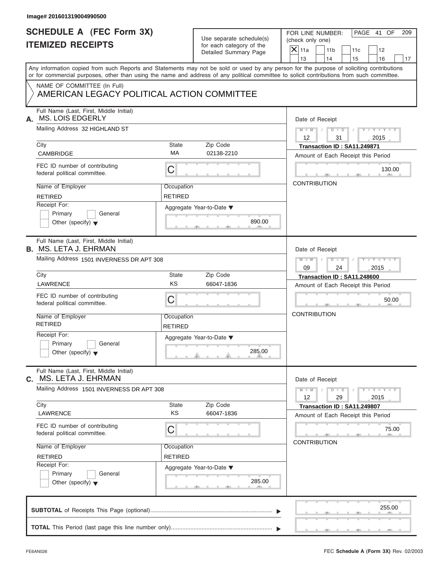| <b>SCHEDULE A (FEC Form 3X)</b>                                           |                              |                                                      | FOR LINE NUMBER:<br>PAGE 41 OF<br>209                                                                                                                                                                                                                                                   |
|---------------------------------------------------------------------------|------------------------------|------------------------------------------------------|-----------------------------------------------------------------------------------------------------------------------------------------------------------------------------------------------------------------------------------------------------------------------------------------|
| <b>ITEMIZED RECEIPTS</b>                                                  |                              | Use separate schedule(s)<br>for each category of the | (check only one)                                                                                                                                                                                                                                                                        |
|                                                                           |                              | Detailed Summary Page                                | $X$ 11a<br>11 <sub>b</sub><br>11c<br>12<br>13<br>14<br>15<br>16                                                                                                                                                                                                                         |
|                                                                           |                              |                                                      | Any information copied from such Reports and Statements may not be sold or used by any person for the purpose of soliciting contributions<br>or for commercial purposes, other than using the name and address of any political committee to solicit contributions from such committee. |
| NAME OF COMMITTEE (In Full)<br>AMERICAN LEGACY POLITICAL ACTION COMMITTEE |                              |                                                      |                                                                                                                                                                                                                                                                                         |
| Full Name (Last, First, Middle Initial)<br><b>MS. LOIS EDGERLY</b><br>А.  |                              |                                                      | Date of Receipt                                                                                                                                                                                                                                                                         |
| Mailing Address 32 HIGHLAND ST                                            |                              |                                                      | $M = M$ / $D = D$ /<br>$Y - Y - Y - Y - Y$<br>$12 \overline{ }$<br>31<br>2015                                                                                                                                                                                                           |
| City<br><b>CAMBRIDGE</b>                                                  | <b>State</b><br>MA           | Zip Code<br>02138-2210                               | Transaction ID: SA11.249871                                                                                                                                                                                                                                                             |
|                                                                           |                              |                                                      | Amount of Each Receipt this Period                                                                                                                                                                                                                                                      |
| FEC ID number of contributing<br>federal political committee.             | С                            |                                                      | 130.00                                                                                                                                                                                                                                                                                  |
| Name of Employer                                                          | Occupation                   |                                                      | <b>CONTRIBUTION</b>                                                                                                                                                                                                                                                                     |
| <b>RETIRED</b>                                                            | <b>RETIRED</b>               |                                                      |                                                                                                                                                                                                                                                                                         |
| Receipt For:<br>Primary<br>General                                        |                              | Aggregate Year-to-Date ▼                             |                                                                                                                                                                                                                                                                                         |
| Other (specify) $\blacktriangledown$                                      |                              | 890.00                                               |                                                                                                                                                                                                                                                                                         |
| Full Name (Last, First, Middle Initial)<br><b>B. MS. LETA J. EHRMAN</b>   |                              |                                                      | Date of Receipt                                                                                                                                                                                                                                                                         |
| Mailing Address 1501 INVERNESS DR APT 308                                 |                              |                                                      | $M$ $M$<br>$\begin{array}{c c c c c c} \hline \multicolumn{3}{ c }{\textbf{D} \quad \textbf{I} \quad \textbf{D} \quad \textbf{I} \quad \textbf{I}} \end{array}$<br>$Y = Y = Y' = Y'$                                                                                                    |
|                                                                           |                              |                                                      | 09<br>24<br>2015                                                                                                                                                                                                                                                                        |
| City                                                                      | <b>State</b>                 | Zip Code                                             | Transaction ID: SA11.248600                                                                                                                                                                                                                                                             |
| <b>LAWRENCE</b>                                                           | KS                           | 66047-1836                                           | Amount of Each Receipt this Period                                                                                                                                                                                                                                                      |
| FEC ID number of contributing<br>federal political committee.             | C                            |                                                      | 50.00                                                                                                                                                                                                                                                                                   |
| Name of Employer<br><b>RETIRED</b>                                        | Occupation<br><b>RETIRED</b> |                                                      | <b>CONTRIBUTION</b>                                                                                                                                                                                                                                                                     |
| Receipt For:                                                              |                              | Aggregate Year-to-Date ▼                             |                                                                                                                                                                                                                                                                                         |
| Primary<br>General<br>Other (specify) $\blacktriangledown$                |                              | 285.00                                               |                                                                                                                                                                                                                                                                                         |
| Full Name (Last, First, Middle Initial)<br>MS. LETA J. EHRMAN<br>С.       |                              |                                                      | Date of Receipt                                                                                                                                                                                                                                                                         |
| Mailing Address 1501 INVERNESS DR APT 308                                 |                              |                                                      | $Y - Y - Y - Y - Y$<br>$M - M$<br>$D$ $\Box$ $D$<br>12<br>29<br>2015                                                                                                                                                                                                                    |
| City                                                                      | <b>State</b><br>KS           | Zip Code                                             | Transaction ID: SA11.249807                                                                                                                                                                                                                                                             |
| LAWRENCE                                                                  |                              | 66047-1836                                           | Amount of Each Receipt this Period                                                                                                                                                                                                                                                      |
|                                                                           | С                            |                                                      | 75.00                                                                                                                                                                                                                                                                                   |
| FEC ID number of contributing<br>federal political committee.             |                              |                                                      | <b>CONTRIBUTION</b>                                                                                                                                                                                                                                                                     |
| Name of Employer                                                          | Occupation                   |                                                      |                                                                                                                                                                                                                                                                                         |
| <b>RETIRED</b>                                                            | <b>RETIRED</b>               |                                                      |                                                                                                                                                                                                                                                                                         |
| Receipt For:                                                              |                              | Aggregate Year-to-Date ▼                             |                                                                                                                                                                                                                                                                                         |
| Primary<br>General<br>Other (specify) $\blacktriangledown$                |                              | 285.00                                               |                                                                                                                                                                                                                                                                                         |
|                                                                           |                              |                                                      | 255.00                                                                                                                                                                                                                                                                                  |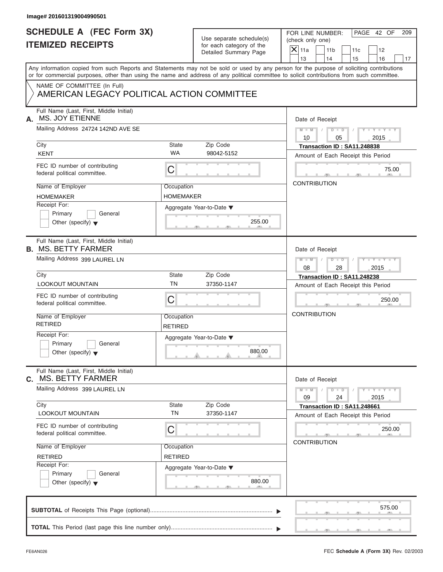| <b>SCHEDULE A (FEC Form 3X)</b><br><b>ITEMIZED RECEIPTS</b>                                                                                                                                                                                                                             |                                | Use separate schedule(s)<br>for each category of the | FOR LINE NUMBER:<br>(check only one) |                       |                                                                   | PAGE 42 OF                  | 209 |
|-----------------------------------------------------------------------------------------------------------------------------------------------------------------------------------------------------------------------------------------------------------------------------------------|--------------------------------|------------------------------------------------------|--------------------------------------|-----------------------|-------------------------------------------------------------------|-----------------------------|-----|
|                                                                                                                                                                                                                                                                                         |                                | Detailed Summary Page                                | $\mathsf{X}$ 11a<br>13               | 11 <sub>b</sub><br>14 | 11c<br>15                                                         | 12<br>16                    | 17  |
| Any information copied from such Reports and Statements may not be sold or used by any person for the purpose of soliciting contributions<br>or for commercial purposes, other than using the name and address of any political committee to solicit contributions from such committee. |                                |                                                      |                                      |                       |                                                                   |                             |     |
| NAME OF COMMITTEE (In Full)<br>AMERICAN LEGACY POLITICAL ACTION COMMITTEE                                                                                                                                                                                                               |                                |                                                      |                                      |                       |                                                                   |                             |     |
| Full Name (Last, First, Middle Initial)<br>MS. JOY ETIENNE<br>А.                                                                                                                                                                                                                        |                                |                                                      |                                      | Date of Receipt       |                                                                   |                             |     |
| Mailing Address 24724 142ND AVE SE                                                                                                                                                                                                                                                      |                                |                                                      | $M - M$ /<br>10                      | 05                    | $D$ $D$<br>$\sqrt{ }$                                             | $Y - Y - Y - Y - Y$<br>2015 |     |
| City<br><b>KENT</b>                                                                                                                                                                                                                                                                     | State<br><b>WA</b>             | Zip Code<br>98042-5152                               |                                      |                       | Transaction ID: SA11.248838<br>Amount of Each Receipt this Period |                             |     |
| FEC ID number of contributing<br>federal political committee.                                                                                                                                                                                                                           | C                              |                                                      |                                      |                       |                                                                   | 75.00                       |     |
| Name of Employer<br><b>HOMEMAKER</b>                                                                                                                                                                                                                                                    | Occupation<br><b>HOMEMAKER</b> |                                                      |                                      | <b>CONTRIBUTION</b>   |                                                                   |                             |     |
| Receipt For:<br>Primary<br>General<br>Other (specify) $\blacktriangledown$                                                                                                                                                                                                              |                                | Aggregate Year-to-Date ▼<br>255.00                   |                                      |                       |                                                                   |                             |     |
| Full Name (Last, First, Middle Initial)<br><b>B. MS. BETTY FARMER</b>                                                                                                                                                                                                                   |                                |                                                      |                                      | Date of Receipt       |                                                                   |                             |     |
| Mailing Address 399 LAUREL LN                                                                                                                                                                                                                                                           |                                |                                                      | $M - M$<br>08                        | $D - I - D$<br>28     |                                                                   | $Y - Y - Y - Y - Y$<br>2015 |     |
| City<br><b>LOOKOUT MOUNTAIN</b>                                                                                                                                                                                                                                                         | State<br><b>TN</b>             | Zip Code<br>37350-1147                               |                                      |                       | Transaction ID: SA11.248238<br>Amount of Each Receipt this Period |                             |     |
| FEC ID number of contributing<br>federal political committee.                                                                                                                                                                                                                           | C                              |                                                      |                                      |                       |                                                                   | 250.00                      |     |
| Name of Employer<br><b>RETIRED</b>                                                                                                                                                                                                                                                      | Occupation<br><b>RETIRED</b>   |                                                      | <b>CONTRIBUTION</b>                  |                       |                                                                   |                             |     |
| Receipt For:<br>Primary<br>General<br>Other (specify) $\blacktriangledown$                                                                                                                                                                                                              |                                | Aggregate Year-to-Date ▼<br>880.00                   |                                      |                       |                                                                   |                             |     |
| Full Name (Last, First, Middle Initial)<br><b>MS. BETTY FARMER</b><br>С.                                                                                                                                                                                                                |                                |                                                      |                                      | Date of Receipt       |                                                                   |                             |     |
| Mailing Address 399 LAUREL LN<br>City                                                                                                                                                                                                                                                   | State                          | Zip Code                                             | $M - M$<br>09                        | $D - D$<br>24         | Transaction ID: SA11.248661                                       | $Y - Y - Y - Y - Y$<br>2015 |     |
| <b>LOOKOUT MOUNTAIN</b>                                                                                                                                                                                                                                                                 | <b>TN</b>                      | 37350-1147                                           |                                      |                       | Amount of Each Receipt this Period                                |                             |     |
| FEC ID number of contributing<br>federal political committee.                                                                                                                                                                                                                           | С                              |                                                      |                                      |                       |                                                                   | 250.00                      |     |
| Name of Employer<br><b>RETIRED</b>                                                                                                                                                                                                                                                      | Occupation<br><b>RETIRED</b>   |                                                      |                                      | <b>CONTRIBUTION</b>   |                                                                   |                             |     |
| Receipt For:<br>Primary<br>General<br>Other (specify) $\blacktriangledown$                                                                                                                                                                                                              |                                | Aggregate Year-to-Date ▼<br>880.00                   |                                      |                       |                                                                   |                             |     |
|                                                                                                                                                                                                                                                                                         |                                |                                                      |                                      |                       |                                                                   | 575.00                      |     |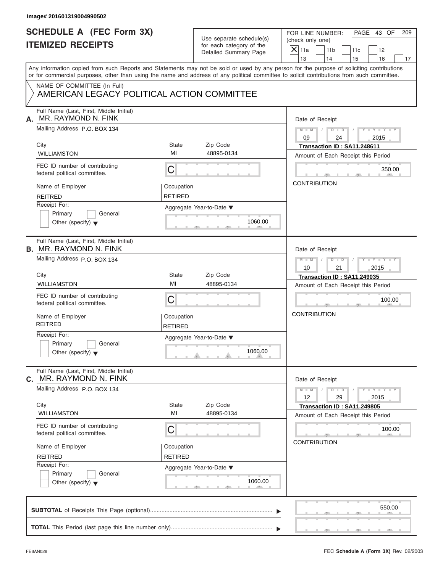| <b>SCHEDULE A (FEC Form 3X)</b><br>PAGE 43 OF<br>FOR LINE NUMBER:<br>Use separate schedule(s)<br>(check only one)<br><b>ITEMIZED RECEIPTS</b><br>for each category of the<br>$X$ 11a<br>11 <sub>b</sub><br>11c<br>12<br>Detailed Summary Page<br>13<br>14<br>15<br>16<br>NAME OF COMMITTEE (In Full)<br>AMERICAN LEGACY POLITICAL ACTION COMMITTEE<br>Full Name (Last, First, Middle Initial)<br>MR. RAYMOND N. FINK<br>Date of Receipt<br>Mailing Address P.O. BOX 134<br>$D$ $D$<br>$Y - Y - Y - Y - Y$<br>$M - M$<br>$\sqrt{ }$<br>09<br>24<br>2015<br>State<br>Zip Code<br>City<br>Transaction ID: SA11.248611<br>MI<br><b>WILLIAMSTON</b><br>48895-0134<br>Amount of Each Receipt this Period<br>FEC ID number of contributing<br>С<br>federal political committee.<br><b>CONTRIBUTION</b><br>Name of Employer<br>Occupation<br><b>REITRED</b><br>RETIRED<br>Receipt For:<br>Aggregate Year-to-Date ▼<br>Primary<br>General<br>1060.00<br>Other (specify) $\blacktriangledown$<br>Full Name (Last, First, Middle Initial)<br>Date of Receipt<br>Mailing Address P.O. BOX 134<br>Y T Y T Y T<br>$M$ $M$ $/$<br>$D - D$<br>10<br>21<br>2015<br>City<br>State<br>Zip Code<br>Transaction ID: SA11.249035<br>MI<br><b>WILLIAMSTON</b><br>48895-0134<br>Amount of Each Receipt this Period<br>FEC ID number of contributing<br>С<br>federal political committee.<br><b>CONTRIBUTION</b><br>Name of Employer<br>Occupation<br><b>REITRED</b><br><b>RETIRED</b><br>Receipt For:<br>Aggregate Year-to-Date ▼<br>Primary<br>General<br>1060.00<br>Other (specify) $\blacktriangledown$<br>Full Name (Last, First, Middle Initial)<br>MR. RAYMOND N. FINK<br>Date of Receipt<br>Mailing Address P.O. BOX 134<br>$Y - Y - Y - Y - Y$<br>$M - M$<br>$D$ $\Box$ $D$<br>12<br>2015<br>29<br>City<br>Zip Code<br>State<br>Transaction ID: SA11.249805<br>MI<br>48895-0134<br>WILLIAMSTON<br>Amount of Each Receipt this Period | 209<br>17<br>350.00 |
|----------------------------------------------------------------------------------------------------------------------------------------------------------------------------------------------------------------------------------------------------------------------------------------------------------------------------------------------------------------------------------------------------------------------------------------------------------------------------------------------------------------------------------------------------------------------------------------------------------------------------------------------------------------------------------------------------------------------------------------------------------------------------------------------------------------------------------------------------------------------------------------------------------------------------------------------------------------------------------------------------------------------------------------------------------------------------------------------------------------------------------------------------------------------------------------------------------------------------------------------------------------------------------------------------------------------------------------------------------------------------------------------------------------------------------------------------------------------------------------------------------------------------------------------------------------------------------------------------------------------------------------------------------------------------------------------------------------------------------------------------------------------------------------------------------------------------------------------------------------------------------------------------------------------|---------------------|
| Any information copied from such Reports and Statements may not be sold or used by any person for the purpose of soliciting contributions<br>or for commercial purposes, other than using the name and address of any political committee to solicit contributions from such committee.<br>А.<br><b>B. MR. RAYMOND N. FINK</b><br>C.                                                                                                                                                                                                                                                                                                                                                                                                                                                                                                                                                                                                                                                                                                                                                                                                                                                                                                                                                                                                                                                                                                                                                                                                                                                                                                                                                                                                                                                                                                                                                                                 |                     |
|                                                                                                                                                                                                                                                                                                                                                                                                                                                                                                                                                                                                                                                                                                                                                                                                                                                                                                                                                                                                                                                                                                                                                                                                                                                                                                                                                                                                                                                                                                                                                                                                                                                                                                                                                                                                                                                                                                                      |                     |
|                                                                                                                                                                                                                                                                                                                                                                                                                                                                                                                                                                                                                                                                                                                                                                                                                                                                                                                                                                                                                                                                                                                                                                                                                                                                                                                                                                                                                                                                                                                                                                                                                                                                                                                                                                                                                                                                                                                      |                     |
|                                                                                                                                                                                                                                                                                                                                                                                                                                                                                                                                                                                                                                                                                                                                                                                                                                                                                                                                                                                                                                                                                                                                                                                                                                                                                                                                                                                                                                                                                                                                                                                                                                                                                                                                                                                                                                                                                                                      |                     |
|                                                                                                                                                                                                                                                                                                                                                                                                                                                                                                                                                                                                                                                                                                                                                                                                                                                                                                                                                                                                                                                                                                                                                                                                                                                                                                                                                                                                                                                                                                                                                                                                                                                                                                                                                                                                                                                                                                                      |                     |
|                                                                                                                                                                                                                                                                                                                                                                                                                                                                                                                                                                                                                                                                                                                                                                                                                                                                                                                                                                                                                                                                                                                                                                                                                                                                                                                                                                                                                                                                                                                                                                                                                                                                                                                                                                                                                                                                                                                      |                     |
|                                                                                                                                                                                                                                                                                                                                                                                                                                                                                                                                                                                                                                                                                                                                                                                                                                                                                                                                                                                                                                                                                                                                                                                                                                                                                                                                                                                                                                                                                                                                                                                                                                                                                                                                                                                                                                                                                                                      |                     |
|                                                                                                                                                                                                                                                                                                                                                                                                                                                                                                                                                                                                                                                                                                                                                                                                                                                                                                                                                                                                                                                                                                                                                                                                                                                                                                                                                                                                                                                                                                                                                                                                                                                                                                                                                                                                                                                                                                                      |                     |
|                                                                                                                                                                                                                                                                                                                                                                                                                                                                                                                                                                                                                                                                                                                                                                                                                                                                                                                                                                                                                                                                                                                                                                                                                                                                                                                                                                                                                                                                                                                                                                                                                                                                                                                                                                                                                                                                                                                      |                     |
|                                                                                                                                                                                                                                                                                                                                                                                                                                                                                                                                                                                                                                                                                                                                                                                                                                                                                                                                                                                                                                                                                                                                                                                                                                                                                                                                                                                                                                                                                                                                                                                                                                                                                                                                                                                                                                                                                                                      |                     |
|                                                                                                                                                                                                                                                                                                                                                                                                                                                                                                                                                                                                                                                                                                                                                                                                                                                                                                                                                                                                                                                                                                                                                                                                                                                                                                                                                                                                                                                                                                                                                                                                                                                                                                                                                                                                                                                                                                                      |                     |
|                                                                                                                                                                                                                                                                                                                                                                                                                                                                                                                                                                                                                                                                                                                                                                                                                                                                                                                                                                                                                                                                                                                                                                                                                                                                                                                                                                                                                                                                                                                                                                                                                                                                                                                                                                                                                                                                                                                      |                     |
|                                                                                                                                                                                                                                                                                                                                                                                                                                                                                                                                                                                                                                                                                                                                                                                                                                                                                                                                                                                                                                                                                                                                                                                                                                                                                                                                                                                                                                                                                                                                                                                                                                                                                                                                                                                                                                                                                                                      |                     |
|                                                                                                                                                                                                                                                                                                                                                                                                                                                                                                                                                                                                                                                                                                                                                                                                                                                                                                                                                                                                                                                                                                                                                                                                                                                                                                                                                                                                                                                                                                                                                                                                                                                                                                                                                                                                                                                                                                                      |                     |
|                                                                                                                                                                                                                                                                                                                                                                                                                                                                                                                                                                                                                                                                                                                                                                                                                                                                                                                                                                                                                                                                                                                                                                                                                                                                                                                                                                                                                                                                                                                                                                                                                                                                                                                                                                                                                                                                                                                      |                     |
|                                                                                                                                                                                                                                                                                                                                                                                                                                                                                                                                                                                                                                                                                                                                                                                                                                                                                                                                                                                                                                                                                                                                                                                                                                                                                                                                                                                                                                                                                                                                                                                                                                                                                                                                                                                                                                                                                                                      |                     |
|                                                                                                                                                                                                                                                                                                                                                                                                                                                                                                                                                                                                                                                                                                                                                                                                                                                                                                                                                                                                                                                                                                                                                                                                                                                                                                                                                                                                                                                                                                                                                                                                                                                                                                                                                                                                                                                                                                                      |                     |
|                                                                                                                                                                                                                                                                                                                                                                                                                                                                                                                                                                                                                                                                                                                                                                                                                                                                                                                                                                                                                                                                                                                                                                                                                                                                                                                                                                                                                                                                                                                                                                                                                                                                                                                                                                                                                                                                                                                      |                     |
|                                                                                                                                                                                                                                                                                                                                                                                                                                                                                                                                                                                                                                                                                                                                                                                                                                                                                                                                                                                                                                                                                                                                                                                                                                                                                                                                                                                                                                                                                                                                                                                                                                                                                                                                                                                                                                                                                                                      |                     |
|                                                                                                                                                                                                                                                                                                                                                                                                                                                                                                                                                                                                                                                                                                                                                                                                                                                                                                                                                                                                                                                                                                                                                                                                                                                                                                                                                                                                                                                                                                                                                                                                                                                                                                                                                                                                                                                                                                                      | 100.00              |
|                                                                                                                                                                                                                                                                                                                                                                                                                                                                                                                                                                                                                                                                                                                                                                                                                                                                                                                                                                                                                                                                                                                                                                                                                                                                                                                                                                                                                                                                                                                                                                                                                                                                                                                                                                                                                                                                                                                      |                     |
|                                                                                                                                                                                                                                                                                                                                                                                                                                                                                                                                                                                                                                                                                                                                                                                                                                                                                                                                                                                                                                                                                                                                                                                                                                                                                                                                                                                                                                                                                                                                                                                                                                                                                                                                                                                                                                                                                                                      |                     |
|                                                                                                                                                                                                                                                                                                                                                                                                                                                                                                                                                                                                                                                                                                                                                                                                                                                                                                                                                                                                                                                                                                                                                                                                                                                                                                                                                                                                                                                                                                                                                                                                                                                                                                                                                                                                                                                                                                                      |                     |
|                                                                                                                                                                                                                                                                                                                                                                                                                                                                                                                                                                                                                                                                                                                                                                                                                                                                                                                                                                                                                                                                                                                                                                                                                                                                                                                                                                                                                                                                                                                                                                                                                                                                                                                                                                                                                                                                                                                      |                     |
|                                                                                                                                                                                                                                                                                                                                                                                                                                                                                                                                                                                                                                                                                                                                                                                                                                                                                                                                                                                                                                                                                                                                                                                                                                                                                                                                                                                                                                                                                                                                                                                                                                                                                                                                                                                                                                                                                                                      |                     |
|                                                                                                                                                                                                                                                                                                                                                                                                                                                                                                                                                                                                                                                                                                                                                                                                                                                                                                                                                                                                                                                                                                                                                                                                                                                                                                                                                                                                                                                                                                                                                                                                                                                                                                                                                                                                                                                                                                                      |                     |
|                                                                                                                                                                                                                                                                                                                                                                                                                                                                                                                                                                                                                                                                                                                                                                                                                                                                                                                                                                                                                                                                                                                                                                                                                                                                                                                                                                                                                                                                                                                                                                                                                                                                                                                                                                                                                                                                                                                      |                     |
| FEC ID number of contributing<br>С<br>federal political committee.                                                                                                                                                                                                                                                                                                                                                                                                                                                                                                                                                                                                                                                                                                                                                                                                                                                                                                                                                                                                                                                                                                                                                                                                                                                                                                                                                                                                                                                                                                                                                                                                                                                                                                                                                                                                                                                   | 100.00              |
| <b>CONTRIBUTION</b><br>Name of Employer<br>Occupation                                                                                                                                                                                                                                                                                                                                                                                                                                                                                                                                                                                                                                                                                                                                                                                                                                                                                                                                                                                                                                                                                                                                                                                                                                                                                                                                                                                                                                                                                                                                                                                                                                                                                                                                                                                                                                                                |                     |
| <b>RETIRED</b><br><b>REITRED</b>                                                                                                                                                                                                                                                                                                                                                                                                                                                                                                                                                                                                                                                                                                                                                                                                                                                                                                                                                                                                                                                                                                                                                                                                                                                                                                                                                                                                                                                                                                                                                                                                                                                                                                                                                                                                                                                                                     |                     |
| Receipt For:<br>Aggregate Year-to-Date ▼                                                                                                                                                                                                                                                                                                                                                                                                                                                                                                                                                                                                                                                                                                                                                                                                                                                                                                                                                                                                                                                                                                                                                                                                                                                                                                                                                                                                                                                                                                                                                                                                                                                                                                                                                                                                                                                                             |                     |
| Primary<br>General<br>1060.00<br>Other (specify) $\blacktriangledown$                                                                                                                                                                                                                                                                                                                                                                                                                                                                                                                                                                                                                                                                                                                                                                                                                                                                                                                                                                                                                                                                                                                                                                                                                                                                                                                                                                                                                                                                                                                                                                                                                                                                                                                                                                                                                                                |                     |
|                                                                                                                                                                                                                                                                                                                                                                                                                                                                                                                                                                                                                                                                                                                                                                                                                                                                                                                                                                                                                                                                                                                                                                                                                                                                                                                                                                                                                                                                                                                                                                                                                                                                                                                                                                                                                                                                                                                      |                     |
|                                                                                                                                                                                                                                                                                                                                                                                                                                                                                                                                                                                                                                                                                                                                                                                                                                                                                                                                                                                                                                                                                                                                                                                                                                                                                                                                                                                                                                                                                                                                                                                                                                                                                                                                                                                                                                                                                                                      | 550.00              |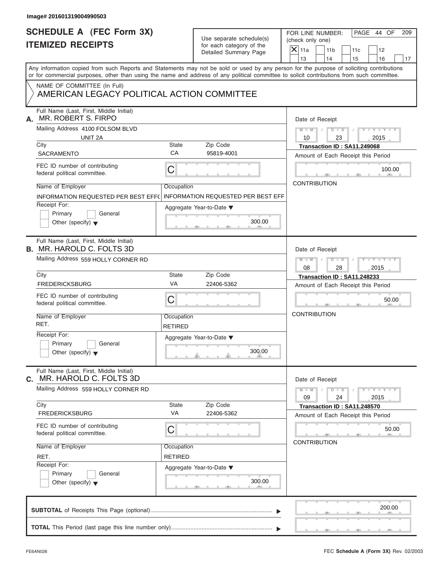| Image# 201601319004990503                                                                                                                  |                              |                                                                               |                                                                                                                                           |
|--------------------------------------------------------------------------------------------------------------------------------------------|------------------------------|-------------------------------------------------------------------------------|-------------------------------------------------------------------------------------------------------------------------------------------|
| <b>SCHEDULE A (FEC Form 3X)</b><br><b>ITEMIZED RECEIPTS</b>                                                                                |                              | Use separate schedule(s)<br>for each category of the<br>Detailed Summary Page | PAGE 44 OF<br>FOR LINE NUMBER:<br>209<br>(check only one)<br>$\overline{X}$ 11a<br>11 <sub>b</sub><br>11c<br>12                           |
|                                                                                                                                            |                              |                                                                               | 13<br>14<br>15<br>16<br>17                                                                                                                |
| or for commercial purposes, other than using the name and address of any political committee to solicit contributions from such committee. |                              |                                                                               | Any information copied from such Reports and Statements may not be sold or used by any person for the purpose of soliciting contributions |
| NAME OF COMMITTEE (In Full)<br>AMERICAN LEGACY POLITICAL ACTION COMMITTEE                                                                  |                              |                                                                               |                                                                                                                                           |
| Full Name (Last, First, Middle Initial)<br>MR. ROBERT S. FIRPO<br>А.                                                                       |                              |                                                                               | Date of Receipt                                                                                                                           |
| Mailing Address 4100 FOLSOM BLVD<br>UNIT 2A                                                                                                |                              |                                                                               | $D$ $D$ $I$<br>$Y - Y - Y - Y - Y$<br>$M - M$ /<br>10<br>23<br>2015                                                                       |
| City<br><b>SACRAMENTO</b>                                                                                                                  | State<br>CA                  | Zip Code<br>95819-4001                                                        | Transaction ID: SA11.249068<br>Amount of Each Receipt this Period                                                                         |
| FEC ID number of contributing<br>federal political committee.                                                                              | $\mathsf C$                  |                                                                               | 100.00                                                                                                                                    |
| Name of Employer<br>INFORMATION REQUESTED PER BEST EFF(                                                                                    | Occupation                   | <b>INFORMATION REQUESTED PER BEST EFF</b>                                     | <b>CONTRIBUTION</b>                                                                                                                       |
| Receipt For:<br>Primary<br>General<br>Other (specify) $\blacktriangledown$                                                                 |                              | Aggregate Year-to-Date ▼<br>300.00                                            |                                                                                                                                           |
| Full Name (Last, First, Middle Initial)<br><b>B.</b> MR. HAROLD C. FOLTS 3D                                                                |                              |                                                                               | Date of Receipt                                                                                                                           |
| Mailing Address 559 HOLLY CORNER RD                                                                                                        |                              |                                                                               | $D - D$<br>$Y = Y = Y' - Y'$<br>$M$ $M$<br>$\Box$<br>2015<br>08<br>28                                                                     |
| City                                                                                                                                       | State                        | Zip Code                                                                      | Transaction ID: SA11.248233                                                                                                               |
| <b>FREDERICKSBURG</b>                                                                                                                      | VA                           | 22406-5362                                                                    | Amount of Each Receipt this Period                                                                                                        |
| FEC ID number of contributing<br>federal political committee.                                                                              | C                            |                                                                               | 50.00                                                                                                                                     |
| Name of Employer<br>RET.                                                                                                                   | Occupation<br><b>RETIRED</b> |                                                                               | <b>CONTRIBUTION</b>                                                                                                                       |
| Receipt For:<br>Primary<br>General<br>Other (specify) $\blacktriangledown$                                                                 |                              | Aggregate Year-to-Date ▼<br>300.00                                            |                                                                                                                                           |
| Full Name (Last, First, Middle Initial)<br>MR. HAROLD C. FOLTS 3D<br>С.                                                                    |                              |                                                                               | Date of Receipt                                                                                                                           |
| Mailing Address 559 HOLLY CORNER RD                                                                                                        |                              |                                                                               | $Y - Y - Y - Y - Y$<br>$M - M$<br>$D$ $\Box$ $D$<br>09<br>24<br>2015                                                                      |
| City<br><b>FREDERICKSBURG</b>                                                                                                              | State<br>VA                  | Zip Code<br>22406-5362                                                        | Transaction ID: SA11.248570<br>Amount of Each Receipt this Period                                                                         |
| FEC ID number of contributing<br>federal political committee.                                                                              | C                            |                                                                               | 50.00<br><b>CONTRIBUTION</b>                                                                                                              |
| Name of Employer<br>RET.                                                                                                                   | Occupation<br><b>RETIRED</b> |                                                                               |                                                                                                                                           |
| Receipt For:<br>Primary<br>General<br>Other (specify) $\blacktriangledown$                                                                 |                              | Aggregate Year-to-Date ▼<br>300.00                                            |                                                                                                                                           |
|                                                                                                                                            |                              |                                                                               | 200.00                                                                                                                                    |
|                                                                                                                                            |                              |                                                                               |                                                                                                                                           |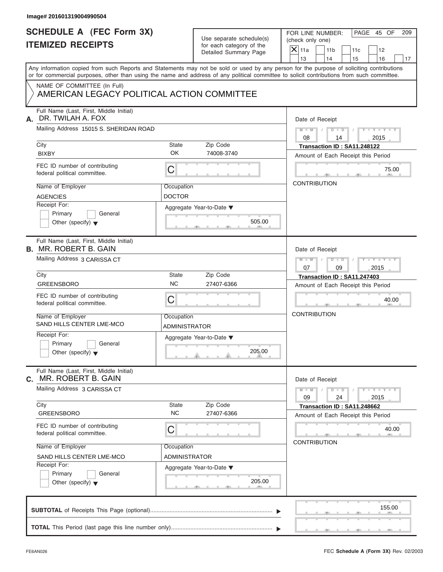| Image# 201601319004990504                                                  |                                                      |        |                                                                                                                                                                                                                                                                                         |
|----------------------------------------------------------------------------|------------------------------------------------------|--------|-----------------------------------------------------------------------------------------------------------------------------------------------------------------------------------------------------------------------------------------------------------------------------------------|
| <b>SCHEDULE A (FEC Form 3X)</b><br><b>ITEMIZED RECEIPTS</b>                | Use separate schedule(s)<br>for each category of the |        | PAGE 45 OF<br>FOR LINE NUMBER:<br>209<br>(check only one)                                                                                                                                                                                                                               |
|                                                                            | Detailed Summary Page                                |        | $X$ 11a<br>11 <sub>b</sub><br>11c<br>12<br>13<br>14<br>15<br>16<br>17                                                                                                                                                                                                                   |
|                                                                            |                                                      |        | Any information copied from such Reports and Statements may not be sold or used by any person for the purpose of soliciting contributions<br>or for commercial purposes, other than using the name and address of any political committee to solicit contributions from such committee. |
| NAME OF COMMITTEE (In Full)<br>AMERICAN LEGACY POLITICAL ACTION COMMITTEE  |                                                      |        |                                                                                                                                                                                                                                                                                         |
| Full Name (Last, First, Middle Initial)<br>DR. TWILAH A. FOX<br>А.         |                                                      |        | Date of Receipt                                                                                                                                                                                                                                                                         |
| Mailing Address 15015 S. SHERIDAN ROAD                                     |                                                      |        | $D$ $D$ $/$<br>$Y - Y - Y - Y - Y$<br>$M$ $M$ $I$<br>08<br>2015<br>14                                                                                                                                                                                                                   |
| City<br><b>BIXBY</b>                                                       | State<br>Zip Code<br><b>OK</b><br>74008-3740         |        | Transaction ID: SA11.248122<br>Amount of Each Receipt this Period                                                                                                                                                                                                                       |
| FEC ID number of contributing<br>federal political committee.              | С                                                    |        | 75.00                                                                                                                                                                                                                                                                                   |
| Name of Employer<br><b>AGENCIES</b>                                        | Occupation<br><b>DOCTOR</b>                          |        | <b>CONTRIBUTION</b>                                                                                                                                                                                                                                                                     |
| Receipt For:<br>Primary<br>General<br>Other (specify) $\blacktriangledown$ | Aggregate Year-to-Date ▼                             | 505.00 |                                                                                                                                                                                                                                                                                         |
| Full Name (Last, First, Middle Initial)<br><b>B. MR. ROBERT B. GAIN</b>    |                                                      |        | Date of Receipt                                                                                                                                                                                                                                                                         |
| Mailing Address 3 CARISSA CT                                               |                                                      |        | $M - M$<br>$D - I - D$<br>$Y = Y = Y' - Y'$<br>$\sqrt{2}$<br>07<br>09<br>2015                                                                                                                                                                                                           |
| City                                                                       | State<br>Zip Code                                    |        | Transaction ID: SA11.247403                                                                                                                                                                                                                                                             |
| <b>GREENSBORO</b>                                                          | <b>NC</b><br>27407-6366                              |        | Amount of Each Receipt this Period                                                                                                                                                                                                                                                      |
| FEC ID number of contributing<br>federal political committee.              | С                                                    |        | 40.00                                                                                                                                                                                                                                                                                   |
| Name of Employer<br>SAND HILLS CENTER LME-MCO                              | Occupation<br>ADMINISTRATOR                          |        | <b>CONTRIBUTION</b>                                                                                                                                                                                                                                                                     |
| Receipt For:<br>Primary<br>General<br>Other (specify) $\blacktriangledown$ | Aggregate Year-to-Date ▼                             | 205.00 |                                                                                                                                                                                                                                                                                         |
| Full Name (Last, First, Middle Initial)<br>MR. ROBERT B. GAIN<br>C.        |                                                      |        | Date of Receipt                                                                                                                                                                                                                                                                         |
| Mailing Address 3 CARISSA CT                                               |                                                      |        | $Y - Y - Y - Y - Y$<br>$M - M$<br>$D$ $\Box$ $D$<br>24<br>09<br>2015                                                                                                                                                                                                                    |
| City<br><b>GREENSBORO</b>                                                  | Zip Code<br>State<br><b>NC</b><br>27407-6366         |        | Transaction ID: SA11.248662<br>Amount of Each Receipt this Period                                                                                                                                                                                                                       |
| FEC ID number of contributing<br>federal political committee.              | С                                                    |        | 40.00<br><b>CONTRIBUTION</b>                                                                                                                                                                                                                                                            |
| Name of Employer                                                           | Occupation                                           |        |                                                                                                                                                                                                                                                                                         |
| SAND HILLS CENTER LME-MCO<br>Receipt For:                                  | ADMINISTRATOR                                        |        |                                                                                                                                                                                                                                                                                         |
| Primary<br>General<br>Other (specify) $\blacktriangledown$                 | Aggregate Year-to-Date ▼                             | 205.00 |                                                                                                                                                                                                                                                                                         |
|                                                                            |                                                      |        | 155.00                                                                                                                                                                                                                                                                                  |
|                                                                            |                                                      |        |                                                                                                                                                                                                                                                                                         |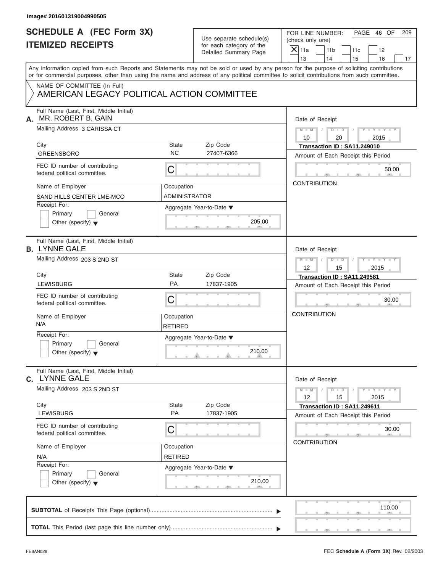| Image# 201601319004990505                                                                                                                                                                                                                                                               |                              |                                                                               |                                                                             |                                |
|-----------------------------------------------------------------------------------------------------------------------------------------------------------------------------------------------------------------------------------------------------------------------------------------|------------------------------|-------------------------------------------------------------------------------|-----------------------------------------------------------------------------|--------------------------------|
| <b>SCHEDULE A (FEC Form 3X)</b><br><b>ITEMIZED RECEIPTS</b>                                                                                                                                                                                                                             |                              | Use separate schedule(s)<br>for each category of the<br>Detailed Summary Page | FOR LINE NUMBER:<br>(check only one)<br>$\mathsf{X}$ 11a<br>11 <sub>b</sub> | PAGE 46 OF<br>209<br>11c<br>12 |
|                                                                                                                                                                                                                                                                                         |                              |                                                                               | 13<br>14                                                                    | 15<br>16<br>17                 |
| Any information copied from such Reports and Statements may not be sold or used by any person for the purpose of soliciting contributions<br>or for commercial purposes, other than using the name and address of any political committee to solicit contributions from such committee. |                              |                                                                               |                                                                             |                                |
| NAME OF COMMITTEE (In Full)<br>AMERICAN LEGACY POLITICAL ACTION COMMITTEE                                                                                                                                                                                                               |                              |                                                                               |                                                                             |                                |
| Full Name (Last, First, Middle Initial)<br>MR. ROBERT B. GAIN<br>А.                                                                                                                                                                                                                     |                              |                                                                               | Date of Receipt                                                             |                                |
| Mailing Address 3 CARISSA CT                                                                                                                                                                                                                                                            |                              |                                                                               | $D - D$<br>$M - M$<br>10<br>20                                              | $Y - Y - Y - Y - Y$<br>2015    |
| City                                                                                                                                                                                                                                                                                    | State                        | Zip Code                                                                      | Transaction ID: SA11.249010                                                 |                                |
| <b>GREENSBORO</b>                                                                                                                                                                                                                                                                       | <b>NC</b>                    | 27407-6366                                                                    | Amount of Each Receipt this Period                                          |                                |
| FEC ID number of contributing<br>federal political committee.                                                                                                                                                                                                                           | C                            |                                                                               |                                                                             | 50.00                          |
| Name of Employer                                                                                                                                                                                                                                                                        | Occupation                   |                                                                               | <b>CONTRIBUTION</b>                                                         |                                |
| SAND HILLS CENTER LME-MCO                                                                                                                                                                                                                                                               | <b>ADMINISTRATOR</b>         |                                                                               |                                                                             |                                |
| Receipt For:<br>Primary<br>General<br>Other (specify) $\blacktriangledown$                                                                                                                                                                                                              |                              | Aggregate Year-to-Date ▼<br>205.00                                            |                                                                             |                                |
| Full Name (Last, First, Middle Initial)<br><b>B. LYNNE GALE</b>                                                                                                                                                                                                                         |                              |                                                                               | Date of Receipt                                                             |                                |
| Mailing Address 203 S 2ND ST                                                                                                                                                                                                                                                            |                              |                                                                               | $M - M$<br>$D - D$<br>12<br>15                                              | Y T Y T Y T<br>2015            |
| City                                                                                                                                                                                                                                                                                    | State                        | Zip Code                                                                      | Transaction ID: SA11.249581                                                 |                                |
| LEWISBURG                                                                                                                                                                                                                                                                               | PA                           | 17837-1905                                                                    | Amount of Each Receipt this Period                                          |                                |
| FEC ID number of contributing<br>federal political committee.                                                                                                                                                                                                                           | C                            |                                                                               |                                                                             | 30.00                          |
| Name of Employer<br>N/A                                                                                                                                                                                                                                                                 | Occupation<br>RETIRED        |                                                                               | <b>CONTRIBUTION</b>                                                         |                                |
| Receipt For:<br>Primary<br>General<br>Other (specify) $\blacktriangledown$                                                                                                                                                                                                              |                              | Aggregate Year-to-Date ▼<br>210.00                                            |                                                                             |                                |
| Full Name (Last, First, Middle Initial)<br>C. LYNNE GALE                                                                                                                                                                                                                                |                              |                                                                               | Date of Receipt                                                             |                                |
| Mailing Address 203 S 2ND ST                                                                                                                                                                                                                                                            |                              |                                                                               | $M - M$<br>$D$ $D$<br>12<br>15                                              | $-1 - Y$ $-1 - Y$ $-1$<br>2015 |
| City<br><b>LEWISBURG</b>                                                                                                                                                                                                                                                                | State<br>PA                  | Zip Code<br>17837-1905                                                        | Transaction ID: SA11.249611<br>Amount of Each Receipt this Period           |                                |
| FEC ID number of contributing<br>federal political committee.                                                                                                                                                                                                                           | С                            |                                                                               | <b>CONTRIBUTION</b>                                                         | 30.00                          |
| Name of Employer<br>N/A                                                                                                                                                                                                                                                                 | Occupation<br><b>RETIRED</b> |                                                                               |                                                                             |                                |
| Receipt For:<br>Primary<br>General<br>Other (specify) $\blacktriangledown$                                                                                                                                                                                                              |                              | Aggregate Year-to-Date ▼<br>210.00                                            |                                                                             |                                |
|                                                                                                                                                                                                                                                                                         |                              |                                                                               |                                                                             | 110.00                         |
|                                                                                                                                                                                                                                                                                         |                              |                                                                               |                                                                             |                                |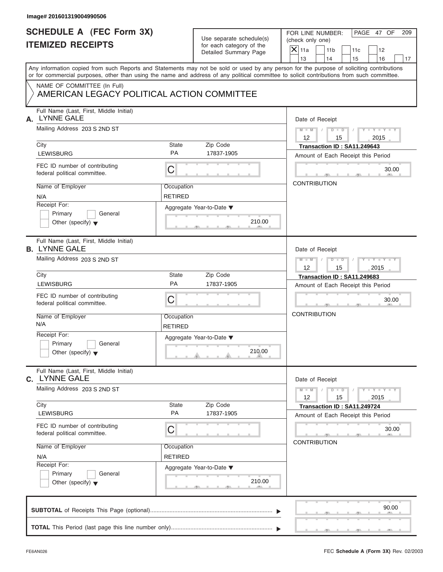| Use separate schedule(s) |
|--------------------------|
| for each category of the |
| Detailed Summary Page    |

| Image# 201601319004990506                                                  |                              |                                                      |                                                                                                                                                                                                                                                                                         |
|----------------------------------------------------------------------------|------------------------------|------------------------------------------------------|-----------------------------------------------------------------------------------------------------------------------------------------------------------------------------------------------------------------------------------------------------------------------------------------|
| <b>SCHEDULE A (FEC Form 3X)</b><br><b>ITEMIZED RECEIPTS</b>                |                              | Use separate schedule(s)<br>for each category of the | PAGE 47 OF<br>FOR LINE NUMBER:<br>209<br>(check only one)                                                                                                                                                                                                                               |
|                                                                            |                              | Detailed Summary Page                                | $X$ 11a<br>11 <sub>b</sub><br>11c<br>12<br>13<br>14<br>15<br>16<br>17                                                                                                                                                                                                                   |
|                                                                            |                              |                                                      | Any information copied from such Reports and Statements may not be sold or used by any person for the purpose of soliciting contributions<br>or for commercial purposes, other than using the name and address of any political committee to solicit contributions from such committee. |
| NAME OF COMMITTEE (In Full)<br>AMERICAN LEGACY POLITICAL ACTION COMMITTEE  |                              |                                                      |                                                                                                                                                                                                                                                                                         |
| Full Name (Last, First, Middle Initial)<br><b>LYNNE GALE</b><br>А.         |                              |                                                      | Date of Receipt                                                                                                                                                                                                                                                                         |
| Mailing Address 203 S 2ND ST                                               |                              |                                                      | $M - M$ / $D - D$ /<br>$Y - Y - Y - Y - Y$<br>$12 \overline{ }$<br>15<br>2015                                                                                                                                                                                                           |
| City<br><b>LEWISBURG</b>                                                   | State<br><b>PA</b>           | Zip Code<br>17837-1905                               | Transaction ID: SA11.249643<br>Amount of Each Receipt this Period                                                                                                                                                                                                                       |
| FEC ID number of contributing<br>federal political committee.              | С                            |                                                      | 30.00                                                                                                                                                                                                                                                                                   |
| Name of Employer<br>N/A                                                    | Occupation<br><b>RETIRED</b> |                                                      | <b>CONTRIBUTION</b>                                                                                                                                                                                                                                                                     |
| Receipt For:<br>Primary<br>General<br>Other (specify) $\blacktriangledown$ |                              | Aggregate Year-to-Date ▼<br>210.00                   |                                                                                                                                                                                                                                                                                         |
| Full Name (Last, First, Middle Initial)<br><b>B. LYNNE GALE</b>            |                              |                                                      | Date of Receipt                                                                                                                                                                                                                                                                         |
| Mailing Address 203 S 2ND ST                                               |                              |                                                      | Y TY TY TY<br>$M - M$ / $D - D$ /<br>12<br>15<br>2015                                                                                                                                                                                                                                   |
| City                                                                       | State                        | Zip Code                                             | Transaction ID: SA11.249683                                                                                                                                                                                                                                                             |
| <b>LEWISBURG</b>                                                           | PA                           | 17837-1905                                           | Amount of Each Receipt this Period                                                                                                                                                                                                                                                      |
| FEC ID number of contributing<br>federal political committee.              | C                            |                                                      | 30.00                                                                                                                                                                                                                                                                                   |
| Name of Employer<br>N/A                                                    | Occupation<br><b>RETIRED</b> |                                                      | <b>CONTRIBUTION</b>                                                                                                                                                                                                                                                                     |
| Receipt For:<br>Primary<br>General<br>Other (specify) $\blacktriangledown$ |                              | Aggregate Year-to-Date ▼<br>210.00                   |                                                                                                                                                                                                                                                                                         |
| Full Name (Last, First, Middle Initial)<br>c. LYNNE GALE                   |                              |                                                      | Date of Receipt                                                                                                                                                                                                                                                                         |
| Mailing Address 203 S 2ND ST                                               |                              |                                                      | $Y - Y - Y - Y - Y$<br>$M - M$<br>$D$ $D$<br>12<br>15<br>2015                                                                                                                                                                                                                           |
| City<br><b>LEWISBURG</b>                                                   | State<br>PA                  | Zip Code<br>17837-1905                               | Transaction ID: SA11.249724<br>Amount of Each Receipt this Period                                                                                                                                                                                                                       |
| FEC ID number of contributing<br>federal political committee.              | С                            |                                                      | 30.00<br><b>CONTRIBUTION</b>                                                                                                                                                                                                                                                            |
| Name of Employer<br>N/A                                                    | Occupation<br><b>RETIRED</b> |                                                      |                                                                                                                                                                                                                                                                                         |
| Receipt For:<br>Primary<br>General<br>Other (specify) $\blacktriangledown$ |                              | Aggregate Year-to-Date ▼<br>210.00                   |                                                                                                                                                                                                                                                                                         |
|                                                                            |                              |                                                      | 90.00                                                                                                                                                                                                                                                                                   |
|                                                                            |                              |                                                      |                                                                                                                                                                                                                                                                                         |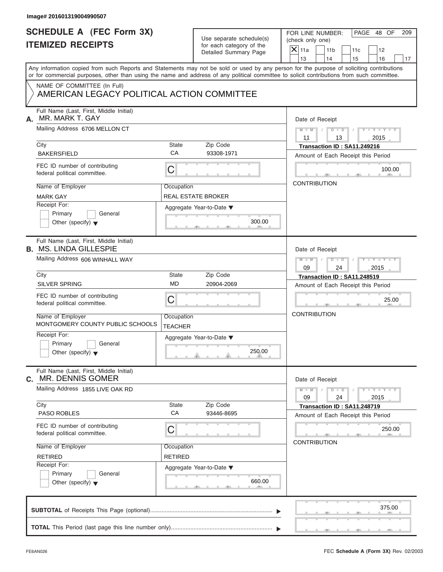| Image# 201601319004990507                                                                                                                  |                                         |                                                                               |                                                                                                                                           |
|--------------------------------------------------------------------------------------------------------------------------------------------|-----------------------------------------|-------------------------------------------------------------------------------|-------------------------------------------------------------------------------------------------------------------------------------------|
| <b>SCHEDULE A (FEC Form 3X)</b><br><b>ITEMIZED RECEIPTS</b>                                                                                |                                         | Use separate schedule(s)<br>for each category of the<br>Detailed Summary Page | FOR LINE NUMBER:<br>PAGE 48 OF<br>209<br>(check only one)<br>$X$ 11a<br>11 <sub>b</sub><br>11c<br>12<br>13<br>14<br>15<br>16<br>17        |
| or for commercial purposes, other than using the name and address of any political committee to solicit contributions from such committee. |                                         |                                                                               | Any information copied from such Reports and Statements may not be sold or used by any person for the purpose of soliciting contributions |
| NAME OF COMMITTEE (In Full)<br>AMERICAN LEGACY POLITICAL ACTION COMMITTEE                                                                  |                                         |                                                                               |                                                                                                                                           |
| Full Name (Last, First, Middle Initial)<br>MR. MARK T. GAY<br>А.                                                                           |                                         |                                                                               | Date of Receipt                                                                                                                           |
| Mailing Address 6706 MELLON CT                                                                                                             |                                         |                                                                               | $D$ $D$<br>$Y - Y - Y - Y - Y$<br>$M - M$ /<br>$\sqrt{ }$<br>11<br>2015<br>13                                                             |
| City<br><b>BAKERSFIELD</b>                                                                                                                 | State<br>CA                             | Zip Code<br>93308-1971                                                        | Transaction ID: SA11.249216<br>Amount of Each Receipt this Period                                                                         |
| FEC ID number of contributing<br>federal political committee.                                                                              | С                                       |                                                                               | 100.00                                                                                                                                    |
| Name of Employer<br><b>MARK GAY</b>                                                                                                        | Occupation<br><b>REAL ESTATE BROKER</b> |                                                                               | <b>CONTRIBUTION</b>                                                                                                                       |
| Receipt For:<br>Primary<br>General<br>Other (specify) $\blacktriangledown$                                                                 |                                         | Aggregate Year-to-Date ▼<br>300.00                                            |                                                                                                                                           |
| Full Name (Last, First, Middle Initial)<br><b>B. MS. LINDA GILLESPIE</b>                                                                   |                                         |                                                                               | Date of Receipt                                                                                                                           |
| Mailing Address 606 WINHALL WAY                                                                                                            |                                         |                                                                               | $M - M$<br>$D - I$<br>$Y = Y = Y' - Y'$<br>$\sqrt{2}$<br>2015<br>09<br>24                                                                 |
| City<br><b>SILVER SPRING</b>                                                                                                               | State<br><b>MD</b>                      | Zip Code<br>20904-2069                                                        | Transaction ID: SA11.248519<br>Amount of Each Receipt this Period                                                                         |
| FEC ID number of contributing<br>federal political committee.                                                                              | С                                       |                                                                               | 25.00                                                                                                                                     |
| Name of Employer<br>MONTGOMERY COUNTY PUBLIC SCHOOLS                                                                                       | Occupation<br><b>TEACHER</b>            |                                                                               | <b>CONTRIBUTION</b>                                                                                                                       |
| Receipt For:<br>Primary<br>General<br>Other (specify) $\blacktriangledown$                                                                 |                                         | Aggregate Year-to-Date ▼<br>250.00                                            |                                                                                                                                           |
| Full Name (Last, First, Middle Initial)<br><b>c.</b> MR. DENNIS GOMER                                                                      |                                         |                                                                               | Date of Receipt                                                                                                                           |
| Mailing Address 1855 LIVE OAK RD                                                                                                           |                                         |                                                                               | $Y - Y - Y - Y - Y$<br>$M - M$<br>$D - D$<br>24<br>09<br>2015                                                                             |
| City<br><b>PASO ROBLES</b>                                                                                                                 | State<br>CA                             | Zip Code<br>93446-8695                                                        | Transaction ID: SA11.248719<br>Amount of Each Receipt this Period                                                                         |
| FEC ID number of contributing<br>federal political committee.                                                                              | С                                       |                                                                               | 250.00                                                                                                                                    |
| Name of Employer<br><b>RETIRED</b>                                                                                                         | Occupation<br><b>RETIRED</b>            |                                                                               | <b>CONTRIBUTION</b>                                                                                                                       |
| Receipt For:<br>Primary<br>General<br>Other (specify) $\blacktriangledown$                                                                 |                                         | Aggregate Year-to-Date ▼<br>660.00                                            |                                                                                                                                           |
|                                                                                                                                            |                                         |                                                                               | 375.00                                                                                                                                    |
|                                                                                                                                            |                                         |                                                                               |                                                                                                                                           |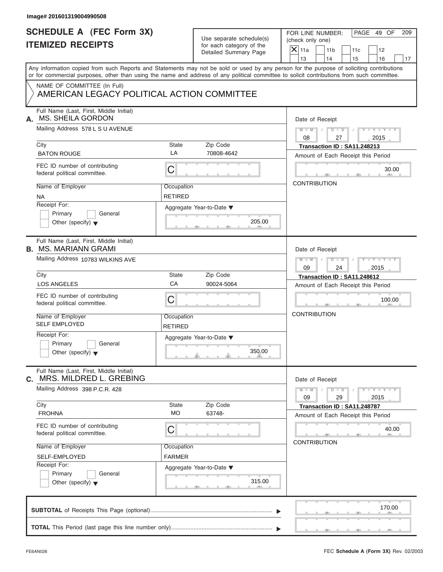| Image# 201601319004990508                                                                                                                  |                              |                                                                               |                                                                                                                                           |
|--------------------------------------------------------------------------------------------------------------------------------------------|------------------------------|-------------------------------------------------------------------------------|-------------------------------------------------------------------------------------------------------------------------------------------|
| <b>SCHEDULE A (FEC Form 3X)</b><br><b>ITEMIZED RECEIPTS</b>                                                                                |                              | Use separate schedule(s)<br>for each category of the<br>Detailed Summary Page | PAGE 49 OF<br>FOR LINE NUMBER:<br>209<br>(check only one)<br>$X$ 11a<br>11 <sub>b</sub><br>11c<br>12<br>13<br>14<br>15<br>16<br>17        |
| or for commercial purposes, other than using the name and address of any political committee to solicit contributions from such committee. |                              |                                                                               | Any information copied from such Reports and Statements may not be sold or used by any person for the purpose of soliciting contributions |
| NAME OF COMMITTEE (In Full)<br>AMERICAN LEGACY POLITICAL ACTION COMMITTEE                                                                  |                              |                                                                               |                                                                                                                                           |
| Full Name (Last, First, Middle Initial)<br>MS. SHEILA GORDON<br>А.                                                                         |                              |                                                                               | Date of Receipt                                                                                                                           |
| Mailing Address 578 L S U AVENUE                                                                                                           |                              |                                                                               | $M - M$ / $D - D$ /<br>$Y - Y - Y - Y - Y$<br>08<br>2015<br>27                                                                            |
| City<br><b>BATON ROUGE</b>                                                                                                                 | State<br>LA                  | Zip Code<br>70808-4642                                                        | Transaction ID: SA11.248213<br>Amount of Each Receipt this Period                                                                         |
| FEC ID number of contributing<br>federal political committee.                                                                              | C                            |                                                                               | 30.00                                                                                                                                     |
| Name of Employer<br><b>NA</b>                                                                                                              | Occupation<br><b>RETIRED</b> |                                                                               | <b>CONTRIBUTION</b>                                                                                                                       |
| Receipt For:<br>Primary<br>General<br>Other (specify) $\blacktriangledown$                                                                 |                              | Aggregate Year-to-Date ▼<br>205.00                                            |                                                                                                                                           |
| Full Name (Last, First, Middle Initial)<br><b>B. MS. MARIANN GRAMI</b>                                                                     |                              |                                                                               | Date of Receipt                                                                                                                           |
| Mailing Address 10783 WILKINS AVE                                                                                                          |                              |                                                                               | Y T Y T Y T<br>$M - M$<br>$D - I$<br>$\sqrt{2}$<br>09<br>24<br>2015                                                                       |
| City<br><b>LOS ANGELES</b>                                                                                                                 | State<br>CA                  | Zip Code<br>90024-5064                                                        | Transaction ID: SA11.248612<br>Amount of Each Receipt this Period                                                                         |
| FEC ID number of contributing<br>federal political committee.                                                                              | С                            |                                                                               | 100.00                                                                                                                                    |
| Name of Employer<br><b>SELF EMPLOYED</b>                                                                                                   | Occupation<br><b>RETIRED</b> |                                                                               | <b>CONTRIBUTION</b>                                                                                                                       |
| Receipt For:<br>Primary<br>General<br>Other (specify) $\blacktriangledown$                                                                 |                              | Aggregate Year-to-Date ▼<br>350.00                                            |                                                                                                                                           |
| Full Name (Last, First, Middle Initial)<br>MRS. MILDRED L. GREBING<br>C.                                                                   |                              |                                                                               | Date of Receipt                                                                                                                           |
| Mailing Address 398 P.C.R. 428                                                                                                             |                              |                                                                               | $Y - Y - Y - Y - Y$<br>$M - M$<br>$D$ $\Box$ $D$<br>29<br>09<br>2015                                                                      |
| City<br><b>FROHNA</b>                                                                                                                      | State<br><b>MO</b>           | Zip Code<br>63748-                                                            | Transaction ID: SA11.248787<br>Amount of Each Receipt this Period                                                                         |
| FEC ID number of contributing<br>federal political committee.                                                                              | С                            |                                                                               | 40.00                                                                                                                                     |
| Name of Employer<br>SELF-EMPLOYED                                                                                                          | Occupation<br><b>FARMER</b>  |                                                                               | <b>CONTRIBUTION</b>                                                                                                                       |
| Receipt For:<br>Primary<br>General<br>Other (specify) $\blacktriangledown$                                                                 |                              | Aggregate Year-to-Date ▼<br>315.00                                            |                                                                                                                                           |
|                                                                                                                                            |                              |                                                                               | 170.00                                                                                                                                    |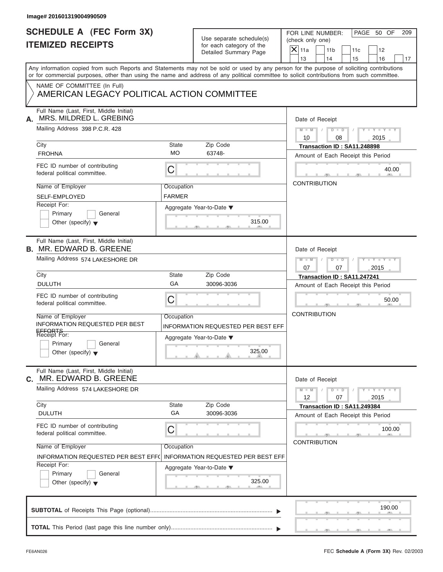| Image# 201601319004990509                                                                                                                                                                                                                                                               |                             |                                                       |                                                                                                                    |  |
|-----------------------------------------------------------------------------------------------------------------------------------------------------------------------------------------------------------------------------------------------------------------------------------------|-----------------------------|-------------------------------------------------------|--------------------------------------------------------------------------------------------------------------------|--|
| <b>SCHEDULE A (FEC Form 3X)</b><br><b>ITEMIZED RECEIPTS</b>                                                                                                                                                                                                                             |                             | Use separate schedule(s)<br>for each category of the  | PAGE 50 OF<br>FOR LINE NUMBER:<br>209<br>(check only one)<br>$\overline{X} _{11a}$<br>11 <sub>b</sub><br>11c<br>12 |  |
|                                                                                                                                                                                                                                                                                         |                             | Detailed Summary Page                                 | 13<br>14<br>15<br>16                                                                                               |  |
| Any information copied from such Reports and Statements may not be sold or used by any person for the purpose of soliciting contributions<br>or for commercial purposes, other than using the name and address of any political committee to solicit contributions from such committee. |                             |                                                       |                                                                                                                    |  |
| NAME OF COMMITTEE (In Full)<br>AMERICAN LEGACY POLITICAL ACTION COMMITTEE                                                                                                                                                                                                               |                             |                                                       |                                                                                                                    |  |
| Full Name (Last, First, Middle Initial)<br>MRS. MILDRED L. GREBING<br>А.                                                                                                                                                                                                                |                             |                                                       | Date of Receipt                                                                                                    |  |
| Mailing Address 398 P.C.R. 428                                                                                                                                                                                                                                                          |                             |                                                       | $D$ $\Box$ $D$<br>$M - M$ /<br>$Y - Y - Y - Y - Y$<br>$\sqrt{ }$<br>10<br>08<br>2015                               |  |
| City<br><b>FROHNA</b>                                                                                                                                                                                                                                                                   | State<br><b>MO</b>          | Zip Code<br>63748-                                    | Transaction ID: SA11.248898<br>Amount of Each Receipt this Period                                                  |  |
| FEC ID number of contributing<br>federal political committee.                                                                                                                                                                                                                           | С                           |                                                       | 40.00<br>$\sqrt{10}$                                                                                               |  |
| Name of Employer<br><b>SELF-EMPLOYED</b>                                                                                                                                                                                                                                                | Occupation<br><b>FARMER</b> |                                                       | <b>CONTRIBUTION</b>                                                                                                |  |
| Receipt For:<br>Primary<br>General<br>Other (specify) $\blacktriangledown$                                                                                                                                                                                                              |                             | Aggregate Year-to-Date $\blacktriangledown$<br>315.00 |                                                                                                                    |  |
| Full Name (Last, First, Middle Initial)<br><b>B. MR. EDWARD B. GREENE</b>                                                                                                                                                                                                               |                             |                                                       | Date of Receipt                                                                                                    |  |
| Mailing Address 574 LAKESHORE DR                                                                                                                                                                                                                                                        |                             |                                                       | $D$ $D$<br>$Y = Y = Y' = Y'$<br>$M - M$<br>$\sqrt{2}$<br>07<br>07<br>2015                                          |  |
| City                                                                                                                                                                                                                                                                                    | State                       | Zip Code                                              | Transaction ID: SA11.247241                                                                                        |  |
| <b>DULUTH</b>                                                                                                                                                                                                                                                                           | GA                          | 30096-3036                                            | Amount of Each Receipt this Period                                                                                 |  |
| FEC ID number of contributing<br>federal political committee.                                                                                                                                                                                                                           | С                           |                                                       | 50.00                                                                                                              |  |
| Name of Employer<br><b>INFORMATION REQUESTED PER BEST</b>                                                                                                                                                                                                                               | Occupation                  | INFORMATION REQUESTED PER BEST EFF                    | <b>CONTRIBUTION</b>                                                                                                |  |
| EFFORTS<br>Receipt For:<br>Primary<br>General<br>Other (specify) $\blacktriangledown$                                                                                                                                                                                                   |                             | Aggregate Year-to-Date ▼<br>325.00                    |                                                                                                                    |  |
| Full Name (Last, First, Middle Initial)<br>C. MR. EDWARD B. GREENE                                                                                                                                                                                                                      |                             |                                                       | Date of Receipt                                                                                                    |  |
| Mailing Address 574 LAKESHORE DR                                                                                                                                                                                                                                                        |                             |                                                       | $Y - Y - Y - Y - Y$<br>$M - M$<br>$D$ $\Box$ $D$<br>12<br>07<br>2015                                               |  |
| City<br><b>DULUTH</b>                                                                                                                                                                                                                                                                   | State<br>GA                 | Zip Code<br>30096-3036                                | Transaction ID: SA11.249384<br>Amount of Each Receipt this Period                                                  |  |
| FEC ID number of contributing<br>federal political committee.                                                                                                                                                                                                                           | С                           |                                                       | 100.00<br><b>CONTRIBUTION</b>                                                                                      |  |
| Name of Employer<br>INFORMATION REQUESTED PER BEST EFF(                                                                                                                                                                                                                                 | Occupation                  | <b>INFORMATION REQUESTED PER BEST EFF</b>             |                                                                                                                    |  |
| Receipt For:<br>Primary<br>General<br>Other (specify) $\blacktriangledown$                                                                                                                                                                                                              |                             | Aggregate Year-to-Date ▼<br>325.00                    |                                                                                                                    |  |
|                                                                                                                                                                                                                                                                                         |                             |                                                       | 190.00                                                                                                             |  |
|                                                                                                                                                                                                                                                                                         |                             |                                                       |                                                                                                                    |  |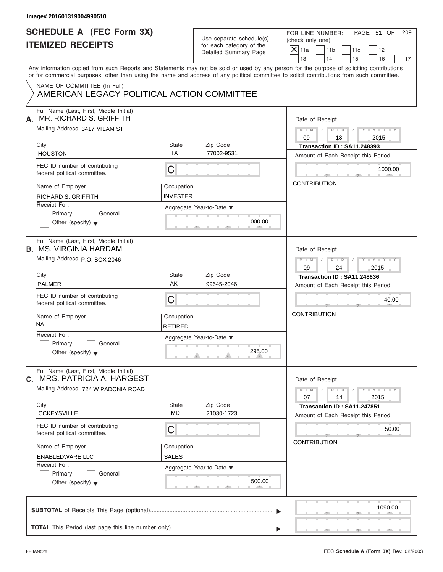| <b>SCHEDULE A (FEC Form 3X)</b><br>FOR LINE NUMBER:<br>Use separate schedule(s)<br>(check only one)<br><b>ITEMIZED RECEIPTS</b><br>for each category of the<br>$X$ 11a<br>Detailed Summary Page<br>13<br>Any information copied from such Reports and Statements may not be sold or used by any person for the purpose of soliciting contributions<br>or for commercial purposes, other than using the name and address of any political committee to solicit contributions from such committee.<br>NAME OF COMMITTEE (In Full)<br>AMERICAN LEGACY POLITICAL ACTION COMMITTEE<br>Full Name (Last, First, Middle Initial)<br>MR. RICHARD S. GRIFFITH<br>А.<br>Mailing Address 3417 MILAM ST<br>$M$ $M$ $I$<br>09<br>City<br>State<br>Zip Code<br><b>TX</b><br>77002-9531<br><b>HOUSTON</b><br>FEC ID number of contributing<br>C<br>federal political committee.<br><b>CONTRIBUTION</b><br>Name of Employer<br>Occupation<br><b>INVESTER</b><br>RICHARD S. GRIFFITH<br>Receipt For:<br>Aggregate Year-to-Date ▼<br>Primary<br>General<br>1000.00<br>Other (specify) $\blacktriangledown$<br>Full Name (Last, First, Middle Initial)<br><b>B. MS. VIRGINIA HARDAM</b><br>Mailing Address P.O. BOX 2046<br>$M - M$<br>09<br>City<br>State<br>Zip Code<br>AK<br><b>PALMER</b><br>99645-2046<br>FEC ID number of contributing<br>С<br>federal political committee.<br><b>CONTRIBUTION</b><br>Name of Employer<br>Occupation<br>NA<br><b>RETIRED</b><br>Receipt For:<br>Aggregate Year-to-Date ▼<br>Primary<br>General<br>295.00<br>Other (specify) $\blacktriangledown$<br>Full Name (Last, First, Middle Initial)<br>MRS. PATRICIA A. HARGEST<br>C.<br>Mailing Address 724 W PADONIA ROAD<br>$M - M$<br>07<br>Zip Code<br>City<br><b>State</b><br><b>MD</b><br><b>CCKEYSVILLE</b><br>21030-1723<br>FEC ID number of contributing<br>С<br>federal political committee.<br><b>CONTRIBUTION</b><br>Name of Employer<br>Occupation<br><b>SALES</b><br><b>ENABLEDWARE LLC</b><br>Receipt For:<br>Aggregate Year-to-Date ▼ |                                                                   |            |                             |     |
|------------------------------------------------------------------------------------------------------------------------------------------------------------------------------------------------------------------------------------------------------------------------------------------------------------------------------------------------------------------------------------------------------------------------------------------------------------------------------------------------------------------------------------------------------------------------------------------------------------------------------------------------------------------------------------------------------------------------------------------------------------------------------------------------------------------------------------------------------------------------------------------------------------------------------------------------------------------------------------------------------------------------------------------------------------------------------------------------------------------------------------------------------------------------------------------------------------------------------------------------------------------------------------------------------------------------------------------------------------------------------------------------------------------------------------------------------------------------------------------------------------------------------------------------------------------------------------------------------------------------------------------------------------------------------------------------------------------------------------------------------------------------------------------------------------------------------------------------------------------------------------------------------------------------------------------------------------------------------------------------------------------|-------------------------------------------------------------------|------------|-----------------------------|-----|
|                                                                                                                                                                                                                                                                                                                                                                                                                                                                                                                                                                                                                                                                                                                                                                                                                                                                                                                                                                                                                                                                                                                                                                                                                                                                                                                                                                                                                                                                                                                                                                                                                                                                                                                                                                                                                                                                                                                                                                                                                  |                                                                   |            | PAGE 51 OF                  | 209 |
|                                                                                                                                                                                                                                                                                                                                                                                                                                                                                                                                                                                                                                                                                                                                                                                                                                                                                                                                                                                                                                                                                                                                                                                                                                                                                                                                                                                                                                                                                                                                                                                                                                                                                                                                                                                                                                                                                                                                                                                                                  | 11 <sub>b</sub><br>14                                             | 11c<br>15  | 12<br>16                    | 17  |
|                                                                                                                                                                                                                                                                                                                                                                                                                                                                                                                                                                                                                                                                                                                                                                                                                                                                                                                                                                                                                                                                                                                                                                                                                                                                                                                                                                                                                                                                                                                                                                                                                                                                                                                                                                                                                                                                                                                                                                                                                  |                                                                   |            |                             |     |
|                                                                                                                                                                                                                                                                                                                                                                                                                                                                                                                                                                                                                                                                                                                                                                                                                                                                                                                                                                                                                                                                                                                                                                                                                                                                                                                                                                                                                                                                                                                                                                                                                                                                                                                                                                                                                                                                                                                                                                                                                  |                                                                   |            |                             |     |
|                                                                                                                                                                                                                                                                                                                                                                                                                                                                                                                                                                                                                                                                                                                                                                                                                                                                                                                                                                                                                                                                                                                                                                                                                                                                                                                                                                                                                                                                                                                                                                                                                                                                                                                                                                                                                                                                                                                                                                                                                  | Date of Receipt                                                   |            |                             |     |
|                                                                                                                                                                                                                                                                                                                                                                                                                                                                                                                                                                                                                                                                                                                                                                                                                                                                                                                                                                                                                                                                                                                                                                                                                                                                                                                                                                                                                                                                                                                                                                                                                                                                                                                                                                                                                                                                                                                                                                                                                  | $D$ $D$ $I$<br>18                                                 |            | $Y - Y - Y - Y - Y$<br>2015 |     |
|                                                                                                                                                                                                                                                                                                                                                                                                                                                                                                                                                                                                                                                                                                                                                                                                                                                                                                                                                                                                                                                                                                                                                                                                                                                                                                                                                                                                                                                                                                                                                                                                                                                                                                                                                                                                                                                                                                                                                                                                                  | Transaction ID: SA11.248393<br>Amount of Each Receipt this Period |            |                             |     |
|                                                                                                                                                                                                                                                                                                                                                                                                                                                                                                                                                                                                                                                                                                                                                                                                                                                                                                                                                                                                                                                                                                                                                                                                                                                                                                                                                                                                                                                                                                                                                                                                                                                                                                                                                                                                                                                                                                                                                                                                                  |                                                                   |            | 1000.00                     |     |
|                                                                                                                                                                                                                                                                                                                                                                                                                                                                                                                                                                                                                                                                                                                                                                                                                                                                                                                                                                                                                                                                                                                                                                                                                                                                                                                                                                                                                                                                                                                                                                                                                                                                                                                                                                                                                                                                                                                                                                                                                  |                                                                   |            |                             |     |
|                                                                                                                                                                                                                                                                                                                                                                                                                                                                                                                                                                                                                                                                                                                                                                                                                                                                                                                                                                                                                                                                                                                                                                                                                                                                                                                                                                                                                                                                                                                                                                                                                                                                                                                                                                                                                                                                                                                                                                                                                  |                                                                   |            |                             |     |
|                                                                                                                                                                                                                                                                                                                                                                                                                                                                                                                                                                                                                                                                                                                                                                                                                                                                                                                                                                                                                                                                                                                                                                                                                                                                                                                                                                                                                                                                                                                                                                                                                                                                                                                                                                                                                                                                                                                                                                                                                  | Date of Receipt                                                   |            |                             |     |
|                                                                                                                                                                                                                                                                                                                                                                                                                                                                                                                                                                                                                                                                                                                                                                                                                                                                                                                                                                                                                                                                                                                                                                                                                                                                                                                                                                                                                                                                                                                                                                                                                                                                                                                                                                                                                                                                                                                                                                                                                  | $D - I - D$<br>24                                                 | $\sqrt{ }$ | Y T Y T Y T<br>2015         |     |
|                                                                                                                                                                                                                                                                                                                                                                                                                                                                                                                                                                                                                                                                                                                                                                                                                                                                                                                                                                                                                                                                                                                                                                                                                                                                                                                                                                                                                                                                                                                                                                                                                                                                                                                                                                                                                                                                                                                                                                                                                  | Transaction ID: SA11.248636                                       |            |                             |     |
|                                                                                                                                                                                                                                                                                                                                                                                                                                                                                                                                                                                                                                                                                                                                                                                                                                                                                                                                                                                                                                                                                                                                                                                                                                                                                                                                                                                                                                                                                                                                                                                                                                                                                                                                                                                                                                                                                                                                                                                                                  | Amount of Each Receipt this Period                                |            |                             |     |
|                                                                                                                                                                                                                                                                                                                                                                                                                                                                                                                                                                                                                                                                                                                                                                                                                                                                                                                                                                                                                                                                                                                                                                                                                                                                                                                                                                                                                                                                                                                                                                                                                                                                                                                                                                                                                                                                                                                                                                                                                  |                                                                   |            | 40.00                       |     |
|                                                                                                                                                                                                                                                                                                                                                                                                                                                                                                                                                                                                                                                                                                                                                                                                                                                                                                                                                                                                                                                                                                                                                                                                                                                                                                                                                                                                                                                                                                                                                                                                                                                                                                                                                                                                                                                                                                                                                                                                                  |                                                                   |            |                             |     |
|                                                                                                                                                                                                                                                                                                                                                                                                                                                                                                                                                                                                                                                                                                                                                                                                                                                                                                                                                                                                                                                                                                                                                                                                                                                                                                                                                                                                                                                                                                                                                                                                                                                                                                                                                                                                                                                                                                                                                                                                                  |                                                                   |            |                             |     |
|                                                                                                                                                                                                                                                                                                                                                                                                                                                                                                                                                                                                                                                                                                                                                                                                                                                                                                                                                                                                                                                                                                                                                                                                                                                                                                                                                                                                                                                                                                                                                                                                                                                                                                                                                                                                                                                                                                                                                                                                                  | Date of Receipt                                                   |            |                             |     |
|                                                                                                                                                                                                                                                                                                                                                                                                                                                                                                                                                                                                                                                                                                                                                                                                                                                                                                                                                                                                                                                                                                                                                                                                                                                                                                                                                                                                                                                                                                                                                                                                                                                                                                                                                                                                                                                                                                                                                                                                                  | $D$ $\Box$ $D$<br>14                                              |            | $Y - Y - Y - Y - Y$<br>2015 |     |
|                                                                                                                                                                                                                                                                                                                                                                                                                                                                                                                                                                                                                                                                                                                                                                                                                                                                                                                                                                                                                                                                                                                                                                                                                                                                                                                                                                                                                                                                                                                                                                                                                                                                                                                                                                                                                                                                                                                                                                                                                  | Transaction ID: SA11.247851<br>Amount of Each Receipt this Period |            |                             |     |
|                                                                                                                                                                                                                                                                                                                                                                                                                                                                                                                                                                                                                                                                                                                                                                                                                                                                                                                                                                                                                                                                                                                                                                                                                                                                                                                                                                                                                                                                                                                                                                                                                                                                                                                                                                                                                                                                                                                                                                                                                  |                                                                   |            | 50.00                       |     |
|                                                                                                                                                                                                                                                                                                                                                                                                                                                                                                                                                                                                                                                                                                                                                                                                                                                                                                                                                                                                                                                                                                                                                                                                                                                                                                                                                                                                                                                                                                                                                                                                                                                                                                                                                                                                                                                                                                                                                                                                                  |                                                                   |            |                             |     |
|                                                                                                                                                                                                                                                                                                                                                                                                                                                                                                                                                                                                                                                                                                                                                                                                                                                                                                                                                                                                                                                                                                                                                                                                                                                                                                                                                                                                                                                                                                                                                                                                                                                                                                                                                                                                                                                                                                                                                                                                                  |                                                                   |            |                             |     |
| Primary<br>General<br>500.00<br>Other (specify) $\blacktriangledown$                                                                                                                                                                                                                                                                                                                                                                                                                                                                                                                                                                                                                                                                                                                                                                                                                                                                                                                                                                                                                                                                                                                                                                                                                                                                                                                                                                                                                                                                                                                                                                                                                                                                                                                                                                                                                                                                                                                                             |                                                                   |            |                             |     |
|                                                                                                                                                                                                                                                                                                                                                                                                                                                                                                                                                                                                                                                                                                                                                                                                                                                                                                                                                                                                                                                                                                                                                                                                                                                                                                                                                                                                                                                                                                                                                                                                                                                                                                                                                                                                                                                                                                                                                                                                                  |                                                                   |            | 1090.00                     |     |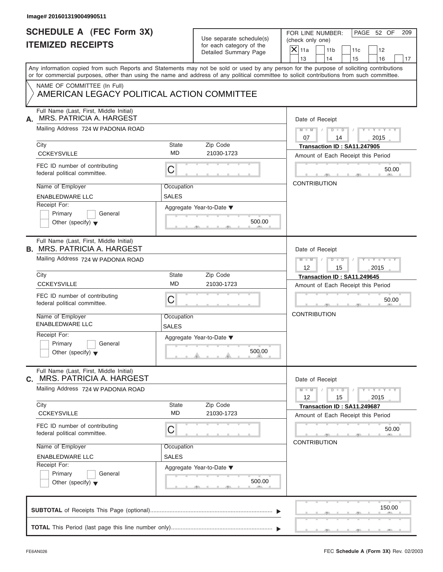| Image# 201601319004990511                                                        |                            |                                                                               |                                                                                                                                                                                                                                                                                         |
|----------------------------------------------------------------------------------|----------------------------|-------------------------------------------------------------------------------|-----------------------------------------------------------------------------------------------------------------------------------------------------------------------------------------------------------------------------------------------------------------------------------------|
| <b>SCHEDULE A (FEC Form 3X)</b><br><b>ITEMIZED RECEIPTS</b>                      |                            | Use separate schedule(s)<br>for each category of the<br>Detailed Summary Page | PAGE 52 OF<br>FOR LINE NUMBER:<br>209<br>(check only one)<br>$\overline{X}$ 11a<br>11 <sub>b</sub><br>11c<br>12                                                                                                                                                                         |
|                                                                                  |                            |                                                                               | 13<br>14<br>15<br>16<br>17                                                                                                                                                                                                                                                              |
|                                                                                  |                            |                                                                               | Any information copied from such Reports and Statements may not be sold or used by any person for the purpose of soliciting contributions<br>or for commercial purposes, other than using the name and address of any political committee to solicit contributions from such committee. |
| NAME OF COMMITTEE (In Full)<br>AMERICAN LEGACY POLITICAL ACTION COMMITTEE        |                            |                                                                               |                                                                                                                                                                                                                                                                                         |
| Full Name (Last, First, Middle Initial)<br>MRS. PATRICIA A. HARGEST<br>А.        |                            |                                                                               | Date of Receipt                                                                                                                                                                                                                                                                         |
| Mailing Address 724 W PADONIA ROAD                                               |                            |                                                                               | $M = M \qquad / \qquad D = D \qquad /$<br>$Y - Y - Y - Y - Y$<br>07<br>14<br>2015                                                                                                                                                                                                       |
| City<br><b>CCKEYSVILLE</b>                                                       | State<br><b>MD</b>         | Zip Code<br>21030-1723                                                        | Transaction ID: SA11.247905<br>Amount of Each Receipt this Period                                                                                                                                                                                                                       |
| FEC ID number of contributing<br>federal political committee.                    | $\mathsf C$                |                                                                               | 50.00                                                                                                                                                                                                                                                                                   |
| Name of Employer<br><b>ENABLEDWARE LLC</b>                                       | Occupation<br>SALES        |                                                                               | <b>CONTRIBUTION</b>                                                                                                                                                                                                                                                                     |
| Receipt For:<br>Primary<br>General<br>Other (specify) $\blacktriangledown$       |                            | Aggregate Year-to-Date ▼<br>500.00                                            |                                                                                                                                                                                                                                                                                         |
| Full Name (Last, First, Middle Initial)<br><b>B. MRS. PATRICIA A. HARGEST</b>    |                            |                                                                               | Date of Receipt                                                                                                                                                                                                                                                                         |
| Mailing Address 724 W PADONIA ROAD                                               |                            |                                                                               | $D$ $D$ $/$<br>$Y = Y = Y' + Y' + Y$<br>$M$ $M$ $/$<br>$12 \overline{ }$<br>2015<br>15                                                                                                                                                                                                  |
| City<br><b>CCKEYSVILLE</b>                                                       | State<br><b>MD</b>         | Zip Code<br>21030-1723                                                        | Transaction ID: SA11.249645                                                                                                                                                                                                                                                             |
|                                                                                  |                            |                                                                               | Amount of Each Receipt this Period                                                                                                                                                                                                                                                      |
| FEC ID number of contributing<br>federal political committee.                    | C                          |                                                                               | 50.00                                                                                                                                                                                                                                                                                   |
| Name of Employer<br><b>ENABLEDWARE LLC</b>                                       | Occupation<br><b>SALES</b> |                                                                               | <b>CONTRIBUTION</b>                                                                                                                                                                                                                                                                     |
| Receipt For:<br>Primary<br>General<br>Other (specify) $\blacktriangledown$       |                            | Aggregate Year-to-Date ▼<br>500.00                                            |                                                                                                                                                                                                                                                                                         |
| Full Name (Last, First, Middle Initial)<br><b>MRS. PATRICIA A. HARGEST</b><br>С. |                            |                                                                               | Date of Receipt                                                                                                                                                                                                                                                                         |
| Mailing Address 724 W PADONIA ROAD                                               |                            |                                                                               | $Y - Y - Y - Y - Y$<br>$M - M$<br>$D$ $\Box$ $D$<br>12<br>15<br>2015                                                                                                                                                                                                                    |
| City<br><b>CCKEYSVILLE</b>                                                       | State<br><b>MD</b>         | Zip Code<br>21030-1723                                                        | Transaction ID: SA11.249687<br>Amount of Each Receipt this Period                                                                                                                                                                                                                       |
| FEC ID number of contributing<br>federal political committee.                    | C                          |                                                                               | 50.00<br><b>CONTRIBUTION</b>                                                                                                                                                                                                                                                            |
| Name of Employer                                                                 | Occupation                 |                                                                               |                                                                                                                                                                                                                                                                                         |
| <b>ENABLEDWARE LLC</b><br>Receipt For:                                           | <b>SALES</b>               |                                                                               |                                                                                                                                                                                                                                                                                         |
| Primary<br>General<br>Other (specify) $\blacktriangledown$                       |                            | Aggregate Year-to-Date ▼<br>500.00                                            |                                                                                                                                                                                                                                                                                         |
|                                                                                  |                            |                                                                               | 150.00                                                                                                                                                                                                                                                                                  |
|                                                                                  |                            |                                                                               |                                                                                                                                                                                                                                                                                         |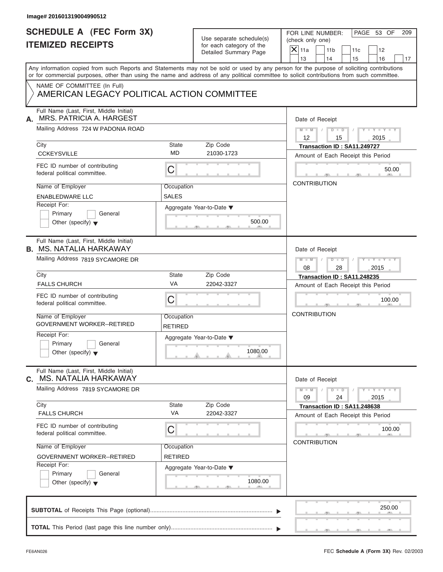| <b>SCHEDULE A (FEC Form 3X)</b>                                           |                | Use separate schedule(s) | PAGE 53 OF<br>FOR LINE NUMBER:<br>209                                                                                                           |  |  |
|---------------------------------------------------------------------------|----------------|--------------------------|-------------------------------------------------------------------------------------------------------------------------------------------------|--|--|
| <b>ITEMIZED RECEIPTS</b>                                                  |                | for each category of the | (check only one)                                                                                                                                |  |  |
|                                                                           |                | Detailed Summary Page    | $X$ 11a<br>11 <sub>b</sub><br>11c<br>12<br>13<br>14<br>15<br>16                                                                                 |  |  |
|                                                                           |                |                          | 17<br>Any information copied from such Reports and Statements may not be sold or used by any person for the purpose of soliciting contributions |  |  |
|                                                                           |                |                          | or for commercial purposes, other than using the name and address of any political committee to solicit contributions from such committee.      |  |  |
| NAME OF COMMITTEE (In Full)<br>AMERICAN LEGACY POLITICAL ACTION COMMITTEE |                |                          |                                                                                                                                                 |  |  |
|                                                                           |                |                          |                                                                                                                                                 |  |  |
| Full Name (Last, First, Middle Initial)<br>MRS. PATRICIA A. HARGEST<br>А. |                |                          | Date of Receipt                                                                                                                                 |  |  |
| Mailing Address 724 W PADONIA ROAD                                        |                |                          | $D$ $D$<br>$Y - Y - Y - Y - Y$<br>$M - M$ /<br>$\sqrt{ }$<br>$12 \overline{ }$<br>2015<br>15                                                    |  |  |
| City                                                                      | State          | Zip Code                 | Transaction ID: SA11.249727                                                                                                                     |  |  |
| <b>CCKEYSVILLE</b>                                                        | <b>MD</b>      | 21030-1723               | Amount of Each Receipt this Period                                                                                                              |  |  |
| FEC ID number of contributing<br>federal political committee.             | С              |                          | 50.00                                                                                                                                           |  |  |
| Name of Employer                                                          | Occupation     |                          | <b>CONTRIBUTION</b>                                                                                                                             |  |  |
| <b>ENABLEDWARE LLC</b>                                                    | SALES          |                          |                                                                                                                                                 |  |  |
| Receipt For:                                                              |                | Aggregate Year-to-Date ▼ |                                                                                                                                                 |  |  |
| Primary<br>General                                                        |                |                          |                                                                                                                                                 |  |  |
| Other (specify) $\blacktriangledown$                                      |                | 500.00                   |                                                                                                                                                 |  |  |
| Full Name (Last, First, Middle Initial)<br><b>B. MS. NATALIA HARKAWAY</b> |                |                          | Date of Receipt                                                                                                                                 |  |  |
| Mailing Address 7819 SYCAMORE DR                                          |                |                          | $M - M$<br>$D - I - D$<br>$Y = Y = Y' - Y'$<br>$\sqrt{2}$                                                                                       |  |  |
|                                                                           |                |                          | 2015<br>08<br>28                                                                                                                                |  |  |
| City                                                                      | State          | Zip Code                 | Transaction ID: SA11.248235                                                                                                                     |  |  |
| <b>FALLS CHURCH</b>                                                       | VA             | 22042-3327               | Amount of Each Receipt this Period                                                                                                              |  |  |
| FEC ID number of contributing<br>federal political committee.             | C              |                          | 100.00                                                                                                                                          |  |  |
| Name of Employer                                                          | Occupation     |                          | <b>CONTRIBUTION</b>                                                                                                                             |  |  |
| <b>GOVERNMENT WORKER--RETIRED</b>                                         | <b>RETIRED</b> |                          |                                                                                                                                                 |  |  |
| Receipt For:                                                              |                | Aggregate Year-to-Date ▼ |                                                                                                                                                 |  |  |
| Primary<br>General<br>Other (specify) $\blacktriangledown$                |                | 1080.00                  |                                                                                                                                                 |  |  |
| Full Name (Last, First, Middle Initial)<br>C. MS. NATALIA HARKAWAY        |                |                          | Date of Receipt                                                                                                                                 |  |  |
| Mailing Address 7819 SYCAMORE DR                                          |                |                          | $Y - Y - Y - Y - Y$<br>$M - M$<br>$D - D$<br>24<br>09<br>2015                                                                                   |  |  |
| City                                                                      | State          | Zip Code                 | Transaction ID: SA11.248638                                                                                                                     |  |  |
| <b>FALLS CHURCH</b>                                                       | VA             | 22042-3327               | Amount of Each Receipt this Period                                                                                                              |  |  |
| FEC ID number of contributing<br>federal political committee.             | С              |                          | 100.00                                                                                                                                          |  |  |
| Name of Employer                                                          | Occupation     |                          | <b>CONTRIBUTION</b>                                                                                                                             |  |  |
| <b>GOVERNMENT WORKER--RETIRED</b>                                         | <b>RETIRED</b> |                          |                                                                                                                                                 |  |  |
|                                                                           |                | Aggregate Year-to-Date ▼ |                                                                                                                                                 |  |  |
| Receipt For:                                                              |                |                          |                                                                                                                                                 |  |  |
| Primary<br>General<br>Other (specify) $\blacktriangledown$                |                | 1080.00                  |                                                                                                                                                 |  |  |
|                                                                           |                |                          | 250.00                                                                                                                                          |  |  |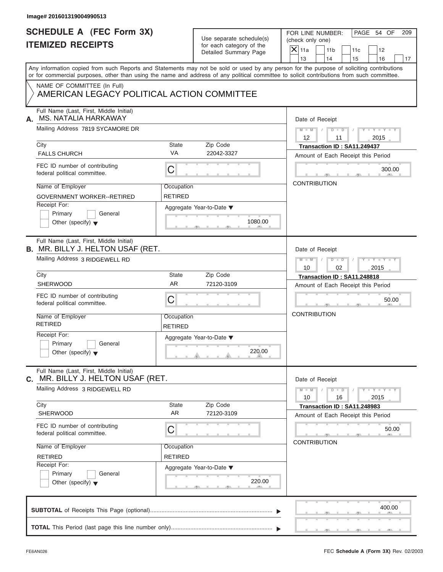| <b>SCHEDULE A (FEC Form 3X)</b><br><b>ITEMIZED RECEIPTS</b><br>Any information copied from such Reports and Statements may not be sold or used by any person for the purpose of soliciting contributions<br>or for commercial purposes, other than using the name and address of any political committee to solicit contributions from such committee.<br>NAME OF COMMITTEE (In Full)<br>AMERICAN LEGACY POLITICAL ACTION COMMITTEE<br>Full Name (Last, First, Middle Initial)<br><b>MS. NATALIA HARKAWAY</b><br>А.<br>Mailing Address 7819 SYCAMORE DR<br>City<br><b>FALLS CHURCH</b><br>FEC ID number of contributing | <b>State</b><br><b>VA</b><br>C | Use separate schedule(s)<br>for each category of the<br>Detailed Summary Page<br>Zip Code<br>22042-3327 | PAGE 54 OF<br>FOR LINE NUMBER:<br>209<br>(check only one)<br>$\overline{X} _{11a}$<br>11 <sub>b</sub><br>11c<br>12<br>14<br>13<br>15<br>16<br>Date of Receipt<br>$M = M$ / $D = D$ /<br>$Y - Y - Y - Y - Y$<br>12<br>2015<br>11<br>Transaction ID: SA11.249437<br>Amount of Each Receipt this Period |
|-------------------------------------------------------------------------------------------------------------------------------------------------------------------------------------------------------------------------------------------------------------------------------------------------------------------------------------------------------------------------------------------------------------------------------------------------------------------------------------------------------------------------------------------------------------------------------------------------------------------------|--------------------------------|---------------------------------------------------------------------------------------------------------|------------------------------------------------------------------------------------------------------------------------------------------------------------------------------------------------------------------------------------------------------------------------------------------------------|
|                                                                                                                                                                                                                                                                                                                                                                                                                                                                                                                                                                                                                         |                                |                                                                                                         |                                                                                                                                                                                                                                                                                                      |
|                                                                                                                                                                                                                                                                                                                                                                                                                                                                                                                                                                                                                         |                                |                                                                                                         |                                                                                                                                                                                                                                                                                                      |
|                                                                                                                                                                                                                                                                                                                                                                                                                                                                                                                                                                                                                         |                                |                                                                                                         |                                                                                                                                                                                                                                                                                                      |
|                                                                                                                                                                                                                                                                                                                                                                                                                                                                                                                                                                                                                         |                                |                                                                                                         |                                                                                                                                                                                                                                                                                                      |
|                                                                                                                                                                                                                                                                                                                                                                                                                                                                                                                                                                                                                         |                                |                                                                                                         |                                                                                                                                                                                                                                                                                                      |
|                                                                                                                                                                                                                                                                                                                                                                                                                                                                                                                                                                                                                         |                                |                                                                                                         |                                                                                                                                                                                                                                                                                                      |
|                                                                                                                                                                                                                                                                                                                                                                                                                                                                                                                                                                                                                         |                                |                                                                                                         |                                                                                                                                                                                                                                                                                                      |
|                                                                                                                                                                                                                                                                                                                                                                                                                                                                                                                                                                                                                         |                                |                                                                                                         |                                                                                                                                                                                                                                                                                                      |
|                                                                                                                                                                                                                                                                                                                                                                                                                                                                                                                                                                                                                         |                                |                                                                                                         |                                                                                                                                                                                                                                                                                                      |
|                                                                                                                                                                                                                                                                                                                                                                                                                                                                                                                                                                                                                         |                                |                                                                                                         |                                                                                                                                                                                                                                                                                                      |
| federal political committee.                                                                                                                                                                                                                                                                                                                                                                                                                                                                                                                                                                                            |                                |                                                                                                         | 300.00                                                                                                                                                                                                                                                                                               |
| Name of Employer                                                                                                                                                                                                                                                                                                                                                                                                                                                                                                                                                                                                        | Occupation                     |                                                                                                         | <b>CONTRIBUTION</b>                                                                                                                                                                                                                                                                                  |
| <b>GOVERNMENT WORKER--RETIRED</b>                                                                                                                                                                                                                                                                                                                                                                                                                                                                                                                                                                                       | <b>RETIRED</b>                 |                                                                                                         |                                                                                                                                                                                                                                                                                                      |
| Receipt For:<br>Primary<br>General<br>Other (specify) $\blacktriangledown$                                                                                                                                                                                                                                                                                                                                                                                                                                                                                                                                              | Aggregate Year-to-Date ▼       | 1080.00                                                                                                 |                                                                                                                                                                                                                                                                                                      |
| Full Name (Last, First, Middle Initial)<br><b>B.</b> MR. BILLY J. HELTON USAF (RET.                                                                                                                                                                                                                                                                                                                                                                                                                                                                                                                                     |                                |                                                                                                         | Date of Receipt                                                                                                                                                                                                                                                                                      |
| Mailing Address 3 RIDGEWELL RD                                                                                                                                                                                                                                                                                                                                                                                                                                                                                                                                                                                          |                                |                                                                                                         | $Y = Y = Y - Y$<br>$M$ $M$ $/$<br>10<br>02<br>2015                                                                                                                                                                                                                                                   |
| City                                                                                                                                                                                                                                                                                                                                                                                                                                                                                                                                                                                                                    | <b>State</b>                   | Zip Code                                                                                                | Transaction ID: SA11.248818                                                                                                                                                                                                                                                                          |
| SHERWOOD                                                                                                                                                                                                                                                                                                                                                                                                                                                                                                                                                                                                                | <b>AR</b>                      | 72120-3109                                                                                              | Amount of Each Receipt this Period                                                                                                                                                                                                                                                                   |
| FEC ID number of contributing<br>federal political committee.                                                                                                                                                                                                                                                                                                                                                                                                                                                                                                                                                           | C                              |                                                                                                         | 50.00                                                                                                                                                                                                                                                                                                |
| Name of Employer<br><b>RETIRED</b>                                                                                                                                                                                                                                                                                                                                                                                                                                                                                                                                                                                      | Occupation<br><b>RETIRED</b>   |                                                                                                         | <b>CONTRIBUTION</b>                                                                                                                                                                                                                                                                                  |
| Receipt For:                                                                                                                                                                                                                                                                                                                                                                                                                                                                                                                                                                                                            | Aggregate Year-to-Date ▼       |                                                                                                         |                                                                                                                                                                                                                                                                                                      |
| Primary<br>General<br>Other (specify) $\blacktriangledown$                                                                                                                                                                                                                                                                                                                                                                                                                                                                                                                                                              |                                | 220.00                                                                                                  |                                                                                                                                                                                                                                                                                                      |
| Full Name (Last, First, Middle Initial)<br>MR. BILLY J. HELTON USAF (RET.<br>С.                                                                                                                                                                                                                                                                                                                                                                                                                                                                                                                                         |                                |                                                                                                         | Date of Receipt                                                                                                                                                                                                                                                                                      |
| Mailing Address 3 RIDGEWELL RD                                                                                                                                                                                                                                                                                                                                                                                                                                                                                                                                                                                          |                                |                                                                                                         | $M - M$<br>$Y - Y - Y - Y - Y$<br>$D$ $D$<br>10<br>16<br>2015                                                                                                                                                                                                                                        |
| City<br><b>SHERWOOD</b>                                                                                                                                                                                                                                                                                                                                                                                                                                                                                                                                                                                                 | State<br><b>AR</b>             | Zip Code<br>72120-3109                                                                                  | Transaction ID: SA11.248983                                                                                                                                                                                                                                                                          |
|                                                                                                                                                                                                                                                                                                                                                                                                                                                                                                                                                                                                                         |                                |                                                                                                         | Amount of Each Receipt this Period                                                                                                                                                                                                                                                                   |
| FEC ID number of contributing<br>federal political committee.                                                                                                                                                                                                                                                                                                                                                                                                                                                                                                                                                           | С                              |                                                                                                         | 50.00<br><b>CONTRIBUTION</b>                                                                                                                                                                                                                                                                         |
| Name of Employer                                                                                                                                                                                                                                                                                                                                                                                                                                                                                                                                                                                                        | Occupation                     |                                                                                                         |                                                                                                                                                                                                                                                                                                      |
| <b>RETIRED</b>                                                                                                                                                                                                                                                                                                                                                                                                                                                                                                                                                                                                          | RETIRED                        |                                                                                                         |                                                                                                                                                                                                                                                                                                      |
| Receipt For:<br>Primary<br>General<br>Other (specify) $\blacktriangledown$                                                                                                                                                                                                                                                                                                                                                                                                                                                                                                                                              | Aggregate Year-to-Date ▼       | 220.00                                                                                                  |                                                                                                                                                                                                                                                                                                      |
|                                                                                                                                                                                                                                                                                                                                                                                                                                                                                                                                                                                                                         |                                |                                                                                                         | 400.00                                                                                                                                                                                                                                                                                               |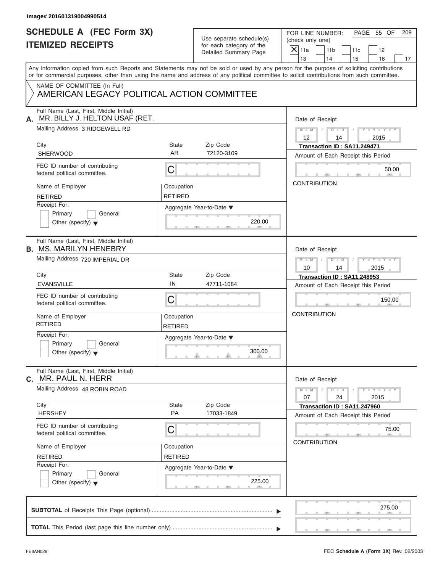| <b>SCHEDULE A (FEC Form 3X)</b><br>Use separate schedule(s)<br><b>ITEMIZED RECEIPTS</b><br>for each category of the<br>Detailed Summary Page<br>NAME OF COMMITTEE (In Full)<br>AMERICAN LEGACY POLITICAL ACTION COMMITTEE<br>Full Name (Last, First, Middle Initial)<br>MR. BILLY J. HELTON USAF (RET.<br>Mailing Address 3 RIDGEWELL RD<br>City<br>State<br>Zip Code<br>AR.<br><b>SHERWOOD</b><br>72120-3109<br>FEC ID number of contributing<br>$\mathsf C$<br>federal political committee.<br>Name of Employer<br>Occupation<br><b>RETIRED</b><br><b>RETIRED</b><br>Receipt For:<br>Aggregate Year-to-Date ▼<br>Primary<br>General<br>Other (specify) $\blacktriangledown$ | PAGE 55 OF<br>FOR LINE NUMBER:<br>209<br>(check only one)<br>$\overline{X}$ 11a<br>11 <sub>b</sub><br>11c<br>12<br>13<br>14<br>15<br>16<br>17<br>Date of Receipt<br>$M = M \qquad / \qquad D = D \qquad /$<br>$Y - Y - Y - Y - Y$<br>12<br>14<br>2015<br>Transaction ID: SA11.249471<br>Amount of Each Receipt this Period<br>50.00<br><b>CONTRIBUTION</b><br>220.00 |
|-------------------------------------------------------------------------------------------------------------------------------------------------------------------------------------------------------------------------------------------------------------------------------------------------------------------------------------------------------------------------------------------------------------------------------------------------------------------------------------------------------------------------------------------------------------------------------------------------------------------------------------------------------------------------------|----------------------------------------------------------------------------------------------------------------------------------------------------------------------------------------------------------------------------------------------------------------------------------------------------------------------------------------------------------------------|
| Any information copied from such Reports and Statements may not be sold or used by any person for the purpose of soliciting contributions<br>or for commercial purposes, other than using the name and address of any political committee to solicit contributions from such committee.<br>А.                                                                                                                                                                                                                                                                                                                                                                                 |                                                                                                                                                                                                                                                                                                                                                                      |
|                                                                                                                                                                                                                                                                                                                                                                                                                                                                                                                                                                                                                                                                               |                                                                                                                                                                                                                                                                                                                                                                      |
|                                                                                                                                                                                                                                                                                                                                                                                                                                                                                                                                                                                                                                                                               |                                                                                                                                                                                                                                                                                                                                                                      |
|                                                                                                                                                                                                                                                                                                                                                                                                                                                                                                                                                                                                                                                                               |                                                                                                                                                                                                                                                                                                                                                                      |
|                                                                                                                                                                                                                                                                                                                                                                                                                                                                                                                                                                                                                                                                               |                                                                                                                                                                                                                                                                                                                                                                      |
|                                                                                                                                                                                                                                                                                                                                                                                                                                                                                                                                                                                                                                                                               |                                                                                                                                                                                                                                                                                                                                                                      |
|                                                                                                                                                                                                                                                                                                                                                                                                                                                                                                                                                                                                                                                                               |                                                                                                                                                                                                                                                                                                                                                                      |
|                                                                                                                                                                                                                                                                                                                                                                                                                                                                                                                                                                                                                                                                               |                                                                                                                                                                                                                                                                                                                                                                      |
|                                                                                                                                                                                                                                                                                                                                                                                                                                                                                                                                                                                                                                                                               |                                                                                                                                                                                                                                                                                                                                                                      |
|                                                                                                                                                                                                                                                                                                                                                                                                                                                                                                                                                                                                                                                                               |                                                                                                                                                                                                                                                                                                                                                                      |
| Full Name (Last, First, Middle Initial)<br><b>B. MS. MARILYN HENEBRY</b>                                                                                                                                                                                                                                                                                                                                                                                                                                                                                                                                                                                                      | Date of Receipt                                                                                                                                                                                                                                                                                                                                                      |
| Mailing Address 720 IMPERIAL DR                                                                                                                                                                                                                                                                                                                                                                                                                                                                                                                                                                                                                                               | $D - D$<br>$Y = Y = Y' + Y' + Y$<br>$M$ $M$ $I$<br>$\sqrt{ }$<br>2015<br>10<br>14                                                                                                                                                                                                                                                                                    |
| City<br>State<br>Zip Code                                                                                                                                                                                                                                                                                                                                                                                                                                                                                                                                                                                                                                                     | Transaction ID: SA11.248953                                                                                                                                                                                                                                                                                                                                          |
| IN<br><b>EVANSVILLE</b><br>47711-1084                                                                                                                                                                                                                                                                                                                                                                                                                                                                                                                                                                                                                                         | Amount of Each Receipt this Period                                                                                                                                                                                                                                                                                                                                   |
| FEC ID number of contributing<br>C<br>federal political committee.                                                                                                                                                                                                                                                                                                                                                                                                                                                                                                                                                                                                            | 150.00                                                                                                                                                                                                                                                                                                                                                               |
| Name of Employer<br>Occupation<br><b>RETIRED</b><br><b>RETIRED</b>                                                                                                                                                                                                                                                                                                                                                                                                                                                                                                                                                                                                            | <b>CONTRIBUTION</b>                                                                                                                                                                                                                                                                                                                                                  |
| Receipt For:<br>Aggregate Year-to-Date ▼<br>Primary<br>General<br>Other (specify) $\blacktriangledown$                                                                                                                                                                                                                                                                                                                                                                                                                                                                                                                                                                        | 300.00                                                                                                                                                                                                                                                                                                                                                               |
| Full Name (Last, First, Middle Initial)<br>MR. PAUL N. HERR<br>С.                                                                                                                                                                                                                                                                                                                                                                                                                                                                                                                                                                                                             | Date of Receipt                                                                                                                                                                                                                                                                                                                                                      |
| Mailing Address 48 ROBIN ROAD                                                                                                                                                                                                                                                                                                                                                                                                                                                                                                                                                                                                                                                 | $Y - Y - Y - Y - Y$<br>$M - M$<br>$D$ $\Box$ $D$<br>07<br>24<br>2015                                                                                                                                                                                                                                                                                                 |
| City<br>Zip Code<br>State<br>PA<br><b>HERSHEY</b><br>17033-1849                                                                                                                                                                                                                                                                                                                                                                                                                                                                                                                                                                                                               | Transaction ID: SA11.247960<br>Amount of Each Receipt this Period                                                                                                                                                                                                                                                                                                    |
| FEC ID number of contributing<br>C<br>federal political committee.                                                                                                                                                                                                                                                                                                                                                                                                                                                                                                                                                                                                            | 75.00<br><b>CONTRIBUTION</b>                                                                                                                                                                                                                                                                                                                                         |
| Name of Employer<br>Occupation<br><b>RETIRED</b><br><b>RETIRED</b>                                                                                                                                                                                                                                                                                                                                                                                                                                                                                                                                                                                                            |                                                                                                                                                                                                                                                                                                                                                                      |
| Receipt For:<br>Aggregate Year-to-Date ▼<br>Primary<br>General<br>Other (specify) $\blacktriangledown$                                                                                                                                                                                                                                                                                                                                                                                                                                                                                                                                                                        | 225.00                                                                                                                                                                                                                                                                                                                                                               |
|                                                                                                                                                                                                                                                                                                                                                                                                                                                                                                                                                                                                                                                                               | 275.00                                                                                                                                                                                                                                                                                                                                                               |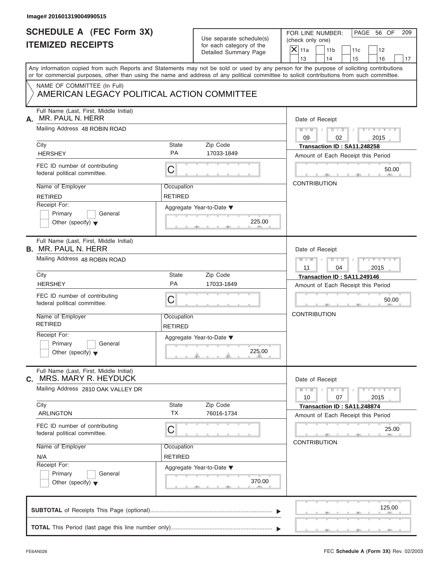| Image# 201601319004990515                                                  |                              |                                                                               |                                                                                                                                                                                                                                                                                         |
|----------------------------------------------------------------------------|------------------------------|-------------------------------------------------------------------------------|-----------------------------------------------------------------------------------------------------------------------------------------------------------------------------------------------------------------------------------------------------------------------------------------|
| <b>SCHEDULE A (FEC Form 3X)</b><br><b>ITEMIZED RECEIPTS</b>                |                              | Use separate schedule(s)<br>for each category of the<br>Detailed Summary Page | PAGE 56 OF<br>FOR LINE NUMBER:<br>209<br>(check only one)<br>$\mathsf{X}$ 11a<br>11 <sub>b</sub><br>11c<br>12<br>13<br>14<br>15<br>16<br>17                                                                                                                                             |
|                                                                            |                              |                                                                               | Any information copied from such Reports and Statements may not be sold or used by any person for the purpose of soliciting contributions<br>or for commercial purposes, other than using the name and address of any political committee to solicit contributions from such committee. |
| NAME OF COMMITTEE (In Full)<br>AMERICAN LEGACY POLITICAL ACTION COMMITTEE  |                              |                                                                               |                                                                                                                                                                                                                                                                                         |
| Full Name (Last, First, Middle Initial)<br>MR. PAUL N. HERR<br>А.          |                              |                                                                               | Date of Receipt                                                                                                                                                                                                                                                                         |
| Mailing Address 48 ROBIN ROAD                                              |                              |                                                                               | $D - D$<br>$Y = Y = Y - Y$<br>$M - M$<br>09<br>02<br>2015                                                                                                                                                                                                                               |
| City                                                                       | State                        | Zip Code                                                                      | Transaction ID: SA11.248258                                                                                                                                                                                                                                                             |
| <b>HERSHEY</b>                                                             | <b>PA</b>                    | 17033-1849                                                                    | Amount of Each Receipt this Period                                                                                                                                                                                                                                                      |
| FEC ID number of contributing<br>federal political committee.              | C                            |                                                                               | 50.00                                                                                                                                                                                                                                                                                   |
| Name of Employer                                                           | Occupation                   |                                                                               | <b>CONTRIBUTION</b>                                                                                                                                                                                                                                                                     |
| <b>RETIRED</b>                                                             | <b>RETIRED</b>               |                                                                               |                                                                                                                                                                                                                                                                                         |
| Receipt For:<br>Primary<br>General<br>Other (specify) $\blacktriangledown$ |                              | Aggregate Year-to-Date ▼<br>225.00                                            |                                                                                                                                                                                                                                                                                         |
| Full Name (Last, First, Middle Initial)<br><b>B.</b> MR. PAUL N. HERR      |                              |                                                                               | Date of Receipt                                                                                                                                                                                                                                                                         |
| Mailing Address 48 ROBIN ROAD                                              |                              |                                                                               | $D - I - D$<br>Y T Y T Y T<br>$M - M$<br>2015<br>11<br>04                                                                                                                                                                                                                               |
| City                                                                       | State                        | Zip Code                                                                      | Transaction ID: SA11.249146                                                                                                                                                                                                                                                             |
| <b>HERSHEY</b>                                                             | PA                           | 17033-1849                                                                    | Amount of Each Receipt this Period                                                                                                                                                                                                                                                      |
| FEC ID number of contributing<br>federal political committee.              | C                            |                                                                               | 50.00                                                                                                                                                                                                                                                                                   |
| Name of Employer<br><b>RETIRED</b>                                         | Occupation<br><b>RETIRED</b> |                                                                               | <b>CONTRIBUTION</b>                                                                                                                                                                                                                                                                     |
| Receipt For:<br>Primary<br>General<br>Other (specify) $\blacktriangledown$ |                              | Aggregate Year-to-Date ▼<br>225.00                                            |                                                                                                                                                                                                                                                                                         |
| Full Name (Last, First, Middle Initial)<br>MRS. MARY R. HEYDUCK<br>С.      |                              |                                                                               | Date of Receipt                                                                                                                                                                                                                                                                         |
| Mailing Address 2810 OAK VALLEY DR                                         |                              |                                                                               | $M - M$<br>$\mathbf{I} = \mathbf{Y} + \mathbf{I} - \mathbf{Y}$<br>$D$ $D$<br>10<br>07<br>2015                                                                                                                                                                                           |
| City<br><b>ARLINGTON</b>                                                   | State<br><b>TX</b>           | Zip Code<br>76016-1734                                                        | Transaction ID: SA11.248874<br>Amount of Each Receipt this Period                                                                                                                                                                                                                       |
| FEC ID number of contributing<br>federal political committee.              | С                            |                                                                               | 25.00                                                                                                                                                                                                                                                                                   |
| Name of Employer                                                           | Occupation                   |                                                                               | <b>CONTRIBUTION</b>                                                                                                                                                                                                                                                                     |
| N/A                                                                        | <b>RETIRED</b>               |                                                                               |                                                                                                                                                                                                                                                                                         |
| Receipt For:<br>Primary<br>General<br>Other (specify) $\blacktriangledown$ |                              | Aggregate Year-to-Date ▼<br>370.00                                            |                                                                                                                                                                                                                                                                                         |
|                                                                            |                              |                                                                               | 125.00                                                                                                                                                                                                                                                                                  |
|                                                                            |                              |                                                                               |                                                                                                                                                                                                                                                                                         |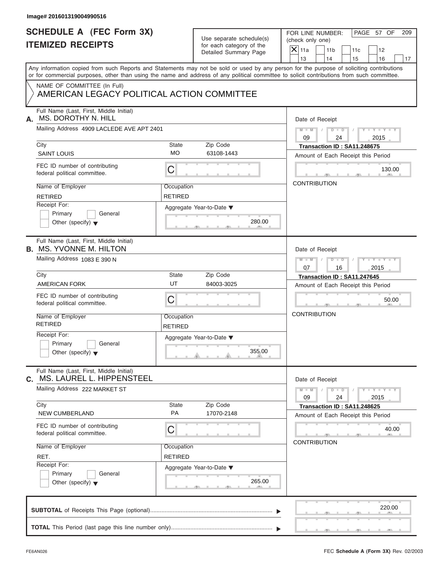| Use separate schedule(s) |
|--------------------------|
| for each category of the |
| Detailed Summary Page    |

| Image# 201601319004990516                                                  |                              |                                                                               |                                                                                                                                                                                                                                                                                                                 |
|----------------------------------------------------------------------------|------------------------------|-------------------------------------------------------------------------------|-----------------------------------------------------------------------------------------------------------------------------------------------------------------------------------------------------------------------------------------------------------------------------------------------------------------|
| <b>SCHEDULE A (FEC Form 3X)</b><br><b>ITEMIZED RECEIPTS</b>                |                              | Use separate schedule(s)<br>for each category of the<br>Detailed Summary Page | PAGE 57 OF<br>FOR LINE NUMBER:<br>209<br>(check only one)<br>$\overline{X}$ 11a<br>11 <sub>b</sub><br>11c<br>12<br>14                                                                                                                                                                                           |
|                                                                            |                              |                                                                               | 13<br>15<br>16<br>17<br>Any information copied from such Reports and Statements may not be sold or used by any person for the purpose of soliciting contributions<br>or for commercial purposes, other than using the name and address of any political committee to solicit contributions from such committee. |
| NAME OF COMMITTEE (In Full)<br>AMERICAN LEGACY POLITICAL ACTION COMMITTEE  |                              |                                                                               |                                                                                                                                                                                                                                                                                                                 |
| Full Name (Last, First, Middle Initial)<br>MS. DOROTHY N. HILL<br>А.       |                              |                                                                               | Date of Receipt                                                                                                                                                                                                                                                                                                 |
| Mailing Address 4909 LACLEDE AVE APT 2401                                  |                              |                                                                               | $M-M$ / $D$ $I$<br>$Y - Y - Y - Y - Y$<br>09<br>24<br>2015                                                                                                                                                                                                                                                      |
| City<br><b>SAINT LOUIS</b>                                                 | State<br>МO                  | Zip Code<br>63108-1443                                                        | Transaction ID: SA11.248675<br>Amount of Each Receipt this Period                                                                                                                                                                                                                                               |
| FEC ID number of contributing<br>federal political committee.              | С                            |                                                                               | 130.00                                                                                                                                                                                                                                                                                                          |
| Name of Employer<br><b>RETIRED</b>                                         | Occupation<br><b>RETIRED</b> |                                                                               | <b>CONTRIBUTION</b>                                                                                                                                                                                                                                                                                             |
| Receipt For:<br>Primary<br>General<br>Other (specify) $\blacktriangledown$ |                              | Aggregate Year-to-Date ▼<br>280.00                                            |                                                                                                                                                                                                                                                                                                                 |
| Full Name (Last, First, Middle Initial)<br><b>B.</b> MS. YVONNE M. HILTON  |                              |                                                                               | Date of Receipt                                                                                                                                                                                                                                                                                                 |
| Mailing Address 1083 E 390 N                                               |                              |                                                                               | $\begin{array}{c c c c c c} \hline \multicolumn{3}{ c }{\textbf{D} \quad \textbf{D} \quad \textbf{D} \quad \textbf{I} \quad \textbf{A}} \end{array}$<br>$Y = Y = Y' + Y' + Y$<br>$M$ $M$ $/$<br>07<br>16<br>2015                                                                                                |
| City                                                                       | State                        | Zip Code                                                                      | Transaction ID: SA11.247645                                                                                                                                                                                                                                                                                     |
| <b>AMERICAN FORK</b>                                                       | UT                           | 84003-3025                                                                    | Amount of Each Receipt this Period                                                                                                                                                                                                                                                                              |
| FEC ID number of contributing<br>federal political committee.              | С                            |                                                                               | 50.00                                                                                                                                                                                                                                                                                                           |
| Name of Employer<br><b>RETIRED</b>                                         | Occupation<br><b>RETIRED</b> |                                                                               | <b>CONTRIBUTION</b>                                                                                                                                                                                                                                                                                             |
| Receipt For:<br>Primary<br>General<br>Other (specify) $\blacktriangledown$ |                              | Aggregate Year-to-Date ▼<br>355.00                                            |                                                                                                                                                                                                                                                                                                                 |
| Full Name (Last, First, Middle Initial)<br>MS. LAUREL L. HIPPENSTEEL<br>C. |                              |                                                                               | Date of Receipt                                                                                                                                                                                                                                                                                                 |
| Mailing Address 222 MARKET ST                                              |                              |                                                                               | $Y - Y - Y - Y - Y$<br>$M - M$<br>$D$ $\Box$ $D$<br>09<br>24<br>2015                                                                                                                                                                                                                                            |
| City<br><b>NEW CUMBERLAND</b>                                              | State<br>PA                  | Zip Code<br>17070-2148                                                        | Transaction ID: SA11.248625<br>Amount of Each Receipt this Period                                                                                                                                                                                                                                               |
| FEC ID number of contributing<br>federal political committee.              | С                            |                                                                               | 40.00<br><b>CONTRIBUTION</b>                                                                                                                                                                                                                                                                                    |
| Name of Employer<br>RET.                                                   | Occupation<br><b>RETIRED</b> |                                                                               |                                                                                                                                                                                                                                                                                                                 |
| Receipt For:<br>Primary<br>General<br>Other (specify) $\blacktriangledown$ |                              | Aggregate Year-to-Date ▼<br>265.00                                            |                                                                                                                                                                                                                                                                                                                 |
|                                                                            |                              |                                                                               | 220.00                                                                                                                                                                                                                                                                                                          |
|                                                                            |                              |                                                                               |                                                                                                                                                                                                                                                                                                                 |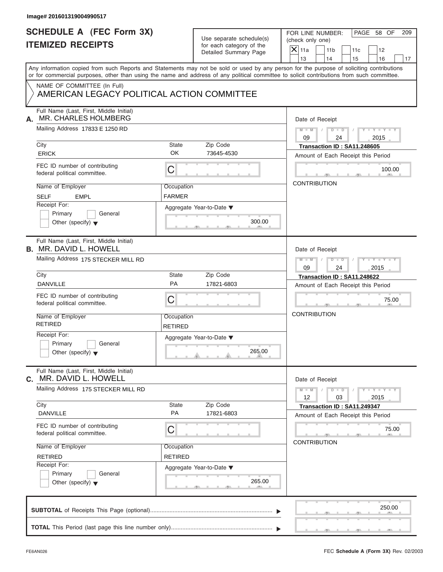| Image# 201601319004990517                                                                                                                                                 |                              |                                                                               |                                                                                                                                           |
|---------------------------------------------------------------------------------------------------------------------------------------------------------------------------|------------------------------|-------------------------------------------------------------------------------|-------------------------------------------------------------------------------------------------------------------------------------------|
| <b>SCHEDULE A (FEC Form 3X)</b><br><b>ITEMIZED RECEIPTS</b>                                                                                                               |                              | Use separate schedule(s)<br>for each category of the<br>Detailed Summary Page | PAGE 58 OF<br>FOR LINE NUMBER:<br>209<br>(check only one)<br>$X$ 11a<br>11 <sub>b</sub><br>11c<br>12<br>13<br>14<br>15<br>16<br>17        |
| or for commercial purposes, other than using the name and address of any political committee to solicit contributions from such committee.<br>NAME OF COMMITTEE (In Full) |                              |                                                                               | Any information copied from such Reports and Statements may not be sold or used by any person for the purpose of soliciting contributions |
| AMERICAN LEGACY POLITICAL ACTION COMMITTEE                                                                                                                                |                              |                                                                               |                                                                                                                                           |
| Full Name (Last, First, Middle Initial)<br>MR. CHARLES HOLMBERG<br>А.                                                                                                     |                              |                                                                               | Date of Receipt                                                                                                                           |
| Mailing Address 17833 E 1250 RD                                                                                                                                           |                              |                                                                               | $M - M$ / $D - D$<br>$Y - Y - Y - Y - Y$<br>$\sqrt{ }$<br>09<br>24<br>2015                                                                |
| City<br><b>ERICK</b>                                                                                                                                                      | State<br>OK                  | Zip Code<br>73645-4530                                                        | Transaction ID: SA11.248605<br>Amount of Each Receipt this Period                                                                         |
| FEC ID number of contributing<br>federal political committee.                                                                                                             | С                            |                                                                               | 100.00                                                                                                                                    |
| Name of Employer<br><b>SELF</b><br><b>EMPL</b>                                                                                                                            | Occupation<br><b>FARMER</b>  |                                                                               | <b>CONTRIBUTION</b>                                                                                                                       |
| Receipt For:<br>Primary<br>General<br>Other (specify) $\blacktriangledown$                                                                                                |                              | Aggregate Year-to-Date ▼<br>300.00                                            |                                                                                                                                           |
| Full Name (Last, First, Middle Initial)<br><b>B. MR. DAVID L. HOWELL</b>                                                                                                  |                              |                                                                               | Date of Receipt                                                                                                                           |
| Mailing Address 175 STECKER MILL RD                                                                                                                                       |                              |                                                                               | $M - M$<br>$D - I - D$<br>$Y = Y = Y' - Y'$<br>$\sqrt{2}$<br>2015<br>09<br>24                                                             |
| City<br><b>DANVILLE</b>                                                                                                                                                   | State<br>PA                  | Zip Code<br>17821-6803                                                        | Transaction ID: SA11.248622<br>Amount of Each Receipt this Period                                                                         |
| FEC ID number of contributing<br>federal political committee.                                                                                                             | С                            |                                                                               | 75.00                                                                                                                                     |
| Name of Employer<br><b>RETIRED</b>                                                                                                                                        | Occupation<br><b>RETIRED</b> |                                                                               | <b>CONTRIBUTION</b>                                                                                                                       |
| Receipt For:<br>Primary<br>General<br>Other (specify) $\blacktriangledown$                                                                                                |                              | Aggregate Year-to-Date ▼<br>265.00                                            |                                                                                                                                           |
| Full Name (Last, First, Middle Initial)<br><b>C.</b> MR. DAVID L. HOWELL                                                                                                  |                              |                                                                               | Date of Receipt                                                                                                                           |
| Mailing Address 175 STECKER MILL RD                                                                                                                                       |                              |                                                                               | $Y - Y - Y - Y - Y$<br>$M - M$<br>$D - D$<br>03<br>12<br>2015                                                                             |
| City<br><b>DANVILLE</b>                                                                                                                                                   | State<br>PA                  | Zip Code<br>17821-6803                                                        | Transaction ID: SA11.249347<br>Amount of Each Receipt this Period                                                                         |
| FEC ID number of contributing<br>federal political committee.                                                                                                             | С                            |                                                                               | 75.00<br><b>CONTRIBUTION</b>                                                                                                              |
| Name of Employer<br><b>RETIRED</b>                                                                                                                                        | Occupation<br><b>RETIRED</b> |                                                                               |                                                                                                                                           |
| Receipt For:<br>Primary<br>General<br>Other (specify) $\blacktriangledown$                                                                                                |                              | Aggregate Year-to-Date ▼<br>265.00                                            |                                                                                                                                           |
|                                                                                                                                                                           |                              |                                                                               | 250.00                                                                                                                                    |
|                                                                                                                                                                           |                              |                                                                               |                                                                                                                                           |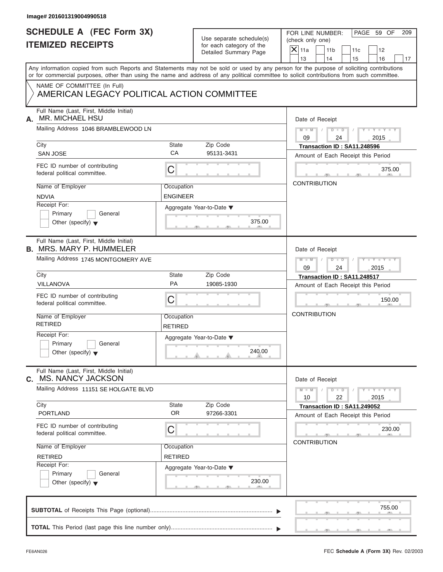| Image# 201601319004990518                                                  |                              |                                                      |                                                                                                                                                                                                                                                                                         |
|----------------------------------------------------------------------------|------------------------------|------------------------------------------------------|-----------------------------------------------------------------------------------------------------------------------------------------------------------------------------------------------------------------------------------------------------------------------------------------|
| <b>SCHEDULE A (FEC Form 3X)</b><br><b>ITEMIZED RECEIPTS</b>                |                              | Use separate schedule(s)<br>for each category of the | PAGE 59 OF<br>FOR LINE NUMBER:<br>209<br>(check only one)<br>$X$ 11a                                                                                                                                                                                                                    |
|                                                                            |                              | Detailed Summary Page                                | 11 <sub>b</sub><br>11c<br>12<br>13<br>14<br>15<br>16<br>17                                                                                                                                                                                                                              |
|                                                                            |                              |                                                      | Any information copied from such Reports and Statements may not be sold or used by any person for the purpose of soliciting contributions<br>or for commercial purposes, other than using the name and address of any political committee to solicit contributions from such committee. |
| NAME OF COMMITTEE (In Full)<br>AMERICAN LEGACY POLITICAL ACTION COMMITTEE  |                              |                                                      |                                                                                                                                                                                                                                                                                         |
| Full Name (Last, First, Middle Initial)<br><b>MR. MICHAEL HSU</b><br>А.    |                              |                                                      | Date of Receipt                                                                                                                                                                                                                                                                         |
| Mailing Address 1046 BRAMBLEWOOD LN                                        |                              |                                                      | $M - M$ / $D - D$ /<br>$Y - Y - Y - Y - Y$<br>09<br>24<br>2015                                                                                                                                                                                                                          |
| City                                                                       | State                        | Zip Code                                             | Transaction ID: SA11.248596                                                                                                                                                                                                                                                             |
| <b>SAN JOSE</b>                                                            | CA                           | 95131-3431                                           | Amount of Each Receipt this Period                                                                                                                                                                                                                                                      |
| FEC ID number of contributing<br>federal political committee.              | С                            |                                                      | 375.00                                                                                                                                                                                                                                                                                  |
| Name of Employer                                                           | Occupation                   |                                                      | <b>CONTRIBUTION</b>                                                                                                                                                                                                                                                                     |
| <b>NDVIA</b>                                                               | <b>ENGINEER</b>              |                                                      |                                                                                                                                                                                                                                                                                         |
| Receipt For:                                                               |                              | Aggregate Year-to-Date ▼                             |                                                                                                                                                                                                                                                                                         |
| Primary<br>General                                                         |                              |                                                      |                                                                                                                                                                                                                                                                                         |
| Other (specify) $\blacktriangledown$                                       |                              | 375.00                                               |                                                                                                                                                                                                                                                                                         |
| Full Name (Last, First, Middle Initial)<br><b>B. MRS. MARY P. HUMMELER</b> |                              |                                                      | Date of Receipt                                                                                                                                                                                                                                                                         |
| Mailing Address 1745 MONTGOMERY AVE                                        |                              |                                                      | $D - D$<br>$Y = Y = Y' - Y'$<br>$M - M$<br>$\Box$                                                                                                                                                                                                                                       |
|                                                                            |                              |                                                      | 09<br>24<br>2015                                                                                                                                                                                                                                                                        |
| City                                                                       | State                        | Zip Code                                             | Transaction ID: SA11.248517                                                                                                                                                                                                                                                             |
| VILLANOVA                                                                  | PA                           | 19085-1930                                           | Amount of Each Receipt this Period                                                                                                                                                                                                                                                      |
| FEC ID number of contributing<br>federal political committee.              | С                            |                                                      | 150.00                                                                                                                                                                                                                                                                                  |
| Name of Employer<br><b>RETIRED</b>                                         | Occupation<br><b>RETIRED</b> |                                                      | <b>CONTRIBUTION</b>                                                                                                                                                                                                                                                                     |
| Receipt For:                                                               |                              | Aggregate Year-to-Date ▼                             |                                                                                                                                                                                                                                                                                         |
| Primary<br>General<br>Other (specify) $\blacktriangledown$                 |                              | 240.00                                               |                                                                                                                                                                                                                                                                                         |
| Full Name (Last, First, Middle Initial)<br>C. MS. NANCY JACKSON            |                              |                                                      | Date of Receipt                                                                                                                                                                                                                                                                         |
| Mailing Address 11151 SE HOLGATE BLVD                                      |                              |                                                      | $Y - Y - Y - Y - Y$<br>$M - M$<br>$D$ $D$<br>22<br>10<br>2015                                                                                                                                                                                                                           |
| City                                                                       | <b>State</b>                 | Zip Code                                             | Transaction ID: SA11.249052                                                                                                                                                                                                                                                             |
| <b>PORTLAND</b>                                                            | <b>OR</b>                    | 97266-3301                                           | Amount of Each Receipt this Period                                                                                                                                                                                                                                                      |
| FEC ID number of contributing<br>federal political committee.              | С                            |                                                      | 230.00                                                                                                                                                                                                                                                                                  |
| Name of Employer                                                           | Occupation                   |                                                      | <b>CONTRIBUTION</b>                                                                                                                                                                                                                                                                     |
| <b>RETIRED</b>                                                             | <b>RETIRED</b>               |                                                      |                                                                                                                                                                                                                                                                                         |
| Receipt For:                                                               |                              | Aggregate Year-to-Date ▼                             |                                                                                                                                                                                                                                                                                         |
| Primary<br>General<br>Other (specify) $\blacktriangledown$                 |                              | 230.00                                               |                                                                                                                                                                                                                                                                                         |
|                                                                            |                              |                                                      | 755.00                                                                                                                                                                                                                                                                                  |
|                                                                            |                              |                                                      |                                                                                                                                                                                                                                                                                         |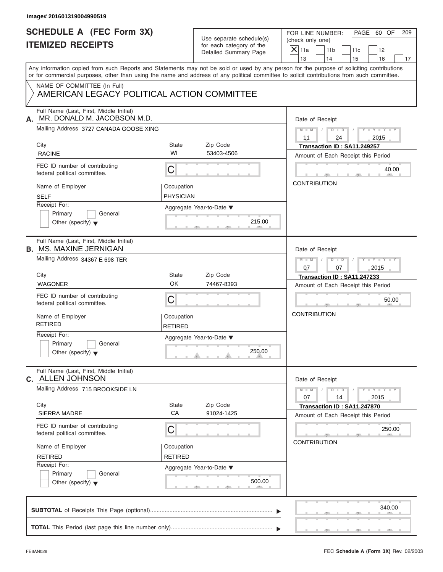| <b>SCHEDULE A (FEC Form 3X)</b><br>Use separate schedule(s)<br><b>ITEMIZED RECEIPTS</b><br>for each category of the<br>Detailed Summary Page<br>NAME OF COMMITTEE (In Full)<br>AMERICAN LEGACY POLITICAL ACTION COMMITTEE<br>Full Name (Last, First, Middle Initial)<br>MR. DONALD M. JACOBSON M.D.<br>Mailing Address 3727 CANADA GOOSE XING<br>City<br>State<br>Zip Code<br>WI<br><b>RACINE</b><br>53403-4506<br>FEC ID number of contributing<br>С<br>federal political committee.<br>Name of Employer<br>Occupation<br><b>SELF</b><br><b>PHYSICIAN</b><br>Receipt For:<br>Aggregate Year-to-Date ▼<br>Primary<br>General<br>Other (specify) $\blacktriangledown$<br>Full Name (Last, First, Middle Initial)<br>Mailing Address 34367 E 698 TER<br>City<br>State<br>Zip Code<br>OK<br><b>WAGONER</b><br>74467-8393<br>FEC ID number of contributing<br>С<br>federal political committee. | PAGE 60 OF<br>FOR LINE NUMBER:<br>209<br>(check only one)<br>$X$ 11a<br>11 <sub>b</sub><br>11c<br>12<br>13<br>14<br>15<br>16<br>17<br>Date of Receipt |
|---------------------------------------------------------------------------------------------------------------------------------------------------------------------------------------------------------------------------------------------------------------------------------------------------------------------------------------------------------------------------------------------------------------------------------------------------------------------------------------------------------------------------------------------------------------------------------------------------------------------------------------------------------------------------------------------------------------------------------------------------------------------------------------------------------------------------------------------------------------------------------------------|-------------------------------------------------------------------------------------------------------------------------------------------------------|
| Any information copied from such Reports and Statements may not be sold or used by any person for the purpose of soliciting contributions<br>or for commercial purposes, other than using the name and address of any political committee to solicit contributions from such committee.<br>А.<br><b>B. MS. MAXINE JERNIGAN</b>                                                                                                                                                                                                                                                                                                                                                                                                                                                                                                                                                              |                                                                                                                                                       |
|                                                                                                                                                                                                                                                                                                                                                                                                                                                                                                                                                                                                                                                                                                                                                                                                                                                                                             |                                                                                                                                                       |
|                                                                                                                                                                                                                                                                                                                                                                                                                                                                                                                                                                                                                                                                                                                                                                                                                                                                                             |                                                                                                                                                       |
|                                                                                                                                                                                                                                                                                                                                                                                                                                                                                                                                                                                                                                                                                                                                                                                                                                                                                             |                                                                                                                                                       |
|                                                                                                                                                                                                                                                                                                                                                                                                                                                                                                                                                                                                                                                                                                                                                                                                                                                                                             | $M - M$ / $D - D$ /<br>$Y - Y - Y - Y - Y$<br>11<br>2015<br>24                                                                                        |
|                                                                                                                                                                                                                                                                                                                                                                                                                                                                                                                                                                                                                                                                                                                                                                                                                                                                                             | Transaction ID: SA11.249257<br>Amount of Each Receipt this Period                                                                                     |
|                                                                                                                                                                                                                                                                                                                                                                                                                                                                                                                                                                                                                                                                                                                                                                                                                                                                                             | 40.00                                                                                                                                                 |
|                                                                                                                                                                                                                                                                                                                                                                                                                                                                                                                                                                                                                                                                                                                                                                                                                                                                                             | <b>CONTRIBUTION</b>                                                                                                                                   |
|                                                                                                                                                                                                                                                                                                                                                                                                                                                                                                                                                                                                                                                                                                                                                                                                                                                                                             | 215.00                                                                                                                                                |
|                                                                                                                                                                                                                                                                                                                                                                                                                                                                                                                                                                                                                                                                                                                                                                                                                                                                                             | Date of Receipt                                                                                                                                       |
|                                                                                                                                                                                                                                                                                                                                                                                                                                                                                                                                                                                                                                                                                                                                                                                                                                                                                             | Y TY TY TY<br>$M - M$<br>$D - D$<br>$\sqrt{2}$<br>07<br>07<br>2015                                                                                    |
|                                                                                                                                                                                                                                                                                                                                                                                                                                                                                                                                                                                                                                                                                                                                                                                                                                                                                             | Transaction ID: SA11.247233<br>Amount of Each Receipt this Period                                                                                     |
|                                                                                                                                                                                                                                                                                                                                                                                                                                                                                                                                                                                                                                                                                                                                                                                                                                                                                             | 50.00                                                                                                                                                 |
| Name of Employer<br>Occupation<br><b>RETIRED</b><br><b>RETIRED</b>                                                                                                                                                                                                                                                                                                                                                                                                                                                                                                                                                                                                                                                                                                                                                                                                                          | <b>CONTRIBUTION</b>                                                                                                                                   |
| Receipt For:<br>Aggregate Year-to-Date ▼<br>Primary<br>General<br>Other (specify) $\blacktriangledown$                                                                                                                                                                                                                                                                                                                                                                                                                                                                                                                                                                                                                                                                                                                                                                                      | 250.00                                                                                                                                                |
| Full Name (Last, First, Middle Initial)<br>C. ALLEN JOHNSON                                                                                                                                                                                                                                                                                                                                                                                                                                                                                                                                                                                                                                                                                                                                                                                                                                 | Date of Receipt                                                                                                                                       |
| Mailing Address 715 BROOKSIDE LN                                                                                                                                                                                                                                                                                                                                                                                                                                                                                                                                                                                                                                                                                                                                                                                                                                                            | $Y - Y - Y - Y - Y$<br>$M - M$<br>$D$ $\Box$ $D$<br>07<br>14<br>2015                                                                                  |
| Zip Code<br>City<br>State<br>CA<br>91024-1425<br>SIERRA MADRE                                                                                                                                                                                                                                                                                                                                                                                                                                                                                                                                                                                                                                                                                                                                                                                                                               | Transaction ID: SA11.247870<br>Amount of Each Receipt this Period                                                                                     |
| FEC ID number of contributing<br>С<br>federal political committee.                                                                                                                                                                                                                                                                                                                                                                                                                                                                                                                                                                                                                                                                                                                                                                                                                          | 250.00<br><b>CONTRIBUTION</b>                                                                                                                         |
| Name of Employer<br>Occupation<br><b>RETIRED</b><br><b>RETIRED</b>                                                                                                                                                                                                                                                                                                                                                                                                                                                                                                                                                                                                                                                                                                                                                                                                                          |                                                                                                                                                       |
| Receipt For:<br>Aggregate Year-to-Date ▼<br>Primary<br>General<br>Other (specify) $\blacktriangledown$                                                                                                                                                                                                                                                                                                                                                                                                                                                                                                                                                                                                                                                                                                                                                                                      | 500.00                                                                                                                                                |
|                                                                                                                                                                                                                                                                                                                                                                                                                                                                                                                                                                                                                                                                                                                                                                                                                                                                                             | 340.00                                                                                                                                                |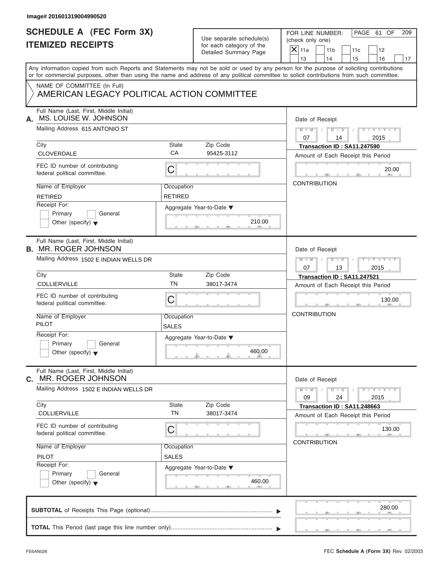| Use separate schedule(s) |
|--------------------------|
| for each category of the |
| Detailed Summary Page    |

| <b>SCHEDULE A (FEC Form 3X)</b><br><b>ITEMIZED RECEIPTS</b><br>or for commercial purposes, other than using the name and address of any political committee to solicit contributions from such committee.<br>NAME OF COMMITTEE (In Full)<br>AMERICAN LEGACY POLITICAL ACTION COMMITTEE<br>Full Name (Last, First, Middle Initial) |                              | Use separate schedule(s)<br>for each category of the<br>Detailed Summary Page | PAGE 61 OF<br>FOR LINE NUMBER:<br>209<br>(check only one)<br>$X$ 11a<br>11 <sub>b</sub><br>11c<br>12<br>13<br>14<br>15<br>16<br>Any information copied from such Reports and Statements may not be sold or used by any person for the purpose of soliciting contributions |
|-----------------------------------------------------------------------------------------------------------------------------------------------------------------------------------------------------------------------------------------------------------------------------------------------------------------------------------|------------------------------|-------------------------------------------------------------------------------|---------------------------------------------------------------------------------------------------------------------------------------------------------------------------------------------------------------------------------------------------------------------------|
|                                                                                                                                                                                                                                                                                                                                   |                              |                                                                               |                                                                                                                                                                                                                                                                           |
|                                                                                                                                                                                                                                                                                                                                   |                              |                                                                               |                                                                                                                                                                                                                                                                           |
|                                                                                                                                                                                                                                                                                                                                   |                              |                                                                               |                                                                                                                                                                                                                                                                           |
|                                                                                                                                                                                                                                                                                                                                   |                              |                                                                               |                                                                                                                                                                                                                                                                           |
| MS. LOUISE W. JOHNSON<br>А.                                                                                                                                                                                                                                                                                                       |                              |                                                                               | Date of Receipt                                                                                                                                                                                                                                                           |
| Mailing Address 615 ANTONIO ST                                                                                                                                                                                                                                                                                                    |                              |                                                                               | $M = M \qquad / \qquad D = D \qquad /$<br>$Y - Y - Y - Y - Y$<br>07<br>2015<br>14                                                                                                                                                                                         |
| City<br><b>CLOVERDALE</b>                                                                                                                                                                                                                                                                                                         | State<br>CA                  | Zip Code<br>95425-3112                                                        | Transaction ID: SA11.247590                                                                                                                                                                                                                                               |
| FEC ID number of contributing<br>federal political committee.                                                                                                                                                                                                                                                                     | С                            |                                                                               | Amount of Each Receipt this Period<br>20.00                                                                                                                                                                                                                               |
| Name of Employer<br><b>RETIRED</b>                                                                                                                                                                                                                                                                                                | Occupation<br><b>RETIRED</b> |                                                                               | <b>CONTRIBUTION</b>                                                                                                                                                                                                                                                       |
| Receipt For:<br>Primary<br>General<br>Other (specify) $\blacktriangledown$                                                                                                                                                                                                                                                        |                              | Aggregate Year-to-Date ▼<br>210.00                                            |                                                                                                                                                                                                                                                                           |
| Full Name (Last, First, Middle Initial)<br><b>B. MR. ROGER JOHNSON</b>                                                                                                                                                                                                                                                            |                              |                                                                               | Date of Receipt                                                                                                                                                                                                                                                           |
| Mailing Address 1502 E INDIAN WELLS DR                                                                                                                                                                                                                                                                                            |                              |                                                                               | $\begin{array}{c c c c c c} \hline \multicolumn{3}{ c }{\textbf{D} \quad \textbf{I} \quad \textbf{D} \quad \textbf{I} \quad \textbf{I}} \end{array}$<br>$Y = Y = Y - Y$<br>$M$ $M$ $/$<br>07<br>13<br>2015                                                                |
| City<br><b>COLLIERVILLE</b>                                                                                                                                                                                                                                                                                                       | State<br><b>TN</b>           | Zip Code<br>38017-3474                                                        | Transaction ID: SA11.247521                                                                                                                                                                                                                                               |
|                                                                                                                                                                                                                                                                                                                                   |                              |                                                                               | Amount of Each Receipt this Period                                                                                                                                                                                                                                        |
| FEC ID number of contributing<br>federal political committee.                                                                                                                                                                                                                                                                     | C                            |                                                                               | 130.00<br><b>CONTRIBUTION</b>                                                                                                                                                                                                                                             |
| Name of Employer<br><b>PILOT</b>                                                                                                                                                                                                                                                                                                  | Occupation<br><b>SALES</b>   |                                                                               |                                                                                                                                                                                                                                                                           |
| Receipt For:<br>Primary<br>General<br>Other (specify) $\blacktriangledown$                                                                                                                                                                                                                                                        |                              | Aggregate Year-to-Date ▼<br>460.00                                            |                                                                                                                                                                                                                                                                           |
| Full Name (Last, First, Middle Initial)<br>MR. ROGER JOHNSON<br>C.                                                                                                                                                                                                                                                                |                              |                                                                               | Date of Receipt                                                                                                                                                                                                                                                           |
| Mailing Address 1502 E INDIAN WELLS DR                                                                                                                                                                                                                                                                                            |                              |                                                                               | $Y - Y - Y - Y - Y$<br>$M - M$<br>$D$ $D$<br>09<br>24<br>2015                                                                                                                                                                                                             |
| City<br><b>COLLIERVILLE</b>                                                                                                                                                                                                                                                                                                       | State<br><b>TN</b>           | Zip Code<br>38017-3474                                                        | Transaction ID: SA11.248663<br>Amount of Each Receipt this Period                                                                                                                                                                                                         |
| FEC ID number of contributing<br>federal political committee.                                                                                                                                                                                                                                                                     | С                            |                                                                               | 130.00<br><b>CONTRIBUTION</b>                                                                                                                                                                                                                                             |
| Name of Employer<br>PILOT                                                                                                                                                                                                                                                                                                         | Occupation<br><b>SALES</b>   |                                                                               |                                                                                                                                                                                                                                                                           |
| Receipt For:<br>Primary<br>General<br>Other (specify) $\blacktriangledown$                                                                                                                                                                                                                                                        |                              | Aggregate Year-to-Date ▼<br>460.00                                            |                                                                                                                                                                                                                                                                           |
|                                                                                                                                                                                                                                                                                                                                   |                              |                                                                               | 280.00                                                                                                                                                                                                                                                                    |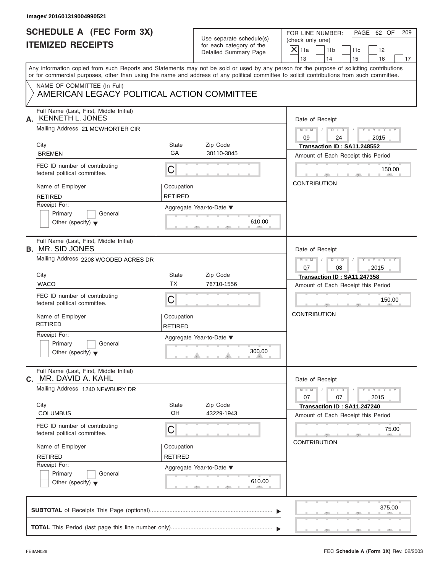| <b>SCHEDULE A (FEC Form 3X)</b>                                           |                              |                                                   | PAGE 62 OF<br>FOR LINE NUMBER:<br>209                                                                                                                                                                                                                                                   |  |  |  |  |  |
|---------------------------------------------------------------------------|------------------------------|---------------------------------------------------|-----------------------------------------------------------------------------------------------------------------------------------------------------------------------------------------------------------------------------------------------------------------------------------------|--|--|--|--|--|
| <b>ITEMIZED RECEIPTS</b>                                                  |                              | Use separate schedule(s)                          | (check only one)                                                                                                                                                                                                                                                                        |  |  |  |  |  |
|                                                                           |                              | for each category of the<br>Detailed Summary Page | $\mathsf{X}$ 11a<br>11 <sub>b</sub><br>11c<br>12                                                                                                                                                                                                                                        |  |  |  |  |  |
|                                                                           |                              |                                                   | 13<br>14<br>15<br>16<br>17                                                                                                                                                                                                                                                              |  |  |  |  |  |
|                                                                           |                              |                                                   | Any information copied from such Reports and Statements may not be sold or used by any person for the purpose of soliciting contributions<br>or for commercial purposes, other than using the name and address of any political committee to solicit contributions from such committee. |  |  |  |  |  |
| NAME OF COMMITTEE (In Full)<br>AMERICAN LEGACY POLITICAL ACTION COMMITTEE |                              |                                                   |                                                                                                                                                                                                                                                                                         |  |  |  |  |  |
| Full Name (Last, First, Middle Initial)<br><b>KENNETH L. JONES</b><br>А.  |                              |                                                   | Date of Receipt                                                                                                                                                                                                                                                                         |  |  |  |  |  |
| Mailing Address 21 MCWHORTER CIR                                          |                              |                                                   | $D$ $\Box$ $D$<br>$Y - Y - Y - Y - Y$<br>$M - M$ /<br>$\sqrt{ }$<br>09<br>24<br>2015                                                                                                                                                                                                    |  |  |  |  |  |
| City                                                                      | State                        | Zip Code                                          | Transaction ID: SA11.248552                                                                                                                                                                                                                                                             |  |  |  |  |  |
| <b>BREMEN</b>                                                             | GA                           | 30110-3045                                        | Amount of Each Receipt this Period                                                                                                                                                                                                                                                      |  |  |  |  |  |
| FEC ID number of contributing<br>federal political committee.             | С                            |                                                   | 150.00                                                                                                                                                                                                                                                                                  |  |  |  |  |  |
| Name of Employer                                                          | Occupation                   |                                                   | <b>CONTRIBUTION</b>                                                                                                                                                                                                                                                                     |  |  |  |  |  |
| <b>RETIRED</b>                                                            | <b>RETIRED</b>               |                                                   |                                                                                                                                                                                                                                                                                         |  |  |  |  |  |
| Receipt For:                                                              |                              | Aggregate Year-to-Date ▼                          |                                                                                                                                                                                                                                                                                         |  |  |  |  |  |
| Primary<br>General                                                        |                              |                                                   |                                                                                                                                                                                                                                                                                         |  |  |  |  |  |
| Other (specify) $\blacktriangledown$                                      |                              | 610.00                                            |                                                                                                                                                                                                                                                                                         |  |  |  |  |  |
| Full Name (Last, First, Middle Initial)<br><b>B.</b> MR. SID JONES        |                              |                                                   | Date of Receipt                                                                                                                                                                                                                                                                         |  |  |  |  |  |
| Mailing Address 2208 WOODED ACRES DR                                      |                              |                                                   | $M$ $M$<br>$D - I - D$<br>Y T Y T Y T                                                                                                                                                                                                                                                   |  |  |  |  |  |
|                                                                           |                              |                                                   | 07<br>08<br>2015                                                                                                                                                                                                                                                                        |  |  |  |  |  |
| City                                                                      | State                        | Zip Code                                          | Transaction ID: SA11.247358                                                                                                                                                                                                                                                             |  |  |  |  |  |
| <b>WACO</b>                                                               | <b>TX</b>                    | 76710-1556                                        | Amount of Each Receipt this Period                                                                                                                                                                                                                                                      |  |  |  |  |  |
| FEC ID number of contributing<br>federal political committee.             | C                            |                                                   | 150.00                                                                                                                                                                                                                                                                                  |  |  |  |  |  |
| Name of Employer<br><b>RETIRED</b>                                        | Occupation<br><b>RETIRED</b> |                                                   | <b>CONTRIBUTION</b>                                                                                                                                                                                                                                                                     |  |  |  |  |  |
| Receipt For:                                                              |                              | Aggregate Year-to-Date ▼                          |                                                                                                                                                                                                                                                                                         |  |  |  |  |  |
| Primary<br>General<br>Other (specify) $\blacktriangledown$                |                              | 300.00                                            |                                                                                                                                                                                                                                                                                         |  |  |  |  |  |
| Full Name (Last, First, Middle Initial)<br>MR. DAVID A. KAHL<br>С.        |                              |                                                   | Date of Receipt                                                                                                                                                                                                                                                                         |  |  |  |  |  |
| Mailing Address 1240 NEWBURY DR                                           |                              |                                                   | $Y - Y - Y - Y - Y$<br>$M - M$<br>$D - D$<br>07<br>07<br>2015                                                                                                                                                                                                                           |  |  |  |  |  |
| City<br><b>COLUMBUS</b>                                                   | <b>State</b><br>OH           | Zip Code<br>43229-1943                            | Transaction ID: SA11.247240                                                                                                                                                                                                                                                             |  |  |  |  |  |
|                                                                           |                              |                                                   | Amount of Each Receipt this Period                                                                                                                                                                                                                                                      |  |  |  |  |  |
| FEC ID number of contributing<br>federal political committee.             | С                            |                                                   | 75.00                                                                                                                                                                                                                                                                                   |  |  |  |  |  |
| Name of Employer                                                          | Occupation                   |                                                   | <b>CONTRIBUTION</b>                                                                                                                                                                                                                                                                     |  |  |  |  |  |
| <b>RETIRED</b>                                                            | RETIRED                      |                                                   |                                                                                                                                                                                                                                                                                         |  |  |  |  |  |
|                                                                           |                              | Aggregate Year-to-Date ▼                          |                                                                                                                                                                                                                                                                                         |  |  |  |  |  |
| Receipt For:                                                              |                              |                                                   |                                                                                                                                                                                                                                                                                         |  |  |  |  |  |
| Primary<br>General<br>Other (specify) $\blacktriangledown$                |                              | 610.00                                            |                                                                                                                                                                                                                                                                                         |  |  |  |  |  |
|                                                                           |                              |                                                   | 375.00                                                                                                                                                                                                                                                                                  |  |  |  |  |  |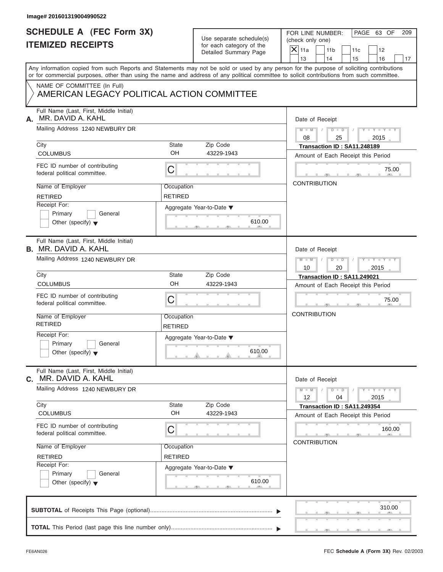| Use separate schedule(s)<br><b>ITEMIZED RECEIPTS</b><br>for each category of the<br>$X$ 11a<br>Detailed Summary Page<br>13<br>Any information copied from such Reports and Statements may not be sold or used by any person for the purpose of soliciting contributions<br>or for commercial purposes, other than using the name and address of any political committee to solicit contributions from such committee.<br>NAME OF COMMITTEE (In Full)<br>AMERICAN LEGACY POLITICAL ACTION COMMITTEE<br>Full Name (Last, First, Middle Initial)<br>MR. DAVID A. KAHL<br>А.<br>Mailing Address 1240 NEWBURY DR<br>08<br><b>State</b><br>Zip Code<br>City<br>OH<br><b>COLUMBUS</b><br>43229-1943<br>FEC ID number of contributing<br>C<br>federal political committee.<br>Name of Employer<br>Occupation<br><b>RETIRED</b><br><b>RETIRED</b><br>Receipt For:<br>Aggregate Year-to-Date ▼<br>Primary<br>General<br>610.00<br>Other (specify) $\blacktriangledown$<br>Full Name (Last, First, Middle Initial)<br><b>B.</b> MR. DAVID A. KAHL<br>Mailing Address 1240 NEWBURY DR<br>10<br>City<br><b>State</b><br>Zip Code<br>OH<br><b>COLUMBUS</b><br>43229-1943<br>FEC ID number of contributing<br>C<br>federal political committee.<br>Name of Employer<br>Occupation<br><b>RETIRED</b><br><b>RETIRED</b><br>Receipt For:<br>Aggregate Year-to-Date ▼<br>Primary<br>General<br>610.00<br>Other (specify) $\blacktriangledown$<br>Full Name (Last, First, Middle Initial)<br>MR. DAVID A. KAHL<br>С.<br>Mailing Address 1240 NEWBURY DR<br>12<br>Zip Code<br>City<br><b>State</b><br>OH<br>43229-1943<br><b>COLUMBUS</b><br>FEC ID number of contributing<br>С<br>federal political committee.<br>Name of Employer<br>Occupation<br><b>RETIRED</b><br><b>RETIRED</b><br>Receipt For:<br>Aggregate Year-to-Date ▼<br>Primary<br>General<br>610.00<br>Other (specify) $\blacktriangledown$ | PAGE 63 OF<br>FOR LINE NUMBER:<br>209                                                                                                                      |                                                                   |                             |  |  |  |
|--------------------------------------------------------------------------------------------------------------------------------------------------------------------------------------------------------------------------------------------------------------------------------------------------------------------------------------------------------------------------------------------------------------------------------------------------------------------------------------------------------------------------------------------------------------------------------------------------------------------------------------------------------------------------------------------------------------------------------------------------------------------------------------------------------------------------------------------------------------------------------------------------------------------------------------------------------------------------------------------------------------------------------------------------------------------------------------------------------------------------------------------------------------------------------------------------------------------------------------------------------------------------------------------------------------------------------------------------------------------------------------------------------------------------------------------------------------------------------------------------------------------------------------------------------------------------------------------------------------------------------------------------------------------------------------------------------------------------------------------------------------------------------------------------------------------------------------------------------------------------------------|------------------------------------------------------------------------------------------------------------------------------------------------------------|-------------------------------------------------------------------|-----------------------------|--|--|--|
|                                                                                                                                                                                                                                                                                                                                                                                                                                                                                                                                                                                                                                                                                                                                                                                                                                                                                                                                                                                                                                                                                                                                                                                                                                                                                                                                                                                                                                                                                                                                                                                                                                                                                                                                                                                                                                                                                      | (check only one)<br>11 <sub>b</sub><br>11c<br>12                                                                                                           |                                                                   |                             |  |  |  |
|                                                                                                                                                                                                                                                                                                                                                                                                                                                                                                                                                                                                                                                                                                                                                                                                                                                                                                                                                                                                                                                                                                                                                                                                                                                                                                                                                                                                                                                                                                                                                                                                                                                                                                                                                                                                                                                                                      | 14                                                                                                                                                         |                                                                   | 16<br>17                    |  |  |  |
|                                                                                                                                                                                                                                                                                                                                                                                                                                                                                                                                                                                                                                                                                                                                                                                                                                                                                                                                                                                                                                                                                                                                                                                                                                                                                                                                                                                                                                                                                                                                                                                                                                                                                                                                                                                                                                                                                      |                                                                                                                                                            |                                                                   |                             |  |  |  |
|                                                                                                                                                                                                                                                                                                                                                                                                                                                                                                                                                                                                                                                                                                                                                                                                                                                                                                                                                                                                                                                                                                                                                                                                                                                                                                                                                                                                                                                                                                                                                                                                                                                                                                                                                                                                                                                                                      |                                                                                                                                                            |                                                                   |                             |  |  |  |
|                                                                                                                                                                                                                                                                                                                                                                                                                                                                                                                                                                                                                                                                                                                                                                                                                                                                                                                                                                                                                                                                                                                                                                                                                                                                                                                                                                                                                                                                                                                                                                                                                                                                                                                                                                                                                                                                                      |                                                                                                                                                            | Date of Receipt                                                   |                             |  |  |  |
|                                                                                                                                                                                                                                                                                                                                                                                                                                                                                                                                                                                                                                                                                                                                                                                                                                                                                                                                                                                                                                                                                                                                                                                                                                                                                                                                                                                                                                                                                                                                                                                                                                                                                                                                                                                                                                                                                      | 25                                                                                                                                                         | $M - M$ /                                                         | $Y - Y - Y - Y - Y$<br>2015 |  |  |  |
|                                                                                                                                                                                                                                                                                                                                                                                                                                                                                                                                                                                                                                                                                                                                                                                                                                                                                                                                                                                                                                                                                                                                                                                                                                                                                                                                                                                                                                                                                                                                                                                                                                                                                                                                                                                                                                                                                      |                                                                                                                                                            | Transaction ID: SA11.248189<br>Amount of Each Receipt this Period |                             |  |  |  |
|                                                                                                                                                                                                                                                                                                                                                                                                                                                                                                                                                                                                                                                                                                                                                                                                                                                                                                                                                                                                                                                                                                                                                                                                                                                                                                                                                                                                                                                                                                                                                                                                                                                                                                                                                                                                                                                                                      |                                                                                                                                                            |                                                                   | 75.00                       |  |  |  |
|                                                                                                                                                                                                                                                                                                                                                                                                                                                                                                                                                                                                                                                                                                                                                                                                                                                                                                                                                                                                                                                                                                                                                                                                                                                                                                                                                                                                                                                                                                                                                                                                                                                                                                                                                                                                                                                                                      |                                                                                                                                                            | <b>CONTRIBUTION</b>                                               |                             |  |  |  |
|                                                                                                                                                                                                                                                                                                                                                                                                                                                                                                                                                                                                                                                                                                                                                                                                                                                                                                                                                                                                                                                                                                                                                                                                                                                                                                                                                                                                                                                                                                                                                                                                                                                                                                                                                                                                                                                                                      |                                                                                                                                                            |                                                                   |                             |  |  |  |
|                                                                                                                                                                                                                                                                                                                                                                                                                                                                                                                                                                                                                                                                                                                                                                                                                                                                                                                                                                                                                                                                                                                                                                                                                                                                                                                                                                                                                                                                                                                                                                                                                                                                                                                                                                                                                                                                                      |                                                                                                                                                            | Date of Receipt                                                   |                             |  |  |  |
|                                                                                                                                                                                                                                                                                                                                                                                                                                                                                                                                                                                                                                                                                                                                                                                                                                                                                                                                                                                                                                                                                                                                                                                                                                                                                                                                                                                                                                                                                                                                                                                                                                                                                                                                                                                                                                                                                      | $\begin{array}{c c c c c c} \hline \multicolumn{3}{ c }{\textbf{D} \quad \textbf{I} \quad \textbf{D} \quad \textbf{I} \quad \textbf{I}} \end{array}$<br>20 | $M = M - 1$                                                       | $Y = Y = Y' = Y'$<br>2015   |  |  |  |
|                                                                                                                                                                                                                                                                                                                                                                                                                                                                                                                                                                                                                                                                                                                                                                                                                                                                                                                                                                                                                                                                                                                                                                                                                                                                                                                                                                                                                                                                                                                                                                                                                                                                                                                                                                                                                                                                                      |                                                                                                                                                            | Transaction ID: SA11.249021                                       |                             |  |  |  |
|                                                                                                                                                                                                                                                                                                                                                                                                                                                                                                                                                                                                                                                                                                                                                                                                                                                                                                                                                                                                                                                                                                                                                                                                                                                                                                                                                                                                                                                                                                                                                                                                                                                                                                                                                                                                                                                                                      |                                                                                                                                                            | Amount of Each Receipt this Period                                |                             |  |  |  |
|                                                                                                                                                                                                                                                                                                                                                                                                                                                                                                                                                                                                                                                                                                                                                                                                                                                                                                                                                                                                                                                                                                                                                                                                                                                                                                                                                                                                                                                                                                                                                                                                                                                                                                                                                                                                                                                                                      |                                                                                                                                                            |                                                                   | 75.00                       |  |  |  |
|                                                                                                                                                                                                                                                                                                                                                                                                                                                                                                                                                                                                                                                                                                                                                                                                                                                                                                                                                                                                                                                                                                                                                                                                                                                                                                                                                                                                                                                                                                                                                                                                                                                                                                                                                                                                                                                                                      |                                                                                                                                                            | <b>CONTRIBUTION</b>                                               |                             |  |  |  |
|                                                                                                                                                                                                                                                                                                                                                                                                                                                                                                                                                                                                                                                                                                                                                                                                                                                                                                                                                                                                                                                                                                                                                                                                                                                                                                                                                                                                                                                                                                                                                                                                                                                                                                                                                                                                                                                                                      |                                                                                                                                                            |                                                                   |                             |  |  |  |
|                                                                                                                                                                                                                                                                                                                                                                                                                                                                                                                                                                                                                                                                                                                                                                                                                                                                                                                                                                                                                                                                                                                                                                                                                                                                                                                                                                                                                                                                                                                                                                                                                                                                                                                                                                                                                                                                                      |                                                                                                                                                            | Date of Receipt                                                   |                             |  |  |  |
|                                                                                                                                                                                                                                                                                                                                                                                                                                                                                                                                                                                                                                                                                                                                                                                                                                                                                                                                                                                                                                                                                                                                                                                                                                                                                                                                                                                                                                                                                                                                                                                                                                                                                                                                                                                                                                                                                      | $D$ $\Box$ $D$<br>04                                                                                                                                       | $M - M$                                                           | $Y - Y - Y - Y - Y$<br>2015 |  |  |  |
|                                                                                                                                                                                                                                                                                                                                                                                                                                                                                                                                                                                                                                                                                                                                                                                                                                                                                                                                                                                                                                                                                                                                                                                                                                                                                                                                                                                                                                                                                                                                                                                                                                                                                                                                                                                                                                                                                      |                                                                                                                                                            | Transaction ID: SA11.249354<br>Amount of Each Receipt this Period |                             |  |  |  |
|                                                                                                                                                                                                                                                                                                                                                                                                                                                                                                                                                                                                                                                                                                                                                                                                                                                                                                                                                                                                                                                                                                                                                                                                                                                                                                                                                                                                                                                                                                                                                                                                                                                                                                                                                                                                                                                                                      |                                                                                                                                                            | <b>CONTRIBUTION</b>                                               | 160.00                      |  |  |  |
|                                                                                                                                                                                                                                                                                                                                                                                                                                                                                                                                                                                                                                                                                                                                                                                                                                                                                                                                                                                                                                                                                                                                                                                                                                                                                                                                                                                                                                                                                                                                                                                                                                                                                                                                                                                                                                                                                      |                                                                                                                                                            |                                                                   |                             |  |  |  |
|                                                                                                                                                                                                                                                                                                                                                                                                                                                                                                                                                                                                                                                                                                                                                                                                                                                                                                                                                                                                                                                                                                                                                                                                                                                                                                                                                                                                                                                                                                                                                                                                                                                                                                                                                                                                                                                                                      |                                                                                                                                                            |                                                                   |                             |  |  |  |
|                                                                                                                                                                                                                                                                                                                                                                                                                                                                                                                                                                                                                                                                                                                                                                                                                                                                                                                                                                                                                                                                                                                                                                                                                                                                                                                                                                                                                                                                                                                                                                                                                                                                                                                                                                                                                                                                                      |                                                                                                                                                            |                                                                   | 310.00                      |  |  |  |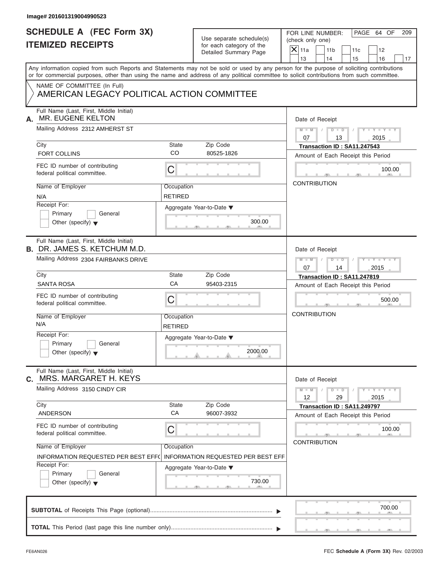| Image# 201601319004990523                                                                                                                  |                              |                                                                               |                                                                                                                                           |
|--------------------------------------------------------------------------------------------------------------------------------------------|------------------------------|-------------------------------------------------------------------------------|-------------------------------------------------------------------------------------------------------------------------------------------|
| <b>SCHEDULE A (FEC Form 3X)</b><br><b>ITEMIZED RECEIPTS</b>                                                                                |                              | Use separate schedule(s)<br>for each category of the<br>Detailed Summary Page | PAGE 64 OF<br>FOR LINE NUMBER:<br>209<br>(check only one)<br>$\overline{X}$ 11a<br>11 <sub>b</sub><br>11c<br>12                           |
|                                                                                                                                            |                              |                                                                               | 13<br>14<br>15<br>16<br>17                                                                                                                |
| or for commercial purposes, other than using the name and address of any political committee to solicit contributions from such committee. |                              |                                                                               | Any information copied from such Reports and Statements may not be sold or used by any person for the purpose of soliciting contributions |
| NAME OF COMMITTEE (In Full)<br>AMERICAN LEGACY POLITICAL ACTION COMMITTEE                                                                  |                              |                                                                               |                                                                                                                                           |
| Full Name (Last, First, Middle Initial)<br>MR. EUGENE KELTON<br>А.                                                                         |                              |                                                                               | Date of Receipt                                                                                                                           |
| Mailing Address 2312 AMHERST ST                                                                                                            |                              |                                                                               | $M = M \qquad / \qquad D = D \qquad /$<br>$Y - Y - Y - Y - Y$<br>07<br>13<br>2015                                                         |
| City<br><b>FORT COLLINS</b>                                                                                                                | State<br>CO                  | Zip Code<br>80525-1826                                                        | Transaction ID: SA11.247543<br>Amount of Each Receipt this Period                                                                         |
| FEC ID number of contributing<br>federal political committee.                                                                              | $\mathsf C$                  |                                                                               | 100.00                                                                                                                                    |
| Name of Employer<br>N/A                                                                                                                    | Occupation<br><b>RETIRED</b> |                                                                               | <b>CONTRIBUTION</b>                                                                                                                       |
| Receipt For:<br>Primary<br>General<br>Other (specify) $\blacktriangledown$                                                                 |                              | Aggregate Year-to-Date ▼<br>300.00                                            |                                                                                                                                           |
| Full Name (Last, First, Middle Initial)<br><b>B. DR. JAMES S. KETCHUM M.D.</b>                                                             |                              |                                                                               | Date of Receipt                                                                                                                           |
| Mailing Address 2304 FAIRBANKS DRIVE                                                                                                       |                              |                                                                               | $D - I - D$<br>$Y = Y = Y' + Y' + Y$<br>$M - M$<br>$\Box$<br>07<br>2015<br>14                                                             |
| City<br><b>SANTA ROSA</b>                                                                                                                  | State<br>CA                  | Zip Code<br>95403-2315                                                        | Transaction ID: SA11.247819<br>Amount of Each Receipt this Period                                                                         |
| FEC ID number of contributing<br>federal political committee.                                                                              | C                            |                                                                               | 500.00                                                                                                                                    |
| Name of Employer<br>N/A                                                                                                                    | Occupation<br><b>RETIRED</b> |                                                                               | <b>CONTRIBUTION</b>                                                                                                                       |
| Receipt For:<br>Primary<br>General<br>Other (specify) $\blacktriangledown$                                                                 |                              | Aggregate Year-to-Date ▼<br>2000.00                                           |                                                                                                                                           |
| Full Name (Last, First, Middle Initial)<br>MRS. MARGARET H. KEYS<br>C.                                                                     |                              |                                                                               | Date of Receipt                                                                                                                           |
| Mailing Address 3150 CINDY CIR<br>City                                                                                                     |                              | Zip Code                                                                      | $Y = Y = Y$<br>$M - M$<br>$D$ $\Box$ $D$<br>12<br>29<br>2015                                                                              |
| <b>ANDERSON</b>                                                                                                                            | State<br>CA                  | 96007-3932                                                                    | Transaction ID: SA11.249797<br>Amount of Each Receipt this Period                                                                         |
| FEC ID number of contributing<br>federal political committee.                                                                              | C                            |                                                                               | 100.00<br><b>CONTRIBUTION</b>                                                                                                             |
| Name of Employer<br>INFORMATION REQUESTED PER BEST EFFO                                                                                    | Occupation                   | <b>INFORMATION REQUESTED PER BEST EFF</b>                                     |                                                                                                                                           |
| Receipt For:<br>Primary<br>General<br>Other (specify) $\blacktriangledown$                                                                 |                              | Aggregate Year-to-Date ▼<br>730.00                                            |                                                                                                                                           |
|                                                                                                                                            |                              |                                                                               | 700.00                                                                                                                                    |
|                                                                                                                                            |                              |                                                                               |                                                                                                                                           |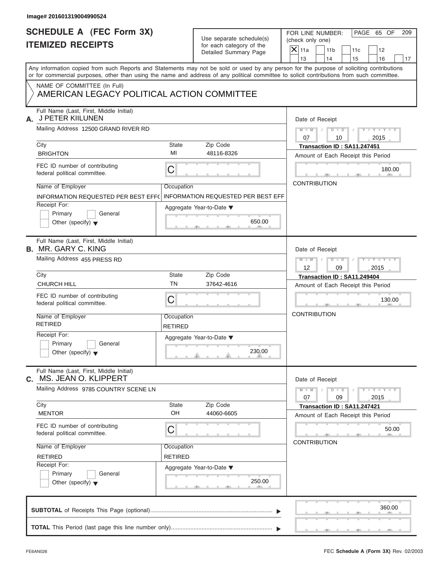| <b>SCHEDULE A (FEC Form 3X)</b>                                                                                                                                                                                                                                                         |                              | Use separate schedule(s)                  | FOR LINE NUMBER:                     |                      |                                    | PAGE 65 OF                  | 209 |
|-----------------------------------------------------------------------------------------------------------------------------------------------------------------------------------------------------------------------------------------------------------------------------------------|------------------------------|-------------------------------------------|--------------------------------------|----------------------|------------------------------------|-----------------------------|-----|
| <b>ITEMIZED RECEIPTS</b>                                                                                                                                                                                                                                                                | for each category of the     |                                           | (check only one)<br>$\mathsf{X}$ 11a |                      |                                    |                             |     |
|                                                                                                                                                                                                                                                                                         |                              | Detailed Summary Page                     |                                      | 11 <sub>b</sub>      | 11c                                | 12                          |     |
|                                                                                                                                                                                                                                                                                         |                              |                                           | 13                                   | 14                   | 15                                 | 16                          | 17  |
| Any information copied from such Reports and Statements may not be sold or used by any person for the purpose of soliciting contributions<br>or for commercial purposes, other than using the name and address of any political committee to solicit contributions from such committee. |                              |                                           |                                      |                      |                                    |                             |     |
| NAME OF COMMITTEE (In Full)<br>AMERICAN LEGACY POLITICAL ACTION COMMITTEE                                                                                                                                                                                                               |                              |                                           |                                      |                      |                                    |                             |     |
| Full Name (Last, First, Middle Initial)<br>J PETER KIILUNEN<br>А.                                                                                                                                                                                                                       |                              |                                           |                                      | Date of Receipt      |                                    |                             |     |
| Mailing Address 12500 GRAND RIVER RD                                                                                                                                                                                                                                                    |                              |                                           | $M - M$ /<br>07                      | $D$ $\Box$ $D$<br>10 |                                    | $Y - Y - Y - Y - Y$<br>2015 |     |
| City                                                                                                                                                                                                                                                                                    | State                        | Zip Code                                  |                                      |                      | Transaction ID: SA11.247451        |                             |     |
| <b>BRIGHTON</b>                                                                                                                                                                                                                                                                         | MI                           | 48116-8326                                |                                      |                      | Amount of Each Receipt this Period |                             |     |
| FEC ID number of contributing<br>federal political committee.                                                                                                                                                                                                                           | C                            |                                           |                                      |                      |                                    | 180.00                      |     |
| Name of Employer                                                                                                                                                                                                                                                                        | Occupation                   |                                           | <b>CONTRIBUTION</b>                  |                      |                                    |                             |     |
| INFORMATION REQUESTED PER BEST EFF(                                                                                                                                                                                                                                                     |                              | <b>INFORMATION REQUESTED PER BEST EFF</b> |                                      |                      |                                    |                             |     |
| Receipt For:                                                                                                                                                                                                                                                                            |                              |                                           |                                      |                      |                                    |                             |     |
| Primary<br>General                                                                                                                                                                                                                                                                      |                              | Aggregate Year-to-Date ▼                  |                                      |                      |                                    |                             |     |
| Other (specify) $\blacktriangledown$                                                                                                                                                                                                                                                    |                              | 650.00                                    |                                      |                      |                                    |                             |     |
| Full Name (Last, First, Middle Initial)<br><b>B.</b> MR. GARY C. KING                                                                                                                                                                                                                   |                              |                                           |                                      | Date of Receipt      |                                    |                             |     |
|                                                                                                                                                                                                                                                                                         |                              |                                           |                                      |                      |                                    |                             |     |
| Mailing Address 455 PRESS RD                                                                                                                                                                                                                                                            |                              |                                           | $M$ $M$<br>12                        | $D - I - D$<br>09    |                                    | Y TYTTYTTY<br>2015          |     |
| City                                                                                                                                                                                                                                                                                    | State                        | Zip Code                                  |                                      |                      | Transaction ID: SA11.249404        |                             |     |
| <b>CHURCH HILL</b>                                                                                                                                                                                                                                                                      | <b>TN</b>                    | 37642-4616                                |                                      |                      | Amount of Each Receipt this Period |                             |     |
| FEC ID number of contributing<br>federal political committee.                                                                                                                                                                                                                           | C                            |                                           |                                      |                      |                                    | 130.00                      |     |
| Name of Employer<br><b>RETIRED</b>                                                                                                                                                                                                                                                      | Occupation<br><b>RETIRED</b> |                                           | <b>CONTRIBUTION</b>                  |                      |                                    |                             |     |
| Receipt For:                                                                                                                                                                                                                                                                            |                              | Aggregate Year-to-Date ▼                  |                                      |                      |                                    |                             |     |
| Primary<br>General<br>Other (specify) $\blacktriangledown$                                                                                                                                                                                                                              |                              | 230.00                                    |                                      |                      |                                    |                             |     |
| Full Name (Last, First, Middle Initial)<br>MS. JEAN O. KLIPPERT<br>С.                                                                                                                                                                                                                   |                              |                                           |                                      | Date of Receipt      |                                    |                             |     |
| Mailing Address 9785 COUNTRY SCENE LN                                                                                                                                                                                                                                                   |                              |                                           | $M - M$<br>07                        | $D - D$<br>09        |                                    | $Y - Y - Y - Y - I$<br>2015 |     |
| City                                                                                                                                                                                                                                                                                    | <b>State</b>                 | Zip Code                                  |                                      |                      | Transaction ID: SA11.247421        |                             |     |
| <b>MENTOR</b>                                                                                                                                                                                                                                                                           | OH                           | 44060-6605                                |                                      |                      | Amount of Each Receipt this Period |                             |     |
| FEC ID number of contributing<br>federal political committee.                                                                                                                                                                                                                           | С                            |                                           |                                      |                      |                                    | 50.00                       |     |
| Name of Employer                                                                                                                                                                                                                                                                        | Occupation                   |                                           | <b>CONTRIBUTION</b>                  |                      |                                    |                             |     |
| <b>RETIRED</b>                                                                                                                                                                                                                                                                          | RETIRED                      |                                           |                                      |                      |                                    |                             |     |
| Receipt For:                                                                                                                                                                                                                                                                            |                              |                                           |                                      |                      |                                    |                             |     |
| Primary<br>General<br>Other (specify) $\blacktriangledown$                                                                                                                                                                                                                              |                              | Aggregate Year-to-Date ▼<br>250.00        |                                      |                      |                                    |                             |     |
|                                                                                                                                                                                                                                                                                         |                              |                                           |                                      |                      |                                    | 360.00                      |     |
|                                                                                                                                                                                                                                                                                         |                              |                                           |                                      |                      |                                    |                             |     |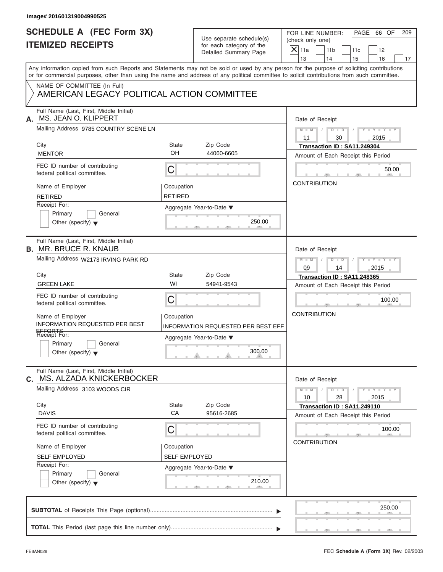| Image# 201601319004990525                                                                                                                                                                                                                                                               |                              |                                                      |                     |                       |                                                                   |                             |     |
|-----------------------------------------------------------------------------------------------------------------------------------------------------------------------------------------------------------------------------------------------------------------------------------------|------------------------------|------------------------------------------------------|---------------------|-----------------------|-------------------------------------------------------------------|-----------------------------|-----|
| <b>SCHEDULE A (FEC Form 3X)</b><br><b>ITEMIZED RECEIPTS</b>                                                                                                                                                                                                                             |                              | Use separate schedule(s)<br>for each category of the |                     |                       | FOR LINE NUMBER:                                                  | PAGE 66 OF                  | 209 |
|                                                                                                                                                                                                                                                                                         |                              | Detailed Summary Page                                | $X$ 11a<br>13       | 11 <sub>b</sub><br>14 | 11c<br>15                                                         | 12<br>16                    | 17  |
| Any information copied from such Reports and Statements may not be sold or used by any person for the purpose of soliciting contributions<br>or for commercial purposes, other than using the name and address of any political committee to solicit contributions from such committee. |                              |                                                      |                     |                       |                                                                   |                             |     |
| NAME OF COMMITTEE (In Full)<br>AMERICAN LEGACY POLITICAL ACTION COMMITTEE                                                                                                                                                                                                               |                              |                                                      |                     |                       |                                                                   |                             |     |
| Full Name (Last, First, Middle Initial)<br>MS. JEAN O. KLIPPERT<br>А.                                                                                                                                                                                                                   |                              |                                                      |                     | Date of Receipt       |                                                                   |                             |     |
| Mailing Address 9785 COUNTRY SCENE LN                                                                                                                                                                                                                                                   |                              |                                                      | $M - M$ /<br>11     | 30                    | $D$ $D$ $I$                                                       | $Y - Y - Y - Y - Y$<br>2015 |     |
| City<br><b>MENTOR</b>                                                                                                                                                                                                                                                                   | <b>State</b><br>OH           | Zip Code<br>44060-6605                               |                     |                       | Transaction ID: SA11.249304<br>Amount of Each Receipt this Period |                             |     |
| FEC ID number of contributing<br>federal political committee.                                                                                                                                                                                                                           | С                            |                                                      |                     |                       |                                                                   | 50.00                       |     |
| Name of Employer<br><b>RETIRED</b>                                                                                                                                                                                                                                                      | Occupation<br><b>RETIRED</b> |                                                      | <b>CONTRIBUTION</b> |                       |                                                                   |                             |     |
| Receipt For:<br>Primary<br>General<br>Other (specify) $\blacktriangledown$                                                                                                                                                                                                              |                              | Aggregate Year-to-Date ▼<br>250.00                   |                     |                       |                                                                   |                             |     |
| Full Name (Last, First, Middle Initial)<br><b>B. MR. BRUCE R. KNAUB</b>                                                                                                                                                                                                                 |                              |                                                      |                     | Date of Receipt       |                                                                   |                             |     |
| Mailing Address W2173 IRVING PARK RD                                                                                                                                                                                                                                                    |                              |                                                      | $M - M$<br>09       | $D$ $D$<br>14         | $\sqrt{2}$                                                        | $Y = Y = Y' - Y'$<br>2015   |     |
| City<br><b>GREEN LAKE</b>                                                                                                                                                                                                                                                               | <b>State</b><br>WI           | Zip Code<br>54941-9543                               |                     |                       | Transaction ID: SA11.248365                                       |                             |     |
|                                                                                                                                                                                                                                                                                         |                              |                                                      |                     |                       | Amount of Each Receipt this Period                                |                             |     |
| FEC ID number of contributing<br>federal political committee.                                                                                                                                                                                                                           | C                            |                                                      | <b>CONTRIBUTION</b> |                       |                                                                   | 100.00                      |     |
| Name of Employer<br>INFORMATION REQUESTED PER BEST                                                                                                                                                                                                                                      | Occupation                   | INFORMATION REQUESTED PER BEST EFF                   |                     |                       |                                                                   |                             |     |
| EFFORTS<br>Receipt For:                                                                                                                                                                                                                                                                 |                              | Aggregate Year-to-Date ▼                             |                     |                       |                                                                   |                             |     |
| Primary<br>General<br>Other (specify) $\blacktriangledown$                                                                                                                                                                                                                              |                              | 300.00                                               |                     |                       |                                                                   |                             |     |
| Full Name (Last, First, Middle Initial)<br>MS. ALZADA KNICKERBOCKER<br>С.                                                                                                                                                                                                               |                              |                                                      |                     | Date of Receipt       |                                                                   |                             |     |
| Mailing Address 3103 WOODS CIR                                                                                                                                                                                                                                                          |                              |                                                      | $M - M$<br>10       | $D$ $\Box$ $D$<br>28  |                                                                   | $Y - Y - Y - Y - I$<br>2015 |     |
| City<br><b>DAVIS</b>                                                                                                                                                                                                                                                                    | State<br>CA                  | Zip Code<br>95616-2685                               |                     |                       | Transaction ID: SA11.249110<br>Amount of Each Receipt this Period |                             |     |
| FEC ID number of contributing<br>federal political committee.                                                                                                                                                                                                                           | С                            |                                                      |                     | <b>CONTRIBUTION</b>   |                                                                   | 100.00                      |     |
| Name of Employer                                                                                                                                                                                                                                                                        | Occupation                   |                                                      |                     |                       |                                                                   |                             |     |
| <b>SELF EMPLOYED</b>                                                                                                                                                                                                                                                                    | <b>SELF EMPLOYED</b>         |                                                      |                     |                       |                                                                   |                             |     |
| Receipt For:<br>Primary<br>General<br>Other (specify) $\blacktriangledown$                                                                                                                                                                                                              |                              | Aggregate Year-to-Date ▼<br>210.00                   |                     |                       |                                                                   |                             |     |
|                                                                                                                                                                                                                                                                                         |                              |                                                      |                     |                       |                                                                   | 250.00                      |     |
|                                                                                                                                                                                                                                                                                         |                              |                                                      |                     |                       |                                                                   |                             |     |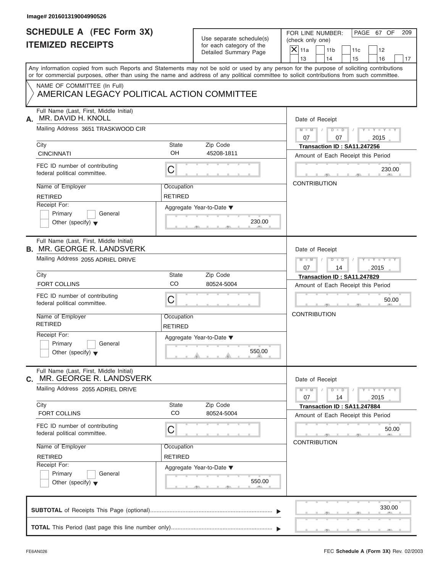| <b>SCHEDULE A (FEC Form 3X)</b>                                           |                              | Use separate schedule(s) | PAGE 67 OF<br>FOR LINE NUMBER:<br>209<br>(check only one)                                                                                  |  |  |  |  |  |
|---------------------------------------------------------------------------|------------------------------|--------------------------|--------------------------------------------------------------------------------------------------------------------------------------------|--|--|--|--|--|
| <b>ITEMIZED RECEIPTS</b>                                                  |                              | for each category of the | $\overline{X} _{11a}$                                                                                                                      |  |  |  |  |  |
|                                                                           |                              | Detailed Summary Page    | 11 <sub>b</sub><br>11c<br>12<br>13<br>14<br>15<br>16<br>17                                                                                 |  |  |  |  |  |
|                                                                           |                              |                          | Any information copied from such Reports and Statements may not be sold or used by any person for the purpose of soliciting contributions  |  |  |  |  |  |
|                                                                           |                              |                          | or for commercial purposes, other than using the name and address of any political committee to solicit contributions from such committee. |  |  |  |  |  |
| NAME OF COMMITTEE (In Full)<br>AMERICAN LEGACY POLITICAL ACTION COMMITTEE |                              |                          |                                                                                                                                            |  |  |  |  |  |
| Full Name (Last, First, Middle Initial)<br>MR. DAVID H. KNOLL<br>А.       |                              |                          | Date of Receipt                                                                                                                            |  |  |  |  |  |
| Mailing Address 3651 TRASKWOOD CIR                                        |                              |                          | $M = M \qquad / \qquad D = D \qquad /$<br>$Y - Y - Y - Y - Y$<br>07<br>07<br>2015                                                          |  |  |  |  |  |
| City                                                                      | <b>State</b>                 | Zip Code                 | Transaction ID: SA11.247256                                                                                                                |  |  |  |  |  |
| <b>CINCINNATI</b>                                                         | OH                           | 45208-1811               | Amount of Each Receipt this Period                                                                                                         |  |  |  |  |  |
| FEC ID number of contributing<br>federal political committee.             | C                            |                          | 230.00                                                                                                                                     |  |  |  |  |  |
| Name of Employer                                                          | Occupation                   |                          | <b>CONTRIBUTION</b>                                                                                                                        |  |  |  |  |  |
| <b>RETIRED</b>                                                            | <b>RETIRED</b>               |                          |                                                                                                                                            |  |  |  |  |  |
| Receipt For:                                                              |                              | Aggregate Year-to-Date ▼ |                                                                                                                                            |  |  |  |  |  |
| Primary<br>General                                                        |                              |                          |                                                                                                                                            |  |  |  |  |  |
| Other (specify) $\blacktriangledown$                                      |                              | 230.00                   |                                                                                                                                            |  |  |  |  |  |
| Full Name (Last, First, Middle Initial)                                   |                              |                          |                                                                                                                                            |  |  |  |  |  |
| <b>B. MR. GEORGE R. LANDSVERK</b>                                         |                              |                          | Date of Receipt                                                                                                                            |  |  |  |  |  |
| Mailing Address 2055 ADRIEL DRIVE                                         |                              |                          | $D$ $D$<br>$Y = Y = Y' + Y' + Y$<br>$M$ $M$ $/$<br>$\Box$                                                                                  |  |  |  |  |  |
|                                                                           |                              |                          | 07<br>2015<br>14                                                                                                                           |  |  |  |  |  |
| City                                                                      | <b>State</b>                 | Zip Code                 | Transaction ID: SA11.247829                                                                                                                |  |  |  |  |  |
| <b>FORT COLLINS</b>                                                       | CO                           | 80524-5004               | Amount of Each Receipt this Period                                                                                                         |  |  |  |  |  |
| FEC ID number of contributing<br>federal political committee.             | C                            |                          | 50.00                                                                                                                                      |  |  |  |  |  |
| Name of Employer<br><b>RETIRED</b>                                        | Occupation<br><b>RETIRED</b> |                          | <b>CONTRIBUTION</b>                                                                                                                        |  |  |  |  |  |
| Receipt For:                                                              |                              | Aggregate Year-to-Date ▼ |                                                                                                                                            |  |  |  |  |  |
| Primary<br>General                                                        |                              |                          |                                                                                                                                            |  |  |  |  |  |
| Other (specify) $\blacktriangledown$                                      |                              | 550.00                   |                                                                                                                                            |  |  |  |  |  |
| Full Name (Last, First, Middle Initial)<br>MR. GEORGE R. LANDSVERK<br>С.  |                              |                          | Date of Receipt                                                                                                                            |  |  |  |  |  |
| Mailing Address 2055 ADRIEL DRIVE                                         |                              |                          | $Y - Y - Y - Y - Y$<br>$M - M$<br>$D$ $\Box$ $D$<br>07<br>2015<br>14                                                                       |  |  |  |  |  |
| City                                                                      | State                        | Zip Code                 | Transaction ID: SA11.247884                                                                                                                |  |  |  |  |  |
| FORT COLLINS                                                              | CO                           | 80524-5004               | Amount of Each Receipt this Period                                                                                                         |  |  |  |  |  |
| FEC ID number of contributing<br>federal political committee.             | С                            |                          | 50.00                                                                                                                                      |  |  |  |  |  |
| Name of Employer                                                          | Occupation                   |                          | <b>CONTRIBUTION</b>                                                                                                                        |  |  |  |  |  |
| <b>RETIRED</b>                                                            | <b>RETIRED</b>               |                          |                                                                                                                                            |  |  |  |  |  |
| Receipt For:                                                              |                              | Aggregate Year-to-Date ▼ |                                                                                                                                            |  |  |  |  |  |
| Primary<br>General                                                        |                              |                          |                                                                                                                                            |  |  |  |  |  |
| Other (specify) $\blacktriangledown$                                      |                              | 550.00                   |                                                                                                                                            |  |  |  |  |  |
|                                                                           |                              |                          |                                                                                                                                            |  |  |  |  |  |
|                                                                           |                              |                          |                                                                                                                                            |  |  |  |  |  |
|                                                                           |                              |                          | 330.00                                                                                                                                     |  |  |  |  |  |
|                                                                           |                              |                          |                                                                                                                                            |  |  |  |  |  |
|                                                                           |                              |                          |                                                                                                                                            |  |  |  |  |  |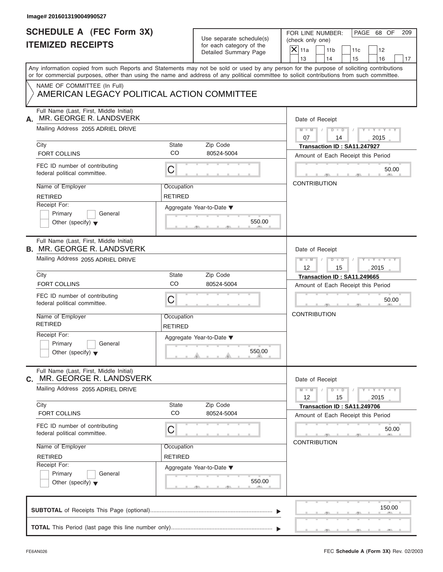| <b>SCHEDULE A (FEC Form 3X)</b><br><b>ITEMIZED RECEIPTS</b>                  |                              | Use separate schedule(s)<br>for each category of the<br>Detailed Summary Page | PAGE 68 OF<br>FOR LINE NUMBER:<br>209<br>(check only one)<br>$X$ 11a<br>11 <sub>b</sub><br>11c<br>12<br>13<br>14<br>15<br>16<br>17                                                                                                                                                      |
|------------------------------------------------------------------------------|------------------------------|-------------------------------------------------------------------------------|-----------------------------------------------------------------------------------------------------------------------------------------------------------------------------------------------------------------------------------------------------------------------------------------|
|                                                                              |                              |                                                                               | Any information copied from such Reports and Statements may not be sold or used by any person for the purpose of soliciting contributions<br>or for commercial purposes, other than using the name and address of any political committee to solicit contributions from such committee. |
| NAME OF COMMITTEE (In Full)<br>AMERICAN LEGACY POLITICAL ACTION COMMITTEE    |                              |                                                                               |                                                                                                                                                                                                                                                                                         |
| Full Name (Last, First, Middle Initial)<br>MR. GEORGE R. LANDSVERK<br>А.     |                              |                                                                               | Date of Receipt                                                                                                                                                                                                                                                                         |
| Mailing Address 2055 ADRIEL DRIVE                                            |                              |                                                                               | $D$ $D$ $I$<br>$Y - Y - Y - Y - Y$<br>$M - M$ /<br>07<br>2015<br>14                                                                                                                                                                                                                     |
| City<br><b>FORT COLLINS</b>                                                  | State<br><b>CO</b>           | Zip Code<br>80524-5004                                                        | Transaction ID: SA11.247927<br>Amount of Each Receipt this Period                                                                                                                                                                                                                       |
| FEC ID number of contributing<br>federal political committee.                | С                            |                                                                               | 50.00                                                                                                                                                                                                                                                                                   |
| Name of Employer<br><b>RETIRED</b>                                           | Occupation<br><b>RETIRED</b> |                                                                               | <b>CONTRIBUTION</b>                                                                                                                                                                                                                                                                     |
| Receipt For:<br>Primary<br>General<br>Other (specify) $\blacktriangledown$   |                              | Aggregate Year-to-Date ▼<br>550.00                                            |                                                                                                                                                                                                                                                                                         |
| Full Name (Last, First, Middle Initial)<br><b>B. MR. GEORGE R. LANDSVERK</b> |                              |                                                                               | Date of Receipt                                                                                                                                                                                                                                                                         |
| Mailing Address 2055 ADRIEL DRIVE                                            |                              |                                                                               | Y TY TY TY<br>$M \perp M \parallel / \parallel D \perp D \parallel /$<br>12<br>15<br>2015                                                                                                                                                                                               |
| City<br><b>FORT COLLINS</b>                                                  | State<br>CO                  | Zip Code<br>80524-5004                                                        | Transaction ID: SA11.249665<br>Amount of Each Receipt this Period                                                                                                                                                                                                                       |
| FEC ID number of contributing<br>federal political committee.                | С                            |                                                                               | 50.00                                                                                                                                                                                                                                                                                   |
| Name of Employer<br><b>RETIRED</b>                                           | Occupation<br>RETIRED        |                                                                               | <b>CONTRIBUTION</b>                                                                                                                                                                                                                                                                     |
| Receipt For:<br>Primary<br>General<br>Other (specify) $\blacktriangledown$   |                              | Aggregate Year-to-Date ▼<br>550.00                                            |                                                                                                                                                                                                                                                                                         |
| Full Name (Last, First, Middle Initial)<br>MR. GEORGE R. LANDSVERK<br>С.     |                              |                                                                               | Date of Receipt                                                                                                                                                                                                                                                                         |
| Mailing Address 2055 ADRIEL DRIVE                                            |                              |                                                                               | $Y - Y - Y - Y - Y$<br>$M - M$<br>$D$ $\Box$ $D$<br>12<br>15<br>2015                                                                                                                                                                                                                    |
| City<br>FORT COLLINS                                                         | State<br>CO                  | Zip Code<br>80524-5004                                                        | Transaction ID: SA11.249706<br>Amount of Each Receipt this Period                                                                                                                                                                                                                       |
| FEC ID number of contributing<br>federal political committee.                | С                            |                                                                               | 50.00<br><b>CONTRIBUTION</b>                                                                                                                                                                                                                                                            |
| Name of Employer<br><b>RETIRED</b>                                           | Occupation<br><b>RETIRED</b> |                                                                               |                                                                                                                                                                                                                                                                                         |
| Receipt For:<br>Primary<br>General<br>Other (specify) $\blacktriangledown$   |                              | Aggregate Year-to-Date ▼<br>550.00                                            |                                                                                                                                                                                                                                                                                         |
|                                                                              |                              |                                                                               | 150.00                                                                                                                                                                                                                                                                                  |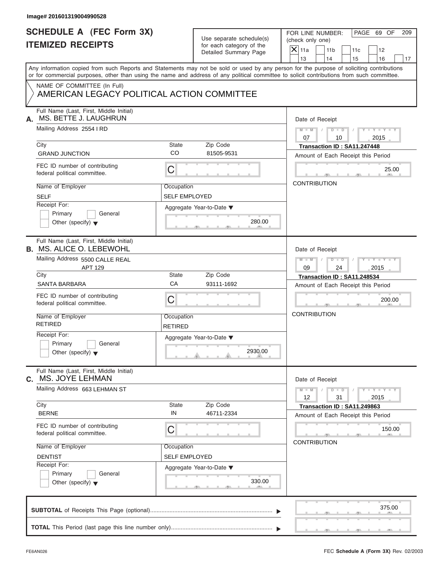| <b>SCHEDULE A (FEC Form 3X)</b><br><b>ITEMIZED RECEIPTS</b>                                                                                                                                                                                                                             |                              | Use separate schedule(s)<br>for each category of the |                          | FOR LINE NUMBER:<br>(check only one) |                                    | PAGE 69 OF                  | 209 |
|-----------------------------------------------------------------------------------------------------------------------------------------------------------------------------------------------------------------------------------------------------------------------------------------|------------------------------|------------------------------------------------------|--------------------------|--------------------------------------|------------------------------------|-----------------------------|-----|
|                                                                                                                                                                                                                                                                                         |                              | Detailed Summary Page                                | $\overline{X}$ 11a<br>13 | 11 <sub>b</sub><br>14                | 11c<br>15                          | 12<br>16                    | 17  |
| Any information copied from such Reports and Statements may not be sold or used by any person for the purpose of soliciting contributions<br>or for commercial purposes, other than using the name and address of any political committee to solicit contributions from such committee. |                              |                                                      |                          |                                      |                                    |                             |     |
| NAME OF COMMITTEE (In Full)<br>AMERICAN LEGACY POLITICAL ACTION COMMITTEE                                                                                                                                                                                                               |                              |                                                      |                          |                                      |                                    |                             |     |
| Full Name (Last, First, Middle Initial)<br>MS. BETTE J. LAUGHRUN<br>А.                                                                                                                                                                                                                  |                              |                                                      |                          | Date of Receipt                      |                                    |                             |     |
| Mailing Address 2554 I RD                                                                                                                                                                                                                                                               |                              |                                                      | $M - M$                  | $D$ $D$                              |                                    | $Y - Y - Y - Y - Y$         |     |
| City                                                                                                                                                                                                                                                                                    | State                        | Zip Code                                             | 07                       | 10                                   | Transaction ID: SA11.247448        | 2015                        |     |
| <b>GRAND JUNCTION</b>                                                                                                                                                                                                                                                                   | CO                           | 81505-9531                                           |                          |                                      | Amount of Each Receipt this Period |                             |     |
| FEC ID number of contributing<br>federal political committee.                                                                                                                                                                                                                           | C                            |                                                      |                          |                                      |                                    | 25.00                       |     |
| Name of Employer                                                                                                                                                                                                                                                                        | Occupation                   |                                                      |                          | <b>CONTRIBUTION</b>                  |                                    |                             |     |
| <b>SELF</b>                                                                                                                                                                                                                                                                             | <b>SELF EMPLOYED</b>         |                                                      |                          |                                      |                                    |                             |     |
| Receipt For:                                                                                                                                                                                                                                                                            |                              | Aggregate Year-to-Date ▼                             |                          |                                      |                                    |                             |     |
| Primary<br>General<br>Other (specify) $\blacktriangledown$                                                                                                                                                                                                                              |                              | 280.00                                               |                          |                                      |                                    |                             |     |
| Full Name (Last, First, Middle Initial)<br><b>B. MS. ALICE O. LEBEWOHL</b>                                                                                                                                                                                                              |                              |                                                      |                          | Date of Receipt                      |                                    |                             |     |
| Mailing Address 5500 CALLE REAL<br>APT 129                                                                                                                                                                                                                                              |                              |                                                      | $M$ $M$<br>09            | $D - I$<br>24                        |                                    | Y TYTTYTTY<br>2015          |     |
| City                                                                                                                                                                                                                                                                                    | State                        | Zip Code                                             |                          |                                      | Transaction ID: SA11.248534        |                             |     |
| SANTA BARBARA                                                                                                                                                                                                                                                                           | CA                           | 93111-1692                                           |                          |                                      | Amount of Each Receipt this Period |                             |     |
| FEC ID number of contributing<br>federal political committee.                                                                                                                                                                                                                           | C                            |                                                      |                          |                                      |                                    | 200.00                      |     |
| Name of Employer<br><b>RETIRED</b>                                                                                                                                                                                                                                                      | Occupation<br><b>RETIRED</b> |                                                      | <b>CONTRIBUTION</b>      |                                      |                                    |                             |     |
| Receipt For:<br>Primary<br>General<br>Other (specify) $\blacktriangledown$                                                                                                                                                                                                              |                              | Aggregate Year-to-Date ▼<br>2930.00                  |                          |                                      |                                    |                             |     |
| Full Name (Last, First, Middle Initial)<br>MS. JOYE LEHMAN<br>С.                                                                                                                                                                                                                        |                              |                                                      |                          | Date of Receipt                      |                                    |                             |     |
| Mailing Address 663 LEHMAN ST                                                                                                                                                                                                                                                           |                              |                                                      | $M - M$<br>12            | $D$ $\Box$ $D$<br>31                 |                                    | $Y - Y - Y - Y - Y$<br>2015 |     |
| City<br><b>BERNE</b>                                                                                                                                                                                                                                                                    | State<br>IN                  | Zip Code<br>46711-2334                               |                          |                                      | Transaction ID: SA11.249863        |                             |     |
|                                                                                                                                                                                                                                                                                         |                              |                                                      |                          |                                      | Amount of Each Receipt this Period |                             |     |
| FEC ID number of contributing<br>federal political committee.                                                                                                                                                                                                                           | С                            |                                                      |                          | <b>CONTRIBUTION</b>                  |                                    | 150.00                      |     |
| Name of Employer                                                                                                                                                                                                                                                                        | Occupation                   |                                                      |                          |                                      |                                    |                             |     |
| <b>DENTIST</b><br>Receipt For:                                                                                                                                                                                                                                                          | <b>SELF EMPLOYED</b>         |                                                      |                          |                                      |                                    |                             |     |
| Primary<br>General<br>Other (specify) $\blacktriangledown$                                                                                                                                                                                                                              |                              | Aggregate Year-to-Date ▼<br>330.00                   |                          |                                      |                                    |                             |     |
|                                                                                                                                                                                                                                                                                         |                              |                                                      |                          |                                      |                                    | 375.00                      |     |
|                                                                                                                                                                                                                                                                                         |                              |                                                      |                          |                                      |                                    |                             |     |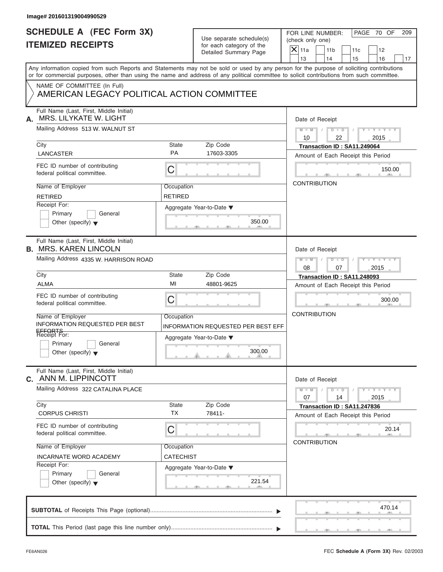| Image# 201601319004990529                                                                                                                                                                                                                                                               |                              |                                                      |                                                           |                       |                                                                   |                             |    |
|-----------------------------------------------------------------------------------------------------------------------------------------------------------------------------------------------------------------------------------------------------------------------------------------|------------------------------|------------------------------------------------------|-----------------------------------------------------------|-----------------------|-------------------------------------------------------------------|-----------------------------|----|
| <b>SCHEDULE A (FEC Form 3X)</b><br><b>ITEMIZED RECEIPTS</b>                                                                                                                                                                                                                             |                              | Use separate schedule(s)<br>for each category of the | PAGE 70 OF<br>FOR LINE NUMBER:<br>209<br>(check only one) |                       |                                                                   |                             |    |
|                                                                                                                                                                                                                                                                                         |                              | Detailed Summary Page                                | $X$ 11a<br>13                                             | 11 <sub>b</sub><br>14 | 11c<br>15                                                         | 12<br>16                    | 17 |
| Any information copied from such Reports and Statements may not be sold or used by any person for the purpose of soliciting contributions<br>or for commercial purposes, other than using the name and address of any political committee to solicit contributions from such committee. |                              |                                                      |                                                           |                       |                                                                   |                             |    |
| NAME OF COMMITTEE (In Full)<br>AMERICAN LEGACY POLITICAL ACTION COMMITTEE                                                                                                                                                                                                               |                              |                                                      |                                                           |                       |                                                                   |                             |    |
| Full Name (Last, First, Middle Initial)<br>MRS. LILYKATE W. LIGHT<br>А.                                                                                                                                                                                                                 |                              |                                                      |                                                           | Date of Receipt       |                                                                   |                             |    |
| Mailing Address 513 W. WALNUT ST                                                                                                                                                                                                                                                        |                              |                                                      | $M - M$<br>10                                             | $D$ $\Box$ $D$<br>22  | $\sqrt{2}$                                                        | $Y - Y - Y - Y - Y$<br>2015 |    |
| City<br><b>LANCASTER</b>                                                                                                                                                                                                                                                                | <b>State</b><br><b>PA</b>    | Zip Code<br>17603-3305                               |                                                           |                       | Transaction ID: SA11.249064                                       |                             |    |
| FEC ID number of contributing<br>federal political committee.                                                                                                                                                                                                                           | С                            |                                                      |                                                           |                       | Amount of Each Receipt this Period                                | 150.00                      |    |
| Name of Employer<br><b>RETIRED</b>                                                                                                                                                                                                                                                      | Occupation<br><b>RETIRED</b> |                                                      |                                                           | <b>CONTRIBUTION</b>   |                                                                   |                             |    |
| Receipt For:<br>Primary<br>General<br>Other (specify) $\blacktriangledown$                                                                                                                                                                                                              | Aggregate Year-to-Date ▼     | 350.00                                               |                                                           |                       |                                                                   |                             |    |
| Full Name (Last, First, Middle Initial)<br><b>B. MRS. KAREN LINCOLN</b>                                                                                                                                                                                                                 |                              |                                                      |                                                           | Date of Receipt       |                                                                   |                             |    |
| Mailing Address 4335 W. HARRISON ROAD                                                                                                                                                                                                                                                   |                              |                                                      | $M - M$<br>08                                             | $D - I - D$<br>07     |                                                                   | $Y = Y = Y' - Y'$<br>2015   |    |
| City                                                                                                                                                                                                                                                                                    | <b>State</b>                 | Zip Code                                             |                                                           |                       | Transaction ID: SA11.248093                                       |                             |    |
| <b>ALMA</b>                                                                                                                                                                                                                                                                             | MI                           | 48801-9625                                           |                                                           |                       | Amount of Each Receipt this Period                                |                             |    |
| FEC ID number of contributing<br>federal political committee.                                                                                                                                                                                                                           | C                            |                                                      |                                                           |                       |                                                                   | 300.00                      |    |
| Name of Employer<br>INFORMATION REQUESTED PER BEST                                                                                                                                                                                                                                      | Occupation                   | INFORMATION REQUESTED PER BEST EFF                   | <b>CONTRIBUTION</b>                                       |                       |                                                                   |                             |    |
| EFFORTS<br>Receipt For:<br>Primary<br>General<br>Other (specify) $\blacktriangledown$                                                                                                                                                                                                   |                              | Aggregate Year-to-Date ▼<br>300.00                   |                                                           |                       |                                                                   |                             |    |
| Full Name (Last, First, Middle Initial)<br><b>C. ANN M. LIPPINCOTT</b>                                                                                                                                                                                                                  |                              |                                                      |                                                           | Date of Receipt       |                                                                   |                             |    |
| Mailing Address 322 CATALINA PLACE                                                                                                                                                                                                                                                      |                              |                                                      | $M - M$<br>07                                             | $D$ $\Box$ $D$<br>14  |                                                                   | $Y - Y - Y - Y - Y$<br>2015 |    |
| City<br><b>CORPUS CHRISTI</b>                                                                                                                                                                                                                                                           | State<br><b>TX</b>           | Zip Code<br>78411-                                   |                                                           |                       | Transaction ID: SA11.247836<br>Amount of Each Receipt this Period |                             |    |
| FEC ID number of contributing<br>federal political committee.                                                                                                                                                                                                                           | С                            |                                                      |                                                           |                       |                                                                   | 20.14                       |    |
| Name of Employer<br>INCARNATE WORD ACADEMY                                                                                                                                                                                                                                              | Occupation<br>CATECHIST      |                                                      |                                                           | <b>CONTRIBUTION</b>   |                                                                   |                             |    |
| Receipt For:<br>Primary<br>General<br>Other (specify) $\blacktriangledown$                                                                                                                                                                                                              | Aggregate Year-to-Date ▼     | 221.54                                               |                                                           |                       |                                                                   |                             |    |
|                                                                                                                                                                                                                                                                                         |                              |                                                      |                                                           |                       |                                                                   | 470.14                      |    |
|                                                                                                                                                                                                                                                                                         |                              |                                                      |                                                           |                       |                                                                   |                             |    |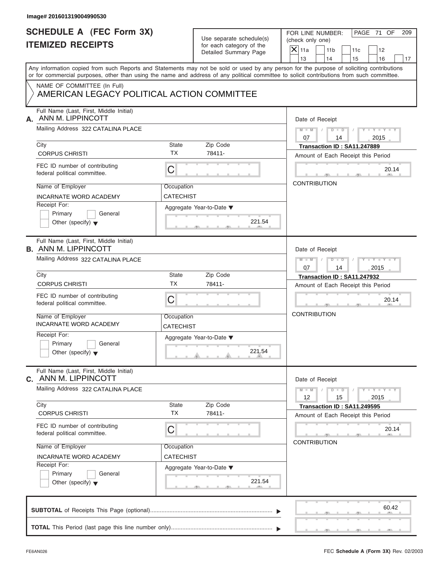| <b>SCHEDULE A (FEC Form 3X)</b>                                                                                                                                                                                                                                                         |                                |                                                                               | PAGE 71 OF<br>FOR LINE NUMBER:<br>209 |                             |                                                                   |                             |    |
|-----------------------------------------------------------------------------------------------------------------------------------------------------------------------------------------------------------------------------------------------------------------------------------------|--------------------------------|-------------------------------------------------------------------------------|---------------------------------------|-----------------------------|-------------------------------------------------------------------|-----------------------------|----|
| <b>ITEMIZED RECEIPTS</b>                                                                                                                                                                                                                                                                |                                | Use separate schedule(s)<br>for each category of the<br>Detailed Summary Page | (check only one)                      |                             |                                                                   |                             |    |
|                                                                                                                                                                                                                                                                                         |                                |                                                                               | $X$ 11a<br>13                         | 11 <sub>b</sub><br>14       | 11c<br>15                                                         | 12<br>16                    | 17 |
| Any information copied from such Reports and Statements may not be sold or used by any person for the purpose of soliciting contributions<br>or for commercial purposes, other than using the name and address of any political committee to solicit contributions from such committee. |                                |                                                                               |                                       |                             |                                                                   |                             |    |
| NAME OF COMMITTEE (In Full)<br>AMERICAN LEGACY POLITICAL ACTION COMMITTEE                                                                                                                                                                                                               |                                |                                                                               |                                       |                             |                                                                   |                             |    |
| Full Name (Last, First, Middle Initial)<br>ANN M. LIPPINCOTT<br>А.                                                                                                                                                                                                                      |                                |                                                                               | Date of Receipt                       |                             |                                                                   |                             |    |
| Mailing Address 322 CATALINA PLACE                                                                                                                                                                                                                                                      |                                |                                                                               | $M - M$<br>07                         | $D$ $D$ $I$<br>14           |                                                                   | $Y - Y - Y - Y - Y$<br>2015 |    |
| City<br><b>CORPUS CHRISTI</b>                                                                                                                                                                                                                                                           | <b>State</b><br><b>TX</b>      | Zip Code<br>78411-                                                            |                                       |                             | Transaction ID: SA11.247889<br>Amount of Each Receipt this Period |                             |    |
| FEC ID number of contributing<br>federal political committee.                                                                                                                                                                                                                           | $\mathsf C$                    |                                                                               |                                       |                             |                                                                   | 20.14                       |    |
| Name of Employer<br><b>INCARNATE WORD ACADEMY</b>                                                                                                                                                                                                                                       | Occupation<br><b>CATECHIST</b> |                                                                               | <b>CONTRIBUTION</b>                   |                             |                                                                   |                             |    |
| Receipt For:<br>Primary<br>General<br>Other (specify) $\blacktriangledown$                                                                                                                                                                                                              |                                | Aggregate Year-to-Date ▼<br>221.54                                            |                                       |                             |                                                                   |                             |    |
| Full Name (Last, First, Middle Initial)<br><b>B. ANN M. LIPPINCOTT</b>                                                                                                                                                                                                                  |                                |                                                                               | Date of Receipt                       |                             |                                                                   |                             |    |
| Mailing Address 322 CATALINA PLACE                                                                                                                                                                                                                                                      |                                |                                                                               | $M$ $M$<br>07                         | $D$ $\Box$ $D$ $\Box$<br>14 | $\sqrt{2}$                                                        | Y T Y T Y T<br>2015         |    |
| City                                                                                                                                                                                                                                                                                    | <b>State</b><br><b>TX</b>      | Zip Code                                                                      |                                       |                             | Transaction ID: SA11.247932                                       |                             |    |
| <b>CORPUS CHRISTI</b>                                                                                                                                                                                                                                                                   |                                | 78411-                                                                        |                                       |                             | Amount of Each Receipt this Period                                |                             |    |
| FEC ID number of contributing<br>federal political committee.                                                                                                                                                                                                                           | C                              |                                                                               |                                       |                             |                                                                   | 20.14                       |    |
| Name of Employer<br><b>INCARNATE WORD ACADEMY</b>                                                                                                                                                                                                                                       | Occupation<br>CATECHIST        |                                                                               | <b>CONTRIBUTION</b>                   |                             |                                                                   |                             |    |
| Receipt For:<br>Primary<br>General<br>Other (specify) $\blacktriangledown$                                                                                                                                                                                                              |                                | Aggregate Year-to-Date ▼<br>221.54                                            |                                       |                             |                                                                   |                             |    |
| Full Name (Last, First, Middle Initial)<br><b>C. ANN M. LIPPINCOTT</b>                                                                                                                                                                                                                  |                                |                                                                               | Date of Receipt                       |                             |                                                                   |                             |    |
| Mailing Address 322 CATALINA PLACE                                                                                                                                                                                                                                                      |                                |                                                                               | $M - M$<br>12                         | $D$ $\Box$ $D$<br>15        |                                                                   | $Y - Y - Y - Y - Y$<br>2015 |    |
| City<br><b>CORPUS CHRISTI</b>                                                                                                                                                                                                                                                           | State<br><b>TX</b>             | Zip Code<br>78411-                                                            |                                       |                             | Transaction ID: SA11.249595<br>Amount of Each Receipt this Period |                             |    |
| FEC ID number of contributing<br>federal political committee.                                                                                                                                                                                                                           | С                              |                                                                               | <b>CONTRIBUTION</b>                   |                             |                                                                   | 20.14                       |    |
| Name of Employer<br>INCARNATE WORD ACADEMY                                                                                                                                                                                                                                              | Occupation<br>CATECHIST        |                                                                               |                                       |                             |                                                                   |                             |    |
| Receipt For:<br>Primary<br>General<br>Other (specify) $\blacktriangledown$                                                                                                                                                                                                              |                                | Aggregate Year-to-Date ▼<br>221.54                                            |                                       |                             |                                                                   |                             |    |
|                                                                                                                                                                                                                                                                                         |                                |                                                                               |                                       |                             |                                                                   | 60.42                       |    |
|                                                                                                                                                                                                                                                                                         |                                |                                                                               |                                       |                             |                                                                   |                             |    |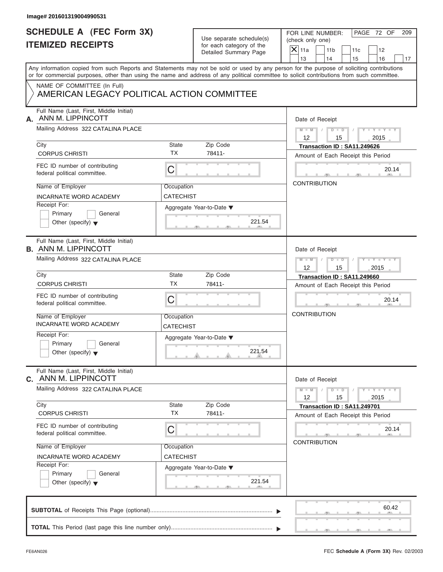| <b>SCHEDULE A (FEC Form 3X)</b><br><b>ITEMIZED RECEIPTS</b><br>NAME OF COMMITTEE (In Full)<br>AMERICAN LEGACY POLITICAL ACTION COMMITTEE |                                | Use separate schedule(s)<br>for each category of the<br>Detailed Summary Page | PAGE 72 OF<br>FOR LINE NUMBER:<br>209<br>(check only one)<br>$X$ 11a<br>11 <sub>b</sub><br>11c<br>12<br>13<br>14<br>15<br>16<br>17<br>Any information copied from such Reports and Statements may not be sold or used by any person for the purpose of soliciting contributions |  |  |  |  |
|------------------------------------------------------------------------------------------------------------------------------------------|--------------------------------|-------------------------------------------------------------------------------|---------------------------------------------------------------------------------------------------------------------------------------------------------------------------------------------------------------------------------------------------------------------------------|--|--|--|--|
|                                                                                                                                          |                                |                                                                               |                                                                                                                                                                                                                                                                                 |  |  |  |  |
|                                                                                                                                          |                                |                                                                               | or for commercial purposes, other than using the name and address of any political committee to solicit contributions from such committee.                                                                                                                                      |  |  |  |  |
|                                                                                                                                          |                                |                                                                               |                                                                                                                                                                                                                                                                                 |  |  |  |  |
| Full Name (Last, First, Middle Initial)<br>ANN M. LIPPINCOTT<br>А.                                                                       |                                |                                                                               | Date of Receipt                                                                                                                                                                                                                                                                 |  |  |  |  |
| Mailing Address 322 CATALINA PLACE                                                                                                       |                                |                                                                               | $M-M$ / $D$ $D$ /<br>$Y - Y - Y - Y - Y$<br>$12 \overline{ }$<br>2015<br>15                                                                                                                                                                                                     |  |  |  |  |
| City<br><b>CORPUS CHRISTI</b>                                                                                                            | State<br><b>TX</b>             | Zip Code<br>78411-                                                            | Transaction ID: SA11.249626<br>Amount of Each Receipt this Period                                                                                                                                                                                                               |  |  |  |  |
| FEC ID number of contributing<br>federal political committee.                                                                            | C                              |                                                                               | 20.14                                                                                                                                                                                                                                                                           |  |  |  |  |
| Name of Employer<br><b>INCARNATE WORD ACADEMY</b>                                                                                        | Occupation<br><b>CATECHIST</b> |                                                                               | <b>CONTRIBUTION</b>                                                                                                                                                                                                                                                             |  |  |  |  |
| Receipt For:<br>Primary<br>General<br>Other (specify) $\blacktriangledown$                                                               |                                | Aggregate Year-to-Date ▼<br>221.54                                            |                                                                                                                                                                                                                                                                                 |  |  |  |  |
| Full Name (Last, First, Middle Initial)<br><b>B. ANN M. LIPPINCOTT</b>                                                                   |                                |                                                                               | Date of Receipt                                                                                                                                                                                                                                                                 |  |  |  |  |
| Mailing Address 322 CATALINA PLACE                                                                                                       |                                |                                                                               | Y TY TY TY<br>$M \perp M \parallel / \parallel D \perp D \parallel /$<br>12<br>15<br>2015                                                                                                                                                                                       |  |  |  |  |
| City                                                                                                                                     | State                          | Zip Code                                                                      | Transaction ID: SA11.249660                                                                                                                                                                                                                                                     |  |  |  |  |
| <b>CORPUS CHRISTI</b>                                                                                                                    | <b>TX</b>                      | 78411-                                                                        | Amount of Each Receipt this Period                                                                                                                                                                                                                                              |  |  |  |  |
| FEC ID number of contributing<br>federal political committee.                                                                            | C                              |                                                                               | 20.14                                                                                                                                                                                                                                                                           |  |  |  |  |
| Name of Employer<br><b>INCARNATE WORD ACADEMY</b>                                                                                        | Occupation<br>CATECHIST        |                                                                               | <b>CONTRIBUTION</b>                                                                                                                                                                                                                                                             |  |  |  |  |
| Receipt For:<br>Primary<br>General<br>Other (specify) $\blacktriangledown$                                                               |                                | Aggregate Year-to-Date ▼<br>221.54                                            |                                                                                                                                                                                                                                                                                 |  |  |  |  |
| Full Name (Last, First, Middle Initial)<br><b>C. ANN M. LIPPINCOTT</b>                                                                   |                                |                                                                               | Date of Receipt                                                                                                                                                                                                                                                                 |  |  |  |  |
| Mailing Address 322 CATALINA PLACE                                                                                                       |                                |                                                                               | $Y - Y - Y - Y - Y$<br>$M - M$<br>$D$ $\Box$ $D$<br>12<br>15<br>2015                                                                                                                                                                                                            |  |  |  |  |
| City<br><b>CORPUS CHRISTI</b>                                                                                                            | State<br><b>TX</b>             | Zip Code<br>78411-                                                            | Transaction ID: SA11.249701<br>Amount of Each Receipt this Period                                                                                                                                                                                                               |  |  |  |  |
| FEC ID number of contributing<br>federal political committee.                                                                            | С                              |                                                                               | 20.14<br><b>CONTRIBUTION</b>                                                                                                                                                                                                                                                    |  |  |  |  |
| Name of Employer                                                                                                                         | Occupation                     |                                                                               |                                                                                                                                                                                                                                                                                 |  |  |  |  |
| <b>INCARNATE WORD ACADEMY</b>                                                                                                            | CATECHIST                      |                                                                               |                                                                                                                                                                                                                                                                                 |  |  |  |  |
| Receipt For:<br>Primary<br>General<br>Other (specify) $\blacktriangledown$                                                               |                                | Aggregate Year-to-Date ▼<br>221.54                                            |                                                                                                                                                                                                                                                                                 |  |  |  |  |
|                                                                                                                                          |                                |                                                                               | 60.42                                                                                                                                                                                                                                                                           |  |  |  |  |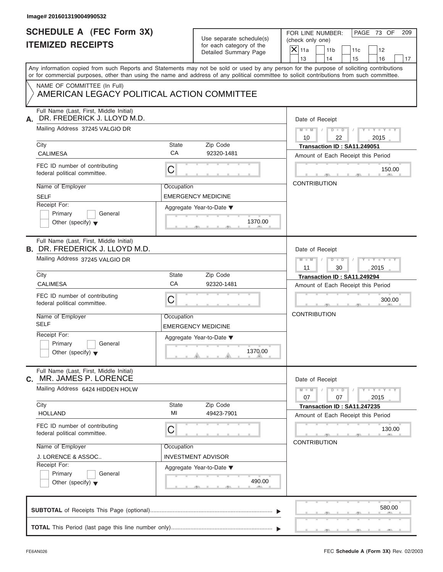| Image# 201601319004990532                                                        |             |                                                                               |                                                                                                                                                                                                                                                                                         |
|----------------------------------------------------------------------------------|-------------|-------------------------------------------------------------------------------|-----------------------------------------------------------------------------------------------------------------------------------------------------------------------------------------------------------------------------------------------------------------------------------------|
| <b>SCHEDULE A (FEC Form 3X)</b><br><b>ITEMIZED RECEIPTS</b>                      |             | Use separate schedule(s)<br>for each category of the<br>Detailed Summary Page | PAGE 73 OF<br>FOR LINE NUMBER:<br>209<br>(check only one)<br>$X$ 11a<br>11 <sub>b</sub><br>11c<br>12<br>13<br>14<br>15<br>16<br>17                                                                                                                                                      |
|                                                                                  |             |                                                                               | Any information copied from such Reports and Statements may not be sold or used by any person for the purpose of soliciting contributions<br>or for commercial purposes, other than using the name and address of any political committee to solicit contributions from such committee. |
| NAME OF COMMITTEE (In Full)<br>AMERICAN LEGACY POLITICAL ACTION COMMITTEE        |             |                                                                               |                                                                                                                                                                                                                                                                                         |
| Full Name (Last, First, Middle Initial)<br>DR. FREDERICK J. LLOYD M.D.<br>А.     |             |                                                                               | Date of Receipt                                                                                                                                                                                                                                                                         |
| Mailing Address 37245 VALGIO DR                                                  |             |                                                                               | $M - M$ / $D - D$ /<br>$Y - Y - Y - Y - Y$<br>10<br>22<br>2015                                                                                                                                                                                                                          |
| City<br><b>CALIMESA</b>                                                          | State<br>CA | Zip Code<br>92320-1481                                                        | Transaction ID: SA11.249051<br>Amount of Each Receipt this Period                                                                                                                                                                                                                       |
| FEC ID number of contributing<br>federal political committee.                    | C           |                                                                               | 150.00                                                                                                                                                                                                                                                                                  |
| Name of Employer<br><b>SELF</b>                                                  | Occupation  | <b>EMERGENCY MEDICINE</b>                                                     | <b>CONTRIBUTION</b>                                                                                                                                                                                                                                                                     |
| Receipt For:<br>Primary<br>General<br>Other (specify) $\blacktriangledown$       |             | Aggregate Year-to-Date ▼<br>1370.00                                           |                                                                                                                                                                                                                                                                                         |
| Full Name (Last, First, Middle Initial)<br><b>B. DR. FREDERICK J. LLOYD M.D.</b> |             |                                                                               | Date of Receipt                                                                                                                                                                                                                                                                         |
| Mailing Address 37245 VALGIO DR                                                  |             |                                                                               | Y TY TY TY<br>$M \perp M \parallel / \parallel D \perp D \parallel /$<br>2015<br>11<br>30                                                                                                                                                                                               |
| City                                                                             | State<br>CA | Zip Code                                                                      | Transaction ID: SA11.249294                                                                                                                                                                                                                                                             |
| <b>CALIMESA</b><br>FEC ID number of contributing<br>federal political committee. | C           | 92320-1481                                                                    | Amount of Each Receipt this Period<br>300.00                                                                                                                                                                                                                                            |
| Name of Employer<br><b>SELF</b>                                                  | Occupation  | <b>EMERGENCY MEDICINE</b>                                                     | <b>CONTRIBUTION</b>                                                                                                                                                                                                                                                                     |
| Receipt For:<br>Primary<br>General<br>Other (specify) $\blacktriangledown$       |             | Aggregate Year-to-Date ▼<br>1370.00                                           |                                                                                                                                                                                                                                                                                         |
| Full Name (Last, First, Middle Initial)<br>MR. JAMES P. LORENCE<br>C.            |             |                                                                               | Date of Receipt                                                                                                                                                                                                                                                                         |
| Mailing Address 6424 HIDDEN HOLW<br>City                                         |             |                                                                               | $Y - Y - Y - Y - Y$<br>$M - M$<br>$D$ $\Box$ $D$<br>07<br>07<br>2015                                                                                                                                                                                                                    |
| <b>HOLLAND</b>                                                                   | State<br>MI | Zip Code<br>49423-7901                                                        | Transaction ID: SA11.247235<br>Amount of Each Receipt this Period                                                                                                                                                                                                                       |
| FEC ID number of contributing<br>federal political committee.                    | С           |                                                                               | 130.00<br><b>CONTRIBUTION</b>                                                                                                                                                                                                                                                           |
| Name of Employer<br>J. LORENCE & ASSOC                                           | Occupation  | INVESTMENT ADVISOR                                                            |                                                                                                                                                                                                                                                                                         |
| Receipt For:<br>Primary<br>General<br>Other (specify) $\blacktriangledown$       |             | Aggregate Year-to-Date ▼<br>490.00                                            |                                                                                                                                                                                                                                                                                         |
|                                                                                  |             |                                                                               |                                                                                                                                                                                                                                                                                         |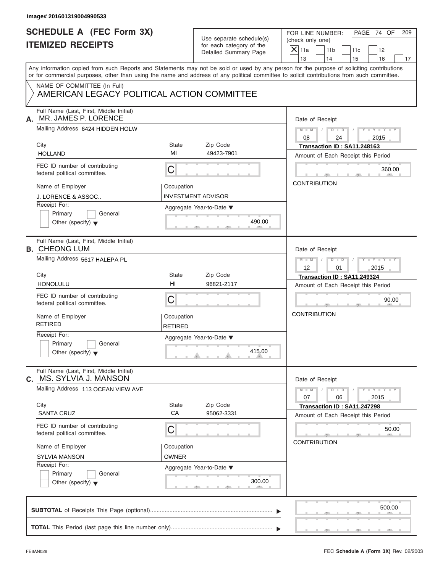| <b>SCHEDULE A (FEC Form 3X)</b><br><b>ITEMIZED RECEIPTS</b>                                                                                                                                                                                                                             |                              | Use separate schedule(s)<br>for each category of the | PAGE 74 OF<br>FOR LINE NUMBER:<br>(check only one) |                       |                                                                   | 209                         |    |
|-----------------------------------------------------------------------------------------------------------------------------------------------------------------------------------------------------------------------------------------------------------------------------------------|------------------------------|------------------------------------------------------|----------------------------------------------------|-----------------------|-------------------------------------------------------------------|-----------------------------|----|
|                                                                                                                                                                                                                                                                                         |                              | Detailed Summary Page                                | $\mathsf{X}$ 11a<br>13                             | 11 <sub>b</sub><br>14 | 11c<br>15                                                         | 12<br>16                    | 17 |
| Any information copied from such Reports and Statements may not be sold or used by any person for the purpose of soliciting contributions<br>or for commercial purposes, other than using the name and address of any political committee to solicit contributions from such committee. |                              |                                                      |                                                    |                       |                                                                   |                             |    |
| NAME OF COMMITTEE (In Full)<br>AMERICAN LEGACY POLITICAL ACTION COMMITTEE                                                                                                                                                                                                               |                              |                                                      |                                                    |                       |                                                                   |                             |    |
| Full Name (Last, First, Middle Initial)<br>MR. JAMES P. LORENCE<br>А.                                                                                                                                                                                                                   |                              |                                                      |                                                    | Date of Receipt       |                                                                   |                             |    |
| Mailing Address 6424 HIDDEN HOLW                                                                                                                                                                                                                                                        |                              |                                                      | $M$ $M$ $/$<br>08                                  |                       | $D$ $D$<br>$\sqrt{ }$<br>24                                       | $Y - Y - Y - Y - Y$<br>2015 |    |
| City<br><b>HOLLAND</b>                                                                                                                                                                                                                                                                  | State<br>MI                  | Zip Code<br>49423-7901                               |                                                    |                       | Transaction ID: SA11.248163<br>Amount of Each Receipt this Period |                             |    |
| FEC ID number of contributing<br>federal political committee.                                                                                                                                                                                                                           | C                            |                                                      |                                                    |                       |                                                                   | 360.00                      |    |
| Name of Employer<br><b>J. LORENCE &amp; ASSOC</b>                                                                                                                                                                                                                                       | Occupation                   | <b>INVESTMENT ADVISOR</b>                            |                                                    | <b>CONTRIBUTION</b>   |                                                                   |                             |    |
| Receipt For:<br>Primary<br>General<br>Other (specify) $\blacktriangledown$                                                                                                                                                                                                              |                              | Aggregate Year-to-Date ▼<br>490.00                   |                                                    |                       |                                                                   |                             |    |
| Full Name (Last, First, Middle Initial)<br><b>B. CHEONG LUM</b>                                                                                                                                                                                                                         |                              |                                                      |                                                    | Date of Receipt       |                                                                   |                             |    |
| Mailing Address 5617 HALEPA PL                                                                                                                                                                                                                                                          |                              |                                                      | $M - M$<br>12                                      | $D - I - D$           | 01                                                                | $Y - Y - Y - Y - Y$<br>2015 |    |
| City<br><b>HONOLULU</b>                                                                                                                                                                                                                                                                 | State<br>HI                  | Zip Code<br>96821-2117                               |                                                    |                       | Transaction ID: SA11.249324<br>Amount of Each Receipt this Period |                             |    |
| FEC ID number of contributing<br>federal political committee.                                                                                                                                                                                                                           | C                            |                                                      |                                                    |                       |                                                                   | 90.00                       |    |
| Name of Employer<br><b>RETIRED</b>                                                                                                                                                                                                                                                      | Occupation<br><b>RETIRED</b> |                                                      | <b>CONTRIBUTION</b>                                |                       |                                                                   |                             |    |
| Receipt For:<br>Primary<br>General<br>Other (specify) $\blacktriangledown$                                                                                                                                                                                                              |                              | Aggregate Year-to-Date ▼<br>415.00                   |                                                    |                       |                                                                   |                             |    |
| Full Name (Last, First, Middle Initial)<br>MS. SYLVIA J. MANSON<br>С.                                                                                                                                                                                                                   |                              |                                                      |                                                    | Date of Receipt       |                                                                   |                             |    |
| Mailing Address 113 OCEAN VIEW AVE<br>City                                                                                                                                                                                                                                              | State                        | Zip Code                                             | $M - M$<br>07                                      | $D - D$               | 06                                                                | $Y - Y - Y - Y - I$<br>2015 |    |
| <b>SANTA CRUZ</b>                                                                                                                                                                                                                                                                       | CA                           | 95062-3331                                           |                                                    |                       | Transaction ID: SA11.247298<br>Amount of Each Receipt this Period |                             |    |
| FEC ID number of contributing<br>federal political committee.                                                                                                                                                                                                                           | С                            |                                                      |                                                    | <b>CONTRIBUTION</b>   |                                                                   | 50.00                       |    |
| Name of Employer<br><b>SYLVIA MANSON</b>                                                                                                                                                                                                                                                | Occupation<br><b>OWNER</b>   |                                                      |                                                    |                       |                                                                   |                             |    |
| Receipt For:<br>Primary<br>General<br>Other (specify) $\blacktriangledown$                                                                                                                                                                                                              |                              | Aggregate Year-to-Date ▼<br>300.00                   |                                                    |                       |                                                                   |                             |    |
|                                                                                                                                                                                                                                                                                         |                              |                                                      |                                                    |                       |                                                                   | 500.00                      |    |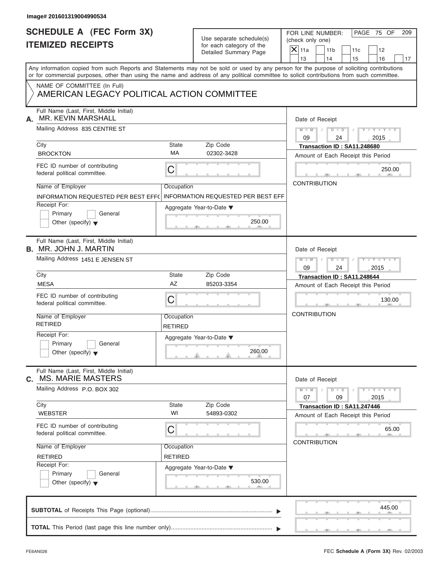| Image# 201601319004990534                                                                                                             |                              |                                                                                                    |                                                                                                                                                                                                                                                                                         |
|---------------------------------------------------------------------------------------------------------------------------------------|------------------------------|----------------------------------------------------------------------------------------------------|-----------------------------------------------------------------------------------------------------------------------------------------------------------------------------------------------------------------------------------------------------------------------------------------|
| <b>SCHEDULE A (FEC Form 3X)</b><br><b>ITEMIZED RECEIPTS</b>                                                                           |                              | Use separate schedule(s)<br>for each category of the<br>Detailed Summary Page                      | PAGE 75 OF<br>FOR LINE NUMBER:<br>209<br>(check only one)<br>$X$ 11a<br>11 <sub>b</sub><br>11c<br>12<br>13<br>14<br>15<br>16<br>17                                                                                                                                                      |
| NAME OF COMMITTEE (In Full)<br>AMERICAN LEGACY POLITICAL ACTION COMMITTEE                                                             |                              |                                                                                                    | Any information copied from such Reports and Statements may not be sold or used by any person for the purpose of soliciting contributions<br>or for commercial purposes, other than using the name and address of any political committee to solicit contributions from such committee. |
| Full Name (Last, First, Middle Initial)<br><b>MR. KEVIN MARSHALL</b><br>А.<br>Mailing Address 835 CENTRE ST                           |                              |                                                                                                    | Date of Receipt<br>$D$ $D$<br>$Y - Y - Y - Y - Y$<br>$M = M$ /<br>$\sqrt{ }$<br>09<br>24<br>2015                                                                                                                                                                                        |
| City                                                                                                                                  | State                        | Zip Code                                                                                           | Transaction ID: SA11.248680                                                                                                                                                                                                                                                             |
| <b>BROCKTON</b><br>FEC ID number of contributing<br>federal political committee.                                                      | MA<br>С                      | 02302-3428                                                                                         | Amount of Each Receipt this Period<br>250.00<br><b>CONTRIBUTION</b>                                                                                                                                                                                                                     |
| Name of Employer<br>INFORMATION REQUESTED PER BEST EFF(<br>Receipt For:<br>Primary<br>General<br>Other (specify) $\blacktriangledown$ | Occupation                   | <b>INFORMATION REQUESTED PER BEST EFF</b><br>Aggregate Year-to-Date $\blacktriangledown$<br>250.00 |                                                                                                                                                                                                                                                                                         |
| Full Name (Last, First, Middle Initial)<br><b>B.</b> MR. JOHN J. MARTIN<br>Mailing Address 1451 E JENSEN ST                           |                              |                                                                                                    | Date of Receipt<br>$M$ $M$<br>$D - D$<br>$Y = Y = Y' - Y'$<br>$\sqrt{2}$<br>2015<br>09<br>24                                                                                                                                                                                            |
| City                                                                                                                                  | State                        | Zip Code                                                                                           | Transaction ID: SA11.248644                                                                                                                                                                                                                                                             |
| <b>MESA</b><br>FEC ID number of contributing<br>federal political committee.                                                          | AZ<br>С                      | 85203-3354                                                                                         | Amount of Each Receipt this Period<br>130.00                                                                                                                                                                                                                                            |
| Name of Employer<br><b>RETIRED</b><br>Receipt For:<br>Primary<br>General<br>Other (specify) $\blacktriangledown$                      | Occupation<br><b>RETIRED</b> | Aggregate Year-to-Date ▼<br>260.00                                                                 | <b>CONTRIBUTION</b>                                                                                                                                                                                                                                                                     |
| Full Name (Last, First, Middle Initial)<br><b>MS. MARIE MASTERS</b><br>C.                                                             |                              |                                                                                                    | Date of Receipt                                                                                                                                                                                                                                                                         |
| Mailing Address P.O. BOX 302<br>City                                                                                                  | State                        | Zip Code                                                                                           | $Y - Y - Y - Y - Y$<br>$M - M$<br>$D - D$<br>07<br>09<br>2015<br>Transaction ID: SA11.247446                                                                                                                                                                                            |
| <b>WEBSTER</b><br>FEC ID number of contributing<br>federal political committee.                                                       | WI<br>С                      | 54893-0302                                                                                         | Amount of Each Receipt this Period<br>65.00                                                                                                                                                                                                                                             |
| Name of Employer<br><b>RETIRED</b><br>Receipt For:<br>Primary<br>General                                                              | Occupation<br><b>RETIRED</b> | Aggregate Year-to-Date ▼                                                                           | <b>CONTRIBUTION</b>                                                                                                                                                                                                                                                                     |
| Other (specify) $\blacktriangledown$                                                                                                  |                              | 530.00                                                                                             | 445.00                                                                                                                                                                                                                                                                                  |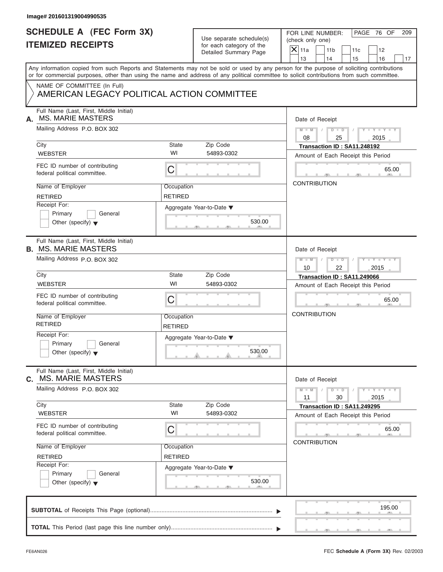|    | Image# 201601319004990535                                                                                                                  |                              |                                                      |                                                                                                                                           |
|----|--------------------------------------------------------------------------------------------------------------------------------------------|------------------------------|------------------------------------------------------|-------------------------------------------------------------------------------------------------------------------------------------------|
|    | <b>SCHEDULE A (FEC Form 3X)</b><br><b>ITEMIZED RECEIPTS</b>                                                                                |                              | Use separate schedule(s)<br>for each category of the | FOR LINE NUMBER:<br>PAGE 76 OF<br>209<br>(check only one)<br>$\mathsf{X}$ 11a                                                             |
|    |                                                                                                                                            |                              | Detailed Summary Page                                | 11 <sub>b</sub><br>11c<br>12<br>13<br>14<br>15<br>16<br>17                                                                                |
|    | or for commercial purposes, other than using the name and address of any political committee to solicit contributions from such committee. |                              |                                                      | Any information copied from such Reports and Statements may not be sold or used by any person for the purpose of soliciting contributions |
|    | NAME OF COMMITTEE (In Full)<br>AMERICAN LEGACY POLITICAL ACTION COMMITTEE                                                                  |                              |                                                      |                                                                                                                                           |
| А. | Full Name (Last, First, Middle Initial)<br><b>MS. MARIE MASTERS</b>                                                                        |                              |                                                      | Date of Receipt                                                                                                                           |
|    | Mailing Address P.O. BOX 302                                                                                                               |                              |                                                      | $D - D$<br>$M - M$<br>$Y - Y - Y - Y - Y$<br>08<br>25<br>2015                                                                             |
|    | City                                                                                                                                       | State                        | Zip Code                                             | Transaction ID: SA11.248192                                                                                                               |
|    | <b>WEBSTER</b>                                                                                                                             | WI                           | 54893-0302                                           | Amount of Each Receipt this Period                                                                                                        |
|    | FEC ID number of contributing<br>federal political committee.                                                                              | C                            |                                                      | 65.00                                                                                                                                     |
|    | Name of Employer                                                                                                                           | Occupation                   |                                                      | <b>CONTRIBUTION</b>                                                                                                                       |
|    | <b>RETIRED</b>                                                                                                                             | <b>RETIRED</b>               |                                                      |                                                                                                                                           |
|    | Receipt For:                                                                                                                               |                              | Aggregate Year-to-Date ▼                             |                                                                                                                                           |
|    | Primary<br>General                                                                                                                         |                              |                                                      |                                                                                                                                           |
|    | Other (specify) $\blacktriangledown$                                                                                                       |                              | 530.00                                               |                                                                                                                                           |
|    | Full Name (Last, First, Middle Initial)<br><b>B. MS. MARIE MASTERS</b>                                                                     |                              |                                                      |                                                                                                                                           |
|    | Mailing Address P.O. BOX 302                                                                                                               |                              |                                                      | Date of Receipt                                                                                                                           |
|    |                                                                                                                                            |                              |                                                      | $D - I - D$<br>Y TYTTYTTY<br>$M - M$<br>2015<br>10<br>22                                                                                  |
|    | City                                                                                                                                       | State                        | Zip Code                                             | Transaction ID: SA11.249066                                                                                                               |
|    | <b>WEBSTER</b>                                                                                                                             | WI                           | 54893-0302                                           | Amount of Each Receipt this Period                                                                                                        |
|    | FEC ID number of contributing<br>federal political committee.                                                                              | C                            |                                                      | 65.00                                                                                                                                     |
|    | Name of Employer<br><b>RETIRED</b>                                                                                                         | Occupation<br><b>RETIRED</b> |                                                      | <b>CONTRIBUTION</b>                                                                                                                       |
|    | Receipt For:                                                                                                                               |                              | Aggregate Year-to-Date ▼                             |                                                                                                                                           |
|    | Primary<br>General<br>Other (specify) $\blacktriangledown$                                                                                 |                              | 530.00                                               |                                                                                                                                           |
| C. | Full Name (Last, First, Middle Initial)<br><b>MS. MARIE MASTERS</b>                                                                        |                              |                                                      | Date of Receipt                                                                                                                           |
|    | Mailing Address P.O. BOX 302                                                                                                               |                              |                                                      | $Y = Y$<br>$M - M$<br>$D - D$<br>11<br>30<br>2015                                                                                         |
|    | City<br><b>WEBSTER</b>                                                                                                                     | State<br>WI                  | Zip Code<br>54893-0302                               | Transaction ID: SA11.249295                                                                                                               |
|    |                                                                                                                                            |                              |                                                      | Amount of Each Receipt this Period                                                                                                        |
|    | FEC ID number of contributing<br>federal political committee.                                                                              | C                            |                                                      | 65.00                                                                                                                                     |
|    | Name of Employer                                                                                                                           | Occupation                   |                                                      | <b>CONTRIBUTION</b>                                                                                                                       |
|    | <b>RETIRED</b>                                                                                                                             | <b>RETIRED</b>               |                                                      |                                                                                                                                           |
|    | Receipt For:                                                                                                                               |                              | Aggregate Year-to-Date ▼                             |                                                                                                                                           |
|    | Primary<br>General<br>Other (specify) $\blacktriangledown$                                                                                 |                              | 530.00                                               |                                                                                                                                           |
|    |                                                                                                                                            |                              |                                                      | 195.00                                                                                                                                    |
|    |                                                                                                                                            |                              |                                                      |                                                                                                                                           |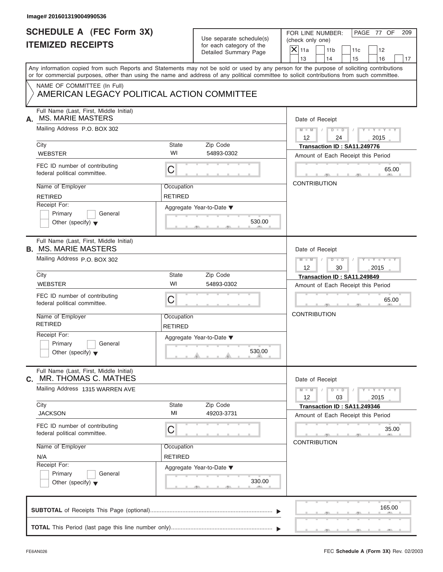| Image# 201601319004990536                                                  |                              |                                                      |                                                                                                                                                                                                                                                                                         |
|----------------------------------------------------------------------------|------------------------------|------------------------------------------------------|-----------------------------------------------------------------------------------------------------------------------------------------------------------------------------------------------------------------------------------------------------------------------------------------|
| <b>SCHEDULE A (FEC Form 3X)</b><br><b>ITEMIZED RECEIPTS</b>                |                              | Use separate schedule(s)<br>for each category of the | PAGE 77 OF<br>FOR LINE NUMBER:<br>209<br>(check only one)                                                                                                                                                                                                                               |
|                                                                            |                              | Detailed Summary Page                                | $X$ 11a<br>11 <sub>b</sub><br>11c<br>12<br>13<br>14<br>15<br>16                                                                                                                                                                                                                         |
|                                                                            |                              |                                                      | Any information copied from such Reports and Statements may not be sold or used by any person for the purpose of soliciting contributions<br>or for commercial purposes, other than using the name and address of any political committee to solicit contributions from such committee. |
| NAME OF COMMITTEE (In Full)<br>AMERICAN LEGACY POLITICAL ACTION COMMITTEE  |                              |                                                      |                                                                                                                                                                                                                                                                                         |
| Full Name (Last, First, Middle Initial)<br><b>MS. MARIE MASTERS</b><br>А.  |                              |                                                      | Date of Receipt                                                                                                                                                                                                                                                                         |
| Mailing Address P.O. BOX 302                                               |                              |                                                      | $D$ $D$<br>$Y - Y - Y - Y - Y$<br>$M - M$<br>$\sqrt{ }$<br>12<br>24<br>2015                                                                                                                                                                                                             |
| City                                                                       | State                        | Zip Code                                             | Transaction ID: SA11.249776                                                                                                                                                                                                                                                             |
| <b>WEBSTER</b>                                                             | WI                           | 54893-0302                                           | Amount of Each Receipt this Period                                                                                                                                                                                                                                                      |
| FEC ID number of contributing<br>federal political committee.              | C                            |                                                      | 65.00                                                                                                                                                                                                                                                                                   |
| Name of Employer                                                           | Occupation                   |                                                      | <b>CONTRIBUTION</b>                                                                                                                                                                                                                                                                     |
| <b>RETIRED</b>                                                             | <b>RETIRED</b>               |                                                      |                                                                                                                                                                                                                                                                                         |
| Receipt For:<br>Primary<br>General                                         |                              | Aggregate Year-to-Date ▼                             |                                                                                                                                                                                                                                                                                         |
| Other (specify) $\blacktriangledown$                                       |                              | 530.00                                               |                                                                                                                                                                                                                                                                                         |
| Full Name (Last, First, Middle Initial)<br><b>B. MS. MARIE MASTERS</b>     |                              |                                                      | Date of Receipt                                                                                                                                                                                                                                                                         |
| Mailing Address P.O. BOX 302                                               |                              |                                                      | $M - M$<br>$D - D$<br>$Y - Y - Y - Y - Y$<br>2015<br>12<br>30                                                                                                                                                                                                                           |
| City                                                                       | State                        | Zip Code                                             | Transaction ID: SA11.249849                                                                                                                                                                                                                                                             |
| <b>WEBSTER</b>                                                             | WI                           | 54893-0302                                           | Amount of Each Receipt this Period                                                                                                                                                                                                                                                      |
| FEC ID number of contributing<br>federal political committee.              | C                            |                                                      | 65.00                                                                                                                                                                                                                                                                                   |
| Name of Employer<br><b>RETIRED</b>                                         | Occupation<br><b>RETIRED</b> |                                                      | <b>CONTRIBUTION</b>                                                                                                                                                                                                                                                                     |
| Receipt For:<br>Primary<br>General<br>Other (specify) $\blacktriangledown$ |                              | Aggregate Year-to-Date ▼<br>530.00                   |                                                                                                                                                                                                                                                                                         |
| Full Name (Last, First, Middle Initial)<br>MR. THOMAS C. MATHES<br>C.      |                              |                                                      | Date of Receipt                                                                                                                                                                                                                                                                         |
| Mailing Address 1315 WARREN AVE                                            |                              |                                                      | $Y = Y = Y - Y$<br>$M - M$<br>$D$ $\Box$ $D$<br>12<br>2015<br>03                                                                                                                                                                                                                        |
| City                                                                       | State                        | Zip Code                                             | Transaction ID: SA11.249346                                                                                                                                                                                                                                                             |
| <b>JACKSON</b>                                                             | MI                           | 49203-3731                                           | Amount of Each Receipt this Period                                                                                                                                                                                                                                                      |
| FEC ID number of contributing<br>federal political committee.              | C                            |                                                      | 35.00                                                                                                                                                                                                                                                                                   |
| Name of Employer                                                           | Occupation                   |                                                      | <b>CONTRIBUTION</b>                                                                                                                                                                                                                                                                     |
| N/A                                                                        | <b>RETIRED</b>               |                                                      |                                                                                                                                                                                                                                                                                         |
| Receipt For:                                                               |                              | Aggregate Year-to-Date ▼                             |                                                                                                                                                                                                                                                                                         |
| Primary<br>General<br>Other (specify) $\blacktriangledown$                 |                              | 330.00                                               |                                                                                                                                                                                                                                                                                         |
|                                                                            |                              |                                                      | 165.00                                                                                                                                                                                                                                                                                  |
|                                                                            |                              |                                                      |                                                                                                                                                                                                                                                                                         |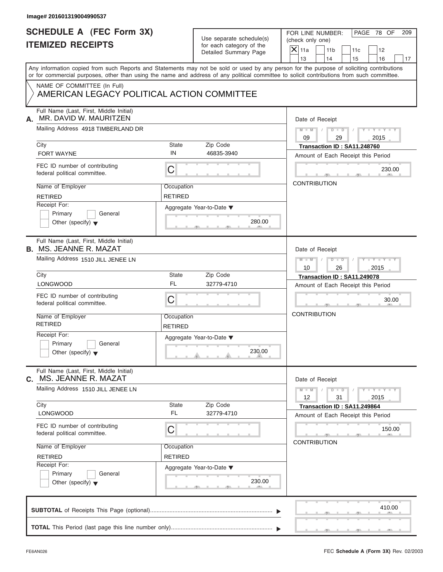| Detailed Summary Page<br>Any information copied from such Reports and Statements may not be sold or used by any person for the purpose of soliciting contributions<br>or for commercial purposes, other than using the name and address of any political committee to solicit contributions from such committee.<br>NAME OF COMMITTEE (In Full)<br>AMERICAN LEGACY POLITICAL ACTION COMMITTEE<br>Full Name (Last, First, Middle Initial)<br>MR. DAVID W. MAURITZEN<br>А.<br>Mailing Address 4918 TIMBERLAND DR<br><b>State</b><br>Zip Code<br>City<br>IN<br><b>FORT WAYNE</b><br>46835-3940<br>FEC ID number of contributing<br>$\mathsf C$<br>federal political committee.<br>Name of Employer<br>Occupation<br><b>RETIRED</b><br><b>RETIRED</b><br>Receipt For:<br>Aggregate Year-to-Date ▼<br>Primary<br>General<br>280.00<br>Other (specify) $\blacktriangledown$<br>Full Name (Last, First, Middle Initial)<br><b>B. MS. JEANNE R. MAZAT</b><br>Mailing Address 1510 JILL JENEE LN<br>City<br><b>State</b><br>Zip Code<br><b>FL</b><br><b>LONGWOOD</b><br>32779-4710<br>FEC ID number of contributing<br>C<br>federal political committee.<br>Name of Employer<br>Occupation<br><b>RETIRED</b><br>RETIRED<br>Receipt For:<br>Aggregate Year-to-Date ▼<br>Primary<br>General<br>230.00<br>Other (specify) $\blacktriangledown$<br>Full Name (Last, First, Middle Initial)<br>MS. JEANNE R. MAZAT<br>С.<br>Mailing Address 1510 JILL JENEE LN | $\overline{X} _{11a}$<br>11 <sub>b</sub><br>11c<br>12<br>13<br>14<br>15<br>16<br>17<br>Date of Receipt<br>$D$ $\Box$ $D$<br>$Y - Y - Y - Y - Y$<br>$M - M$ /<br>$\sqrt{ }$<br>09<br>29<br>2015<br>Transaction ID: SA11.248760<br>Amount of Each Receipt this Period<br>230.00<br><b>CONTRIBUTION</b><br>Date of Receipt<br>$D$ $\Box$ $D$ $\Box$ $\Box$<br>$Y = Y = Y' - Y'$<br>$M - M$<br>10<br>26<br>2015<br>Transaction ID: SA11.249078<br>Amount of Each Receipt this Period<br>30.00<br><b>CONTRIBUTION</b> |
|--------------------------------------------------------------------------------------------------------------------------------------------------------------------------------------------------------------------------------------------------------------------------------------------------------------------------------------------------------------------------------------------------------------------------------------------------------------------------------------------------------------------------------------------------------------------------------------------------------------------------------------------------------------------------------------------------------------------------------------------------------------------------------------------------------------------------------------------------------------------------------------------------------------------------------------------------------------------------------------------------------------------------------------------------------------------------------------------------------------------------------------------------------------------------------------------------------------------------------------------------------------------------------------------------------------------------------------------------------------------------------------------------------------------------------------------------|------------------------------------------------------------------------------------------------------------------------------------------------------------------------------------------------------------------------------------------------------------------------------------------------------------------------------------------------------------------------------------------------------------------------------------------------------------------------------------------------------------------|
|                                                                                                                                                                                                                                                                                                                                                                                                                                                                                                                                                                                                                                                                                                                                                                                                                                                                                                                                                                                                                                                                                                                                                                                                                                                                                                                                                                                                                                                  |                                                                                                                                                                                                                                                                                                                                                                                                                                                                                                                  |
|                                                                                                                                                                                                                                                                                                                                                                                                                                                                                                                                                                                                                                                                                                                                                                                                                                                                                                                                                                                                                                                                                                                                                                                                                                                                                                                                                                                                                                                  |                                                                                                                                                                                                                                                                                                                                                                                                                                                                                                                  |
|                                                                                                                                                                                                                                                                                                                                                                                                                                                                                                                                                                                                                                                                                                                                                                                                                                                                                                                                                                                                                                                                                                                                                                                                                                                                                                                                                                                                                                                  |                                                                                                                                                                                                                                                                                                                                                                                                                                                                                                                  |
|                                                                                                                                                                                                                                                                                                                                                                                                                                                                                                                                                                                                                                                                                                                                                                                                                                                                                                                                                                                                                                                                                                                                                                                                                                                                                                                                                                                                                                                  |                                                                                                                                                                                                                                                                                                                                                                                                                                                                                                                  |
|                                                                                                                                                                                                                                                                                                                                                                                                                                                                                                                                                                                                                                                                                                                                                                                                                                                                                                                                                                                                                                                                                                                                                                                                                                                                                                                                                                                                                                                  |                                                                                                                                                                                                                                                                                                                                                                                                                                                                                                                  |
|                                                                                                                                                                                                                                                                                                                                                                                                                                                                                                                                                                                                                                                                                                                                                                                                                                                                                                                                                                                                                                                                                                                                                                                                                                                                                                                                                                                                                                                  |                                                                                                                                                                                                                                                                                                                                                                                                                                                                                                                  |
|                                                                                                                                                                                                                                                                                                                                                                                                                                                                                                                                                                                                                                                                                                                                                                                                                                                                                                                                                                                                                                                                                                                                                                                                                                                                                                                                                                                                                                                  |                                                                                                                                                                                                                                                                                                                                                                                                                                                                                                                  |
|                                                                                                                                                                                                                                                                                                                                                                                                                                                                                                                                                                                                                                                                                                                                                                                                                                                                                                                                                                                                                                                                                                                                                                                                                                                                                                                                                                                                                                                  |                                                                                                                                                                                                                                                                                                                                                                                                                                                                                                                  |
|                                                                                                                                                                                                                                                                                                                                                                                                                                                                                                                                                                                                                                                                                                                                                                                                                                                                                                                                                                                                                                                                                                                                                                                                                                                                                                                                                                                                                                                  |                                                                                                                                                                                                                                                                                                                                                                                                                                                                                                                  |
|                                                                                                                                                                                                                                                                                                                                                                                                                                                                                                                                                                                                                                                                                                                                                                                                                                                                                                                                                                                                                                                                                                                                                                                                                                                                                                                                                                                                                                                  |                                                                                                                                                                                                                                                                                                                                                                                                                                                                                                                  |
|                                                                                                                                                                                                                                                                                                                                                                                                                                                                                                                                                                                                                                                                                                                                                                                                                                                                                                                                                                                                                                                                                                                                                                                                                                                                                                                                                                                                                                                  |                                                                                                                                                                                                                                                                                                                                                                                                                                                                                                                  |
|                                                                                                                                                                                                                                                                                                                                                                                                                                                                                                                                                                                                                                                                                                                                                                                                                                                                                                                                                                                                                                                                                                                                                                                                                                                                                                                                                                                                                                                  |                                                                                                                                                                                                                                                                                                                                                                                                                                                                                                                  |
|                                                                                                                                                                                                                                                                                                                                                                                                                                                                                                                                                                                                                                                                                                                                                                                                                                                                                                                                                                                                                                                                                                                                                                                                                                                                                                                                                                                                                                                  |                                                                                                                                                                                                                                                                                                                                                                                                                                                                                                                  |
|                                                                                                                                                                                                                                                                                                                                                                                                                                                                                                                                                                                                                                                                                                                                                                                                                                                                                                                                                                                                                                                                                                                                                                                                                                                                                                                                                                                                                                                  |                                                                                                                                                                                                                                                                                                                                                                                                                                                                                                                  |
|                                                                                                                                                                                                                                                                                                                                                                                                                                                                                                                                                                                                                                                                                                                                                                                                                                                                                                                                                                                                                                                                                                                                                                                                                                                                                                                                                                                                                                                  |                                                                                                                                                                                                                                                                                                                                                                                                                                                                                                                  |
|                                                                                                                                                                                                                                                                                                                                                                                                                                                                                                                                                                                                                                                                                                                                                                                                                                                                                                                                                                                                                                                                                                                                                                                                                                                                                                                                                                                                                                                  |                                                                                                                                                                                                                                                                                                                                                                                                                                                                                                                  |
|                                                                                                                                                                                                                                                                                                                                                                                                                                                                                                                                                                                                                                                                                                                                                                                                                                                                                                                                                                                                                                                                                                                                                                                                                                                                                                                                                                                                                                                  |                                                                                                                                                                                                                                                                                                                                                                                                                                                                                                                  |
|                                                                                                                                                                                                                                                                                                                                                                                                                                                                                                                                                                                                                                                                                                                                                                                                                                                                                                                                                                                                                                                                                                                                                                                                                                                                                                                                                                                                                                                  |                                                                                                                                                                                                                                                                                                                                                                                                                                                                                                                  |
|                                                                                                                                                                                                                                                                                                                                                                                                                                                                                                                                                                                                                                                                                                                                                                                                                                                                                                                                                                                                                                                                                                                                                                                                                                                                                                                                                                                                                                                  |                                                                                                                                                                                                                                                                                                                                                                                                                                                                                                                  |
|                                                                                                                                                                                                                                                                                                                                                                                                                                                                                                                                                                                                                                                                                                                                                                                                                                                                                                                                                                                                                                                                                                                                                                                                                                                                                                                                                                                                                                                  |                                                                                                                                                                                                                                                                                                                                                                                                                                                                                                                  |
|                                                                                                                                                                                                                                                                                                                                                                                                                                                                                                                                                                                                                                                                                                                                                                                                                                                                                                                                                                                                                                                                                                                                                                                                                                                                                                                                                                                                                                                  |                                                                                                                                                                                                                                                                                                                                                                                                                                                                                                                  |
|                                                                                                                                                                                                                                                                                                                                                                                                                                                                                                                                                                                                                                                                                                                                                                                                                                                                                                                                                                                                                                                                                                                                                                                                                                                                                                                                                                                                                                                  |                                                                                                                                                                                                                                                                                                                                                                                                                                                                                                                  |
|                                                                                                                                                                                                                                                                                                                                                                                                                                                                                                                                                                                                                                                                                                                                                                                                                                                                                                                                                                                                                                                                                                                                                                                                                                                                                                                                                                                                                                                  | Date of Receipt                                                                                                                                                                                                                                                                                                                                                                                                                                                                                                  |
|                                                                                                                                                                                                                                                                                                                                                                                                                                                                                                                                                                                                                                                                                                                                                                                                                                                                                                                                                                                                                                                                                                                                                                                                                                                                                                                                                                                                                                                  | $M - M$<br>$Y - Y - Y - Y - Y$<br>$D$ $\Box$ $D$<br>12<br>31<br>2015                                                                                                                                                                                                                                                                                                                                                                                                                                             |
| City<br><b>State</b><br>Zip Code                                                                                                                                                                                                                                                                                                                                                                                                                                                                                                                                                                                                                                                                                                                                                                                                                                                                                                                                                                                                                                                                                                                                                                                                                                                                                                                                                                                                                 | Transaction ID: SA11.249864                                                                                                                                                                                                                                                                                                                                                                                                                                                                                      |
| <b>FL</b><br><b>LONGWOOD</b><br>32779-4710                                                                                                                                                                                                                                                                                                                                                                                                                                                                                                                                                                                                                                                                                                                                                                                                                                                                                                                                                                                                                                                                                                                                                                                                                                                                                                                                                                                                       | Amount of Each Receipt this Period                                                                                                                                                                                                                                                                                                                                                                                                                                                                               |
| FEC ID number of contributing<br>C<br>federal political committee.                                                                                                                                                                                                                                                                                                                                                                                                                                                                                                                                                                                                                                                                                                                                                                                                                                                                                                                                                                                                                                                                                                                                                                                                                                                                                                                                                                               | 150.00                                                                                                                                                                                                                                                                                                                                                                                                                                                                                                           |
| Name of Employer<br>Occupation                                                                                                                                                                                                                                                                                                                                                                                                                                                                                                                                                                                                                                                                                                                                                                                                                                                                                                                                                                                                                                                                                                                                                                                                                                                                                                                                                                                                                   | <b>CONTRIBUTION</b>                                                                                                                                                                                                                                                                                                                                                                                                                                                                                              |
| <b>RETIRED</b><br><b>RETIRED</b>                                                                                                                                                                                                                                                                                                                                                                                                                                                                                                                                                                                                                                                                                                                                                                                                                                                                                                                                                                                                                                                                                                                                                                                                                                                                                                                                                                                                                 |                                                                                                                                                                                                                                                                                                                                                                                                                                                                                                                  |
| Receipt For:<br>Aggregate Year-to-Date ▼                                                                                                                                                                                                                                                                                                                                                                                                                                                                                                                                                                                                                                                                                                                                                                                                                                                                                                                                                                                                                                                                                                                                                                                                                                                                                                                                                                                                         |                                                                                                                                                                                                                                                                                                                                                                                                                                                                                                                  |
| Primary<br>General<br>230.00<br>Other (specify) $\blacktriangledown$                                                                                                                                                                                                                                                                                                                                                                                                                                                                                                                                                                                                                                                                                                                                                                                                                                                                                                                                                                                                                                                                                                                                                                                                                                                                                                                                                                             |                                                                                                                                                                                                                                                                                                                                                                                                                                                                                                                  |
|                                                                                                                                                                                                                                                                                                                                                                                                                                                                                                                                                                                                                                                                                                                                                                                                                                                                                                                                                                                                                                                                                                                                                                                                                                                                                                                                                                                                                                                  | 410.00                                                                                                                                                                                                                                                                                                                                                                                                                                                                                                           |
|                                                                                                                                                                                                                                                                                                                                                                                                                                                                                                                                                                                                                                                                                                                                                                                                                                                                                                                                                                                                                                                                                                                                                                                                                                                                                                                                                                                                                                                  |                                                                                                                                                                                                                                                                                                                                                                                                                                                                                                                  |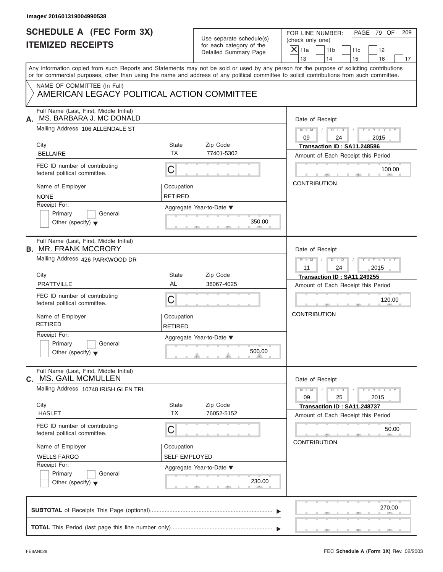| Image# 201601319004990538                                                  |                                    |                                                                               |                                                                                                                                                                                                                                                                                         |
|----------------------------------------------------------------------------|------------------------------------|-------------------------------------------------------------------------------|-----------------------------------------------------------------------------------------------------------------------------------------------------------------------------------------------------------------------------------------------------------------------------------------|
| <b>SCHEDULE A (FEC Form 3X)</b><br><b>ITEMIZED RECEIPTS</b>                |                                    | Use separate schedule(s)<br>for each category of the<br>Detailed Summary Page | PAGE 79 OF<br>FOR LINE NUMBER:<br>209<br>(check only one)<br>$\overline{X}$ 11a<br>11 <sub>b</sub><br>11c<br>12<br>13<br>14<br>15<br>16<br>17                                                                                                                                           |
|                                                                            |                                    |                                                                               | Any information copied from such Reports and Statements may not be sold or used by any person for the purpose of soliciting contributions<br>or for commercial purposes, other than using the name and address of any political committee to solicit contributions from such committee. |
| NAME OF COMMITTEE (In Full)<br>AMERICAN LEGACY POLITICAL ACTION COMMITTEE  |                                    |                                                                               |                                                                                                                                                                                                                                                                                         |
| Full Name (Last, First, Middle Initial)<br>MS. BARBARA J. MC DONALD<br>А.  |                                    |                                                                               | Date of Receipt                                                                                                                                                                                                                                                                         |
| Mailing Address 106 ALLENDALE ST                                           |                                    |                                                                               | $M = M \qquad / \qquad D = D \qquad /$<br>$Y - Y - Y - Y - Y$<br>09<br>24<br>2015                                                                                                                                                                                                       |
| City<br><b>BELLAIRE</b>                                                    | <b>State</b><br><b>TX</b>          | Zip Code<br>77401-5302                                                        | Transaction ID: SA11.248586<br>Amount of Each Receipt this Period                                                                                                                                                                                                                       |
| FEC ID number of contributing<br>federal political committee.              | $\mathsf C$                        |                                                                               | 100.00                                                                                                                                                                                                                                                                                  |
| Name of Employer<br><b>NONE</b>                                            | Occupation<br><b>RETIRED</b>       |                                                                               | <b>CONTRIBUTION</b>                                                                                                                                                                                                                                                                     |
| Receipt For:<br>Primary<br>General<br>Other (specify) $\blacktriangledown$ |                                    | Aggregate Year-to-Date ▼<br>350.00                                            |                                                                                                                                                                                                                                                                                         |
| Full Name (Last, First, Middle Initial)<br><b>B. MR. FRANK MCCRORY</b>     |                                    |                                                                               | Date of Receipt                                                                                                                                                                                                                                                                         |
| Mailing Address 426 PARKWOOD DR                                            |                                    |                                                                               | $D$ $D$ $/$<br>$Y = Y = Y' + Y' + Y$<br>$M$ $M$ $/$<br>2015<br>11<br>24                                                                                                                                                                                                                 |
| City<br><b>PRATTVILLE</b>                                                  | <b>State</b><br>AL                 | Zip Code<br>36067-4025                                                        | Transaction ID: SA11.249255<br>Amount of Each Receipt this Period                                                                                                                                                                                                                       |
| FEC ID number of contributing<br>federal political committee.              | C                                  |                                                                               | 120.00                                                                                                                                                                                                                                                                                  |
| Name of Employer<br><b>RETIRED</b>                                         | Occupation<br><b>RETIRED</b>       |                                                                               | <b>CONTRIBUTION</b>                                                                                                                                                                                                                                                                     |
| Receipt For:<br>Primary<br>General<br>Other (specify) $\blacktriangledown$ |                                    | Aggregate Year-to-Date ▼<br>500.00                                            |                                                                                                                                                                                                                                                                                         |
| Full Name (Last, First, Middle Initial)<br>C. MS. GAIL MCMULLEN            |                                    |                                                                               | Date of Receipt                                                                                                                                                                                                                                                                         |
| Mailing Address 10748 IRISH GLEN TRL                                       |                                    |                                                                               | $Y - Y - Y - Y - Y$<br>$M - M$<br>$D$ $\Box$ $D$<br>09<br>25<br>2015                                                                                                                                                                                                                    |
| City<br><b>HASLET</b>                                                      | State<br><b>TX</b>                 | Zip Code<br>76052-5152                                                        | Transaction ID: SA11.248737<br>Amount of Each Receipt this Period                                                                                                                                                                                                                       |
| FEC ID number of contributing<br>federal political committee.              | C                                  |                                                                               | 50.00                                                                                                                                                                                                                                                                                   |
| Name of Employer<br><b>WELLS FARGO</b>                                     | Occupation<br><b>SELF EMPLOYED</b> |                                                                               | <b>CONTRIBUTION</b>                                                                                                                                                                                                                                                                     |
| Receipt For:<br>Primary<br>General<br>Other (specify) $\blacktriangledown$ |                                    | Aggregate Year-to-Date ▼<br>230.00                                            |                                                                                                                                                                                                                                                                                         |
|                                                                            |                                    |                                                                               |                                                                                                                                                                                                                                                                                         |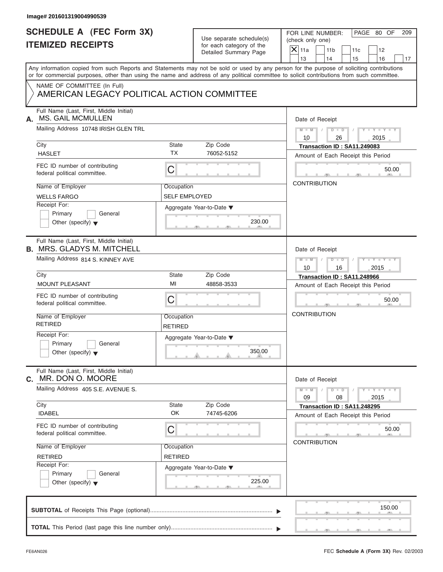| Image# 201601319004990539                                                    |                              |                                                      |                                                                                                                                                                                                                                                                                         |  |
|------------------------------------------------------------------------------|------------------------------|------------------------------------------------------|-----------------------------------------------------------------------------------------------------------------------------------------------------------------------------------------------------------------------------------------------------------------------------------------|--|
| <b>SCHEDULE A (FEC Form 3X)</b><br><b>ITEMIZED RECEIPTS</b>                  |                              | Use separate schedule(s)<br>for each category of the | PAGE 80 OF<br>FOR LINE NUMBER:<br>209<br>(check only one)<br>$\overline{X}$ 11a<br>11 <sub>b</sub><br>11c<br>12                                                                                                                                                                         |  |
|                                                                              |                              | Detailed Summary Page                                | 13<br>14<br>15<br>16<br>17                                                                                                                                                                                                                                                              |  |
|                                                                              |                              |                                                      | Any information copied from such Reports and Statements may not be sold or used by any person for the purpose of soliciting contributions<br>or for commercial purposes, other than using the name and address of any political committee to solicit contributions from such committee. |  |
| NAME OF COMMITTEE (In Full)<br>AMERICAN LEGACY POLITICAL ACTION COMMITTEE    |                              |                                                      |                                                                                                                                                                                                                                                                                         |  |
| Full Name (Last, First, Middle Initial)<br><b>MS. GAIL MCMULLEN</b><br>А.    |                              |                                                      | Date of Receipt                                                                                                                                                                                                                                                                         |  |
| Mailing Address 10748 IRISH GLEN TRL                                         |                              |                                                      | $M = M \qquad / \qquad D = D \qquad /$<br>$Y - Y - Y - Y - Y$<br>10<br>26<br>2015                                                                                                                                                                                                       |  |
| City<br><b>HASLET</b>                                                        | <b>State</b><br><b>TX</b>    | Zip Code<br>76052-5152                               | Transaction ID: SA11.249083<br>Amount of Each Receipt this Period                                                                                                                                                                                                                       |  |
| FEC ID number of contributing<br>federal political committee.                | $\mathsf C$                  |                                                      | 50.00                                                                                                                                                                                                                                                                                   |  |
| Name of Employer<br><b>WELLS FARGO</b>                                       | Occupation<br>SELF EMPLOYED  |                                                      | <b>CONTRIBUTION</b>                                                                                                                                                                                                                                                                     |  |
| Receipt For:<br>Primary<br>General<br>Other (specify) $\blacktriangledown$   |                              | Aggregate Year-to-Date ▼<br>230.00                   |                                                                                                                                                                                                                                                                                         |  |
| Full Name (Last, First, Middle Initial)<br><b>B. MRS. GLADYS M. MITCHELL</b> |                              |                                                      | Date of Receipt                                                                                                                                                                                                                                                                         |  |
| Mailing Address 814 S. KINNEY AVE                                            |                              |                                                      | $D$ $D$ $/$<br>$Y = Y = Y' + Y' + Y$<br>$M$ $M$ $/$<br>2015<br>10<br>16                                                                                                                                                                                                                 |  |
| City                                                                         | <b>State</b>                 | Zip Code                                             | Transaction ID: SA11.248966                                                                                                                                                                                                                                                             |  |
| MOUNT PLEASANT                                                               | MI                           | 48858-3533                                           | Amount of Each Receipt this Period                                                                                                                                                                                                                                                      |  |
| FEC ID number of contributing<br>federal political committee.                | C                            |                                                      | 50.00                                                                                                                                                                                                                                                                                   |  |
| Name of Employer<br><b>RETIRED</b>                                           | Occupation<br><b>RETIRED</b> |                                                      | <b>CONTRIBUTION</b>                                                                                                                                                                                                                                                                     |  |
| Receipt For:<br>Primary<br>General<br>Other (specify) $\blacktriangledown$   |                              | Aggregate Year-to-Date ▼<br>350.00                   |                                                                                                                                                                                                                                                                                         |  |
| Full Name (Last, First, Middle Initial)<br>MR. DON O. MOORE<br>С.            |                              |                                                      | Date of Receipt                                                                                                                                                                                                                                                                         |  |
| Mailing Address 405 S.E. AVENUE S.                                           |                              |                                                      | $Y - Y - Y - Y - Y$<br>$M - M$<br>$D$ $\Box$ $D$<br>09<br>08<br>2015                                                                                                                                                                                                                    |  |
| City<br><b>IDABEL</b>                                                        | State<br>OK                  | Zip Code<br>74745-6206                               | Transaction ID: SA11.248295<br>Amount of Each Receipt this Period                                                                                                                                                                                                                       |  |
| FEC ID number of contributing<br>federal political committee.                | C                            |                                                      | 50.00<br><b>CONTRIBUTION</b>                                                                                                                                                                                                                                                            |  |
| Name of Employer<br><b>RETIRED</b>                                           | Occupation<br><b>RETIRED</b> |                                                      |                                                                                                                                                                                                                                                                                         |  |
| Receipt For:<br>Primary<br>General<br>Other (specify) $\blacktriangledown$   |                              | Aggregate Year-to-Date ▼<br>225.00                   |                                                                                                                                                                                                                                                                                         |  |
|                                                                              |                              |                                                      | 150.00                                                                                                                                                                                                                                                                                  |  |
|                                                                              |                              |                                                      |                                                                                                                                                                                                                                                                                         |  |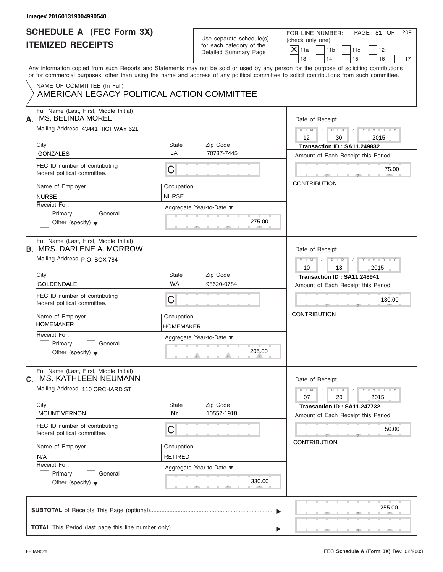| Use separate schedule(s) |
|--------------------------|
| for each category of the |
| Detailed Summary Page    |

| Image# 201601319004990540                                                   |                                |                                                      |                                                                                                                                                                                                                                                                                         |  |
|-----------------------------------------------------------------------------|--------------------------------|------------------------------------------------------|-----------------------------------------------------------------------------------------------------------------------------------------------------------------------------------------------------------------------------------------------------------------------------------------|--|
| <b>SCHEDULE A (FEC Form 3X)</b><br><b>ITEMIZED RECEIPTS</b>                 |                                | Use separate schedule(s)<br>for each category of the | PAGE 81 OF<br>FOR LINE NUMBER:<br>209<br>(check only one)                                                                                                                                                                                                                               |  |
|                                                                             |                                | Detailed Summary Page                                | $X$ 11a<br>11 <sub>b</sub><br>11c<br>12<br>13<br>14<br>15<br>16<br>17                                                                                                                                                                                                                   |  |
|                                                                             |                                |                                                      | Any information copied from such Reports and Statements may not be sold or used by any person for the purpose of soliciting contributions<br>or for commercial purposes, other than using the name and address of any political committee to solicit contributions from such committee. |  |
| NAME OF COMMITTEE (In Full)<br>AMERICAN LEGACY POLITICAL ACTION COMMITTEE   |                                |                                                      |                                                                                                                                                                                                                                                                                         |  |
| Full Name (Last, First, Middle Initial)<br><b>MS. BELINDA MOREL</b><br>А.   |                                |                                                      | Date of Receipt                                                                                                                                                                                                                                                                         |  |
| Mailing Address 43441 HIGHWAY 621                                           |                                |                                                      | $M = M$ / $D = D$ /<br>$Y - Y - Y - Y - Y$<br>$12 \overline{ }$<br>30<br>2015                                                                                                                                                                                                           |  |
| City<br><b>GONZALES</b>                                                     | State<br>LA                    | Zip Code<br>70737-7445                               | Transaction ID: SA11.249832<br>Amount of Each Receipt this Period                                                                                                                                                                                                                       |  |
| FEC ID number of contributing<br>federal political committee.               | $\mathsf C$                    |                                                      | 75.00<br>$\sqrt{m}$                                                                                                                                                                                                                                                                     |  |
| Name of Employer<br><b>NURSE</b>                                            | Occupation<br><b>NURSE</b>     |                                                      | <b>CONTRIBUTION</b>                                                                                                                                                                                                                                                                     |  |
| Receipt For:<br>Primary<br>General<br>Other (specify) $\blacktriangledown$  |                                | Aggregate Year-to-Date ▼<br>275.00                   |                                                                                                                                                                                                                                                                                         |  |
| Full Name (Last, First, Middle Initial)<br><b>B. MRS. DARLENE A. MORROW</b> | Date of Receipt                |                                                      |                                                                                                                                                                                                                                                                                         |  |
| Mailing Address P.O. BOX 784                                                |                                |                                                      | Y TY TY TY<br>$M - M$ / $D - D$ /<br>10<br>13<br>2015                                                                                                                                                                                                                                   |  |
| City                                                                        | State<br><b>WA</b>             | Zip Code                                             | Transaction ID: SA11.248941                                                                                                                                                                                                                                                             |  |
| GOLDENDALE                                                                  |                                | 98620-0784                                           | Amount of Each Receipt this Period                                                                                                                                                                                                                                                      |  |
| FEC ID number of contributing<br>federal political committee.               | C                              |                                                      | 130.00                                                                                                                                                                                                                                                                                  |  |
| Name of Employer<br><b>HOMEMAKER</b>                                        | Occupation<br><b>HOMEMAKER</b> |                                                      | <b>CONTRIBUTION</b>                                                                                                                                                                                                                                                                     |  |
| Receipt For:<br>Primary<br>General<br>Other (specify) $\blacktriangledown$  |                                | Aggregate Year-to-Date ▼<br>205.00                   |                                                                                                                                                                                                                                                                                         |  |
| Full Name (Last, First, Middle Initial)<br>MS. KATHLEEN NEUMANN<br>C.       |                                |                                                      | Date of Receipt                                                                                                                                                                                                                                                                         |  |
| Mailing Address 110 ORCHARD ST                                              |                                |                                                      | $Y - Y - Y - Y - Y$<br>$M - M$<br>$D$ $\Box$ $D$<br>07<br>20<br>2015                                                                                                                                                                                                                    |  |
| City<br><b>MOUNT VERNON</b>                                                 | State<br><b>NY</b>             | Zip Code<br>10552-1918                               | Transaction ID: SA11.247732<br>Amount of Each Receipt this Period                                                                                                                                                                                                                       |  |
| FEC ID number of contributing<br>federal political committee.               | C                              |                                                      | 50.00<br><b>CONTRIBUTION</b>                                                                                                                                                                                                                                                            |  |
| Name of Employer<br>N/A                                                     | Occupation<br><b>RETIRED</b>   |                                                      |                                                                                                                                                                                                                                                                                         |  |
| Receipt For:<br>Primary<br>General<br>Other (specify) $\blacktriangledown$  |                                | Aggregate Year-to-Date ▼<br>330.00                   |                                                                                                                                                                                                                                                                                         |  |
|                                                                             |                                |                                                      | 255.00                                                                                                                                                                                                                                                                                  |  |
|                                                                             |                                |                                                      |                                                                                                                                                                                                                                                                                         |  |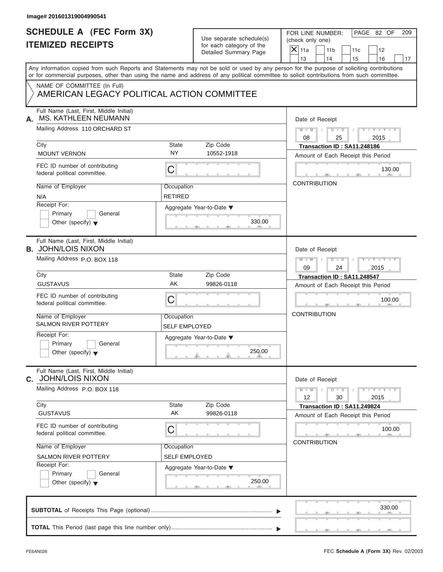| Image# 201601319004990541                                                  |                                    |                                                                               |                                                                                                                                                                                                                                                                                         |
|----------------------------------------------------------------------------|------------------------------------|-------------------------------------------------------------------------------|-----------------------------------------------------------------------------------------------------------------------------------------------------------------------------------------------------------------------------------------------------------------------------------------|
| <b>SCHEDULE A (FEC Form 3X)</b><br><b>ITEMIZED RECEIPTS</b>                |                                    | Use separate schedule(s)<br>for each category of the<br>Detailed Summary Page | PAGE 82 OF<br>FOR LINE NUMBER:<br>209<br>(check only one)<br>$X$ 11a<br>11 <sub>b</sub><br>11c<br>12                                                                                                                                                                                    |
|                                                                            |                                    |                                                                               | 13<br>14<br>15<br>16<br>17                                                                                                                                                                                                                                                              |
|                                                                            |                                    |                                                                               | Any information copied from such Reports and Statements may not be sold or used by any person for the purpose of soliciting contributions<br>or for commercial purposes, other than using the name and address of any political committee to solicit contributions from such committee. |
| NAME OF COMMITTEE (In Full)<br>AMERICAN LEGACY POLITICAL ACTION COMMITTEE  |                                    |                                                                               |                                                                                                                                                                                                                                                                                         |
| Full Name (Last, First, Middle Initial)<br>MS. KATHLEEN NEUMANN<br>А.      |                                    |                                                                               | Date of Receipt                                                                                                                                                                                                                                                                         |
| Mailing Address 110 ORCHARD ST                                             |                                    |                                                                               | $M - M$ / $D - D$ /<br>$Y - Y - Y - Y - Y$<br>08<br>2015<br>25                                                                                                                                                                                                                          |
| City<br><b>MOUNT VERNON</b>                                                | <b>State</b><br><b>NY</b>          | Zip Code<br>10552-1918                                                        | Transaction ID: SA11.248186<br>Amount of Each Receipt this Period                                                                                                                                                                                                                       |
| FEC ID number of contributing<br>federal political committee.              | С                                  |                                                                               | 130.00                                                                                                                                                                                                                                                                                  |
| Name of Employer<br>N/A                                                    | Occupation<br><b>RETIRED</b>       |                                                                               | <b>CONTRIBUTION</b>                                                                                                                                                                                                                                                                     |
| Receipt For:<br>Primary<br>General<br>Other (specify) $\blacktriangledown$ |                                    | Aggregate Year-to-Date ▼<br>330.00                                            |                                                                                                                                                                                                                                                                                         |
| Full Name (Last, First, Middle Initial)<br><b>B. JOHN/LOIS NIXON</b>       |                                    |                                                                               | Date of Receipt                                                                                                                                                                                                                                                                         |
| Mailing Address P.O. BOX 118                                               |                                    |                                                                               | $M - M$<br>$D - I$<br>$Y = Y = Y' - Y'$<br>$\sqrt{2}$<br>09<br>24<br>2015                                                                                                                                                                                                               |
| City                                                                       | <b>State</b>                       | Zip Code                                                                      | Transaction ID: SA11.248547                                                                                                                                                                                                                                                             |
| <b>GUSTAVUS</b>                                                            | AK                                 | 99826-0118                                                                    | Amount of Each Receipt this Period                                                                                                                                                                                                                                                      |
| FEC ID number of contributing<br>federal political committee.              | С                                  |                                                                               | 100.00                                                                                                                                                                                                                                                                                  |
| Name of Employer<br><b>SALMON RIVER POTTERY</b>                            | Occupation<br><b>SELF EMPLOYED</b> |                                                                               | <b>CONTRIBUTION</b>                                                                                                                                                                                                                                                                     |
| Receipt For:<br>Primary<br>General<br>Other (specify) $\blacktriangledown$ |                                    | Aggregate Year-to-Date ▼<br>250.00                                            |                                                                                                                                                                                                                                                                                         |
| Full Name (Last, First, Middle Initial)<br><b>JOHN/LOIS NIXON</b><br>C.    |                                    |                                                                               | Date of Receipt                                                                                                                                                                                                                                                                         |
| Mailing Address P.O. BOX 118                                               |                                    |                                                                               | $Y - Y - Y - Y - I$<br>$M - M$<br>$D$ $\Box$ $D$<br>12<br>30<br>2015                                                                                                                                                                                                                    |
| City<br><b>GUSTAVUS</b>                                                    | State<br>AΚ                        | Zip Code<br>99826-0118                                                        | Transaction ID: SA11.249824<br>Amount of Each Receipt this Period                                                                                                                                                                                                                       |
| FEC ID number of contributing<br>federal political committee.              | С                                  |                                                                               | 100.00                                                                                                                                                                                                                                                                                  |
| Name of Employer                                                           | Occupation                         |                                                                               | <b>CONTRIBUTION</b>                                                                                                                                                                                                                                                                     |
| SALMON RIVER POTTERY                                                       | <b>SELF EMPLOYED</b>               |                                                                               |                                                                                                                                                                                                                                                                                         |
| Receipt For:<br>Primary<br>General<br>Other (specify) $\blacktriangledown$ |                                    | Aggregate Year-to-Date ▼<br>250.00                                            |                                                                                                                                                                                                                                                                                         |
|                                                                            |                                    |                                                                               | 330.00                                                                                                                                                                                                                                                                                  |
|                                                                            |                                    |                                                                               |                                                                                                                                                                                                                                                                                         |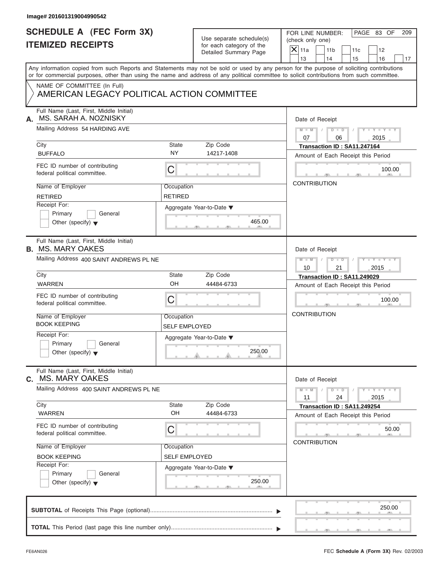| Image# 201601319004990542                                                 |                      |                                                      |                                                                                                                                                                                                                                                                                         |  |  |
|---------------------------------------------------------------------------|----------------------|------------------------------------------------------|-----------------------------------------------------------------------------------------------------------------------------------------------------------------------------------------------------------------------------------------------------------------------------------------|--|--|
| <b>SCHEDULE A (FEC Form 3X)</b><br><b>ITEMIZED RECEIPTS</b>               |                      | Use separate schedule(s)<br>for each category of the | PAGE 83 OF<br>FOR LINE NUMBER:<br>209<br>(check only one)                                                                                                                                                                                                                               |  |  |
|                                                                           |                      | Detailed Summary Page                                | $X$ 11a<br>11 <sub>b</sub><br>11c<br>12<br>13<br>14<br>15<br>16                                                                                                                                                                                                                         |  |  |
|                                                                           |                      |                                                      | Any information copied from such Reports and Statements may not be sold or used by any person for the purpose of soliciting contributions<br>or for commercial purposes, other than using the name and address of any political committee to solicit contributions from such committee. |  |  |
| NAME OF COMMITTEE (In Full)<br>AMERICAN LEGACY POLITICAL ACTION COMMITTEE |                      |                                                      |                                                                                                                                                                                                                                                                                         |  |  |
| Full Name (Last, First, Middle Initial)<br>MS. SARAH A. NOZNISKY<br>А.    |                      |                                                      | Date of Receipt                                                                                                                                                                                                                                                                         |  |  |
| Mailing Address 54 HARDING AVE                                            |                      |                                                      | $M = M$ /<br>$D$ $D$ $/$<br>$Y - Y - Y - Y - Y$<br>07<br>06<br>2015                                                                                                                                                                                                                     |  |  |
| City                                                                      | State                | Zip Code                                             | Transaction ID: SA11.247164                                                                                                                                                                                                                                                             |  |  |
| <b>BUFFALO</b>                                                            | <b>NY</b>            | 14217-1408                                           | Amount of Each Receipt this Period                                                                                                                                                                                                                                                      |  |  |
| FEC ID number of contributing<br>federal political committee.             | C                    |                                                      | 100.00                                                                                                                                                                                                                                                                                  |  |  |
| Name of Employer                                                          | Occupation           |                                                      | <b>CONTRIBUTION</b>                                                                                                                                                                                                                                                                     |  |  |
| <b>RETIRED</b>                                                            | <b>RETIRED</b>       |                                                      |                                                                                                                                                                                                                                                                                         |  |  |
| Receipt For:                                                              |                      | Aggregate Year-to-Date ▼                             |                                                                                                                                                                                                                                                                                         |  |  |
| Primary<br>General                                                        |                      |                                                      |                                                                                                                                                                                                                                                                                         |  |  |
| Other (specify) $\blacktriangledown$                                      |                      | 465.00                                               |                                                                                                                                                                                                                                                                                         |  |  |
| Full Name (Last, First, Middle Initial)<br><b>B. MS. MARY OAKES</b>       | Date of Receipt      |                                                      |                                                                                                                                                                                                                                                                                         |  |  |
| Mailing Address 400 SAINT ANDREWS PL NE                                   |                      |                                                      | Y T Y T Y T<br>$M$ $M$ $/$<br>$D - D$                                                                                                                                                                                                                                                   |  |  |
|                                                                           |                      |                                                      | 10<br>21<br>2015                                                                                                                                                                                                                                                                        |  |  |
| City                                                                      | State                | Zip Code                                             | Transaction ID: SA11.249029                                                                                                                                                                                                                                                             |  |  |
| <b>WARREN</b>                                                             | OH                   | 44484-6733                                           | Amount of Each Receipt this Period                                                                                                                                                                                                                                                      |  |  |
| FEC ID number of contributing<br>federal political committee.             | C                    |                                                      | 100.00                                                                                                                                                                                                                                                                                  |  |  |
| Name of Employer                                                          | Occupation           |                                                      | <b>CONTRIBUTION</b>                                                                                                                                                                                                                                                                     |  |  |
| <b>BOOK KEEPING</b>                                                       | <b>SELF EMPLOYED</b> |                                                      |                                                                                                                                                                                                                                                                                         |  |  |
| Receipt For:                                                              |                      | Aggregate Year-to-Date ▼                             |                                                                                                                                                                                                                                                                                         |  |  |
| Primary<br>General<br>Other (specify) $\blacktriangledown$                |                      | 250.00                                               |                                                                                                                                                                                                                                                                                         |  |  |
| Full Name (Last, First, Middle Initial)<br><b>MS. MARY OAKES</b><br>C.    |                      |                                                      | Date of Receipt                                                                                                                                                                                                                                                                         |  |  |
| Mailing Address 400 SAINT ANDREWS PL NE                                   |                      |                                                      | $Y - Y - Y - Y - Y$<br>$M - M$<br>$D$ $\Box$ $D$<br>11<br>24<br>2015                                                                                                                                                                                                                    |  |  |
| City                                                                      | State                | Zip Code                                             | Transaction ID: SA11.249254                                                                                                                                                                                                                                                             |  |  |
| <b>WARREN</b>                                                             | OH                   | 44484-6733                                           | Amount of Each Receipt this Period                                                                                                                                                                                                                                                      |  |  |
| FEC ID number of contributing<br>federal political committee.             | С                    |                                                      | 50.00                                                                                                                                                                                                                                                                                   |  |  |
| Name of Employer                                                          | Occupation           |                                                      | <b>CONTRIBUTION</b>                                                                                                                                                                                                                                                                     |  |  |
| <b>BOOK KEEPING</b>                                                       | <b>SELF EMPLOYED</b> |                                                      |                                                                                                                                                                                                                                                                                         |  |  |
| Receipt For:                                                              |                      | Aggregate Year-to-Date ▼                             |                                                                                                                                                                                                                                                                                         |  |  |
| Primary<br>General                                                        |                      |                                                      |                                                                                                                                                                                                                                                                                         |  |  |
| Other (specify) $\blacktriangledown$                                      |                      | 250.00                                               |                                                                                                                                                                                                                                                                                         |  |  |
|                                                                           |                      |                                                      | 250.00                                                                                                                                                                                                                                                                                  |  |  |
|                                                                           |                      |                                                      |                                                                                                                                                                                                                                                                                         |  |  |
|                                                                           |                      |                                                      |                                                                                                                                                                                                                                                                                         |  |  |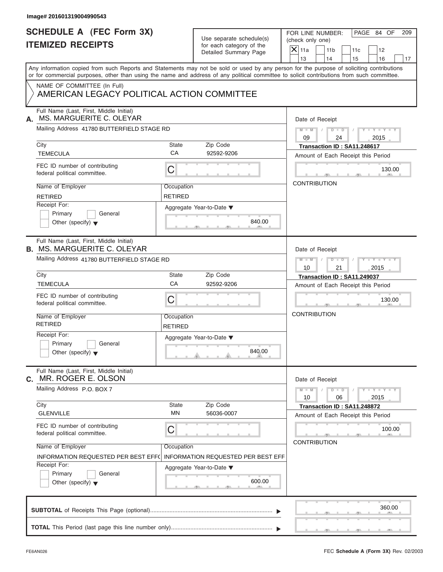| Image# 201601319004990543                                                     |                              |                                                      |                                                                                                                                                                                                                                                                                         |
|-------------------------------------------------------------------------------|------------------------------|------------------------------------------------------|-----------------------------------------------------------------------------------------------------------------------------------------------------------------------------------------------------------------------------------------------------------------------------------------|
| <b>SCHEDULE A (FEC Form 3X)</b><br><b>ITEMIZED RECEIPTS</b>                   |                              | Use separate schedule(s)<br>for each category of the | PAGE 84 OF<br>FOR LINE NUMBER:<br>209<br>(check only one)<br>$X$ 11a                                                                                                                                                                                                                    |
|                                                                               |                              | Detailed Summary Page                                | 11 <sub>b</sub><br>11c<br>12<br>13<br>14<br>15<br>16<br>17                                                                                                                                                                                                                              |
|                                                                               |                              |                                                      | Any information copied from such Reports and Statements may not be sold or used by any person for the purpose of soliciting contributions<br>or for commercial purposes, other than using the name and address of any political committee to solicit contributions from such committee. |
| NAME OF COMMITTEE (In Full)<br>AMERICAN LEGACY POLITICAL ACTION COMMITTEE     |                              |                                                      |                                                                                                                                                                                                                                                                                         |
| Full Name (Last, First, Middle Initial)<br>MS. MARGUERITE C. OLEYAR<br>А.     |                              |                                                      | Date of Receipt                                                                                                                                                                                                                                                                         |
| Mailing Address 41780 BUTTERFIELD STAGE RD                                    |                              |                                                      | $D$ $D$ $/$<br>$Y - Y - Y - Y - Y$<br>$M$ $M$ $I$<br>09<br>2015<br>24                                                                                                                                                                                                                   |
| City<br><b>TEMECULA</b>                                                       | State<br>CA                  | Zip Code<br>92592-9206                               | Transaction ID: SA11.248617<br>Amount of Each Receipt this Period                                                                                                                                                                                                                       |
| FEC ID number of contributing<br>federal political committee.                 | С                            |                                                      | 130.00                                                                                                                                                                                                                                                                                  |
| Name of Employer<br><b>RETIRED</b>                                            | Occupation<br><b>RETIRED</b> |                                                      | <b>CONTRIBUTION</b>                                                                                                                                                                                                                                                                     |
| Receipt For:<br>Primary<br>General<br>Other (specify) $\blacktriangledown$    |                              | Aggregate Year-to-Date ▼<br>840.00                   |                                                                                                                                                                                                                                                                                         |
| Full Name (Last, First, Middle Initial)<br><b>B. MS. MARGUERITE C. OLEYAR</b> |                              |                                                      | Date of Receipt                                                                                                                                                                                                                                                                         |
| Mailing Address 41780 BUTTERFIELD STAGE RD                                    |                              |                                                      | $M = M - 1$<br>$D - D$<br>$Y = Y = Y' - Y'$<br>$\sqrt{2}$<br>10<br>21<br>2015                                                                                                                                                                                                           |
| City                                                                          | <b>State</b>                 | Zip Code                                             | Transaction ID: SA11.249037                                                                                                                                                                                                                                                             |
| <b>TEMECULA</b>                                                               | CA                           | 92592-9206                                           | Amount of Each Receipt this Period                                                                                                                                                                                                                                                      |
| FEC ID number of contributing<br>federal political committee.                 | С                            |                                                      | 130.00                                                                                                                                                                                                                                                                                  |
| Name of Employer<br><b>RETIRED</b>                                            | Occupation<br><b>RETIRED</b> |                                                      | <b>CONTRIBUTION</b>                                                                                                                                                                                                                                                                     |
| Receipt For:<br>Primary<br>General<br>Other (specify) $\blacktriangledown$    |                              | Aggregate Year-to-Date ▼<br>840.00                   |                                                                                                                                                                                                                                                                                         |
| Full Name (Last, First, Middle Initial)<br>MR. ROGER E. OLSON<br>C.           |                              |                                                      | Date of Receipt                                                                                                                                                                                                                                                                         |
| Mailing Address P.O. BOX 7                                                    |                              |                                                      | $M - M$<br>$D$ $\Box$ $D$<br>$Y - Y - Y - Y - I$<br>10<br>06<br>2015                                                                                                                                                                                                                    |
| City<br><b>GLENVILLE</b>                                                      | State<br>MN                  | Zip Code<br>56036-0007                               | Transaction ID: SA11.248872<br>Amount of Each Receipt this Period                                                                                                                                                                                                                       |
| FEC ID number of contributing<br>federal political committee.                 | С                            |                                                      | 100.00                                                                                                                                                                                                                                                                                  |
| Name of Employer<br><b>INFORMATION REQUESTED PER BEST EFF(</b>                | Occupation                   | <b>INFORMATION REQUESTED PER BEST EFF</b>            | <b>CONTRIBUTION</b>                                                                                                                                                                                                                                                                     |
| Receipt For:<br>Primary<br>General<br>Other (specify) $\blacktriangledown$    |                              | Aggregate Year-to-Date ▼<br>600.00                   |                                                                                                                                                                                                                                                                                         |
|                                                                               |                              |                                                      | 360.00                                                                                                                                                                                                                                                                                  |
|                                                                               |                              |                                                      |                                                                                                                                                                                                                                                                                         |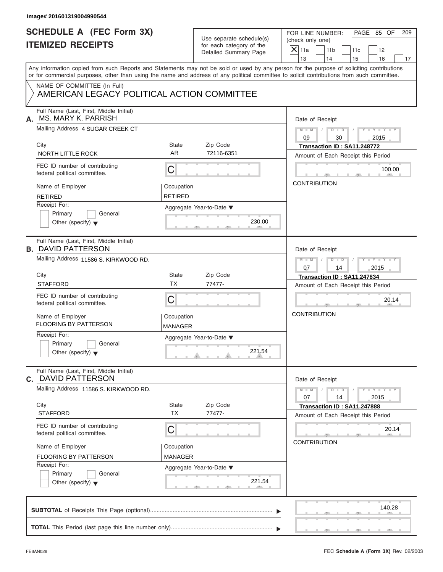| Image# 201601319004990544                                                  |                              |                                                                               |                                                                                                                                                                                                                                                                                         |
|----------------------------------------------------------------------------|------------------------------|-------------------------------------------------------------------------------|-----------------------------------------------------------------------------------------------------------------------------------------------------------------------------------------------------------------------------------------------------------------------------------------|
| <b>SCHEDULE A (FEC Form 3X)</b><br><b>ITEMIZED RECEIPTS</b>                |                              | Use separate schedule(s)<br>for each category of the<br>Detailed Summary Page | PAGE 85 OF<br>FOR LINE NUMBER:<br>209<br>(check only one)<br>$X$ 11a<br>11 <sub>b</sub><br>11c<br>12<br>13<br>14<br>15<br>16<br>17                                                                                                                                                      |
|                                                                            |                              |                                                                               | Any information copied from such Reports and Statements may not be sold or used by any person for the purpose of soliciting contributions<br>or for commercial purposes, other than using the name and address of any political committee to solicit contributions from such committee. |
| NAME OF COMMITTEE (In Full)<br>AMERICAN LEGACY POLITICAL ACTION COMMITTEE  |                              |                                                                               |                                                                                                                                                                                                                                                                                         |
| Full Name (Last, First, Middle Initial)<br>MS. MARY K. PARRISH<br>А.       |                              |                                                                               | Date of Receipt                                                                                                                                                                                                                                                                         |
| Mailing Address 4 SUGAR CREEK CT                                           |                              |                                                                               | $D$ $D$ $I$<br>$Y - Y - Y - Y - Y$<br>$M - M$ /<br>09<br>30<br>2015                                                                                                                                                                                                                     |
| City<br>NORTH LITTLE ROCK                                                  | State<br>AR.                 | Zip Code<br>72116-6351                                                        | Transaction ID: SA11.248772<br>Amount of Each Receipt this Period                                                                                                                                                                                                                       |
| FEC ID number of contributing<br>federal political committee.              | C                            |                                                                               | 100.00                                                                                                                                                                                                                                                                                  |
| Name of Employer<br><b>RETIRED</b>                                         | Occupation<br><b>RETIRED</b> |                                                                               | <b>CONTRIBUTION</b>                                                                                                                                                                                                                                                                     |
| Receipt For:<br>Primary<br>General<br>Other (specify) $\blacktriangledown$ |                              | Aggregate Year-to-Date ▼<br>230.00                                            |                                                                                                                                                                                                                                                                                         |
| Full Name (Last, First, Middle Initial)<br><b>B. DAVID PATTERSON</b>       |                              |                                                                               | Date of Receipt                                                                                                                                                                                                                                                                         |
| Mailing Address 11586 S. KIRKWOOD RD.                                      |                              |                                                                               | $M - M$<br>$\begin{array}{c c c c c c} \hline \multicolumn{3}{ c }{\textbf{D} \quad \textbf{I} \quad \textbf{D} \quad \textbf{I} \quad \textbf{I}} \end{array}$<br>$Y = Y = Y' = Y'$<br>07<br>14<br>2015                                                                                |
| City<br><b>STAFFORD</b>                                                    | State<br><b>TX</b>           | Zip Code<br>77477-                                                            | Transaction ID: SA11.247834<br>Amount of Each Receipt this Period                                                                                                                                                                                                                       |
| FEC ID number of contributing<br>federal political committee.              | C                            |                                                                               | 20.14                                                                                                                                                                                                                                                                                   |
| Name of Employer<br><b>FLOORING BY PATTERSON</b>                           | Occupation<br>MANAGER        |                                                                               | <b>CONTRIBUTION</b>                                                                                                                                                                                                                                                                     |
| Receipt For:<br>Primary<br>General<br>Other (specify) $\blacktriangledown$ |                              | Aggregate Year-to-Date ▼<br>221.54                                            |                                                                                                                                                                                                                                                                                         |
| Full Name (Last, First, Middle Initial)<br><b>C.</b> DAVID PATTERSON       |                              |                                                                               | Date of Receipt                                                                                                                                                                                                                                                                         |
| Mailing Address 11586 S. KIRKWOOD RD.<br>City                              | State                        | Zip Code                                                                      | $Y - Y - Y - Y - Y$<br>$M - M$<br>$D$ $\Box$ $D$<br>07<br>2015<br>14                                                                                                                                                                                                                    |
| <b>STAFFORD</b>                                                            | <b>TX</b>                    | 77477-                                                                        | Transaction ID: SA11.247888<br>Amount of Each Receipt this Period                                                                                                                                                                                                                       |
| FEC ID number of contributing<br>federal political committee.              | С                            |                                                                               | 20.14                                                                                                                                                                                                                                                                                   |
| Name of Employer<br><b>FLOORING BY PATTERSON</b>                           | Occupation<br><b>MANAGER</b> |                                                                               | <b>CONTRIBUTION</b>                                                                                                                                                                                                                                                                     |
| Receipt For:<br>Primary<br>General<br>Other (specify) $\blacktriangledown$ |                              | Aggregate Year-to-Date ▼<br>221.54                                            |                                                                                                                                                                                                                                                                                         |
|                                                                            |                              |                                                                               | 140.28                                                                                                                                                                                                                                                                                  |
|                                                                            |                              |                                                                               |                                                                                                                                                                                                                                                                                         |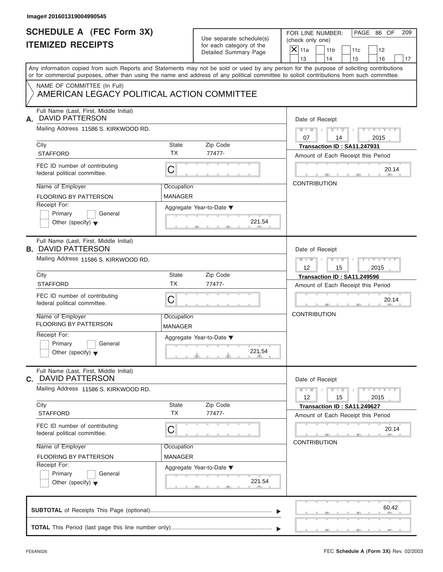| <b>SCHEDULE A (FEC Form 3X)</b><br><b>ITEMIZED RECEIPTS</b>                |                       | Use separate schedule(s)<br>for each category of the<br>Detailed Summary Page | PAGE 86 OF<br>FOR LINE NUMBER:<br>(check only one)                                                                                                                                                                                                                                      |
|----------------------------------------------------------------------------|-----------------------|-------------------------------------------------------------------------------|-----------------------------------------------------------------------------------------------------------------------------------------------------------------------------------------------------------------------------------------------------------------------------------------|
|                                                                            |                       |                                                                               | $\mathsf{X}$ 11a<br>11 <sub>b</sub><br>11c<br>12<br>13<br>14<br>15<br>16                                                                                                                                                                                                                |
|                                                                            |                       |                                                                               | Any information copied from such Reports and Statements may not be sold or used by any person for the purpose of soliciting contributions<br>or for commercial purposes, other than using the name and address of any political committee to solicit contributions from such committee. |
| NAME OF COMMITTEE (In Full)<br>AMERICAN LEGACY POLITICAL ACTION COMMITTEE  |                       |                                                                               |                                                                                                                                                                                                                                                                                         |
| Full Name (Last, First, Middle Initial)<br>DAVID PATTERSON<br>А.           |                       |                                                                               | Date of Receipt                                                                                                                                                                                                                                                                         |
| Mailing Address 11586 S. KIRKWOOD RD.                                      |                       |                                                                               | $D$ $D$<br>$Y - Y - Y - Y - Y$<br>$M - M$ /<br>$\sqrt{ }$<br>07<br>2015<br>14                                                                                                                                                                                                           |
| City                                                                       | <b>State</b>          | Zip Code                                                                      | Transaction ID: SA11.247931                                                                                                                                                                                                                                                             |
| <b>STAFFORD</b>                                                            | <b>TX</b>             | 77477-                                                                        | Amount of Each Receipt this Period                                                                                                                                                                                                                                                      |
| FEC ID number of contributing<br>federal political committee.              | C                     |                                                                               | 20.14                                                                                                                                                                                                                                                                                   |
| Name of Employer                                                           | Occupation            |                                                                               | <b>CONTRIBUTION</b>                                                                                                                                                                                                                                                                     |
| <b>FLOORING BY PATTERSON</b>                                               | <b>MANAGER</b>        |                                                                               |                                                                                                                                                                                                                                                                                         |
| Receipt For:<br>Primary<br>General<br>Other (specify) $\blacktriangledown$ |                       | Aggregate Year-to-Date ▼<br>221.54                                            |                                                                                                                                                                                                                                                                                         |
| Full Name (Last, First, Middle Initial)<br><b>B. DAVID PATTERSON</b>       |                       |                                                                               | Date of Receipt                                                                                                                                                                                                                                                                         |
| Mailing Address 11586 S. KIRKWOOD RD.                                      |                       |                                                                               | $M - M$<br>$D - D$<br>Y T Y T Y T<br>12<br>15<br>2015                                                                                                                                                                                                                                   |
| City                                                                       | <b>State</b>          | Zip Code                                                                      | Transaction ID: SA11.249596                                                                                                                                                                                                                                                             |
| <b>STAFFORD</b>                                                            | <b>TX</b>             | 77477-                                                                        | Amount of Each Receipt this Period                                                                                                                                                                                                                                                      |
| FEC ID number of contributing<br>federal political committee.              | C                     |                                                                               | 20.14                                                                                                                                                                                                                                                                                   |
| Name of Employer<br><b>FLOORING BY PATTERSON</b>                           | Occupation<br>MANAGER |                                                                               | <b>CONTRIBUTION</b>                                                                                                                                                                                                                                                                     |
| Receipt For:<br>Primary<br>General<br>Other (specify) $\blacktriangledown$ |                       | Aggregate Year-to-Date ▼<br>221.54                                            |                                                                                                                                                                                                                                                                                         |
| Full Name (Last, First, Middle Initial)<br><b>C.</b> DAVID PATTERSON       |                       |                                                                               | Date of Receipt                                                                                                                                                                                                                                                                         |
| Mailing Address 11586 S. KIRKWOOD RD.                                      |                       |                                                                               | $M - M$<br>$Y - Y - Y - Y - Y$<br>$D$ $\Box$ $D$<br>12<br>15<br>2015                                                                                                                                                                                                                    |
| City<br><b>STAFFORD</b>                                                    | State<br><b>TX</b>    | Zip Code<br>77477-                                                            | Transaction ID: SA11.249627<br>Amount of Each Receipt this Period                                                                                                                                                                                                                       |
| FEC ID number of contributing<br>federal political committee.              | С                     |                                                                               | 20.14                                                                                                                                                                                                                                                                                   |
| Name of Employer                                                           | Occupation            |                                                                               | <b>CONTRIBUTION</b>                                                                                                                                                                                                                                                                     |
| <b>FLOORING BY PATTERSON</b>                                               | MANAGER               |                                                                               |                                                                                                                                                                                                                                                                                         |
| Receipt For:<br>Primary<br>General<br>Other (specify) $\blacktriangledown$ |                       | Aggregate Year-to-Date ▼<br>221.54                                            |                                                                                                                                                                                                                                                                                         |
|                                                                            |                       |                                                                               | 60.42                                                                                                                                                                                                                                                                                   |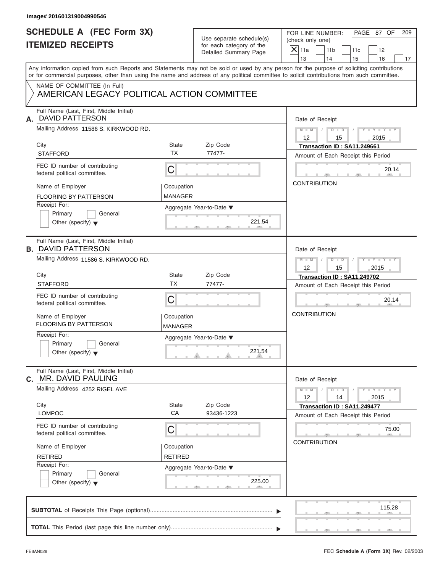| <b>SCHEDULE A (FEC Form 3X)</b><br><b>ITEMIZED RECEIPTS</b>                |                              | Use separate schedule(s)<br>for each category of the<br>Detailed Summary Page | PAGE 87 OF<br>FOR LINE NUMBER:<br>209<br>(check only one)<br>$\mathsf{X} _{\mathsf{11a}}$<br>11 <sub>b</sub><br>11c<br>12<br>13<br>14<br>15<br>16<br>17                                                                                                                                 |
|----------------------------------------------------------------------------|------------------------------|-------------------------------------------------------------------------------|-----------------------------------------------------------------------------------------------------------------------------------------------------------------------------------------------------------------------------------------------------------------------------------------|
|                                                                            |                              |                                                                               | Any information copied from such Reports and Statements may not be sold or used by any person for the purpose of soliciting contributions<br>or for commercial purposes, other than using the name and address of any political committee to solicit contributions from such committee. |
| NAME OF COMMITTEE (In Full)<br>AMERICAN LEGACY POLITICAL ACTION COMMITTEE  |                              |                                                                               |                                                                                                                                                                                                                                                                                         |
| Full Name (Last, First, Middle Initial)<br><b>DAVID PATTERSON</b><br>А.    |                              |                                                                               | Date of Receipt                                                                                                                                                                                                                                                                         |
| Mailing Address 11586 S. KIRKWOOD RD.                                      |                              |                                                                               | $M = M - 1$<br>$D$ $D$ $I$<br>$Y - Y - Y - Y - Y$<br>12<br>2015<br>15                                                                                                                                                                                                                   |
| City                                                                       | State                        | Zip Code                                                                      | Transaction ID: SA11.249661                                                                                                                                                                                                                                                             |
| <b>STAFFORD</b>                                                            | <b>TX</b>                    | 77477-                                                                        | Amount of Each Receipt this Period                                                                                                                                                                                                                                                      |
| FEC ID number of contributing<br>federal political committee.              | $\mathsf C$                  |                                                                               | 20.14                                                                                                                                                                                                                                                                                   |
| Name of Employer                                                           | Occupation                   |                                                                               | <b>CONTRIBUTION</b>                                                                                                                                                                                                                                                                     |
| <b>FLOORING BY PATTERSON</b>                                               | <b>MANAGER</b>               |                                                                               |                                                                                                                                                                                                                                                                                         |
| Receipt For:<br>Primary<br>General<br>Other (specify) $\blacktriangledown$ |                              | Aggregate Year-to-Date ▼<br>221.54                                            |                                                                                                                                                                                                                                                                                         |
| Full Name (Last, First, Middle Initial)<br><b>B. DAVID PATTERSON</b>       |                              |                                                                               | Date of Receipt                                                                                                                                                                                                                                                                         |
| Mailing Address 11586 S. KIRKWOOD RD.                                      |                              |                                                                               | $M \perp M \parallel / \parallel D \perp D \parallel /$<br>$Y = Y = Y' - Y'$<br>12<br>15<br>2015                                                                                                                                                                                        |
| City                                                                       | State<br><b>TX</b>           | Zip Code                                                                      | Transaction ID: SA11.249702                                                                                                                                                                                                                                                             |
| <b>STAFFORD</b>                                                            |                              | 77477-                                                                        | Amount of Each Receipt this Period                                                                                                                                                                                                                                                      |
| FEC ID number of contributing<br>federal political committee.              | C                            |                                                                               | 20.14                                                                                                                                                                                                                                                                                   |
| Name of Employer<br><b>FLOORING BY PATTERSON</b>                           | Occupation<br><b>MANAGER</b> |                                                                               | <b>CONTRIBUTION</b>                                                                                                                                                                                                                                                                     |
| Receipt For:<br>Primary<br>General<br>Other (specify) $\blacktriangledown$ |                              | Aggregate Year-to-Date ▼<br>221.54                                            |                                                                                                                                                                                                                                                                                         |
| Full Name (Last, First, Middle Initial)<br><b>MR. DAVID PAULING</b><br>С.  |                              |                                                                               | Date of Receipt                                                                                                                                                                                                                                                                         |
| Mailing Address 4252 RIGEL AVE                                             |                              |                                                                               | $M - M$<br>$Y - Y - Y - Y - Y$<br>$D$ $\Box$ $D$<br>12<br>14<br>2015                                                                                                                                                                                                                    |
| City<br><b>LOMPOC</b>                                                      | <b>State</b><br>CA           | Zip Code<br>93436-1223                                                        | Transaction ID: SA11.249477                                                                                                                                                                                                                                                             |
| FEC ID number of contributing<br>federal political committee.              | C                            |                                                                               | Amount of Each Receipt this Period<br>75.00                                                                                                                                                                                                                                             |
| Name of Employer                                                           | Occupation                   |                                                                               | <b>CONTRIBUTION</b>                                                                                                                                                                                                                                                                     |
| <b>RETIRED</b>                                                             | <b>RETIRED</b>               |                                                                               |                                                                                                                                                                                                                                                                                         |
| Receipt For:<br>Primary<br>General<br>Other (specify) $\blacktriangledown$ |                              | Aggregate Year-to-Date ▼<br>225.00                                            |                                                                                                                                                                                                                                                                                         |
|                                                                            |                              |                                                                               | 115.28                                                                                                                                                                                                                                                                                  |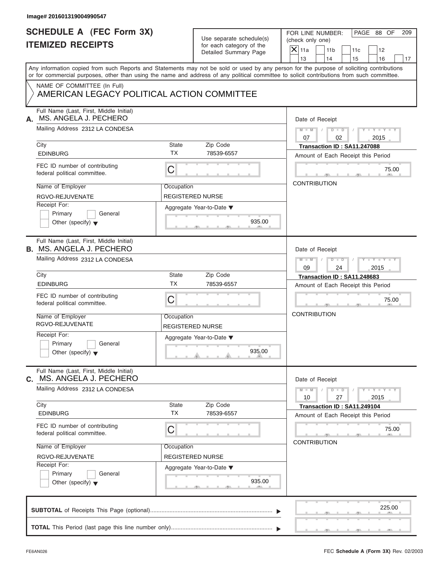| Image# 201601319004990547                                                                                                                  |                                       |                                                                               |                                                                                                                                           |
|--------------------------------------------------------------------------------------------------------------------------------------------|---------------------------------------|-------------------------------------------------------------------------------|-------------------------------------------------------------------------------------------------------------------------------------------|
| <b>SCHEDULE A (FEC Form 3X)</b><br><b>ITEMIZED RECEIPTS</b>                                                                                |                                       | Use separate schedule(s)<br>for each category of the<br>Detailed Summary Page | PAGE 88 OF<br>FOR LINE NUMBER:<br>209<br>(check only one)<br>$X$ 11a<br>11 <sub>b</sub><br>11c<br>12<br>13<br>14<br>15<br>16<br>17        |
| or for commercial purposes, other than using the name and address of any political committee to solicit contributions from such committee. |                                       |                                                                               | Any information copied from such Reports and Statements may not be sold or used by any person for the purpose of soliciting contributions |
| NAME OF COMMITTEE (In Full)<br>AMERICAN LEGACY POLITICAL ACTION COMMITTEE                                                                  |                                       |                                                                               |                                                                                                                                           |
| Full Name (Last, First, Middle Initial)<br>MS. ANGELA J. PECHERO<br>А.                                                                     |                                       |                                                                               | Date of Receipt                                                                                                                           |
| Mailing Address 2312 LA CONDESA                                                                                                            |                                       |                                                                               | $D$ $\Box$ $D$<br>$Y - Y - Y - Y - Y$<br>$M - M$ /<br>$\sqrt{ }$<br>07<br>02<br>2015                                                      |
| City<br><b>EDINBURG</b>                                                                                                                    | State<br><b>TX</b>                    | Zip Code<br>78539-6557                                                        | Transaction ID: SA11.247088<br>Amount of Each Receipt this Period                                                                         |
| FEC ID number of contributing<br>federal political committee.                                                                              | С                                     |                                                                               | 75.00                                                                                                                                     |
| Name of Employer                                                                                                                           | Occupation                            |                                                                               | <b>CONTRIBUTION</b>                                                                                                                       |
| RGVO-REJUVENATE<br>Receipt For:<br>Primary<br>General<br>Other (specify) $\blacktriangledown$                                              | <b>REGISTERED NURSE</b>               | Aggregate Year-to-Date ▼<br>935.00                                            |                                                                                                                                           |
| Full Name (Last, First, Middle Initial)<br><b>B.</b> MS. ANGELA J. PECHERO                                                                 |                                       |                                                                               | Date of Receipt                                                                                                                           |
| Mailing Address 2312 LA CONDESA                                                                                                            |                                       |                                                                               | $M - M$<br>$D - I - D$<br>$Y = Y = Y' - Y'$<br>$\sqrt{2}$<br>09<br>2015<br>24                                                             |
| City<br><b>EDINBURG</b>                                                                                                                    | State<br><b>TX</b>                    | Zip Code<br>78539-6557                                                        | Transaction ID: SA11.248683<br>Amount of Each Receipt this Period                                                                         |
| FEC ID number of contributing<br>federal political committee.                                                                              | C                                     |                                                                               | 75.00                                                                                                                                     |
| Name of Employer<br>RGVO-REJUVENATE                                                                                                        | Occupation<br><b>REGISTERED NURSE</b> |                                                                               | <b>CONTRIBUTION</b>                                                                                                                       |
| Receipt For:<br>Primary<br>General<br>Other (specify) $\blacktriangledown$                                                                 |                                       | Aggregate Year-to-Date ▼<br>935.00                                            |                                                                                                                                           |
| Full Name (Last, First, Middle Initial)<br>C. MS. ANGELA J. PECHERO                                                                        |                                       |                                                                               | Date of Receipt                                                                                                                           |
| Mailing Address 2312 LA CONDESA                                                                                                            |                                       |                                                                               | $Y - Y - Y - Y - Y$<br>$M - M$<br>$D - D$<br>27<br>10<br>2015                                                                             |
| City<br><b>EDINBURG</b>                                                                                                                    | State<br><b>TX</b>                    | Zip Code<br>78539-6557                                                        | Transaction ID: SA11.249104<br>Amount of Each Receipt this Period                                                                         |
| FEC ID number of contributing<br>federal political committee.                                                                              | С                                     |                                                                               | 75.00                                                                                                                                     |
| Name of Employer                                                                                                                           | Occupation                            |                                                                               | <b>CONTRIBUTION</b>                                                                                                                       |
| RGVO-REJUVENATE<br>Receipt For:                                                                                                            | REGISTERED NURSE                      |                                                                               |                                                                                                                                           |
| Primary<br>General<br>Other (specify) $\blacktriangledown$                                                                                 |                                       | Aggregate Year-to-Date ▼<br>935.00                                            |                                                                                                                                           |
|                                                                                                                                            |                                       |                                                                               | 225.00                                                                                                                                    |
|                                                                                                                                            |                                       |                                                                               |                                                                                                                                           |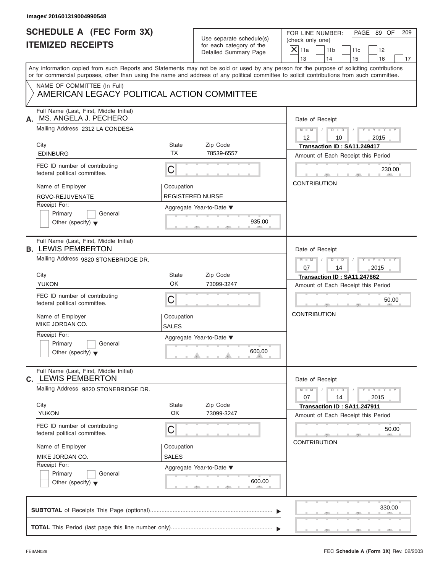| Image# 201601319004990548                                                                                                                  |                            |                                                                               |                                                                                                                                               |
|--------------------------------------------------------------------------------------------------------------------------------------------|----------------------------|-------------------------------------------------------------------------------|-----------------------------------------------------------------------------------------------------------------------------------------------|
| <b>SCHEDULE A (FEC Form 3X)</b><br><b>ITEMIZED RECEIPTS</b>                                                                                |                            | Use separate schedule(s)<br>for each category of the<br>Detailed Summary Page | PAGE 89 OF<br>FOR LINE NUMBER:<br>209<br>(check only one)<br>$\overline{X}$ 11a<br>11 <sub>b</sub><br>11c<br>12<br>13<br>14<br>15<br>16<br>17 |
| or for commercial purposes, other than using the name and address of any political committee to solicit contributions from such committee. |                            |                                                                               | Any information copied from such Reports and Statements may not be sold or used by any person for the purpose of soliciting contributions     |
| NAME OF COMMITTEE (In Full)<br>AMERICAN LEGACY POLITICAL ACTION COMMITTEE                                                                  |                            |                                                                               |                                                                                                                                               |
| Full Name (Last, First, Middle Initial)<br>MS. ANGELA J. PECHERO<br>А.                                                                     |                            |                                                                               | Date of Receipt                                                                                                                               |
| Mailing Address 2312 LA CONDESA                                                                                                            |                            |                                                                               | $M = M \qquad / \qquad D = D \qquad /$<br>$Y - Y - Y - Y - Y$<br>12<br>10<br>2015                                                             |
| City<br><b>EDINBURG</b>                                                                                                                    | State<br><b>TX</b>         | Zip Code<br>78539-6557                                                        | Transaction ID: SA11.249417<br>Amount of Each Receipt this Period                                                                             |
| FEC ID number of contributing<br>federal political committee.                                                                              | $\mathsf C$                |                                                                               | 230.00                                                                                                                                        |
| Name of Employer<br>RGVO-REJUVENATE                                                                                                        | Occupation                 | <b>REGISTERED NURSE</b>                                                       | <b>CONTRIBUTION</b>                                                                                                                           |
| Receipt For:<br>Primary<br>General<br>Other (specify) $\blacktriangledown$                                                                 |                            | Aggregate Year-to-Date ▼<br>935.00                                            |                                                                                                                                               |
| Full Name (Last, First, Middle Initial)<br><b>B. LEWIS PEMBERTON</b>                                                                       |                            |                                                                               | Date of Receipt                                                                                                                               |
| Mailing Address 9820 STONEBRIDGE DR.                                                                                                       |                            |                                                                               | $D - D$<br>$Y = Y = Y' + Y' + Y$<br>$M - M$<br>$\Box$<br>07<br>2015<br>14                                                                     |
| City<br><b>YUKON</b>                                                                                                                       | State<br>OK                | Zip Code<br>73099-3247                                                        | Transaction ID: SA11.247862<br>Amount of Each Receipt this Period                                                                             |
| FEC ID number of contributing<br>federal political committee.                                                                              | C                          |                                                                               | 50.00                                                                                                                                         |
| Name of Employer<br>MIKE JORDAN CO.                                                                                                        | Occupation<br><b>SALES</b> |                                                                               | <b>CONTRIBUTION</b>                                                                                                                           |
| Receipt For:<br>Primary<br>General<br>Other (specify) $\blacktriangledown$                                                                 |                            | Aggregate Year-to-Date ▼<br>600.00                                            |                                                                                                                                               |
| Full Name (Last, First, Middle Initial)<br><b>C. LEWIS PEMBERTON</b>                                                                       |                            |                                                                               | Date of Receipt                                                                                                                               |
| Mailing Address 9820 STONEBRIDGE DR.                                                                                                       |                            |                                                                               | $Y - Y - Y - Y - Y$<br>$M - M$<br>$D$ $\Box$ $D$<br>07<br>2015<br>14                                                                          |
| City<br><b>YUKON</b>                                                                                                                       | State<br>OK                | Zip Code<br>73099-3247                                                        | Transaction ID: SA11.247911<br>Amount of Each Receipt this Period                                                                             |
| FEC ID number of contributing<br>federal political committee.                                                                              | C                          |                                                                               | 50.00                                                                                                                                         |
| Name of Employer<br>MIKE JORDAN CO.                                                                                                        | Occupation<br><b>SALES</b> |                                                                               | <b>CONTRIBUTION</b>                                                                                                                           |
| Receipt For:<br>Primary<br>General<br>Other (specify) $\blacktriangledown$                                                                 |                            | Aggregate Year-to-Date ▼<br>600.00                                            |                                                                                                                                               |
|                                                                                                                                            |                            |                                                                               | 330.00                                                                                                                                        |
|                                                                                                                                            |                            |                                                                               |                                                                                                                                               |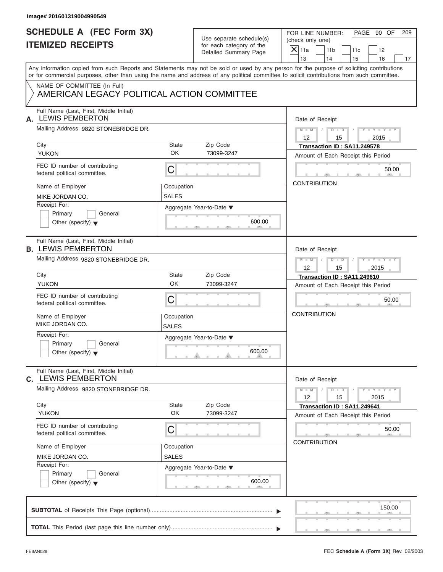| <b>SCHEDULE A (FEC Form 3X)</b>                                           |              |                          | PAGE 90 OF                                                                                                                                 |  |  |
|---------------------------------------------------------------------------|--------------|--------------------------|--------------------------------------------------------------------------------------------------------------------------------------------|--|--|
|                                                                           |              | Use separate schedule(s) | FOR LINE NUMBER:<br>209<br>(check only one)                                                                                                |  |  |
| <b>ITEMIZED RECEIPTS</b>                                                  |              | for each category of the | $X$ 11a<br>11 <sub>b</sub><br>11c<br>12                                                                                                    |  |  |
|                                                                           |              | Detailed Summary Page    | 13<br>14<br>15<br>16<br>17                                                                                                                 |  |  |
|                                                                           |              |                          | Any information copied from such Reports and Statements may not be sold or used by any person for the purpose of soliciting contributions  |  |  |
|                                                                           |              |                          | or for commercial purposes, other than using the name and address of any political committee to solicit contributions from such committee. |  |  |
| NAME OF COMMITTEE (In Full)<br>AMERICAN LEGACY POLITICAL ACTION COMMITTEE |              |                          |                                                                                                                                            |  |  |
| Full Name (Last, First, Middle Initial)<br><b>LEWIS PEMBERTON</b><br>А.   |              |                          | Date of Receipt                                                                                                                            |  |  |
| Mailing Address 9820 STONEBRIDGE DR.                                      |              |                          | $D$ $D$ $I$<br>$Y - Y - Y - Y - Y$<br>$M - M$ /                                                                                            |  |  |
| City                                                                      | <b>State</b> | Zip Code                 | $12 \overline{ }$<br>2015<br>15<br>Transaction ID: SA11.249578                                                                             |  |  |
| <b>YUKON</b>                                                              | <b>OK</b>    | 73099-3247               | Amount of Each Receipt this Period                                                                                                         |  |  |
| FEC ID number of contributing<br>federal political committee.             | C            |                          | 50.00                                                                                                                                      |  |  |
| Name of Employer                                                          | Occupation   |                          | <b>CONTRIBUTION</b>                                                                                                                        |  |  |
| MIKE JORDAN CO.                                                           | <b>SALES</b> |                          |                                                                                                                                            |  |  |
| Receipt For:                                                              |              | Aggregate Year-to-Date ▼ |                                                                                                                                            |  |  |
| Primary<br>General                                                        |              |                          |                                                                                                                                            |  |  |
| Other (specify) $\blacktriangledown$                                      |              | 600.00                   |                                                                                                                                            |  |  |
| Full Name (Last, First, Middle Initial)<br><b>B. LEWIS PEMBERTON</b>      |              |                          | Date of Receipt                                                                                                                            |  |  |
| Mailing Address 9820 STONEBRIDGE DR.                                      |              |                          |                                                                                                                                            |  |  |
|                                                                           |              |                          | $D$ $\Box$ $D$ $\Box$<br>$Y = Y = Y' - Y'$<br>$M$ $M$<br>$\sqrt{ }$<br>12<br>15<br>2015                                                    |  |  |
| City                                                                      | <b>State</b> | Zip Code                 | Transaction ID: SA11.249610                                                                                                                |  |  |
| <b>YUKON</b>                                                              | OK           | 73099-3247               | Amount of Each Receipt this Period                                                                                                         |  |  |
| FEC ID number of contributing<br>federal political committee.             | C            |                          | 50.00                                                                                                                                      |  |  |
| Name of Employer<br>MIKE JORDAN CO.                                       | Occupation   |                          | <b>CONTRIBUTION</b>                                                                                                                        |  |  |
| Receipt For:                                                              | <b>SALES</b> |                          |                                                                                                                                            |  |  |
| Primary<br>General                                                        |              | Aggregate Year-to-Date ▼ |                                                                                                                                            |  |  |
| Other (specify) $\blacktriangledown$                                      |              | 600.00                   |                                                                                                                                            |  |  |
| Full Name (Last, First, Middle Initial)<br><b>C. LEWIS PEMBERTON</b>      |              |                          | Date of Receipt                                                                                                                            |  |  |
| Mailing Address 9820 STONEBRIDGE DR.                                      |              |                          | $Y - Y - Y - Y - Y$<br>$M - M$<br>$D$ $\Box$ $D$<br>12<br>15<br>2015                                                                       |  |  |
| City                                                                      | State<br>OK  | Zip Code                 | Transaction ID: SA11.249641                                                                                                                |  |  |
| <b>YUKON</b>                                                              |              | 73099-3247               | Amount of Each Receipt this Period                                                                                                         |  |  |
| FEC ID number of contributing<br>federal political committee.             | С            |                          | 50.00                                                                                                                                      |  |  |
| Name of Employer                                                          | Occupation   |                          | <b>CONTRIBUTION</b>                                                                                                                        |  |  |
| MIKE JORDAN CO.                                                           | <b>SALES</b> |                          |                                                                                                                                            |  |  |
| Receipt For:                                                              |              | Aggregate Year-to-Date ▼ |                                                                                                                                            |  |  |
| Primary<br>General<br>Other (specify) $\blacktriangledown$                |              | 600.00                   |                                                                                                                                            |  |  |
|                                                                           |              |                          | 150.00                                                                                                                                     |  |  |
|                                                                           |              |                          |                                                                                                                                            |  |  |
|                                                                           |              |                          |                                                                                                                                            |  |  |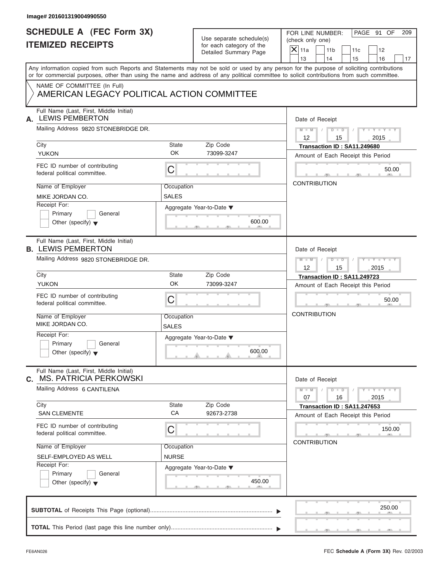| <b>SCHEDULE A (FEC Form 3X)</b><br><b>ITEMIZED RECEIPTS</b>                |                            | Use separate schedule(s)<br>for each category of the | PAGE 91 OF<br>FOR LINE NUMBER:<br>(check only one)                                                                                                                                                                                                                                      |
|----------------------------------------------------------------------------|----------------------------|------------------------------------------------------|-----------------------------------------------------------------------------------------------------------------------------------------------------------------------------------------------------------------------------------------------------------------------------------------|
|                                                                            |                            | Detailed Summary Page                                | $\overline{X}$ 11a<br>11 <sub>b</sub><br>11c<br>12<br>13<br>14<br>15<br>16                                                                                                                                                                                                              |
|                                                                            |                            |                                                      | Any information copied from such Reports and Statements may not be sold or used by any person for the purpose of soliciting contributions<br>or for commercial purposes, other than using the name and address of any political committee to solicit contributions from such committee. |
| NAME OF COMMITTEE (In Full)<br>AMERICAN LEGACY POLITICAL ACTION COMMITTEE  |                            |                                                      |                                                                                                                                                                                                                                                                                         |
| Full Name (Last, First, Middle Initial)<br><b>LEWIS PEMBERTON</b><br>А.    |                            |                                                      | Date of Receipt                                                                                                                                                                                                                                                                         |
| Mailing Address 9820 STONEBRIDGE DR.                                       |                            |                                                      | $D$ $D$<br>$Y - Y - Y - Y - Y$<br>$M - M$ /<br>$12 \overline{ }$<br>2015<br>15                                                                                                                                                                                                          |
| City                                                                       | State                      | Zip Code                                             | Transaction ID: SA11.249680                                                                                                                                                                                                                                                             |
| <b>YUKON</b>                                                               | <b>OK</b>                  | 73099-3247                                           | Amount of Each Receipt this Period                                                                                                                                                                                                                                                      |
| FEC ID number of contributing<br>federal political committee.              | C                          |                                                      | 50.00                                                                                                                                                                                                                                                                                   |
| Name of Employer                                                           | Occupation                 |                                                      | <b>CONTRIBUTION</b>                                                                                                                                                                                                                                                                     |
| MIKE JORDAN CO.                                                            | SALES                      |                                                      |                                                                                                                                                                                                                                                                                         |
| Receipt For:<br>Primary<br>General<br>Other (specify) $\blacktriangledown$ |                            | Aggregate Year-to-Date ▼<br>600.00                   |                                                                                                                                                                                                                                                                                         |
| Full Name (Last, First, Middle Initial)<br><b>B. LEWIS PEMBERTON</b>       |                            |                                                      | Date of Receipt                                                                                                                                                                                                                                                                         |
| Mailing Address 9820 STONEBRIDGE DR.                                       |                            |                                                      | $M - M$<br>$D - I - D$<br>Y T Y T Y T                                                                                                                                                                                                                                                   |
|                                                                            |                            |                                                      | 12<br>15<br>2015                                                                                                                                                                                                                                                                        |
| City<br><b>YUKON</b>                                                       | State<br>OK                | Zip Code                                             | Transaction ID: SA11.249723                                                                                                                                                                                                                                                             |
|                                                                            |                            | 73099-3247                                           | Amount of Each Receipt this Period                                                                                                                                                                                                                                                      |
| FEC ID number of contributing<br>federal political committee.              | C                          |                                                      | 50.00                                                                                                                                                                                                                                                                                   |
| Name of Employer<br>MIKE JORDAN CO.                                        | Occupation<br><b>SALES</b> |                                                      | <b>CONTRIBUTION</b>                                                                                                                                                                                                                                                                     |
| Receipt For:<br>Primary<br>General<br>Other (specify) $\blacktriangledown$ |                            | Aggregate Year-to-Date ▼<br>600.00                   |                                                                                                                                                                                                                                                                                         |
| Full Name (Last, First, Middle Initial)<br>MS. PATRICIA PERKOWSKI<br>С.    |                            |                                                      | Date of Receipt                                                                                                                                                                                                                                                                         |
| Mailing Address 6 CANTILENA                                                |                            |                                                      | $M - M$<br>$Y = Y = Y + Y$<br>$D$ $\Box$ $D$<br>07<br>16<br>2015                                                                                                                                                                                                                        |
| City                                                                       | <b>State</b>               | Zip Code                                             | Transaction ID: SA11.247653                                                                                                                                                                                                                                                             |
| <b>SAN CLEMENTE</b>                                                        | CA                         | 92673-2738                                           | Amount of Each Receipt this Period                                                                                                                                                                                                                                                      |
| FEC ID number of contributing<br>federal political committee.              | С                          |                                                      | 150.00                                                                                                                                                                                                                                                                                  |
| Name of Employer                                                           | Occupation                 |                                                      | <b>CONTRIBUTION</b>                                                                                                                                                                                                                                                                     |
| SELF-EMPLOYED AS WELL                                                      | <b>NURSE</b>               |                                                      |                                                                                                                                                                                                                                                                                         |
| Receipt For:<br>Primary<br>General<br>Other (specify) $\blacktriangledown$ |                            | Aggregate Year-to-Date ▼<br>450.00                   |                                                                                                                                                                                                                                                                                         |
|                                                                            |                            |                                                      | 250.00                                                                                                                                                                                                                                                                                  |
|                                                                            |                            |                                                      |                                                                                                                                                                                                                                                                                         |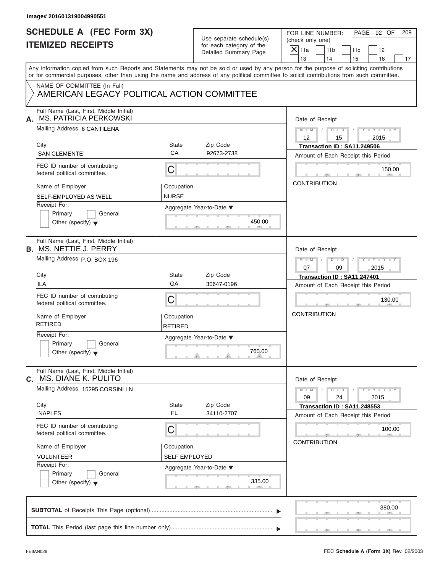| <b>SCHEDULE A (FEC Form 3X)</b><br><b>ITEMIZED RECEIPTS</b>                |                              | Use separate schedule(s)<br>for each category of the<br>Detailed Summary Page | PAGE 92 OF<br>FOR LINE NUMBER:<br>209<br>(check only one)                                                                                                                                                                                                                               |
|----------------------------------------------------------------------------|------------------------------|-------------------------------------------------------------------------------|-----------------------------------------------------------------------------------------------------------------------------------------------------------------------------------------------------------------------------------------------------------------------------------------|
|                                                                            |                              |                                                                               | $X$ 11a<br>11 <sub>b</sub><br>11c<br>12<br>13<br>14<br>15<br>16                                                                                                                                                                                                                         |
|                                                                            |                              |                                                                               | Any information copied from such Reports and Statements may not be sold or used by any person for the purpose of soliciting contributions<br>or for commercial purposes, other than using the name and address of any political committee to solicit contributions from such committee. |
| NAME OF COMMITTEE (In Full)<br>AMERICAN LEGACY POLITICAL ACTION COMMITTEE  |                              |                                                                               |                                                                                                                                                                                                                                                                                         |
| Full Name (Last, First, Middle Initial)<br>MS. PATRICIA PERKOWSKI<br>А.    |                              |                                                                               | Date of Receipt                                                                                                                                                                                                                                                                         |
| Mailing Address 6 CANTILENA                                                |                              |                                                                               | $M - M$ / $D - D$ /<br>$Y - Y - Y - Y - Y$<br>$12 \overline{ }$<br>2015<br>15                                                                                                                                                                                                           |
| City<br><b>SAN CLEMENTE</b>                                                | State<br>CA                  | Zip Code<br>92673-2738                                                        | Transaction ID: SA11.249506<br>Amount of Each Receipt this Period                                                                                                                                                                                                                       |
| FEC ID number of contributing<br>federal political committee.              | C                            |                                                                               | 150.00                                                                                                                                                                                                                                                                                  |
| Name of Employer<br>SELF-EMPLOYED AS WELL                                  | Occupation<br><b>NURSE</b>   |                                                                               | <b>CONTRIBUTION</b>                                                                                                                                                                                                                                                                     |
| Receipt For:<br>Primary<br>General<br>Other (specify) $\blacktriangledown$ |                              | Aggregate Year-to-Date ▼<br>450.00                                            |                                                                                                                                                                                                                                                                                         |
| Full Name (Last, First, Middle Initial)<br><b>B. MS. NETTIE J. PERRY</b>   |                              |                                                                               | Date of Receipt                                                                                                                                                                                                                                                                         |
| Mailing Address P.O. BOX 196                                               |                              |                                                                               | Y TY TY TY<br>$M = M - 1$<br>$D - D$<br>$\Box$<br>07<br>09<br>2015                                                                                                                                                                                                                      |
| City                                                                       | State<br>GA                  | Zip Code                                                                      | Transaction ID: SA11.247401                                                                                                                                                                                                                                                             |
| <b>ILA</b>                                                                 |                              | 30647-0196                                                                    | Amount of Each Receipt this Period                                                                                                                                                                                                                                                      |
| FEC ID number of contributing<br>federal political committee.              | С                            |                                                                               | 130.00                                                                                                                                                                                                                                                                                  |
| Name of Employer<br><b>RETIRED</b>                                         | Occupation<br><b>RETIRED</b> |                                                                               | <b>CONTRIBUTION</b>                                                                                                                                                                                                                                                                     |
| Receipt For:<br>Primary<br>General<br>Other (specify) $\blacktriangledown$ |                              | Aggregate Year-to-Date ▼<br>760.00                                            |                                                                                                                                                                                                                                                                                         |
| Full Name (Last, First, Middle Initial)<br>MS. DIANE K. PULITO<br>C.       |                              |                                                                               | Date of Receipt                                                                                                                                                                                                                                                                         |
| Mailing Address 15295 CORSINI LN                                           |                              |                                                                               | $Y - Y - Y - Y - Y$<br>$M - M$<br>$D$ $\Box$ $D$<br>24<br>09<br>2015                                                                                                                                                                                                                    |
| City<br><b>NAPLES</b>                                                      | <b>State</b><br>FL           | Zip Code<br>34110-2707                                                        | Transaction ID: SA11.248553<br>Amount of Each Receipt this Period                                                                                                                                                                                                                       |
| FEC ID number of contributing<br>federal political committee.              | С                            |                                                                               | 100.00<br><b>CONTRIBUTION</b>                                                                                                                                                                                                                                                           |
| Name of Employer                                                           | Occupation                   |                                                                               |                                                                                                                                                                                                                                                                                         |
| <b>VOLUNTEER</b><br>Receipt For:                                           | <b>SELF EMPLOYED</b>         |                                                                               |                                                                                                                                                                                                                                                                                         |
| Primary<br>General<br>Other (specify) $\blacktriangledown$                 |                              | Aggregate Year-to-Date ▼<br>335.00                                            |                                                                                                                                                                                                                                                                                         |
|                                                                            |                              |                                                                               |                                                                                                                                                                                                                                                                                         |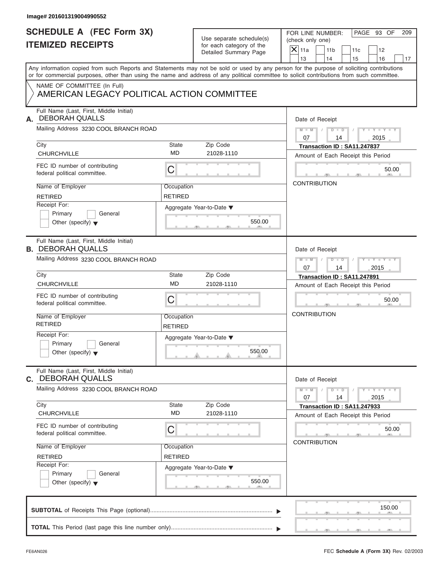| Image# 201601319004990552                                                  |                              |                                                      |                                                                                                                                                                                                                                                                                         |
|----------------------------------------------------------------------------|------------------------------|------------------------------------------------------|-----------------------------------------------------------------------------------------------------------------------------------------------------------------------------------------------------------------------------------------------------------------------------------------|
| <b>SCHEDULE A (FEC Form 3X)</b><br><b>ITEMIZED RECEIPTS</b>                |                              | Use separate schedule(s)<br>for each category of the | PAGE 93 OF<br>FOR LINE NUMBER:<br>209<br>(check only one)                                                                                                                                                                                                                               |
|                                                                            |                              | Detailed Summary Page                                | $X$ 11a<br>11 <sub>b</sub><br>11c<br>12<br>13<br>14<br>15<br>16<br>17                                                                                                                                                                                                                   |
|                                                                            |                              |                                                      | Any information copied from such Reports and Statements may not be sold or used by any person for the purpose of soliciting contributions<br>or for commercial purposes, other than using the name and address of any political committee to solicit contributions from such committee. |
| NAME OF COMMITTEE (In Full)<br>AMERICAN LEGACY POLITICAL ACTION COMMITTEE  |                              |                                                      |                                                                                                                                                                                                                                                                                         |
| Full Name (Last, First, Middle Initial)<br><b>DEBORAH QUALLS</b><br>А.     |                              |                                                      | Date of Receipt                                                                                                                                                                                                                                                                         |
| Mailing Address 3230 COOL BRANCH ROAD                                      |                              |                                                      | $D$ $\Box$ $D$ $/$<br>$Y - Y - Y - Y - Y$<br>$M - M$ /<br>07<br>2015<br>14                                                                                                                                                                                                              |
| City<br>CHURCHVILLE                                                        | State<br><b>MD</b>           | Zip Code<br>21028-1110                               | Transaction ID: SA11.247837<br>Amount of Each Receipt this Period                                                                                                                                                                                                                       |
| FEC ID number of contributing<br>federal political committee.              | C                            |                                                      | 50.00                                                                                                                                                                                                                                                                                   |
| Name of Employer<br><b>RETIRED</b>                                         | Occupation<br><b>RETIRED</b> |                                                      | <b>CONTRIBUTION</b>                                                                                                                                                                                                                                                                     |
| Receipt For:<br>Primary<br>General<br>Other (specify) $\blacktriangledown$ |                              | Aggregate Year-to-Date ▼<br>550.00                   |                                                                                                                                                                                                                                                                                         |
| Full Name (Last, First, Middle Initial)<br><b>B. DEBORAH QUALLS</b>        |                              |                                                      | Date of Receipt                                                                                                                                                                                                                                                                         |
| Mailing Address 3230 COOL BRANCH ROAD                                      |                              |                                                      | $D - I - D$<br>$Y = Y = Y' - Y'$<br>$M - M$<br>$\sqrt{ }$<br>07<br>14<br>2015                                                                                                                                                                                                           |
| City<br>CHURCHVILLE                                                        | State<br><b>MD</b>           | Zip Code<br>21028-1110                               | Transaction ID: SA11.247891<br>Amount of Each Receipt this Period                                                                                                                                                                                                                       |
| FEC ID number of contributing<br>federal political committee.              | C                            |                                                      | 50.00                                                                                                                                                                                                                                                                                   |
| Name of Employer<br><b>RETIRED</b>                                         | Occupation<br><b>RETIRED</b> |                                                      | <b>CONTRIBUTION</b>                                                                                                                                                                                                                                                                     |
| Receipt For:<br>Primary<br>General<br>Other (specify) $\blacktriangledown$ |                              | Aggregate Year-to-Date ▼<br>550.00                   |                                                                                                                                                                                                                                                                                         |
| Full Name (Last, First, Middle Initial)<br>C. DEBORAH QUALLS               |                              |                                                      | Date of Receipt                                                                                                                                                                                                                                                                         |
| Mailing Address 3230 COOL BRANCH ROAD                                      |                              |                                                      | $Y - Y - Y - Y - Y$<br>$M - M$<br>$D$ $\Box$ $D$<br>07<br>14<br>2015                                                                                                                                                                                                                    |
| City<br><b>CHURCHVILLE</b>                                                 | State<br><b>MD</b>           | Zip Code<br>21028-1110                               | Transaction ID: SA11.247933<br>Amount of Each Receipt this Period                                                                                                                                                                                                                       |
| FEC ID number of contributing<br>federal political committee.              | С                            |                                                      | 50.00<br><b>CONTRIBUTION</b>                                                                                                                                                                                                                                                            |
| Name of Employer<br><b>RETIRED</b>                                         | Occupation<br><b>RETIRED</b> |                                                      |                                                                                                                                                                                                                                                                                         |
| Receipt For:<br>Primary<br>General<br>Other (specify) $\blacktriangledown$ |                              | Aggregate Year-to-Date ▼<br>550.00                   |                                                                                                                                                                                                                                                                                         |
|                                                                            |                              |                                                      | 150.00                                                                                                                                                                                                                                                                                  |
|                                                                            |                              |                                                      |                                                                                                                                                                                                                                                                                         |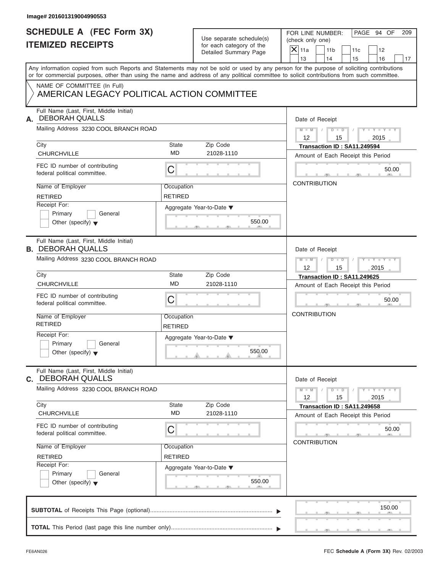| Image# 201601319004990553                                                  |                              |                                                      |                                                                                                                                                                                                                                                                                         |
|----------------------------------------------------------------------------|------------------------------|------------------------------------------------------|-----------------------------------------------------------------------------------------------------------------------------------------------------------------------------------------------------------------------------------------------------------------------------------------|
| <b>SCHEDULE A (FEC Form 3X)</b><br><b>ITEMIZED RECEIPTS</b>                |                              | Use separate schedule(s)<br>for each category of the | PAGE 94 OF<br>FOR LINE NUMBER:<br>209<br>(check only one)                                                                                                                                                                                                                               |
|                                                                            |                              | Detailed Summary Page                                | $X$ 11a<br>11 <sub>b</sub><br>11c<br>12<br>13<br>14<br>15<br>16<br>17                                                                                                                                                                                                                   |
|                                                                            |                              |                                                      | Any information copied from such Reports and Statements may not be sold or used by any person for the purpose of soliciting contributions<br>or for commercial purposes, other than using the name and address of any political committee to solicit contributions from such committee. |
| NAME OF COMMITTEE (In Full)<br>AMERICAN LEGACY POLITICAL ACTION COMMITTEE  |                              |                                                      |                                                                                                                                                                                                                                                                                         |
| Full Name (Last, First, Middle Initial)<br><b>DEBORAH QUALLS</b><br>А.     |                              |                                                      | Date of Receipt                                                                                                                                                                                                                                                                         |
| Mailing Address 3230 COOL BRANCH ROAD                                      |                              |                                                      | $D$ $D$ $I$<br>$Y - Y - Y - Y - Y$<br>$M - M$ /<br>$12 \overline{ }$<br>2015<br>15                                                                                                                                                                                                      |
| City<br>CHURCHVILLE                                                        | State<br><b>MD</b>           | Zip Code<br>21028-1110                               | Transaction ID: SA11.249594<br>Amount of Each Receipt this Period                                                                                                                                                                                                                       |
| FEC ID number of contributing<br>federal political committee.              | C                            |                                                      | 50.00                                                                                                                                                                                                                                                                                   |
| Name of Employer<br><b>RETIRED</b>                                         | Occupation<br><b>RETIRED</b> |                                                      | <b>CONTRIBUTION</b>                                                                                                                                                                                                                                                                     |
| Receipt For:<br>Primary<br>General<br>Other (specify) $\blacktriangledown$ |                              | Aggregate Year-to-Date ▼<br>550.00                   |                                                                                                                                                                                                                                                                                         |
| Full Name (Last, First, Middle Initial)<br><b>B. DEBORAH QUALLS</b>        |                              |                                                      | Date of Receipt                                                                                                                                                                                                                                                                         |
| Mailing Address 3230 COOL BRANCH ROAD                                      |                              |                                                      | $D$ $D$ $/$<br>$Y = Y = Y' - Y'$<br>$M$ $M$ $/$<br>12<br>15<br>2015                                                                                                                                                                                                                     |
| City<br>CHURCHVILLE                                                        | State<br><b>MD</b>           | Zip Code<br>21028-1110                               | Transaction ID: SA11.249625<br>Amount of Each Receipt this Period                                                                                                                                                                                                                       |
| FEC ID number of contributing<br>federal political committee.              | C                            |                                                      | 50.00                                                                                                                                                                                                                                                                                   |
| Name of Employer<br><b>RETIRED</b>                                         | Occupation<br><b>RETIRED</b> |                                                      | <b>CONTRIBUTION</b>                                                                                                                                                                                                                                                                     |
| Receipt For:<br>Primary<br>General<br>Other (specify) $\blacktriangledown$ |                              | Aggregate Year-to-Date ▼<br>550.00                   |                                                                                                                                                                                                                                                                                         |
| Full Name (Last, First, Middle Initial)<br>C. DEBORAH QUALLS               |                              |                                                      | Date of Receipt                                                                                                                                                                                                                                                                         |
| Mailing Address 3230 COOL BRANCH ROAD                                      |                              |                                                      | $Y - Y - Y - Y - Y$<br>$M - M$<br>$D$ $\Box$ $D$<br>12<br>15<br>2015                                                                                                                                                                                                                    |
| City<br><b>CHURCHVILLE</b>                                                 | State<br><b>MD</b>           | Zip Code<br>21028-1110                               | Transaction ID: SA11.249658<br>Amount of Each Receipt this Period                                                                                                                                                                                                                       |
| FEC ID number of contributing<br>federal political committee.              | С                            |                                                      | 50.00<br><b>CONTRIBUTION</b>                                                                                                                                                                                                                                                            |
| Name of Employer<br><b>RETIRED</b><br>Receipt For:                         | Occupation<br><b>RETIRED</b> |                                                      |                                                                                                                                                                                                                                                                                         |
| Primary<br>General<br>Other (specify) $\blacktriangledown$                 |                              | Aggregate Year-to-Date ▼<br>550.00                   |                                                                                                                                                                                                                                                                                         |
|                                                                            |                              |                                                      | 150.00                                                                                                                                                                                                                                                                                  |
|                                                                            |                              |                                                      |                                                                                                                                                                                                                                                                                         |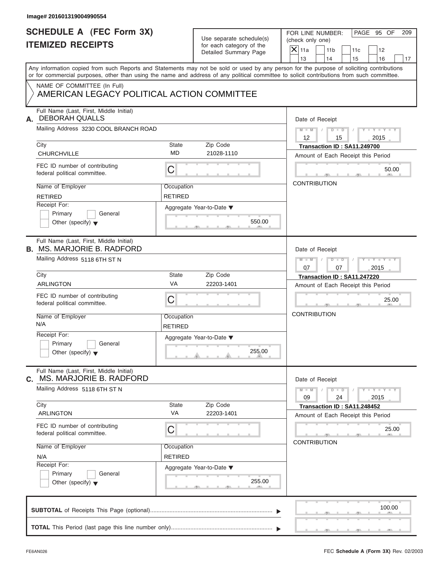| Use separate schedule(s) |
|--------------------------|
| for each category of the |
| Detailed Summary Page    |

| <b>SCHEDULE A (FEC Form 3X)</b><br><b>ITEMIZED RECEIPTS</b>                  |                              | Use separate schedule(s)<br>for each category of the | PAGE 95 OF<br>FOR LINE NUMBER:<br>209<br>(check only one)                                                                                                                                                                                                                               |
|------------------------------------------------------------------------------|------------------------------|------------------------------------------------------|-----------------------------------------------------------------------------------------------------------------------------------------------------------------------------------------------------------------------------------------------------------------------------------------|
|                                                                              |                              | Detailed Summary Page                                | $X$ 11a<br>11 <sub>b</sub><br>11c<br>12<br>13<br>14<br>15<br>16<br>17                                                                                                                                                                                                                   |
|                                                                              |                              |                                                      | Any information copied from such Reports and Statements may not be sold or used by any person for the purpose of soliciting contributions<br>or for commercial purposes, other than using the name and address of any political committee to solicit contributions from such committee. |
| NAME OF COMMITTEE (In Full)<br>AMERICAN LEGACY POLITICAL ACTION COMMITTEE    |                              |                                                      |                                                                                                                                                                                                                                                                                         |
| Full Name (Last, First, Middle Initial)<br><b>DEBORAH QUALLS</b><br>А.       |                              |                                                      | Date of Receipt                                                                                                                                                                                                                                                                         |
| Mailing Address 3230 COOL BRANCH ROAD                                        |                              |                                                      | $M - M$ / $D - D$ /<br>$Y - Y - Y - Y - Y$<br>$12 \overline{ }$<br>2015<br>15                                                                                                                                                                                                           |
| City<br>CHURCHVILLE                                                          | State<br>MD                  | Zip Code<br>21028-1110                               | Transaction ID: SA11.249700<br>Amount of Each Receipt this Period                                                                                                                                                                                                                       |
| FEC ID number of contributing<br>federal political committee.                | С                            |                                                      | 50.00                                                                                                                                                                                                                                                                                   |
| Name of Employer<br><b>RETIRED</b>                                           | Occupation<br><b>RETIRED</b> |                                                      | <b>CONTRIBUTION</b>                                                                                                                                                                                                                                                                     |
| Receipt For:<br>Primary<br>General<br>Other (specify) $\blacktriangledown$   |                              | Aggregate Year-to-Date ▼<br>550.00                   |                                                                                                                                                                                                                                                                                         |
| Full Name (Last, First, Middle Initial)<br><b>B. MS. MARJORIE B. RADFORD</b> |                              |                                                      | Date of Receipt                                                                                                                                                                                                                                                                         |
| Mailing Address 5118 6TH ST N                                                |                              |                                                      | Y TY TY TY<br>$M - M$<br>$D - D$<br>$\Box$<br>07<br>07<br>2015                                                                                                                                                                                                                          |
| City                                                                         | State                        | Zip Code                                             | Transaction ID: SA11.247220                                                                                                                                                                                                                                                             |
| <b>ARLINGTON</b>                                                             | VA                           | 22203-1401                                           | Amount of Each Receipt this Period                                                                                                                                                                                                                                                      |
| FEC ID number of contributing<br>federal political committee.                | C                            |                                                      | 25.00                                                                                                                                                                                                                                                                                   |
| Name of Employer<br>N/A                                                      | Occupation<br><b>RETIRED</b> |                                                      | <b>CONTRIBUTION</b>                                                                                                                                                                                                                                                                     |
| Receipt For:<br>Primary<br>General<br>Other (specify) $\blacktriangledown$   |                              | Aggregate Year-to-Date ▼<br>255.00                   |                                                                                                                                                                                                                                                                                         |
| Full Name (Last, First, Middle Initial)<br>MS. MARJORIE B. RADFORD<br>С.     |                              |                                                      | Date of Receipt                                                                                                                                                                                                                                                                         |
| Mailing Address 5118 6TH ST N<br>City                                        | <b>State</b>                 | Zip Code                                             | $M - M$<br>$D$ $\Box$ $D$<br>$Y - Y - Y - Y - I$<br>24<br>09<br>2015                                                                                                                                                                                                                    |
| <b>ARLINGTON</b>                                                             | VA                           | 22203-1401                                           | Transaction ID: SA11.248452<br>Amount of Each Receipt this Period                                                                                                                                                                                                                       |
| FEC ID number of contributing<br>federal political committee.                | С                            |                                                      | 25.00                                                                                                                                                                                                                                                                                   |
| Name of Employer<br>N/A                                                      | Occupation<br><b>RETIRED</b> |                                                      | <b>CONTRIBUTION</b>                                                                                                                                                                                                                                                                     |
| Receipt For:<br>Primary<br>General<br>Other (specify) $\blacktriangledown$   |                              | Aggregate Year-to-Date ▼<br>255.00                   |                                                                                                                                                                                                                                                                                         |
|                                                                              |                              |                                                      | 100.00                                                                                                                                                                                                                                                                                  |
|                                                                              |                              |                                                      |                                                                                                                                                                                                                                                                                         |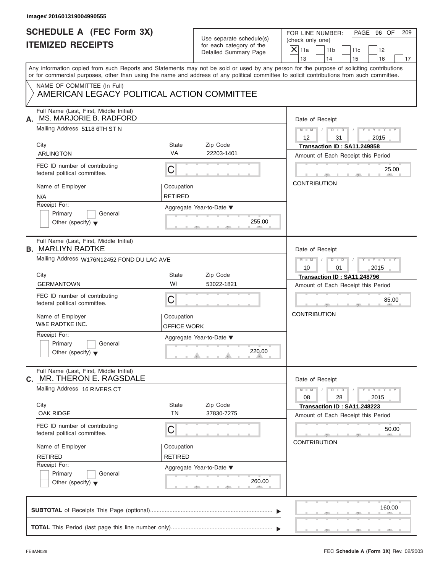| PAGE 96 OF<br>FOR LINE NUMBER:<br>209<br>(check only one)<br>11 <sub>b</sub><br>11c<br>12<br>14<br>15<br>16<br>17                                                                                                                                                                       |
|-----------------------------------------------------------------------------------------------------------------------------------------------------------------------------------------------------------------------------------------------------------------------------------------|
| Any information copied from such Reports and Statements may not be sold or used by any person for the purpose of soliciting contributions<br>or for commercial purposes, other than using the name and address of any political committee to solicit contributions from such committee. |
|                                                                                                                                                                                                                                                                                         |
| Date of Receipt                                                                                                                                                                                                                                                                         |
| $D$ $\Box$ $D$<br>$Y - Y - Y - Y - Y$<br>$M - M$ /<br>$\sqrt{ }$<br>31<br>2015                                                                                                                                                                                                          |
| Transaction ID: SA11.249858<br>Amount of Each Receipt this Period                                                                                                                                                                                                                       |
| 25.00                                                                                                                                                                                                                                                                                   |
| <b>CONTRIBUTION</b>                                                                                                                                                                                                                                                                     |
|                                                                                                                                                                                                                                                                                         |
| Date of Receipt                                                                                                                                                                                                                                                                         |
| $D - I - D$<br>$Y = Y = Y' - Y'$<br>$\sqrt{2}$<br>2015<br>01                                                                                                                                                                                                                            |
| Transaction ID: SA11.248796                                                                                                                                                                                                                                                             |
| Amount of Each Receipt this Period<br>85.00                                                                                                                                                                                                                                             |
| <b>CONTRIBUTION</b>                                                                                                                                                                                                                                                                     |
|                                                                                                                                                                                                                                                                                         |
| Date of Receipt                                                                                                                                                                                                                                                                         |
| $Y - Y - Y - Y - Y$<br>$D - D$<br>28<br>2015                                                                                                                                                                                                                                            |
| Transaction ID: SA11.248223<br>Amount of Each Receipt this Period                                                                                                                                                                                                                       |
| 50.00<br><b>CONTRIBUTION</b>                                                                                                                                                                                                                                                            |
|                                                                                                                                                                                                                                                                                         |
|                                                                                                                                                                                                                                                                                         |
|                                                                                                                                                                                                                                                                                         |
|                                                                                                                                                                                                                                                                                         |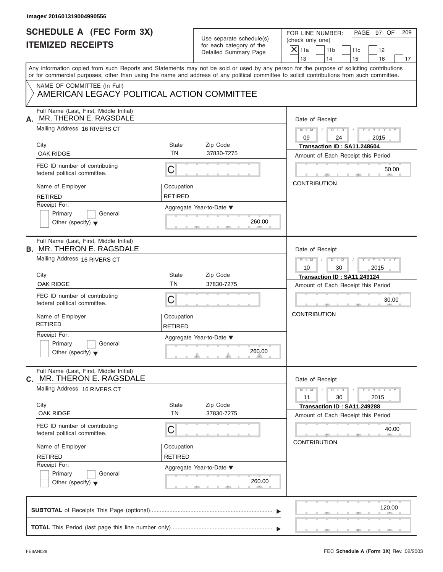| Image# 201601319004990556                                                                                                                                                                                                                                                                                                                                            |                              |                                                                               |                                                                                                                                    |
|----------------------------------------------------------------------------------------------------------------------------------------------------------------------------------------------------------------------------------------------------------------------------------------------------------------------------------------------------------------------|------------------------------|-------------------------------------------------------------------------------|------------------------------------------------------------------------------------------------------------------------------------|
| <b>SCHEDULE A (FEC Form 3X)</b><br><b>ITEMIZED RECEIPTS</b>                                                                                                                                                                                                                                                                                                          |                              | Use separate schedule(s)<br>for each category of the<br>Detailed Summary Page | PAGE 97 OF<br>FOR LINE NUMBER:<br>209<br>(check only one)<br>$X$ 11a<br>11 <sub>b</sub><br>11c<br>12<br>13<br>14<br>15<br>16<br>17 |
| Any information copied from such Reports and Statements may not be sold or used by any person for the purpose of soliciting contributions<br>or for commercial purposes, other than using the name and address of any political committee to solicit contributions from such committee.<br>NAME OF COMMITTEE (In Full)<br>AMERICAN LEGACY POLITICAL ACTION COMMITTEE |                              |                                                                               |                                                                                                                                    |
| Full Name (Last, First, Middle Initial)<br>MR. THERON E. RAGSDALE<br>А.<br>Mailing Address 16 RIVERS CT                                                                                                                                                                                                                                                              |                              |                                                                               | Date of Receipt<br>$D$ $D$<br>$Y - Y - Y - Y - Y$<br>$M - M$ /<br>$\sqrt{ }$                                                       |
| City<br><b>OAK RIDGE</b>                                                                                                                                                                                                                                                                                                                                             | State<br><b>TN</b>           | Zip Code<br>37830-7275                                                        | 09<br>24<br>2015<br>Transaction ID: SA11.248604<br>Amount of Each Receipt this Period                                              |
| FEC ID number of contributing<br>federal political committee.                                                                                                                                                                                                                                                                                                        | С                            |                                                                               | 50.00                                                                                                                              |
| Name of Employer<br><b>RETIRED</b><br>Receipt For:<br>Primary<br>General<br>Other (specify) $\blacktriangledown$                                                                                                                                                                                                                                                     | Occupation<br><b>RETIRED</b> | Aggregate Year-to-Date ▼<br>260.00                                            | <b>CONTRIBUTION</b>                                                                                                                |
| Full Name (Last, First, Middle Initial)<br><b>B. MR. THERON E. RAGSDALE</b><br>Mailing Address 16 RIVERS CT                                                                                                                                                                                                                                                          |                              |                                                                               | Date of Receipt<br>$M = M - 1$<br>$D - D$<br>$Y = Y = Y' - Y'$<br>$\sqrt{ }$<br>2015<br>10<br>30                                   |
| City<br><b>OAK RIDGE</b><br>FEC ID number of contributing<br>federal political committee.                                                                                                                                                                                                                                                                            | State<br><b>TN</b><br>С      | Zip Code<br>37830-7275                                                        | Transaction ID: SA11.249124<br>Amount of Each Receipt this Period<br>30.00                                                         |
| Name of Employer<br><b>RETIRED</b><br>Receipt For:<br>Primary<br>General<br>Other (specify) $\blacktriangledown$                                                                                                                                                                                                                                                     | Occupation<br><b>RETIRED</b> | Aggregate Year-to-Date ▼<br>260.00                                            | <b>CONTRIBUTION</b>                                                                                                                |
| Full Name (Last, First, Middle Initial)<br>MR. THERON E. RAGSDALE<br>C.<br>Mailing Address 16 RIVERS CT                                                                                                                                                                                                                                                              |                              |                                                                               | Date of Receipt<br>$Y - Y - Y - Y - Y$<br>$M - M$<br>$D - D$                                                                       |
| City<br>OAK RIDGE                                                                                                                                                                                                                                                                                                                                                    | State<br><b>TN</b>           | Zip Code<br>37830-7275                                                        | 11<br>30<br>2015<br>Transaction ID: SA11.249288<br>Amount of Each Receipt this Period                                              |
| FEC ID number of contributing<br>federal political committee.                                                                                                                                                                                                                                                                                                        | С                            |                                                                               | 40.00<br><b>CONTRIBUTION</b>                                                                                                       |
| Name of Employer<br><b>RETIRED</b><br>Receipt For:<br>Primary<br>General<br>Other (specify) $\blacktriangledown$                                                                                                                                                                                                                                                     | Occupation<br><b>RETIRED</b> | Aggregate Year-to-Date ▼<br>260.00                                            |                                                                                                                                    |
|                                                                                                                                                                                                                                                                                                                                                                      |                              |                                                                               | 120.00                                                                                                                             |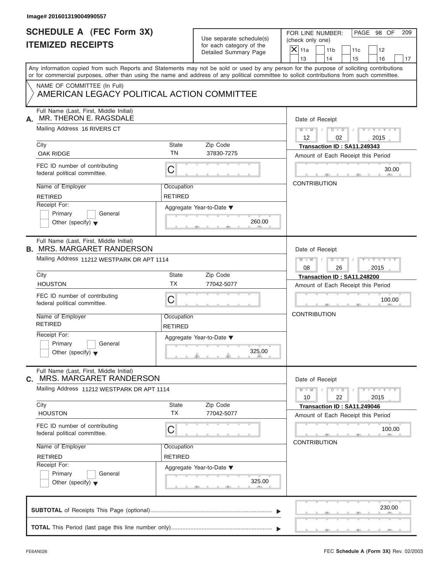| Image# 201601319004990557                                                                                                                                                                                                                                                               |                              |                                                                               |                                                                                                                                    |
|-----------------------------------------------------------------------------------------------------------------------------------------------------------------------------------------------------------------------------------------------------------------------------------------|------------------------------|-------------------------------------------------------------------------------|------------------------------------------------------------------------------------------------------------------------------------|
| <b>SCHEDULE A (FEC Form 3X)</b><br><b>ITEMIZED RECEIPTS</b>                                                                                                                                                                                                                             |                              | Use separate schedule(s)<br>for each category of the<br>Detailed Summary Page | PAGE 98 OF<br>FOR LINE NUMBER:<br>209<br>(check only one)<br>$X$ 11a<br>11 <sub>b</sub><br>11c<br>12<br>13<br>14<br>15<br>16<br>17 |
| Any information copied from such Reports and Statements may not be sold or used by any person for the purpose of soliciting contributions<br>or for commercial purposes, other than using the name and address of any political committee to solicit contributions from such committee. |                              |                                                                               |                                                                                                                                    |
| NAME OF COMMITTEE (In Full)<br>AMERICAN LEGACY POLITICAL ACTION COMMITTEE                                                                                                                                                                                                               |                              |                                                                               |                                                                                                                                    |
| Full Name (Last, First, Middle Initial)<br>MR. THERON E. RAGSDALE<br>А.                                                                                                                                                                                                                 |                              |                                                                               | Date of Receipt                                                                                                                    |
| Mailing Address 16 RIVERS CT                                                                                                                                                                                                                                                            |                              |                                                                               | $M - M$ / $D - D$ /<br>$Y - Y - Y - Y - Y$<br>$12 \overline{ }$<br>02<br>2015                                                      |
| City<br><b>OAK RIDGE</b>                                                                                                                                                                                                                                                                | State<br><b>TN</b>           | Zip Code<br>37830-7275                                                        | Transaction ID: SA11.249343<br>Amount of Each Receipt this Period                                                                  |
| FEC ID number of contributing<br>federal political committee.                                                                                                                                                                                                                           | С                            |                                                                               | 30.00                                                                                                                              |
| Name of Employer<br><b>RETIRED</b>                                                                                                                                                                                                                                                      | Occupation<br><b>RETIRED</b> |                                                                               | <b>CONTRIBUTION</b>                                                                                                                |
| Receipt For:<br>Primary<br>General<br>Other (specify) $\blacktriangledown$                                                                                                                                                                                                              |                              | Aggregate Year-to-Date ▼<br>260.00                                            |                                                                                                                                    |
| Full Name (Last, First, Middle Initial)<br><b>B. MRS. MARGARET RANDERSON</b>                                                                                                                                                                                                            |                              |                                                                               | Date of Receipt                                                                                                                    |
| Mailing Address 11212 WESTPARK DR APT 1114                                                                                                                                                                                                                                              |                              |                                                                               | $D - D$<br>$Y = Y = Y' - Y'$<br>$M - M$<br>$\Box$<br>08<br>26<br>2015                                                              |
| City<br><b>HOUSTON</b>                                                                                                                                                                                                                                                                  | State<br><b>TX</b>           | Zip Code<br>77042-5077                                                        | Transaction ID: SA11.248200                                                                                                        |
| FEC ID number of contributing<br>federal political committee.                                                                                                                                                                                                                           | C                            |                                                                               | Amount of Each Receipt this Period<br>100.00                                                                                       |
| Name of Employer<br><b>RETIRED</b>                                                                                                                                                                                                                                                      | Occupation<br><b>RETIRED</b> |                                                                               | <b>CONTRIBUTION</b>                                                                                                                |
| Receipt For:<br>Primary<br>General<br>Other (specify) $\blacktriangledown$                                                                                                                                                                                                              |                              | Aggregate Year-to-Date ▼<br>325.00                                            |                                                                                                                                    |
| Full Name (Last, First, Middle Initial)<br>C. MRS. MARGARET RANDERSON                                                                                                                                                                                                                   |                              |                                                                               | Date of Receipt                                                                                                                    |
| Mailing Address 11212 WESTPARK DR APT 1114                                                                                                                                                                                                                                              |                              |                                                                               | $Y - Y - Y - Y - Y$<br>$M - M$<br>$D$ $D$<br>10<br>22<br>2015                                                                      |
| City<br><b>HOUSTON</b>                                                                                                                                                                                                                                                                  | State<br><b>TX</b>           | Zip Code<br>77042-5077                                                        | Transaction ID: SA11.249046<br>Amount of Each Receipt this Period                                                                  |
| FEC ID number of contributing<br>federal political committee.                                                                                                                                                                                                                           | С                            |                                                                               | 100.00<br><b>CONTRIBUTION</b>                                                                                                      |
| Name of Employer                                                                                                                                                                                                                                                                        | Occupation                   |                                                                               |                                                                                                                                    |
| <b>RETIRED</b><br>Receipt For:                                                                                                                                                                                                                                                          | <b>RETIRED</b>               |                                                                               |                                                                                                                                    |
| Primary<br>General<br>Other (specify) $\blacktriangledown$                                                                                                                                                                                                                              |                              | Aggregate Year-to-Date ▼<br>325.00                                            |                                                                                                                                    |
|                                                                                                                                                                                                                                                                                         |                              |                                                                               | 230.00                                                                                                                             |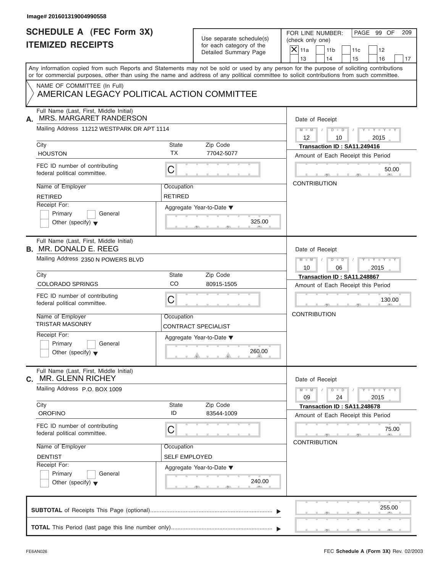| Image# 201601319004990558                                                                                                                                                                                                                                                               |                                    |                                                                               |                                                                                                                                    |
|-----------------------------------------------------------------------------------------------------------------------------------------------------------------------------------------------------------------------------------------------------------------------------------------|------------------------------------|-------------------------------------------------------------------------------|------------------------------------------------------------------------------------------------------------------------------------|
| <b>SCHEDULE A (FEC Form 3X)</b><br><b>ITEMIZED RECEIPTS</b>                                                                                                                                                                                                                             |                                    | Use separate schedule(s)<br>for each category of the<br>Detailed Summary Page | PAGE 99 OF<br>FOR LINE NUMBER:<br>209<br>(check only one)<br>$X$ 11a<br>11 <sub>b</sub><br>11c<br>12<br>13<br>14<br>15<br>16<br>17 |
| Any information copied from such Reports and Statements may not be sold or used by any person for the purpose of soliciting contributions<br>or for commercial purposes, other than using the name and address of any political committee to solicit contributions from such committee. |                                    |                                                                               |                                                                                                                                    |
| NAME OF COMMITTEE (In Full)<br>AMERICAN LEGACY POLITICAL ACTION COMMITTEE                                                                                                                                                                                                               |                                    |                                                                               |                                                                                                                                    |
| Full Name (Last, First, Middle Initial)<br>MRS. MARGARET RANDERSON<br>А.                                                                                                                                                                                                                |                                    |                                                                               | Date of Receipt                                                                                                                    |
| Mailing Address 11212 WESTPARK DR APT 1114                                                                                                                                                                                                                                              |                                    |                                                                               | $D$ $D$ $I$<br>$Y - Y - Y - Y - Y$<br>$M - M$<br>12<br>10<br>2015                                                                  |
| City<br><b>HOUSTON</b>                                                                                                                                                                                                                                                                  | State<br><b>TX</b>                 | Zip Code<br>77042-5077                                                        | Transaction ID: SA11.249416<br>Amount of Each Receipt this Period                                                                  |
| FEC ID number of contributing<br>federal political committee.                                                                                                                                                                                                                           | С                                  |                                                                               | 50.00                                                                                                                              |
| Name of Employer<br><b>RETIRED</b>                                                                                                                                                                                                                                                      | Occupation<br>RETIRED              |                                                                               | <b>CONTRIBUTION</b>                                                                                                                |
| Receipt For:<br>Primary<br>General<br>Other (specify) $\blacktriangledown$                                                                                                                                                                                                              |                                    | Aggregate Year-to-Date ▼<br>325.00                                            |                                                                                                                                    |
| Full Name (Last, First, Middle Initial)<br><b>B.</b> MR. DONALD E. REEG                                                                                                                                                                                                                 |                                    |                                                                               | Date of Receipt                                                                                                                    |
| Mailing Address 2350 N POWERS BLVD                                                                                                                                                                                                                                                      |                                    |                                                                               | Y T Y T Y T<br>$M = M - 1$<br>$D$ $\Box$ $D$ $\Box$<br>$\sqrt{ }$<br>10<br>06<br>2015                                              |
| City<br><b>COLORADO SPRINGS</b>                                                                                                                                                                                                                                                         | State<br>CO                        | Zip Code<br>80915-1505                                                        | Transaction ID: SA11.248867<br>Amount of Each Receipt this Period                                                                  |
| FEC ID number of contributing<br>federal political committee.                                                                                                                                                                                                                           | С                                  |                                                                               | 130.00                                                                                                                             |
| Name of Employer<br><b>TRISTAR MASONRY</b>                                                                                                                                                                                                                                              | Occupation                         | <b>CONTRACT SPECIALIST</b>                                                    | <b>CONTRIBUTION</b>                                                                                                                |
| Receipt For:<br>Primary<br>General<br>Other (specify) $\blacktriangledown$                                                                                                                                                                                                              |                                    | Aggregate Year-to-Date ▼<br>260.00                                            |                                                                                                                                    |
| Full Name (Last, First, Middle Initial)<br><b>C. MR. GLENN RICHEY</b>                                                                                                                                                                                                                   |                                    |                                                                               | Date of Receipt                                                                                                                    |
| Mailing Address P.O. BOX 1009                                                                                                                                                                                                                                                           |                                    |                                                                               | $Y - Y - Y - Y - Y$<br>$M - M$<br>$D$ $\Box$ $D$<br>09<br>2015<br>24                                                               |
| City<br><b>OROFINO</b>                                                                                                                                                                                                                                                                  | State<br>ID                        | Zip Code<br>83544-1009                                                        | Transaction ID: SA11.248678<br>Amount of Each Receipt this Period                                                                  |
| FEC ID number of contributing<br>federal political committee.                                                                                                                                                                                                                           | С                                  |                                                                               | 75.00                                                                                                                              |
| Name of Employer<br><b>DENTIST</b>                                                                                                                                                                                                                                                      | Occupation<br><b>SELF EMPLOYED</b> |                                                                               | <b>CONTRIBUTION</b>                                                                                                                |
| Receipt For:<br>Primary<br>General<br>Other (specify) $\blacktriangledown$                                                                                                                                                                                                              |                                    | Aggregate Year-to-Date ▼<br>240.00                                            |                                                                                                                                    |
|                                                                                                                                                                                                                                                                                         |                                    |                                                                               | 255.00                                                                                                                             |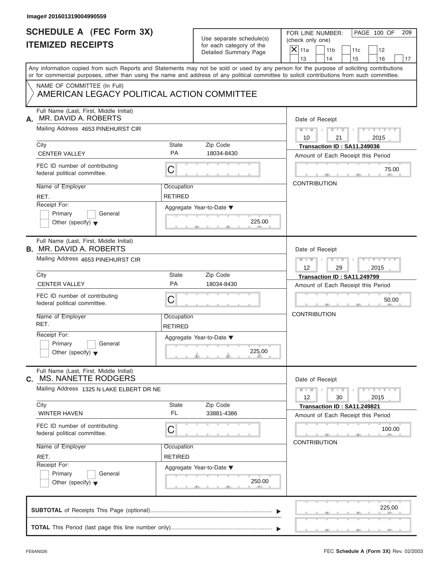| <b>SCHEDULE A (FEC Form 3X)</b><br><b>ITEMIZED RECEIPTS</b>                |                              |                                                                               |                                                                                                                                                                                                                                                                                         |
|----------------------------------------------------------------------------|------------------------------|-------------------------------------------------------------------------------|-----------------------------------------------------------------------------------------------------------------------------------------------------------------------------------------------------------------------------------------------------------------------------------------|
|                                                                            |                              | Use separate schedule(s)<br>for each category of the<br>Detailed Summary Page | PAGE 100 OF<br>FOR LINE NUMBER:<br>209<br>(check only one)<br>$X$ 11a<br>11 <sub>b</sub><br>11c<br>12<br>13<br>14<br>15<br>16<br>17                                                                                                                                                     |
|                                                                            |                              |                                                                               | Any information copied from such Reports and Statements may not be sold or used by any person for the purpose of soliciting contributions<br>or for commercial purposes, other than using the name and address of any political committee to solicit contributions from such committee. |
| NAME OF COMMITTEE (In Full)<br>AMERICAN LEGACY POLITICAL ACTION COMMITTEE  |                              |                                                                               |                                                                                                                                                                                                                                                                                         |
| Full Name (Last, First, Middle Initial)<br>MR. DAVID A. ROBERTS<br>А.      |                              |                                                                               | Date of Receipt                                                                                                                                                                                                                                                                         |
| Mailing Address 4653 PINEHURST CIR                                         |                              |                                                                               | $M = M$ / $D = D$ /<br>$Y - Y - Y - Y - Y$<br>10<br>21<br>2015                                                                                                                                                                                                                          |
| City<br><b>CENTER VALLEY</b>                                               | <b>State</b><br><b>PA</b>    | Zip Code<br>18034-8430                                                        | Transaction ID: SA11.249036<br>Amount of Each Receipt this Period                                                                                                                                                                                                                       |
| FEC ID number of contributing<br>federal political committee.              | $\mathsf C$                  |                                                                               | 75.00                                                                                                                                                                                                                                                                                   |
| Name of Employer<br>RET.                                                   | Occupation<br><b>RETIRED</b> |                                                                               | <b>CONTRIBUTION</b>                                                                                                                                                                                                                                                                     |
| Receipt For:<br>Primary<br>General<br>Other (specify) $\blacktriangledown$ |                              | Aggregate Year-to-Date ▼<br>225.00                                            |                                                                                                                                                                                                                                                                                         |
| Full Name (Last, First, Middle Initial)<br><b>B. MR. DAVID A. ROBERTS</b>  |                              |                                                                               | Date of Receipt                                                                                                                                                                                                                                                                         |
| Mailing Address 4653 PINEHURST CIR                                         |                              |                                                                               | $M = M - 1$<br>$\begin{array}{c c c c c c} \hline \multicolumn{3}{ c }{\textbf{D} \quad \textbf{I} \quad \textbf{D} \quad \textbf{I} \quad \textbf{I}} \end{array}$<br>$Y = Y = Y' = Y'$<br>$12 \overline{ }$<br>29<br>2015                                                             |
| City<br><b>CENTER VALLEY</b>                                               | <b>State</b><br>PA           | Zip Code<br>18034-8430                                                        | Transaction ID: SA11.249799<br>Amount of Each Receipt this Period                                                                                                                                                                                                                       |
| FEC ID number of contributing<br>federal political committee.              | C                            |                                                                               | 50.00                                                                                                                                                                                                                                                                                   |
| Name of Employer<br>RET.                                                   | Occupation<br><b>RETIRED</b> |                                                                               | <b>CONTRIBUTION</b>                                                                                                                                                                                                                                                                     |
| Receipt For:<br>Primary<br>General<br>Other (specify) $\blacktriangledown$ |                              | Aggregate Year-to-Date ▼<br>225.00                                            |                                                                                                                                                                                                                                                                                         |
| Full Name (Last, First, Middle Initial)<br>MS. NANETTE RODGERS<br>С.       |                              |                                                                               | Date of Receipt                                                                                                                                                                                                                                                                         |
| Mailing Address 1325 N LAKE ELBERT DR NE                                   |                              |                                                                               | $Y - Y - Y - Y - Y$<br>$M - M$<br>$D$ $\Box$ $D$<br>12<br>30<br>2015                                                                                                                                                                                                                    |
| City<br><b>WINTER HAVEN</b>                                                | State<br><b>FL</b>           | Zip Code<br>33881-4386                                                        | Transaction ID: SA11.249821<br>Amount of Each Receipt this Period                                                                                                                                                                                                                       |
| FEC ID number of contributing<br>federal political committee.              | С                            |                                                                               | 100.00                                                                                                                                                                                                                                                                                  |
| Name of Employer<br>RET.                                                   | Occupation<br><b>RETIRED</b> |                                                                               | <b>CONTRIBUTION</b>                                                                                                                                                                                                                                                                     |
| Receipt For:<br>Primary<br>General<br>Other (specify) $\blacktriangledown$ |                              | Aggregate Year-to-Date ▼<br>250.00                                            |                                                                                                                                                                                                                                                                                         |
|                                                                            |                              |                                                                               | 225.00                                                                                                                                                                                                                                                                                  |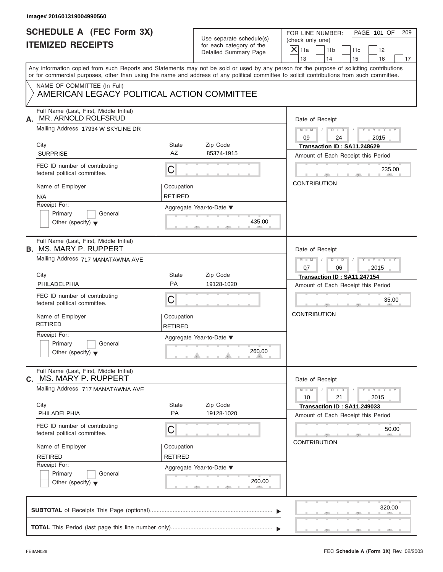| Image# 201601319004990560                                                  |                              |                                                                               |                                                                                                                                                                                                                                                                                         |
|----------------------------------------------------------------------------|------------------------------|-------------------------------------------------------------------------------|-----------------------------------------------------------------------------------------------------------------------------------------------------------------------------------------------------------------------------------------------------------------------------------------|
| <b>SCHEDULE A (FEC Form 3X)</b><br><b>ITEMIZED RECEIPTS</b>                |                              | Use separate schedule(s)<br>for each category of the<br>Detailed Summary Page | PAGE 101 OF<br>FOR LINE NUMBER:<br>209<br>(check only one)<br>$\overline{X}$ 11a<br>11 <sub>b</sub><br>11c<br>12<br>13<br>14<br>15<br>16<br>17                                                                                                                                          |
|                                                                            |                              |                                                                               | Any information copied from such Reports and Statements may not be sold or used by any person for the purpose of soliciting contributions<br>or for commercial purposes, other than using the name and address of any political committee to solicit contributions from such committee. |
| NAME OF COMMITTEE (In Full)<br>AMERICAN LEGACY POLITICAL ACTION COMMITTEE  |                              |                                                                               |                                                                                                                                                                                                                                                                                         |
| Full Name (Last, First, Middle Initial)<br>MR. ARNOLD ROLFSRUD<br>А.       |                              |                                                                               | Date of Receipt                                                                                                                                                                                                                                                                         |
| Mailing Address 17934 W SKYLINE DR                                         |                              |                                                                               | $M = M \qquad / \qquad D = D \qquad /$<br>$Y - Y - Y - Y - Y$<br>09<br>24<br>2015                                                                                                                                                                                                       |
| City<br><b>SURPRISE</b>                                                    | State<br>AZ                  | Zip Code<br>85374-1915                                                        | Transaction ID: SA11.248629<br>Amount of Each Receipt this Period                                                                                                                                                                                                                       |
| FEC ID number of contributing<br>federal political committee.              | $\mathsf C$                  |                                                                               | 235.00                                                                                                                                                                                                                                                                                  |
| Name of Employer<br>N/A                                                    | Occupation<br><b>RETIRED</b> |                                                                               | <b>CONTRIBUTION</b>                                                                                                                                                                                                                                                                     |
| Receipt For:<br>Primary<br>General<br>Other (specify) $\blacktriangledown$ |                              | Aggregate Year-to-Date ▼<br>435.00                                            |                                                                                                                                                                                                                                                                                         |
| Full Name (Last, First, Middle Initial)<br><b>B. MS. MARY P. RUPPERT</b>   |                              |                                                                               | Date of Receipt                                                                                                                                                                                                                                                                         |
| Mailing Address 717 MANATAWNA AVE                                          |                              |                                                                               | $D$ $D$ $/$<br>$Y = Y = Y' + Y' + Y$<br>$M$ $M$ $/$<br>07<br>2015<br>06                                                                                                                                                                                                                 |
| City<br><b>PHILADELPHIA</b>                                                | State<br>PA                  | Zip Code<br>19128-1020                                                        | Transaction ID: SA11.247154<br>Amount of Each Receipt this Period                                                                                                                                                                                                                       |
| FEC ID number of contributing<br>federal political committee.              | C                            |                                                                               | 35.00                                                                                                                                                                                                                                                                                   |
| Name of Employer<br><b>RETIRED</b>                                         | Occupation<br><b>RETIRED</b> |                                                                               | <b>CONTRIBUTION</b>                                                                                                                                                                                                                                                                     |
| Receipt For:<br>Primary<br>General<br>Other (specify) $\blacktriangledown$ |                              | Aggregate Year-to-Date ▼<br>260.00                                            |                                                                                                                                                                                                                                                                                         |
| Full Name (Last, First, Middle Initial)<br>MS. MARY P. RUPPERT<br>С.       |                              |                                                                               | Date of Receipt                                                                                                                                                                                                                                                                         |
| Mailing Address 717 MANATAWNA AVE                                          |                              |                                                                               | $Y - Y - Y - Y - Y$<br>$M - M$<br>$D$ $\Box$ $D$<br>21<br>10<br>2015                                                                                                                                                                                                                    |
| City<br>PHILADELPHIA                                                       | State<br>PA                  | Zip Code<br>19128-1020                                                        | Transaction ID: SA11.249033<br>Amount of Each Receipt this Period                                                                                                                                                                                                                       |
| FEC ID number of contributing<br>federal political committee.              | C                            |                                                                               | 50.00                                                                                                                                                                                                                                                                                   |
| Name of Employer<br><b>RETIRED</b>                                         | Occupation<br><b>RETIRED</b> |                                                                               | <b>CONTRIBUTION</b>                                                                                                                                                                                                                                                                     |
| Receipt For:<br>Primary<br>General<br>Other (specify) $\blacktriangledown$ |                              | Aggregate Year-to-Date ▼<br>260.00                                            |                                                                                                                                                                                                                                                                                         |
|                                                                            |                              |                                                                               | 320.00                                                                                                                                                                                                                                                                                  |
|                                                                            |                              |                                                                               |                                                                                                                                                                                                                                                                                         |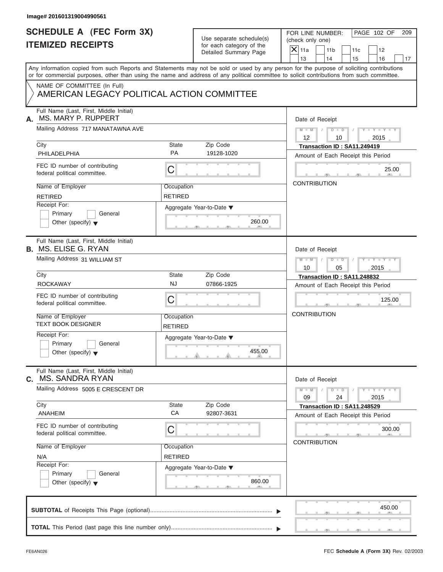| <b>SCHEDULE A (FEC Form 3X)</b>                                           |                              | Use separate schedule(s) | PAGE 102 OF<br>FOR LINE NUMBER:<br>209                                                                                                                                                                                                                                                  |  |  |
|---------------------------------------------------------------------------|------------------------------|--------------------------|-----------------------------------------------------------------------------------------------------------------------------------------------------------------------------------------------------------------------------------------------------------------------------------------|--|--|
| <b>ITEMIZED RECEIPTS</b>                                                  |                              | for each category of the | (check only one)                                                                                                                                                                                                                                                                        |  |  |
|                                                                           |                              | Detailed Summary Page    | $X$ 11a<br>11 <sub>b</sub><br>11c<br>12                                                                                                                                                                                                                                                 |  |  |
|                                                                           |                              |                          | 13<br>14<br>15<br>16<br>17                                                                                                                                                                                                                                                              |  |  |
|                                                                           |                              |                          | Any information copied from such Reports and Statements may not be sold or used by any person for the purpose of soliciting contributions<br>or for commercial purposes, other than using the name and address of any political committee to solicit contributions from such committee. |  |  |
| NAME OF COMMITTEE (In Full)<br>AMERICAN LEGACY POLITICAL ACTION COMMITTEE |                              |                          |                                                                                                                                                                                                                                                                                         |  |  |
| Full Name (Last, First, Middle Initial)<br>MS. MARY P. RUPPERT<br>А.      |                              |                          | Date of Receipt                                                                                                                                                                                                                                                                         |  |  |
| Mailing Address 717 MANATAWNA AVE                                         |                              |                          | $D$ $\Box$ $D$ $/$<br>$Y - Y - Y - Y - Y$<br>$M - M$ /<br>$12 \overline{ }$<br>2015<br>10                                                                                                                                                                                               |  |  |
| City                                                                      | <b>State</b>                 | Zip Code                 | Transaction ID: SA11.249419                                                                                                                                                                                                                                                             |  |  |
| PHILADELPHIA                                                              | <b>PA</b>                    | 19128-1020               | Amount of Each Receipt this Period                                                                                                                                                                                                                                                      |  |  |
| FEC ID number of contributing<br>federal political committee.             | C                            |                          | 25.00                                                                                                                                                                                                                                                                                   |  |  |
| Name of Employer                                                          | Occupation                   |                          | <b>CONTRIBUTION</b>                                                                                                                                                                                                                                                                     |  |  |
| <b>RETIRED</b>                                                            | <b>RETIRED</b>               |                          |                                                                                                                                                                                                                                                                                         |  |  |
| Receipt For:                                                              |                              | Aggregate Year-to-Date ▼ |                                                                                                                                                                                                                                                                                         |  |  |
| Primary<br>General                                                        |                              |                          |                                                                                                                                                                                                                                                                                         |  |  |
| Other (specify) $\blacktriangledown$                                      |                              | 260.00                   |                                                                                                                                                                                                                                                                                         |  |  |
| Full Name (Last, First, Middle Initial)<br><b>B.</b> MS. ELISE G. RYAN    |                              |                          | Date of Receipt                                                                                                                                                                                                                                                                         |  |  |
| Mailing Address 31 WILLIAM ST                                             |                              |                          | $D - I - D$<br>$Y = Y = Y' - Y'$<br>$M$ $M$<br>$\sqrt{ }$                                                                                                                                                                                                                               |  |  |
|                                                                           |                              |                          | 10<br>05<br>2015                                                                                                                                                                                                                                                                        |  |  |
| City                                                                      | <b>State</b>                 | Zip Code                 | Transaction ID: SA11.248832                                                                                                                                                                                                                                                             |  |  |
| <b>ROCKAWAY</b>                                                           | <b>NJ</b>                    | 07866-1925               | Amount of Each Receipt this Period                                                                                                                                                                                                                                                      |  |  |
| FEC ID number of contributing<br>federal political committee.             | C                            |                          | 125.00                                                                                                                                                                                                                                                                                  |  |  |
| Name of Employer<br><b>TEXT BOOK DESIGNER</b>                             | Occupation<br><b>RETIRED</b> |                          | <b>CONTRIBUTION</b>                                                                                                                                                                                                                                                                     |  |  |
| Receipt For:                                                              |                              | Aggregate Year-to-Date ▼ |                                                                                                                                                                                                                                                                                         |  |  |
| Primary<br>General<br>Other (specify) $\blacktriangledown$                |                              | 455.00                   |                                                                                                                                                                                                                                                                                         |  |  |
| Full Name (Last, First, Middle Initial)<br><b>MS. SANDRA RYAN</b><br>С.   |                              |                          | Date of Receipt                                                                                                                                                                                                                                                                         |  |  |
| Mailing Address 5005 E CRESCENT DR                                        |                              |                          | $Y - Y - Y - Y - Y$<br>$M - M$<br>$D$ $\Box$ $D$<br>09<br>24<br>2015                                                                                                                                                                                                                    |  |  |
| City                                                                      | State                        | Zip Code                 | Transaction ID: SA11.248529                                                                                                                                                                                                                                                             |  |  |
| ANAHEIM                                                                   | CA                           | 92807-3631               | Amount of Each Receipt this Period                                                                                                                                                                                                                                                      |  |  |
| FEC ID number of contributing<br>federal political committee.             | С                            |                          | 300.00                                                                                                                                                                                                                                                                                  |  |  |
| Name of Employer                                                          | Occupation                   |                          | <b>CONTRIBUTION</b>                                                                                                                                                                                                                                                                     |  |  |
| N/A                                                                       | <b>RETIRED</b>               |                          |                                                                                                                                                                                                                                                                                         |  |  |
| Receipt For:                                                              |                              | Aggregate Year-to-Date ▼ |                                                                                                                                                                                                                                                                                         |  |  |
| Primary<br>General<br>Other (specify) $\blacktriangledown$                |                              | 860.00                   |                                                                                                                                                                                                                                                                                         |  |  |
|                                                                           |                              |                          | 450.00                                                                                                                                                                                                                                                                                  |  |  |
|                                                                           |                              |                          |                                                                                                                                                                                                                                                                                         |  |  |
|                                                                           |                              |                          |                                                                                                                                                                                                                                                                                         |  |  |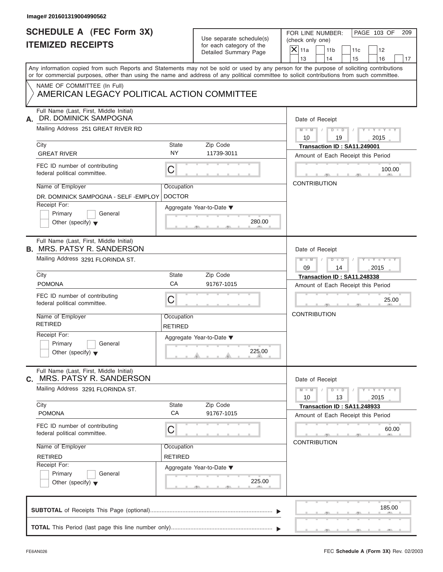| Image# 201601319004990562                                                    |                              |                                                      |                                                                                                                                                                                                                                                                                         |
|------------------------------------------------------------------------------|------------------------------|------------------------------------------------------|-----------------------------------------------------------------------------------------------------------------------------------------------------------------------------------------------------------------------------------------------------------------------------------------|
| <b>SCHEDULE A (FEC Form 3X)</b><br><b>ITEMIZED RECEIPTS</b>                  |                              | Use separate schedule(s)<br>for each category of the | PAGE 103 OF<br>FOR LINE NUMBER:<br>209<br>(check only one)                                                                                                                                                                                                                              |
|                                                                              |                              | Detailed Summary Page                                | $X$ 11a<br>11 <sub>b</sub><br>11c<br>12<br>13<br>14<br>15<br>16<br>17                                                                                                                                                                                                                   |
|                                                                              |                              |                                                      | Any information copied from such Reports and Statements may not be sold or used by any person for the purpose of soliciting contributions<br>or for commercial purposes, other than using the name and address of any political committee to solicit contributions from such committee. |
| NAME OF COMMITTEE (In Full)<br>AMERICAN LEGACY POLITICAL ACTION COMMITTEE    |                              |                                                      |                                                                                                                                                                                                                                                                                         |
| Full Name (Last, First, Middle Initial)<br>DR. DOMINICK SAMPOGNA<br>А.       |                              |                                                      | Date of Receipt                                                                                                                                                                                                                                                                         |
| Mailing Address 251 GREAT RIVER RD                                           |                              |                                                      | $D$ $D$ $I$<br>$Y - Y - Y - Y - Y$<br>$M - M$ /<br>10<br>2015<br>19                                                                                                                                                                                                                     |
| City<br><b>GREAT RIVER</b>                                                   | State<br><b>NY</b>           | Zip Code<br>11739-3011                               | Transaction ID: SA11.249001<br>Amount of Each Receipt this Period                                                                                                                                                                                                                       |
| FEC ID number of contributing<br>federal political committee.                | С                            |                                                      | 100.00                                                                                                                                                                                                                                                                                  |
| Name of Employer<br>DR. DOMINICK SAMPOGNA - SELF - EMPLOY                    | Occupation<br><b>DOCTOR</b>  |                                                      | <b>CONTRIBUTION</b>                                                                                                                                                                                                                                                                     |
| Receipt For:<br>Primary<br>General<br>Other (specify) $\bullet$              |                              | Aggregate Year-to-Date ▼<br>280.00                   |                                                                                                                                                                                                                                                                                         |
| Full Name (Last, First, Middle Initial)<br><b>B. MRS. PATSY R. SANDERSON</b> |                              |                                                      | Date of Receipt                                                                                                                                                                                                                                                                         |
| Mailing Address 3291 FLORINDA ST.                                            |                              |                                                      | $M - M$<br>$D - I - D$<br>$Y = Y = Y' - Y'$<br>$\sqrt{2}$<br>09<br>14<br>2015                                                                                                                                                                                                           |
| City                                                                         | State                        | Zip Code                                             | Transaction ID: SA11.248338                                                                                                                                                                                                                                                             |
| <b>POMONA</b>                                                                | CA                           | 91767-1015                                           | Amount of Each Receipt this Period                                                                                                                                                                                                                                                      |
| FEC ID number of contributing<br>federal political committee.                | С                            |                                                      | 25.00                                                                                                                                                                                                                                                                                   |
| Name of Employer<br><b>RETIRED</b>                                           | Occupation<br>RETIRED        |                                                      | <b>CONTRIBUTION</b>                                                                                                                                                                                                                                                                     |
| Receipt For:<br>Primary<br>General<br>Other (specify) $\blacktriangledown$   |                              | Aggregate Year-to-Date ▼<br>225.00                   |                                                                                                                                                                                                                                                                                         |
| Full Name (Last, First, Middle Initial)<br>MRS. PATSY R. SANDERSON<br>C.     |                              |                                                      | Date of Receipt                                                                                                                                                                                                                                                                         |
| Mailing Address 3291 FLORINDA ST.                                            |                              |                                                      | $Y - Y - Y - Y - I$<br>$M - M$<br>$D$ $\Box$ $D$<br>10<br>13<br>2015                                                                                                                                                                                                                    |
| City<br><b>POMONA</b>                                                        | <b>State</b><br>CA           | Zip Code<br>91767-1015                               | Transaction ID: SA11.248933<br>Amount of Each Receipt this Period                                                                                                                                                                                                                       |
| FEC ID number of contributing<br>federal political committee.                | С                            |                                                      | 60.00<br><b>CONTRIBUTION</b>                                                                                                                                                                                                                                                            |
| Name of Employer<br><b>RETIRED</b>                                           | Occupation<br><b>RETIRED</b> |                                                      |                                                                                                                                                                                                                                                                                         |
| Receipt For:<br>Primary<br>General<br>Other (specify) $\blacktriangledown$   |                              | Aggregate Year-to-Date ▼<br>225.00                   |                                                                                                                                                                                                                                                                                         |
|                                                                              |                              |                                                      | 185.00                                                                                                                                                                                                                                                                                  |
|                                                                              |                              |                                                      |                                                                                                                                                                                                                                                                                         |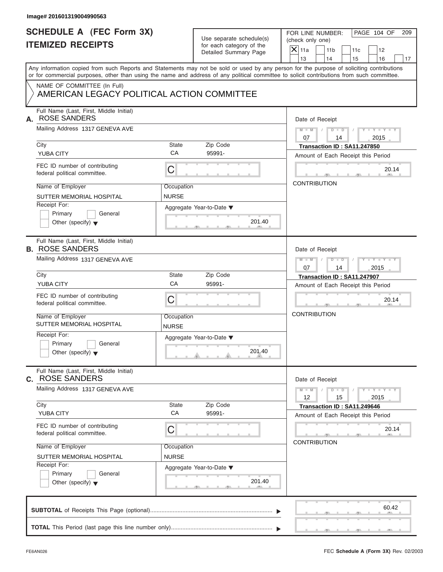| Use separate schedule(s) |
|--------------------------|
| for each category of the |
| Detailed Summary Page    |

| <b>SCHEDULE A (FEC Form 3X)</b>                                      |              |                                                      | PAGE 104 OF<br>FOR LINE NUMBER:<br>209                                                                                                                                                                                                                                                  |  |  |
|----------------------------------------------------------------------|--------------|------------------------------------------------------|-----------------------------------------------------------------------------------------------------------------------------------------------------------------------------------------------------------------------------------------------------------------------------------------|--|--|
| <b>ITEMIZED RECEIPTS</b>                                             |              | Use separate schedule(s)<br>for each category of the | (check only one)                                                                                                                                                                                                                                                                        |  |  |
|                                                                      |              | Detailed Summary Page                                | $X$ 11a<br>11 <sub>b</sub><br>11c<br>12                                                                                                                                                                                                                                                 |  |  |
|                                                                      |              |                                                      | 13<br>14<br>15<br>16                                                                                                                                                                                                                                                                    |  |  |
|                                                                      |              |                                                      | Any information copied from such Reports and Statements may not be sold or used by any person for the purpose of soliciting contributions<br>or for commercial purposes, other than using the name and address of any political committee to solicit contributions from such committee. |  |  |
| NAME OF COMMITTEE (In Full)                                          |              |                                                      |                                                                                                                                                                                                                                                                                         |  |  |
| AMERICAN LEGACY POLITICAL ACTION COMMITTEE                           |              |                                                      |                                                                                                                                                                                                                                                                                         |  |  |
| Full Name (Last, First, Middle Initial)<br><b>ROSE SANDERS</b><br>А. |              |                                                      | Date of Receipt                                                                                                                                                                                                                                                                         |  |  |
| Mailing Address 1317 GENEVA AVE                                      |              |                                                      | $M = M - 1$<br>$D$ $D$ $1$<br>$Y - Y - Y - Y - Y$<br>07<br>14<br>2015                                                                                                                                                                                                                   |  |  |
| City                                                                 | State        | Zip Code                                             | Transaction ID: SA11.247850                                                                                                                                                                                                                                                             |  |  |
| <b>YUBA CITY</b>                                                     | CA           | 95991-                                               | Amount of Each Receipt this Period                                                                                                                                                                                                                                                      |  |  |
| FEC ID number of contributing<br>federal political committee.        | $\mathsf C$  |                                                      | 20.14                                                                                                                                                                                                                                                                                   |  |  |
| Name of Employer                                                     | Occupation   |                                                      | <b>CONTRIBUTION</b>                                                                                                                                                                                                                                                                     |  |  |
| SUTTER MEMORIAL HOSPITAL                                             | <b>NURSE</b> |                                                      |                                                                                                                                                                                                                                                                                         |  |  |
| Receipt For:                                                         |              | Aggregate Year-to-Date ▼                             |                                                                                                                                                                                                                                                                                         |  |  |
| Primary<br>General                                                   |              |                                                      |                                                                                                                                                                                                                                                                                         |  |  |
| Other (specify) $\blacktriangledown$                                 |              | 201.40                                               |                                                                                                                                                                                                                                                                                         |  |  |
| Full Name (Last, First, Middle Initial)<br><b>B. ROSE SANDERS</b>    |              |                                                      | Date of Receipt                                                                                                                                                                                                                                                                         |  |  |
| Mailing Address 1317 GENEVA AVE                                      |              |                                                      | Y TY TY TY<br>$M - M$<br>$1 / 1$ $D - 1$ $D - 1$                                                                                                                                                                                                                                        |  |  |
|                                                                      |              |                                                      | 07<br>14<br>2015                                                                                                                                                                                                                                                                        |  |  |
| City                                                                 | State        | Zip Code                                             | Transaction ID: SA11.247907                                                                                                                                                                                                                                                             |  |  |
| <b>YUBA CITY</b>                                                     | CA           | 95991-                                               | Amount of Each Receipt this Period                                                                                                                                                                                                                                                      |  |  |
| FEC ID number of contributing<br>federal political committee.        | $\mathsf C$  |                                                      | 20.14                                                                                                                                                                                                                                                                                   |  |  |
| Name of Employer<br>SUTTER MEMORIAL HOSPITAL                         | Occupation   |                                                      | <b>CONTRIBUTION</b>                                                                                                                                                                                                                                                                     |  |  |
| Receipt For:                                                         | <b>NURSE</b> |                                                      |                                                                                                                                                                                                                                                                                         |  |  |
| Primary<br>General                                                   |              | Aggregate Year-to-Date ▼                             |                                                                                                                                                                                                                                                                                         |  |  |
| Other (specify) $\blacktriangledown$                                 |              | 201.40                                               |                                                                                                                                                                                                                                                                                         |  |  |
| Full Name (Last, First, Middle Initial)<br><b>C. ROSE SANDERS</b>    |              |                                                      | Date of Receipt                                                                                                                                                                                                                                                                         |  |  |
| Mailing Address 1317 GENEVA AVE                                      |              |                                                      | $M - M$<br>$Y - Y - Y - Y - Y$<br>$D$ $\Box$ $D$<br>12<br>15<br>2015                                                                                                                                                                                                                    |  |  |
| City                                                                 | State        | Zip Code                                             | Transaction ID: SA11.249646                                                                                                                                                                                                                                                             |  |  |
| <b>YUBA CITY</b>                                                     | CA           | 95991-                                               | Amount of Each Receipt this Period                                                                                                                                                                                                                                                      |  |  |
| FEC ID number of contributing<br>federal political committee.        | C            |                                                      | 20.14                                                                                                                                                                                                                                                                                   |  |  |
| Name of Employer                                                     | Occupation   |                                                      | <b>CONTRIBUTION</b>                                                                                                                                                                                                                                                                     |  |  |
| SUTTER MEMORIAL HOSPITAL                                             | <b>NURSE</b> |                                                      |                                                                                                                                                                                                                                                                                         |  |  |
| Receipt For:                                                         |              | Aggregate Year-to-Date ▼                             |                                                                                                                                                                                                                                                                                         |  |  |
| Primary<br>General<br>Other (specify) $\blacktriangledown$           |              | 201.40                                               |                                                                                                                                                                                                                                                                                         |  |  |
|                                                                      |              |                                                      | 60.42                                                                                                                                                                                                                                                                                   |  |  |
|                                                                      |              |                                                      |                                                                                                                                                                                                                                                                                         |  |  |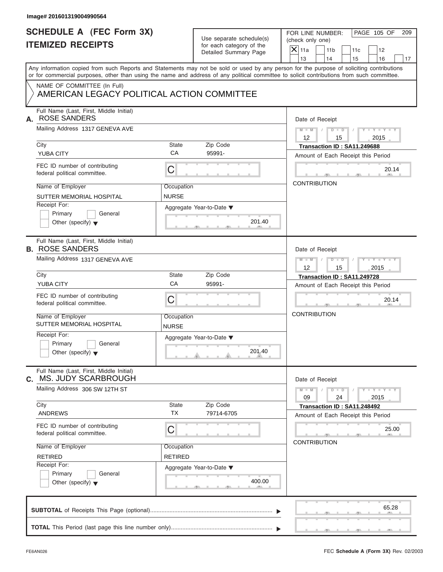| <b>SCHEDULE A (FEC Form 3X)</b><br><b>ITEMIZED RECEIPTS</b>                |                              | Use separate schedule(s)                          | PAGE 105 OF<br>FOR LINE NUMBER:<br>209<br>(check only one)                                                                                                                                                                                                                              |  |  |
|----------------------------------------------------------------------------|------------------------------|---------------------------------------------------|-----------------------------------------------------------------------------------------------------------------------------------------------------------------------------------------------------------------------------------------------------------------------------------------|--|--|
|                                                                            |                              | for each category of the<br>Detailed Summary Page | $\overline{X}$ 11a<br>11 <sub>b</sub><br>11c<br>12                                                                                                                                                                                                                                      |  |  |
|                                                                            |                              |                                                   | 13<br>14<br>15<br>16<br>17                                                                                                                                                                                                                                                              |  |  |
|                                                                            |                              |                                                   | Any information copied from such Reports and Statements may not be sold or used by any person for the purpose of soliciting contributions<br>or for commercial purposes, other than using the name and address of any political committee to solicit contributions from such committee. |  |  |
| NAME OF COMMITTEE (In Full)<br>AMERICAN LEGACY POLITICAL ACTION COMMITTEE  |                              |                                                   |                                                                                                                                                                                                                                                                                         |  |  |
| Full Name (Last, First, Middle Initial)<br><b>ROSE SANDERS</b><br>А.       |                              |                                                   | Date of Receipt                                                                                                                                                                                                                                                                         |  |  |
| Mailing Address 1317 GENEVA AVE                                            |                              |                                                   | $M = M \qquad / \qquad D = D \qquad /$<br>$Y - Y - Y - Y - Y$<br>12<br>15<br>2015                                                                                                                                                                                                       |  |  |
| City<br><b>YUBA CITY</b>                                                   | <b>State</b><br>CA           | Zip Code<br>95991-                                | Transaction ID: SA11.249688<br>Amount of Each Receipt this Period                                                                                                                                                                                                                       |  |  |
| FEC ID number of contributing<br>federal political committee.              | $\mathsf C$                  |                                                   | 20.14                                                                                                                                                                                                                                                                                   |  |  |
| Name of Employer<br>SUTTER MEMORIAL HOSPITAL                               | Occupation<br><b>NURSE</b>   |                                                   | <b>CONTRIBUTION</b>                                                                                                                                                                                                                                                                     |  |  |
| Receipt For:<br>Primary<br>General<br>Other (specify) $\blacktriangledown$ |                              | Aggregate Year-to-Date ▼<br>201.40                |                                                                                                                                                                                                                                                                                         |  |  |
| Full Name (Last, First, Middle Initial)<br><b>B. ROSE SANDERS</b>          |                              |                                                   | Date of Receipt                                                                                                                                                                                                                                                                         |  |  |
| Mailing Address 1317 GENEVA AVE                                            |                              |                                                   | $M = M - 1$<br>$\begin{array}{c c c c c c} \hline \multicolumn{3}{ c }{\textbf{D} \textbf{I} \textbf{I}} & \multicolumn{3}{ c }{\textbf{D} \textbf{I}} & \multicolumn{3}{ c }{\textbf{J}} \end{array}$<br>$Y = Y = Y' + Y' + Y$<br>$12 \overline{ }$<br>2015<br>15                      |  |  |
| City                                                                       | <b>State</b>                 | Zip Code                                          | Transaction ID: SA11.249728                                                                                                                                                                                                                                                             |  |  |
| <b>YUBA CITY</b>                                                           | CA                           | 95991-                                            | Amount of Each Receipt this Period                                                                                                                                                                                                                                                      |  |  |
| FEC ID number of contributing<br>federal political committee.              | C                            |                                                   | 20.14                                                                                                                                                                                                                                                                                   |  |  |
| Name of Employer<br>SUTTER MEMORIAL HOSPITAL                               | Occupation<br><b>NURSE</b>   |                                                   | <b>CONTRIBUTION</b>                                                                                                                                                                                                                                                                     |  |  |
| Receipt For:<br>Primary<br>General<br>Other (specify) $\blacktriangledown$ |                              | Aggregate Year-to-Date ▼<br>201.40                |                                                                                                                                                                                                                                                                                         |  |  |
| Full Name (Last, First, Middle Initial)<br>MS. JUDY SCARBROUGH<br>C.       |                              |                                                   | Date of Receipt                                                                                                                                                                                                                                                                         |  |  |
| Mailing Address 306 SW 12TH ST                                             |                              |                                                   | $Y - Y - Y - Y - Y$<br>$M - M$<br>$D$ $\Box$ $D$<br>09<br>24<br>2015                                                                                                                                                                                                                    |  |  |
| City<br><b>ANDREWS</b>                                                     | State<br><b>TX</b>           | Zip Code<br>79714-6705                            | Transaction ID: SA11.248492<br>Amount of Each Receipt this Period                                                                                                                                                                                                                       |  |  |
| FEC ID number of contributing<br>federal political committee.              | C                            |                                                   | 25.00<br><b>CONTRIBUTION</b>                                                                                                                                                                                                                                                            |  |  |
| Name of Employer<br><b>RETIRED</b>                                         | Occupation<br><b>RETIRED</b> |                                                   |                                                                                                                                                                                                                                                                                         |  |  |
| Receipt For:<br>Primary<br>General<br>Other (specify) $\blacktriangledown$ |                              | Aggregate Year-to-Date ▼<br>400.00                |                                                                                                                                                                                                                                                                                         |  |  |
|                                                                            |                              |                                                   |                                                                                                                                                                                                                                                                                         |  |  |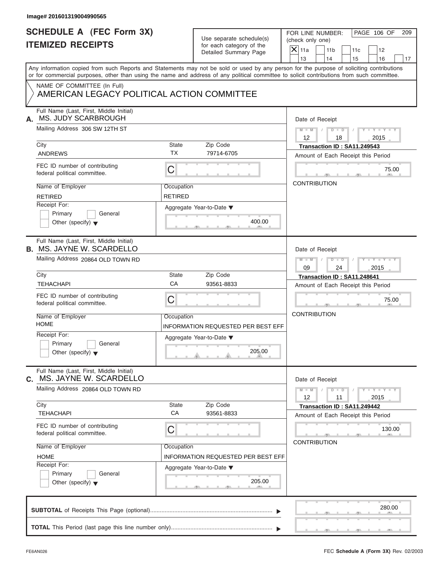| Image# 201601319004990565                                                                                                                                                                                                                                                               |                              |                                                      |                   |                                                                   |                      |           |                             |    |
|-----------------------------------------------------------------------------------------------------------------------------------------------------------------------------------------------------------------------------------------------------------------------------------------|------------------------------|------------------------------------------------------|-------------------|-------------------------------------------------------------------|----------------------|-----------|-----------------------------|----|
| <b>SCHEDULE A (FEC Form 3X)</b><br><b>ITEMIZED RECEIPTS</b>                                                                                                                                                                                                                             |                              | Use separate schedule(s)<br>for each category of the |                   | PAGE 106 OF<br>FOR LINE NUMBER:<br>209<br>(check only one)        |                      |           |                             |    |
|                                                                                                                                                                                                                                                                                         |                              | Detailed Summary Page                                | $X$ 11a<br>13     | 11 <sub>b</sub><br>14                                             |                      | 11c<br>15 | 12<br>16                    |    |
| Any information copied from such Reports and Statements may not be sold or used by any person for the purpose of soliciting contributions<br>or for commercial purposes, other than using the name and address of any political committee to solicit contributions from such committee. |                              |                                                      |                   |                                                                   |                      |           |                             | 17 |
| NAME OF COMMITTEE (In Full)<br>AMERICAN LEGACY POLITICAL ACTION COMMITTEE                                                                                                                                                                                                               |                              |                                                      |                   |                                                                   |                      |           |                             |    |
| Full Name (Last, First, Middle Initial)<br>MS. JUDY SCARBROUGH<br>А.                                                                                                                                                                                                                    |                              |                                                      |                   | Date of Receipt                                                   |                      |           |                             |    |
| Mailing Address 306 SW 12TH ST                                                                                                                                                                                                                                                          |                              |                                                      | $12 \overline{ }$ | $M - M$ /                                                         | $D$ $D$ $/$<br>18    |           | $Y - Y - Y - Y - Y$<br>2015 |    |
| City<br><b>ANDREWS</b>                                                                                                                                                                                                                                                                  | State<br><b>TX</b>           | Zip Code<br>79714-6705                               |                   | Transaction ID: SA11.249543<br>Amount of Each Receipt this Period |                      |           |                             |    |
| FEC ID number of contributing<br>federal political committee.                                                                                                                                                                                                                           | C                            |                                                      |                   |                                                                   |                      |           | 75.00                       |    |
| Name of Employer<br><b>RETIRED</b>                                                                                                                                                                                                                                                      | Occupation<br><b>RETIRED</b> |                                                      |                   | <b>CONTRIBUTION</b>                                               |                      |           |                             |    |
| Receipt For:<br>Primary<br>General<br>Other (specify) $\blacktriangledown$                                                                                                                                                                                                              |                              | Aggregate Year-to-Date ▼<br>400.00                   |                   |                                                                   |                      |           |                             |    |
| Full Name (Last, First, Middle Initial)<br><b>B. MS. JAYNE W. SCARDELLO</b>                                                                                                                                                                                                             |                              |                                                      |                   | Date of Receipt                                                   |                      |           |                             |    |
| Mailing Address 20864 OLD TOWN RD                                                                                                                                                                                                                                                       |                              |                                                      | $M$ $M$<br>09     |                                                                   | $D - D$<br>24        |           | $Y - Y - Y - Y - Y$<br>2015 |    |
| City                                                                                                                                                                                                                                                                                    | State                        | Zip Code                                             |                   | Transaction ID: SA11.248641                                       |                      |           |                             |    |
| <b>TEHACHAPI</b>                                                                                                                                                                                                                                                                        | CA                           | 93561-8833                                           |                   | Amount of Each Receipt this Period                                |                      |           |                             |    |
| FEC ID number of contributing<br>federal political committee.                                                                                                                                                                                                                           | C                            |                                                      |                   |                                                                   |                      |           | 75.00                       |    |
| Name of Employer<br><b>HOME</b>                                                                                                                                                                                                                                                         | Occupation                   | INFORMATION REQUESTED PER BEST EFF                   |                   | <b>CONTRIBUTION</b>                                               |                      |           |                             |    |
| Receipt For:<br>Primary<br>General<br>Other (specify) $\blacktriangledown$                                                                                                                                                                                                              |                              | Aggregate Year-to-Date ▼<br>205.00                   |                   |                                                                   |                      |           |                             |    |
| Full Name (Last, First, Middle Initial)<br>MS. JAYNE W. SCARDELLO<br>C.                                                                                                                                                                                                                 |                              |                                                      |                   | Date of Receipt                                                   |                      |           |                             |    |
| Mailing Address 20864 OLD TOWN RD                                                                                                                                                                                                                                                       |                              |                                                      | $M - M$<br>12     |                                                                   | $D$ $\Box$ $D$<br>11 |           | $Y - Y - Y - Y - Y$<br>2015 |    |
| City<br><b>TEHACHAPI</b>                                                                                                                                                                                                                                                                | State<br>CA                  | Zip Code<br>93561-8833                               |                   | Transaction ID: SA11.249442<br>Amount of Each Receipt this Period |                      |           |                             |    |
| FEC ID number of contributing<br>federal political committee.                                                                                                                                                                                                                           | С                            |                                                      |                   | <b>CONTRIBUTION</b>                                               |                      |           | 130.00                      |    |
| Name of Employer<br><b>HOME</b>                                                                                                                                                                                                                                                         | Occupation                   | <b>INFORMATION REQUESTED PER BEST EFF</b>            |                   |                                                                   |                      |           |                             |    |
| Receipt For:<br>Primary<br>General<br>Other (specify) $\blacktriangledown$                                                                                                                                                                                                              |                              | Aggregate Year-to-Date ▼<br>205.00                   |                   |                                                                   |                      |           |                             |    |
|                                                                                                                                                                                                                                                                                         |                              |                                                      |                   |                                                                   |                      |           | 280.00                      |    |
|                                                                                                                                                                                                                                                                                         |                              |                                                      |                   |                                                                   |                      |           |                             |    |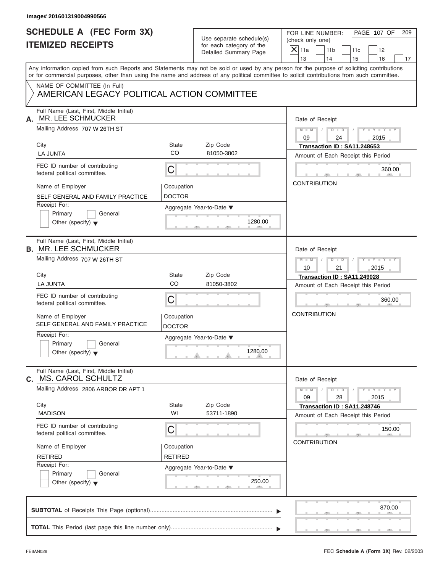| <b>SCHEDULE A (FEC Form 3X)</b>                                                                                                            |                          | Use separate schedule(s) | PAGE 107 OF<br>FOR LINE NUMBER:<br>209<br>(check only one)            |  |  |  |  |  |
|--------------------------------------------------------------------------------------------------------------------------------------------|--------------------------|--------------------------|-----------------------------------------------------------------------|--|--|--|--|--|
| <b>ITEMIZED RECEIPTS</b>                                                                                                                   |                          | for each category of the | $X$ 11a<br>11 <sub>b</sub><br>11c<br>12                               |  |  |  |  |  |
|                                                                                                                                            |                          | Detailed Summary Page    | 13<br>14<br>15<br>16                                                  |  |  |  |  |  |
| Any information copied from such Reports and Statements may not be sold or used by any person for the purpose of soliciting contributions  |                          |                          |                                                                       |  |  |  |  |  |
| or for commercial purposes, other than using the name and address of any political committee to solicit contributions from such committee. |                          |                          |                                                                       |  |  |  |  |  |
| NAME OF COMMITTEE (In Full)                                                                                                                |                          |                          |                                                                       |  |  |  |  |  |
| AMERICAN LEGACY POLITICAL ACTION COMMITTEE                                                                                                 |                          |                          |                                                                       |  |  |  |  |  |
| Full Name (Last, First, Middle Initial)<br>MR. LEE SCHMUCKER<br>А.                                                                         |                          |                          | Date of Receipt                                                       |  |  |  |  |  |
| Mailing Address 707 W 26TH ST                                                                                                              |                          |                          | $D$ $D$ $I$<br>$Y - Y - Y - Y - Y$<br>$M$ $M$ $I$<br>09<br>24<br>2015 |  |  |  |  |  |
| City                                                                                                                                       | State                    | Zip Code                 | Transaction ID: SA11.248653                                           |  |  |  |  |  |
| <b>LA JUNTA</b>                                                                                                                            | <b>CO</b>                | 81050-3802               | Amount of Each Receipt this Period                                    |  |  |  |  |  |
| FEC ID number of contributing<br>federal political committee.                                                                              | C                        |                          | 360.00                                                                |  |  |  |  |  |
| Name of Employer                                                                                                                           | Occupation               |                          | <b>CONTRIBUTION</b>                                                   |  |  |  |  |  |
| SELF GENERAL AND FAMILY PRACTICE                                                                                                           | <b>DOCTOR</b>            |                          |                                                                       |  |  |  |  |  |
| Receipt For:                                                                                                                               |                          | Aggregate Year-to-Date ▼ |                                                                       |  |  |  |  |  |
| Primary<br>General                                                                                                                         |                          |                          |                                                                       |  |  |  |  |  |
| Other (specify) $\blacktriangledown$                                                                                                       |                          | 1280.00                  |                                                                       |  |  |  |  |  |
| Full Name (Last, First, Middle Initial)<br><b>B. MR. LEE SCHMUCKER</b>                                                                     | Date of Receipt          |                          |                                                                       |  |  |  |  |  |
| Mailing Address 707 W 26TH ST                                                                                                              |                          |                          | $M = M - 1$<br>$D - D$<br>$Y = Y = Y' - Y'$<br>$\sqrt{2}$             |  |  |  |  |  |
|                                                                                                                                            |                          |                          | 2015<br>10<br>21                                                      |  |  |  |  |  |
| City                                                                                                                                       | State                    | Zip Code                 | Transaction ID: SA11.249028                                           |  |  |  |  |  |
| <b>LA JUNTA</b>                                                                                                                            | CO                       | 81050-3802               | Amount of Each Receipt this Period                                    |  |  |  |  |  |
| FEC ID number of contributing<br>federal political committee.                                                                              | C                        |                          | 360.00                                                                |  |  |  |  |  |
| Name of Employer<br>SELF GENERAL AND FAMILY PRACTICE                                                                                       | Occupation               |                          | <b>CONTRIBUTION</b>                                                   |  |  |  |  |  |
| Receipt For:                                                                                                                               | <b>DOCTOR</b>            |                          |                                                                       |  |  |  |  |  |
| Primary<br>General                                                                                                                         |                          | Aggregate Year-to-Date ▼ |                                                                       |  |  |  |  |  |
| Other (specify) $\blacktriangledown$                                                                                                       |                          | 1280.00                  |                                                                       |  |  |  |  |  |
| Full Name (Last, First, Middle Initial)<br><b>MS. CAROL SCHULTZ</b><br>C.                                                                  |                          |                          | Date of Receipt                                                       |  |  |  |  |  |
| Mailing Address 2806 ARBOR DR APT 1                                                                                                        |                          |                          | $Y - Y - Y - Y - Y$<br>$M - M$<br>$D$ $\Box$ $D$<br>28<br>09<br>2015  |  |  |  |  |  |
| City                                                                                                                                       | <b>State</b>             | Zip Code                 | Transaction ID: SA11.248746                                           |  |  |  |  |  |
| <b>MADISON</b>                                                                                                                             | WI                       | 53711-1890               | Amount of Each Receipt this Period                                    |  |  |  |  |  |
| FEC ID number of contributing<br>federal political committee.                                                                              | С                        |                          | 150.00                                                                |  |  |  |  |  |
| Name of Employer                                                                                                                           | Occupation               |                          | <b>CONTRIBUTION</b>                                                   |  |  |  |  |  |
| <b>RETIRED</b>                                                                                                                             | <b>RETIRED</b>           |                          |                                                                       |  |  |  |  |  |
| Receipt For:                                                                                                                               | Aggregate Year-to-Date ▼ |                          |                                                                       |  |  |  |  |  |
| Primary<br>General                                                                                                                         |                          |                          |                                                                       |  |  |  |  |  |
| Other (specify) $\blacktriangledown$                                                                                                       |                          | 250.00                   |                                                                       |  |  |  |  |  |
|                                                                                                                                            |                          |                          | 870.00                                                                |  |  |  |  |  |
|                                                                                                                                            |                          |                          |                                                                       |  |  |  |  |  |
|                                                                                                                                            |                          |                          |                                                                       |  |  |  |  |  |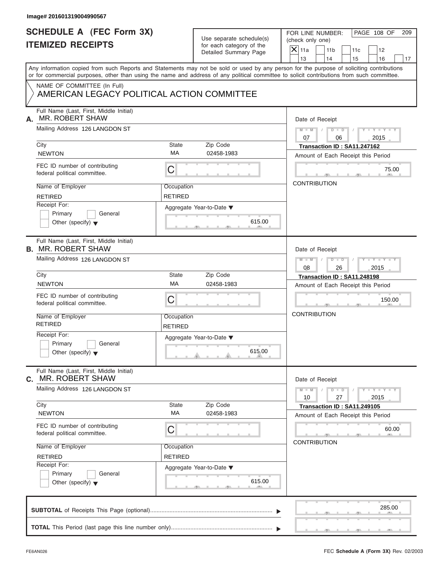| Image# 201601319004990567                                                 |                              |                                                      |                                                                                                                                                                                                                                                                                         |  |  |  |
|---------------------------------------------------------------------------|------------------------------|------------------------------------------------------|-----------------------------------------------------------------------------------------------------------------------------------------------------------------------------------------------------------------------------------------------------------------------------------------|--|--|--|
| <b>SCHEDULE A (FEC Form 3X)</b><br><b>ITEMIZED RECEIPTS</b>               |                              | Use separate schedule(s)<br>for each category of the | PAGE 108 OF<br>FOR LINE NUMBER:<br>209<br>(check only one)<br>$X$ 11a<br>11 <sub>b</sub><br>12<br>11c                                                                                                                                                                                   |  |  |  |
|                                                                           |                              | Detailed Summary Page                                | 13<br>14<br>15<br>16                                                                                                                                                                                                                                                                    |  |  |  |
|                                                                           |                              |                                                      | Any information copied from such Reports and Statements may not be sold or used by any person for the purpose of soliciting contributions<br>or for commercial purposes, other than using the name and address of any political committee to solicit contributions from such committee. |  |  |  |
| NAME OF COMMITTEE (In Full)<br>AMERICAN LEGACY POLITICAL ACTION COMMITTEE |                              |                                                      |                                                                                                                                                                                                                                                                                         |  |  |  |
| Full Name (Last, First, Middle Initial)<br>MR. ROBERT SHAW<br>А.          |                              |                                                      | Date of Receipt                                                                                                                                                                                                                                                                         |  |  |  |
| Mailing Address 126 LANGDON ST                                            |                              |                                                      | $D$ $D$ $I$<br>$Y - Y - Y - Y - Y$<br>$M - M$<br>07<br>06<br>2015                                                                                                                                                                                                                       |  |  |  |
| City                                                                      | State                        | Zip Code                                             | Transaction ID: SA11.247162                                                                                                                                                                                                                                                             |  |  |  |
| <b>NEWTON</b>                                                             | MA                           | 02458-1983                                           | Amount of Each Receipt this Period                                                                                                                                                                                                                                                      |  |  |  |
| FEC ID number of contributing<br>federal political committee.             | С                            |                                                      | 75.00                                                                                                                                                                                                                                                                                   |  |  |  |
| Name of Employer                                                          | Occupation                   |                                                      | <b>CONTRIBUTION</b>                                                                                                                                                                                                                                                                     |  |  |  |
| <b>RETIRED</b>                                                            | RETIRED                      |                                                      |                                                                                                                                                                                                                                                                                         |  |  |  |
| Receipt For:                                                              |                              | Aggregate Year-to-Date ▼                             |                                                                                                                                                                                                                                                                                         |  |  |  |
| Primary<br>General                                                        |                              |                                                      |                                                                                                                                                                                                                                                                                         |  |  |  |
| Other (specify) $\blacktriangledown$                                      |                              | 615.00                                               |                                                                                                                                                                                                                                                                                         |  |  |  |
| Full Name (Last, First, Middle Initial)<br><b>B. MR. ROBERT SHAW</b>      | Date of Receipt              |                                                      |                                                                                                                                                                                                                                                                                         |  |  |  |
| Mailing Address 126 LANGDON ST                                            |                              |                                                      | Y T Y T Y T<br>$M$ $M$ $/$<br>$D - D$<br>$\sqrt{ }$                                                                                                                                                                                                                                     |  |  |  |
|                                                                           |                              |                                                      | 08<br>26<br>2015                                                                                                                                                                                                                                                                        |  |  |  |
| City                                                                      | State                        | Zip Code                                             | Transaction ID: SA11.248198                                                                                                                                                                                                                                                             |  |  |  |
| <b>NEWTON</b>                                                             | MA                           | 02458-1983                                           | Amount of Each Receipt this Period                                                                                                                                                                                                                                                      |  |  |  |
| FEC ID number of contributing<br>federal political committee.             | С                            |                                                      | 150.00                                                                                                                                                                                                                                                                                  |  |  |  |
| Name of Employer<br><b>RETIRED</b>                                        | Occupation<br><b>RETIRED</b> |                                                      | <b>CONTRIBUTION</b>                                                                                                                                                                                                                                                                     |  |  |  |
| Receipt For:                                                              |                              | Aggregate Year-to-Date ▼                             |                                                                                                                                                                                                                                                                                         |  |  |  |
| Primary<br>General<br>Other (specify) $\blacktriangledown$                |                              | 615.00                                               |                                                                                                                                                                                                                                                                                         |  |  |  |
| Full Name (Last, First, Middle Initial)<br><b>MR. ROBERT SHAW</b><br>C.   |                              |                                                      | Date of Receipt                                                                                                                                                                                                                                                                         |  |  |  |
| Mailing Address 126 LANGDON ST                                            |                              |                                                      | $Y - Y - Y - Y - Y$<br>$M - M$<br>$D$ $\Box$ $D$<br>27<br>2015<br>10                                                                                                                                                                                                                    |  |  |  |
| City                                                                      | State                        | Zip Code                                             | Transaction ID: SA11.249105                                                                                                                                                                                                                                                             |  |  |  |
| <b>NEWTON</b>                                                             | МA                           | 02458-1983                                           | Amount of Each Receipt this Period                                                                                                                                                                                                                                                      |  |  |  |
| FEC ID number of contributing<br>federal political committee.             | С                            |                                                      | 60.00                                                                                                                                                                                                                                                                                   |  |  |  |
| Name of Employer                                                          | Occupation                   |                                                      | <b>CONTRIBUTION</b>                                                                                                                                                                                                                                                                     |  |  |  |
| <b>RETIRED</b>                                                            | <b>RETIRED</b>               |                                                      |                                                                                                                                                                                                                                                                                         |  |  |  |
| Receipt For:                                                              |                              | Aggregate Year-to-Date ▼                             |                                                                                                                                                                                                                                                                                         |  |  |  |
| Primary<br>General<br>Other (specify) $\blacktriangledown$                |                              | 615.00                                               |                                                                                                                                                                                                                                                                                         |  |  |  |
|                                                                           |                              |                                                      | 285.00                                                                                                                                                                                                                                                                                  |  |  |  |
|                                                                           |                              |                                                      |                                                                                                                                                                                                                                                                                         |  |  |  |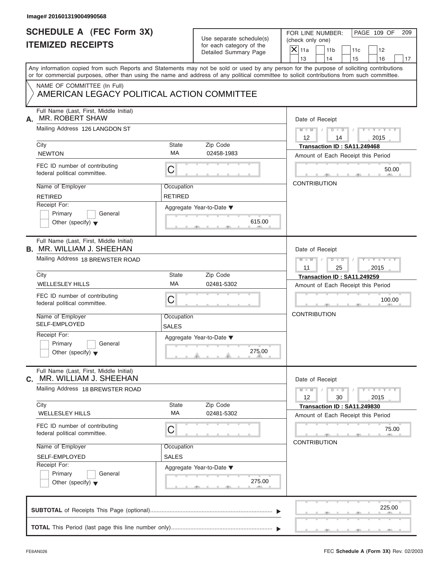| Image# 201601319004990568                                                                                                                  |                              |                                                                               |                                                                                                                                           |
|--------------------------------------------------------------------------------------------------------------------------------------------|------------------------------|-------------------------------------------------------------------------------|-------------------------------------------------------------------------------------------------------------------------------------------|
| <b>SCHEDULE A (FEC Form 3X)</b><br><b>ITEMIZED RECEIPTS</b>                                                                                |                              | Use separate schedule(s)<br>for each category of the<br>Detailed Summary Page | PAGE 109 OF<br>FOR LINE NUMBER:<br>209<br>(check only one)<br>$X$ 11a<br>11 <sub>b</sub><br>11c<br>12<br>13<br>14<br>15<br>16<br>17       |
| or for commercial purposes, other than using the name and address of any political committee to solicit contributions from such committee. |                              |                                                                               | Any information copied from such Reports and Statements may not be sold or used by any person for the purpose of soliciting contributions |
| NAME OF COMMITTEE (In Full)<br>AMERICAN LEGACY POLITICAL ACTION COMMITTEE                                                                  |                              |                                                                               |                                                                                                                                           |
| Full Name (Last, First, Middle Initial)<br><b>MR. ROBERT SHAW</b><br>А.                                                                    |                              |                                                                               | Date of Receipt                                                                                                                           |
| Mailing Address 126 LANGDON ST                                                                                                             |                              |                                                                               | $D$ $\Box$ $D$<br>$Y - Y - Y - Y - Y$<br>$M - M$ /<br>$\sqrt{ }$<br>$12 \overline{ }$<br>2015<br>14                                       |
| City<br><b>NEWTON</b>                                                                                                                      | State<br>MA                  | Zip Code<br>02458-1983                                                        | Transaction ID: SA11.249468<br>Amount of Each Receipt this Period                                                                         |
| FEC ID number of contributing<br>federal political committee.                                                                              | С                            |                                                                               | 50.00                                                                                                                                     |
| Name of Employer<br><b>RETIRED</b>                                                                                                         | Occupation<br><b>RETIRED</b> |                                                                               | <b>CONTRIBUTION</b>                                                                                                                       |
| Receipt For:<br>Primary<br>General<br>Other (specify) $\blacktriangledown$                                                                 |                              | Aggregate Year-to-Date ▼<br>615.00                                            |                                                                                                                                           |
| Full Name (Last, First, Middle Initial)<br><b>B. MR. WILLIAM J. SHEEHAN</b>                                                                |                              |                                                                               | Date of Receipt                                                                                                                           |
| Mailing Address 18 BREWSTER ROAD                                                                                                           |                              |                                                                               | Y TY TY TY<br>$M \perp M \parallel / \parallel D \perp D \parallel /$<br>2015<br>11<br>25                                                 |
| City<br><b>WELLESLEY HILLS</b>                                                                                                             | State<br>MA                  | Zip Code<br>02481-5302                                                        | Transaction ID: SA11.249259<br>Amount of Each Receipt this Period                                                                         |
| FEC ID number of contributing<br>federal political committee.                                                                              | С                            |                                                                               | 100.00                                                                                                                                    |
| Name of Employer<br>SELF-EMPLOYED                                                                                                          | Occupation<br>SALES          |                                                                               | <b>CONTRIBUTION</b>                                                                                                                       |
| Receipt For:<br>Primary<br>General<br>Other (specify) $\blacktriangledown$                                                                 |                              | Aggregate Year-to-Date ▼<br>275.00                                            |                                                                                                                                           |
| Full Name (Last, First, Middle Initial)<br>MR. WILLIAM J. SHEEHAN<br>C.                                                                    |                              |                                                                               | Date of Receipt                                                                                                                           |
| Mailing Address 18 BREWSTER ROAD                                                                                                           |                              |                                                                               | $Y - Y - Y - Y - Y$<br>$M - M$<br>$D$ $\Box$ $D$<br>30<br>12<br>2015                                                                      |
| City<br><b>WELLESLEY HILLS</b>                                                                                                             | State<br>МA                  | Zip Code<br>02481-5302                                                        | Transaction ID: SA11.249830<br>Amount of Each Receipt this Period                                                                         |
| FEC ID number of contributing<br>federal political committee.                                                                              | С                            |                                                                               | 75.00                                                                                                                                     |
| Name of Employer<br>SELF-EMPLOYED                                                                                                          | Occupation<br><b>SALES</b>   |                                                                               | <b>CONTRIBUTION</b>                                                                                                                       |
| Receipt For:<br>Primary<br>General<br>Other (specify) $\blacktriangledown$                                                                 |                              | Aggregate Year-to-Date ▼<br>275.00                                            |                                                                                                                                           |
|                                                                                                                                            |                              |                                                                               | 225.00                                                                                                                                    |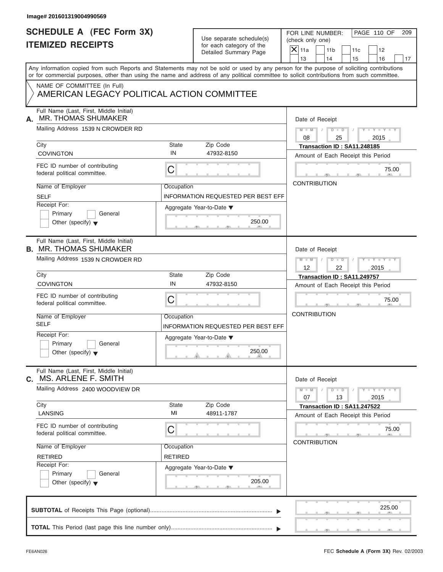| <b>SCHEDULE A (FEC Form 3X)</b>                                                                                                            |                                                                                               |                                                                                                                                           |
|--------------------------------------------------------------------------------------------------------------------------------------------|-----------------------------------------------------------------------------------------------|-------------------------------------------------------------------------------------------------------------------------------------------|
| <b>ITEMIZED RECEIPTS</b>                                                                                                                   | Use separate schedule(s)<br>for each category of the<br>Detailed Summary Page                 | PAGE 110 OF<br>FOR LINE NUMBER:<br>209<br>(check only one)<br>$X$ 11a<br>11 <sub>b</sub><br>11c<br>12<br>13<br>14<br>15<br>16<br>17       |
| or for commercial purposes, other than using the name and address of any political committee to solicit contributions from such committee. |                                                                                               | Any information copied from such Reports and Statements may not be sold or used by any person for the purpose of soliciting contributions |
| NAME OF COMMITTEE (In Full)<br>AMERICAN LEGACY POLITICAL ACTION COMMITTEE                                                                  |                                                                                               |                                                                                                                                           |
| Full Name (Last, First, Middle Initial)<br><b>MR. THOMAS SHUMAKER</b><br>А.                                                                |                                                                                               | Date of Receipt                                                                                                                           |
| Mailing Address 1539 N CROWDER RD                                                                                                          |                                                                                               | $D$ $D$ $I$<br>$Y - Y - Y - Y - Y$<br>$M - M$<br>$\sqrt{2}$<br>08<br>25<br>2015                                                           |
| City<br><b>COVINGTON</b>                                                                                                                   | State<br>Zip Code<br>IN<br>47932-8150                                                         | Transaction ID: SA11.248185<br>Amount of Each Receipt this Period                                                                         |
| FEC ID number of contributing<br>federal political committee.                                                                              | C                                                                                             | 75.00                                                                                                                                     |
| Name of Employer<br><b>SELF</b><br>Receipt For:<br>Primary<br>General<br>Other (specify) $\blacktriangledown$                              | Occupation<br><b>INFORMATION REQUESTED PER BEST EFF</b><br>Aggregate Year-to-Date ▼<br>250.00 | <b>CONTRIBUTION</b>                                                                                                                       |
| Full Name (Last, First, Middle Initial)<br><b>B. MR. THOMAS SHUMAKER</b><br>Mailing Address 1539 N CROWDER RD                              |                                                                                               | Date of Receipt<br>$D$ $D$<br>$Y = Y = Y' - Y'$<br>$M - M$<br>$\Box$                                                                      |
| City<br><b>COVINGTON</b>                                                                                                                   | State<br>Zip Code<br>IN<br>47932-8150                                                         | $12 \overline{ }$<br>22<br>2015<br>Transaction ID: SA11.249757<br>Amount of Each Receipt this Period                                      |
| FEC ID number of contributing<br>federal political committee.                                                                              | C                                                                                             | 75.00                                                                                                                                     |
| Name of Employer<br><b>SELF</b>                                                                                                            | Occupation<br>INFORMATION REQUESTED PER BEST EFF                                              | <b>CONTRIBUTION</b>                                                                                                                       |
| Receipt For:<br>Primary<br>General<br>Other (specify) $\blacktriangledown$                                                                 | Aggregate Year-to-Date ▼<br>250.00                                                            |                                                                                                                                           |
| Full Name (Last, First, Middle Initial)<br>C. MS. ARLENE F. SMITH                                                                          |                                                                                               | Date of Receipt                                                                                                                           |
| Mailing Address 2400 WOODVIEW DR                                                                                                           |                                                                                               | $Y - Y - Y - Y - Y$<br>$M - M$<br>$D$ $D$<br>07<br>13<br>2015                                                                             |
| City<br>LANSING                                                                                                                            | <b>State</b><br>Zip Code<br>MI<br>48911-1787                                                  | Transaction ID: SA11.247522<br>Amount of Each Receipt this Period                                                                         |
| FEC ID number of contributing<br>federal political committee.                                                                              | С                                                                                             | 75.00<br><b>CONTRIBUTION</b>                                                                                                              |
| Name of Employer<br><b>RETIRED</b>                                                                                                         | Occupation<br><b>RETIRED</b>                                                                  |                                                                                                                                           |
| Receipt For:                                                                                                                               | Aggregate Year-to-Date ▼                                                                      |                                                                                                                                           |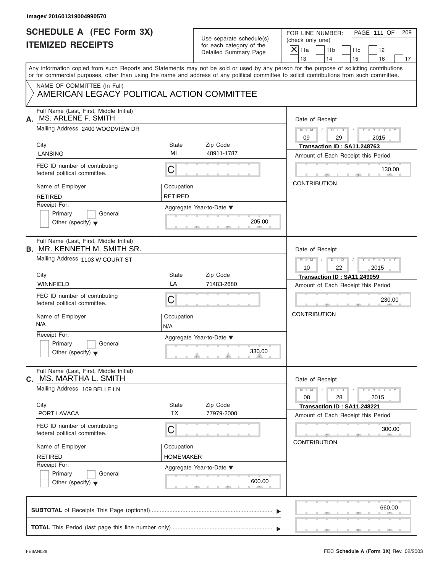| Image# 201601319004990570                                                     |                    |                                                                               |                                                                                                                                                                                                                                                                                                                       |
|-------------------------------------------------------------------------------|--------------------|-------------------------------------------------------------------------------|-----------------------------------------------------------------------------------------------------------------------------------------------------------------------------------------------------------------------------------------------------------------------------------------------------------------------|
| <b>SCHEDULE A (FEC Form 3X)</b><br><b>ITEMIZED RECEIPTS</b>                   |                    | Use separate schedule(s)<br>for each category of the<br>Detailed Summary Page | PAGE 111 OF<br>FOR LINE NUMBER:<br>209<br>(check only one)<br>$\mathsf{X}$ 11a<br>11 <sub>b</sub><br>11c<br>12                                                                                                                                                                                                        |
|                                                                               |                    |                                                                               | 13<br>14<br>15<br>16<br>17<br>Any information copied from such Reports and Statements may not be sold or used by any person for the purpose of soliciting contributions<br>or for commercial purposes, other than using the name and address of any political committee to solicit contributions from such committee. |
| NAME OF COMMITTEE (In Full)<br>AMERICAN LEGACY POLITICAL ACTION COMMITTEE     |                    |                                                                               |                                                                                                                                                                                                                                                                                                                       |
| Full Name (Last, First, Middle Initial)<br><b>MS. ARLENE F. SMITH</b><br>А.   |                    |                                                                               | Date of Receipt                                                                                                                                                                                                                                                                                                       |
| Mailing Address 2400 WOODVIEW DR                                              |                    |                                                                               | $D - D$<br>$Y = Y = Y - Y$<br>$M - M$<br>09<br>29<br>2015                                                                                                                                                                                                                                                             |
| City                                                                          | State<br>MI        | Zip Code<br>48911-1787                                                        | Transaction ID: SA11.248763                                                                                                                                                                                                                                                                                           |
| LANSING                                                                       |                    |                                                                               | Amount of Each Receipt this Period                                                                                                                                                                                                                                                                                    |
| FEC ID number of contributing<br>federal political committee.                 | C                  |                                                                               | 130.00                                                                                                                                                                                                                                                                                                                |
| Name of Employer                                                              | Occupation         |                                                                               | <b>CONTRIBUTION</b>                                                                                                                                                                                                                                                                                                   |
| <b>RETIRED</b>                                                                | <b>RETIRED</b>     |                                                                               |                                                                                                                                                                                                                                                                                                                       |
| Receipt For:                                                                  |                    | Aggregate Year-to-Date ▼                                                      |                                                                                                                                                                                                                                                                                                                       |
| Primary<br>General<br>Other (specify) $\blacktriangledown$                    |                    | 205.00                                                                        |                                                                                                                                                                                                                                                                                                                       |
| Full Name (Last, First, Middle Initial)<br><b>B.</b> MR. KENNETH M. SMITH SR. |                    |                                                                               | Date of Receipt                                                                                                                                                                                                                                                                                                       |
| Mailing Address 1103 W COURT ST                                               |                    |                                                                               | $D - I - D$<br>Y T Y T Y T<br>$M - M$<br>2015<br>10<br>22                                                                                                                                                                                                                                                             |
| City                                                                          | State              | Zip Code                                                                      | Transaction ID: SA11.249059                                                                                                                                                                                                                                                                                           |
| <b>WINNFIELD</b>                                                              | LA                 | 71483-2680                                                                    | Amount of Each Receipt this Period                                                                                                                                                                                                                                                                                    |
| FEC ID number of contributing<br>federal political committee.                 | C                  |                                                                               | 230.00                                                                                                                                                                                                                                                                                                                |
| Name of Employer<br>N/A                                                       | Occupation<br>N/A  |                                                                               | <b>CONTRIBUTION</b>                                                                                                                                                                                                                                                                                                   |
| Receipt For:<br>Primary<br>General<br>Other (specify) $\blacktriangledown$    |                    | Aggregate Year-to-Date ▼<br>330.00                                            |                                                                                                                                                                                                                                                                                                                       |
| Full Name (Last, First, Middle Initial)<br>MS. MARTHA L. SMITH<br>С.          |                    |                                                                               | Date of Receipt                                                                                                                                                                                                                                                                                                       |
| Mailing Address 109 BELLE LN                                                  |                    |                                                                               | $M - M$<br>$D$ $\Box$ $D$<br>$-1 - Y - 1 - Y - 1$<br>08<br>28<br>2015                                                                                                                                                                                                                                                 |
| City                                                                          | State<br><b>TX</b> | Zip Code                                                                      | Transaction ID: SA11.248221                                                                                                                                                                                                                                                                                           |
| PORT LAVACA                                                                   |                    | 77979-2000                                                                    | Amount of Each Receipt this Period                                                                                                                                                                                                                                                                                    |
| FEC ID number of contributing<br>federal political committee.                 | С                  |                                                                               | 300.00                                                                                                                                                                                                                                                                                                                |
| Name of Employer                                                              | Occupation         |                                                                               | <b>CONTRIBUTION</b>                                                                                                                                                                                                                                                                                                   |
| <b>RETIRED</b>                                                                | HOMEMAKER          |                                                                               |                                                                                                                                                                                                                                                                                                                       |
| Receipt For:                                                                  |                    | Aggregate Year-to-Date ▼                                                      |                                                                                                                                                                                                                                                                                                                       |
| Primary<br>General<br>Other (specify) $\blacktriangledown$                    |                    | 600.00                                                                        |                                                                                                                                                                                                                                                                                                                       |
|                                                                               |                    |                                                                               | 660.00                                                                                                                                                                                                                                                                                                                |
|                                                                               |                    |                                                                               |                                                                                                                                                                                                                                                                                                                       |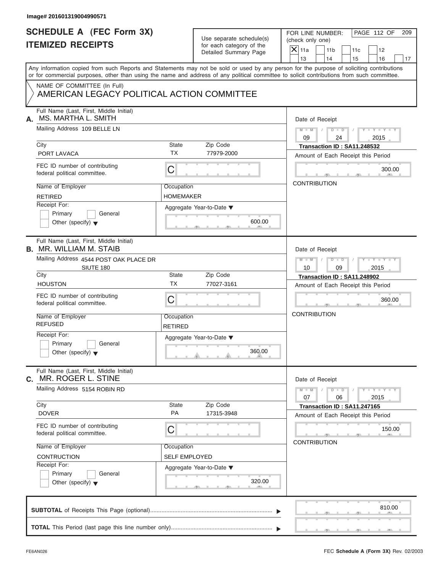| Image# 201601319004990571                                                                                                                                                                                                                                                               |                              |                                                      |                                                                   |                       |            |                             |     |
|-----------------------------------------------------------------------------------------------------------------------------------------------------------------------------------------------------------------------------------------------------------------------------------------|------------------------------|------------------------------------------------------|-------------------------------------------------------------------|-----------------------|------------|-----------------------------|-----|
| <b>SCHEDULE A (FEC Form 3X)</b><br><b>ITEMIZED RECEIPTS</b>                                                                                                                                                                                                                             |                              | Use separate schedule(s)<br>for each category of the | FOR LINE NUMBER:<br>(check only one)<br>$X$ 11a                   | 11 <sub>b</sub>       | 11c        | PAGE 112 OF<br>12           | 209 |
|                                                                                                                                                                                                                                                                                         |                              | Detailed Summary Page                                | 13                                                                | 14                    | 15         | 16                          | 17  |
| Any information copied from such Reports and Statements may not be sold or used by any person for the purpose of soliciting contributions<br>or for commercial purposes, other than using the name and address of any political committee to solicit contributions from such committee. |                              |                                                      |                                                                   |                       |            |                             |     |
| NAME OF COMMITTEE (In Full)<br>AMERICAN LEGACY POLITICAL ACTION COMMITTEE                                                                                                                                                                                                               |                              |                                                      |                                                                   |                       |            |                             |     |
| Full Name (Last, First, Middle Initial)<br>MS. MARTHA L. SMITH<br>А.                                                                                                                                                                                                                    |                              |                                                      | Date of Receipt                                                   |                       |            |                             |     |
| Mailing Address 109 BELLE LN                                                                                                                                                                                                                                                            |                              |                                                      | $M - M$<br>09                                                     | $D$ $\Box$ $D$<br>24  | $\sqrt{ }$ | $Y - Y - Y - Y - Y$<br>2015 |     |
| City                                                                                                                                                                                                                                                                                    | State                        | Zip Code                                             | Transaction ID: SA11.248532                                       |                       |            |                             |     |
| PORT LAVACA                                                                                                                                                                                                                                                                             | <b>TX</b>                    | 77979-2000                                           | Amount of Each Receipt this Period                                |                       |            |                             |     |
| FEC ID number of contributing<br>federal political committee.                                                                                                                                                                                                                           | С                            |                                                      |                                                                   |                       |            | 300.00                      |     |
| Name of Employer                                                                                                                                                                                                                                                                        | Occupation                   |                                                      | <b>CONTRIBUTION</b>                                               |                       |            |                             |     |
| <b>RETIRED</b>                                                                                                                                                                                                                                                                          | HOMEMAKER                    |                                                      |                                                                   |                       |            |                             |     |
| Receipt For:<br>Primary<br>General                                                                                                                                                                                                                                                      | Aggregate Year-to-Date ▼     | 600.00                                               |                                                                   |                       |            |                             |     |
| Other (specify) $\blacktriangledown$                                                                                                                                                                                                                                                    |                              |                                                      |                                                                   |                       |            |                             |     |
| Full Name (Last, First, Middle Initial)<br><b>B. MR. WILLIAM M. STAIB</b>                                                                                                                                                                                                               |                              |                                                      | Date of Receipt                                                   |                       |            |                             |     |
| Mailing Address 4544 POST OAK PLACE DR                                                                                                                                                                                                                                                  |                              |                                                      | $M = M - 1$                                                       | $D$ $\Box$ $D$ $\Box$ | $\sqrt{ }$ | Y T Y T Y T                 |     |
| SIUTE 180<br>City                                                                                                                                                                                                                                                                       | State                        | Zip Code                                             | 10                                                                | 09                    |            | 2015                        |     |
| <b>HOUSTON</b>                                                                                                                                                                                                                                                                          | <b>TX</b>                    | 77027-3161                                           | Transaction ID: SA11.248902<br>Amount of Each Receipt this Period |                       |            |                             |     |
| FEC ID number of contributing<br>federal political committee.                                                                                                                                                                                                                           | С                            |                                                      |                                                                   |                       |            | 360.00                      |     |
| Name of Employer<br><b>REFUSED</b>                                                                                                                                                                                                                                                      | Occupation<br><b>RETIRED</b> |                                                      | <b>CONTRIBUTION</b>                                               |                       |            |                             |     |
| Receipt For:<br>Primary<br>General<br>Other (specify) $\blacktriangledown$                                                                                                                                                                                                              |                              | Aggregate Year-to-Date ▼<br>360.00                   |                                                                   |                       |            |                             |     |
| Full Name (Last, First, Middle Initial)<br>MR. ROGER L. STINE<br>C.                                                                                                                                                                                                                     |                              |                                                      | Date of Receipt                                                   |                       |            |                             |     |
| Mailing Address 5154 ROBIN RD                                                                                                                                                                                                                                                           |                              |                                                      | $M - M$<br>07                                                     | $D$ $\Box$ $D$<br>06  |            | $Y - Y - Y - Y - Y$<br>2015 |     |
| City                                                                                                                                                                                                                                                                                    | State<br>PA                  | Zip Code                                             | Transaction ID: SA11.247165                                       |                       |            |                             |     |
| <b>DOVER</b>                                                                                                                                                                                                                                                                            |                              | 17315-3948                                           | Amount of Each Receipt this Period                                |                       |            |                             |     |
| FEC ID number of contributing<br>federal political committee.                                                                                                                                                                                                                           | С                            |                                                      | <b>CONTRIBUTION</b>                                               |                       |            | 150.00                      |     |
| Name of Employer                                                                                                                                                                                                                                                                        | Occupation                   |                                                      |                                                                   |                       |            |                             |     |
| <b>CONTRUCTION</b>                                                                                                                                                                                                                                                                      | SELF EMPLOYED                |                                                      |                                                                   |                       |            |                             |     |
| Receipt For:<br>Primary<br>General<br>Other (specify) $\blacktriangledown$                                                                                                                                                                                                              | Aggregate Year-to-Date ▼     | 320.00                                               |                                                                   |                       |            |                             |     |
|                                                                                                                                                                                                                                                                                         |                              |                                                      |                                                                   |                       |            | 810.00                      |     |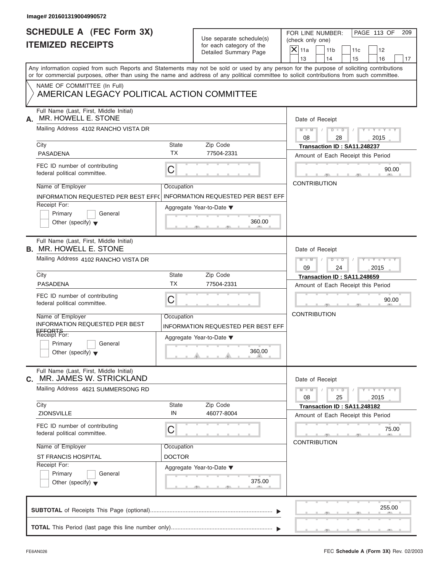| Image# 201601319004990572                                                                                                                  |                             |                                                      |                                                                                                                                           |
|--------------------------------------------------------------------------------------------------------------------------------------------|-----------------------------|------------------------------------------------------|-------------------------------------------------------------------------------------------------------------------------------------------|
| <b>SCHEDULE A (FEC Form 3X)</b><br><b>ITEMIZED RECEIPTS</b>                                                                                |                             | Use separate schedule(s)<br>for each category of the | PAGE 113 OF<br>FOR LINE NUMBER:<br>209<br>(check only one)<br>$X$ 11a                                                                     |
|                                                                                                                                            |                             | Detailed Summary Page                                | 11 <sub>b</sub><br>11c<br>12<br>13<br>14<br>15<br>16<br>17                                                                                |
| or for commercial purposes, other than using the name and address of any political committee to solicit contributions from such committee. |                             |                                                      | Any information copied from such Reports and Statements may not be sold or used by any person for the purpose of soliciting contributions |
| NAME OF COMMITTEE (In Full)<br>AMERICAN LEGACY POLITICAL ACTION COMMITTEE                                                                  |                             |                                                      |                                                                                                                                           |
| Full Name (Last, First, Middle Initial)<br>MR. HOWELL E. STONE<br>А.                                                                       |                             |                                                      | Date of Receipt                                                                                                                           |
| Mailing Address 4102 RANCHO VISTA DR                                                                                                       |                             |                                                      | $D$ $\Box$ $D$<br>$M$ $M$ $I$<br>Y F Y F Y F Y<br>$\sqrt{ }$<br>08<br>2015<br>28                                                          |
| City<br><b>PASADENA</b>                                                                                                                    | State<br><b>TX</b>          | Zip Code<br>77504-2331                               | Transaction ID: SA11.248237<br>Amount of Each Receipt this Period                                                                         |
| FEC ID number of contributing<br>federal political committee.                                                                              | С                           |                                                      | 90.00                                                                                                                                     |
| Name of Employer<br>INFORMATION REQUESTED PER BEST EFF(                                                                                    | Occupation                  | <b>INFORMATION REQUESTED PER BEST EFF</b>            | <b>CONTRIBUTION</b>                                                                                                                       |
| Receipt For:<br>Primary<br>General<br>Other (specify) $\bullet$                                                                            |                             | Aggregate Year-to-Date ▼<br>360.00                   |                                                                                                                                           |
| Full Name (Last, First, Middle Initial)<br><b>B. MR. HOWELL E. STONE</b>                                                                   |                             |                                                      | Date of Receipt                                                                                                                           |
| Mailing Address 4102 RANCHO VISTA DR                                                                                                       |                             |                                                      | $M - M$<br>$D - I - D$<br>$Y = Y = Y' - Y'$<br>$\sqrt{ }$<br>09<br>24<br>2015                                                             |
| City                                                                                                                                       | State                       | Zip Code                                             | Transaction ID: SA11.248659                                                                                                               |
| <b>PASADENA</b>                                                                                                                            | <b>TX</b>                   | 77504-2331                                           | Amount of Each Receipt this Period                                                                                                        |
| FEC ID number of contributing<br>federal political committee.                                                                              | C                           |                                                      | 90.00                                                                                                                                     |
| Name of Employer<br>INFORMATION REQUESTED PER BEST<br>EFFORTS<br>Receipt For:                                                              | Occupation                  | <b>INFORMATION REQUESTED PER BEST EFF</b>            | <b>CONTRIBUTION</b>                                                                                                                       |
| Primary<br>General<br>Other (specify) $\blacktriangledown$                                                                                 |                             | Aggregate Year-to-Date ▼<br>360.00                   |                                                                                                                                           |
| Full Name (Last, First, Middle Initial)<br>MR. JAMES W. STRICKLAND<br>C.                                                                   |                             |                                                      | Date of Receipt                                                                                                                           |
| Mailing Address 4621 SUMMERSONG RD                                                                                                         |                             |                                                      | $M - M$<br>$D$ $\Box$ $D$<br>$Y - Y - Y - Y - Y$<br>08<br>25<br>2015                                                                      |
| City<br>ZIONSVILLE                                                                                                                         | State<br>IN                 | Zip Code<br>46077-8004                               | Transaction ID: SA11.248182<br>Amount of Each Receipt this Period                                                                         |
| FEC ID number of contributing<br>federal political committee.                                                                              | С                           |                                                      | 75.00<br><b>CONTRIBUTION</b>                                                                                                              |
| Name of Employer<br><b>ST FRANCIS HOSPITAL</b>                                                                                             | Occupation<br><b>DOCTOR</b> |                                                      |                                                                                                                                           |
| Receipt For:<br>Primary<br>General<br>Other (specify) $\blacktriangledown$                                                                 |                             | Aggregate Year-to-Date ▼<br>375.00                   |                                                                                                                                           |
|                                                                                                                                            |                             |                                                      | 255.00                                                                                                                                    |
|                                                                                                                                            |                             |                                                      |                                                                                                                                           |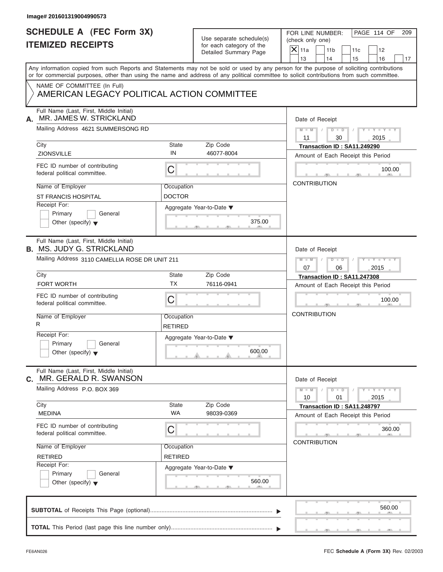| Image# 201601319004990573                                                   |                              |                                                      |                                                                                                                                                                                                                                                                                         |
|-----------------------------------------------------------------------------|------------------------------|------------------------------------------------------|-----------------------------------------------------------------------------------------------------------------------------------------------------------------------------------------------------------------------------------------------------------------------------------------|
| <b>SCHEDULE A (FEC Form 3X)</b><br><b>ITEMIZED RECEIPTS</b>                 |                              | Use separate schedule(s)<br>for each category of the | PAGE 114 OF<br>FOR LINE NUMBER:<br>209<br>(check only one)                                                                                                                                                                                                                              |
|                                                                             |                              | Detailed Summary Page                                | $X$ 11a<br>11 <sub>b</sub><br>11c<br>12<br>13<br>14<br>15<br>16<br>17                                                                                                                                                                                                                   |
|                                                                             |                              |                                                      | Any information copied from such Reports and Statements may not be sold or used by any person for the purpose of soliciting contributions<br>or for commercial purposes, other than using the name and address of any political committee to solicit contributions from such committee. |
| NAME OF COMMITTEE (In Full)<br>AMERICAN LEGACY POLITICAL ACTION COMMITTEE   |                              |                                                      |                                                                                                                                                                                                                                                                                         |
| Full Name (Last, First, Middle Initial)<br>MR. JAMES W. STRICKLAND<br>А.    |                              |                                                      | Date of Receipt                                                                                                                                                                                                                                                                         |
| Mailing Address 4621 SUMMERSONG RD                                          |                              |                                                      | $D$ $D$ $I$<br>$Y - Y - Y - Y - Y$<br>$M - M$ /<br>11<br>30<br>2015                                                                                                                                                                                                                     |
| City<br><b>ZIONSVILLE</b>                                                   | State<br>IN                  | Zip Code<br>46077-8004                               | Transaction ID: SA11.249290<br>Amount of Each Receipt this Period                                                                                                                                                                                                                       |
| FEC ID number of contributing<br>federal political committee.               | C                            |                                                      | 100.00                                                                                                                                                                                                                                                                                  |
| Name of Employer<br><b>ST FRANCIS HOSPITAL</b>                              | Occupation<br><b>DOCTOR</b>  |                                                      | <b>CONTRIBUTION</b>                                                                                                                                                                                                                                                                     |
| Receipt For:<br>Primary<br>General<br>Other (specify) $\blacktriangledown$  |                              | Aggregate Year-to-Date ▼<br>375.00                   |                                                                                                                                                                                                                                                                                         |
| Full Name (Last, First, Middle Initial)<br><b>B. MS. JUDY G. STRICKLAND</b> |                              |                                                      | Date of Receipt                                                                                                                                                                                                                                                                         |
| Mailing Address 3110 CAMELLIA ROSE DR UNIT 211                              |                              |                                                      | $M = M - 1$<br>$D - D$<br>$Y = Y = Y' - Y'$<br>$\Box$<br>07<br>06<br>2015                                                                                                                                                                                                               |
| City                                                                        | State                        | Zip Code                                             | Transaction ID: SA11.247308                                                                                                                                                                                                                                                             |
| <b>FORT WORTH</b>                                                           | <b>TX</b>                    | 76116-0941                                           | Amount of Each Receipt this Period                                                                                                                                                                                                                                                      |
| FEC ID number of contributing<br>federal political committee.               | C                            |                                                      | 100.00                                                                                                                                                                                                                                                                                  |
| Name of Employer<br>R                                                       | Occupation<br>RETIRED        |                                                      | <b>CONTRIBUTION</b>                                                                                                                                                                                                                                                                     |
| Receipt For:<br>Primary<br>General<br>Other (specify) $\blacktriangledown$  |                              | Aggregate Year-to-Date ▼<br>600.00                   |                                                                                                                                                                                                                                                                                         |
| Full Name (Last, First, Middle Initial)<br>MR. GERALD R. SWANSON<br>С.      |                              |                                                      | Date of Receipt                                                                                                                                                                                                                                                                         |
| Mailing Address P.O. BOX 369                                                |                              |                                                      | $Y - Y - Y - Y - I$<br>$M - M$<br>$D$ $\Box$ $D$<br>10<br>01<br>2015                                                                                                                                                                                                                    |
| City<br><b>MEDINA</b>                                                       | State<br><b>WA</b>           | Zip Code<br>98039-0369                               | Transaction ID: SA11.248797<br>Amount of Each Receipt this Period                                                                                                                                                                                                                       |
| FEC ID number of contributing<br>federal political committee.               | С                            |                                                      | 360.00                                                                                                                                                                                                                                                                                  |
| Name of Employer<br><b>RETIRED</b>                                          | Occupation<br><b>RETIRED</b> |                                                      | <b>CONTRIBUTION</b>                                                                                                                                                                                                                                                                     |
| Receipt For:<br>Primary<br>General<br>Other (specify) $\blacktriangledown$  |                              | Aggregate Year-to-Date ▼<br>560.00                   |                                                                                                                                                                                                                                                                                         |
|                                                                             |                              |                                                      | 560.00                                                                                                                                                                                                                                                                                  |
|                                                                             |                              |                                                      |                                                                                                                                                                                                                                                                                         |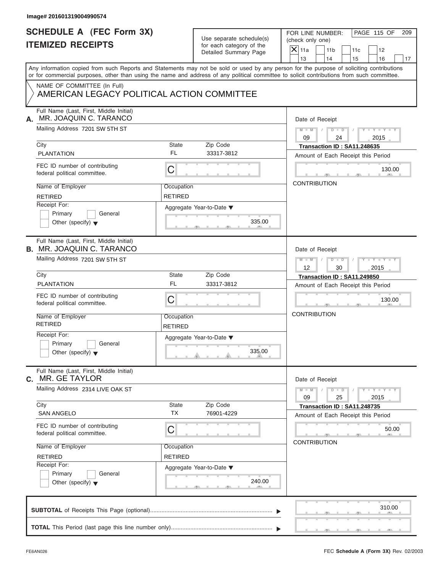| Image# 201601319004990574                                                                                                                        |                                                         |                                                                               |                                                                                                                                                                                                                                                                                         |
|--------------------------------------------------------------------------------------------------------------------------------------------------|---------------------------------------------------------|-------------------------------------------------------------------------------|-----------------------------------------------------------------------------------------------------------------------------------------------------------------------------------------------------------------------------------------------------------------------------------------|
| <b>SCHEDULE A (FEC Form 3X)</b><br><b>ITEMIZED RECEIPTS</b>                                                                                      |                                                         | Use separate schedule(s)<br>for each category of the<br>Detailed Summary Page | PAGE 115 OF<br>FOR LINE NUMBER:<br>209<br>(check only one)<br>$X$ 11a<br>11 <sub>b</sub><br>11c<br>12<br>13<br>14<br>15<br>16<br>17                                                                                                                                                     |
| NAME OF COMMITTEE (In Full)<br>AMERICAN LEGACY POLITICAL ACTION COMMITTEE                                                                        |                                                         |                                                                               | Any information copied from such Reports and Statements may not be sold or used by any person for the purpose of soliciting contributions<br>or for commercial purposes, other than using the name and address of any political committee to solicit contributions from such committee. |
| Full Name (Last, First, Middle Initial)<br>MR. JOAQUIN C. TARANCO<br>А.<br>Mailing Address 7201 SW 5TH ST<br>City                                | State                                                   | Zip Code                                                                      | Date of Receipt<br>$D$ $\Box$ $D$<br>$Y - Y - Y - Y - Y$<br>$M - M$<br>09<br>24<br>2015<br>Transaction ID: SA11.248635                                                                                                                                                                  |
| <b>PLANTATION</b><br>FEC ID number of contributing<br>federal political committee.<br>Name of Employer                                           | FL<br>$\mathsf C$<br>Occupation                         | 33317-3812                                                                    | Amount of Each Receipt this Period<br>130.00<br><b>CONTRIBUTION</b>                                                                                                                                                                                                                     |
| <b>RETIRED</b><br>Receipt For:<br>Primary<br>General<br>Other (specify) $\blacktriangledown$                                                     | <b>RETIRED</b>                                          | Aggregate Year-to-Date ▼<br>335.00                                            |                                                                                                                                                                                                                                                                                         |
| Full Name (Last, First, Middle Initial)<br><b>B. MR. JOAQUIN C. TARANCO</b><br>Mailing Address 7201 SW 5TH ST                                    |                                                         |                                                                               | Date of Receipt<br>$M - M$<br>$D - D$<br>Y T Y T Y T<br>12<br>30<br>2015                                                                                                                                                                                                                |
| City<br><b>PLANTATION</b><br>FEC ID number of contributing<br>federal political committee.<br>Name of Employer<br><b>RETIRED</b><br>Receipt For: | State<br><b>FL</b><br>C<br>Occupation<br><b>RETIRED</b> | Zip Code<br>33317-3812                                                        | Transaction ID: SA11.249850<br>Amount of Each Receipt this Period<br>130.00<br><b>CONTRIBUTION</b>                                                                                                                                                                                      |
| Primary<br>General<br>Other (specify) $\blacktriangledown$<br>Full Name (Last, First, Middle Initial)<br>MR. GE TAYLOR<br>C.                     |                                                         | Aggregate Year-to-Date ▼<br>335.00                                            | Date of Receipt                                                                                                                                                                                                                                                                         |
| Mailing Address 2314 LIVE OAK ST<br>City<br><b>SAN ANGELO</b>                                                                                    | State<br><b>TX</b>                                      | Zip Code<br>76901-4229                                                        | $Y - Y - Y - Y - Y$<br>$M - M$<br>$D$ $\Box$ $D$<br>09<br>25<br>2015<br>Transaction ID: SA11.248735<br>Amount of Each Receipt this Period                                                                                                                                               |
| FEC ID number of contributing<br>federal political committee.<br>Name of Employer<br><b>RETIRED</b><br>Receipt For:                              | C<br>Occupation<br><b>RETIRED</b>                       |                                                                               | 50.00<br><b>CONTRIBUTION</b>                                                                                                                                                                                                                                                            |
| Primary<br>General<br>Other (specify) $\blacktriangledown$                                                                                       |                                                         | Aggregate Year-to-Date ▼<br>240.00                                            |                                                                                                                                                                                                                                                                                         |
|                                                                                                                                                  |                                                         |                                                                               | 310.00                                                                                                                                                                                                                                                                                  |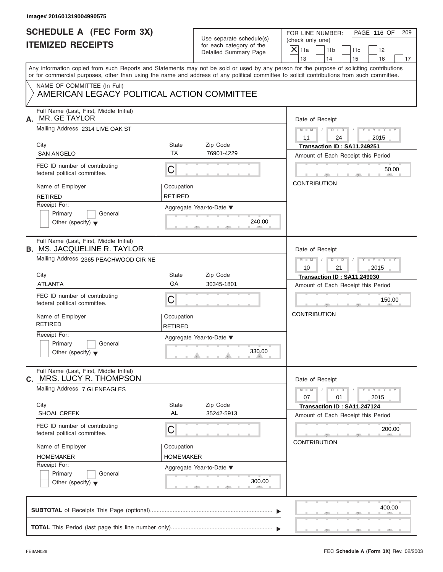| Image# 201601319004990575                                                                                                                                                 |                       |                                                      |                                                         |                                |
|---------------------------------------------------------------------------------------------------------------------------------------------------------------------------|-----------------------|------------------------------------------------------|---------------------------------------------------------|--------------------------------|
| <b>SCHEDULE A (FEC Form 3X)</b><br><b>ITEMIZED RECEIPTS</b>                                                                                                               |                       | Use separate schedule(s)<br>for each category of the | FOR LINE NUMBER:<br>(check only one)                    | PAGE 116 OF<br>209             |
|                                                                                                                                                                           |                       | Detailed Summary Page                                | $\mathsf{X}$ 11a<br>11 <sub>b</sub><br>11c<br>13<br>14  | 12                             |
| Any information copied from such Reports and Statements may not be sold or used by any person for the purpose of soliciting contributions                                 |                       |                                                      | 15                                                      | 16<br>17                       |
| or for commercial purposes, other than using the name and address of any political committee to solicit contributions from such committee.<br>NAME OF COMMITTEE (In Full) |                       |                                                      |                                                         |                                |
| AMERICAN LEGACY POLITICAL ACTION COMMITTEE                                                                                                                                |                       |                                                      |                                                         |                                |
| Full Name (Last, First, Middle Initial)<br>MR. GE TAYLOR<br>А.                                                                                                            |                       |                                                      | Date of Receipt                                         |                                |
| Mailing Address 2314 LIVE OAK ST                                                                                                                                          |                       |                                                      | $M = M - 1$<br>$D$ $\Box$ $D$<br>$\sqrt{ }$<br>24<br>11 | $Y - Y - Y - Y - Y$<br>2015    |
| City                                                                                                                                                                      | State                 | Zip Code                                             | Transaction ID: SA11.249251                             |                                |
| <b>SAN ANGELO</b>                                                                                                                                                         | <b>TX</b>             | 76901-4229                                           | Amount of Each Receipt this Period                      |                                |
| FEC ID number of contributing<br>federal political committee.                                                                                                             | $\mathsf C$           |                                                      |                                                         | 50.00                          |
| Name of Employer                                                                                                                                                          | Occupation            |                                                      | <b>CONTRIBUTION</b>                                     |                                |
| <b>RETIRED</b>                                                                                                                                                            | <b>RETIRED</b>        |                                                      |                                                         |                                |
| Receipt For:                                                                                                                                                              |                       | Aggregate Year-to-Date ▼                             |                                                         |                                |
| Primary<br>General                                                                                                                                                        |                       |                                                      |                                                         |                                |
| Other (specify) $\blacktriangledown$                                                                                                                                      |                       | 240.00                                               |                                                         |                                |
| Full Name (Last, First, Middle Initial)<br><b>B. MS. JACQUELINE R. TAYLOR</b>                                                                                             |                       |                                                      | Date of Receipt                                         |                                |
| Mailing Address 2365 PEACHWOOD CIR NE                                                                                                                                     |                       |                                                      | $M$ $-M$<br>$D - D$                                     | Y T Y T Y T                    |
|                                                                                                                                                                           |                       |                                                      | 10<br>21                                                | 2015                           |
| City                                                                                                                                                                      | <b>State</b>          | Zip Code                                             | Transaction ID: SA11.249030                             |                                |
| <b>ATLANTA</b>                                                                                                                                                            | GA                    | 30345-1801                                           | Amount of Each Receipt this Period                      |                                |
| FEC ID number of contributing<br>federal political committee.                                                                                                             | C                     |                                                      |                                                         | 150.00                         |
| Name of Employer<br><b>RETIRED</b>                                                                                                                                        | Occupation<br>RETIRED |                                                      | <b>CONTRIBUTION</b>                                     |                                |
| Receipt For:                                                                                                                                                              |                       | Aggregate Year-to-Date ▼                             |                                                         |                                |
| Primary<br>General<br>Other (specify) $\blacktriangledown$                                                                                                                |                       | 330.00                                               |                                                         |                                |
| Full Name (Last, First, Middle Initial)<br>MRS. LUCY R. THOMPSON<br>С.                                                                                                    |                       |                                                      | Date of Receipt                                         |                                |
| Mailing Address 7 GLENEAGLES                                                                                                                                              |                       |                                                      | $M - M$<br>$D$ $\Box$ $D$<br>07<br>01                   | $-1 - Y$ $-1 - Y$ $-1$<br>2015 |
| City                                                                                                                                                                      | State                 | Zip Code                                             | Transaction ID: SA11.247124                             |                                |
| <b>SHOAL CREEK</b>                                                                                                                                                        | AL                    | 35242-5913                                           | Amount of Each Receipt this Period                      |                                |
| FEC ID number of contributing<br>federal political committee.                                                                                                             | С                     |                                                      |                                                         | 200.00                         |
| Name of Employer                                                                                                                                                          | Occupation            |                                                      | <b>CONTRIBUTION</b>                                     |                                |
| <b>HOMEMAKER</b>                                                                                                                                                          | HOMEMAKER             |                                                      |                                                         |                                |
| Receipt For:                                                                                                                                                              |                       | Aggregate Year-to-Date ▼                             |                                                         |                                |
| Primary<br>General<br>Other (specify) $\blacktriangledown$                                                                                                                |                       | 300.00                                               |                                                         |                                |
|                                                                                                                                                                           |                       |                                                      |                                                         | 400.00                         |
|                                                                                                                                                                           |                       |                                                      |                                                         |                                |
|                                                                                                                                                                           |                       |                                                      |                                                         |                                |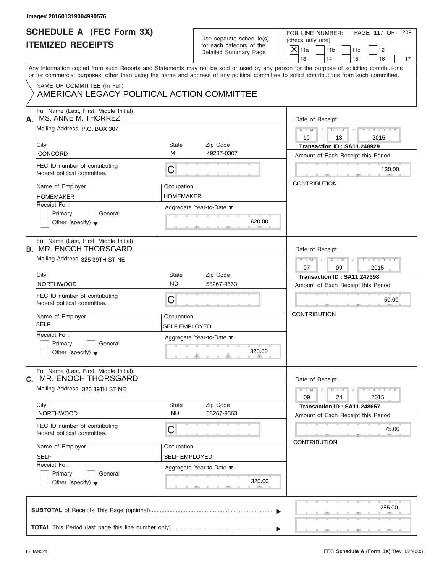| Image# 201601319004990576                                                  |                                    |                                                      |                                                                                                                                                                                                                                                                                         |
|----------------------------------------------------------------------------|------------------------------------|------------------------------------------------------|-----------------------------------------------------------------------------------------------------------------------------------------------------------------------------------------------------------------------------------------------------------------------------------------|
| <b>SCHEDULE A (FEC Form 3X)</b><br><b>ITEMIZED RECEIPTS</b>                |                                    | Use separate schedule(s)<br>for each category of the | PAGE 117 OF<br>FOR LINE NUMBER:<br>209<br>(check only one)                                                                                                                                                                                                                              |
|                                                                            |                                    | Detailed Summary Page                                | $\mathsf{X}$ 11a<br>11 <sub>b</sub><br>12<br>11c<br>13<br>14<br>15<br>16<br>17                                                                                                                                                                                                          |
|                                                                            |                                    |                                                      | Any information copied from such Reports and Statements may not be sold or used by any person for the purpose of soliciting contributions<br>or for commercial purposes, other than using the name and address of any political committee to solicit contributions from such committee. |
| NAME OF COMMITTEE (In Full)<br>AMERICAN LEGACY POLITICAL ACTION COMMITTEE  |                                    |                                                      |                                                                                                                                                                                                                                                                                         |
| Full Name (Last, First, Middle Initial)<br>MS. ANNE M. THORREZ<br>А.       |                                    |                                                      | Date of Receipt                                                                                                                                                                                                                                                                         |
| Mailing Address P.O. BOX 307                                               |                                    |                                                      | $M - M$<br>$D$ $D$<br>$Y - Y - Y - Y$<br>10<br>13<br>2015                                                                                                                                                                                                                               |
| City<br>CONCORD                                                            | State<br>MI                        | Zip Code<br>49237-0307                               | Transaction ID: SA11.248929<br>Amount of Each Receipt this Period                                                                                                                                                                                                                       |
| FEC ID number of contributing<br>federal political committee.              | $\mathsf C$                        |                                                      | 130.00                                                                                                                                                                                                                                                                                  |
| Name of Employer<br><b>HOMEMAKER</b>                                       | Occupation<br><b>HOMEMAKER</b>     |                                                      | <b>CONTRIBUTION</b>                                                                                                                                                                                                                                                                     |
| Receipt For:<br>Primary<br>General<br>Other (specify) $\blacktriangledown$ |                                    | Aggregate Year-to-Date ▼<br>620.00                   |                                                                                                                                                                                                                                                                                         |
| Full Name (Last, First, Middle Initial)<br><b>B. MR. ENOCH THORSGARD</b>   |                                    |                                                      | Date of Receipt                                                                                                                                                                                                                                                                         |
| Mailing Address 325 39TH ST NE                                             |                                    |                                                      | $Y - Y - Y - Y$<br>$M - M$<br>$D$ $D$<br>2015<br>07<br>09                                                                                                                                                                                                                               |
| City<br><b>NORTHWOOD</b>                                                   | State<br><b>ND</b>                 | Zip Code<br>58267-9563                               | Transaction ID: SA11.247398                                                                                                                                                                                                                                                             |
| FEC ID number of contributing<br>federal political committee.              | C                                  |                                                      | Amount of Each Receipt this Period<br>50.00                                                                                                                                                                                                                                             |
| Name of Employer<br><b>SELF</b>                                            | Occupation<br>SELF EMPLOYED        |                                                      | <b>CONTRIBUTION</b>                                                                                                                                                                                                                                                                     |
| Receipt For:<br>Primary<br>General<br>Other (specify) $\blacktriangledown$ |                                    | Aggregate Year-to-Date ▼<br>320.00                   |                                                                                                                                                                                                                                                                                         |
| Full Name (Last, First, Middle Initial)<br>MR. ENOCH THORSGARD<br>C.       |                                    |                                                      | Date of Receipt                                                                                                                                                                                                                                                                         |
| Mailing Address 325 39TH ST NE                                             |                                    |                                                      | $M - M$<br>$D - D$<br>$Y + Y + Y + Y$<br>09<br>24<br>2015                                                                                                                                                                                                                               |
| City<br><b>NORTHWOOD</b>                                                   | State<br><b>ND</b>                 | Zip Code<br>58267-9563                               | Transaction ID: SA11.248657<br>Amount of Each Receipt this Period                                                                                                                                                                                                                       |
| FEC ID number of contributing<br>federal political committee.              | С                                  |                                                      | 75.00                                                                                                                                                                                                                                                                                   |
| Name of Employer<br><b>SELF</b>                                            | Occupation<br><b>SELF EMPLOYED</b> |                                                      | <b>CONTRIBUTION</b>                                                                                                                                                                                                                                                                     |
| Receipt For:<br>Primary<br>General<br>Other (specify) $\blacktriangledown$ |                                    | Aggregate Year-to-Date ▼<br>320.00                   |                                                                                                                                                                                                                                                                                         |
|                                                                            |                                    |                                                      | 255.00                                                                                                                                                                                                                                                                                  |
|                                                                            |                                    |                                                      |                                                                                                                                                                                                                                                                                         |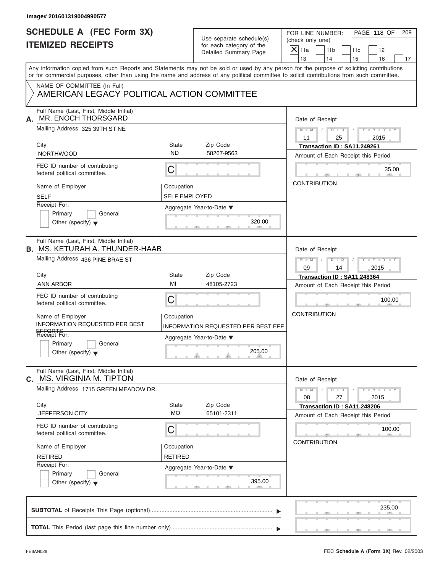| Image# 201601319004990577                                                                                                                                                                                                                                                               |                                    |                                                                               |                                                                                                                                              |
|-----------------------------------------------------------------------------------------------------------------------------------------------------------------------------------------------------------------------------------------------------------------------------------------|------------------------------------|-------------------------------------------------------------------------------|----------------------------------------------------------------------------------------------------------------------------------------------|
| <b>SCHEDULE A (FEC Form 3X)</b><br><b>ITEMIZED RECEIPTS</b>                                                                                                                                                                                                                             |                                    | Use separate schedule(s)<br>for each category of the<br>Detailed Summary Page | PAGE 118 OF<br>FOR LINE NUMBER:<br>209<br>(check only one)<br>$\mathsf{X}$ 11a<br>11 <sub>b</sub><br>12<br>11c<br>13<br>14<br>15<br>16<br>17 |
| Any information copied from such Reports and Statements may not be sold or used by any person for the purpose of soliciting contributions<br>or for commercial purposes, other than using the name and address of any political committee to solicit contributions from such committee. |                                    |                                                                               |                                                                                                                                              |
| NAME OF COMMITTEE (In Full)<br>AMERICAN LEGACY POLITICAL ACTION COMMITTEE                                                                                                                                                                                                               |                                    |                                                                               |                                                                                                                                              |
| Full Name (Last, First, Middle Initial)<br>MR. ENOCH THORSGARD<br>А.                                                                                                                                                                                                                    |                                    |                                                                               | Date of Receipt                                                                                                                              |
| Mailing Address 325 39TH ST NE                                                                                                                                                                                                                                                          |                                    |                                                                               | $D$ $D$<br>$M - M$<br>$Y - Y - Y - Y - Y$<br>11<br>25<br>2015                                                                                |
| City                                                                                                                                                                                                                                                                                    | State                              | Zip Code                                                                      | Transaction ID: SA11.249261                                                                                                                  |
| <b>NORTHWOOD</b>                                                                                                                                                                                                                                                                        | <b>ND</b>                          | 58267-9563                                                                    | Amount of Each Receipt this Period                                                                                                           |
| FEC ID number of contributing<br>federal political committee.                                                                                                                                                                                                                           | С                                  |                                                                               | 35.00                                                                                                                                        |
| Name of Employer<br><b>SELF</b>                                                                                                                                                                                                                                                         | Occupation<br><b>SELF EMPLOYED</b> |                                                                               | <b>CONTRIBUTION</b>                                                                                                                          |
| Receipt For:                                                                                                                                                                                                                                                                            |                                    |                                                                               |                                                                                                                                              |
| Primary<br>General<br>Other (specify) $\blacktriangledown$                                                                                                                                                                                                                              |                                    | Aggregate Year-to-Date ▼<br>320.00                                            |                                                                                                                                              |
| Full Name (Last, First, Middle Initial)<br><b>B. MS. KETURAH A. THUNDER-HAAB</b>                                                                                                                                                                                                        |                                    |                                                                               | Date of Receipt                                                                                                                              |
| Mailing Address 436 PINE BRAE ST                                                                                                                                                                                                                                                        |                                    |                                                                               | $D - D$<br>Y T Y T Y T<br>$M - M$<br>09<br>14<br>2015                                                                                        |
| City                                                                                                                                                                                                                                                                                    | State                              | Zip Code                                                                      | Transaction ID: SA11.248364                                                                                                                  |
| <b>ANN ARBOR</b>                                                                                                                                                                                                                                                                        | MI                                 | 48105-2723                                                                    | Amount of Each Receipt this Period                                                                                                           |
| FEC ID number of contributing<br>federal political committee.                                                                                                                                                                                                                           | С                                  |                                                                               | 100.00                                                                                                                                       |
| Name of Employer<br><b>INFORMATION REQUESTED PER BEST</b>                                                                                                                                                                                                                               | Occupation                         | INFORMATION REQUESTED PER BEST EFF                                            | <b>CONTRIBUTION</b>                                                                                                                          |
| EFFORTS<br>Receipt For:<br>Primary<br>General<br>Other (specify) $\blacktriangledown$                                                                                                                                                                                                   |                                    | Aggregate Year-to-Date ▼<br>205.00                                            |                                                                                                                                              |
| Full Name (Last, First, Middle Initial)<br><b>MS. VIRGINIA M. TIPTON</b><br>C.                                                                                                                                                                                                          |                                    |                                                                               | Date of Receipt                                                                                                                              |
| Mailing Address 1715 GREEN MEADOW DR.                                                                                                                                                                                                                                                   |                                    |                                                                               | $M - M$<br>$D$ $\Box$ $D$<br>$Y = Y + Y + Y$<br>08<br>27<br>2015                                                                             |
| City                                                                                                                                                                                                                                                                                    | State                              | Zip Code                                                                      | Transaction ID: SA11.248206                                                                                                                  |
| JEFFERSON CITY                                                                                                                                                                                                                                                                          | <b>MO</b>                          | 65101-2311                                                                    | Amount of Each Receipt this Period                                                                                                           |
| FEC ID number of contributing<br>federal political committee.                                                                                                                                                                                                                           | С                                  |                                                                               | 100.00<br><b>CONTRIBUTION</b>                                                                                                                |
| Name of Employer                                                                                                                                                                                                                                                                        | Occupation                         |                                                                               |                                                                                                                                              |
| <b>RETIRED</b>                                                                                                                                                                                                                                                                          | <b>RETIRED</b>                     |                                                                               |                                                                                                                                              |
| Receipt For:<br>Primary<br>General<br>Other (specify) $\blacktriangledown$                                                                                                                                                                                                              |                                    | Aggregate Year-to-Date ▼<br>395.00                                            |                                                                                                                                              |
|                                                                                                                                                                                                                                                                                         |                                    |                                                                               | 235.00                                                                                                                                       |
|                                                                                                                                                                                                                                                                                         |                                    |                                                                               |                                                                                                                                              |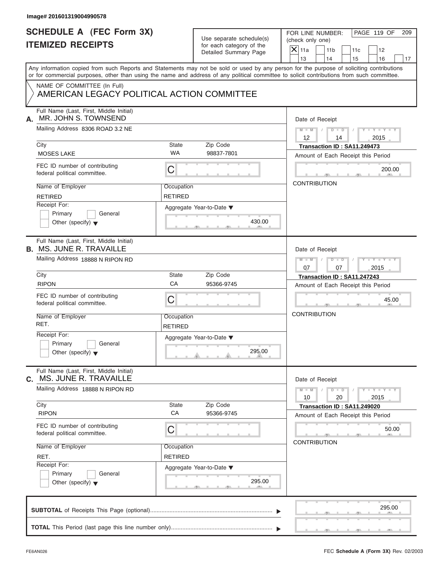| Use separate schedule(s) |
|--------------------------|
| for each category of the |
| Detailed Summary Page    |

| <b>SCHEDULE A (FEC Form 3X)</b>                                            |                |                                                      | PAGE 119 OF<br>FOR LINE NUMBER:<br>209                                                                                                                                                                                                                                                  |  |  |  |
|----------------------------------------------------------------------------|----------------|------------------------------------------------------|-----------------------------------------------------------------------------------------------------------------------------------------------------------------------------------------------------------------------------------------------------------------------------------------|--|--|--|
| <b>ITEMIZED RECEIPTS</b>                                                   |                | Use separate schedule(s)<br>for each category of the | (check only one)                                                                                                                                                                                                                                                                        |  |  |  |
|                                                                            |                | Detailed Summary Page                                | $X$ 11a<br>11 <sub>b</sub><br>11c<br>12                                                                                                                                                                                                                                                 |  |  |  |
|                                                                            |                |                                                      | 13<br>14<br>15<br>16<br>17                                                                                                                                                                                                                                                              |  |  |  |
|                                                                            |                |                                                      | Any information copied from such Reports and Statements may not be sold or used by any person for the purpose of soliciting contributions<br>or for commercial purposes, other than using the name and address of any political committee to solicit contributions from such committee. |  |  |  |
| NAME OF COMMITTEE (In Full)                                                |                |                                                      |                                                                                                                                                                                                                                                                                         |  |  |  |
| AMERICAN LEGACY POLITICAL ACTION COMMITTEE                                 |                |                                                      |                                                                                                                                                                                                                                                                                         |  |  |  |
| Full Name (Last, First, Middle Initial)<br>MR. JOHN S. TOWNSEND<br>А.      |                |                                                      | Date of Receipt                                                                                                                                                                                                                                                                         |  |  |  |
| Mailing Address 8306 ROAD 3.2 NE                                           |                |                                                      | $M - M$ /<br>$D$ $D$ $I$<br>$Y - Y - Y - Y - Y$<br>$12 \overline{ }$<br>2015<br>14                                                                                                                                                                                                      |  |  |  |
| City                                                                       | State          | Zip Code                                             | Transaction ID: SA11.249473                                                                                                                                                                                                                                                             |  |  |  |
| <b>MOSES LAKE</b>                                                          | <b>WA</b>      | 98837-7801                                           | Amount of Each Receipt this Period                                                                                                                                                                                                                                                      |  |  |  |
| FEC ID number of contributing<br>federal political committee.              | С              |                                                      | 200.00                                                                                                                                                                                                                                                                                  |  |  |  |
| Name of Employer                                                           | Occupation     |                                                      | <b>CONTRIBUTION</b>                                                                                                                                                                                                                                                                     |  |  |  |
| <b>RETIRED</b>                                                             | <b>RETIRED</b> |                                                      |                                                                                                                                                                                                                                                                                         |  |  |  |
| Receipt For:                                                               |                | Aggregate Year-to-Date ▼                             |                                                                                                                                                                                                                                                                                         |  |  |  |
| Primary<br>General                                                         |                |                                                      |                                                                                                                                                                                                                                                                                         |  |  |  |
| Other (specify) $\blacktriangledown$                                       |                | 430.00                                               |                                                                                                                                                                                                                                                                                         |  |  |  |
| Full Name (Last, First, Middle Initial)<br><b>B. MS. JUNE R. TRAVAILLE</b> |                |                                                      | Date of Receipt                                                                                                                                                                                                                                                                         |  |  |  |
| Mailing Address 18888 N RIPON RD                                           |                |                                                      | $D$ $D$ $/$<br>$Y = Y = Y - Y$<br>$M - M$                                                                                                                                                                                                                                               |  |  |  |
| City                                                                       | State          | Zip Code                                             | 07<br>07<br>2015                                                                                                                                                                                                                                                                        |  |  |  |
| <b>RIPON</b>                                                               | CA             | 95366-9745                                           | Transaction ID: SA11.247243                                                                                                                                                                                                                                                             |  |  |  |
|                                                                            |                |                                                      | Amount of Each Receipt this Period                                                                                                                                                                                                                                                      |  |  |  |
| FEC ID number of contributing<br>federal political committee.              | С              |                                                      | 45.00                                                                                                                                                                                                                                                                                   |  |  |  |
| Name of Employer                                                           | Occupation     |                                                      | <b>CONTRIBUTION</b>                                                                                                                                                                                                                                                                     |  |  |  |
| RET.                                                                       | <b>RETIRED</b> |                                                      |                                                                                                                                                                                                                                                                                         |  |  |  |
| Receipt For:                                                               |                | Aggregate Year-to-Date ▼                             |                                                                                                                                                                                                                                                                                         |  |  |  |
| Primary<br>General<br>Other (specify) $\blacktriangledown$                 |                | 295.00                                               |                                                                                                                                                                                                                                                                                         |  |  |  |
| Full Name (Last, First, Middle Initial)<br>MS. JUNE R. TRAVAILLE<br>C.     |                |                                                      | Date of Receipt                                                                                                                                                                                                                                                                         |  |  |  |
| Mailing Address 18888 N RIPON RD                                           |                |                                                      | $Y - Y - Y - Y - Y$<br>$M - M$<br>$D$ $\Box$ $D$<br>20<br>10<br>2015                                                                                                                                                                                                                    |  |  |  |
| City                                                                       | State          | Zip Code                                             | Transaction ID: SA11.249020                                                                                                                                                                                                                                                             |  |  |  |
| <b>RIPON</b>                                                               | CA             | 95366-9745                                           | Amount of Each Receipt this Period                                                                                                                                                                                                                                                      |  |  |  |
| FEC ID number of contributing<br>federal political committee.              | С              |                                                      | 50.00                                                                                                                                                                                                                                                                                   |  |  |  |
| Name of Employer                                                           | Occupation     |                                                      | <b>CONTRIBUTION</b>                                                                                                                                                                                                                                                                     |  |  |  |
| RET.                                                                       | <b>RETIRED</b> |                                                      |                                                                                                                                                                                                                                                                                         |  |  |  |
| Receipt For:                                                               |                |                                                      |                                                                                                                                                                                                                                                                                         |  |  |  |
| Primary<br>General                                                         |                | Aggregate Year-to-Date ▼                             |                                                                                                                                                                                                                                                                                         |  |  |  |
| Other (specify) $\blacktriangledown$                                       |                | 295.00                                               |                                                                                                                                                                                                                                                                                         |  |  |  |
|                                                                            |                |                                                      |                                                                                                                                                                                                                                                                                         |  |  |  |
|                                                                            |                |                                                      | 295.00                                                                                                                                                                                                                                                                                  |  |  |  |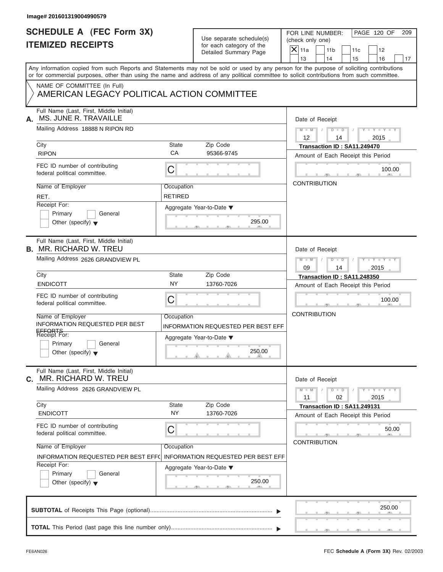| <b>SCHEDULE A (FEC Form 3X)</b><br><b>ITEMIZED RECEIPTS</b>                | Use separate schedule(s)<br>for each category of the | PAGE 120 OF<br>FOR LINE NUMBER:<br>209<br>(check only one)                                                                                                                                                                                                                              |
|----------------------------------------------------------------------------|------------------------------------------------------|-----------------------------------------------------------------------------------------------------------------------------------------------------------------------------------------------------------------------------------------------------------------------------------------|
|                                                                            | Detailed Summary Page                                | $\mathsf{X} _{\mathsf{11a}}$<br>11 <sub>b</sub><br>11c<br>12<br>13<br>14<br>15<br>16<br>17                                                                                                                                                                                              |
|                                                                            |                                                      | Any information copied from such Reports and Statements may not be sold or used by any person for the purpose of soliciting contributions<br>or for commercial purposes, other than using the name and address of any political committee to solicit contributions from such committee. |
| NAME OF COMMITTEE (In Full)<br>AMERICAN LEGACY POLITICAL ACTION COMMITTEE  |                                                      |                                                                                                                                                                                                                                                                                         |
| Full Name (Last, First, Middle Initial)<br>MS. JUNE R. TRAVAILLE<br>А.     |                                                      | Date of Receipt                                                                                                                                                                                                                                                                         |
| Mailing Address 18888 N RIPON RD                                           |                                                      | $D$ $\Box$ $D$<br>$Y - Y - Y - Y - Y$<br>$M - M$<br>$12 \overline{ }$<br>2015<br>14                                                                                                                                                                                                     |
| City                                                                       | <b>State</b><br>Zip Code<br>CA                       | Transaction ID: SA11.249470                                                                                                                                                                                                                                                             |
| <b>RIPON</b>                                                               | 95366-9745                                           | Amount of Each Receipt this Period                                                                                                                                                                                                                                                      |
| FEC ID number of contributing<br>federal political committee.              | С                                                    | 100.00                                                                                                                                                                                                                                                                                  |
| Name of Employer                                                           | Occupation                                           | <b>CONTRIBUTION</b>                                                                                                                                                                                                                                                                     |
| RET.                                                                       | <b>RETIRED</b>                                       |                                                                                                                                                                                                                                                                                         |
| Receipt For:                                                               | Aggregate Year-to-Date ▼                             |                                                                                                                                                                                                                                                                                         |
| Primary<br>General<br>Other (specify) $\blacktriangledown$                 | 295.00                                               |                                                                                                                                                                                                                                                                                         |
| Full Name (Last, First, Middle Initial)<br><b>B. MR. RICHARD W. TREU</b>   |                                                      | Date of Receipt                                                                                                                                                                                                                                                                         |
| Mailing Address 2626 GRANDVIEW PL                                          |                                                      | $M - M$<br>$D - I - D$<br>$Y - Y - Y - Y - Y$                                                                                                                                                                                                                                           |
|                                                                            |                                                      | 09<br>14<br>2015                                                                                                                                                                                                                                                                        |
| City                                                                       | <b>State</b><br>Zip Code                             | Transaction ID: SA11.248350                                                                                                                                                                                                                                                             |
| <b>ENDICOTT</b>                                                            | <b>NY</b><br>13760-7026                              | Amount of Each Receipt this Period                                                                                                                                                                                                                                                      |
| FEC ID number of contributing<br>federal political committee.              | C                                                    | 100.00                                                                                                                                                                                                                                                                                  |
| Name of Employer                                                           | Occupation                                           | <b>CONTRIBUTION</b>                                                                                                                                                                                                                                                                     |
| INFORMATION REQUESTED PER BEST                                             | INFORMATION REQUESTED PER BEST EFF                   |                                                                                                                                                                                                                                                                                         |
| EFFORTS<br>Receipt For:                                                    | Aggregate Year-to-Date ▼                             |                                                                                                                                                                                                                                                                                         |
| Primary<br>General<br>Other (specify) $\blacktriangledown$                 | 250.00                                               |                                                                                                                                                                                                                                                                                         |
| Full Name (Last, First, Middle Initial)<br>MR. RICHARD W. TREU<br>С.       |                                                      | Date of Receipt                                                                                                                                                                                                                                                                         |
| Mailing Address 2626 GRANDVIEW PL                                          |                                                      | $Y - Y - Y - Y - I$<br>$M - M$<br>$D - D$<br>11<br>02<br>2015                                                                                                                                                                                                                           |
| City                                                                       | State<br>Zip Code<br><b>NY</b>                       | Transaction ID: SA11.249131                                                                                                                                                                                                                                                             |
| <b>ENDICOTT</b>                                                            | 13760-7026                                           | Amount of Each Receipt this Period                                                                                                                                                                                                                                                      |
| FEC ID number of contributing<br>federal political committee.              | С                                                    | 50.00                                                                                                                                                                                                                                                                                   |
| Name of Employer                                                           | Occupation                                           | <b>CONTRIBUTION</b>                                                                                                                                                                                                                                                                     |
| INFORMATION REQUESTED PER BEST EFF(                                        | <b>INFORMATION REQUESTED PER BEST EFF</b>            |                                                                                                                                                                                                                                                                                         |
| Receipt For:<br>Primary<br>General<br>Other (specify) $\blacktriangledown$ | Aggregate Year-to-Date ▼<br>250.00                   |                                                                                                                                                                                                                                                                                         |
|                                                                            |                                                      | 250.00                                                                                                                                                                                                                                                                                  |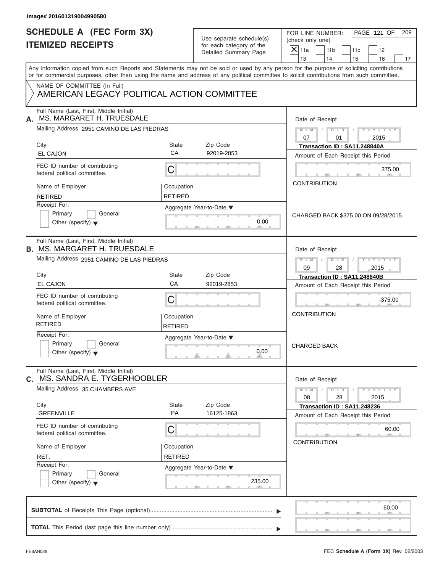| Image# 201601319004990580                                                                                                                  |                                                                               |                                                                               |                                                                                                                                                               |
|--------------------------------------------------------------------------------------------------------------------------------------------|-------------------------------------------------------------------------------|-------------------------------------------------------------------------------|---------------------------------------------------------------------------------------------------------------------------------------------------------------|
| <b>SCHEDULE A (FEC Form 3X)</b><br><b>ITEMIZED RECEIPTS</b>                                                                                |                                                                               | Use separate schedule(s)<br>for each category of the<br>Detailed Summary Page | PAGE 121 OF<br>FOR LINE NUMBER:<br>209<br>(check only one)<br>$\overline{X} _{11a}$<br>11 <sub>b</sub><br>11 <sub>c</sub><br>12<br>13<br>14<br>15<br>16<br>17 |
| or for commercial purposes, other than using the name and address of any political committee to solicit contributions from such committee. |                                                                               |                                                                               | Any information copied from such Reports and Statements may not be sold or used by any person for the purpose of soliciting contributions                     |
| NAME OF COMMITTEE (In Full)<br>AMERICAN LEGACY POLITICAL ACTION COMMITTEE                                                                  |                                                                               |                                                                               |                                                                                                                                                               |
| Full Name (Last, First, Middle Initial)<br>MS. MARGARET H. TRUESDALE<br>А.                                                                 |                                                                               |                                                                               | Date of Receipt                                                                                                                                               |
| Mailing Address 2951 CAMINO DE LAS PIEDRAS                                                                                                 |                                                                               |                                                                               | $Y - Y - Y - Y - Y$<br>$M = M \qquad / \qquad D = D \qquad /$<br>07<br>01<br>2015                                                                             |
| City                                                                                                                                       | State                                                                         | Zip Code                                                                      | Transaction ID: SA11.248840A                                                                                                                                  |
| <b>EL CAJON</b>                                                                                                                            | CA                                                                            | 92019-2853                                                                    | Amount of Each Receipt this Period                                                                                                                            |
| FEC ID number of contributing<br>federal political committee.                                                                              | C                                                                             |                                                                               | 375.00                                                                                                                                                        |
| Name of Employer                                                                                                                           | Occupation                                                                    |                                                                               | <b>CONTRIBUTION</b>                                                                                                                                           |
| <b>RETIRED</b>                                                                                                                             | <b>RETIRED</b>                                                                |                                                                               |                                                                                                                                                               |
| Receipt For:<br>Primary<br>General<br>Other (specify) $\blacktriangledown$                                                                 |                                                                               | Aggregate Year-to-Date $\blacktriangledown$<br>0.00                           | CHARGED BACK \$375.00 ON 09/28/2015                                                                                                                           |
| Full Name (Last, First, Middle Initial)<br><b>B. MS. MARGARET H. TRUESDALE</b>                                                             |                                                                               |                                                                               | Date of Receipt                                                                                                                                               |
| Mailing Address 2951 CAMINO DE LAS PIEDRAS                                                                                                 | $D$ $D$<br>$Y = Y = Y' + Y' + Y$<br>$M$ $M$ $I$<br>$\Box$<br>09<br>28<br>2015 |                                                                               |                                                                                                                                                               |
| City                                                                                                                                       | <b>State</b>                                                                  | Zip Code                                                                      | Transaction ID: SA11.248840B                                                                                                                                  |
| <b>EL CAJON</b>                                                                                                                            | CA                                                                            | 92019-2853                                                                    | Amount of Each Receipt this Period                                                                                                                            |
| FEC ID number of contributing<br>federal political committee.                                                                              | C                                                                             |                                                                               | $-375.00$                                                                                                                                                     |
| Name of Employer<br><b>RETIRED</b>                                                                                                         | Occupation<br><b>RETIRED</b>                                                  |                                                                               | <b>CONTRIBUTION</b>                                                                                                                                           |
| Receipt For:<br>Primary<br>General<br>Other (specify) $\blacktriangledown$                                                                 |                                                                               | Aggregate Year-to-Date ▼<br>0.00                                              | <b>CHARGED BACK</b>                                                                                                                                           |
| Full Name (Last, First, Middle Initial)<br>C. MS. SANDRA E. TYGERHOOBLER                                                                   |                                                                               |                                                                               | Date of Receipt                                                                                                                                               |
| Mailing Address 35 CHAMBERS AVE                                                                                                            |                                                                               |                                                                               | $Y - Y - Y - Y - Y$<br>$M - M$<br>$D$ $\Box$ $D$<br>08<br>28<br>2015                                                                                          |
| City                                                                                                                                       | State                                                                         | Zip Code                                                                      | Transaction ID: SA11.248236                                                                                                                                   |
| <b>GREENVILLE</b>                                                                                                                          | PA                                                                            | 16125-1863                                                                    | Amount of Each Receipt this Period                                                                                                                            |
| FEC ID number of contributing<br>federal political committee.                                                                              | С                                                                             |                                                                               | 60.00                                                                                                                                                         |
| Name of Employer                                                                                                                           | Occupation                                                                    |                                                                               | <b>CONTRIBUTION</b>                                                                                                                                           |
| RET.                                                                                                                                       | <b>RETIRED</b>                                                                |                                                                               |                                                                                                                                                               |
| Receipt For:                                                                                                                               |                                                                               | Aggregate Year-to-Date ▼                                                      |                                                                                                                                                               |
| Primary<br>General<br>Other (specify) $\blacktriangledown$                                                                                 |                                                                               | 235.00                                                                        |                                                                                                                                                               |
|                                                                                                                                            |                                                                               |                                                                               | 60.00                                                                                                                                                         |
|                                                                                                                                            |                                                                               |                                                                               |                                                                                                                                                               |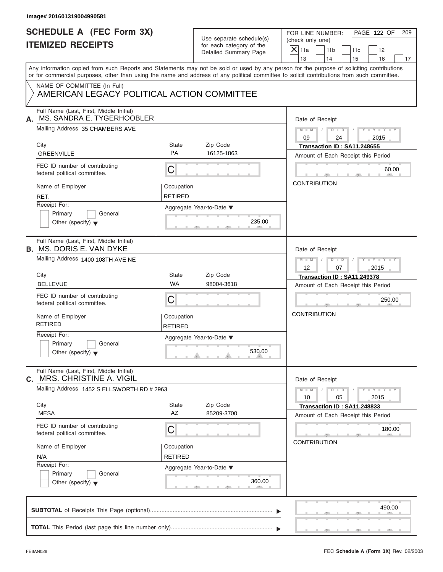| Image# 201601319004990581                                                   |                              |                                                                               |                                                                                                                                                                                                                                                                                         |
|-----------------------------------------------------------------------------|------------------------------|-------------------------------------------------------------------------------|-----------------------------------------------------------------------------------------------------------------------------------------------------------------------------------------------------------------------------------------------------------------------------------------|
| <b>SCHEDULE A (FEC Form 3X)</b><br><b>ITEMIZED RECEIPTS</b>                 |                              | Use separate schedule(s)<br>for each category of the<br>Detailed Summary Page | PAGE 122 OF<br>FOR LINE NUMBER:<br>209<br>(check only one)<br>$X$ 11a<br>11 <sub>b</sub><br>11c<br>12<br>13<br>14<br>15<br>16<br>17                                                                                                                                                     |
|                                                                             |                              |                                                                               | Any information copied from such Reports and Statements may not be sold or used by any person for the purpose of soliciting contributions<br>or for commercial purposes, other than using the name and address of any political committee to solicit contributions from such committee. |
| NAME OF COMMITTEE (In Full)<br>AMERICAN LEGACY POLITICAL ACTION COMMITTEE   |                              |                                                                               |                                                                                                                                                                                                                                                                                         |
| Full Name (Last, First, Middle Initial)<br>MS. SANDRA E. TYGERHOOBLER<br>А. | Date of Receipt              |                                                                               |                                                                                                                                                                                                                                                                                         |
| Mailing Address 35 CHAMBERS AVE                                             |                              |                                                                               | $M - M$ / $D - D$ /<br>$Y - Y - Y - Y - Y$<br>09<br>24<br>2015                                                                                                                                                                                                                          |
| City<br><b>GREENVILLE</b>                                                   | State<br><b>PA</b>           | Zip Code<br>16125-1863                                                        | Transaction ID: SA11.248655<br>Amount of Each Receipt this Period                                                                                                                                                                                                                       |
| FEC ID number of contributing<br>federal political committee.               | С                            |                                                                               | 60.00                                                                                                                                                                                                                                                                                   |
| Name of Employer<br>RET.                                                    | Occupation<br><b>RETIRED</b> |                                                                               | <b>CONTRIBUTION</b>                                                                                                                                                                                                                                                                     |
| Receipt For:<br>Primary<br>General<br>Other (specify) $\blacktriangledown$  |                              | Aggregate Year-to-Date ▼<br>235.00                                            |                                                                                                                                                                                                                                                                                         |
| Full Name (Last, First, Middle Initial)<br><b>B. MS. DORIS E. VAN DYKE</b>  |                              |                                                                               | Date of Receipt                                                                                                                                                                                                                                                                         |
| Mailing Address 1400 108TH AVE NE                                           |                              |                                                                               | Y TY TY TY<br>$M \perp M \parallel / \parallel D \perp D \parallel /$<br>12<br>07<br>2015                                                                                                                                                                                               |
| City<br><b>BELLEVUE</b>                                                     | State<br><b>WA</b>           | Zip Code<br>98004-3618                                                        | Transaction ID: SA11.249378                                                                                                                                                                                                                                                             |
| FEC ID number of contributing<br>federal political committee.               | С                            |                                                                               | Amount of Each Receipt this Period<br>250.00                                                                                                                                                                                                                                            |
| Name of Employer<br><b>RETIRED</b>                                          | Occupation<br>RETIRED        |                                                                               | <b>CONTRIBUTION</b>                                                                                                                                                                                                                                                                     |
| Receipt For:<br>Primary<br>General<br>Other (specify) $\blacktriangledown$  |                              | Aggregate Year-to-Date ▼<br>530.00                                            |                                                                                                                                                                                                                                                                                         |
| Full Name (Last, First, Middle Initial)<br>MRS. CHRISTINE A. VIGIL<br>C.    |                              |                                                                               | Date of Receipt                                                                                                                                                                                                                                                                         |
| Mailing Address 1452 S ELLSWORTH RD # 2963                                  |                              |                                                                               | $Y - Y - Y - Y - Y$<br>$M - M$<br>$D$ $\Box$ $D$<br>10<br>05<br>2015                                                                                                                                                                                                                    |
| City<br><b>MESA</b>                                                         | <b>State</b><br>AZ           | Zip Code<br>85209-3700                                                        | Transaction ID: SA11.248833<br>Amount of Each Receipt this Period                                                                                                                                                                                                                       |
| FEC ID number of contributing<br>federal political committee.               | С                            |                                                                               | 180.00                                                                                                                                                                                                                                                                                  |
| Name of Employer<br>N/A                                                     | Occupation<br><b>RETIRED</b> |                                                                               | <b>CONTRIBUTION</b>                                                                                                                                                                                                                                                                     |
| Receipt For:<br>Primary<br>General<br>Other (specify) $\blacktriangledown$  |                              | Aggregate Year-to-Date ▼<br>360.00                                            |                                                                                                                                                                                                                                                                                         |
|                                                                             |                              |                                                                               | 490.00                                                                                                                                                                                                                                                                                  |
|                                                                             |                              |                                                                               |                                                                                                                                                                                                                                                                                         |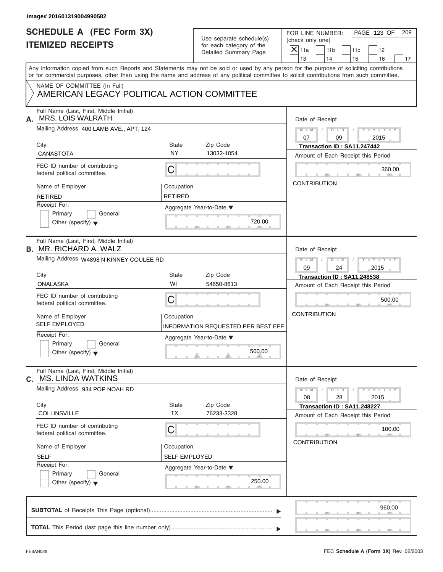| Image# 201601319004990582                                                                                                                                                                                                                                                               |                                                  |                                                                               |                                                                                                                                                |
|-----------------------------------------------------------------------------------------------------------------------------------------------------------------------------------------------------------------------------------------------------------------------------------------|--------------------------------------------------|-------------------------------------------------------------------------------|------------------------------------------------------------------------------------------------------------------------------------------------|
| <b>SCHEDULE A (FEC Form 3X)</b><br><b>ITEMIZED RECEIPTS</b>                                                                                                                                                                                                                             |                                                  | Use separate schedule(s)<br>for each category of the<br>Detailed Summary Page | PAGE 123 OF<br>FOR LINE NUMBER:<br>209<br>(check only one)<br>$\overline{X}$ 11a<br>11 <sub>b</sub><br>11c<br>12<br>13<br>14<br>15<br>16<br>17 |
| Any information copied from such Reports and Statements may not be sold or used by any person for the purpose of soliciting contributions<br>or for commercial purposes, other than using the name and address of any political committee to solicit contributions from such committee. |                                                  |                                                                               |                                                                                                                                                |
| NAME OF COMMITTEE (In Full)<br>AMERICAN LEGACY POLITICAL ACTION COMMITTEE                                                                                                                                                                                                               |                                                  |                                                                               |                                                                                                                                                |
| Full Name (Last, First, Middle Initial)<br><b>MRS. LOIS WALRATH</b><br>А.                                                                                                                                                                                                               |                                                  |                                                                               | Date of Receipt                                                                                                                                |
| Mailing Address 400 LAMB AVE., APT. 124                                                                                                                                                                                                                                                 |                                                  |                                                                               | $D$ $\Box$ $D$ $/$<br>$Y - Y - Y - Y - Y$<br>$M - M$<br>07<br>09<br>2015                                                                       |
| City<br><b>CANASTOTA</b>                                                                                                                                                                                                                                                                | State<br>Zip Code<br><b>NY</b><br>13032-1054     |                                                                               | Transaction ID: SA11.247442<br>Amount of Each Receipt this Period                                                                              |
| FEC ID number of contributing<br>federal political committee.                                                                                                                                                                                                                           | $\mathsf C$                                      |                                                                               | 360.00                                                                                                                                         |
| Name of Employer<br><b>RETIRED</b>                                                                                                                                                                                                                                                      | Occupation<br><b>RETIRED</b>                     |                                                                               | <b>CONTRIBUTION</b>                                                                                                                            |
| Receipt For:<br>Primary<br>General<br>Other (specify) $\blacktriangledown$                                                                                                                                                                                                              | Aggregate Year-to-Date ▼                         | 720.00                                                                        |                                                                                                                                                |
| Full Name (Last, First, Middle Initial)<br><b>B.</b> MR. RICHARD A. WALZ                                                                                                                                                                                                                |                                                  |                                                                               | Date of Receipt                                                                                                                                |
| Mailing Address W4898 N KINNEY COULEE RD                                                                                                                                                                                                                                                |                                                  |                                                                               | $D - D$<br>$Y = Y = Y' + Y' + Y$<br>$M$ $M$<br>$\Box$<br>09<br>2015<br>24                                                                      |
| City<br><b>ONALASKA</b>                                                                                                                                                                                                                                                                 | <b>State</b><br>Zip Code<br>WI<br>54650-8613     |                                                                               | Transaction ID: SA11.248538<br>Amount of Each Receipt this Period                                                                              |
| FEC ID number of contributing<br>federal political committee.                                                                                                                                                                                                                           | C                                                |                                                                               | 500.00                                                                                                                                         |
| Name of Employer<br><b>SELF EMPLOYED</b>                                                                                                                                                                                                                                                | Occupation<br>INFORMATION REQUESTED PER BEST EFF |                                                                               | <b>CONTRIBUTION</b>                                                                                                                            |
| Receipt For:<br>Primary<br>General<br>Other (specify) $\blacktriangledown$                                                                                                                                                                                                              | Aggregate Year-to-Date ▼                         | 500.00                                                                        |                                                                                                                                                |
| Full Name (Last, First, Middle Initial)<br><b>MS. LINDA WATKINS</b><br>C.                                                                                                                                                                                                               |                                                  |                                                                               | Date of Receipt                                                                                                                                |
| Mailing Address 934 POP NOAH RD                                                                                                                                                                                                                                                         |                                                  |                                                                               | $Y - Y - Y - Y - Y$<br>$M - M$<br>$D$ $\Box$ $D$<br>08<br>28<br>2015                                                                           |
| City<br><b>COLLINSVILLE</b>                                                                                                                                                                                                                                                             | State<br>Zip Code<br><b>TX</b><br>76233-3328     |                                                                               | Transaction ID: SA11.248227<br>Amount of Each Receipt this Period                                                                              |
| FEC ID number of contributing<br>federal political committee.                                                                                                                                                                                                                           | C                                                |                                                                               | 100.00                                                                                                                                         |
| Name of Employer<br><b>SELF</b>                                                                                                                                                                                                                                                         | Occupation<br><b>SELF EMPLOYED</b>               |                                                                               | <b>CONTRIBUTION</b>                                                                                                                            |
| Receipt For:<br>Primary<br>General<br>Other (specify) $\blacktriangledown$                                                                                                                                                                                                              | Aggregate Year-to-Date ▼                         | 250.00                                                                        |                                                                                                                                                |
|                                                                                                                                                                                                                                                                                         |                                                  |                                                                               | 960.00                                                                                                                                         |
|                                                                                                                                                                                                                                                                                         |                                                  |                                                                               |                                                                                                                                                |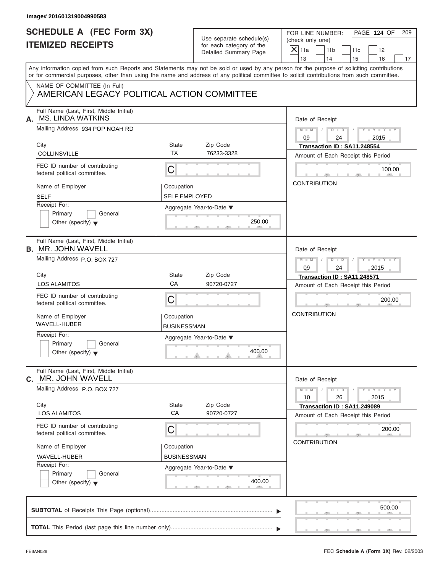|                                                                           |                      |                                                   | PAGE 124 OF<br>FOR LINE NUMBER:<br>209                                                                                                                                                                                                                                                  |  |  |  |
|---------------------------------------------------------------------------|----------------------|---------------------------------------------------|-----------------------------------------------------------------------------------------------------------------------------------------------------------------------------------------------------------------------------------------------------------------------------------------|--|--|--|
| <b>SCHEDULE A (FEC Form 3X)</b><br><b>ITEMIZED RECEIPTS</b>               |                      | Use separate schedule(s)                          | (check only one)                                                                                                                                                                                                                                                                        |  |  |  |
|                                                                           |                      | for each category of the<br>Detailed Summary Page | $\mathsf{X}$ 11a<br>11 <sub>b</sub><br>11c<br>12                                                                                                                                                                                                                                        |  |  |  |
|                                                                           |                      |                                                   | 13<br>14<br>15<br>16<br>17                                                                                                                                                                                                                                                              |  |  |  |
|                                                                           |                      |                                                   | Any information copied from such Reports and Statements may not be sold or used by any person for the purpose of soliciting contributions<br>or for commercial purposes, other than using the name and address of any political committee to solicit contributions from such committee. |  |  |  |
| NAME OF COMMITTEE (In Full)<br>AMERICAN LEGACY POLITICAL ACTION COMMITTEE |                      |                                                   |                                                                                                                                                                                                                                                                                         |  |  |  |
| Full Name (Last, First, Middle Initial)<br><b>MS. LINDA WATKINS</b><br>А. |                      |                                                   | Date of Receipt                                                                                                                                                                                                                                                                         |  |  |  |
| Mailing Address 934 POP NOAH RD                                           |                      |                                                   | $D$ $\Box$ $D$<br>$Y - Y - Y - Y - Y$<br>$M - M$ /<br>$\sqrt{ }$<br>09<br>24<br>2015                                                                                                                                                                                                    |  |  |  |
| City                                                                      | State                | Zip Code                                          | Transaction ID: SA11.248554                                                                                                                                                                                                                                                             |  |  |  |
| <b>COLLINSVILLE</b>                                                       | <b>TX</b>            | 76233-3328                                        | Amount of Each Receipt this Period                                                                                                                                                                                                                                                      |  |  |  |
| FEC ID number of contributing<br>federal political committee.             | C                    |                                                   | 100.00                                                                                                                                                                                                                                                                                  |  |  |  |
| Name of Employer                                                          | Occupation           |                                                   | <b>CONTRIBUTION</b>                                                                                                                                                                                                                                                                     |  |  |  |
| <b>SELF</b>                                                               | <b>SELF EMPLOYED</b> |                                                   |                                                                                                                                                                                                                                                                                         |  |  |  |
| Receipt For:                                                              |                      | Aggregate Year-to-Date ▼                          |                                                                                                                                                                                                                                                                                         |  |  |  |
| Primary<br>General                                                        |                      |                                                   |                                                                                                                                                                                                                                                                                         |  |  |  |
| Other (specify) $\blacktriangledown$                                      |                      | 250.00                                            |                                                                                                                                                                                                                                                                                         |  |  |  |
| Full Name (Last, First, Middle Initial)<br><b>B. MR. JOHN WAVELL</b>      |                      |                                                   | Date of Receipt                                                                                                                                                                                                                                                                         |  |  |  |
| Mailing Address P.O. BOX 727                                              |                      |                                                   |                                                                                                                                                                                                                                                                                         |  |  |  |
|                                                                           |                      |                                                   | $M - M$<br>$D - I - D$<br>Y T Y T Y T<br>09<br>24<br>2015                                                                                                                                                                                                                               |  |  |  |
| City                                                                      | State                | Zip Code                                          | Transaction ID: SA11.248571                                                                                                                                                                                                                                                             |  |  |  |
| <b>LOS ALAMITOS</b>                                                       | CA                   | 90720-0727                                        | Amount of Each Receipt this Period                                                                                                                                                                                                                                                      |  |  |  |
| FEC ID number of contributing<br>federal political committee.             | C                    |                                                   | 200.00                                                                                                                                                                                                                                                                                  |  |  |  |
| Name of Employer                                                          | Occupation           |                                                   | <b>CONTRIBUTION</b>                                                                                                                                                                                                                                                                     |  |  |  |
| WAVELL-HUBER                                                              | <b>BUSINESSMAN</b>   |                                                   |                                                                                                                                                                                                                                                                                         |  |  |  |
| Receipt For:                                                              |                      | Aggregate Year-to-Date ▼                          |                                                                                                                                                                                                                                                                                         |  |  |  |
| Primary<br>General<br>Other (specify) $\blacktriangledown$                |                      | 400.00                                            |                                                                                                                                                                                                                                                                                         |  |  |  |
|                                                                           |                      |                                                   | Date of Receipt                                                                                                                                                                                                                                                                         |  |  |  |
| Full Name (Last, First, Middle Initial)<br>MR. JOHN WAVELL                |                      |                                                   |                                                                                                                                                                                                                                                                                         |  |  |  |
| Mailing Address P.O. BOX 727                                              |                      |                                                   | $Y - Y - Y - Y - I$<br>$M - M$<br>$D - D$<br>10<br>26<br>2015                                                                                                                                                                                                                           |  |  |  |
| City                                                                      | State                | Zip Code                                          | Transaction ID: SA11.249089                                                                                                                                                                                                                                                             |  |  |  |
| <b>LOS ALAMITOS</b>                                                       | CA                   | 90720-0727                                        | Amount of Each Receipt this Period                                                                                                                                                                                                                                                      |  |  |  |
| FEC ID number of contributing<br>federal political committee.             | С                    |                                                   | 200.00                                                                                                                                                                                                                                                                                  |  |  |  |
| Name of Employer                                                          | Occupation           |                                                   | <b>CONTRIBUTION</b>                                                                                                                                                                                                                                                                     |  |  |  |
| WAVELL-HUBER                                                              | <b>BUSINESSMAN</b>   |                                                   |                                                                                                                                                                                                                                                                                         |  |  |  |
| С.<br>Receipt For:                                                        |                      | Aggregate Year-to-Date ▼                          |                                                                                                                                                                                                                                                                                         |  |  |  |
| Primary<br>General<br>Other (specify) $\blacktriangledown$                |                      | 400.00                                            |                                                                                                                                                                                                                                                                                         |  |  |  |
|                                                                           |                      |                                                   | 500.00                                                                                                                                                                                                                                                                                  |  |  |  |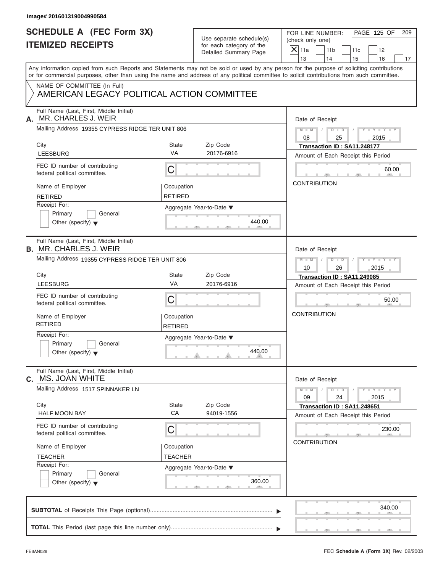| Image# 201601319004990584                                                        |                              |                                                      |                                                                                                                                                                                                                                                                                         |
|----------------------------------------------------------------------------------|------------------------------|------------------------------------------------------|-----------------------------------------------------------------------------------------------------------------------------------------------------------------------------------------------------------------------------------------------------------------------------------------|
| <b>SCHEDULE A (FEC Form 3X)</b><br><b>ITEMIZED RECEIPTS</b>                      |                              | Use separate schedule(s)<br>for each category of the | PAGE 125 OF<br>FOR LINE NUMBER:<br>209<br>(check only one)                                                                                                                                                                                                                              |
|                                                                                  |                              | Detailed Summary Page                                | $X$ 11a<br>11 <sub>b</sub><br>11c<br>12<br>13<br>14<br>15<br>16<br>17                                                                                                                                                                                                                   |
|                                                                                  |                              |                                                      | Any information copied from such Reports and Statements may not be sold or used by any person for the purpose of soliciting contributions<br>or for commercial purposes, other than using the name and address of any political committee to solicit contributions from such committee. |
| NAME OF COMMITTEE (In Full)<br>AMERICAN LEGACY POLITICAL ACTION COMMITTEE        |                              |                                                      |                                                                                                                                                                                                                                                                                         |
| Full Name (Last, First, Middle Initial)<br>MR. CHARLES J. WEIR<br>А.             |                              |                                                      | Date of Receipt                                                                                                                                                                                                                                                                         |
| Mailing Address 19355 CYPRESS RIDGE TER UNIT 806                                 |                              |                                                      | $D$ $D$ $1$<br>$Y - Y - Y - Y - Y$<br>$M - M$ /<br>08<br>2015<br>25                                                                                                                                                                                                                     |
| City<br><b>LEESBURG</b>                                                          | State<br><b>VA</b>           | Zip Code<br>20176-6916                               | Transaction ID: SA11.248177<br>Amount of Each Receipt this Period                                                                                                                                                                                                                       |
| FEC ID number of contributing<br>federal political committee.                    | C                            |                                                      | 60.00                                                                                                                                                                                                                                                                                   |
| Name of Employer<br><b>RETIRED</b>                                               | Occupation<br><b>RETIRED</b> |                                                      | <b>CONTRIBUTION</b>                                                                                                                                                                                                                                                                     |
| Receipt For:<br>Primary<br>General<br>Other (specify) $\blacktriangledown$       | Aggregate Year-to-Date ▼     | 440.00                                               |                                                                                                                                                                                                                                                                                         |
| Full Name (Last, First, Middle Initial)<br><b>B. MR. CHARLES J. WEIR</b>         |                              |                                                      | Date of Receipt                                                                                                                                                                                                                                                                         |
| Mailing Address 19355 CYPRESS RIDGE TER UNIT 806                                 |                              |                                                      | $D - D$<br>$Y = Y = Y' - Y'$<br>$M$ $M$ $/$<br>$\Box$<br>10<br>26<br>2015                                                                                                                                                                                                               |
| City                                                                             | State<br>VA                  | Zip Code                                             | Transaction ID: SA11.249085                                                                                                                                                                                                                                                             |
| <b>LEESBURG</b><br>FEC ID number of contributing<br>federal political committee. | C                            | 20176-6916                                           | Amount of Each Receipt this Period<br>50.00                                                                                                                                                                                                                                             |
| Name of Employer<br><b>RETIRED</b>                                               | Occupation<br>RETIRED        |                                                      | <b>CONTRIBUTION</b>                                                                                                                                                                                                                                                                     |
| Receipt For:<br>Primary<br>General<br>Other (specify) $\blacktriangledown$       |                              | Aggregate Year-to-Date ▼<br>440.00                   |                                                                                                                                                                                                                                                                                         |
| Full Name (Last, First, Middle Initial)<br>MS. JOAN WHITE<br>С.                  |                              |                                                      | Date of Receipt                                                                                                                                                                                                                                                                         |
| Mailing Address 1517 SPINNAKER LN                                                |                              |                                                      | $Y - Y - Y - Y - Y$<br>$M - M$<br>$D$ $\Box$ $D$<br>09<br>24<br>2015                                                                                                                                                                                                                    |
| City<br><b>HALF MOON BAY</b>                                                     | State<br>CA                  | Zip Code<br>94019-1556                               | Transaction ID: SA11.248651<br>Amount of Each Receipt this Period                                                                                                                                                                                                                       |
| FEC ID number of contributing<br>federal political committee.                    | С                            |                                                      | 230.00<br><b>CONTRIBUTION</b>                                                                                                                                                                                                                                                           |
| Name of Employer<br><b>TEACHER</b>                                               | Occupation<br><b>TEACHER</b> |                                                      |                                                                                                                                                                                                                                                                                         |
| Receipt For:<br>Primary<br>General<br>Other (specify) $\blacktriangledown$       | Aggregate Year-to-Date ▼     | 360.00                                               |                                                                                                                                                                                                                                                                                         |
|                                                                                  |                              |                                                      | 340.00                                                                                                                                                                                                                                                                                  |
|                                                                                  |                              |                                                      |                                                                                                                                                                                                                                                                                         |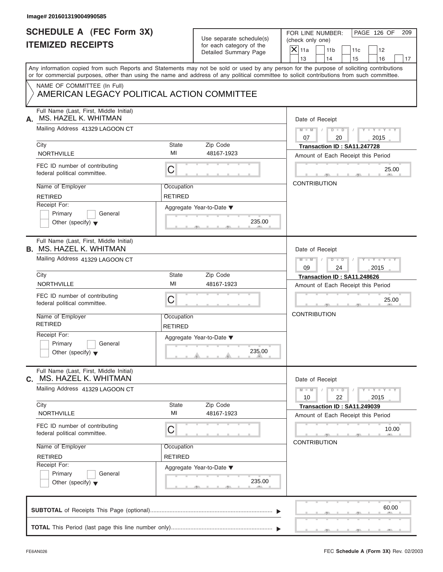| Image# 201601319004990585                                                                                                                  |                              |                                                                               |                                                                                                                                           |
|--------------------------------------------------------------------------------------------------------------------------------------------|------------------------------|-------------------------------------------------------------------------------|-------------------------------------------------------------------------------------------------------------------------------------------|
| <b>SCHEDULE A (FEC Form 3X)</b><br><b>ITEMIZED RECEIPTS</b>                                                                                |                              | Use separate schedule(s)<br>for each category of the<br>Detailed Summary Page | PAGE 126 OF<br>FOR LINE NUMBER:<br>209<br>(check only one)<br>$X$ 11a<br>11 <sub>b</sub><br>11c<br>12<br>13<br>14<br>15<br>16<br>17       |
| or for commercial purposes, other than using the name and address of any political committee to solicit contributions from such committee. |                              |                                                                               | Any information copied from such Reports and Statements may not be sold or used by any person for the purpose of soliciting contributions |
| NAME OF COMMITTEE (In Full)<br>AMERICAN LEGACY POLITICAL ACTION COMMITTEE                                                                  |                              |                                                                               |                                                                                                                                           |
| Full Name (Last, First, Middle Initial)<br>MS. HAZEL K. WHITMAN<br>А.                                                                      |                              |                                                                               | Date of Receipt                                                                                                                           |
| Mailing Address 41329 LAGOON CT                                                                                                            |                              |                                                                               | $M - M$ / $D - D$ /<br>$Y - Y - Y - Y - Y$<br>07<br>20<br>2015                                                                            |
| City<br>NORTHVILLE                                                                                                                         | State<br>MI                  | Zip Code<br>48167-1923                                                        | Transaction ID: SA11.247728<br>Amount of Each Receipt this Period                                                                         |
| FEC ID number of contributing<br>federal political committee.                                                                              | C                            |                                                                               | 25.00                                                                                                                                     |
| Name of Employer<br><b>RETIRED</b>                                                                                                         | Occupation<br><b>RETIRED</b> |                                                                               | <b>CONTRIBUTION</b>                                                                                                                       |
| Receipt For:<br>Primary<br>General<br>Other (specify) $\blacktriangledown$                                                                 |                              | Aggregate Year-to-Date ▼<br>235.00                                            |                                                                                                                                           |
| Full Name (Last, First, Middle Initial)<br><b>B. MS. HAZEL K. WHITMAN</b>                                                                  |                              |                                                                               | Date of Receipt                                                                                                                           |
| Mailing Address 41329 LAGOON CT                                                                                                            |                              |                                                                               | Y TY TY TY<br>$M - M$<br>$D - I - D$<br>$\sqrt{2}$<br>09<br>24<br>2015                                                                    |
| City                                                                                                                                       | State                        | Zip Code                                                                      | Transaction ID: SA11.248626                                                                                                               |
| <b>NORTHVILLE</b>                                                                                                                          | MI                           | 48167-1923                                                                    | Amount of Each Receipt this Period                                                                                                        |
| FEC ID number of contributing<br>federal political committee.                                                                              | C                            |                                                                               | 25.00                                                                                                                                     |
| Name of Employer<br><b>RETIRED</b>                                                                                                         | Occupation<br><b>RETIRED</b> |                                                                               | <b>CONTRIBUTION</b>                                                                                                                       |
| Receipt For:<br>Primary<br>General<br>Other (specify) $\blacktriangledown$                                                                 |                              | Aggregate Year-to-Date ▼<br>235.00                                            |                                                                                                                                           |
| Full Name (Last, First, Middle Initial)<br>MS. HAZEL K. WHITMAN<br>C.                                                                      |                              |                                                                               | Date of Receipt                                                                                                                           |
| Mailing Address 41329 LAGOON CT                                                                                                            |                              |                                                                               | $Y - Y - Y - Y - Y$<br>$M - M$<br>$D$ $\Box$ $D$<br>22<br>10<br>2015                                                                      |
| City<br>NORTHVILLE                                                                                                                         | State<br>MI                  | Zip Code<br>48167-1923                                                        | Transaction ID: SA11.249039<br>Amount of Each Receipt this Period                                                                         |
| FEC ID number of contributing<br>federal political committee.                                                                              | С                            |                                                                               | 10.00<br><b>CONTRIBUTION</b>                                                                                                              |
| Name of Employer<br><b>RETIRED</b>                                                                                                         | Occupation<br><b>RETIRED</b> |                                                                               |                                                                                                                                           |
| Receipt For:<br>Primary<br>General<br>Other (specify) $\blacktriangledown$                                                                 |                              | Aggregate Year-to-Date ▼<br>235.00                                            |                                                                                                                                           |
|                                                                                                                                            |                              |                                                                               | 60.00                                                                                                                                     |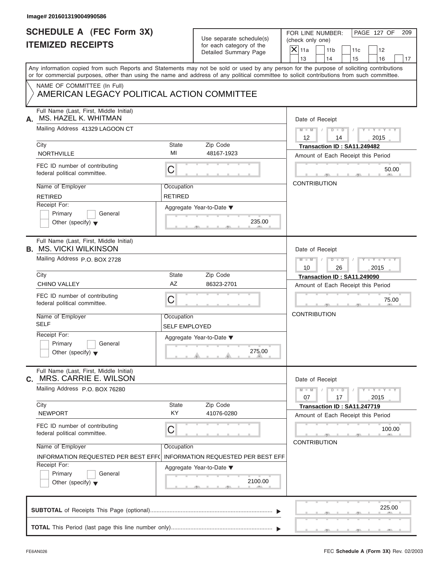| Image# 201601319004990586                                                  |                                                      |                                                                                                                                                                                                                                                                                         |
|----------------------------------------------------------------------------|------------------------------------------------------|-----------------------------------------------------------------------------------------------------------------------------------------------------------------------------------------------------------------------------------------------------------------------------------------|
| <b>SCHEDULE A (FEC Form 3X)</b><br><b>ITEMIZED RECEIPTS</b>                | Use separate schedule(s)<br>for each category of the | PAGE 127 OF<br>FOR LINE NUMBER:<br>209<br>(check only one)<br>$X$ 11a<br>11 <sub>b</sub><br>11c<br>12                                                                                                                                                                                   |
|                                                                            | Detailed Summary Page                                | 13<br>14<br>15<br>16<br>17                                                                                                                                                                                                                                                              |
|                                                                            |                                                      | Any information copied from such Reports and Statements may not be sold or used by any person for the purpose of soliciting contributions<br>or for commercial purposes, other than using the name and address of any political committee to solicit contributions from such committee. |
| NAME OF COMMITTEE (In Full)<br>AMERICAN LEGACY POLITICAL ACTION COMMITTEE  |                                                      |                                                                                                                                                                                                                                                                                         |
| Full Name (Last, First, Middle Initial)<br>MS. HAZEL K. WHITMAN<br>А.      |                                                      | Date of Receipt                                                                                                                                                                                                                                                                         |
| Mailing Address 41329 LAGOON CT                                            |                                                      | $M - M$ / $D - D$<br>$Y - Y - Y - Y - Y$<br>$\sqrt{ }$<br>$12 \overline{ }$<br>2015<br>14                                                                                                                                                                                               |
| City                                                                       | State<br>Zip Code                                    | Transaction ID: SA11.249482                                                                                                                                                                                                                                                             |
| <b>NORTHVILLE</b>                                                          | MI<br>48167-1923                                     | Amount of Each Receipt this Period                                                                                                                                                                                                                                                      |
| FEC ID number of contributing<br>federal political committee.              | С                                                    | 50.00                                                                                                                                                                                                                                                                                   |
| Name of Employer                                                           | Occupation                                           | <b>CONTRIBUTION</b>                                                                                                                                                                                                                                                                     |
| <b>RETIRED</b>                                                             | <b>RETIRED</b>                                       |                                                                                                                                                                                                                                                                                         |
| Receipt For:                                                               | Aggregate Year-to-Date ▼                             |                                                                                                                                                                                                                                                                                         |
| Primary<br>General<br>Other (specify) $\blacktriangledown$                 | 235.00                                               |                                                                                                                                                                                                                                                                                         |
| Full Name (Last, First, Middle Initial)                                    |                                                      |                                                                                                                                                                                                                                                                                         |
| <b>B.</b> MS. VICKI WILKINSON                                              | Date of Receipt                                      |                                                                                                                                                                                                                                                                                         |
| Mailing Address P.O. BOX 2728                                              |                                                      | $M = M - 1$<br>$D - D$<br>$Y = Y = Y' - Y'$<br>$\sqrt{2}$<br>2015<br>10<br>26                                                                                                                                                                                                           |
| City                                                                       | State<br>Zip Code                                    | Transaction ID: SA11.249090                                                                                                                                                                                                                                                             |
| <b>CHINO VALLEY</b>                                                        | AZ<br>86323-2701                                     | Amount of Each Receipt this Period                                                                                                                                                                                                                                                      |
| FEC ID number of contributing<br>federal political committee.              | C                                                    | 75.00                                                                                                                                                                                                                                                                                   |
| Name of Employer                                                           | Occupation                                           | <b>CONTRIBUTION</b>                                                                                                                                                                                                                                                                     |
| <b>SELF</b>                                                                | <b>SELF EMPLOYED</b>                                 |                                                                                                                                                                                                                                                                                         |
| Receipt For:                                                               |                                                      |                                                                                                                                                                                                                                                                                         |
| Primary<br>General<br>Other (specify) $\blacktriangledown$                 | Aggregate Year-to-Date ▼<br>275.00                   |                                                                                                                                                                                                                                                                                         |
| Full Name (Last, First, Middle Initial)<br>C. MRS. CARRIE E. WILSON        |                                                      | Date of Receipt                                                                                                                                                                                                                                                                         |
| Mailing Address P.O. BOX 76280                                             |                                                      | $Y - Y - Y - Y - Y$<br>$M - M$<br>$D - D$<br>07<br>17<br>2015                                                                                                                                                                                                                           |
| City                                                                       | Zip Code<br>State                                    | Transaction ID: SA11.247719                                                                                                                                                                                                                                                             |
| <b>NEWPORT</b>                                                             | KY<br>41076-0280                                     | Amount of Each Receipt this Period                                                                                                                                                                                                                                                      |
| FEC ID number of contributing<br>federal political committee.              | С                                                    | 100.00                                                                                                                                                                                                                                                                                  |
| Name of Employer                                                           | Occupation                                           | <b>CONTRIBUTION</b>                                                                                                                                                                                                                                                                     |
| INFORMATION REQUESTED PER BEST EFF(                                        | <b>INFORMATION REQUESTED PER BEST EFF</b>            |                                                                                                                                                                                                                                                                                         |
| Receipt For:<br>Primary<br>General<br>Other (specify) $\blacktriangledown$ | Aggregate Year-to-Date ▼<br>2100.00                  |                                                                                                                                                                                                                                                                                         |
|                                                                            |                                                      | 225.00                                                                                                                                                                                                                                                                                  |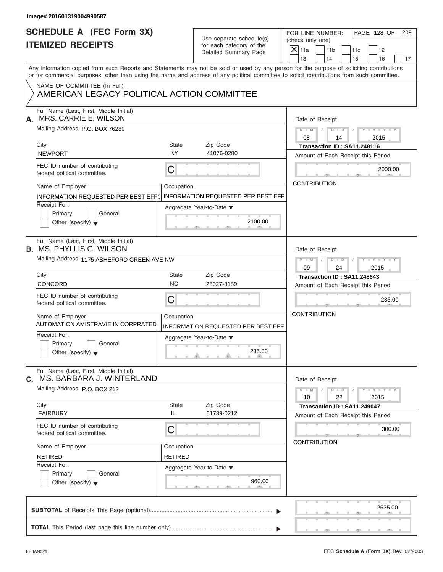| Image# 201601319004990587                                                                                                                                                                                                                                                               |                    |                                                        |                                      |                       |                                                                   |                             |     |
|-----------------------------------------------------------------------------------------------------------------------------------------------------------------------------------------------------------------------------------------------------------------------------------------|--------------------|--------------------------------------------------------|--------------------------------------|-----------------------|-------------------------------------------------------------------|-----------------------------|-----|
| <b>SCHEDULE A (FEC Form 3X)</b><br><b>ITEMIZED RECEIPTS</b>                                                                                                                                                                                                                             |                    | Use separate schedule(s)<br>for each category of the   | FOR LINE NUMBER:<br>(check only one) |                       |                                                                   | PAGE 128 OF                 | 209 |
|                                                                                                                                                                                                                                                                                         |                    | Detailed Summary Page                                  | $X$ 11a                              | 11 <sub>b</sub><br>14 | 11c                                                               | 12                          |     |
| Any information copied from such Reports and Statements may not be sold or used by any person for the purpose of soliciting contributions<br>or for commercial purposes, other than using the name and address of any political committee to solicit contributions from such committee. |                    |                                                        | 13                                   |                       | 15                                                                | 16                          | 17  |
| NAME OF COMMITTEE (In Full)<br>AMERICAN LEGACY POLITICAL ACTION COMMITTEE                                                                                                                                                                                                               |                    |                                                        |                                      |                       |                                                                   |                             |     |
| Full Name (Last, First, Middle Initial)<br>MRS. CARRIE E. WILSON<br>А.                                                                                                                                                                                                                  |                    |                                                        |                                      | Date of Receipt       |                                                                   |                             |     |
| Mailing Address P.O. BOX 76280                                                                                                                                                                                                                                                          |                    |                                                        | $M - M$<br>08                        |                       | $D$ $\Box$ $D$<br>14                                              | $Y - Y - Y - Y - Y$<br>2015 |     |
| City<br><b>NEWPORT</b>                                                                                                                                                                                                                                                                  | State<br><b>KY</b> | Zip Code<br>41076-0280                                 |                                      |                       | Transaction ID: SA11.248116<br>Amount of Each Receipt this Period |                             |     |
| FEC ID number of contributing<br>federal political committee.                                                                                                                                                                                                                           | C                  |                                                        |                                      |                       |                                                                   | 2000.00                     |     |
| Name of Employer<br>INFORMATION REQUESTED PER BEST EFF(                                                                                                                                                                                                                                 | Occupation         | <b>INFORMATION REQUESTED PER BEST EFF</b>              |                                      | <b>CONTRIBUTION</b>   |                                                                   |                             |     |
| Receipt For:<br>Primary<br>General<br>Other (specify) $\bullet$                                                                                                                                                                                                                         |                    | Aggregate Year-to-Date $\blacktriangledown$<br>2100.00 |                                      |                       |                                                                   |                             |     |
| Full Name (Last, First, Middle Initial)<br><b>B.</b> MS. PHYLLIS G. WILSON                                                                                                                                                                                                              |                    |                                                        |                                      | Date of Receipt       |                                                                   |                             |     |
| Mailing Address 1175 ASHEFORD GREEN AVE NW                                                                                                                                                                                                                                              |                    |                                                        | $M - M$<br>09                        | $D - I - D$           | 24                                                                | $Y - Y - Y - Y - Y$<br>2015 |     |
| City                                                                                                                                                                                                                                                                                    | State              | Zip Code                                               |                                      |                       | Transaction ID: SA11.248643                                       |                             |     |
| <b>CONCORD</b>                                                                                                                                                                                                                                                                          | <b>NC</b>          | 28027-8189                                             |                                      |                       | Amount of Each Receipt this Period                                |                             |     |
| FEC ID number of contributing<br>federal political committee.                                                                                                                                                                                                                           | C                  |                                                        |                                      |                       |                                                                   | 235.00                      |     |
| Name of Employer<br><b>AUTOMATION AMISTRAVIE IN CORPRATED</b>                                                                                                                                                                                                                           | Occupation         | INFORMATION REQUESTED PER BEST EFF                     |                                      | <b>CONTRIBUTION</b>   |                                                                   |                             |     |
| Receipt For:<br>Primary<br>General<br>Other (specify) $\blacktriangledown$                                                                                                                                                                                                              |                    | Aggregate Year-to-Date ▼<br>235.00                     |                                      |                       |                                                                   |                             |     |
| Full Name (Last, First, Middle Initial)<br>MS. BARBARA J. WINTERLAND<br>С.                                                                                                                                                                                                              |                    |                                                        |                                      | Date of Receipt       |                                                                   |                             |     |
| Mailing Address P.O. BOX 212                                                                                                                                                                                                                                                            |                    |                                                        | $M - M$<br>10                        | $D$ $\Box$ $D$        | 22                                                                | $Y - Y - Y - Y - Y$<br>2015 |     |
| City<br><b>FAIRBURY</b>                                                                                                                                                                                                                                                                 | State<br>IL        | Zip Code<br>61739-0212                                 |                                      |                       | Transaction ID: SA11.249047<br>Amount of Each Receipt this Period |                             |     |
| FEC ID number of contributing<br>federal political committee.                                                                                                                                                                                                                           | С                  |                                                        |                                      | <b>CONTRIBUTION</b>   |                                                                   | 300.00                      |     |
| Name of Employer                                                                                                                                                                                                                                                                        | Occupation         |                                                        |                                      |                       |                                                                   |                             |     |
| <b>RETIRED</b>                                                                                                                                                                                                                                                                          | RETIRED            |                                                        |                                      |                       |                                                                   |                             |     |
| Receipt For:<br>Primary<br>General<br>Other (specify) $\blacktriangledown$                                                                                                                                                                                                              |                    | Aggregate Year-to-Date ▼<br>960.00                     |                                      |                       |                                                                   |                             |     |
|                                                                                                                                                                                                                                                                                         |                    |                                                        |                                      |                       |                                                                   | 2535.00                     |     |
|                                                                                                                                                                                                                                                                                         |                    |                                                        |                                      |                       |                                                                   |                             |     |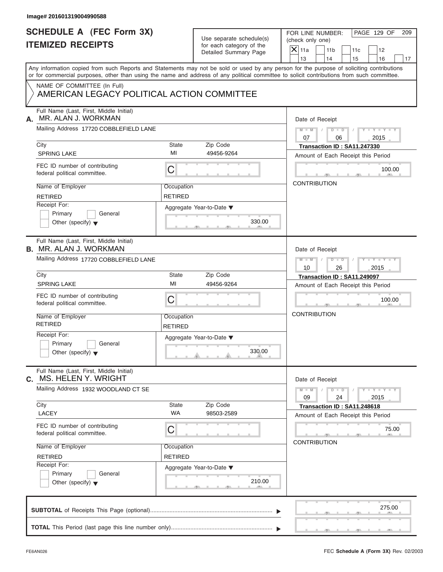| FOR LINE NUMBER:<br>(check only one)<br>11 <sub>b</sub><br>11c                                                                                                                                                                                                                          | PAGE 129 OF<br>209<br>12      |
|-----------------------------------------------------------------------------------------------------------------------------------------------------------------------------------------------------------------------------------------------------------------------------------------|-------------------------------|
| 14<br>15                                                                                                                                                                                                                                                                                | 16<br>17                      |
| Any information copied from such Reports and Statements may not be sold or used by any person for the purpose of soliciting contributions<br>or for commercial purposes, other than using the name and address of any political committee to solicit contributions from such committee. |                               |
|                                                                                                                                                                                                                                                                                         |                               |
| Date of Receipt                                                                                                                                                                                                                                                                         |                               |
| $M = M \qquad / \qquad D = D \qquad /$<br>06                                                                                                                                                                                                                                            | $Y - Y - Y - Y - Y$<br>2015   |
| Transaction ID: SA11.247330<br>Amount of Each Receipt this Period                                                                                                                                                                                                                       |                               |
|                                                                                                                                                                                                                                                                                         | 100.00                        |
| <b>CONTRIBUTION</b>                                                                                                                                                                                                                                                                     |                               |
|                                                                                                                                                                                                                                                                                         |                               |
| Date of Receipt                                                                                                                                                                                                                                                                         |                               |
| $D$ $D$ $/$<br>$M$ $M$ $/$<br>26                                                                                                                                                                                                                                                        | $Y = Y = Y' + Y' + Y$<br>2015 |
| Transaction ID: SA11.249097                                                                                                                                                                                                                                                             |                               |
| Amount of Each Receipt this Period                                                                                                                                                                                                                                                      |                               |
|                                                                                                                                                                                                                                                                                         | 100.00                        |
| <b>CONTRIBUTION</b>                                                                                                                                                                                                                                                                     |                               |
|                                                                                                                                                                                                                                                                                         |                               |
| Date of Receipt                                                                                                                                                                                                                                                                         |                               |
| $M - M$<br>$D$ $\Box$ $D$<br>24                                                                                                                                                                                                                                                         | $Y - Y - Y - Y - Y$<br>2015   |
| Transaction ID: SA11.248618<br>Amount of Each Receipt this Period                                                                                                                                                                                                                       |                               |
| <b>CONTRIBUTION</b>                                                                                                                                                                                                                                                                     | 75.00                         |
|                                                                                                                                                                                                                                                                                         |                               |
|                                                                                                                                                                                                                                                                                         |                               |
|                                                                                                                                                                                                                                                                                         | 275.00                        |
|                                                                                                                                                                                                                                                                                         |                               |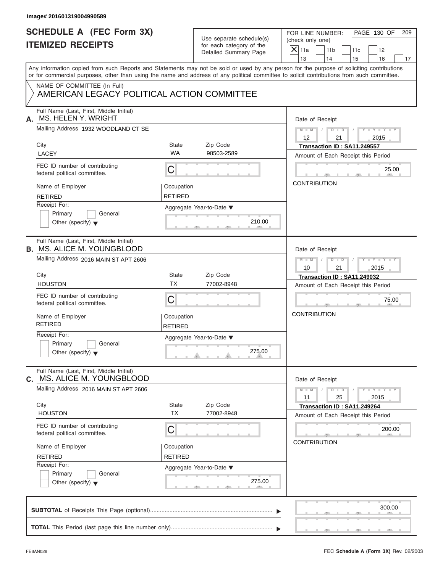| <b>SCHEDULE A (FEC Form 3X)</b>                                              |                                                              |                                             | PAGE 130 OF<br>FOR LINE NUMBER:<br>209                                                                                                                                                                                                                                                  |  |  |  |
|------------------------------------------------------------------------------|--------------------------------------------------------------|---------------------------------------------|-----------------------------------------------------------------------------------------------------------------------------------------------------------------------------------------------------------------------------------------------------------------------------------------|--|--|--|
|                                                                              | Use separate schedule(s)                                     |                                             | (check only one)                                                                                                                                                                                                                                                                        |  |  |  |
| <b>ITEMIZED RECEIPTS</b>                                                     | for each category of the                                     |                                             | $X$ 11a<br>11 <sub>b</sub><br>11c<br>12                                                                                                                                                                                                                                                 |  |  |  |
|                                                                              |                                                              | Detailed Summary Page                       | 13<br>14<br>15<br>16                                                                                                                                                                                                                                                                    |  |  |  |
|                                                                              |                                                              |                                             | Any information copied from such Reports and Statements may not be sold or used by any person for the purpose of soliciting contributions<br>or for commercial purposes, other than using the name and address of any political committee to solicit contributions from such committee. |  |  |  |
|                                                                              |                                                              |                                             |                                                                                                                                                                                                                                                                                         |  |  |  |
| NAME OF COMMITTEE (In Full)<br>AMERICAN LEGACY POLITICAL ACTION COMMITTEE    |                                                              |                                             |                                                                                                                                                                                                                                                                                         |  |  |  |
| Full Name (Last, First, Middle Initial)<br>MS. HELEN Y. WRIGHT<br>А.         |                                                              |                                             | Date of Receipt                                                                                                                                                                                                                                                                         |  |  |  |
| Mailing Address 1932 WOODLAND CT SE                                          |                                                              |                                             | $M = M$ / $D = D$ /<br>$Y - Y - Y - Y - Y$<br>$12 \overline{ }$<br>21<br>2015                                                                                                                                                                                                           |  |  |  |
| City                                                                         | State                                                        | Zip Code                                    | Transaction ID: SA11.249557                                                                                                                                                                                                                                                             |  |  |  |
| <b>LACEY</b>                                                                 | <b>WA</b>                                                    | 98503-2589                                  | Amount of Each Receipt this Period                                                                                                                                                                                                                                                      |  |  |  |
| FEC ID number of contributing<br>federal political committee.                | С                                                            |                                             | 25.00                                                                                                                                                                                                                                                                                   |  |  |  |
| Name of Employer                                                             | Occupation                                                   |                                             | <b>CONTRIBUTION</b>                                                                                                                                                                                                                                                                     |  |  |  |
| <b>RETIRED</b>                                                               | <b>RETIRED</b>                                               |                                             |                                                                                                                                                                                                                                                                                         |  |  |  |
| Receipt For:                                                                 |                                                              | Aggregate Year-to-Date $\blacktriangledown$ |                                                                                                                                                                                                                                                                                         |  |  |  |
| Primary<br>General                                                           |                                                              |                                             |                                                                                                                                                                                                                                                                                         |  |  |  |
| Other (specify) $\blacktriangledown$                                         |                                                              | 210.00                                      |                                                                                                                                                                                                                                                                                         |  |  |  |
| Full Name (Last, First, Middle Initial)<br><b>B. MS. ALICE M. YOUNGBLOOD</b> |                                                              |                                             | Date of Receipt                                                                                                                                                                                                                                                                         |  |  |  |
| Mailing Address 2016 MAIN ST APT 2606                                        | $D$ $\Box$ $D$ $\Box$ $\Box$<br>$Y = Y = Y' = Y'$<br>$M - M$ |                                             |                                                                                                                                                                                                                                                                                         |  |  |  |
|                                                                              |                                                              |                                             | 2015<br>10<br>21                                                                                                                                                                                                                                                                        |  |  |  |
| City                                                                         | State                                                        | Zip Code                                    | Transaction ID: SA11.249032                                                                                                                                                                                                                                                             |  |  |  |
| <b>HOUSTON</b>                                                               | <b>TX</b>                                                    | 77002-8948                                  | Amount of Each Receipt this Period                                                                                                                                                                                                                                                      |  |  |  |
| FEC ID number of contributing<br>federal political committee.                | С                                                            |                                             | 75.00                                                                                                                                                                                                                                                                                   |  |  |  |
| Name of Employer<br><b>RETIRED</b>                                           | Occupation<br><b>RETIRED</b>                                 |                                             | <b>CONTRIBUTION</b>                                                                                                                                                                                                                                                                     |  |  |  |
| Receipt For:                                                                 |                                                              |                                             |                                                                                                                                                                                                                                                                                         |  |  |  |
| Primary<br>General                                                           |                                                              | Aggregate Year-to-Date ▼                    |                                                                                                                                                                                                                                                                                         |  |  |  |
| Other (specify) $\blacktriangledown$                                         |                                                              | 275.00                                      |                                                                                                                                                                                                                                                                                         |  |  |  |
| Full Name (Last, First, Middle Initial)<br>C. MS. ALICE M. YOUNGBLOOD        |                                                              |                                             | Date of Receipt                                                                                                                                                                                                                                                                         |  |  |  |
| Mailing Address 2016 MAIN ST APT 2606                                        |                                                              |                                             | $Y - Y - Y - Y - Y$<br>$M - M$<br>$D$ $\Box$ $D$<br>25<br>2015<br>11                                                                                                                                                                                                                    |  |  |  |
| City                                                                         | State                                                        | Zip Code                                    | Transaction ID: SA11.249264                                                                                                                                                                                                                                                             |  |  |  |
| <b>HOUSTON</b>                                                               | <b>TX</b>                                                    | 77002-8948                                  | Amount of Each Receipt this Period                                                                                                                                                                                                                                                      |  |  |  |
| FEC ID number of contributing<br>federal political committee.                | С                                                            |                                             | 200.00                                                                                                                                                                                                                                                                                  |  |  |  |
| Name of Employer                                                             | Occupation                                                   |                                             | <b>CONTRIBUTION</b>                                                                                                                                                                                                                                                                     |  |  |  |
| <b>RETIRED</b>                                                               | <b>RETIRED</b>                                               |                                             |                                                                                                                                                                                                                                                                                         |  |  |  |
| Receipt For:                                                                 |                                                              | Aggregate Year-to-Date ▼                    |                                                                                                                                                                                                                                                                                         |  |  |  |
| Primary<br>General<br>Other (specify) $\blacktriangledown$                   |                                                              | 275.00                                      |                                                                                                                                                                                                                                                                                         |  |  |  |
|                                                                              |                                                              |                                             | 300.00                                                                                                                                                                                                                                                                                  |  |  |  |
|                                                                              |                                                              |                                             |                                                                                                                                                                                                                                                                                         |  |  |  |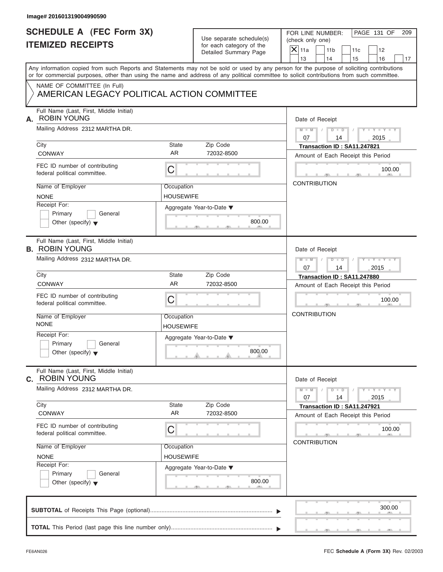| <b>SCHEDULE A (FEC Form 3X)</b><br><b>ITEMIZED RECEIPTS</b>                | Use separate schedule(s)<br>for each category of the | PAGE 131 OF<br>FOR LINE NUMBER:<br>209<br>(check only one)                                                                                                                                                                                                                              |
|----------------------------------------------------------------------------|------------------------------------------------------|-----------------------------------------------------------------------------------------------------------------------------------------------------------------------------------------------------------------------------------------------------------------------------------------|
|                                                                            |                                                      |                                                                                                                                                                                                                                                                                         |
|                                                                            | Detailed Summary Page                                | $X$ 11a<br>11 <sub>b</sub><br>11c<br>12<br>13<br>14<br>15<br>16<br>17                                                                                                                                                                                                                   |
|                                                                            |                                                      | Any information copied from such Reports and Statements may not be sold or used by any person for the purpose of soliciting contributions<br>or for commercial purposes, other than using the name and address of any political committee to solicit contributions from such committee. |
| NAME OF COMMITTEE (In Full)<br>AMERICAN LEGACY POLITICAL ACTION COMMITTEE  |                                                      |                                                                                                                                                                                                                                                                                         |
| Full Name (Last, First, Middle Initial)<br><b>ROBIN YOUNG</b><br>А.        | Date of Receipt                                      |                                                                                                                                                                                                                                                                                         |
| Mailing Address 2312 MARTHA DR.                                            |                                                      | $M - M$ /<br>$D$ $D$ $/$<br>$Y - Y - Y - Y - Y$<br>07<br>2015<br>14                                                                                                                                                                                                                     |
| City<br><b>CONWAY</b>                                                      | State<br>Zip Code<br>AR.<br>72032-8500               | Transaction ID: SA11.247821<br>Amount of Each Receipt this Period                                                                                                                                                                                                                       |
| FEC ID number of contributing<br>federal political committee.              | С                                                    | 100.00                                                                                                                                                                                                                                                                                  |
| Name of Employer<br><b>NONE</b>                                            | Occupation<br><b>HOUSEWIFE</b>                       | <b>CONTRIBUTION</b>                                                                                                                                                                                                                                                                     |
| Receipt For:<br>Primary<br>General<br>Other (specify) $\blacktriangledown$ | Aggregate Year-to-Date ▼<br>800.00                   |                                                                                                                                                                                                                                                                                         |
| Full Name (Last, First, Middle Initial)<br><b>B. ROBIN YOUNG</b>           | Date of Receipt                                      |                                                                                                                                                                                                                                                                                         |
| Mailing Address 2312 MARTHA DR.                                            |                                                      | Y TY TY TY<br>$M - M$<br>$D - D$<br>$\sqrt{2}$<br>07<br>14<br>2015                                                                                                                                                                                                                      |
| City                                                                       | State<br>Zip Code                                    | Transaction ID: SA11.247880                                                                                                                                                                                                                                                             |
| <b>CONWAY</b>                                                              | <b>AR</b><br>72032-8500                              | Amount of Each Receipt this Period                                                                                                                                                                                                                                                      |
| FEC ID number of contributing<br>federal political committee.              | С                                                    | 100.00                                                                                                                                                                                                                                                                                  |
| Name of Employer<br><b>NONE</b>                                            | Occupation<br><b>HOUSEWIFE</b>                       | <b>CONTRIBUTION</b>                                                                                                                                                                                                                                                                     |
| Receipt For:<br>Primary<br>General<br>Other (specify) $\blacktriangledown$ | Aggregate Year-to-Date ▼<br>800.00                   |                                                                                                                                                                                                                                                                                         |
| Full Name (Last, First, Middle Initial)<br><b>c.</b> ROBIN YOUNG           |                                                      | Date of Receipt                                                                                                                                                                                                                                                                         |
| Mailing Address 2312 MARTHA DR.                                            |                                                      | $Y - Y - Y - Y - Y$<br>$M - M$<br>$D$ $\Box$ $D$<br>07<br>14<br>2015                                                                                                                                                                                                                    |
| City<br><b>CONWAY</b>                                                      | Zip Code<br><b>State</b><br>AR<br>72032-8500         | Transaction ID: SA11.247921<br>Amount of Each Receipt this Period                                                                                                                                                                                                                       |
| FEC ID number of contributing<br>federal political committee.              | С                                                    | 100.00<br><b>CONTRIBUTION</b>                                                                                                                                                                                                                                                           |
| Name of Employer<br><b>NONE</b>                                            | Occupation<br>HOUSEWIFE                              |                                                                                                                                                                                                                                                                                         |
| Receipt For:<br>Primary<br>General<br>Other (specify) $\blacktriangledown$ | Aggregate Year-to-Date ▼<br>800.00                   |                                                                                                                                                                                                                                                                                         |
|                                                                            |                                                      | 300.00                                                                                                                                                                                                                                                                                  |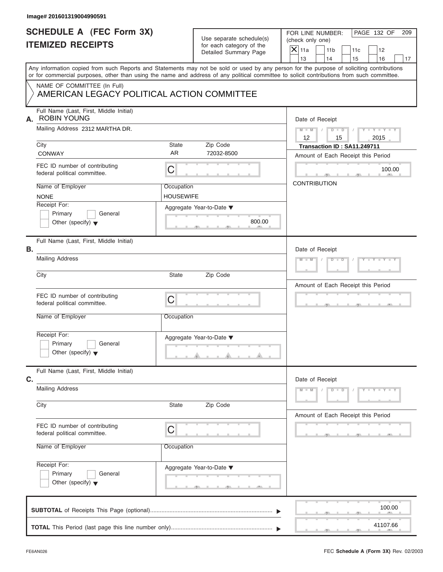| Image# 201601319004990591                                                  |                                |                                                                               |                                                                                                                                                                                                                                                                                                                       |
|----------------------------------------------------------------------------|--------------------------------|-------------------------------------------------------------------------------|-----------------------------------------------------------------------------------------------------------------------------------------------------------------------------------------------------------------------------------------------------------------------------------------------------------------------|
| <b>SCHEDULE A (FEC Form 3X)</b><br><b>ITEMIZED RECEIPTS</b>                |                                | Use separate schedule(s)<br>for each category of the<br>Detailed Summary Page | PAGE 132 OF<br>FOR LINE NUMBER:<br>209<br>(check only one)<br>$\mathsf{X}$ 11a<br>11 <sub>b</sub><br>11c<br>12                                                                                                                                                                                                        |
|                                                                            |                                |                                                                               | 13<br>14<br>16<br>15<br>17<br>Any information copied from such Reports and Statements may not be sold or used by any person for the purpose of soliciting contributions<br>or for commercial purposes, other than using the name and address of any political committee to solicit contributions from such committee. |
| NAME OF COMMITTEE (In Full)<br>AMERICAN LEGACY POLITICAL ACTION COMMITTEE  |                                |                                                                               |                                                                                                                                                                                                                                                                                                                       |
| Full Name (Last, First, Middle Initial)<br>A. ROBIN YOUNG                  |                                |                                                                               | Date of Receipt                                                                                                                                                                                                                                                                                                       |
| Mailing Address 2312 MARTHA DR.                                            |                                |                                                                               | $Y = Y = Y + Y$<br>$M = M$ / $D = D$ /<br>12<br>15<br>2015                                                                                                                                                                                                                                                            |
| City<br><b>CONWAY</b>                                                      | State<br>AR                    | Zip Code<br>72032-8500                                                        | Transaction ID: SA11.249711<br>Amount of Each Receipt this Period                                                                                                                                                                                                                                                     |
| FEC ID number of contributing<br>federal political committee.              | С                              |                                                                               | 100.00<br>$1 - 100$<br>$-1$                                                                                                                                                                                                                                                                                           |
| Name of Employer<br><b>NONE</b>                                            | Occupation<br><b>HOUSEWIFE</b> |                                                                               | <b>CONTRIBUTION</b>                                                                                                                                                                                                                                                                                                   |
| Receipt For:<br>Primary<br>General<br>Other (specify) $\blacktriangledown$ |                                | Aggregate Year-to-Date ▼<br>800.00                                            |                                                                                                                                                                                                                                                                                                                       |
| Full Name (Last, First, Middle Initial)<br>В.                              |                                |                                                                               | Date of Receipt                                                                                                                                                                                                                                                                                                       |
| <b>Mailing Address</b>                                                     |                                |                                                                               | Y TY TY TY<br>$M - M$<br>$D$ $D$                                                                                                                                                                                                                                                                                      |
| City                                                                       | State                          | Zip Code                                                                      | Amount of Each Receipt this Period                                                                                                                                                                                                                                                                                    |
| FEC ID number of contributing<br>federal political committee.              | C                              |                                                                               | $-$ (H)<br>______                                                                                                                                                                                                                                                                                                     |
| Name of Employer                                                           | Occupation                     |                                                                               |                                                                                                                                                                                                                                                                                                                       |
| Receipt For:<br>Primary<br>General<br>Other (specify) $\blacktriangledown$ |                                | Aggregate Year-to-Date ▼                                                      |                                                                                                                                                                                                                                                                                                                       |
| Full Name (Last, First, Middle Initial)<br>C.                              |                                |                                                                               | Date of Receipt                                                                                                                                                                                                                                                                                                       |
| <b>Mailing Address</b>                                                     |                                |                                                                               | $M - M$<br>$D$ $\Box$ $D$<br>$Y = Y = Y' + Y$                                                                                                                                                                                                                                                                         |
| City                                                                       | State                          | Zip Code                                                                      | Amount of Each Receipt this Period                                                                                                                                                                                                                                                                                    |
| FEC ID number of contributing<br>federal political committee.              | С                              |                                                                               |                                                                                                                                                                                                                                                                                                                       |
| Name of Employer                                                           | Occupation                     |                                                                               |                                                                                                                                                                                                                                                                                                                       |
| Receipt For:<br>Primary<br>General<br>Other (specify) $\blacktriangledown$ |                                | Aggregate Year-to-Date ▼                                                      |                                                                                                                                                                                                                                                                                                                       |
|                                                                            |                                |                                                                               | 100.00                                                                                                                                                                                                                                                                                                                |
|                                                                            |                                |                                                                               | 41107.66                                                                                                                                                                                                                                                                                                              |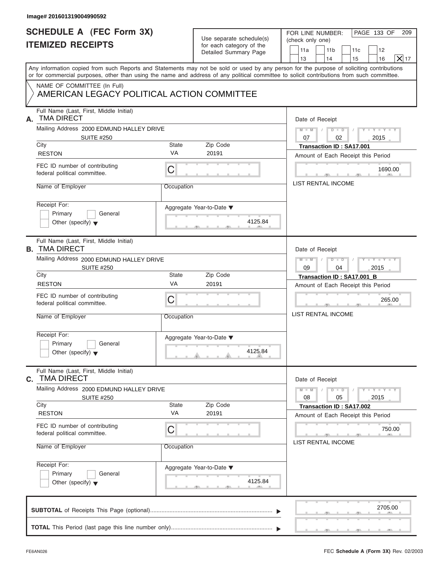| Any information copied from such Reports and Statements may not be sold or used by any person for the purpose of soliciting contributions<br>or for commercial purposes, other than using the name and address of any political committee to solicit contributions from such committee.<br>NAME OF COMMITTEE (In Full)<br>AMERICAN LEGACY POLITICAL ACTION COMMITTEE<br>Full Name (Last, First, Middle Initial)<br><b>TMA DIRECT</b><br>А.<br>Mailing Address 2000 EDMUND HALLEY DRIVE<br><b>SUITE #250</b><br>City<br>State<br><b>VA</b><br><b>RESTON</b><br>FEC ID number of contributing<br>$\mathsf C$<br>federal political committee.<br>Name of Employer<br>Occupation<br>Receipt For:<br>Aggregate Year-to-Date ▼<br>Primary<br>General<br>Other (specify) $\blacktriangledown$<br>Full Name (Last, First, Middle Initial)<br><b>B. TMA DIRECT</b><br>Mailing Address 2000 EDMUND HALLEY DRIVE<br><b>SUITE #250</b><br>City<br>State<br>VA<br><b>RESTON</b><br>FEC ID number of contributing<br>C<br>federal political committee.<br>Name of Employer<br>Occupation |                   |                                                                         |
|----------------------------------------------------------------------------------------------------------------------------------------------------------------------------------------------------------------------------------------------------------------------------------------------------------------------------------------------------------------------------------------------------------------------------------------------------------------------------------------------------------------------------------------------------------------------------------------------------------------------------------------------------------------------------------------------------------------------------------------------------------------------------------------------------------------------------------------------------------------------------------------------------------------------------------------------------------------------------------------------------------------------------------------------------------------------------|-------------------|-------------------------------------------------------------------------|
|                                                                                                                                                                                                                                                                                                                                                                                                                                                                                                                                                                                                                                                                                                                                                                                                                                                                                                                                                                                                                                                                            |                   |                                                                         |
|                                                                                                                                                                                                                                                                                                                                                                                                                                                                                                                                                                                                                                                                                                                                                                                                                                                                                                                                                                                                                                                                            |                   |                                                                         |
|                                                                                                                                                                                                                                                                                                                                                                                                                                                                                                                                                                                                                                                                                                                                                                                                                                                                                                                                                                                                                                                                            |                   | Date of Receipt                                                         |
|                                                                                                                                                                                                                                                                                                                                                                                                                                                                                                                                                                                                                                                                                                                                                                                                                                                                                                                                                                                                                                                                            |                   | $D$ $D$ $I$<br>$Y - Y - Y - Y - Y$<br>$M - M$ /                         |
|                                                                                                                                                                                                                                                                                                                                                                                                                                                                                                                                                                                                                                                                                                                                                                                                                                                                                                                                                                                                                                                                            | Zip Code          | 07<br>02<br>2015<br><b>Transaction ID: SA17.001</b>                     |
|                                                                                                                                                                                                                                                                                                                                                                                                                                                                                                                                                                                                                                                                                                                                                                                                                                                                                                                                                                                                                                                                            | 20191             | Amount of Each Receipt this Period                                      |
|                                                                                                                                                                                                                                                                                                                                                                                                                                                                                                                                                                                                                                                                                                                                                                                                                                                                                                                                                                                                                                                                            |                   | 1690.00                                                                 |
|                                                                                                                                                                                                                                                                                                                                                                                                                                                                                                                                                                                                                                                                                                                                                                                                                                                                                                                                                                                                                                                                            |                   | LIST RENTAL INCOME                                                      |
|                                                                                                                                                                                                                                                                                                                                                                                                                                                                                                                                                                                                                                                                                                                                                                                                                                                                                                                                                                                                                                                                            | 4125.84           |                                                                         |
|                                                                                                                                                                                                                                                                                                                                                                                                                                                                                                                                                                                                                                                                                                                                                                                                                                                                                                                                                                                                                                                                            |                   | Date of Receipt                                                         |
|                                                                                                                                                                                                                                                                                                                                                                                                                                                                                                                                                                                                                                                                                                                                                                                                                                                                                                                                                                                                                                                                            |                   | $D - I - D$<br>$Y = Y = Y - Y$<br>$M - M$<br>$\Box$<br>09<br>04<br>2015 |
|                                                                                                                                                                                                                                                                                                                                                                                                                                                                                                                                                                                                                                                                                                                                                                                                                                                                                                                                                                                                                                                                            | Zip Code          | Transaction ID: SA17.001_B                                              |
|                                                                                                                                                                                                                                                                                                                                                                                                                                                                                                                                                                                                                                                                                                                                                                                                                                                                                                                                                                                                                                                                            | 20191             | Amount of Each Receipt this Period                                      |
|                                                                                                                                                                                                                                                                                                                                                                                                                                                                                                                                                                                                                                                                                                                                                                                                                                                                                                                                                                                                                                                                            |                   | 265.00<br>$\mathcal{L} = \mathcal{L}$                                   |
|                                                                                                                                                                                                                                                                                                                                                                                                                                                                                                                                                                                                                                                                                                                                                                                                                                                                                                                                                                                                                                                                            |                   | <b>LIST RENTAL INCOME</b>                                               |
| Receipt For:<br>Aggregate Year-to-Date ▼<br>Primary<br>General<br>Other (specify) $\blacktriangledown$                                                                                                                                                                                                                                                                                                                                                                                                                                                                                                                                                                                                                                                                                                                                                                                                                                                                                                                                                                     | 4125.84           |                                                                         |
| Full Name (Last, First, Middle Initial)<br>C. TMA DIRECT                                                                                                                                                                                                                                                                                                                                                                                                                                                                                                                                                                                                                                                                                                                                                                                                                                                                                                                                                                                                                   |                   | Date of Receipt                                                         |
| Mailing Address 2000 EDMUND HALLEY DRIVE<br><b>SUITE #250</b>                                                                                                                                                                                                                                                                                                                                                                                                                                                                                                                                                                                                                                                                                                                                                                                                                                                                                                                                                                                                              |                   | $Y - Y - Y - Y - Y$<br>$M - M$<br>$D$ $\Box$ $D$<br>2015<br>08<br>05    |
| City<br><b>State</b><br>VA<br><b>RESTON</b>                                                                                                                                                                                                                                                                                                                                                                                                                                                                                                                                                                                                                                                                                                                                                                                                                                                                                                                                                                                                                                | Zip Code<br>20191 | <b>Transaction ID: SA17.002</b>                                         |
| FEC ID number of contributing<br>C<br>federal political committee.                                                                                                                                                                                                                                                                                                                                                                                                                                                                                                                                                                                                                                                                                                                                                                                                                                                                                                                                                                                                         |                   | Amount of Each Receipt this Period<br>750.00                            |
| Name of Employer<br>Occupation                                                                                                                                                                                                                                                                                                                                                                                                                                                                                                                                                                                                                                                                                                                                                                                                                                                                                                                                                                                                                                             |                   | LIST RENTAL INCOME                                                      |
| Receipt For:<br>Aggregate Year-to-Date ▼<br>Primary<br>General<br>Other (specify) $\blacktriangledown$                                                                                                                                                                                                                                                                                                                                                                                                                                                                                                                                                                                                                                                                                                                                                                                                                                                                                                                                                                     | 4125.84           |                                                                         |
|                                                                                                                                                                                                                                                                                                                                                                                                                                                                                                                                                                                                                                                                                                                                                                                                                                                                                                                                                                                                                                                                            |                   | 2705.00                                                                 |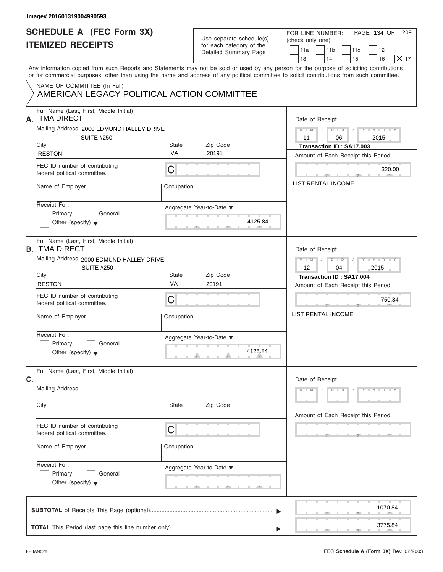| Image# 201601319004990593                                                  |                          |                                                                               |                                                                                                                                                                                                                                                                                         |
|----------------------------------------------------------------------------|--------------------------|-------------------------------------------------------------------------------|-----------------------------------------------------------------------------------------------------------------------------------------------------------------------------------------------------------------------------------------------------------------------------------------|
| <b>SCHEDULE A (FEC Form 3X)</b><br><b>ITEMIZED RECEIPTS</b>                |                          | Use separate schedule(s)<br>for each category of the<br>Detailed Summary Page | PAGE 134 OF<br>FOR LINE NUMBER:<br>209<br>(check only one)<br>11a<br>11 <sub>b</sub><br>11c<br>12<br>X 17<br>13<br>14<br>16<br>15                                                                                                                                                       |
|                                                                            |                          |                                                                               | Any information copied from such Reports and Statements may not be sold or used by any person for the purpose of soliciting contributions<br>or for commercial purposes, other than using the name and address of any political committee to solicit contributions from such committee. |
| NAME OF COMMITTEE (In Full)<br>AMERICAN LEGACY POLITICAL ACTION COMMITTEE  |                          |                                                                               |                                                                                                                                                                                                                                                                                         |
| Full Name (Last, First, Middle Initial)<br><b>TMA DIRECT</b><br>А.         |                          |                                                                               | Date of Receipt                                                                                                                                                                                                                                                                         |
| Mailing Address 2000 EDMUND HALLEY DRIVE                                   |                          |                                                                               | $M = M - 1$<br>$D$ $D$ $/$<br>$Y - Y - Y - Y - Y$                                                                                                                                                                                                                                       |
| <b>SUITE #250</b><br>City                                                  | State                    | Zip Code                                                                      | 11<br>06<br>2015<br>Transaction ID: SA17.003                                                                                                                                                                                                                                            |
| <b>RESTON</b>                                                              | <b>VA</b>                | 20191                                                                         | Amount of Each Receipt this Period                                                                                                                                                                                                                                                      |
| FEC ID number of contributing<br>federal political committee.              | С                        |                                                                               | 320.00                                                                                                                                                                                                                                                                                  |
| Name of Employer                                                           | Occupation               |                                                                               | <b>LIST RENTAL INCOME</b>                                                                                                                                                                                                                                                               |
| Receipt For:<br>Primary<br>General<br>Other (specify) $\blacktriangledown$ | Aggregate Year-to-Date ▼ | 4125.84                                                                       |                                                                                                                                                                                                                                                                                         |
| Full Name (Last, First, Middle Initial)<br><b>B. TMA DIRECT</b>            |                          |                                                                               | Date of Receipt                                                                                                                                                                                                                                                                         |
| Mailing Address 2000 EDMUND HALLEY DRIVE<br><b>SUITE #250</b>              |                          |                                                                               | Y T Y T Y T<br>$M - M$<br>$D - D$<br>$\sqrt{2}$<br>$\sqrt{2}$<br>$12 \overline{ }$<br>2015<br>04                                                                                                                                                                                        |
| City                                                                       | State                    | Zip Code                                                                      | Transaction ID: SA17.004                                                                                                                                                                                                                                                                |
| <b>RESTON</b>                                                              | VA                       | 20191                                                                         | Amount of Each Receipt this Period                                                                                                                                                                                                                                                      |
| FEC ID number of contributing<br>federal political committee.              | С                        |                                                                               | 750.84<br>$\mathbf{1}$                                                                                                                                                                                                                                                                  |
| Name of Employer                                                           | Occupation               |                                                                               | <b>LIST RENTAL INCOME</b>                                                                                                                                                                                                                                                               |
| Receipt For:<br>Primary<br>General<br>Other (specify) $\blacktriangledown$ | Aggregate Year-to-Date ▼ | 4125.84                                                                       |                                                                                                                                                                                                                                                                                         |
| Full Name (Last, First, Middle Initial)<br>C.                              |                          |                                                                               | Date of Receipt                                                                                                                                                                                                                                                                         |
| <b>Mailing Address</b>                                                     |                          |                                                                               | $M - M$<br>$D$ $\Box$ $D$<br>$Y - Y - Y - Y - Y$                                                                                                                                                                                                                                        |
| City                                                                       | State                    | Zip Code                                                                      | Amount of Each Receipt this Period                                                                                                                                                                                                                                                      |
| FEC ID number of contributing<br>federal political committee.              | С                        |                                                                               |                                                                                                                                                                                                                                                                                         |
| Name of Employer                                                           | Occupation               |                                                                               |                                                                                                                                                                                                                                                                                         |
| Receipt For:<br>Primary<br>General<br>Other (specify) $\blacktriangledown$ | Aggregate Year-to-Date ▼ |                                                                               |                                                                                                                                                                                                                                                                                         |
|                                                                            |                          |                                                                               | 1070.84                                                                                                                                                                                                                                                                                 |
|                                                                            |                          |                                                                               | 3775.84                                                                                                                                                                                                                                                                                 |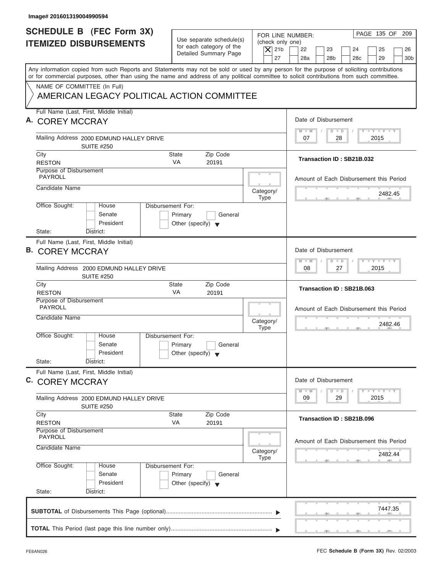| Image# 201601319004990594                                                                                                                                                                                                                                                               |                                                                               |                                                                  |                                                                                                                     |
|-----------------------------------------------------------------------------------------------------------------------------------------------------------------------------------------------------------------------------------------------------------------------------------------|-------------------------------------------------------------------------------|------------------------------------------------------------------|---------------------------------------------------------------------------------------------------------------------|
| <b>SCHEDULE B</b> (FEC Form 3X)<br><b>ITEMIZED DISBURSEMENTS</b>                                                                                                                                                                                                                        | Use separate schedule(s)<br>for each category of the<br>Detailed Summary Page | FOR LINE NUMBER:<br>(check only one)<br>$\overline{X}$ 21b<br>27 | PAGE 135 OF 209<br>22<br>23<br>24<br>25<br>26<br>28a<br>28 <sub>b</sub><br>29<br>30 <sub>b</sub><br>28 <sub>c</sub> |
| Any information copied from such Reports and Statements may not be sold or used by any person for the purpose of soliciting contributions<br>or for commercial purposes, other than using the name and address of any political committee to solicit contributions from such committee. |                                                                               |                                                                  |                                                                                                                     |
| NAME OF COMMITTEE (In Full)<br>AMERICAN LEGACY POLITICAL ACTION COMMITTEE                                                                                                                                                                                                               |                                                                               |                                                                  |                                                                                                                     |
| Full Name (Last, First, Middle Initial)<br>A. COREY MCCRAY                                                                                                                                                                                                                              |                                                                               |                                                                  | Date of Disbursement                                                                                                |
| Mailing Address 2000 EDMUND HALLEY DRIVE<br><b>SUITE #250</b>                                                                                                                                                                                                                           |                                                                               |                                                                  | $T - Y = T - Y = T - Y$<br>$D$ $D$<br>$M - M$<br>28<br>2015<br>07                                                   |
| City<br><b>RESTON</b>                                                                                                                                                                                                                                                                   | <b>State</b><br>Zip Code<br><b>VA</b><br>20191                                |                                                                  | Transaction ID: SB21B.032                                                                                           |
| Purpose of Disbursement<br><b>PAYROLL</b>                                                                                                                                                                                                                                               |                                                                               |                                                                  | Amount of Each Disbursement this Period                                                                             |
| Candidate Name                                                                                                                                                                                                                                                                          |                                                                               | Category/<br><b>Type</b>                                         | 2482.45                                                                                                             |
| Office Sought:<br>Disbursement For:<br>House<br>Senate<br>President                                                                                                                                                                                                                     | Primary<br>General<br>Other (specify) $\blacktriangledown$                    |                                                                  |                                                                                                                     |
| State:<br>District:<br>Full Name (Last, First, Middle Initial)<br><b>B. COREY MCCRAY</b>                                                                                                                                                                                                |                                                                               |                                                                  | Date of Disbursement<br><b>LEYTEY LEY</b><br>$M - M$<br>$D$ $D$                                                     |
| Mailing Address 2000 EDMUND HALLEY DRIVE<br><b>SUITE #250</b>                                                                                                                                                                                                                           |                                                                               |                                                                  | 2015<br>08<br>27                                                                                                    |
| City<br><b>RESTON</b>                                                                                                                                                                                                                                                                   | Zip Code<br><b>State</b><br>VA<br>20191                                       |                                                                  | Transaction ID: SB21B.063                                                                                           |
| Purpose of Disbursement<br><b>PAYROLL</b><br>Candidate Name                                                                                                                                                                                                                             |                                                                               | Category/<br><b>Type</b>                                         | Amount of Each Disbursement this Period<br>2482.46<br>__                                                            |
| Office Sought:<br>House<br>Disbursement For:<br>Senate<br>President<br>State:<br>District:                                                                                                                                                                                              | Primary<br>General<br>Other (specify) $\blacktriangledown$                    |                                                                  |                                                                                                                     |
| Full Name (Last, First, Middle Initial)<br>C. COREY MCCRAY                                                                                                                                                                                                                              |                                                                               |                                                                  | Date of Disbursement<br>$T - Y$ $T - Y$<br>$M - M$<br>$\overline{\mathsf{D}}$<br>$\Box$                             |
| Mailing Address 2000 EDMUND HALLEY DRIVE<br><b>SUITE #250</b>                                                                                                                                                                                                                           |                                                                               |                                                                  | 2015<br>09<br>29                                                                                                    |
| City<br><b>RESTON</b>                                                                                                                                                                                                                                                                   | Zip Code<br>State<br>VA<br>20191                                              |                                                                  | Transaction ID: SB21B.096                                                                                           |
| Purpose of Disbursement<br><b>PAYROLL</b><br>Candidate Name                                                                                                                                                                                                                             |                                                                               |                                                                  | Amount of Each Disbursement this Period                                                                             |
|                                                                                                                                                                                                                                                                                         |                                                                               | Category/<br>Type                                                | 2482.44                                                                                                             |
| Office Sought:<br>Disbursement For:<br>House<br>Senate<br>President<br>State:<br>District:                                                                                                                                                                                              | Primary<br>General<br>Other (specify) $\blacktriangledown$                    |                                                                  |                                                                                                                     |
|                                                                                                                                                                                                                                                                                         |                                                                               |                                                                  | 7447.35                                                                                                             |
|                                                                                                                                                                                                                                                                                         |                                                                               |                                                                  |                                                                                                                     |

I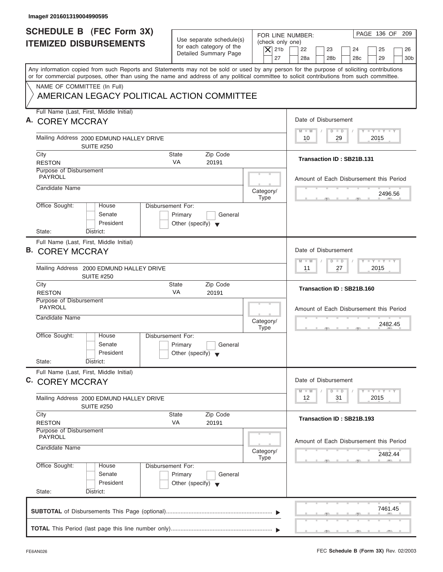| Image# 201601319004990595                                                                                                                                                                                                                                                               |                                                                               |                                                                                                                                                                                         |
|-----------------------------------------------------------------------------------------------------------------------------------------------------------------------------------------------------------------------------------------------------------------------------------------|-------------------------------------------------------------------------------|-----------------------------------------------------------------------------------------------------------------------------------------------------------------------------------------|
| <b>SCHEDULE B</b> (FEC Form 3X)<br><b>ITEMIZED DISBURSEMENTS</b>                                                                                                                                                                                                                        | Use separate schedule(s)<br>for each category of the<br>Detailed Summary Page | PAGE 136 OF 209<br>FOR LINE NUMBER:<br>(check only one)<br>$\overline{X}$ 21b<br>22<br>23<br>24<br>25<br>26<br>27<br>28a<br>28 <sub>b</sub><br>29<br>30 <sub>b</sub><br>28 <sub>c</sub> |
| Any information copied from such Reports and Statements may not be sold or used by any person for the purpose of soliciting contributions<br>or for commercial purposes, other than using the name and address of any political committee to solicit contributions from such committee. |                                                                               |                                                                                                                                                                                         |
| NAME OF COMMITTEE (In Full)<br>AMERICAN LEGACY POLITICAL ACTION COMMITTEE                                                                                                                                                                                                               |                                                                               |                                                                                                                                                                                         |
| Full Name (Last, First, Middle Initial)<br>A. COREY MCCRAY                                                                                                                                                                                                                              |                                                                               | Date of Disbursement                                                                                                                                                                    |
| Mailing Address 2000 EDMUND HALLEY DRIVE<br><b>SUITE #250</b>                                                                                                                                                                                                                           |                                                                               | $T - Y = T - Y = T - Y$<br>$M - M$<br>$D$ $D$<br>29<br>2015<br>10                                                                                                                       |
| City<br><b>RESTON</b>                                                                                                                                                                                                                                                                   | <b>State</b><br>Zip Code<br><b>VA</b><br>20191                                | Transaction ID: SB21B.131                                                                                                                                                               |
| Purpose of Disbursement<br><b>PAYROLL</b>                                                                                                                                                                                                                                               |                                                                               | Amount of Each Disbursement this Period                                                                                                                                                 |
| Candidate Name                                                                                                                                                                                                                                                                          | Category/<br><b>Type</b>                                                      | 2496.56                                                                                                                                                                                 |
| Office Sought:<br>Disbursement For:<br>House<br>Senate<br>President                                                                                                                                                                                                                     | Primary<br>General<br>Other (specify) $\blacktriangledown$                    |                                                                                                                                                                                         |
| State:<br>District:<br>Full Name (Last, First, Middle Initial)<br><b>B. COREY MCCRAY</b>                                                                                                                                                                                                |                                                                               | Date of Disbursement<br><b>LEYTEY LEY</b><br>$M - M$<br>$D$ $D$                                                                                                                         |
| Mailing Address 2000 EDMUND HALLEY DRIVE<br><b>SUITE #250</b>                                                                                                                                                                                                                           |                                                                               | 2015<br>11<br>27                                                                                                                                                                        |
| City<br><b>RESTON</b>                                                                                                                                                                                                                                                                   | Zip Code<br><b>State</b><br>VA<br>20191                                       | Transaction ID: SB21B.160                                                                                                                                                               |
| Purpose of Disbursement<br><b>PAYROLL</b><br>Candidate Name                                                                                                                                                                                                                             | Category/<br><b>Type</b>                                                      | Amount of Each Disbursement this Period<br>2482.45<br>__                                                                                                                                |
| Office Sought:<br>House<br>Disbursement For:<br>Senate<br>President<br>State:<br>District:                                                                                                                                                                                              | Primary<br>General<br>Other (specify) $\blacktriangledown$                    |                                                                                                                                                                                         |
| Full Name (Last, First, Middle Initial)<br>C. COREY MCCRAY                                                                                                                                                                                                                              |                                                                               | Date of Disbursement<br>$T - Y$ $T - Y$<br>$M - M$<br>$\overline{D}$<br>$\Box$                                                                                                          |
| Mailing Address 2000 EDMUND HALLEY DRIVE<br><b>SUITE #250</b>                                                                                                                                                                                                                           |                                                                               | 2015<br>12<br>31                                                                                                                                                                        |
| City<br><b>RESTON</b>                                                                                                                                                                                                                                                                   | Zip Code<br>State<br>VA<br>20191                                              | Transaction ID: SB21B.193                                                                                                                                                               |
| Purpose of Disbursement<br><b>PAYROLL</b><br>Candidate Name                                                                                                                                                                                                                             |                                                                               | Amount of Each Disbursement this Period                                                                                                                                                 |
|                                                                                                                                                                                                                                                                                         | Category/<br>Type                                                             | 2482.44                                                                                                                                                                                 |
| Office Sought:<br>Disbursement For:<br>House<br>Senate<br>President<br>State:<br>District:                                                                                                                                                                                              | Primary<br>General<br>Other (specify) $\blacktriangledown$                    |                                                                                                                                                                                         |
|                                                                                                                                                                                                                                                                                         |                                                                               | 7461.45                                                                                                                                                                                 |
|                                                                                                                                                                                                                                                                                         |                                                                               |                                                                                                                                                                                         |

ı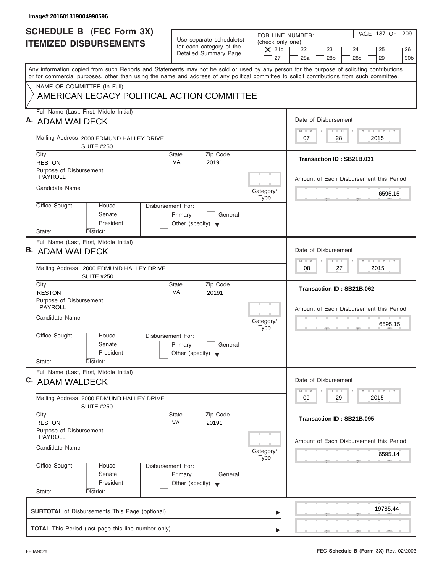| Image# 201601319004990596                                                                                                                                                                                                                                                               |                                                                                 |                                                                  |                                                                                                                     |
|-----------------------------------------------------------------------------------------------------------------------------------------------------------------------------------------------------------------------------------------------------------------------------------------|---------------------------------------------------------------------------------|------------------------------------------------------------------|---------------------------------------------------------------------------------------------------------------------|
| <b>SCHEDULE B</b> (FEC Form 3X)<br><b>ITEMIZED DISBURSEMENTS</b>                                                                                                                                                                                                                        | Use separate schedule(s)<br>for each category of the<br>Detailed Summary Page   | FOR LINE NUMBER:<br>(check only one)<br>$\overline{X}$ 21b<br>27 | PAGE 137 OF 209<br>22<br>23<br>24<br>25<br>26<br>28a<br>28 <sub>b</sub><br>29<br>30 <sub>b</sub><br>28 <sub>c</sub> |
| Any information copied from such Reports and Statements may not be sold or used by any person for the purpose of soliciting contributions<br>or for commercial purposes, other than using the name and address of any political committee to solicit contributions from such committee. |                                                                                 |                                                                  |                                                                                                                     |
| NAME OF COMMITTEE (In Full)<br>AMERICAN LEGACY POLITICAL ACTION COMMITTEE                                                                                                                                                                                                               |                                                                                 |                                                                  |                                                                                                                     |
| Full Name (Last, First, Middle Initial)<br>A. ADAM WALDECK                                                                                                                                                                                                                              |                                                                                 |                                                                  | Date of Disbursement                                                                                                |
| Mailing Address 2000 EDMUND HALLEY DRIVE<br><b>SUITE #250</b>                                                                                                                                                                                                                           |                                                                                 |                                                                  | $T - Y = T - Y = T - Y$<br>$D$ $D$<br>$M - M$<br>28<br>2015<br>07                                                   |
| City<br><b>RESTON</b>                                                                                                                                                                                                                                                                   | <b>State</b><br>Zip Code<br><b>VA</b><br>20191                                  |                                                                  | Transaction ID: SB21B.031                                                                                           |
| Purpose of Disbursement<br><b>PAYROLL</b>                                                                                                                                                                                                                                               |                                                                                 |                                                                  | Amount of Each Disbursement this Period                                                                             |
| Candidate Name                                                                                                                                                                                                                                                                          |                                                                                 | Category/<br><b>Type</b>                                         | 6595.15                                                                                                             |
| Office Sought:<br>House<br>Senate<br>President<br>State:<br>District:                                                                                                                                                                                                                   | Disbursement For:<br>Primary<br>General<br>Other (specify) $\blacktriangledown$ |                                                                  |                                                                                                                     |
| Full Name (Last, First, Middle Initial)<br><b>B. ADAM WALDECK</b>                                                                                                                                                                                                                       |                                                                                 |                                                                  | Date of Disbursement<br><b>LEYTEY LEY</b><br>$M - M$<br>$D$ $D$                                                     |
| Mailing Address 2000 EDMUND HALLEY DRIVE<br><b>SUITE #250</b>                                                                                                                                                                                                                           |                                                                                 |                                                                  | 2015<br>08<br>27                                                                                                    |
| City<br><b>RESTON</b>                                                                                                                                                                                                                                                                   | Zip Code<br><b>State</b><br>VA<br>20191                                         |                                                                  | Transaction ID: SB21B.062                                                                                           |
| Purpose of Disbursement<br><b>PAYROLL</b><br>Candidate Name                                                                                                                                                                                                                             |                                                                                 | Category/<br><b>Type</b>                                         | Amount of Each Disbursement this Period<br>6595.15<br>__                                                            |
| Office Sought:<br>House<br>Senate<br>President<br>State:<br>District:                                                                                                                                                                                                                   | Disbursement For:<br>Primary<br>General<br>Other (specify) $\blacktriangledown$ |                                                                  |                                                                                                                     |
| Full Name (Last, First, Middle Initial)<br>C. ADAM WALDECK                                                                                                                                                                                                                              |                                                                                 |                                                                  | Date of Disbursement<br>$T - Y$ $T - Y$<br>$M - M$<br>$\overline{\mathsf{D}}$<br>$\Box$                             |
| Mailing Address 2000 EDMUND HALLEY DRIVE<br><b>SUITE #250</b>                                                                                                                                                                                                                           |                                                                                 |                                                                  | 2015<br>09<br>29                                                                                                    |
| City<br><b>RESTON</b>                                                                                                                                                                                                                                                                   | Zip Code<br><b>State</b><br>VA<br>20191                                         |                                                                  | Transaction ID: SB21B.095                                                                                           |
| Purpose of Disbursement<br><b>PAYROLL</b>                                                                                                                                                                                                                                               |                                                                                 |                                                                  | Amount of Each Disbursement this Period                                                                             |
| Candidate Name                                                                                                                                                                                                                                                                          |                                                                                 | Category/<br>Type                                                | 6595.14                                                                                                             |
| Office Sought:<br>House<br>Senate<br>President<br>State:<br>District:                                                                                                                                                                                                                   | Disbursement For:<br>Primary<br>General<br>Other (specify) $\blacktriangledown$ |                                                                  |                                                                                                                     |
|                                                                                                                                                                                                                                                                                         |                                                                                 |                                                                  | 19785.44                                                                                                            |
|                                                                                                                                                                                                                                                                                         |                                                                                 |                                                                  |                                                                                                                     |

I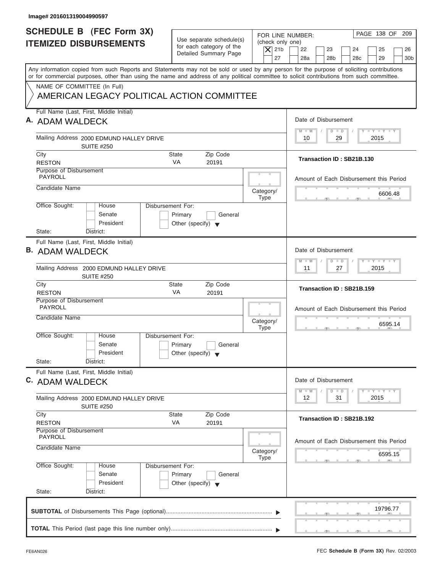| Image# 201601319004990597                                                                                                                                                                                                                                                               |                                                                                 |                                                                  |                                                                                                                     |
|-----------------------------------------------------------------------------------------------------------------------------------------------------------------------------------------------------------------------------------------------------------------------------------------|---------------------------------------------------------------------------------|------------------------------------------------------------------|---------------------------------------------------------------------------------------------------------------------|
| <b>SCHEDULE B</b> (FEC Form 3X)<br><b>ITEMIZED DISBURSEMENTS</b>                                                                                                                                                                                                                        | Use separate schedule(s)<br>for each category of the<br>Detailed Summary Page   | FOR LINE NUMBER:<br>(check only one)<br>$\overline{X}$ 21b<br>27 | PAGE 138 OF 209<br>22<br>23<br>24<br>25<br>26<br>28a<br>28 <sub>b</sub><br>29<br>30 <sub>b</sub><br>28 <sub>c</sub> |
| Any information copied from such Reports and Statements may not be sold or used by any person for the purpose of soliciting contributions<br>or for commercial purposes, other than using the name and address of any political committee to solicit contributions from such committee. |                                                                                 |                                                                  |                                                                                                                     |
| NAME OF COMMITTEE (In Full)<br>AMERICAN LEGACY POLITICAL ACTION COMMITTEE                                                                                                                                                                                                               |                                                                                 |                                                                  |                                                                                                                     |
| Full Name (Last, First, Middle Initial)<br>A. ADAM WALDECK                                                                                                                                                                                                                              |                                                                                 |                                                                  | Date of Disbursement                                                                                                |
| Mailing Address 2000 EDMUND HALLEY DRIVE<br><b>SUITE #250</b>                                                                                                                                                                                                                           |                                                                                 |                                                                  | $T - Y = T - Y = T - Y$<br>$M - M$<br>$D$ $D$<br>29<br>2015<br>10                                                   |
| City<br><b>RESTON</b>                                                                                                                                                                                                                                                                   | <b>State</b><br>Zip Code<br><b>VA</b><br>20191                                  |                                                                  | Transaction ID: SB21B.130                                                                                           |
| Purpose of Disbursement<br><b>PAYROLL</b>                                                                                                                                                                                                                                               |                                                                                 |                                                                  | Amount of Each Disbursement this Period                                                                             |
| Candidate Name                                                                                                                                                                                                                                                                          |                                                                                 | Category/<br><b>Type</b>                                         | 6606.48                                                                                                             |
| Office Sought:<br>Disbursement For:<br>House<br>Senate<br>President<br>State:<br>District:                                                                                                                                                                                              | Primary<br>General<br>Other (specify) $\blacktriangledown$                      |                                                                  |                                                                                                                     |
| Full Name (Last, First, Middle Initial)<br><b>B. ADAM WALDECK</b>                                                                                                                                                                                                                       |                                                                                 |                                                                  | Date of Disbursement                                                                                                |
| Mailing Address 2000 EDMUND HALLEY DRIVE<br><b>SUITE #250</b>                                                                                                                                                                                                                           |                                                                                 |                                                                  | <b>LEYTEY LEY</b><br>$M - M$<br>$D$ $D$<br>2015<br>11<br>27                                                         |
| City<br><b>RESTON</b>                                                                                                                                                                                                                                                                   | Zip Code<br><b>State</b><br>VA<br>20191                                         |                                                                  | Transaction ID: SB21B.159                                                                                           |
| Purpose of Disbursement<br><b>PAYROLL</b><br>Candidate Name                                                                                                                                                                                                                             |                                                                                 | Category/<br><b>Type</b>                                         | Amount of Each Disbursement this Period<br>6595.14<br>__                                                            |
| Office Sought:<br>House<br>Senate<br>President<br>State:<br>District:                                                                                                                                                                                                                   | Disbursement For:<br>Primary<br>General<br>Other (specify) $\blacktriangledown$ |                                                                  |                                                                                                                     |
| Full Name (Last, First, Middle Initial)<br>C. ADAM WALDECK                                                                                                                                                                                                                              |                                                                                 |                                                                  | Date of Disbursement<br>$T - Y$ $T - Y$<br>$M - M$<br>$\overline{D}$<br>$\Box$                                      |
| Mailing Address 2000 EDMUND HALLEY DRIVE<br><b>SUITE #250</b>                                                                                                                                                                                                                           |                                                                                 |                                                                  | 2015<br>12<br>31                                                                                                    |
| City<br><b>RESTON</b>                                                                                                                                                                                                                                                                   | Zip Code<br><b>State</b><br>VA<br>20191                                         |                                                                  | Transaction ID: SB21B.192                                                                                           |
| Purpose of Disbursement<br><b>PAYROLL</b>                                                                                                                                                                                                                                               |                                                                                 |                                                                  | Amount of Each Disbursement this Period                                                                             |
| Candidate Name                                                                                                                                                                                                                                                                          |                                                                                 | Category/<br>Type                                                | 6595.15                                                                                                             |
| Office Sought:<br>Disbursement For:<br>House<br>Senate<br>President<br>State:<br>District:                                                                                                                                                                                              | Primary<br>General<br>Other (specify) $\blacktriangledown$                      |                                                                  |                                                                                                                     |
|                                                                                                                                                                                                                                                                                         |                                                                                 |                                                                  | 19796.77                                                                                                            |
|                                                                                                                                                                                                                                                                                         |                                                                                 |                                                                  |                                                                                                                     |

J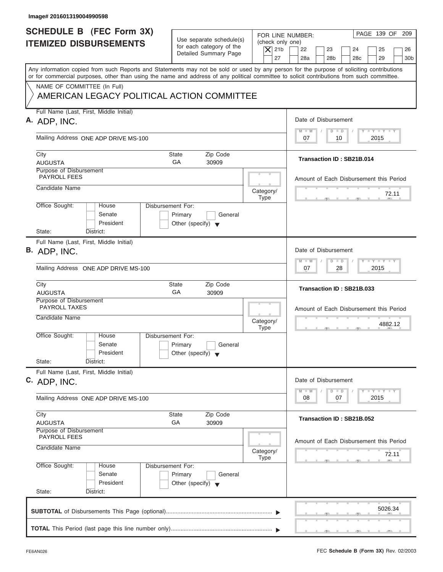| Image# 201601319004990598                                                                                                                                                                                                                                                                                                                                            |                                                                                                                               |                                                                                                                                         |
|----------------------------------------------------------------------------------------------------------------------------------------------------------------------------------------------------------------------------------------------------------------------------------------------------------------------------------------------------------------------|-------------------------------------------------------------------------------------------------------------------------------|-----------------------------------------------------------------------------------------------------------------------------------------|
| <b>SCHEDULE B</b> (FEC Form 3X)<br><b>ITEMIZED DISBURSEMENTS</b>                                                                                                                                                                                                                                                                                                     | Use separate schedule(s)<br>(check only one)<br>for each category of the<br>$\overline{X}$ 21b<br>Detailed Summary Page<br>27 | PAGE 139 OF 209<br>FOR LINE NUMBER:<br>22<br>23<br>24<br>25<br>26<br>28a<br>28 <sub>b</sub><br>29<br>28 <sub>c</sub><br>30 <sub>b</sub> |
| Any information copied from such Reports and Statements may not be sold or used by any person for the purpose of soliciting contributions<br>or for commercial purposes, other than using the name and address of any political committee to solicit contributions from such committee.<br>NAME OF COMMITTEE (In Full)<br>AMERICAN LEGACY POLITICAL ACTION COMMITTEE |                                                                                                                               |                                                                                                                                         |
| Full Name (Last, First, Middle Initial)<br>A. ADP, INC.                                                                                                                                                                                                                                                                                                              |                                                                                                                               | Date of Disbursement                                                                                                                    |
| Mailing Address ONE ADP DRIVE MS-100                                                                                                                                                                                                                                                                                                                                 |                                                                                                                               | $T - Y = T - Y = T - Y$<br>$D$ $D$<br>$M - M$<br>10<br>2015<br>07                                                                       |
| City<br><b>AUGUSTA</b>                                                                                                                                                                                                                                                                                                                                               | State<br>Zip Code<br>GA<br>30909                                                                                              | Transaction ID: SB21B.014                                                                                                               |
| Purpose of Disbursement<br>PAYROLL FEES<br>Candidate Name                                                                                                                                                                                                                                                                                                            |                                                                                                                               | Amount of Each Disbursement this Period                                                                                                 |
| Office Sought:<br>House                                                                                                                                                                                                                                                                                                                                              | Category/<br><b>Type</b><br>Disbursement For:                                                                                 | 72.11                                                                                                                                   |
| Senate<br>President<br>State:<br>District:                                                                                                                                                                                                                                                                                                                           | Primary<br>General<br>Other (specify) $\blacktriangledown$                                                                    |                                                                                                                                         |
| Full Name (Last, First, Middle Initial)<br>B. ADP, INC.                                                                                                                                                                                                                                                                                                              |                                                                                                                               | Date of Disbursement                                                                                                                    |
| Mailing Address ONE ADP DRIVE MS-100                                                                                                                                                                                                                                                                                                                                 |                                                                                                                               | <b>LEYTEY LEY</b><br>$M - M$<br>$D$ $D$<br>2015<br>07<br>28                                                                             |
| City<br><b>AUGUSTA</b>                                                                                                                                                                                                                                                                                                                                               | Zip Code<br><b>State</b><br>GA<br>30909                                                                                       | Transaction ID: SB21B.033                                                                                                               |
| Purpose of Disbursement<br><b>PAYROLL TAXES</b><br>Candidate Name                                                                                                                                                                                                                                                                                                    | Category/<br><b>Type</b>                                                                                                      | Amount of Each Disbursement this Period<br>4882.12<br>- 51                                                                              |
| Office Sought:<br>House<br>Senate<br>President                                                                                                                                                                                                                                                                                                                       | Disbursement For:<br>Primary<br>General<br>Other (specify) $\blacktriangledown$                                               |                                                                                                                                         |
| State:<br>District:<br>Full Name (Last, First, Middle Initial)<br>C. ADP, INC.                                                                                                                                                                                                                                                                                       |                                                                                                                               | Date of Disbursement                                                                                                                    |
| Mailing Address ONE ADP DRIVE MS-100                                                                                                                                                                                                                                                                                                                                 |                                                                                                                               | $T - Y$ $T - Y$ $T - Y$<br>$M - M$<br>$\overline{D}$<br>$\Box$<br>2015<br>08<br>07                                                      |
| City<br><b>AUGUSTA</b><br>Purpose of Disbursement                                                                                                                                                                                                                                                                                                                    | Zip Code<br>State<br>GA<br>30909                                                                                              | Transaction ID: SB21B.052                                                                                                               |
| PAYROLL FEES<br>Candidate Name                                                                                                                                                                                                                                                                                                                                       | Category/<br>Type                                                                                                             | Amount of Each Disbursement this Period<br>72.11                                                                                        |
| Office Sought:<br>House<br>Senate<br>President<br>State:<br>District:                                                                                                                                                                                                                                                                                                | Disbursement For:<br>Primary<br>General<br>Other (specify) $\blacktriangledown$                                               |                                                                                                                                         |
|                                                                                                                                                                                                                                                                                                                                                                      |                                                                                                                               | 5026.34                                                                                                                                 |
|                                                                                                                                                                                                                                                                                                                                                                      |                                                                                                                               |                                                                                                                                         |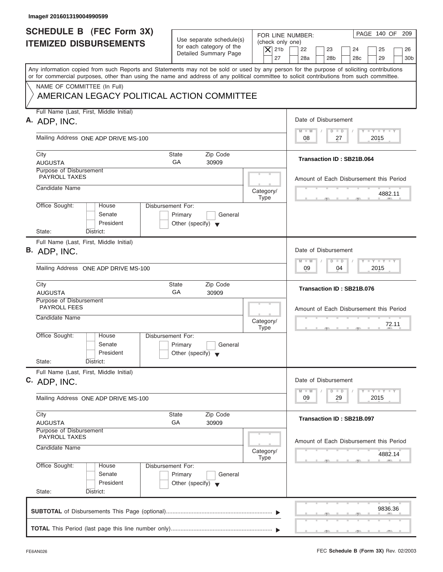| Image# 201601319004990599                                                                                                                                                                                                                                                               |                                                                                 |                                              |                                                                                                                                                                                                                                         |
|-----------------------------------------------------------------------------------------------------------------------------------------------------------------------------------------------------------------------------------------------------------------------------------------|---------------------------------------------------------------------------------|----------------------------------------------|-----------------------------------------------------------------------------------------------------------------------------------------------------------------------------------------------------------------------------------------|
| <b>SCHEDULE B</b> (FEC Form 3X)<br><b>ITEMIZED DISBURSEMENTS</b>                                                                                                                                                                                                                        | Use separate schedule(s)<br>for each category of the<br>Detailed Summary Page   | (check only one)<br>$\overline{X}$ 21b<br>27 | PAGE 140 OF 209<br>FOR LINE NUMBER:<br>22<br>23<br>24<br>25<br>26<br>28a<br>28 <sub>b</sub><br>29<br>28 <sub>c</sub><br>30 <sub>b</sub>                                                                                                 |
| Any information copied from such Reports and Statements may not be sold or used by any person for the purpose of soliciting contributions<br>or for commercial purposes, other than using the name and address of any political committee to solicit contributions from such committee. |                                                                                 |                                              |                                                                                                                                                                                                                                         |
| NAME OF COMMITTEE (In Full)<br>AMERICAN LEGACY POLITICAL ACTION COMMITTEE                                                                                                                                                                                                               |                                                                                 |                                              |                                                                                                                                                                                                                                         |
| Full Name (Last, First, Middle Initial)<br>A. ADP, INC.                                                                                                                                                                                                                                 |                                                                                 |                                              | Date of Disbursement                                                                                                                                                                                                                    |
| Mailing Address ONE ADP DRIVE MS-100                                                                                                                                                                                                                                                    |                                                                                 |                                              | $T - Y = T - Y = T - Y$<br>$M - M$<br>$D$ $D$<br>2015<br>08<br>27                                                                                                                                                                       |
| City<br><b>AUGUSTA</b>                                                                                                                                                                                                                                                                  | State<br>Zip Code<br>GA<br>30909                                                |                                              | Transaction ID: SB21B.064                                                                                                                                                                                                               |
| Purpose of Disbursement<br><b>PAYROLL TAXES</b>                                                                                                                                                                                                                                         |                                                                                 |                                              | Amount of Each Disbursement this Period                                                                                                                                                                                                 |
| Candidate Name                                                                                                                                                                                                                                                                          |                                                                                 | Category/<br><b>Type</b>                     | 4882.11                                                                                                                                                                                                                                 |
| Office Sought:<br>House<br>Senate<br>President                                                                                                                                                                                                                                          | Disbursement For:<br>Primary<br>General<br>Other (specify) $\blacktriangledown$ |                                              |                                                                                                                                                                                                                                         |
| State:<br>District:<br>Full Name (Last, First, Middle Initial)<br>B. ADP, INC.                                                                                                                                                                                                          |                                                                                 |                                              | Date of Disbursement<br><b>LEYTEY LEY</b><br>$M - M$<br>$D$ $D$                                                                                                                                                                         |
| Mailing Address ONE ADP DRIVE MS-100<br>City                                                                                                                                                                                                                                            | Zip Code<br><b>State</b>                                                        |                                              | 2015<br>09<br>04                                                                                                                                                                                                                        |
| <b>AUGUSTA</b><br>Purpose of Disbursement                                                                                                                                                                                                                                               | GA<br>30909                                                                     |                                              | Transaction ID: SB21B.076                                                                                                                                                                                                               |
| <b>PAYROLL FEES</b><br>Candidate Name                                                                                                                                                                                                                                                   |                                                                                 | Category/<br><b>Type</b>                     | Amount of Each Disbursement this Period<br>72.11                                                                                                                                                                                        |
| Office Sought:<br>House<br>Senate<br>President<br>State:<br>District:                                                                                                                                                                                                                   | Disbursement For:<br>Primary<br>General<br>Other (specify) $\blacktriangledown$ |                                              |                                                                                                                                                                                                                                         |
| Full Name (Last, First, Middle Initial)<br>C. ADP, INC.                                                                                                                                                                                                                                 |                                                                                 |                                              | Date of Disbursement<br>$\frac{1}{2}$ $\frac{1}{2}$ $\frac{1}{2}$ $\frac{1}{2}$ $\frac{1}{2}$ $\frac{1}{2}$ $\frac{1}{2}$ $\frac{1}{2}$ $\frac{1}{2}$ $\frac{1}{2}$ $\frac{1}{2}$ $\frac{1}{2}$ $\frac{1}{2}$<br>$M - M$<br>D<br>$\Box$ |
| Mailing Address ONE ADP DRIVE MS-100                                                                                                                                                                                                                                                    |                                                                                 |                                              | 2015<br>09<br>29                                                                                                                                                                                                                        |
| City<br><b>AUGUSTA</b>                                                                                                                                                                                                                                                                  | Zip Code<br>State<br>GA<br>30909                                                |                                              | Transaction ID: SB21B.097                                                                                                                                                                                                               |
| Purpose of Disbursement<br><b>PAYROLL TAXES</b><br>Candidate Name                                                                                                                                                                                                                       |                                                                                 | Category/                                    | Amount of Each Disbursement this Period                                                                                                                                                                                                 |
| Office Sought:<br>House                                                                                                                                                                                                                                                                 | Disbursement For:                                                               | Type                                         | 4882.14                                                                                                                                                                                                                                 |
| Senate<br>President<br>State:<br>District:                                                                                                                                                                                                                                              | Primary<br>General<br>Other (specify) $\blacktriangledown$                      |                                              |                                                                                                                                                                                                                                         |
|                                                                                                                                                                                                                                                                                         |                                                                                 |                                              | 9836.36                                                                                                                                                                                                                                 |
|                                                                                                                                                                                                                                                                                         |                                                                                 |                                              |                                                                                                                                                                                                                                         |

ı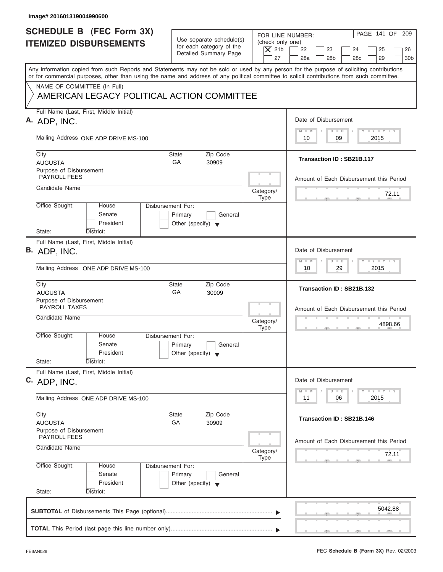| Image# 201601319004990600                                                                                                                                                                                                                                                                                                                                            |                                                                                                                               |                                                                                                                                         |
|----------------------------------------------------------------------------------------------------------------------------------------------------------------------------------------------------------------------------------------------------------------------------------------------------------------------------------------------------------------------|-------------------------------------------------------------------------------------------------------------------------------|-----------------------------------------------------------------------------------------------------------------------------------------|
| <b>SCHEDULE B</b> (FEC Form 3X)<br><b>ITEMIZED DISBURSEMENTS</b>                                                                                                                                                                                                                                                                                                     | Use separate schedule(s)<br>(check only one)<br>for each category of the<br>$\overline{X}$ 21b<br>Detailed Summary Page<br>27 | PAGE 141 OF 209<br>FOR LINE NUMBER:<br>22<br>23<br>24<br>25<br>26<br>28a<br>28 <sub>b</sub><br>29<br>28 <sub>c</sub><br>30 <sub>b</sub> |
| Any information copied from such Reports and Statements may not be sold or used by any person for the purpose of soliciting contributions<br>or for commercial purposes, other than using the name and address of any political committee to solicit contributions from such committee.<br>NAME OF COMMITTEE (In Full)<br>AMERICAN LEGACY POLITICAL ACTION COMMITTEE |                                                                                                                               |                                                                                                                                         |
| Full Name (Last, First, Middle Initial)                                                                                                                                                                                                                                                                                                                              |                                                                                                                               |                                                                                                                                         |
| A. ADP, INC.                                                                                                                                                                                                                                                                                                                                                         |                                                                                                                               | Date of Disbursement<br>$T - Y = T - Y = T - Y$<br>$D$ $D$<br>$M - M$                                                                   |
| Mailing Address ONE ADP DRIVE MS-100                                                                                                                                                                                                                                                                                                                                 |                                                                                                                               | 09<br>2015<br>10                                                                                                                        |
| City<br><b>AUGUSTA</b>                                                                                                                                                                                                                                                                                                                                               | State<br>Zip Code<br>GA<br>30909                                                                                              | Transaction ID: SB21B.117                                                                                                               |
| Purpose of Disbursement<br>PAYROLL FEES                                                                                                                                                                                                                                                                                                                              |                                                                                                                               | Amount of Each Disbursement this Period                                                                                                 |
| Candidate Name                                                                                                                                                                                                                                                                                                                                                       | Category/<br><b>Type</b>                                                                                                      | 72.11                                                                                                                                   |
| Office Sought:<br>House<br>Senate<br>President<br>State:<br>District:                                                                                                                                                                                                                                                                                                | Disbursement For:<br>Primary<br>General<br>Other (specify) $\blacktriangledown$                                               |                                                                                                                                         |
| Full Name (Last, First, Middle Initial)<br>B. ADP, INC.                                                                                                                                                                                                                                                                                                              |                                                                                                                               | Date of Disbursement<br><b>LEYTEY LEY</b><br>$M - M$<br>$D$ $D$<br>29<br>2015<br>10                                                     |
| Mailing Address ONE ADP DRIVE MS-100<br>City                                                                                                                                                                                                                                                                                                                         | Zip Code<br><b>State</b>                                                                                                      |                                                                                                                                         |
| <b>AUGUSTA</b><br>Purpose of Disbursement                                                                                                                                                                                                                                                                                                                            | GA<br>30909                                                                                                                   | Transaction ID: SB21B.132                                                                                                               |
| <b>PAYROLL TAXES</b><br>Candidate Name                                                                                                                                                                                                                                                                                                                               | Category/<br><b>Type</b>                                                                                                      | Amount of Each Disbursement this Period<br>4898.66<br>$-5$                                                                              |
| Office Sought:<br>House<br>Senate<br>President<br>State:<br>District:                                                                                                                                                                                                                                                                                                | Disbursement For:<br>Primary<br>General<br>Other (specify) $\blacktriangledown$                                               |                                                                                                                                         |
| Full Name (Last, First, Middle Initial)<br>C. ADP, INC.                                                                                                                                                                                                                                                                                                              |                                                                                                                               | Date of Disbursement<br>$\Box$                                                                                                          |
| Mailing Address ONE ADP DRIVE MS-100                                                                                                                                                                                                                                                                                                                                 |                                                                                                                               | $T - Y$ $T - Y$ $T - Y$<br>$M - M$<br>$\overline{D}$<br>2015<br>11<br>06                                                                |
| City<br><b>AUGUSTA</b><br>Purpose of Disbursement                                                                                                                                                                                                                                                                                                                    | Zip Code<br>State<br>GA<br>30909                                                                                              | Transaction ID: SB21B.146                                                                                                               |
| PAYROLL FEES<br>Candidate Name                                                                                                                                                                                                                                                                                                                                       | Category/<br>Type                                                                                                             | Amount of Each Disbursement this Period<br>72.11                                                                                        |
| Office Sought:<br>House<br>Senate<br>President<br>State:<br>District:                                                                                                                                                                                                                                                                                                | Disbursement For:<br>Primary<br>General<br>Other (specify) $\blacktriangledown$                                               |                                                                                                                                         |
|                                                                                                                                                                                                                                                                                                                                                                      |                                                                                                                               | 5042.88                                                                                                                                 |
|                                                                                                                                                                                                                                                                                                                                                                      |                                                                                                                               |                                                                                                                                         |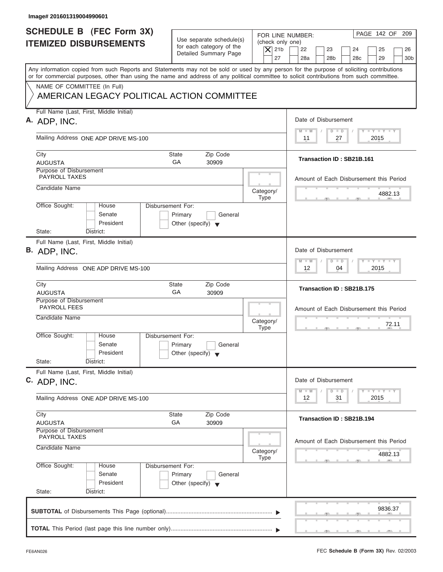| SCHEDULE B (FEC Form 3X)<br>FOR LINE NUMBER:<br>Use separate schedule(s)<br>(check only one)<br><b>ITEMIZED DISBURSEMENTS</b><br>for each category of the<br>$\overline{X}$ 21b<br>22<br>23<br>24<br>25<br>Detailed Summary Page<br>27<br>28a<br>28 <sub>b</sub><br>28 <sub>c</sub><br>29<br>Any information copied from such Reports and Statements may not be sold or used by any person for the purpose of soliciting contributions<br>or for commercial purposes, other than using the name and address of any political committee to solicit contributions from such committee.<br>NAME OF COMMITTEE (In Full)<br>AMERICAN LEGACY POLITICAL ACTION COMMITTEE<br>Full Name (Last, First, Middle Initial)<br>Date of Disbursement<br>A. ADP, INC.<br>$T - Y = T - Y = T - Y$<br>$M - M$<br>$D$ $D$<br>Mailing Address ONE ADP DRIVE MS-100<br>2015<br>11<br>27<br>City<br>Zip Code<br>State<br>Transaction ID: SB21B.161<br>GA<br><b>AUGUSTA</b><br>30909<br>Purpose of Disbursement<br><b>PAYROLL TAXES</b><br>Candidate Name<br>Category/<br>4882.13<br><b>Type</b><br>Office Sought:<br><b>Disbursement For:</b><br>House<br>Senate<br>Primary<br>General<br>President<br>Other (specify) $\blacktriangledown$<br>State:<br>District:<br>Full Name (Last, First, Middle Initial)<br>Date of Disbursement<br>B. ADP, INC.<br>$-1 - Y - 1 - Y - 1 - Y$<br>$M - M$<br>$\Box$<br>$\Box$<br>12<br>2015<br>Mailing Address ONE ADP DRIVE MS-100<br>04<br>Zip Code<br>City<br>State<br>Transaction ID: SB21B.175<br>GA<br><b>AUGUSTA</b><br>30909<br>Purpose of Disbursement<br><b>PAYROLL FEES</b><br>Candidate Name<br>Category/<br>72.11<br><b>Type</b><br>$-5$<br>Office Sought:<br>House<br>Disbursement For:<br>Senate<br>Primary<br>General<br>President<br>Other (specify) $\blacktriangledown$<br>State:<br>District:<br>Full Name (Last, First, Middle Initial)<br>Date of Disbursement<br>C. ADP, INC.<br>$\Box$ $\Upsilon$ $\Box$ $\Upsilon$ $\Box$ $\Upsilon$<br>$M - M$<br>$\Box$<br>D<br>2015<br>12<br>31<br>Mailing Address ONE ADP DRIVE MS-100<br>Zip Code<br>City<br>State<br>Transaction ID: SB21B.194<br>GA<br>30909<br><b>AUGUSTA</b><br>Purpose of Disbursement<br><b>PAYROLL TAXES</b><br>Candidate Name<br>Category/<br>4882.13<br><b>Type</b><br>Office Sought:<br>Disbursement For:<br>House<br>Senate<br>Primary<br>General<br>President<br>Other (specify) $\blacktriangledown$<br>State:<br>District:<br>9836.37 |  |                                          |
|-----------------------------------------------------------------------------------------------------------------------------------------------------------------------------------------------------------------------------------------------------------------------------------------------------------------------------------------------------------------------------------------------------------------------------------------------------------------------------------------------------------------------------------------------------------------------------------------------------------------------------------------------------------------------------------------------------------------------------------------------------------------------------------------------------------------------------------------------------------------------------------------------------------------------------------------------------------------------------------------------------------------------------------------------------------------------------------------------------------------------------------------------------------------------------------------------------------------------------------------------------------------------------------------------------------------------------------------------------------------------------------------------------------------------------------------------------------------------------------------------------------------------------------------------------------------------------------------------------------------------------------------------------------------------------------------------------------------------------------------------------------------------------------------------------------------------------------------------------------------------------------------------------------------------------------------------------------------------------------------------------------------------------------------------------------------------------------------------------------------------------------------------------------------------------------------------------------------------------------------------------------------------------------------------------------------------------------------------------------------------------------------------------------------------------------------------|--|------------------------------------------|
|                                                                                                                                                                                                                                                                                                                                                                                                                                                                                                                                                                                                                                                                                                                                                                                                                                                                                                                                                                                                                                                                                                                                                                                                                                                                                                                                                                                                                                                                                                                                                                                                                                                                                                                                                                                                                                                                                                                                                                                                                                                                                                                                                                                                                                                                                                                                                                                                                                               |  | PAGE 142 OF 209<br>26<br>30 <sub>b</sub> |
|                                                                                                                                                                                                                                                                                                                                                                                                                                                                                                                                                                                                                                                                                                                                                                                                                                                                                                                                                                                                                                                                                                                                                                                                                                                                                                                                                                                                                                                                                                                                                                                                                                                                                                                                                                                                                                                                                                                                                                                                                                                                                                                                                                                                                                                                                                                                                                                                                                               |  |                                          |
|                                                                                                                                                                                                                                                                                                                                                                                                                                                                                                                                                                                                                                                                                                                                                                                                                                                                                                                                                                                                                                                                                                                                                                                                                                                                                                                                                                                                                                                                                                                                                                                                                                                                                                                                                                                                                                                                                                                                                                                                                                                                                                                                                                                                                                                                                                                                                                                                                                               |  |                                          |
|                                                                                                                                                                                                                                                                                                                                                                                                                                                                                                                                                                                                                                                                                                                                                                                                                                                                                                                                                                                                                                                                                                                                                                                                                                                                                                                                                                                                                                                                                                                                                                                                                                                                                                                                                                                                                                                                                                                                                                                                                                                                                                                                                                                                                                                                                                                                                                                                                                               |  |                                          |
|                                                                                                                                                                                                                                                                                                                                                                                                                                                                                                                                                                                                                                                                                                                                                                                                                                                                                                                                                                                                                                                                                                                                                                                                                                                                                                                                                                                                                                                                                                                                                                                                                                                                                                                                                                                                                                                                                                                                                                                                                                                                                                                                                                                                                                                                                                                                                                                                                                               |  |                                          |
|                                                                                                                                                                                                                                                                                                                                                                                                                                                                                                                                                                                                                                                                                                                                                                                                                                                                                                                                                                                                                                                                                                                                                                                                                                                                                                                                                                                                                                                                                                                                                                                                                                                                                                                                                                                                                                                                                                                                                                                                                                                                                                                                                                                                                                                                                                                                                                                                                                               |  |                                          |
|                                                                                                                                                                                                                                                                                                                                                                                                                                                                                                                                                                                                                                                                                                                                                                                                                                                                                                                                                                                                                                                                                                                                                                                                                                                                                                                                                                                                                                                                                                                                                                                                                                                                                                                                                                                                                                                                                                                                                                                                                                                                                                                                                                                                                                                                                                                                                                                                                                               |  | Amount of Each Disbursement this Period  |
|                                                                                                                                                                                                                                                                                                                                                                                                                                                                                                                                                                                                                                                                                                                                                                                                                                                                                                                                                                                                                                                                                                                                                                                                                                                                                                                                                                                                                                                                                                                                                                                                                                                                                                                                                                                                                                                                                                                                                                                                                                                                                                                                                                                                                                                                                                                                                                                                                                               |  |                                          |
|                                                                                                                                                                                                                                                                                                                                                                                                                                                                                                                                                                                                                                                                                                                                                                                                                                                                                                                                                                                                                                                                                                                                                                                                                                                                                                                                                                                                                                                                                                                                                                                                                                                                                                                                                                                                                                                                                                                                                                                                                                                                                                                                                                                                                                                                                                                                                                                                                                               |  |                                          |
|                                                                                                                                                                                                                                                                                                                                                                                                                                                                                                                                                                                                                                                                                                                                                                                                                                                                                                                                                                                                                                                                                                                                                                                                                                                                                                                                                                                                                                                                                                                                                                                                                                                                                                                                                                                                                                                                                                                                                                                                                                                                                                                                                                                                                                                                                                                                                                                                                                               |  |                                          |
|                                                                                                                                                                                                                                                                                                                                                                                                                                                                                                                                                                                                                                                                                                                                                                                                                                                                                                                                                                                                                                                                                                                                                                                                                                                                                                                                                                                                                                                                                                                                                                                                                                                                                                                                                                                                                                                                                                                                                                                                                                                                                                                                                                                                                                                                                                                                                                                                                                               |  |                                          |
|                                                                                                                                                                                                                                                                                                                                                                                                                                                                                                                                                                                                                                                                                                                                                                                                                                                                                                                                                                                                                                                                                                                                                                                                                                                                                                                                                                                                                                                                                                                                                                                                                                                                                                                                                                                                                                                                                                                                                                                                                                                                                                                                                                                                                                                                                                                                                                                                                                               |  |                                          |
|                                                                                                                                                                                                                                                                                                                                                                                                                                                                                                                                                                                                                                                                                                                                                                                                                                                                                                                                                                                                                                                                                                                                                                                                                                                                                                                                                                                                                                                                                                                                                                                                                                                                                                                                                                                                                                                                                                                                                                                                                                                                                                                                                                                                                                                                                                                                                                                                                                               |  | Amount of Each Disbursement this Period  |
|                                                                                                                                                                                                                                                                                                                                                                                                                                                                                                                                                                                                                                                                                                                                                                                                                                                                                                                                                                                                                                                                                                                                                                                                                                                                                                                                                                                                                                                                                                                                                                                                                                                                                                                                                                                                                                                                                                                                                                                                                                                                                                                                                                                                                                                                                                                                                                                                                                               |  |                                          |
|                                                                                                                                                                                                                                                                                                                                                                                                                                                                                                                                                                                                                                                                                                                                                                                                                                                                                                                                                                                                                                                                                                                                                                                                                                                                                                                                                                                                                                                                                                                                                                                                                                                                                                                                                                                                                                                                                                                                                                                                                                                                                                                                                                                                                                                                                                                                                                                                                                               |  |                                          |
|                                                                                                                                                                                                                                                                                                                                                                                                                                                                                                                                                                                                                                                                                                                                                                                                                                                                                                                                                                                                                                                                                                                                                                                                                                                                                                                                                                                                                                                                                                                                                                                                                                                                                                                                                                                                                                                                                                                                                                                                                                                                                                                                                                                                                                                                                                                                                                                                                                               |  |                                          |
|                                                                                                                                                                                                                                                                                                                                                                                                                                                                                                                                                                                                                                                                                                                                                                                                                                                                                                                                                                                                                                                                                                                                                                                                                                                                                                                                                                                                                                                                                                                                                                                                                                                                                                                                                                                                                                                                                                                                                                                                                                                                                                                                                                                                                                                                                                                                                                                                                                               |  |                                          |
|                                                                                                                                                                                                                                                                                                                                                                                                                                                                                                                                                                                                                                                                                                                                                                                                                                                                                                                                                                                                                                                                                                                                                                                                                                                                                                                                                                                                                                                                                                                                                                                                                                                                                                                                                                                                                                                                                                                                                                                                                                                                                                                                                                                                                                                                                                                                                                                                                                               |  |                                          |
|                                                                                                                                                                                                                                                                                                                                                                                                                                                                                                                                                                                                                                                                                                                                                                                                                                                                                                                                                                                                                                                                                                                                                                                                                                                                                                                                                                                                                                                                                                                                                                                                                                                                                                                                                                                                                                                                                                                                                                                                                                                                                                                                                                                                                                                                                                                                                                                                                                               |  |                                          |
|                                                                                                                                                                                                                                                                                                                                                                                                                                                                                                                                                                                                                                                                                                                                                                                                                                                                                                                                                                                                                                                                                                                                                                                                                                                                                                                                                                                                                                                                                                                                                                                                                                                                                                                                                                                                                                                                                                                                                                                                                                                                                                                                                                                                                                                                                                                                                                                                                                               |  | Amount of Each Disbursement this Period  |
|                                                                                                                                                                                                                                                                                                                                                                                                                                                                                                                                                                                                                                                                                                                                                                                                                                                                                                                                                                                                                                                                                                                                                                                                                                                                                                                                                                                                                                                                                                                                                                                                                                                                                                                                                                                                                                                                                                                                                                                                                                                                                                                                                                                                                                                                                                                                                                                                                                               |  |                                          |
|                                                                                                                                                                                                                                                                                                                                                                                                                                                                                                                                                                                                                                                                                                                                                                                                                                                                                                                                                                                                                                                                                                                                                                                                                                                                                                                                                                                                                                                                                                                                                                                                                                                                                                                                                                                                                                                                                                                                                                                                                                                                                                                                                                                                                                                                                                                                                                                                                                               |  |                                          |

I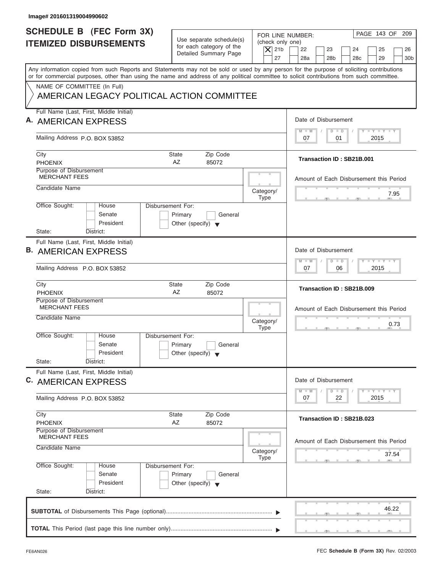| Image# 201601319004990602                                                                                                                                                                                                                                                               |                                                                                 |                                              |                                                                                                                                                                                                                                                      |
|-----------------------------------------------------------------------------------------------------------------------------------------------------------------------------------------------------------------------------------------------------------------------------------------|---------------------------------------------------------------------------------|----------------------------------------------|------------------------------------------------------------------------------------------------------------------------------------------------------------------------------------------------------------------------------------------------------|
| <b>SCHEDULE B</b> (FEC Form 3X)<br><b>ITEMIZED DISBURSEMENTS</b>                                                                                                                                                                                                                        | Use separate schedule(s)<br>for each category of the<br>Detailed Summary Page   | (check only one)<br>$\overline{X}$ 21b<br>27 | PAGE 143 OF 209<br>FOR LINE NUMBER:<br>22<br>23<br>24<br>25<br>26<br>28a<br>28 <sub>b</sub><br>29<br>30 <sub>b</sub><br>28 <sub>c</sub>                                                                                                              |
| Any information copied from such Reports and Statements may not be sold or used by any person for the purpose of soliciting contributions<br>or for commercial purposes, other than using the name and address of any political committee to solicit contributions from such committee. |                                                                                 |                                              |                                                                                                                                                                                                                                                      |
| NAME OF COMMITTEE (In Full)<br>AMERICAN LEGACY POLITICAL ACTION COMMITTEE                                                                                                                                                                                                               |                                                                                 |                                              |                                                                                                                                                                                                                                                      |
| Full Name (Last, First, Middle Initial)<br>A. AMERICAN EXPRESS                                                                                                                                                                                                                          |                                                                                 |                                              | Date of Disbursement                                                                                                                                                                                                                                 |
| Mailing Address P.O. BOX 53852                                                                                                                                                                                                                                                          |                                                                                 |                                              | $T - Y = T - Y = T - Y$<br>$D$ $D$<br>$M - M$<br>01<br>2015<br>07                                                                                                                                                                                    |
| City<br><b>PHOENIX</b>                                                                                                                                                                                                                                                                  | Zip Code<br>State<br>AZ<br>85072                                                |                                              | Transaction ID: SB21B.001                                                                                                                                                                                                                            |
| Purpose of Disbursement<br><b>MERCHANT FEES</b>                                                                                                                                                                                                                                         |                                                                                 |                                              | Amount of Each Disbursement this Period                                                                                                                                                                                                              |
| Candidate Name                                                                                                                                                                                                                                                                          |                                                                                 | Category/<br><b>Type</b>                     | 7.95                                                                                                                                                                                                                                                 |
| Office Sought:<br>House<br>Senate<br>President<br>State:<br>District:                                                                                                                                                                                                                   | Disbursement For:<br>Primary<br>General<br>Other (specify) $\blacktriangledown$ |                                              |                                                                                                                                                                                                                                                      |
| Full Name (Last, First, Middle Initial)<br><b>B. AMERICAN EXPRESS</b>                                                                                                                                                                                                                   |                                                                                 |                                              | Date of Disbursement<br><b>LEYTEY LEY</b><br>$M - M$<br>$D$ $D$                                                                                                                                                                                      |
| Mailing Address P.O. BOX 53852                                                                                                                                                                                                                                                          |                                                                                 |                                              | 2015<br>07<br>06                                                                                                                                                                                                                                     |
| City<br><b>PHOENIX</b>                                                                                                                                                                                                                                                                  | Zip Code<br><b>State</b><br>AZ<br>85072                                         |                                              | Transaction ID: SB21B.009                                                                                                                                                                                                                            |
| Purpose of Disbursement<br><b>MERCHANT FEES</b><br>Candidate Name                                                                                                                                                                                                                       |                                                                                 | Category/<br><b>Type</b>                     | Amount of Each Disbursement this Period<br>0.73<br>$-7$                                                                                                                                                                                              |
| Office Sought:<br>House<br>Senate<br>President<br>State:<br>District:                                                                                                                                                                                                                   | Disbursement For:<br>Primary<br>General<br>Other (specify) $\blacktriangledown$ |                                              |                                                                                                                                                                                                                                                      |
| Full Name (Last, First, Middle Initial)<br>C. AMERICAN EXPRESS                                                                                                                                                                                                                          |                                                                                 |                                              | Date of Disbursement<br>$\frac{1}{2}$ $\frac{1}{2}$ $\frac{1}{2}$ $\frac{1}{2}$ $\frac{1}{2}$ $\frac{1}{2}$ $\frac{1}{2}$ $\frac{1}{2}$ $\frac{1}{2}$ $\frac{1}{2}$ $\frac{1}{2}$ $\frac{1}{2}$ $\frac{1}{2}$<br>$M - M$<br>$\overline{D}$<br>$\Box$ |
| Mailing Address P.O. BOX 53852                                                                                                                                                                                                                                                          |                                                                                 |                                              | 2015<br>07<br>22                                                                                                                                                                                                                                     |
| City<br><b>PHOENIX</b>                                                                                                                                                                                                                                                                  | Zip Code<br>State<br>AZ<br>85072                                                |                                              | Transaction ID: SB21B.023                                                                                                                                                                                                                            |
| Purpose of Disbursement<br><b>MERCHANT FEES</b><br>Candidate Name                                                                                                                                                                                                                       |                                                                                 | Category/                                    | Amount of Each Disbursement this Period                                                                                                                                                                                                              |
| Office Sought:<br>House<br>Senate                                                                                                                                                                                                                                                       | Disbursement For:<br>Primary<br>General<br>Other (specify) $\blacktriangledown$ | Type                                         | 37.54                                                                                                                                                                                                                                                |

I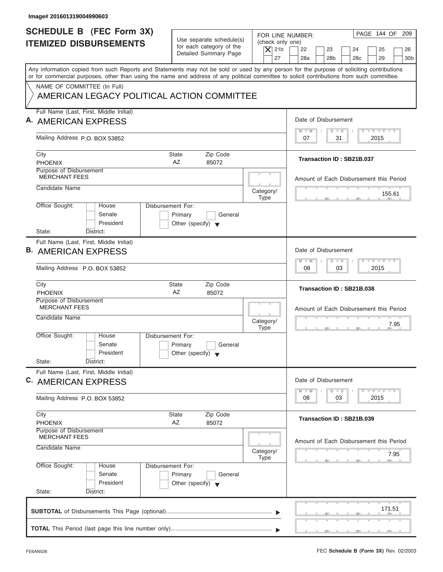| Image# 201601319004990603                                                                                                                                                                                                                                                               |                                                                                        |                                                                  |                                                                                                                     |
|-----------------------------------------------------------------------------------------------------------------------------------------------------------------------------------------------------------------------------------------------------------------------------------------|----------------------------------------------------------------------------------------|------------------------------------------------------------------|---------------------------------------------------------------------------------------------------------------------|
| <b>SCHEDULE B</b> (FEC Form 3X)<br><b>ITEMIZED DISBURSEMENTS</b>                                                                                                                                                                                                                        | Use separate schedule(s)<br>for each category of the<br>Detailed Summary Page          | FOR LINE NUMBER:<br>(check only one)<br>$\overline{X}$ 21b<br>27 | PAGE 144 OF 209<br>22<br>23<br>24<br>25<br>26<br>28a<br>28 <sub>b</sub><br>29<br>30 <sub>b</sub><br>28 <sub>c</sub> |
| Any information copied from such Reports and Statements may not be sold or used by any person for the purpose of soliciting contributions<br>or for commercial purposes, other than using the name and address of any political committee to solicit contributions from such committee. |                                                                                        |                                                                  |                                                                                                                     |
| NAME OF COMMITTEE (In Full)<br>AMERICAN LEGACY POLITICAL ACTION COMMITTEE                                                                                                                                                                                                               |                                                                                        |                                                                  |                                                                                                                     |
| Full Name (Last, First, Middle Initial)<br>A. AMERICAN EXPRESS                                                                                                                                                                                                                          |                                                                                        |                                                                  | Date of Disbursement                                                                                                |
| Mailing Address P.O. BOX 53852                                                                                                                                                                                                                                                          |                                                                                        |                                                                  | $T - Y = T - Y = T - Y$<br>$D$ $D$<br>$M - M$<br>31<br>2015<br>07                                                   |
| City<br><b>PHOENIX</b>                                                                                                                                                                                                                                                                  | Zip Code<br>State<br>AZ<br>85072                                                       |                                                                  | Transaction ID: SB21B.037                                                                                           |
| Purpose of Disbursement<br><b>MERCHANT FEES</b>                                                                                                                                                                                                                                         |                                                                                        |                                                                  | Amount of Each Disbursement this Period                                                                             |
| Candidate Name                                                                                                                                                                                                                                                                          |                                                                                        | Category/<br><b>Type</b>                                         | 155.61                                                                                                              |
| Office Sought:<br>House<br>Senate<br>President<br>State:<br>District:                                                                                                                                                                                                                   | <b>Disbursement For:</b><br>Primary<br>General<br>Other (specify) $\blacktriangledown$ |                                                                  |                                                                                                                     |
| Full Name (Last, First, Middle Initial)<br><b>B. AMERICAN EXPRESS</b>                                                                                                                                                                                                                   |                                                                                        |                                                                  | Date of Disbursement<br><b>LEYTEY LEY</b><br>$M - M$                                                                |
| Mailing Address P.O. BOX 53852                                                                                                                                                                                                                                                          |                                                                                        |                                                                  | $D$ $D$<br>2015<br>08<br>03                                                                                         |
| City<br><b>PHOENIX</b>                                                                                                                                                                                                                                                                  | Zip Code<br><b>State</b><br>AZ<br>85072                                                |                                                                  | Transaction ID: SB21B.038                                                                                           |
| Purpose of Disbursement<br><b>MERCHANT FEES</b><br>Candidate Name                                                                                                                                                                                                                       |                                                                                        | Category/<br><b>Type</b>                                         | Amount of Each Disbursement this Period<br>7.95<br>$\overline{2}$                                                   |
| Office Sought:<br>House<br>Senate<br>President<br>State:<br>District:                                                                                                                                                                                                                   | Disbursement For:<br>Primary<br>General<br>Other (specify) $\blacktriangledown$        |                                                                  |                                                                                                                     |
| Full Name (Last, First, Middle Initial)<br>C. AMERICAN EXPRESS                                                                                                                                                                                                                          |                                                                                        |                                                                  | Date of Disbursement<br>$T - Y$ $T - Y$<br>$M - M$<br>$\overline{D}$<br>$\Box$                                      |
| Mailing Address P.O. BOX 53852                                                                                                                                                                                                                                                          |                                                                                        |                                                                  | 2015<br>08<br>03                                                                                                    |
| City<br><b>PHOENIX</b>                                                                                                                                                                                                                                                                  | Zip Code<br>State<br>AZ<br>85072                                                       |                                                                  | Transaction ID: SB21B.039                                                                                           |
| Purpose of Disbursement<br><b>MERCHANT FEES</b><br>Candidate Name<br>Category/                                                                                                                                                                                                          |                                                                                        |                                                                  | Amount of Each Disbursement this Period                                                                             |
| Office Sought:<br>House                                                                                                                                                                                                                                                                 | Disbursement For:                                                                      | Type                                                             | 7.95                                                                                                                |
| Senate<br>President<br>State:<br>District:                                                                                                                                                                                                                                              | Primary<br>General<br>Other (specify) $\blacktriangledown$                             |                                                                  |                                                                                                                     |
|                                                                                                                                                                                                                                                                                         |                                                                                        |                                                                  | 171.51                                                                                                              |

J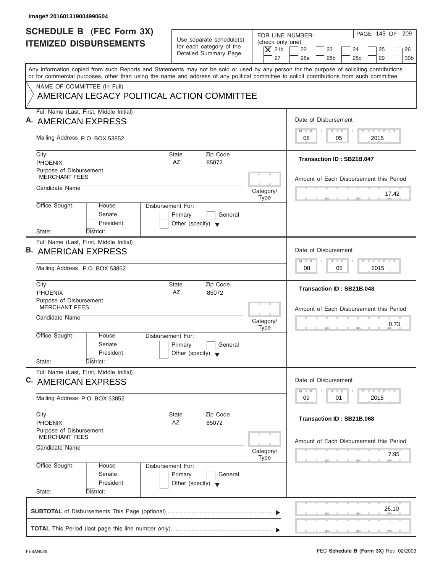| Image# 201601319004990604                                                                                                                                                                                                                                                               |                                                                                 |                                                                  |                                                                                                                                                                                                                                                               |
|-----------------------------------------------------------------------------------------------------------------------------------------------------------------------------------------------------------------------------------------------------------------------------------------|---------------------------------------------------------------------------------|------------------------------------------------------------------|---------------------------------------------------------------------------------------------------------------------------------------------------------------------------------------------------------------------------------------------------------------|
| <b>SCHEDULE B (FEC Form 3X)</b><br><b>ITEMIZED DISBURSEMENTS</b>                                                                                                                                                                                                                        | Use separate schedule(s)<br>for each category of the<br>Detailed Summary Page   | FOR LINE NUMBER:<br>(check only one)<br>$\overline{X}$ 21b<br>27 | PAGE 145 OF 209<br>22<br>23<br>24<br>25<br>26<br>28a<br>28 <sub>b</sub><br>29<br>30 <sub>b</sub><br>28 <sub>c</sub>                                                                                                                                           |
| Any information copied from such Reports and Statements may not be sold or used by any person for the purpose of soliciting contributions<br>or for commercial purposes, other than using the name and address of any political committee to solicit contributions from such committee. |                                                                                 |                                                                  |                                                                                                                                                                                                                                                               |
| NAME OF COMMITTEE (In Full)<br>AMERICAN LEGACY POLITICAL ACTION COMMITTEE                                                                                                                                                                                                               |                                                                                 |                                                                  |                                                                                                                                                                                                                                                               |
| Full Name (Last, First, Middle Initial)<br>A. AMERICAN EXPRESS                                                                                                                                                                                                                          |                                                                                 |                                                                  | Date of Disbursement                                                                                                                                                                                                                                          |
| Mailing Address P.O. BOX 53852                                                                                                                                                                                                                                                          |                                                                                 |                                                                  | $T - Y = T - Y = T - Y$<br>$M - M$<br>$D$ $D$<br>2015<br>08<br>05                                                                                                                                                                                             |
| City<br><b>PHOENIX</b>                                                                                                                                                                                                                                                                  | Zip Code<br>State<br>AZ<br>85072                                                |                                                                  | Transaction ID: SB21B.047                                                                                                                                                                                                                                     |
| Purpose of Disbursement<br><b>MERCHANT FEES</b>                                                                                                                                                                                                                                         |                                                                                 |                                                                  | Amount of Each Disbursement this Period                                                                                                                                                                                                                       |
| Candidate Name                                                                                                                                                                                                                                                                          |                                                                                 | Category/<br><b>Type</b>                                         | 17.42                                                                                                                                                                                                                                                         |
| Office Sought:<br>House<br>Senate<br>President<br>State:<br>District:                                                                                                                                                                                                                   | Disbursement For:<br>Primary<br>General<br>Other (specify) $\blacktriangledown$ |                                                                  |                                                                                                                                                                                                                                                               |
| Full Name (Last, First, Middle Initial)<br><b>B. AMERICAN EXPRESS</b>                                                                                                                                                                                                                   |                                                                                 |                                                                  | Date of Disbursement<br><b>LEYTEY LEY</b><br>$M - M$<br>$D$ $D$                                                                                                                                                                                               |
| Mailing Address P.O. BOX 53852                                                                                                                                                                                                                                                          |                                                                                 |                                                                  | 05<br>2015<br>08                                                                                                                                                                                                                                              |
| City<br><b>PHOENIX</b>                                                                                                                                                                                                                                                                  | Zip Code<br><b>State</b><br>AZ<br>85072                                         |                                                                  | Transaction ID: SB21B.048                                                                                                                                                                                                                                     |
| Purpose of Disbursement<br><b>MERCHANT FEES</b><br>Candidate Name                                                                                                                                                                                                                       |                                                                                 | Category/<br><b>Type</b>                                         | Amount of Each Disbursement this Period<br>0.73<br>$-7$                                                                                                                                                                                                       |
| Office Sought:<br>House<br>Senate<br>President<br>State:<br>District:                                                                                                                                                                                                                   | Disbursement For:<br>Primary<br>General<br>Other (specify) $\blacktriangledown$ |                                                                  |                                                                                                                                                                                                                                                               |
| Full Name (Last, First, Middle Initial)<br>C. AMERICAN EXPRESS                                                                                                                                                                                                                          |                                                                                 |                                                                  | Date of Disbursement<br>$\frac{1}{2}$ $\frac{1}{2}$ $\frac{1}{2}$ $\frac{1}{2}$ $\frac{1}{2}$ $\frac{1}{2}$ $\frac{1}{2}$ $\frac{1}{2}$ $\frac{1}{2}$ $\frac{1}{2}$ $\frac{1}{2}$ $\frac{1}{2}$ $\frac{1}{2}$<br>$M - M$<br>$\overline{\mathsf{D}}$<br>$\Box$ |
| Mailing Address P.O. BOX 53852                                                                                                                                                                                                                                                          |                                                                                 |                                                                  | 2015<br>09<br>01                                                                                                                                                                                                                                              |
| City<br><b>PHOENIX</b>                                                                                                                                                                                                                                                                  | Zip Code<br>State<br>AZ<br>85072                                                |                                                                  | Transaction ID: SB21B.068                                                                                                                                                                                                                                     |
| Purpose of Disbursement<br><b>MERCHANT FEES</b><br>Candidate Name                                                                                                                                                                                                                       |                                                                                 | Category/                                                        | Amount of Each Disbursement this Period                                                                                                                                                                                                                       |
| Office Sought:<br>House<br>Senate<br>President<br>State:<br>District:                                                                                                                                                                                                                   | Disbursement For:<br>Primary<br>General<br>Other (specify) $\blacktriangledown$ | Type                                                             | 7.95                                                                                                                                                                                                                                                          |
|                                                                                                                                                                                                                                                                                         |                                                                                 |                                                                  | 26.10                                                                                                                                                                                                                                                         |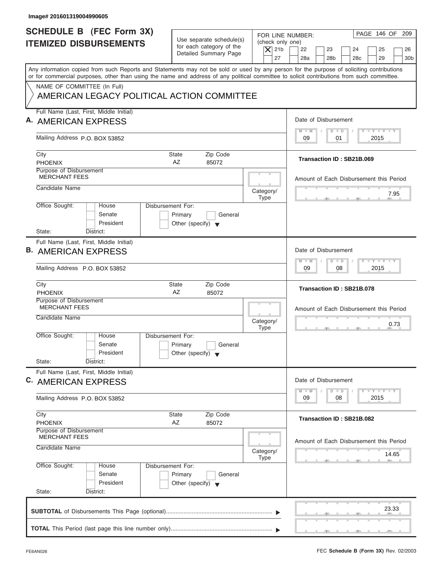| Image# 201601319004990605                                                                                                                                                                                                                                                               |                                                                                 |                                                                  |                                                                                                                                                                                                                                                      |
|-----------------------------------------------------------------------------------------------------------------------------------------------------------------------------------------------------------------------------------------------------------------------------------------|---------------------------------------------------------------------------------|------------------------------------------------------------------|------------------------------------------------------------------------------------------------------------------------------------------------------------------------------------------------------------------------------------------------------|
| <b>SCHEDULE B (FEC Form 3X)</b><br><b>ITEMIZED DISBURSEMENTS</b>                                                                                                                                                                                                                        | Use separate schedule(s)<br>for each category of the<br>Detailed Summary Page   | FOR LINE NUMBER:<br>(check only one)<br>$\overline{X}$ 21b<br>27 | PAGE 146 OF 209<br>22<br>23<br>24<br>25<br>26<br>28a<br>28 <sub>b</sub><br>29<br>30 <sub>b</sub><br>28 <sub>c</sub>                                                                                                                                  |
| Any information copied from such Reports and Statements may not be sold or used by any person for the purpose of soliciting contributions<br>or for commercial purposes, other than using the name and address of any political committee to solicit contributions from such committee. |                                                                                 |                                                                  |                                                                                                                                                                                                                                                      |
| NAME OF COMMITTEE (In Full)<br>AMERICAN LEGACY POLITICAL ACTION COMMITTEE                                                                                                                                                                                                               |                                                                                 |                                                                  |                                                                                                                                                                                                                                                      |
| Full Name (Last, First, Middle Initial)<br>A. AMERICAN EXPRESS                                                                                                                                                                                                                          |                                                                                 |                                                                  | Date of Disbursement                                                                                                                                                                                                                                 |
| Mailing Address P.O. BOX 53852                                                                                                                                                                                                                                                          |                                                                                 |                                                                  | $T - Y = T - Y = T - Y$<br>$M - M$<br>$D$ $D$<br>01<br>2015<br>09                                                                                                                                                                                    |
| City<br><b>PHOENIX</b>                                                                                                                                                                                                                                                                  | Zip Code<br>State<br>AZ<br>85072                                                |                                                                  | Transaction ID: SB21B.069                                                                                                                                                                                                                            |
| Purpose of Disbursement<br><b>MERCHANT FEES</b>                                                                                                                                                                                                                                         |                                                                                 |                                                                  | Amount of Each Disbursement this Period                                                                                                                                                                                                              |
| Candidate Name                                                                                                                                                                                                                                                                          |                                                                                 | Category/<br><b>Type</b>                                         | 7.95                                                                                                                                                                                                                                                 |
| Office Sought:<br>House<br>Senate<br>President<br>State:<br>District:                                                                                                                                                                                                                   | Disbursement For:<br>Primary<br>General<br>Other (specify) $\blacktriangledown$ |                                                                  |                                                                                                                                                                                                                                                      |
| Full Name (Last, First, Middle Initial)<br><b>B. AMERICAN EXPRESS</b>                                                                                                                                                                                                                   |                                                                                 |                                                                  | Date of Disbursement<br><b>LEYTEY LEY</b><br>$M - M$                                                                                                                                                                                                 |
| Mailing Address P.O. BOX 53852                                                                                                                                                                                                                                                          |                                                                                 |                                                                  | $D$ $D$<br>08<br>2015<br>09                                                                                                                                                                                                                          |
| City<br><b>PHOENIX</b>                                                                                                                                                                                                                                                                  | Zip Code<br><b>State</b><br>AZ<br>85072                                         |                                                                  | Transaction ID: SB21B.078                                                                                                                                                                                                                            |
| Purpose of Disbursement<br><b>MERCHANT FEES</b><br>Candidate Name                                                                                                                                                                                                                       |                                                                                 | Category/<br><b>Type</b>                                         | Amount of Each Disbursement this Period<br>0.73<br>$-7$                                                                                                                                                                                              |
| Office Sought:<br>House<br>Senate<br>President<br>State:<br>District:                                                                                                                                                                                                                   | Disbursement For:<br>Primary<br>General<br>Other (specify) $\blacktriangledown$ |                                                                  |                                                                                                                                                                                                                                                      |
| Full Name (Last, First, Middle Initial)<br>C. AMERICAN EXPRESS                                                                                                                                                                                                                          |                                                                                 |                                                                  | Date of Disbursement<br>$\frac{1}{2}$ $\frac{1}{2}$ $\frac{1}{2}$ $\frac{1}{2}$ $\frac{1}{2}$ $\frac{1}{2}$ $\frac{1}{2}$ $\frac{1}{2}$ $\frac{1}{2}$ $\frac{1}{2}$ $\frac{1}{2}$ $\frac{1}{2}$ $\frac{1}{2}$<br>$M - M$<br>$\overline{D}$<br>$\Box$ |
| Mailing Address P.O. BOX 53852                                                                                                                                                                                                                                                          |                                                                                 |                                                                  | 2015<br>09<br>08                                                                                                                                                                                                                                     |
| City<br><b>PHOENIX</b>                                                                                                                                                                                                                                                                  | Zip Code<br>State<br>AZ<br>85072                                                |                                                                  | Transaction ID: SB21B.082                                                                                                                                                                                                                            |
| Purpose of Disbursement<br><b>MERCHANT FEES</b><br>Candidate Name                                                                                                                                                                                                                       |                                                                                 |                                                                  | Amount of Each Disbursement this Period                                                                                                                                                                                                              |
|                                                                                                                                                                                                                                                                                         |                                                                                 | Category/<br>Type                                                | 14.65                                                                                                                                                                                                                                                |
| Office Sought:<br>House<br>Senate<br>President<br>State:<br>District:                                                                                                                                                                                                                   | Disbursement For:<br>Primary<br>General<br>Other (specify) $\blacktriangledown$ |                                                                  |                                                                                                                                                                                                                                                      |
|                                                                                                                                                                                                                                                                                         |                                                                                 |                                                                  | 23.33                                                                                                                                                                                                                                                |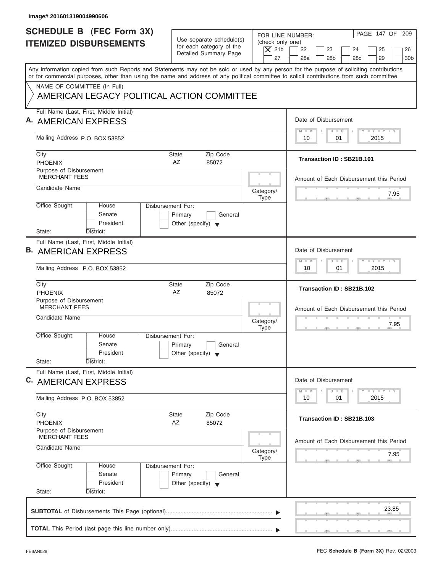| Image# 201601319004990606                                                                                                                                                                                                                                                               |                                                                                 |                                                                  |                                                                                                                                                                                                                                                               |
|-----------------------------------------------------------------------------------------------------------------------------------------------------------------------------------------------------------------------------------------------------------------------------------------|---------------------------------------------------------------------------------|------------------------------------------------------------------|---------------------------------------------------------------------------------------------------------------------------------------------------------------------------------------------------------------------------------------------------------------|
| <b>SCHEDULE B (FEC Form 3X)</b><br><b>ITEMIZED DISBURSEMENTS</b>                                                                                                                                                                                                                        | Use separate schedule(s)<br>for each category of the<br>Detailed Summary Page   | FOR LINE NUMBER:<br>(check only one)<br>$\overline{X}$ 21b<br>27 | PAGE 147 OF 209<br>22<br>23<br>24<br>25<br>26<br>28a<br>28 <sub>b</sub><br>29<br>30 <sub>b</sub><br>28 <sub>c</sub>                                                                                                                                           |
| Any information copied from such Reports and Statements may not be sold or used by any person for the purpose of soliciting contributions<br>or for commercial purposes, other than using the name and address of any political committee to solicit contributions from such committee. |                                                                                 |                                                                  |                                                                                                                                                                                                                                                               |
| NAME OF COMMITTEE (In Full)<br>AMERICAN LEGACY POLITICAL ACTION COMMITTEE                                                                                                                                                                                                               |                                                                                 |                                                                  |                                                                                                                                                                                                                                                               |
| Full Name (Last, First, Middle Initial)<br>A. AMERICAN EXPRESS                                                                                                                                                                                                                          |                                                                                 |                                                                  | Date of Disbursement                                                                                                                                                                                                                                          |
| Mailing Address P.O. BOX 53852                                                                                                                                                                                                                                                          |                                                                                 |                                                                  | $T - Y = T - Y = T - Y$<br>$M - M$<br>$D$ $D$<br>01<br>2015<br>10                                                                                                                                                                                             |
| City<br><b>PHOENIX</b>                                                                                                                                                                                                                                                                  | Zip Code<br>State<br>AZ<br>85072                                                |                                                                  | Transaction ID: SB21B.101                                                                                                                                                                                                                                     |
| Purpose of Disbursement<br><b>MERCHANT FEES</b>                                                                                                                                                                                                                                         |                                                                                 |                                                                  | Amount of Each Disbursement this Period                                                                                                                                                                                                                       |
| Candidate Name                                                                                                                                                                                                                                                                          |                                                                                 | Category/<br><b>Type</b>                                         | 7.95                                                                                                                                                                                                                                                          |
| Office Sought:<br>House<br>Senate<br>President<br>State:<br>District:                                                                                                                                                                                                                   | Disbursement For:<br>Primary<br>General<br>Other (specify) $\blacktriangledown$ |                                                                  |                                                                                                                                                                                                                                                               |
| Full Name (Last, First, Middle Initial)<br><b>B. AMERICAN EXPRESS</b>                                                                                                                                                                                                                   |                                                                                 |                                                                  | Date of Disbursement<br><b>LEYTEY LEY</b><br>$M - M$<br>$D$ $D$                                                                                                                                                                                               |
| Mailing Address P.O. BOX 53852                                                                                                                                                                                                                                                          |                                                                                 |                                                                  | 2015<br>10<br>01                                                                                                                                                                                                                                              |
| City<br><b>PHOENIX</b>                                                                                                                                                                                                                                                                  | Zip Code<br><b>State</b><br>AZ<br>85072                                         |                                                                  | Transaction ID: SB21B.102                                                                                                                                                                                                                                     |
| Purpose of Disbursement<br><b>MERCHANT FEES</b><br>Candidate Name                                                                                                                                                                                                                       |                                                                                 | Category/<br><b>Type</b>                                         | Amount of Each Disbursement this Period<br>7.95<br>$\overline{2}$                                                                                                                                                                                             |
| Office Sought:<br>House<br>Senate<br>President<br>State:<br>District:                                                                                                                                                                                                                   | Disbursement For:<br>Primary<br>General<br>Other (specify) $\blacktriangledown$ |                                                                  |                                                                                                                                                                                                                                                               |
| Full Name (Last, First, Middle Initial)<br>C. AMERICAN EXPRESS                                                                                                                                                                                                                          |                                                                                 |                                                                  | Date of Disbursement<br>$\frac{1}{2}$ $\frac{1}{2}$ $\frac{1}{2}$ $\frac{1}{2}$ $\frac{1}{2}$ $\frac{1}{2}$ $\frac{1}{2}$ $\frac{1}{2}$ $\frac{1}{2}$ $\frac{1}{2}$ $\frac{1}{2}$ $\frac{1}{2}$ $\frac{1}{2}$<br>$M - M$<br>$\overline{\mathsf{D}}$<br>$\Box$ |
| Mailing Address P.O. BOX 53852                                                                                                                                                                                                                                                          |                                                                                 |                                                                  | 2015<br>10<br>01                                                                                                                                                                                                                                              |
| City<br><b>PHOENIX</b>                                                                                                                                                                                                                                                                  | Zip Code<br>State<br>AZ<br>85072                                                |                                                                  | Transaction ID: SB21B.103                                                                                                                                                                                                                                     |
| Purpose of Disbursement<br><b>MERCHANT FEES</b><br>Candidate Name                                                                                                                                                                                                                       |                                                                                 | Category/                                                        | Amount of Each Disbursement this Period                                                                                                                                                                                                                       |
| Office Sought:<br>House<br>Senate                                                                                                                                                                                                                                                       | Disbursement For:<br>Primary<br>General                                         | Type                                                             | 7.95                                                                                                                                                                                                                                                          |
| President<br>State:<br>District:                                                                                                                                                                                                                                                        | Other (specify) $\blacktriangledown$                                            |                                                                  |                                                                                                                                                                                                                                                               |
|                                                                                                                                                                                                                                                                                         |                                                                                 |                                                                  | 23.85                                                                                                                                                                                                                                                         |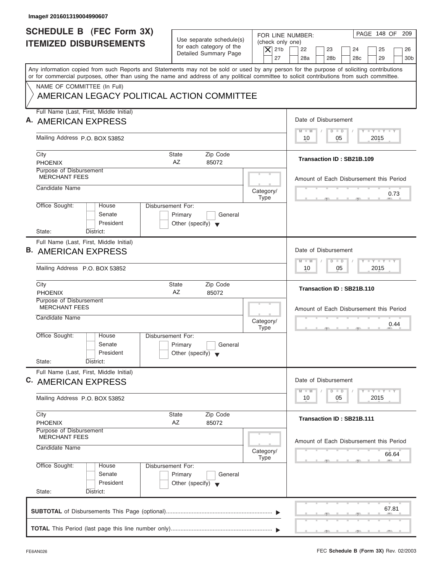| Image# 201601319004990607                                                                                                                                                                                                                                                               |                                                                                 |                                                                  |                                                                                                                                                                                                                                                      |
|-----------------------------------------------------------------------------------------------------------------------------------------------------------------------------------------------------------------------------------------------------------------------------------------|---------------------------------------------------------------------------------|------------------------------------------------------------------|------------------------------------------------------------------------------------------------------------------------------------------------------------------------------------------------------------------------------------------------------|
| <b>SCHEDULE B (FEC Form 3X)</b><br><b>ITEMIZED DISBURSEMENTS</b>                                                                                                                                                                                                                        | Use separate schedule(s)<br>for each category of the<br>Detailed Summary Page   | FOR LINE NUMBER:<br>(check only one)<br>$\overline{X}$ 21b<br>27 | PAGE 148 OF 209<br>22<br>23<br>24<br>25<br>26<br>28a<br>28 <sub>b</sub><br>29<br>30 <sub>b</sub><br>28 <sub>c</sub>                                                                                                                                  |
| Any information copied from such Reports and Statements may not be sold or used by any person for the purpose of soliciting contributions<br>or for commercial purposes, other than using the name and address of any political committee to solicit contributions from such committee. |                                                                                 |                                                                  |                                                                                                                                                                                                                                                      |
| NAME OF COMMITTEE (In Full)<br>AMERICAN LEGACY POLITICAL ACTION COMMITTEE                                                                                                                                                                                                               |                                                                                 |                                                                  |                                                                                                                                                                                                                                                      |
| Full Name (Last, First, Middle Initial)<br>A. AMERICAN EXPRESS                                                                                                                                                                                                                          |                                                                                 |                                                                  | Date of Disbursement                                                                                                                                                                                                                                 |
| Mailing Address P.O. BOX 53852                                                                                                                                                                                                                                                          |                                                                                 |                                                                  | $T - Y = T - Y = T - Y$<br>$M - M$<br>$D$ $D$<br>2015<br>10<br>05                                                                                                                                                                                    |
| City<br><b>PHOENIX</b>                                                                                                                                                                                                                                                                  | Zip Code<br>State<br>AZ<br>85072                                                |                                                                  | Transaction ID: SB21B.109                                                                                                                                                                                                                            |
| Purpose of Disbursement<br><b>MERCHANT FEES</b>                                                                                                                                                                                                                                         |                                                                                 |                                                                  | Amount of Each Disbursement this Period                                                                                                                                                                                                              |
| Candidate Name                                                                                                                                                                                                                                                                          |                                                                                 | Category/<br><b>Type</b>                                         | 0.73                                                                                                                                                                                                                                                 |
| Office Sought:<br>House<br>Senate<br>President<br>State:<br>District:                                                                                                                                                                                                                   | Disbursement For:<br>Primary<br>General<br>Other (specify) $\blacktriangledown$ |                                                                  |                                                                                                                                                                                                                                                      |
| Full Name (Last, First, Middle Initial)<br><b>B. AMERICAN EXPRESS</b>                                                                                                                                                                                                                   |                                                                                 |                                                                  | Date of Disbursement<br><b>LEYTEY LEY</b><br>$M - M$<br>$D$ $D$                                                                                                                                                                                      |
| Mailing Address P.O. BOX 53852                                                                                                                                                                                                                                                          |                                                                                 |                                                                  | 05<br>2015<br>10                                                                                                                                                                                                                                     |
| City<br><b>PHOENIX</b>                                                                                                                                                                                                                                                                  | Zip Code<br><b>State</b><br>AZ<br>85072                                         |                                                                  | Transaction ID: SB21B.110                                                                                                                                                                                                                            |
| Purpose of Disbursement<br><b>MERCHANT FEES</b><br>Candidate Name                                                                                                                                                                                                                       |                                                                                 | Category/<br><b>Type</b>                                         | Amount of Each Disbursement this Period<br>0.44<br>$-7$                                                                                                                                                                                              |
| Office Sought:<br>House<br>Senate<br>President<br>State:<br>District:                                                                                                                                                                                                                   | Disbursement For:<br>Primary<br>General<br>Other (specify) $\blacktriangledown$ |                                                                  |                                                                                                                                                                                                                                                      |
| Full Name (Last, First, Middle Initial)<br>C. AMERICAN EXPRESS                                                                                                                                                                                                                          |                                                                                 |                                                                  | Date of Disbursement<br>$\frac{1}{2}$ $\frac{1}{2}$ $\frac{1}{2}$ $\frac{1}{2}$ $\frac{1}{2}$ $\frac{1}{2}$ $\frac{1}{2}$ $\frac{1}{2}$ $\frac{1}{2}$ $\frac{1}{2}$ $\frac{1}{2}$ $\frac{1}{2}$ $\frac{1}{2}$<br>$M - M$<br>$\overline{D}$<br>$\Box$ |
| Mailing Address P.O. BOX 53852                                                                                                                                                                                                                                                          |                                                                                 |                                                                  | 2015<br>10<br>05                                                                                                                                                                                                                                     |
| City<br><b>PHOENIX</b>                                                                                                                                                                                                                                                                  | Zip Code<br>State<br>AZ<br>85072                                                |                                                                  | Transaction ID: SB21B.111                                                                                                                                                                                                                            |
| Purpose of Disbursement<br><b>MERCHANT FEES</b><br>Candidate Name                                                                                                                                                                                                                       |                                                                                 | Category/                                                        | Amount of Each Disbursement this Period                                                                                                                                                                                                              |
| Office Sought:<br>House<br>Senate<br>President<br>State:<br>District:                                                                                                                                                                                                                   | Disbursement For:<br>Primary<br>General<br>Other (specify) $\blacktriangledown$ | Type                                                             | 66.64                                                                                                                                                                                                                                                |
|                                                                                                                                                                                                                                                                                         |                                                                                 |                                                                  | 67.81                                                                                                                                                                                                                                                |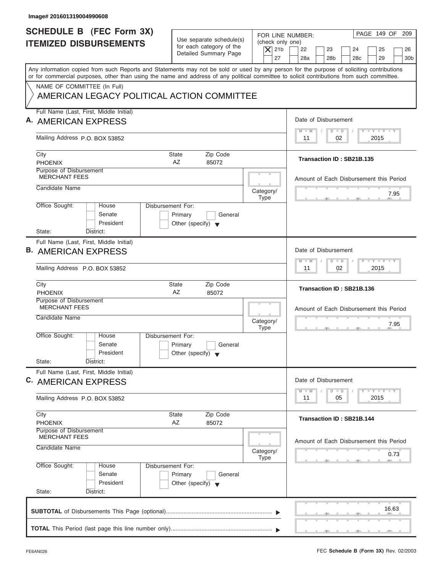| Image# 201601319004990608                                                                                                                                                                                                                                                               |                                                                                 |                                              |                                                                                                                                                                                                                                                      |
|-----------------------------------------------------------------------------------------------------------------------------------------------------------------------------------------------------------------------------------------------------------------------------------------|---------------------------------------------------------------------------------|----------------------------------------------|------------------------------------------------------------------------------------------------------------------------------------------------------------------------------------------------------------------------------------------------------|
| <b>SCHEDULE B (FEC Form 3X)</b><br><b>ITEMIZED DISBURSEMENTS</b>                                                                                                                                                                                                                        | Use separate schedule(s)<br>for each category of the<br>Detailed Summary Page   | (check only one)<br>$\overline{X}$ 21b<br>27 | PAGE 149 OF 209<br>FOR LINE NUMBER:<br>22<br>23<br>24<br>25<br>26<br>28a<br>28 <sub>b</sub><br>29<br>30 <sub>b</sub><br>28 <sub>c</sub>                                                                                                              |
| Any information copied from such Reports and Statements may not be sold or used by any person for the purpose of soliciting contributions<br>or for commercial purposes, other than using the name and address of any political committee to solicit contributions from such committee. |                                                                                 |                                              |                                                                                                                                                                                                                                                      |
| NAME OF COMMITTEE (In Full)<br>AMERICAN LEGACY POLITICAL ACTION COMMITTEE                                                                                                                                                                                                               |                                                                                 |                                              |                                                                                                                                                                                                                                                      |
| Full Name (Last, First, Middle Initial)<br>A. AMERICAN EXPRESS                                                                                                                                                                                                                          |                                                                                 |                                              | Date of Disbursement                                                                                                                                                                                                                                 |
| Mailing Address P.O. BOX 53852                                                                                                                                                                                                                                                          |                                                                                 |                                              | $T - Y = T - Y = T - Y$<br>$D$ $D$<br>$M - M$<br>02<br>2015<br>11                                                                                                                                                                                    |
| City<br><b>PHOENIX</b>                                                                                                                                                                                                                                                                  | Zip Code<br>State<br>AZ<br>85072                                                |                                              | Transaction ID: SB21B.135                                                                                                                                                                                                                            |
| Purpose of Disbursement<br><b>MERCHANT FEES</b>                                                                                                                                                                                                                                         |                                                                                 |                                              | Amount of Each Disbursement this Period                                                                                                                                                                                                              |
| Candidate Name                                                                                                                                                                                                                                                                          |                                                                                 | Category/<br><b>Type</b>                     | 7.95                                                                                                                                                                                                                                                 |
| Office Sought:<br>House<br>Senate<br>President<br>State:<br>District:                                                                                                                                                                                                                   | Disbursement For:<br>Primary<br>General<br>Other (specify) $\blacktriangledown$ |                                              |                                                                                                                                                                                                                                                      |
| Full Name (Last, First, Middle Initial)<br><b>B. AMERICAN EXPRESS</b>                                                                                                                                                                                                                   |                                                                                 |                                              | Date of Disbursement<br><b>LEYTEY LEY</b><br>$M - M$<br>$D$ $D$                                                                                                                                                                                      |
| Mailing Address P.O. BOX 53852                                                                                                                                                                                                                                                          |                                                                                 |                                              | 02<br>2015<br>11                                                                                                                                                                                                                                     |
| City<br><b>PHOENIX</b>                                                                                                                                                                                                                                                                  | Zip Code<br><b>State</b><br>AZ<br>85072                                         |                                              | Transaction ID: SB21B.136                                                                                                                                                                                                                            |
| Purpose of Disbursement<br><b>MERCHANT FEES</b><br>Candidate Name                                                                                                                                                                                                                       |                                                                                 | Category/<br><b>Type</b>                     | Amount of Each Disbursement this Period<br>7.95<br>$\overline{2}$                                                                                                                                                                                    |
| Office Sought:<br>House<br>Senate<br>President<br>State:<br>District:                                                                                                                                                                                                                   | Disbursement For:<br>Primary<br>General<br>Other (specify) $\blacktriangledown$ |                                              |                                                                                                                                                                                                                                                      |
| Full Name (Last, First, Middle Initial)<br>C. AMERICAN EXPRESS                                                                                                                                                                                                                          |                                                                                 |                                              | Date of Disbursement<br>$\frac{1}{2}$ $\frac{1}{2}$ $\frac{1}{2}$ $\frac{1}{2}$ $\frac{1}{2}$ $\frac{1}{2}$ $\frac{1}{2}$ $\frac{1}{2}$ $\frac{1}{2}$ $\frac{1}{2}$ $\frac{1}{2}$ $\frac{1}{2}$ $\frac{1}{2}$<br>$M - M$<br>$\overline{D}$<br>$\Box$ |
| Mailing Address P.O. BOX 53852                                                                                                                                                                                                                                                          |                                                                                 |                                              | 2015<br>11<br>05                                                                                                                                                                                                                                     |
| City<br><b>PHOENIX</b>                                                                                                                                                                                                                                                                  | Zip Code<br>State<br>AZ<br>85072                                                |                                              | Transaction ID: SB21B.144                                                                                                                                                                                                                            |
| Purpose of Disbursement<br><b>MERCHANT FEES</b><br>Candidate Name                                                                                                                                                                                                                       |                                                                                 |                                              | Amount of Each Disbursement this Period                                                                                                                                                                                                              |
|                                                                                                                                                                                                                                                                                         |                                                                                 | Category/<br>Type                            | 0.73                                                                                                                                                                                                                                                 |
| Office Sought:<br>House<br>Senate<br>President<br>State:<br>District:                                                                                                                                                                                                                   | Disbursement For:<br>Primary<br>General<br>Other (specify) $\blacktriangledown$ |                                              |                                                                                                                                                                                                                                                      |
|                                                                                                                                                                                                                                                                                         |                                                                                 |                                              | 16.63                                                                                                                                                                                                                                                |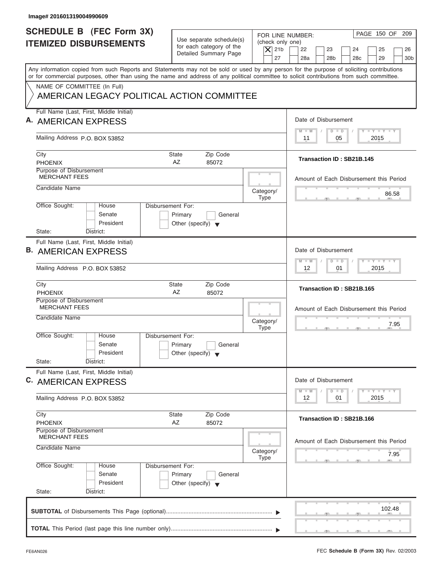| Image# 201601319004990609                                                                                                                                                                                                                                                               |                                                                                 |                                                                  |                                                                                                                     |
|-----------------------------------------------------------------------------------------------------------------------------------------------------------------------------------------------------------------------------------------------------------------------------------------|---------------------------------------------------------------------------------|------------------------------------------------------------------|---------------------------------------------------------------------------------------------------------------------|
| <b>SCHEDULE B (FEC Form 3X)</b><br><b>ITEMIZED DISBURSEMENTS</b>                                                                                                                                                                                                                        | Use separate schedule(s)<br>for each category of the<br>Detailed Summary Page   | FOR LINE NUMBER:<br>(check only one)<br>$\overline{X}$ 21b<br>27 | PAGE 150 OF 209<br>22<br>23<br>24<br>25<br>26<br>28a<br>28 <sub>b</sub><br>29<br>30 <sub>b</sub><br>28 <sub>c</sub> |
| Any information copied from such Reports and Statements may not be sold or used by any person for the purpose of soliciting contributions<br>or for commercial purposes, other than using the name and address of any political committee to solicit contributions from such committee. |                                                                                 |                                                                  |                                                                                                                     |
| NAME OF COMMITTEE (In Full)<br>AMERICAN LEGACY POLITICAL ACTION COMMITTEE                                                                                                                                                                                                               |                                                                                 |                                                                  |                                                                                                                     |
| Full Name (Last, First, Middle Initial)<br>A. AMERICAN EXPRESS                                                                                                                                                                                                                          |                                                                                 |                                                                  | Date of Disbursement                                                                                                |
| Mailing Address P.O. BOX 53852                                                                                                                                                                                                                                                          |                                                                                 |                                                                  | $T - Y = T - Y = T - Y$<br>$D$ $D$<br>$M - M$<br>2015<br>11<br>05                                                   |
| City<br><b>PHOENIX</b>                                                                                                                                                                                                                                                                  | Zip Code<br>State<br>AZ<br>85072                                                |                                                                  | Transaction ID: SB21B.145                                                                                           |
| Purpose of Disbursement<br><b>MERCHANT FEES</b>                                                                                                                                                                                                                                         |                                                                                 |                                                                  | Amount of Each Disbursement this Period                                                                             |
| Candidate Name                                                                                                                                                                                                                                                                          |                                                                                 | Category/<br><b>Type</b>                                         | 86.58                                                                                                               |
| Office Sought:<br>House<br>Senate<br>President<br>State:<br>District:                                                                                                                                                                                                                   | Disbursement For:<br>Primary<br>General<br>Other (specify) $\blacktriangledown$ |                                                                  |                                                                                                                     |
| Full Name (Last, First, Middle Initial)<br><b>B. AMERICAN EXPRESS</b>                                                                                                                                                                                                                   |                                                                                 |                                                                  | Date of Disbursement<br><b>LEYTEY LEY</b><br>$M - M$<br>$D$ $D$                                                     |
| Mailing Address P.O. BOX 53852                                                                                                                                                                                                                                                          |                                                                                 |                                                                  | 2015<br>12<br>01                                                                                                    |
| City<br><b>PHOENIX</b>                                                                                                                                                                                                                                                                  | Zip Code<br><b>State</b><br>AZ<br>85072                                         |                                                                  | Transaction ID: SB21B.165                                                                                           |
| Purpose of Disbursement<br><b>MERCHANT FEES</b><br>Candidate Name                                                                                                                                                                                                                       |                                                                                 | Category/<br><b>Type</b>                                         | Amount of Each Disbursement this Period<br>7.95<br>$\overline{2}$                                                   |
| Office Sought:<br>House<br>Senate<br>President<br>State:<br>District:                                                                                                                                                                                                                   | Disbursement For:<br>Primary<br>General<br>Other (specify) $\blacktriangledown$ |                                                                  |                                                                                                                     |
| Full Name (Last, First, Middle Initial)<br>C. AMERICAN EXPRESS                                                                                                                                                                                                                          |                                                                                 |                                                                  | Date of Disbursement<br>$T - Y$ $T - Y$<br>$M - M$<br>$\overline{D}$<br>$\Box$                                      |
| Mailing Address P.O. BOX 53852                                                                                                                                                                                                                                                          |                                                                                 |                                                                  | 2015<br>12<br>01                                                                                                    |
| City<br><b>PHOENIX</b>                                                                                                                                                                                                                                                                  | Zip Code<br>State<br>AZ<br>85072                                                |                                                                  | Transaction ID: SB21B.166                                                                                           |
| Purpose of Disbursement<br><b>MERCHANT FEES</b><br>Candidate Name                                                                                                                                                                                                                       |                                                                                 | Category/                                                        | Amount of Each Disbursement this Period                                                                             |
| Office Sought:<br>House<br>Senate<br>President<br>State:<br>District:                                                                                                                                                                                                                   | Disbursement For:<br>Primary<br>General<br>Other (specify) $\blacktriangledown$ | Type                                                             | 7.95                                                                                                                |
|                                                                                                                                                                                                                                                                                         |                                                                                 |                                                                  | 102.48                                                                                                              |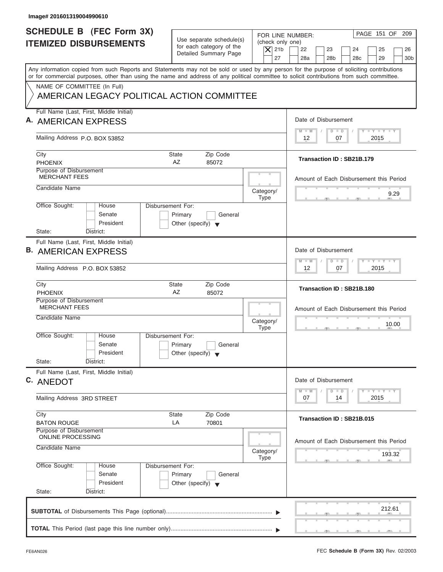| Image# 201601319004990610                                                                                                                                                                                                                                                               |                                                                                 |                                                                  |                                                                                                                                                                                                                                         |
|-----------------------------------------------------------------------------------------------------------------------------------------------------------------------------------------------------------------------------------------------------------------------------------------|---------------------------------------------------------------------------------|------------------------------------------------------------------|-----------------------------------------------------------------------------------------------------------------------------------------------------------------------------------------------------------------------------------------|
| <b>SCHEDULE B (FEC Form 3X)</b><br><b>ITEMIZED DISBURSEMENTS</b>                                                                                                                                                                                                                        | Use separate schedule(s)<br>for each category of the<br>Detailed Summary Page   | FOR LINE NUMBER:<br>(check only one)<br>$\overline{X}$ 21b<br>27 | PAGE 151 OF 209<br>22<br>23<br>24<br>25<br>26<br>28a<br>28 <sub>b</sub><br>29<br>30 <sub>b</sub><br>28 <sub>c</sub>                                                                                                                     |
| Any information copied from such Reports and Statements may not be sold or used by any person for the purpose of soliciting contributions<br>or for commercial purposes, other than using the name and address of any political committee to solicit contributions from such committee. |                                                                                 |                                                                  |                                                                                                                                                                                                                                         |
| NAME OF COMMITTEE (In Full)<br>AMERICAN LEGACY POLITICAL ACTION COMMITTEE                                                                                                                                                                                                               |                                                                                 |                                                                  |                                                                                                                                                                                                                                         |
| Full Name (Last, First, Middle Initial)<br>A. AMERICAN EXPRESS                                                                                                                                                                                                                          |                                                                                 |                                                                  | Date of Disbursement                                                                                                                                                                                                                    |
| Mailing Address P.O. BOX 53852                                                                                                                                                                                                                                                          |                                                                                 |                                                                  | $T - Y = T - Y = T - Y$<br>$D$ $D$<br>$M - M$<br>07<br>2015<br>12                                                                                                                                                                       |
| City<br><b>PHOENIX</b>                                                                                                                                                                                                                                                                  | Zip Code<br>State<br>AZ<br>85072                                                |                                                                  | Transaction ID: SB21B.179                                                                                                                                                                                                               |
| Purpose of Disbursement<br><b>MERCHANT FEES</b>                                                                                                                                                                                                                                         |                                                                                 |                                                                  | Amount of Each Disbursement this Period                                                                                                                                                                                                 |
| Candidate Name                                                                                                                                                                                                                                                                          |                                                                                 | Category/<br><b>Type</b>                                         | 9.29                                                                                                                                                                                                                                    |
| Office Sought:<br>House<br>Senate<br>President<br>State:<br>District:                                                                                                                                                                                                                   | Disbursement For:<br>Primary<br>General<br>Other (specify) $\blacktriangledown$ |                                                                  |                                                                                                                                                                                                                                         |
| Full Name (Last, First, Middle Initial)<br><b>B. AMERICAN EXPRESS</b>                                                                                                                                                                                                                   |                                                                                 |                                                                  | Date of Disbursement<br><b>LEYTEY LEY</b><br>$M - M$<br>$D$ $D$                                                                                                                                                                         |
| Mailing Address P.O. BOX 53852                                                                                                                                                                                                                                                          |                                                                                 |                                                                  | 2015<br>12<br>07                                                                                                                                                                                                                        |
| City<br><b>PHOENIX</b>                                                                                                                                                                                                                                                                  | Zip Code<br><b>State</b><br>AZ<br>85072                                         |                                                                  | Transaction ID: SB21B.180                                                                                                                                                                                                               |
| Purpose of Disbursement<br><b>MERCHANT FEES</b><br>Candidate Name                                                                                                                                                                                                                       |                                                                                 | Category/<br><b>Type</b>                                         | Amount of Each Disbursement this Period<br>10.00<br>$-5$                                                                                                                                                                                |
| Office Sought:<br>House<br>Senate<br>President<br>State:<br>District:                                                                                                                                                                                                                   | Disbursement For:<br>Primary<br>General<br>Other (specify) $\blacktriangledown$ |                                                                  |                                                                                                                                                                                                                                         |
| Full Name (Last, First, Middle Initial)<br>C. ANEDOT                                                                                                                                                                                                                                    |                                                                                 |                                                                  | Date of Disbursement<br>$\frac{1}{2}$ $\frac{1}{2}$ $\frac{1}{2}$ $\frac{1}{2}$ $\frac{1}{2}$ $\frac{1}{2}$ $\frac{1}{2}$ $\frac{1}{2}$ $\frac{1}{2}$ $\frac{1}{2}$ $\frac{1}{2}$ $\frac{1}{2}$ $\frac{1}{2}$<br>$M - M$<br>D<br>$\Box$ |
| Mailing Address 3RD STREET                                                                                                                                                                                                                                                              |                                                                                 |                                                                  | 2015<br>07<br>14                                                                                                                                                                                                                        |
| City<br><b>BATON ROUGE</b>                                                                                                                                                                                                                                                              | Zip Code<br>State<br>LA<br>70801                                                |                                                                  | Transaction ID: SB21B.015                                                                                                                                                                                                               |
| Purpose of Disbursement<br><b>ONLINE PROCESSING</b><br>Candidate Name                                                                                                                                                                                                                   |                                                                                 | Category/                                                        | Amount of Each Disbursement this Period<br>193.32                                                                                                                                                                                       |
| Office Sought:<br>House<br>Senate<br>President<br>State:<br>District:                                                                                                                                                                                                                   | Disbursement For:<br>Primary<br>General<br>Other (specify) $\blacktriangledown$ | Type                                                             |                                                                                                                                                                                                                                         |
|                                                                                                                                                                                                                                                                                         |                                                                                 |                                                                  | 212.61                                                                                                                                                                                                                                  |

ı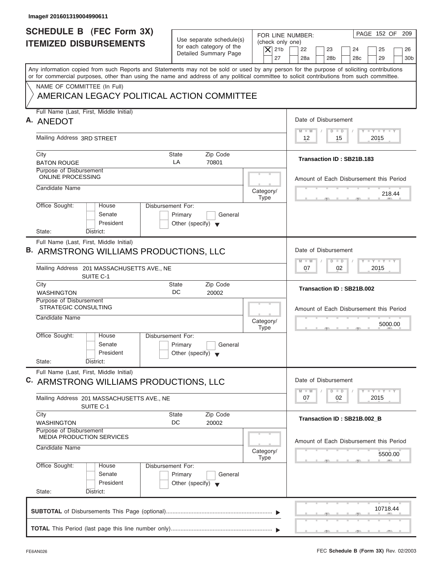| Image# 201601319004990611                                                                                                                                                                                                                                                               |                                                                               |                                                                  |                                                                                                                        |
|-----------------------------------------------------------------------------------------------------------------------------------------------------------------------------------------------------------------------------------------------------------------------------------------|-------------------------------------------------------------------------------|------------------------------------------------------------------|------------------------------------------------------------------------------------------------------------------------|
| <b>SCHEDULE B (FEC Form 3X)</b><br><b>ITEMIZED DISBURSEMENTS</b>                                                                                                                                                                                                                        | Use separate schedule(s)<br>for each category of the<br>Detailed Summary Page | FOR LINE NUMBER:<br>(check only one)<br>$\overline{X}$ 21b<br>27 | PAGE 152 OF<br>209<br>22<br>23<br>25<br>24<br>26<br>29<br>28a<br>28 <sub>b</sub><br>28 <sub>c</sub><br>30 <sub>b</sub> |
| Any information copied from such Reports and Statements may not be sold or used by any person for the purpose of soliciting contributions<br>or for commercial purposes, other than using the name and address of any political committee to solicit contributions from such committee. |                                                                               |                                                                  |                                                                                                                        |
| NAME OF COMMITTEE (In Full)<br>AMERICAN LEGACY POLITICAL ACTION COMMITTEE                                                                                                                                                                                                               |                                                                               |                                                                  |                                                                                                                        |
| Full Name (Last, First, Middle Initial)<br>A. ANEDOT                                                                                                                                                                                                                                    |                                                                               |                                                                  | Date of Disbursement                                                                                                   |
| Mailing Address 3RD STREET                                                                                                                                                                                                                                                              |                                                                               |                                                                  | $T - Y = T - Y = T - Y$<br>$M - M$<br>$D$ $D$<br>$12 \overline{ }$<br>15<br>2015                                       |
| City<br><b>BATON ROUGE</b>                                                                                                                                                                                                                                                              | Zip Code<br>State<br>LA<br>70801                                              |                                                                  | Transaction ID: SB21B.183                                                                                              |
| Purpose of Disbursement<br><b>ONLINE PROCESSING</b>                                                                                                                                                                                                                                     |                                                                               |                                                                  | Amount of Each Disbursement this Period                                                                                |
| Candidate Name                                                                                                                                                                                                                                                                          |                                                                               | Category/<br><b>Type</b>                                         | 218.44                                                                                                                 |
| Office Sought:<br>Disbursement For:<br>House<br>Senate<br>President                                                                                                                                                                                                                     | Primary<br>General<br>Other (specify) $\blacktriangledown$                    |                                                                  |                                                                                                                        |
| State:<br>District:<br>Full Name (Last, First, Middle Initial)                                                                                                                                                                                                                          |                                                                               |                                                                  |                                                                                                                        |
| B. ARMSTRONG WILLIAMS PRODUCTIONS, LLC                                                                                                                                                                                                                                                  |                                                                               |                                                                  | Date of Disbursement                                                                                                   |
| Mailing Address 201 MASSACHUSETTS AVE., NE<br>SUITE C-1                                                                                                                                                                                                                                 |                                                                               |                                                                  | $-Y - Y - Y - Y$<br>$M - M$<br>$\Box$<br>$\overline{D}$<br>07<br>02<br>2015                                            |
| City<br><b>WASHINGTON</b>                                                                                                                                                                                                                                                               | Zip Code<br>State<br>DC<br>20002                                              |                                                                  | Transaction ID: SB21B.002                                                                                              |
| Purpose of Disbursement<br><b>STRATEGIC CONSULTING</b><br>Candidate Name                                                                                                                                                                                                                |                                                                               | Category/                                                        | Amount of Each Disbursement this Period                                                                                |
| Office Sought:<br>House<br>Disbursement For:<br>Senate<br>President<br>State:<br>District:                                                                                                                                                                                              | Primary<br>General<br>Other (specify) $\blacktriangledown$                    | <b>Type</b>                                                      | 5000.00<br>$-5$                                                                                                        |
| Full Name (Last, First, Middle Initial)<br>C. ARMSTRONG WILLIAMS PRODUCTIONS, LLC                                                                                                                                                                                                       |                                                                               |                                                                  | Date of Disbursement<br>$T - Y$ $T - Y$<br>$M - M$<br>$\Box$<br>D                                                      |
| Mailing Address 201 MASSACHUSETTS AVE., NE<br>SUITE C-1                                                                                                                                                                                                                                 |                                                                               |                                                                  | 2015<br>07<br>02                                                                                                       |
| City<br><b>WASHINGTON</b>                                                                                                                                                                                                                                                               | Zip Code<br>State<br>DC<br>20002                                              |                                                                  | Transaction ID: SB21B.002 B                                                                                            |
| Purpose of Disbursement<br><b>MEDIA PRODUCTION SERVICES</b>                                                                                                                                                                                                                             |                                                                               |                                                                  | Amount of Each Disbursement this Period                                                                                |
| Candidate Name                                                                                                                                                                                                                                                                          |                                                                               | Category/<br><b>Type</b>                                         | 5500.00                                                                                                                |
| Office Sought:<br>Disbursement For:<br>House<br>Senate<br>President<br>State:<br>District:                                                                                                                                                                                              | Primary<br>General<br>Other (specify) $\blacktriangledown$                    |                                                                  |                                                                                                                        |
|                                                                                                                                                                                                                                                                                         |                                                                               |                                                                  | 10718.44                                                                                                               |
|                                                                                                                                                                                                                                                                                         |                                                                               |                                                                  |                                                                                                                        |

ı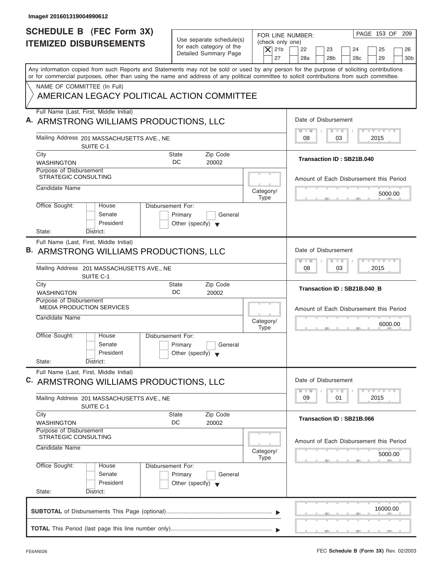| PAGE 153 OF<br>FOR LINE NUMBER:<br>Use separate schedule(s)<br>(check only one)<br>for each category of the<br>$\overline{X}$ 21b<br>22<br>23<br>24<br>25<br>Detailed Summary Page<br>27<br>28a<br>28 <sub>b</sub><br>28c<br>29<br>Any information copied from such Reports and Statements may not be sold or used by any person for the purpose of soliciting contributions<br>or for commercial purposes, other than using the name and address of any political committee to solicit contributions from such committee.<br>NAME OF COMMITTEE (In Full)<br>AMERICAN LEGACY POLITICAL ACTION COMMITTEE<br>Full Name (Last, First, Middle Initial)<br>Date of Disbursement<br>A. ARMSTRONG WILLIAMS PRODUCTIONS, LLC<br>$\mathbf{I} \mathbf{Y} \mathbf{I} \mathbf{Y} \mathbf{I} \mathbf{Y}$<br>$M - M$<br>$D$ $D$<br>Mailing Address 201 MASSACHUSETTS AVE., NE<br>08<br>03<br>2015<br>SUITE C-1<br>Zip Code<br>City<br>State<br>Transaction ID: SB21B.040<br>DC<br><b>WASHINGTON</b><br>20002<br>Purpose of Disbursement<br><b>STRATEGIC CONSULTING</b><br>Amount of Each Disbursement this Period<br>Candidate Name<br>Category/<br>5000.00<br><b>Type</b><br>Office Sought:<br>Disbursement For:<br>House<br>Senate<br>Primary<br>General<br>President<br>Other (specify) $\blacktriangledown$<br>State:<br>District:<br>Full Name (Last, First, Middle Initial)<br>Date of Disbursement<br>B. ARMSTRONG WILLIAMS PRODUCTIONS, LLC<br>$-1$ $-1$ $-1$ $-1$ $-1$<br>$M - M$<br>$D$ $D$<br>03<br>2015<br>Mailing Address 201 MASSACHUSETTS AVE., NE<br>08<br>SUITE C-1<br>Zip Code<br>City<br>State<br>Transaction ID: SB21B.040_B<br>DC<br><b>WASHINGTON</b><br>20002<br>Purpose of Disbursement<br><b>MEDIA PRODUCTION SERVICES</b><br>Amount of Each Disbursement this Period<br>Candidate Name<br>Category/<br>6000.00<br><b>Type</b><br>$-7$<br>Office Sought:<br>House<br>Disbursement For:<br>Senate<br>Primary<br>General<br>President<br>Other (specify) $\blacktriangledown$<br>State:<br>District:<br>Full Name (Last, First, Middle Initial)<br>Date of Disbursement<br>C. ARMSTRONG WILLIAMS PRODUCTIONS, LLC<br>$\mathbf{I}$ $\mathbf{Y}$ $\mathbf{I}$ $\mathbf{Y}$ $\mathbf{I}$ $\mathbf{Y}$<br>$M - M$<br>$\Box$<br>D<br>09<br>01<br>2015<br>Mailing Address 201 MASSACHUSETTS AVE., NE<br>SUITE C-1<br>Zip Code<br>City<br>State<br>Transaction ID: SB21B.066<br>DC<br>20002<br><b>WASHINGTON</b><br><b>Purpose of Disbursement</b><br>STRATEGIC CONSULTING<br>Amount of Each Disbursement this Period<br>Candidate Name<br>Category/<br>5000.00<br><b>Type</b><br>Office Sought:<br>Disbursement For:<br>House<br>Senate<br>Primary<br>General<br>President<br>Other (specify) $\blacktriangledown$<br>State:<br>District:<br>16000.00 | Image# 201601319004990612                                        |  |                              |
|----------------------------------------------------------------------------------------------------------------------------------------------------------------------------------------------------------------------------------------------------------------------------------------------------------------------------------------------------------------------------------------------------------------------------------------------------------------------------------------------------------------------------------------------------------------------------------------------------------------------------------------------------------------------------------------------------------------------------------------------------------------------------------------------------------------------------------------------------------------------------------------------------------------------------------------------------------------------------------------------------------------------------------------------------------------------------------------------------------------------------------------------------------------------------------------------------------------------------------------------------------------------------------------------------------------------------------------------------------------------------------------------------------------------------------------------------------------------------------------------------------------------------------------------------------------------------------------------------------------------------------------------------------------------------------------------------------------------------------------------------------------------------------------------------------------------------------------------------------------------------------------------------------------------------------------------------------------------------------------------------------------------------------------------------------------------------------------------------------------------------------------------------------------------------------------------------------------------------------------------------------------------------------------------------------------------------------------------------------------------------------------------------------------------------------------------------------------------------------------------------------------------------------------------------------------------------------------------------------------------------------------------------------------------------------------------------------------------------------------------------------|------------------------------------------------------------------|--|------------------------------|
|                                                                                                                                                                                                                                                                                                                                                                                                                                                                                                                                                                                                                                                                                                                                                                                                                                                                                                                                                                                                                                                                                                                                                                                                                                                                                                                                                                                                                                                                                                                                                                                                                                                                                                                                                                                                                                                                                                                                                                                                                                                                                                                                                                                                                                                                                                                                                                                                                                                                                                                                                                                                                                                                                                                                                          | <b>SCHEDULE B (FEC Form 3X)</b><br><b>ITEMIZED DISBURSEMENTS</b> |  | 209<br>26<br>30 <sub>b</sub> |
|                                                                                                                                                                                                                                                                                                                                                                                                                                                                                                                                                                                                                                                                                                                                                                                                                                                                                                                                                                                                                                                                                                                                                                                                                                                                                                                                                                                                                                                                                                                                                                                                                                                                                                                                                                                                                                                                                                                                                                                                                                                                                                                                                                                                                                                                                                                                                                                                                                                                                                                                                                                                                                                                                                                                                          |                                                                  |  |                              |
|                                                                                                                                                                                                                                                                                                                                                                                                                                                                                                                                                                                                                                                                                                                                                                                                                                                                                                                                                                                                                                                                                                                                                                                                                                                                                                                                                                                                                                                                                                                                                                                                                                                                                                                                                                                                                                                                                                                                                                                                                                                                                                                                                                                                                                                                                                                                                                                                                                                                                                                                                                                                                                                                                                                                                          |                                                                  |  |                              |
|                                                                                                                                                                                                                                                                                                                                                                                                                                                                                                                                                                                                                                                                                                                                                                                                                                                                                                                                                                                                                                                                                                                                                                                                                                                                                                                                                                                                                                                                                                                                                                                                                                                                                                                                                                                                                                                                                                                                                                                                                                                                                                                                                                                                                                                                                                                                                                                                                                                                                                                                                                                                                                                                                                                                                          |                                                                  |  |                              |
|                                                                                                                                                                                                                                                                                                                                                                                                                                                                                                                                                                                                                                                                                                                                                                                                                                                                                                                                                                                                                                                                                                                                                                                                                                                                                                                                                                                                                                                                                                                                                                                                                                                                                                                                                                                                                                                                                                                                                                                                                                                                                                                                                                                                                                                                                                                                                                                                                                                                                                                                                                                                                                                                                                                                                          |                                                                  |  |                              |
|                                                                                                                                                                                                                                                                                                                                                                                                                                                                                                                                                                                                                                                                                                                                                                                                                                                                                                                                                                                                                                                                                                                                                                                                                                                                                                                                                                                                                                                                                                                                                                                                                                                                                                                                                                                                                                                                                                                                                                                                                                                                                                                                                                                                                                                                                                                                                                                                                                                                                                                                                                                                                                                                                                                                                          |                                                                  |  |                              |
|                                                                                                                                                                                                                                                                                                                                                                                                                                                                                                                                                                                                                                                                                                                                                                                                                                                                                                                                                                                                                                                                                                                                                                                                                                                                                                                                                                                                                                                                                                                                                                                                                                                                                                                                                                                                                                                                                                                                                                                                                                                                                                                                                                                                                                                                                                                                                                                                                                                                                                                                                                                                                                                                                                                                                          |                                                                  |  |                              |
|                                                                                                                                                                                                                                                                                                                                                                                                                                                                                                                                                                                                                                                                                                                                                                                                                                                                                                                                                                                                                                                                                                                                                                                                                                                                                                                                                                                                                                                                                                                                                                                                                                                                                                                                                                                                                                                                                                                                                                                                                                                                                                                                                                                                                                                                                                                                                                                                                                                                                                                                                                                                                                                                                                                                                          |                                                                  |  |                              |
|                                                                                                                                                                                                                                                                                                                                                                                                                                                                                                                                                                                                                                                                                                                                                                                                                                                                                                                                                                                                                                                                                                                                                                                                                                                                                                                                                                                                                                                                                                                                                                                                                                                                                                                                                                                                                                                                                                                                                                                                                                                                                                                                                                                                                                                                                                                                                                                                                                                                                                                                                                                                                                                                                                                                                          |                                                                  |  |                              |
|                                                                                                                                                                                                                                                                                                                                                                                                                                                                                                                                                                                                                                                                                                                                                                                                                                                                                                                                                                                                                                                                                                                                                                                                                                                                                                                                                                                                                                                                                                                                                                                                                                                                                                                                                                                                                                                                                                                                                                                                                                                                                                                                                                                                                                                                                                                                                                                                                                                                                                                                                                                                                                                                                                                                                          |                                                                  |  |                              |
|                                                                                                                                                                                                                                                                                                                                                                                                                                                                                                                                                                                                                                                                                                                                                                                                                                                                                                                                                                                                                                                                                                                                                                                                                                                                                                                                                                                                                                                                                                                                                                                                                                                                                                                                                                                                                                                                                                                                                                                                                                                                                                                                                                                                                                                                                                                                                                                                                                                                                                                                                                                                                                                                                                                                                          |                                                                  |  |                              |
|                                                                                                                                                                                                                                                                                                                                                                                                                                                                                                                                                                                                                                                                                                                                                                                                                                                                                                                                                                                                                                                                                                                                                                                                                                                                                                                                                                                                                                                                                                                                                                                                                                                                                                                                                                                                                                                                                                                                                                                                                                                                                                                                                                                                                                                                                                                                                                                                                                                                                                                                                                                                                                                                                                                                                          |                                                                  |  |                              |
|                                                                                                                                                                                                                                                                                                                                                                                                                                                                                                                                                                                                                                                                                                                                                                                                                                                                                                                                                                                                                                                                                                                                                                                                                                                                                                                                                                                                                                                                                                                                                                                                                                                                                                                                                                                                                                                                                                                                                                                                                                                                                                                                                                                                                                                                                                                                                                                                                                                                                                                                                                                                                                                                                                                                                          |                                                                  |  |                              |
|                                                                                                                                                                                                                                                                                                                                                                                                                                                                                                                                                                                                                                                                                                                                                                                                                                                                                                                                                                                                                                                                                                                                                                                                                                                                                                                                                                                                                                                                                                                                                                                                                                                                                                                                                                                                                                                                                                                                                                                                                                                                                                                                                                                                                                                                                                                                                                                                                                                                                                                                                                                                                                                                                                                                                          |                                                                  |  |                              |
|                                                                                                                                                                                                                                                                                                                                                                                                                                                                                                                                                                                                                                                                                                                                                                                                                                                                                                                                                                                                                                                                                                                                                                                                                                                                                                                                                                                                                                                                                                                                                                                                                                                                                                                                                                                                                                                                                                                                                                                                                                                                                                                                                                                                                                                                                                                                                                                                                                                                                                                                                                                                                                                                                                                                                          |                                                                  |  |                              |
|                                                                                                                                                                                                                                                                                                                                                                                                                                                                                                                                                                                                                                                                                                                                                                                                                                                                                                                                                                                                                                                                                                                                                                                                                                                                                                                                                                                                                                                                                                                                                                                                                                                                                                                                                                                                                                                                                                                                                                                                                                                                                                                                                                                                                                                                                                                                                                                                                                                                                                                                                                                                                                                                                                                                                          |                                                                  |  |                              |
|                                                                                                                                                                                                                                                                                                                                                                                                                                                                                                                                                                                                                                                                                                                                                                                                                                                                                                                                                                                                                                                                                                                                                                                                                                                                                                                                                                                                                                                                                                                                                                                                                                                                                                                                                                                                                                                                                                                                                                                                                                                                                                                                                                                                                                                                                                                                                                                                                                                                                                                                                                                                                                                                                                                                                          |                                                                  |  |                              |
|                                                                                                                                                                                                                                                                                                                                                                                                                                                                                                                                                                                                                                                                                                                                                                                                                                                                                                                                                                                                                                                                                                                                                                                                                                                                                                                                                                                                                                                                                                                                                                                                                                                                                                                                                                                                                                                                                                                                                                                                                                                                                                                                                                                                                                                                                                                                                                                                                                                                                                                                                                                                                                                                                                                                                          |                                                                  |  |                              |
|                                                                                                                                                                                                                                                                                                                                                                                                                                                                                                                                                                                                                                                                                                                                                                                                                                                                                                                                                                                                                                                                                                                                                                                                                                                                                                                                                                                                                                                                                                                                                                                                                                                                                                                                                                                                                                                                                                                                                                                                                                                                                                                                                                                                                                                                                                                                                                                                                                                                                                                                                                                                                                                                                                                                                          |                                                                  |  |                              |
|                                                                                                                                                                                                                                                                                                                                                                                                                                                                                                                                                                                                                                                                                                                                                                                                                                                                                                                                                                                                                                                                                                                                                                                                                                                                                                                                                                                                                                                                                                                                                                                                                                                                                                                                                                                                                                                                                                                                                                                                                                                                                                                                                                                                                                                                                                                                                                                                                                                                                                                                                                                                                                                                                                                                                          |                                                                  |  |                              |
|                                                                                                                                                                                                                                                                                                                                                                                                                                                                                                                                                                                                                                                                                                                                                                                                                                                                                                                                                                                                                                                                                                                                                                                                                                                                                                                                                                                                                                                                                                                                                                                                                                                                                                                                                                                                                                                                                                                                                                                                                                                                                                                                                                                                                                                                                                                                                                                                                                                                                                                                                                                                                                                                                                                                                          |                                                                  |  |                              |
|                                                                                                                                                                                                                                                                                                                                                                                                                                                                                                                                                                                                                                                                                                                                                                                                                                                                                                                                                                                                                                                                                                                                                                                                                                                                                                                                                                                                                                                                                                                                                                                                                                                                                                                                                                                                                                                                                                                                                                                                                                                                                                                                                                                                                                                                                                                                                                                                                                                                                                                                                                                                                                                                                                                                                          |                                                                  |  |                              |
|                                                                                                                                                                                                                                                                                                                                                                                                                                                                                                                                                                                                                                                                                                                                                                                                                                                                                                                                                                                                                                                                                                                                                                                                                                                                                                                                                                                                                                                                                                                                                                                                                                                                                                                                                                                                                                                                                                                                                                                                                                                                                                                                                                                                                                                                                                                                                                                                                                                                                                                                                                                                                                                                                                                                                          |                                                                  |  |                              |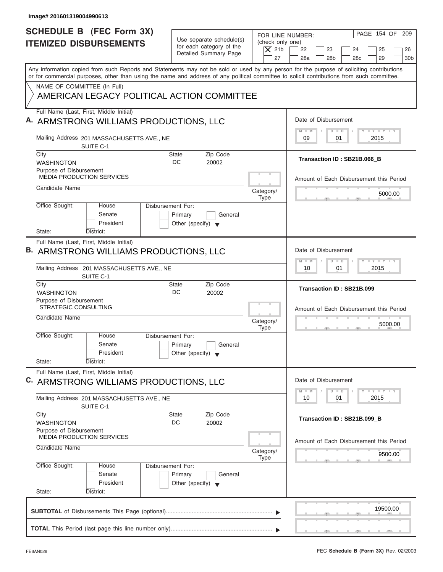| Image# 201601319004990613                                                                                                                                                                                                                                                               |                                                                               |                                                                  |                                                                                                            |
|-----------------------------------------------------------------------------------------------------------------------------------------------------------------------------------------------------------------------------------------------------------------------------------------|-------------------------------------------------------------------------------|------------------------------------------------------------------|------------------------------------------------------------------------------------------------------------|
| <b>SCHEDULE B (FEC Form 3X)</b><br><b>ITEMIZED DISBURSEMENTS</b>                                                                                                                                                                                                                        | Use separate schedule(s)<br>for each category of the<br>Detailed Summary Page | FOR LINE NUMBER:<br>(check only one)<br>$\overline{X}$ 21b<br>27 | PAGE 154 OF<br>209<br>22<br>23<br>24<br>25<br>26<br>28a<br>28 <sub>b</sub><br>28c<br>29<br>30 <sub>b</sub> |
| Any information copied from such Reports and Statements may not be sold or used by any person for the purpose of soliciting contributions<br>or for commercial purposes, other than using the name and address of any political committee to solicit contributions from such committee. |                                                                               |                                                                  |                                                                                                            |
| NAME OF COMMITTEE (In Full)<br>AMERICAN LEGACY POLITICAL ACTION COMMITTEE                                                                                                                                                                                                               |                                                                               |                                                                  |                                                                                                            |
| Full Name (Last, First, Middle Initial)<br>A. ARMSTRONG WILLIAMS PRODUCTIONS, LLC                                                                                                                                                                                                       |                                                                               |                                                                  | Date of Disbursement                                                                                       |
| Mailing Address 201 MASSACHUSETTS AVE., NE<br>SUITE C-1                                                                                                                                                                                                                                 |                                                                               |                                                                  | $I - Y - I - Y - I - Y$<br>$M - M$<br>$D$ $D$<br>09<br>2015<br>01                                          |
| City<br><b>WASHINGTON</b>                                                                                                                                                                                                                                                               | Zip Code<br>State<br>DC<br>20002                                              |                                                                  | Transaction ID: SB21B.066_B                                                                                |
| Purpose of Disbursement<br><b>MEDIA PRODUCTION SERVICES</b>                                                                                                                                                                                                                             |                                                                               |                                                                  | Amount of Each Disbursement this Period                                                                    |
| Candidate Name                                                                                                                                                                                                                                                                          |                                                                               | Category/<br><b>Type</b>                                         | 5000.00                                                                                                    |
| Office Sought:<br>Disbursement For:<br>House<br>Senate<br>President<br>State:<br>District:                                                                                                                                                                                              | Primary<br>General<br>Other (specify) $\blacktriangledown$                    |                                                                  |                                                                                                            |
| Full Name (Last, First, Middle Initial)<br>B. ARMSTRONG WILLIAMS PRODUCTIONS, LLC                                                                                                                                                                                                       |                                                                               |                                                                  | Date of Disbursement                                                                                       |
| Mailing Address 201 MASSACHUSETTS AVE., NE<br>SUITE C-1                                                                                                                                                                                                                                 |                                                                               |                                                                  | $-$ Y $-$ Y $-$ Y<br>$M - M$<br>$D$ $D$<br>2015<br>10<br>01                                                |
| City<br><b>WASHINGTON</b>                                                                                                                                                                                                                                                               | State<br>Zip Code<br>DC<br>20002                                              |                                                                  | Transaction ID: SB21B.099                                                                                  |
| Purpose of Disbursement<br><b>STRATEGIC CONSULTING</b><br>Candidate Name                                                                                                                                                                                                                |                                                                               | Category/                                                        | Amount of Each Disbursement this Period                                                                    |
| Office Sought:<br>House<br>Disbursement For:<br>Senate<br>President<br>State:<br>District:                                                                                                                                                                                              | Primary<br>General<br>Other (specify) $\blacktriangledown$                    | <b>Type</b>                                                      | 5000.00<br>$-7$                                                                                            |
| Full Name (Last, First, Middle Initial)<br>C. ARMSTRONG WILLIAMS PRODUCTIONS, LLC                                                                                                                                                                                                       |                                                                               |                                                                  | Date of Disbursement                                                                                       |
| Mailing Address 201 MASSACHUSETTS AVE., NE<br>SUITE C-1                                                                                                                                                                                                                                 |                                                                               |                                                                  | $T - Y$ $T - Y$<br>$M - M$<br>$\Box$<br>D<br>10<br>01<br>2015                                              |
| City<br><b>WASHINGTON</b>                                                                                                                                                                                                                                                               | Zip Code<br>State<br>DC<br>20002                                              |                                                                  | Transaction ID: SB21B.099_B                                                                                |
| Purpose of Disbursement<br><b>MEDIA PRODUCTION SERVICES</b><br>Candidate Name                                                                                                                                                                                                           |                                                                               | Category/                                                        | Amount of Each Disbursement this Period<br>9500.00                                                         |
| Office Sought:<br>Disbursement For:<br>House<br>Senate<br>President<br>State:<br>District:                                                                                                                                                                                              | Primary<br>General<br>Other (specify) $\blacktriangledown$                    | <b>Type</b>                                                      |                                                                                                            |
|                                                                                                                                                                                                                                                                                         |                                                                               |                                                                  | 19500.00                                                                                                   |
|                                                                                                                                                                                                                                                                                         |                                                                               |                                                                  |                                                                                                            |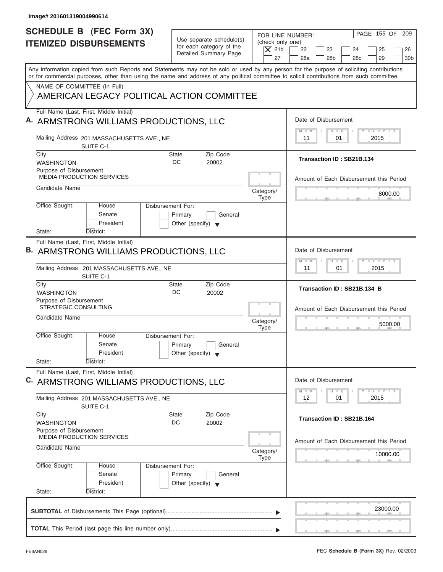| Image# 201601319004990614                                                                                                                                                                                                                                                               |                                                                               |                                                                  |                                                                                                                                 |
|-----------------------------------------------------------------------------------------------------------------------------------------------------------------------------------------------------------------------------------------------------------------------------------------|-------------------------------------------------------------------------------|------------------------------------------------------------------|---------------------------------------------------------------------------------------------------------------------------------|
| <b>SCHEDULE B (FEC Form 3X)</b><br><b>ITEMIZED DISBURSEMENTS</b>                                                                                                                                                                                                                        | Use separate schedule(s)<br>for each category of the<br>Detailed Summary Page | FOR LINE NUMBER:<br>(check only one)<br>$\overline{X}$ 21b<br>27 | PAGE 155 OF<br>209<br>22<br>23<br>24<br>25<br>26<br>28a<br>28 <sub>b</sub><br>28c<br>29<br>30 <sub>b</sub>                      |
| Any information copied from such Reports and Statements may not be sold or used by any person for the purpose of soliciting contributions<br>or for commercial purposes, other than using the name and address of any political committee to solicit contributions from such committee. |                                                                               |                                                                  |                                                                                                                                 |
| NAME OF COMMITTEE (In Full)<br>AMERICAN LEGACY POLITICAL ACTION COMMITTEE                                                                                                                                                                                                               |                                                                               |                                                                  |                                                                                                                                 |
| Full Name (Last, First, Middle Initial)<br>A. ARMSTRONG WILLIAMS PRODUCTIONS, LLC                                                                                                                                                                                                       |                                                                               |                                                                  | Date of Disbursement                                                                                                            |
| Mailing Address 201 MASSACHUSETTS AVE., NE<br>SUITE C-1                                                                                                                                                                                                                                 |                                                                               |                                                                  | $\mathbf{I} \mathbf{Y} \mathbf{I} \mathbf{Y} \mathbf{I} \mathbf{Y}$<br>$D$ $D$<br>$M - M$<br>2015<br>11<br>01                   |
| City<br><b>WASHINGTON</b>                                                                                                                                                                                                                                                               | Zip Code<br>State<br>DC<br>20002                                              |                                                                  | Transaction ID: SB21B.134                                                                                                       |
| Purpose of Disbursement<br><b>MEDIA PRODUCTION SERVICES</b>                                                                                                                                                                                                                             |                                                                               |                                                                  | Amount of Each Disbursement this Period                                                                                         |
| Candidate Name                                                                                                                                                                                                                                                                          |                                                                               | Category/<br><b>Type</b>                                         | 8000.00                                                                                                                         |
| Office Sought:<br>Disbursement For:<br>House<br>Senate<br>President<br>State:<br>District:                                                                                                                                                                                              | Primary<br>General<br>Other (specify) $\blacktriangledown$                    |                                                                  |                                                                                                                                 |
| Full Name (Last, First, Middle Initial)                                                                                                                                                                                                                                                 |                                                                               |                                                                  |                                                                                                                                 |
| B. ARMSTRONG WILLIAMS PRODUCTIONS, LLC                                                                                                                                                                                                                                                  |                                                                               |                                                                  | Date of Disbursement<br>$-1$ $-1$ $-1$ $-1$ $-1$<br>$M - M$<br>$D$ $D$                                                          |
| Mailing Address 201 MASSACHUSETTS AVE., NE<br>SUITE C-1                                                                                                                                                                                                                                 |                                                                               |                                                                  | 2015<br>11<br>01                                                                                                                |
| City<br><b>WASHINGTON</b>                                                                                                                                                                                                                                                               | Zip Code<br>State<br>DC<br>20002                                              |                                                                  | Transaction ID: SB21B.134_B                                                                                                     |
| Purpose of Disbursement<br><b>STRATEGIC CONSULTING</b>                                                                                                                                                                                                                                  |                                                                               |                                                                  | Amount of Each Disbursement this Period                                                                                         |
| Candidate Name                                                                                                                                                                                                                                                                          |                                                                               | Category/<br><b>Type</b>                                         | 5000.00<br>$-5$                                                                                                                 |
| Office Sought:<br>House<br>Disbursement For:<br>Senate<br>President<br>State:<br>District:                                                                                                                                                                                              | Primary<br>General<br>Other (specify) $\blacktriangledown$                    |                                                                  |                                                                                                                                 |
| Full Name (Last, First, Middle Initial)                                                                                                                                                                                                                                                 |                                                                               |                                                                  |                                                                                                                                 |
| C. ARMSTRONG WILLIAMS PRODUCTIONS, LLC                                                                                                                                                                                                                                                  |                                                                               |                                                                  | Date of Disbursement<br>$\mathbf{I}$ $\mathbf{Y}$ $\mathbf{I}$ $\mathbf{Y}$ $\mathbf{I}$ $\mathbf{Y}$<br>$M - M$<br>$\Box$<br>D |
| Mailing Address 201 MASSACHUSETTS AVE., NE<br>SUITE C-1                                                                                                                                                                                                                                 |                                                                               |                                                                  | 12<br>01<br>2015                                                                                                                |
| City<br><b>WASHINGTON</b>                                                                                                                                                                                                                                                               | Zip Code<br>State<br>DC<br>20002                                              |                                                                  | Transaction ID: SB21B.164                                                                                                       |
| Purpose of Disbursement<br><b>MEDIA PRODUCTION SERVICES</b>                                                                                                                                                                                                                             |                                                                               |                                                                  | Amount of Each Disbursement this Period                                                                                         |
| Candidate Name                                                                                                                                                                                                                                                                          |                                                                               | Category/<br><b>Type</b>                                         | 10000.00                                                                                                                        |
| Office Sought:<br>Disbursement For:<br>House<br>Senate<br>President                                                                                                                                                                                                                     | Primary<br>General<br>Other (specify) $\blacktriangledown$                    |                                                                  |                                                                                                                                 |
| State:<br>District:                                                                                                                                                                                                                                                                     |                                                                               |                                                                  |                                                                                                                                 |
|                                                                                                                                                                                                                                                                                         |                                                                               |                                                                  | 23000.00                                                                                                                        |
|                                                                                                                                                                                                                                                                                         |                                                                               |                                                                  |                                                                                                                                 |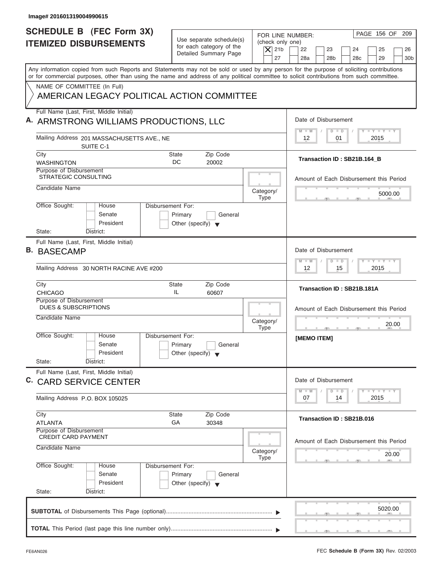| Image# 201601319004990615                                                                                                                                                                                                                                                               |                                                                               |                                                                  |                                                                                                                     |
|-----------------------------------------------------------------------------------------------------------------------------------------------------------------------------------------------------------------------------------------------------------------------------------------|-------------------------------------------------------------------------------|------------------------------------------------------------------|---------------------------------------------------------------------------------------------------------------------|
| <b>SCHEDULE B (FEC Form 3X)</b><br><b>ITEMIZED DISBURSEMENTS</b>                                                                                                                                                                                                                        | Use separate schedule(s)<br>for each category of the<br>Detailed Summary Page | FOR LINE NUMBER:<br>(check only one)<br>$\overline{X}$ 21b<br>27 | PAGE 156 OF 209<br>22<br>23<br>24<br>25<br>26<br>28a<br>28 <sub>b</sub><br>29<br>28 <sub>c</sub><br>30 <sub>b</sub> |
| Any information copied from such Reports and Statements may not be sold or used by any person for the purpose of soliciting contributions<br>or for commercial purposes, other than using the name and address of any political committee to solicit contributions from such committee. |                                                                               |                                                                  |                                                                                                                     |
| NAME OF COMMITTEE (In Full)<br>AMERICAN LEGACY POLITICAL ACTION COMMITTEE                                                                                                                                                                                                               |                                                                               |                                                                  |                                                                                                                     |
| Full Name (Last, First, Middle Initial)<br>A. ARMSTRONG WILLIAMS PRODUCTIONS, LLC                                                                                                                                                                                                       |                                                                               |                                                                  | Date of Disbursement                                                                                                |
| Mailing Address 201 MASSACHUSETTS AVE., NE<br>SUITE C-1                                                                                                                                                                                                                                 |                                                                               |                                                                  | $T - Y = T - Y = T - Y$<br>$D$ $D$<br>$M - M$<br>2015<br>12<br>01                                                   |
| City<br><b>WASHINGTON</b>                                                                                                                                                                                                                                                               | Zip Code<br>State<br>DC<br>20002                                              |                                                                  | Transaction ID: SB21B.164_B                                                                                         |
| Purpose of Disbursement<br>STRATEGIC CONSULTING                                                                                                                                                                                                                                         |                                                                               |                                                                  | Amount of Each Disbursement this Period                                                                             |
| Candidate Name                                                                                                                                                                                                                                                                          |                                                                               | Category/<br><b>Type</b>                                         | 5000.00                                                                                                             |
| Office Sought:<br>Disbursement For:<br>House<br>Senate<br>President<br>State:<br>District:                                                                                                                                                                                              | Primary<br>General<br>Other (specify) $\blacktriangledown$                    |                                                                  |                                                                                                                     |
| Full Name (Last, First, Middle Initial)<br><b>B. BASECAMP</b>                                                                                                                                                                                                                           |                                                                               |                                                                  | Date of Disbursement<br><b>LEYTEY LEY</b><br>$M - M$<br>$D$ $D$                                                     |
| Mailing Address 30 NORTH RACINE AVE #200<br>City                                                                                                                                                                                                                                        | Zip Code<br>State                                                             |                                                                  | 2015<br>12<br>15                                                                                                    |
| <b>CHICAGO</b><br>Purpose of Disbursement                                                                                                                                                                                                                                               | IL<br>60607                                                                   |                                                                  | Transaction ID: SB21B.181A                                                                                          |
| <b>DUES &amp; SUBSCRIPTIONS</b><br>Candidate Name                                                                                                                                                                                                                                       |                                                                               | Category/<br><b>Type</b>                                         | Amount of Each Disbursement this Period<br>20.00                                                                    |
| Office Sought:<br>House<br>Disbursement For:<br>Senate<br>President<br>State:<br>District:                                                                                                                                                                                              | Primary<br>General<br>Other (specify) $\blacktriangledown$                    |                                                                  | [MEMO ITEM]                                                                                                         |
| Full Name (Last, First, Middle Initial)<br>C. CARD SERVICE CENTER                                                                                                                                                                                                                       |                                                                               |                                                                  | Date of Disbursement                                                                                                |
| Mailing Address P.O. BOX 105025                                                                                                                                                                                                                                                         |                                                                               |                                                                  | $T - Y$ $T - Y$<br>$M - M$<br>D<br>$\Box$<br>2015<br>07<br>14                                                       |
| City<br><b>ATLANTA</b>                                                                                                                                                                                                                                                                  | Zip Code<br>State<br>GA<br>30348                                              |                                                                  | Transaction ID: SB21B.016                                                                                           |
| Purpose of Disbursement<br><b>CREDIT CARD PAYMENT</b><br>Candidate Name                                                                                                                                                                                                                 |                                                                               | Category/<br>Type                                                | Amount of Each Disbursement this Period<br>20.00                                                                    |
| Office Sought:<br>Disbursement For:<br>House<br>Senate<br>President<br>State:<br>District:                                                                                                                                                                                              | Primary<br>General<br>Other (specify) $\blacktriangledown$                    |                                                                  |                                                                                                                     |
|                                                                                                                                                                                                                                                                                         |                                                                               |                                                                  | 5020.00<br>$\mathbf{y}$ and $\mathbf{y}$ and $\mathbf{y}$                                                           |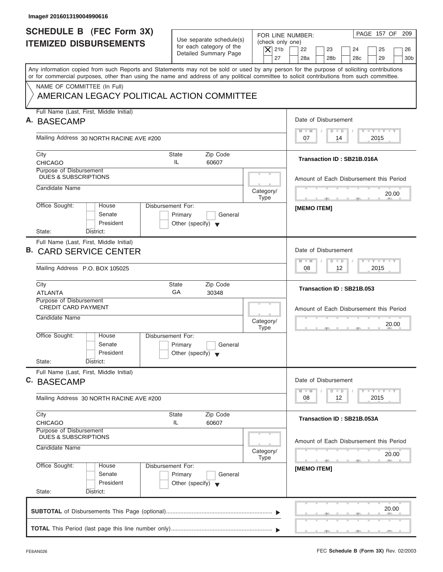| PAGE 157 OF 209<br>FOR LINE NUMBER:<br>(check only one)<br>22<br>23<br>24<br>25<br>26<br>28a<br>28 <sub>b</sub><br>29<br>30 <sub>b</sub><br>28 <sub>c</sub><br>Any information copied from such Reports and Statements may not be sold or used by any person for the purpose of soliciting contributions<br>or for commercial purposes, other than using the name and address of any political committee to solicit contributions from such committee.<br>Date of Disbursement<br>$T - Y = T - Y = T - Y$<br>$M - M$<br>$D$ $D$ |
|---------------------------------------------------------------------------------------------------------------------------------------------------------------------------------------------------------------------------------------------------------------------------------------------------------------------------------------------------------------------------------------------------------------------------------------------------------------------------------------------------------------------------------|
|                                                                                                                                                                                                                                                                                                                                                                                                                                                                                                                                 |
|                                                                                                                                                                                                                                                                                                                                                                                                                                                                                                                                 |
|                                                                                                                                                                                                                                                                                                                                                                                                                                                                                                                                 |
|                                                                                                                                                                                                                                                                                                                                                                                                                                                                                                                                 |
| 2015<br>07<br>14                                                                                                                                                                                                                                                                                                                                                                                                                                                                                                                |
| Transaction ID: SB21B.016A                                                                                                                                                                                                                                                                                                                                                                                                                                                                                                      |
| Amount of Each Disbursement this Period                                                                                                                                                                                                                                                                                                                                                                                                                                                                                         |
| 20.00<br><b>The State of Contract Contract</b>                                                                                                                                                                                                                                                                                                                                                                                                                                                                                  |
| [MEMO ITEM]                                                                                                                                                                                                                                                                                                                                                                                                                                                                                                                     |
| Date of Disbursement                                                                                                                                                                                                                                                                                                                                                                                                                                                                                                            |
| <b>LEYTEY LEY</b><br>$M - M$<br>$D$ $D$<br>12 <sup>2</sup><br>2015<br>08                                                                                                                                                                                                                                                                                                                                                                                                                                                        |
| Transaction ID: SB21B.053                                                                                                                                                                                                                                                                                                                                                                                                                                                                                                       |
| Amount of Each Disbursement this Period                                                                                                                                                                                                                                                                                                                                                                                                                                                                                         |
| 20.00                                                                                                                                                                                                                                                                                                                                                                                                                                                                                                                           |
|                                                                                                                                                                                                                                                                                                                                                                                                                                                                                                                                 |
| Date of Disbursement                                                                                                                                                                                                                                                                                                                                                                                                                                                                                                            |
| $-1 - Y - 1 - Y - 1 - Y$<br>$M - M$<br>$\overline{D}$<br>$\Box$<br>2015<br>08<br>12                                                                                                                                                                                                                                                                                                                                                                                                                                             |
| Transaction ID: SB21B.053A                                                                                                                                                                                                                                                                                                                                                                                                                                                                                                      |
| Amount of Each Disbursement this Period<br>20.00                                                                                                                                                                                                                                                                                                                                                                                                                                                                                |
| $-7$<br>[MEMO ITEM]                                                                                                                                                                                                                                                                                                                                                                                                                                                                                                             |
|                                                                                                                                                                                                                                                                                                                                                                                                                                                                                                                                 |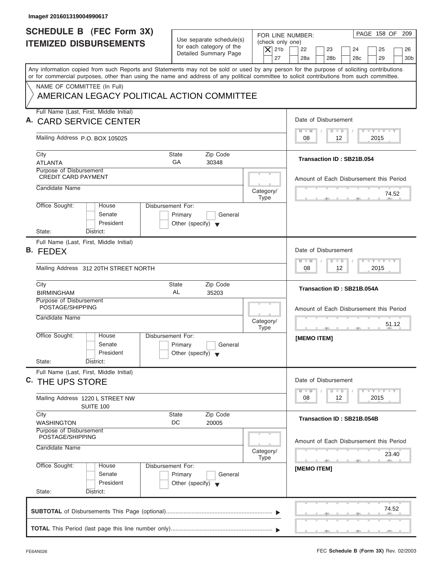| Image# 201601319004990617                                                                                                                                                                                                                                                               |                                                                                                |                                                                                                                                                                                            |
|-----------------------------------------------------------------------------------------------------------------------------------------------------------------------------------------------------------------------------------------------------------------------------------------|------------------------------------------------------------------------------------------------|--------------------------------------------------------------------------------------------------------------------------------------------------------------------------------------------|
| <b>SCHEDULE B</b> (FEC Form 3X)<br><b>ITEMIZED DISBURSEMENTS</b>                                                                                                                                                                                                                        | Use separate schedule(s)<br>for each category of the<br>Detailed Summary Page                  | PAGE 158 OF<br>209<br>FOR LINE NUMBER:<br>(check only one)<br>$\overline{X}$ 21b<br>22<br>23<br>24<br>25<br>26<br>27<br>28a<br>28 <sub>b</sub><br>28 <sub>c</sub><br>29<br>30 <sub>b</sub> |
| Any information copied from such Reports and Statements may not be sold or used by any person for the purpose of soliciting contributions<br>or for commercial purposes, other than using the name and address of any political committee to solicit contributions from such committee. |                                                                                                |                                                                                                                                                                                            |
| NAME OF COMMITTEE (In Full)<br>AMERICAN LEGACY POLITICAL ACTION COMMITTEE                                                                                                                                                                                                               |                                                                                                |                                                                                                                                                                                            |
| Full Name (Last, First, Middle Initial)                                                                                                                                                                                                                                                 |                                                                                                |                                                                                                                                                                                            |
| A. CARD SERVICE CENTER                                                                                                                                                                                                                                                                  |                                                                                                | Date of Disbursement<br>$\mathbf{I} = \mathbf{Y} - \mathbf{I} - \mathbf{Y} - \mathbf{I} - \mathbf{Y}$<br>$M - M$<br>$D$ $D$                                                                |
| Mailing Address P.O. BOX 105025                                                                                                                                                                                                                                                         |                                                                                                | 08<br>12<br>2015                                                                                                                                                                           |
| City<br><b>ATLANTA</b>                                                                                                                                                                                                                                                                  | Zip Code<br>State<br>GA<br>30348                                                               | Transaction ID: SB21B.054                                                                                                                                                                  |
| Purpose of Disbursement<br><b>CREDIT CARD PAYMENT</b>                                                                                                                                                                                                                                   |                                                                                                | Amount of Each Disbursement this Period                                                                                                                                                    |
| Candidate Name                                                                                                                                                                                                                                                                          | Category/<br><b>Type</b>                                                                       | 74.52                                                                                                                                                                                      |
| Office Sought:<br>House<br>Senate<br>President                                                                                                                                                                                                                                          | Disbursement For:<br>Primary<br>General<br>Other (specify) $\blacktriangledown$                |                                                                                                                                                                                            |
| State:<br>District:                                                                                                                                                                                                                                                                     |                                                                                                |                                                                                                                                                                                            |
| Full Name (Last, First, Middle Initial)<br>B. FEDEX                                                                                                                                                                                                                                     |                                                                                                | Date of Disbursement                                                                                                                                                                       |
| Mailing Address 312 20TH STREET NORTH                                                                                                                                                                                                                                                   |                                                                                                | $-1 - Y - 1 - Y - 1 - Y$<br>$M - M$<br>$D$ $D$<br>12<br>2015<br>08                                                                                                                         |
| City<br><b>BIRMINGHAM</b>                                                                                                                                                                                                                                                               | State<br>Zip Code<br>AL<br>35203                                                               | Transaction ID: SB21B.054A                                                                                                                                                                 |
| Purpose of Disbursement<br>POSTAGE/SHIPPING<br>Candidate Name                                                                                                                                                                                                                           | Category/<br><b>Type</b>                                                                       | Amount of Each Disbursement this Period<br>51.12<br>$-7$                                                                                                                                   |
| Office Sought:<br>House<br>Senate<br>President                                                                                                                                                                                                                                          | Disbursement For:<br>Primary<br>General<br>Other (specify) $\blacktriangledown$                | [MEMO ITEM]                                                                                                                                                                                |
| State:<br>District:<br>Full Name (Last, First, Middle Initial)                                                                                                                                                                                                                          |                                                                                                |                                                                                                                                                                                            |
| <sup>C.</sup> THE UPS STORE                                                                                                                                                                                                                                                             |                                                                                                | Date of Disbursement                                                                                                                                                                       |
| Mailing Address 1220 L STREET NW<br>SUITE 100                                                                                                                                                                                                                                           |                                                                                                | $T - Y$ $T - Y$<br>$M - M$<br>$\overline{D}$<br>$\Box$<br>2015<br>08<br>12                                                                                                                 |
| City<br><b>WASHINGTON</b>                                                                                                                                                                                                                                                               | Zip Code<br>State<br>DC<br>20005                                                               | Transaction ID: SB21B.054B                                                                                                                                                                 |
| Purpose of Disbursement<br>POSTAGE/SHIPPING                                                                                                                                                                                                                                             |                                                                                                |                                                                                                                                                                                            |
| Candidate Name                                                                                                                                                                                                                                                                          | Category/                                                                                      | Amount of Each Disbursement this Period<br>23.40                                                                                                                                           |
| Office Sought:<br>House<br>Senate<br>President<br>State:<br>District:                                                                                                                                                                                                                   | <b>Type</b><br>Disbursement For:<br>Primary<br>General<br>Other (specify) $\blacktriangledown$ | $\sim$<br>[MEMO ITEM]                                                                                                                                                                      |
|                                                                                                                                                                                                                                                                                         |                                                                                                | 74.52                                                                                                                                                                                      |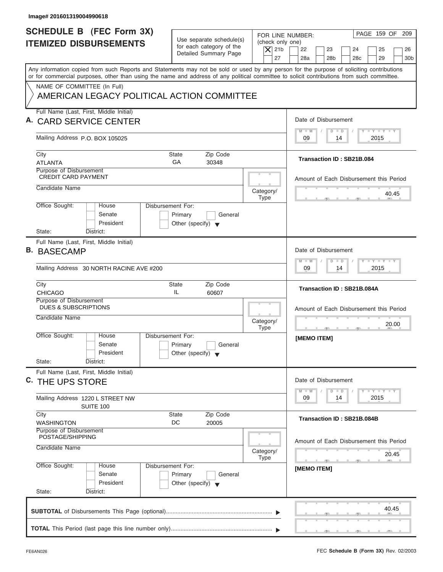| Image# 201601319004990618                                                                                                                                                                                                                                                               |                                                                               |                                                                  |                                                                                                                     |
|-----------------------------------------------------------------------------------------------------------------------------------------------------------------------------------------------------------------------------------------------------------------------------------------|-------------------------------------------------------------------------------|------------------------------------------------------------------|---------------------------------------------------------------------------------------------------------------------|
| <b>SCHEDULE B (FEC Form 3X)</b><br><b>ITEMIZED DISBURSEMENTS</b>                                                                                                                                                                                                                        | Use separate schedule(s)<br>for each category of the<br>Detailed Summary Page | FOR LINE NUMBER:<br>(check only one)<br>$\overline{X}$ 21b<br>27 | PAGE 159 OF 209<br>22<br>23<br>24<br>25<br>26<br>28a<br>28 <sub>b</sub><br>29<br>28 <sub>c</sub><br>30 <sub>b</sub> |
| Any information copied from such Reports and Statements may not be sold or used by any person for the purpose of soliciting contributions<br>or for commercial purposes, other than using the name and address of any political committee to solicit contributions from such committee. |                                                                               |                                                                  |                                                                                                                     |
| NAME OF COMMITTEE (In Full)<br>AMERICAN LEGACY POLITICAL ACTION COMMITTEE                                                                                                                                                                                                               |                                                                               |                                                                  |                                                                                                                     |
| Full Name (Last, First, Middle Initial)<br><b>CARD SERVICE CENTER</b>                                                                                                                                                                                                                   |                                                                               |                                                                  | Date of Disbursement                                                                                                |
| Mailing Address P.O. BOX 105025                                                                                                                                                                                                                                                         |                                                                               |                                                                  | $T - Y = T - Y = T - Y$<br>$M - M$<br>$D$ $D$<br>2015<br>09<br>14                                                   |
| City<br><b>ATLANTA</b>                                                                                                                                                                                                                                                                  | State<br>Zip Code<br>GA<br>30348                                              |                                                                  | Transaction ID: SB21B.084                                                                                           |
| Purpose of Disbursement<br><b>CREDIT CARD PAYMENT</b>                                                                                                                                                                                                                                   |                                                                               |                                                                  | Amount of Each Disbursement this Period                                                                             |
| Candidate Name                                                                                                                                                                                                                                                                          |                                                                               | Category/<br><b>Type</b>                                         | 40.45                                                                                                               |
| Office Sought:<br><b>Disbursement For:</b><br>House<br>Senate<br>President                                                                                                                                                                                                              | Primary<br>General<br>Other (specify) $\blacktriangledown$                    |                                                                  |                                                                                                                     |
| State:<br>District:<br>Full Name (Last, First, Middle Initial)<br><b>B. BASECAMP</b><br>Mailing Address 30 NORTH RACINE AVE #200                                                                                                                                                        |                                                                               |                                                                  | Date of Disbursement<br><b>LEYTEY LEY</b><br>$M - M$<br>$\Box$<br>$\overline{D}$<br>2015<br>09<br>14                |
| City<br><b>CHICAGO</b>                                                                                                                                                                                                                                                                  | Zip Code<br><b>State</b><br>IL<br>60607                                       |                                                                  | Transaction ID: SB21B.084A                                                                                          |
| Purpose of Disbursement<br><b>DUES &amp; SUBSCRIPTIONS</b><br>Candidate Name                                                                                                                                                                                                            |                                                                               | Category/<br><b>Type</b>                                         | Amount of Each Disbursement this Period<br>20.00                                                                    |
| Office Sought:<br>House<br>Disbursement For:<br>Senate<br>President<br>State:<br>District:                                                                                                                                                                                              | Primary<br>General<br>Other (specify) $\blacktriangledown$                    |                                                                  | [MEMO ITEM]                                                                                                         |
| Full Name (Last, First, Middle Initial)<br><sup>C.</sup> THE UPS STORE                                                                                                                                                                                                                  |                                                                               |                                                                  | Date of Disbursement<br>$Y - Y - Y$<br>$M - M$<br>$\overline{\mathsf{D}}$<br>$\Box$                                 |
| Mailing Address 1220 L STREET NW<br>SUITE 100                                                                                                                                                                                                                                           |                                                                               |                                                                  | 2015<br>09<br>14                                                                                                    |
| City<br><b>WASHINGTON</b>                                                                                                                                                                                                                                                               | Zip Code<br>State<br>DC<br>20005                                              |                                                                  | Transaction ID: SB21B.084B                                                                                          |
| Purpose of Disbursement<br>POSTAGE/SHIPPING<br>Candidate Name                                                                                                                                                                                                                           |                                                                               | Category/<br>Type                                                | Amount of Each Disbursement this Period<br>20.45                                                                    |
| Office Sought:<br>Disbursement For:<br>House<br>Senate<br>President<br>State:<br>District:                                                                                                                                                                                              | Primary<br>General<br>Other (specify) $\blacktriangledown$                    |                                                                  | $-7$<br>[MEMO ITEM]                                                                                                 |
|                                                                                                                                                                                                                                                                                         |                                                                               |                                                                  | 40.45                                                                                                               |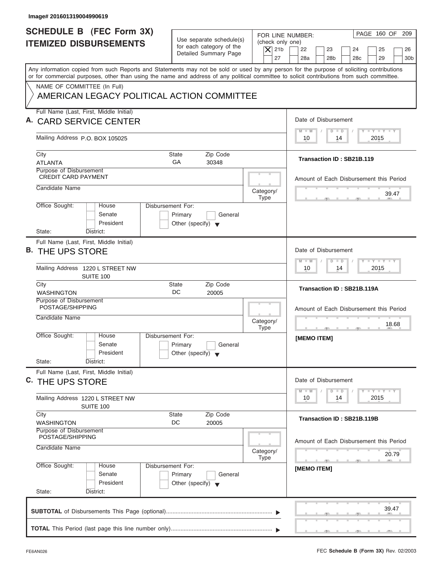| Image# 201601319004990619                                                                                                                                                                                                                                                               |                                                                               |                                                                                                                                                                                         |
|-----------------------------------------------------------------------------------------------------------------------------------------------------------------------------------------------------------------------------------------------------------------------------------------|-------------------------------------------------------------------------------|-----------------------------------------------------------------------------------------------------------------------------------------------------------------------------------------|
| <b>SCHEDULE B (FEC Form 3X)</b><br><b>ITEMIZED DISBURSEMENTS</b>                                                                                                                                                                                                                        | Use separate schedule(s)<br>for each category of the<br>Detailed Summary Page | PAGE 160 OF 209<br>FOR LINE NUMBER:<br>(check only one)<br>$ \mathsf{X} $ 21b<br>22<br>23<br>24<br>25<br>26<br>27<br>28a<br>28 <sub>b</sub><br>29<br>28 <sub>c</sub><br>30 <sub>b</sub> |
| Any information copied from such Reports and Statements may not be sold or used by any person for the purpose of soliciting contributions<br>or for commercial purposes, other than using the name and address of any political committee to solicit contributions from such committee. |                                                                               |                                                                                                                                                                                         |
| NAME OF COMMITTEE (In Full)<br>AMERICAN LEGACY POLITICAL ACTION COMMITTEE                                                                                                                                                                                                               |                                                                               |                                                                                                                                                                                         |
| Full Name (Last, First, Middle Initial)<br>A. CARD SERVICE CENTER                                                                                                                                                                                                                       |                                                                               | Date of Disbursement                                                                                                                                                                    |
| Mailing Address P.O. BOX 105025                                                                                                                                                                                                                                                         |                                                                               | $T - Y = T - Y = T - Y$<br>$M - M$<br>$D$ $D$<br>2015<br>10<br>14                                                                                                                       |
| City<br><b>ATLANTA</b>                                                                                                                                                                                                                                                                  | Zip Code<br>State<br>GA<br>30348                                              | Transaction ID: SB21B.119                                                                                                                                                               |
| Purpose of Disbursement<br><b>CREDIT CARD PAYMENT</b>                                                                                                                                                                                                                                   |                                                                               | Amount of Each Disbursement this Period                                                                                                                                                 |
| Candidate Name                                                                                                                                                                                                                                                                          | Category/<br><b>Type</b>                                                      | 39.47                                                                                                                                                                                   |
| Office Sought:<br><b>Disbursement For:</b><br>House<br>Senate<br>President<br>State:<br>District:                                                                                                                                                                                       | Primary<br>General<br>Other (specify) $\blacktriangledown$                    |                                                                                                                                                                                         |
| Full Name (Last, First, Middle Initial)<br>B. THE UPS STORE                                                                                                                                                                                                                             |                                                                               | Date of Disbursement                                                                                                                                                                    |
| Mailing Address 1220 L STREET NW<br><b>SUITE 100</b>                                                                                                                                                                                                                                    |                                                                               | <b>LY LY LY</b><br>$M - M$<br>$\Box$<br>$\overline{D}$<br>2015<br>10<br>14                                                                                                              |
| City<br><b>WASHINGTON</b>                                                                                                                                                                                                                                                               | Zip Code<br><b>State</b><br>DC<br>20005                                       | Transaction ID: SB21B.119A                                                                                                                                                              |
| Purpose of Disbursement<br>POSTAGE/SHIPPING<br>Candidate Name                                                                                                                                                                                                                           | Category/<br><b>Type</b>                                                      | Amount of Each Disbursement this Period<br>18.68                                                                                                                                        |
| Office Sought:<br>House<br>Disbursement For:<br>Senate<br>President<br>State:<br>District:                                                                                                                                                                                              | Primary<br>General<br>Other (specify) $\blacktriangledown$                    | [MEMO ITEM]                                                                                                                                                                             |
| Full Name (Last, First, Middle Initial)<br><sup>C.</sup> THE UPS STORE                                                                                                                                                                                                                  |                                                                               | Date of Disbursement                                                                                                                                                                    |
| Mailing Address 1220 L STREET NW<br>SUITE 100                                                                                                                                                                                                                                           |                                                                               | $Y - Y - Y$<br>$M - M$<br>$\overline{\mathsf{D}}$<br>$\Box$<br>2015<br>10<br>14                                                                                                         |
| City<br><b>WASHINGTON</b>                                                                                                                                                                                                                                                               | Zip Code<br>State<br>DC<br>20005                                              | Transaction ID: SB21B.119B                                                                                                                                                              |
| Purpose of Disbursement<br>POSTAGE/SHIPPING<br>Candidate Name                                                                                                                                                                                                                           | Category/<br><b>Type</b>                                                      | Amount of Each Disbursement this Period<br>20.79                                                                                                                                        |
| Office Sought:<br>Disbursement For:<br>House<br>Senate<br>President<br>State:<br>District:                                                                                                                                                                                              | Primary<br>General<br>Other (specify) $\blacktriangledown$                    | $-7$<br>[MEMO ITEM]                                                                                                                                                                     |
|                                                                                                                                                                                                                                                                                         |                                                                               | 39.47                                                                                                                                                                                   |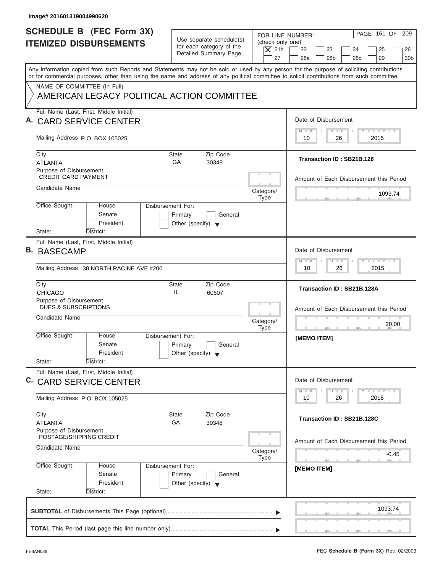| PAGE 161 OF 209<br>FOR LINE NUMBER:<br>23<br>24<br>25<br>26<br>28a<br>28 <sub>b</sub><br>29<br>28 <sub>c</sub><br>30 <sub>b</sub>                                                                                                                                                       |
|-----------------------------------------------------------------------------------------------------------------------------------------------------------------------------------------------------------------------------------------------------------------------------------------|
| Any information copied from such Reports and Statements may not be sold or used by any person for the purpose of soliciting contributions<br>or for commercial purposes, other than using the name and address of any political committee to solicit contributions from such committee. |
|                                                                                                                                                                                                                                                                                         |
| Date of Disbursement                                                                                                                                                                                                                                                                    |
| $T - Y = T - Y = T - Y$<br>$D$ $D$<br>$M - M$<br>2015<br>10<br>26                                                                                                                                                                                                                       |
| Transaction ID: SB21B.128                                                                                                                                                                                                                                                               |
| Amount of Each Disbursement this Period                                                                                                                                                                                                                                                 |
| 1093.74                                                                                                                                                                                                                                                                                 |
|                                                                                                                                                                                                                                                                                         |
| Date of Disbursement                                                                                                                                                                                                                                                                    |
| <b>LEYTEY LEY</b><br>$M - M$<br>$D$ $D$<br>2015<br>10<br>26                                                                                                                                                                                                                             |
| Transaction ID: SB21B.128A                                                                                                                                                                                                                                                              |
| Amount of Each Disbursement this Period<br>20.00                                                                                                                                                                                                                                        |
| [MEMO ITEM]                                                                                                                                                                                                                                                                             |
| Date of Disbursement                                                                                                                                                                                                                                                                    |
| $\frac{1}{2}$ $\frac{1}{2}$ $\frac{1}{2}$ $\frac{1}{2}$ $\frac{1}{2}$ $\frac{1}{2}$ $\frac{1}{2}$ $\frac{1}{2}$ $\frac{1}{2}$ $\frac{1}{2}$ $\frac{1}{2}$ $\frac{1}{2}$ $\frac{1}{2}$<br>$M - M$<br>$\overline{D}$<br>$\Box$<br>2015<br>10<br>26                                        |
| Transaction ID: SB21B.128C                                                                                                                                                                                                                                                              |
| Amount of Each Disbursement this Period<br>$-0.45$                                                                                                                                                                                                                                      |
| $-7$<br>[MEMO ITEM]                                                                                                                                                                                                                                                                     |
|                                                                                                                                                                                                                                                                                         |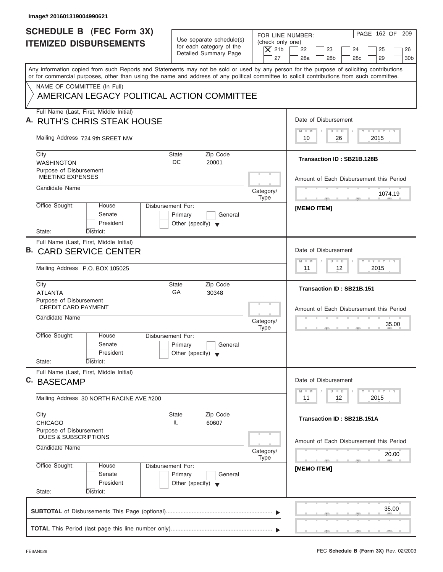| Image# 201601319004990621                                                                                                                  |                                                      |                          |                                                                                                                      |
|--------------------------------------------------------------------------------------------------------------------------------------------|------------------------------------------------------|--------------------------|----------------------------------------------------------------------------------------------------------------------|
| <b>SCHEDULE B (FEC Form 3X)</b>                                                                                                            |                                                      |                          | PAGE 162 OF 209<br>FOR LINE NUMBER:                                                                                  |
| <b>ITEMIZED DISBURSEMENTS</b>                                                                                                              | Use separate schedule(s)<br>for each category of the | (check only one)         |                                                                                                                      |
|                                                                                                                                            | Detailed Summary Page                                | $\vert$ $\chi$ 21b<br>27 | 22<br>23<br>24<br>25<br>26<br>28a<br>28 <sub>b</sub><br>28c<br>29<br>30 <sub>b</sub>                                 |
| Any information copied from such Reports and Statements may not be sold or used by any person for the purpose of soliciting contributions  |                                                      |                          |                                                                                                                      |
| or for commercial purposes, other than using the name and address of any political committee to solicit contributions from such committee. |                                                      |                          |                                                                                                                      |
| NAME OF COMMITTEE (In Full)                                                                                                                |                                                      |                          |                                                                                                                      |
| AMERICAN LEGACY POLITICAL ACTION COMMITTEE                                                                                                 |                                                      |                          |                                                                                                                      |
| Full Name (Last, First, Middle Initial)                                                                                                    |                                                      |                          |                                                                                                                      |
| A. RUTH'S CHRIS STEAK HOUSE                                                                                                                |                                                      |                          | Date of Disbursement                                                                                                 |
| Mailing Address 724 9th SREET NW                                                                                                           |                                                      |                          | $T - Y = T - Y = T - Y$<br>$D$ $D$<br>$M - M$<br>2015<br>10<br>26                                                    |
|                                                                                                                                            |                                                      |                          |                                                                                                                      |
| City                                                                                                                                       | Zip Code<br><b>State</b><br>DC                       |                          | Transaction ID: SB21B.128B                                                                                           |
| <b>WASHINGTON</b><br>Purpose of Disbursement                                                                                               | 20001                                                |                          |                                                                                                                      |
| <b>MEETING EXPENSES</b>                                                                                                                    |                                                      |                          | Amount of Each Disbursement this Period                                                                              |
| Candidate Name                                                                                                                             |                                                      | Category/                |                                                                                                                      |
|                                                                                                                                            |                                                      | <b>Type</b>              | 1074.19<br>the control of the control of the                                                                         |
| Office Sought:<br>House<br>Senate                                                                                                          | Disbursement For:<br>Primary<br>General              |                          | <b>IMEMO ITEMI</b>                                                                                                   |
| President                                                                                                                                  | Other (specify) $\blacktriangledown$                 |                          |                                                                                                                      |
| State:<br>District:                                                                                                                        |                                                      |                          |                                                                                                                      |
| Full Name (Last, First, Middle Initial)                                                                                                    |                                                      |                          |                                                                                                                      |
| в.<br><b>CARD SERVICE CENTER</b>                                                                                                           |                                                      |                          | Date of Disbursement                                                                                                 |
|                                                                                                                                            |                                                      |                          | $-1 - Y - 1 - Y - 1 - Y$<br>$D$ $D$<br>$M - M$                                                                       |
| Mailing Address P.O. BOX 105025                                                                                                            |                                                      |                          | 2015<br>11<br>12                                                                                                     |
| City                                                                                                                                       | Zip Code<br><b>State</b>                             |                          | Transaction ID: SB21B.151                                                                                            |
| <b>ATLANTA</b><br>Purpose of Disbursement                                                                                                  | GA<br>30348                                          |                          |                                                                                                                      |
| <b>CREDIT CARD PAYMENT</b>                                                                                                                 |                                                      |                          | Amount of Each Disbursement this Period                                                                              |
| Candidate Name                                                                                                                             |                                                      | Category/                |                                                                                                                      |
|                                                                                                                                            |                                                      | <b>Type</b>              | 35.00                                                                                                                |
| Office Sought:<br>House                                                                                                                    | Disbursement For:                                    |                          |                                                                                                                      |
| Senate                                                                                                                                     | Primary<br>General                                   |                          |                                                                                                                      |
| President<br>State:<br>District:                                                                                                           | Other (specify) $\blacktriangledown$                 |                          |                                                                                                                      |
| Full Name (Last, First, Middle Initial)                                                                                                    |                                                      |                          |                                                                                                                      |
| C. BASECAMP                                                                                                                                |                                                      |                          | Date of Disbursement                                                                                                 |
|                                                                                                                                            |                                                      |                          | $\mathbf{I}$ $\mathbf{Y}$ $\mathbf{I}$ $\mathbf{Y}$ $\mathbf{I}$ $\mathbf{Y}$<br>$M - M$<br>$\overline{D}$<br>$\Box$ |
| Mailing Address 30 NORTH RACINE AVE #200                                                                                                   |                                                      |                          | 2015<br>11<br>12                                                                                                     |
| City                                                                                                                                       | Zip Code<br><b>State</b>                             |                          |                                                                                                                      |
| <b>CHICAGO</b>                                                                                                                             | IL.<br>60607                                         |                          | Transaction ID: SB21B.151A                                                                                           |
| Purpose of Disbursement<br>DUES & SUBSCRIPTIONS                                                                                            |                                                      |                          |                                                                                                                      |
| Candidate Name                                                                                                                             |                                                      |                          | Amount of Each Disbursement this Period                                                                              |
|                                                                                                                                            |                                                      | Category/<br><b>Type</b> | 20.00                                                                                                                |
| Office Sought:<br>House                                                                                                                    | Disbursement For:                                    |                          | - 51<br>[MEMO ITEM]                                                                                                  |
| Senate                                                                                                                                     | Primary<br>General                                   |                          |                                                                                                                      |
| President                                                                                                                                  | Other (specify) $\blacktriangledown$                 |                          |                                                                                                                      |
| State:<br>District:                                                                                                                        |                                                      |                          |                                                                                                                      |
|                                                                                                                                            |                                                      |                          | 35.00                                                                                                                |
|                                                                                                                                            |                                                      |                          |                                                                                                                      |
|                                                                                                                                            |                                                      |                          |                                                                                                                      |
|                                                                                                                                            |                                                      |                          |                                                                                                                      |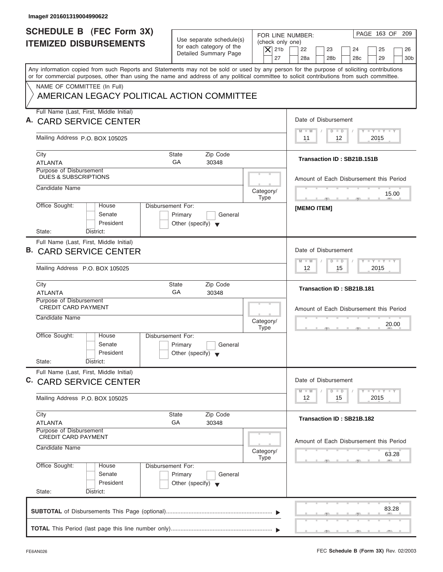| Image# 201601319004990622                                                                                                                                                                                                                                                               |                                                                                 |                                                                                                                                                                                |
|-----------------------------------------------------------------------------------------------------------------------------------------------------------------------------------------------------------------------------------------------------------------------------------------|---------------------------------------------------------------------------------|--------------------------------------------------------------------------------------------------------------------------------------------------------------------------------|
| <b>SCHEDULE B</b> (FEC Form 3X)<br><b>ITEMIZED DISBURSEMENTS</b>                                                                                                                                                                                                                        | Use separate schedule(s)<br>for each category of the<br>Detailed Summary Page   | PAGE 163 OF<br>209<br>FOR LINE NUMBER:<br>(check only one)<br>$\overline{X}$ 21b<br>22<br>23<br>24<br>25<br>26<br>27<br>28a<br>28 <sub>b</sub><br>28c<br>29<br>30 <sub>b</sub> |
| Any information copied from such Reports and Statements may not be sold or used by any person for the purpose of soliciting contributions<br>or for commercial purposes, other than using the name and address of any political committee to solicit contributions from such committee. |                                                                                 |                                                                                                                                                                                |
| NAME OF COMMITTEE (In Full)<br>AMERICAN LEGACY POLITICAL ACTION COMMITTEE                                                                                                                                                                                                               |                                                                                 |                                                                                                                                                                                |
| Full Name (Last, First, Middle Initial)                                                                                                                                                                                                                                                 |                                                                                 | Date of Disbursement                                                                                                                                                           |
| A. CARD SERVICE CENTER                                                                                                                                                                                                                                                                  |                                                                                 | $\mathbf{I} = \mathbf{Y} - \mathbf{I} - \mathbf{Y} - \mathbf{I} - \mathbf{Y}$<br>$M - M$<br>$D$ $D$                                                                            |
| Mailing Address P.O. BOX 105025                                                                                                                                                                                                                                                         |                                                                                 | 12<br>2015<br>11                                                                                                                                                               |
| City<br><b>ATLANTA</b>                                                                                                                                                                                                                                                                  | Zip Code<br>State<br>GA<br>30348                                                | Transaction ID: SB21B.151B                                                                                                                                                     |
| Purpose of Disbursement<br><b>DUES &amp; SUBSCRIPTIONS</b>                                                                                                                                                                                                                              |                                                                                 | Amount of Each Disbursement this Period                                                                                                                                        |
| Candidate Name                                                                                                                                                                                                                                                                          | Category/<br><b>Type</b>                                                        | 15.00<br><b>Contract Contract Contract</b>                                                                                                                                     |
| Office Sought:<br>House<br>Senate<br>President                                                                                                                                                                                                                                          | Disbursement For:<br>Primary<br>General<br>Other (specify) $\blacktriangledown$ | <b>IMEMO ITEMI</b>                                                                                                                                                             |
| State:<br>District:<br>Full Name (Last, First, Middle Initial)                                                                                                                                                                                                                          |                                                                                 |                                                                                                                                                                                |
| <b>B. CARD SERVICE CENTER</b>                                                                                                                                                                                                                                                           |                                                                                 | Date of Disbursement<br>$-Y$ $+Y$ $-+Y$                                                                                                                                        |
| Mailing Address P.O. BOX 105025                                                                                                                                                                                                                                                         |                                                                                 | $M - M$<br>$D$ $D$<br>15<br>2015<br>12                                                                                                                                         |
| City<br><b>ATLANTA</b>                                                                                                                                                                                                                                                                  | State<br>Zip Code<br>GA<br>30348                                                | Transaction ID: SB21B.181                                                                                                                                                      |
| Purpose of Disbursement<br><b>CREDIT CARD PAYMENT</b>                                                                                                                                                                                                                                   |                                                                                 | Amount of Each Disbursement this Period                                                                                                                                        |
| Candidate Name                                                                                                                                                                                                                                                                          | Category/<br><b>Type</b>                                                        | 20.00<br>__                                                                                                                                                                    |
| Office Sought:<br>House<br>Senate<br>President                                                                                                                                                                                                                                          | Disbursement For:<br>Primary<br>General<br>Other (specify) $\blacktriangledown$ |                                                                                                                                                                                |
| State:<br>District:<br>Full Name (Last, First, Middle Initial)                                                                                                                                                                                                                          |                                                                                 |                                                                                                                                                                                |
| C. CARD SERVICE CENTER                                                                                                                                                                                                                                                                  |                                                                                 | Date of Disbursement<br>$T - Y$ $T - Y$<br>$M - M$<br>$\overline{D}$<br>$\Box$                                                                                                 |
| Mailing Address P.O. BOX 105025                                                                                                                                                                                                                                                         |                                                                                 | 12<br>15<br>2015                                                                                                                                                               |
| City<br><b>ATLANTA</b>                                                                                                                                                                                                                                                                  | State<br>Zip Code<br>GA<br>30348                                                | Transaction ID: SB21B.182                                                                                                                                                      |
| <b>Purpose of Disbursement</b><br><b>CREDIT CARD PAYMENT</b>                                                                                                                                                                                                                            |                                                                                 |                                                                                                                                                                                |
| Candidate Name                                                                                                                                                                                                                                                                          | Category/<br><b>Type</b>                                                        | Amount of Each Disbursement this Period<br>63.28                                                                                                                               |
| Office Sought:<br>House<br>Senate<br>President<br>State:<br>District:                                                                                                                                                                                                                   | Disbursement For:<br>Primary<br>General<br>Other (specify) $\blacktriangledown$ |                                                                                                                                                                                |
|                                                                                                                                                                                                                                                                                         |                                                                                 | 83.28                                                                                                                                                                          |
|                                                                                                                                                                                                                                                                                         |                                                                                 |                                                                                                                                                                                |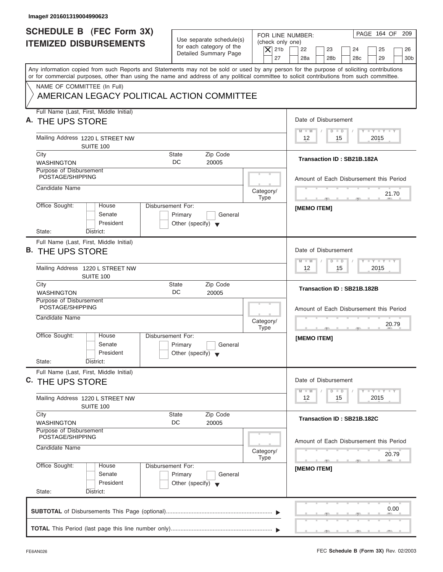| Image# 201601319004990623                                                                                                                                                                                                                                                               |                                                                                                     |                                                                                                                                                                   |
|-----------------------------------------------------------------------------------------------------------------------------------------------------------------------------------------------------------------------------------------------------------------------------------------|-----------------------------------------------------------------------------------------------------|-------------------------------------------------------------------------------------------------------------------------------------------------------------------|
| <b>SCHEDULE B (FEC Form 3X)</b><br><b>ITEMIZED DISBURSEMENTS</b>                                                                                                                                                                                                                        | Use separate schedule(s)<br>for each category of the<br>$ \mathsf{X} $ 21b<br>Detailed Summary Page | PAGE 164 OF 209<br>FOR LINE NUMBER:<br>(check only one)<br>22<br>23<br>24<br>25<br>26<br>27<br>28a<br>28 <sub>b</sub><br>29<br>28 <sub>c</sub><br>30 <sub>b</sub> |
| Any information copied from such Reports and Statements may not be sold or used by any person for the purpose of soliciting contributions<br>or for commercial purposes, other than using the name and address of any political committee to solicit contributions from such committee. |                                                                                                     |                                                                                                                                                                   |
| NAME OF COMMITTEE (In Full)<br>AMERICAN LEGACY POLITICAL ACTION COMMITTEE                                                                                                                                                                                                               |                                                                                                     |                                                                                                                                                                   |
| Full Name (Last, First, Middle Initial)<br>A. THE UPS STORE                                                                                                                                                                                                                             |                                                                                                     | Date of Disbursement                                                                                                                                              |
| Mailing Address 1220 L STREET NW<br>SUITE 100                                                                                                                                                                                                                                           |                                                                                                     | $T - Y = T - Y = T - Y$<br>$M - M$<br>$D$ $D$<br>2015<br>12<br>15                                                                                                 |
| City<br><b>WASHINGTON</b>                                                                                                                                                                                                                                                               | Zip Code<br>State<br>DC<br>20005                                                                    | Transaction ID: SB21B.182A                                                                                                                                        |
| Purpose of Disbursement<br>POSTAGE/SHIPPING                                                                                                                                                                                                                                             |                                                                                                     | Amount of Each Disbursement this Period                                                                                                                           |
| Candidate Name                                                                                                                                                                                                                                                                          | Category/<br><b>Type</b>                                                                            | 21.70                                                                                                                                                             |
| Office Sought:<br>House<br>Senate<br>President<br>State:<br>District:                                                                                                                                                                                                                   | Disbursement For:<br>Primary<br>General<br>Other (specify) $\blacktriangledown$                     | <b>IMEMO ITEMI</b>                                                                                                                                                |
| Full Name (Last, First, Middle Initial)<br>B. THE UPS STORE                                                                                                                                                                                                                             |                                                                                                     | Date of Disbursement                                                                                                                                              |
| Mailing Address 1220 L STREET NW<br><b>SUITE 100</b>                                                                                                                                                                                                                                    |                                                                                                     | $-1 - Y - 1 - Y - 1 - Y$<br>$M - M$<br>$D$ $D$<br>2015<br>12<br>15                                                                                                |
| City<br><b>WASHINGTON</b>                                                                                                                                                                                                                                                               | Zip Code<br><b>State</b><br>DC<br>20005                                                             | Transaction ID: SB21B.182B                                                                                                                                        |
| Purpose of Disbursement<br>POSTAGE/SHIPPING<br>Candidate Name                                                                                                                                                                                                                           | Category/<br><b>Type</b>                                                                            | Amount of Each Disbursement this Period<br>20.79<br><u>.</u><br>$-7$                                                                                              |
| Office Sought:<br>House<br>Senate<br>President<br>State:<br>District:                                                                                                                                                                                                                   | Disbursement For:<br>Primary<br>General<br>Other (specify) $\blacktriangledown$                     | [MEMO ITEM]                                                                                                                                                       |
| Full Name (Last, First, Middle Initial)<br><sup>C.</sup> THE UPS STORE                                                                                                                                                                                                                  |                                                                                                     | Date of Disbursement                                                                                                                                              |
| Mailing Address 1220 L STREET NW<br>SUITE 100                                                                                                                                                                                                                                           |                                                                                                     | $Y - Y - Y$<br>$M - M$<br>$\overline{D}$<br>$\Box$<br>2015<br>12<br>15                                                                                            |
| City<br><b>WASHINGTON</b>                                                                                                                                                                                                                                                               | Zip Code<br>State<br>DC<br>20005                                                                    | Transaction ID: SB21B.182C                                                                                                                                        |
| Purpose of Disbursement<br>POSTAGE/SHIPPING<br>Candidate Name                                                                                                                                                                                                                           | Category/<br><b>Type</b>                                                                            | Amount of Each Disbursement this Period<br>20.79                                                                                                                  |
| Office Sought:<br>House<br>Senate<br>President                                                                                                                                                                                                                                          | Disbursement For:<br>Primary<br>General<br>Other (specify) $\blacktriangledown$                     | $-7$<br>[MEMO ITEM]                                                                                                                                               |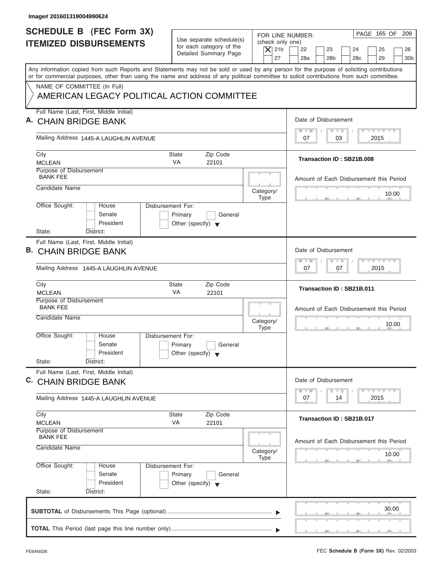| Image# 201601319004990624                                                                                                                                                                                                                                                               |                                                                                 |                                                                  |                                                                                                                                          |
|-----------------------------------------------------------------------------------------------------------------------------------------------------------------------------------------------------------------------------------------------------------------------------------------|---------------------------------------------------------------------------------|------------------------------------------------------------------|------------------------------------------------------------------------------------------------------------------------------------------|
| <b>SCHEDULE B (FEC Form 3X)</b><br><b>ITEMIZED DISBURSEMENTS</b>                                                                                                                                                                                                                        | Use separate schedule(s)<br>for each category of the<br>Detailed Summary Page   | FOR LINE NUMBER:<br>(check only one)<br>$\overline{X}$ 21b<br>27 | PAGE 165 OF 209<br>22<br>23<br>24<br>25<br>26<br>28a<br>28 <sub>b</sub><br>29<br>30 <sub>b</sub><br>28c                                  |
| Any information copied from such Reports and Statements may not be sold or used by any person for the purpose of soliciting contributions<br>or for commercial purposes, other than using the name and address of any political committee to solicit contributions from such committee. |                                                                                 |                                                                  |                                                                                                                                          |
| NAME OF COMMITTEE (In Full)<br>AMERICAN LEGACY POLITICAL ACTION COMMITTEE                                                                                                                                                                                                               |                                                                                 |                                                                  |                                                                                                                                          |
| Full Name (Last, First, Middle Initial)<br><b>CHAIN BRIDGE BANK</b>                                                                                                                                                                                                                     |                                                                                 |                                                                  | Date of Disbursement                                                                                                                     |
| Mailing Address 1445-A LAUGHLIN AVENUE                                                                                                                                                                                                                                                  |                                                                                 |                                                                  | $T - Y = T - Y = T - Y$<br>$D$ $D$<br>$M - M$<br>03<br>2015<br>07                                                                        |
| City<br><b>MCLEAN</b>                                                                                                                                                                                                                                                                   | Zip Code<br>State<br><b>VA</b><br>22101                                         |                                                                  | Transaction ID: SB21B.008                                                                                                                |
| Purpose of Disbursement<br><b>BANK FEE</b><br>Candidate Name                                                                                                                                                                                                                            |                                                                                 |                                                                  | Amount of Each Disbursement this Period                                                                                                  |
| Office Sought:<br>House                                                                                                                                                                                                                                                                 | Disbursement For:                                                               | Category/<br>Type                                                | 10.00                                                                                                                                    |
| Senate<br>President<br>State:<br>District:                                                                                                                                                                                                                                              | Primary<br>General<br>Other (specify) $\blacktriangledown$                      |                                                                  |                                                                                                                                          |
| Full Name (Last, First, Middle Initial)<br>В.<br><b>CHAIN BRIDGE BANK</b>                                                                                                                                                                                                               |                                                                                 |                                                                  | Date of Disbursement<br><b>LEYTEY LEY</b><br>$M - M$<br>$D$ $D$                                                                          |
| Mailing Address 1445-A LAUGHLIN AVENUE                                                                                                                                                                                                                                                  |                                                                                 |                                                                  | 2015<br>07<br>07                                                                                                                         |
| City<br><b>MCLEAN</b>                                                                                                                                                                                                                                                                   | <b>State</b><br>Zip Code<br>VA<br>22101                                         |                                                                  | Transaction ID: SB21B.011                                                                                                                |
| Purpose of Disbursement<br><b>BANK FEE</b><br>Candidate Name                                                                                                                                                                                                                            |                                                                                 | Category/<br><b>Type</b>                                         | Amount of Each Disbursement this Period<br>10.00                                                                                         |
| Office Sought:<br>House<br>Senate<br>President<br>State:<br>District:                                                                                                                                                                                                                   | Disbursement For:<br>Primary<br>General<br>Other (specify) $\blacktriangledown$ |                                                                  | $-5$                                                                                                                                     |
| Full Name (Last, First, Middle Initial)<br>C. CHAIN BRIDGE BANK                                                                                                                                                                                                                         |                                                                                 |                                                                  | Date of Disbursement                                                                                                                     |
| Mailing Address 1445-A LAUGHLIN AVENUE                                                                                                                                                                                                                                                  |                                                                                 |                                                                  | $\mathbf{I}$ $\mathbf{Y}$ $\mathbf{I}$ $\mathbf{Y}$ $\mathbf{I}$ $\mathbf{Y}$<br>$M - M$<br>$\overline{D}$<br>$\Box$<br>2015<br>07<br>14 |
| City<br><b>MCLEAN</b>                                                                                                                                                                                                                                                                   | Zip Code<br>State<br>VA<br>22101                                                |                                                                  | Transaction ID: SB21B.017                                                                                                                |
| Purpose of Disbursement<br><b>BANK FEE</b><br>Candidate Name                                                                                                                                                                                                                            |                                                                                 | Category/<br>Type                                                | Amount of Each Disbursement this Period<br>10.00                                                                                         |
| Office Sought:<br>House<br>Senate<br>President<br>State:<br>District:                                                                                                                                                                                                                   | Disbursement For:<br>Primary<br>General<br>Other (specify) $\blacktriangledown$ |                                                                  |                                                                                                                                          |
|                                                                                                                                                                                                                                                                                         |                                                                                 |                                                                  | 30.00                                                                                                                                    |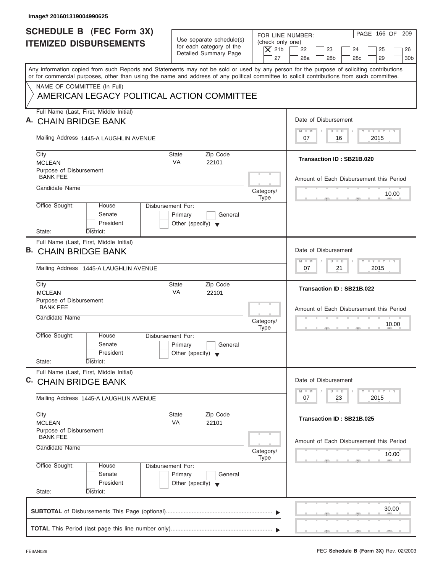| Image# 201601319004990625                                                                                                                                                                                                                                                               |                                                                                 |                                                                  |                                                                                                                     |
|-----------------------------------------------------------------------------------------------------------------------------------------------------------------------------------------------------------------------------------------------------------------------------------------|---------------------------------------------------------------------------------|------------------------------------------------------------------|---------------------------------------------------------------------------------------------------------------------|
| <b>SCHEDULE B (FEC Form 3X)</b><br><b>ITEMIZED DISBURSEMENTS</b>                                                                                                                                                                                                                        | Use separate schedule(s)<br>for each category of the<br>Detailed Summary Page   | FOR LINE NUMBER:<br>(check only one)<br>$\overline{X}$ 21b<br>27 | PAGE 166 OF 209<br>22<br>23<br>24<br>25<br>26<br>28a<br>28 <sub>b</sub><br>29<br>30 <sub>b</sub><br>28 <sub>c</sub> |
| Any information copied from such Reports and Statements may not be sold or used by any person for the purpose of soliciting contributions<br>or for commercial purposes, other than using the name and address of any political committee to solicit contributions from such committee. |                                                                                 |                                                                  |                                                                                                                     |
| NAME OF COMMITTEE (In Full)<br>AMERICAN LEGACY POLITICAL ACTION COMMITTEE                                                                                                                                                                                                               |                                                                                 |                                                                  |                                                                                                                     |
| Full Name (Last, First, Middle Initial)<br><b>CHAIN BRIDGE BANK</b>                                                                                                                                                                                                                     |                                                                                 |                                                                  | Date of Disbursement                                                                                                |
| Mailing Address 1445-A LAUGHLIN AVENUE                                                                                                                                                                                                                                                  |                                                                                 |                                                                  | $T - Y = T - Y = T - Y$<br>$M - M$<br>$D$ $D$<br>2015<br>07<br>16                                                   |
| City<br><b>MCLEAN</b>                                                                                                                                                                                                                                                                   | Zip Code<br>State<br><b>VA</b><br>22101                                         |                                                                  | Transaction ID: SB21B.020                                                                                           |
| Purpose of Disbursement<br><b>BANK FEE</b><br>Candidate Name                                                                                                                                                                                                                            |                                                                                 |                                                                  | Amount of Each Disbursement this Period                                                                             |
|                                                                                                                                                                                                                                                                                         | Disbursement For:                                                               | Category/<br>Type                                                | 10.00                                                                                                               |
| Office Sought:<br>House<br>Senate<br>President<br>State:<br>District:                                                                                                                                                                                                                   | Primary<br>General<br>Other (specify) $\blacktriangledown$                      |                                                                  |                                                                                                                     |
| Full Name (Last, First, Middle Initial)<br>В.<br><b>CHAIN BRIDGE BANK</b>                                                                                                                                                                                                               |                                                                                 |                                                                  | Date of Disbursement<br><b>LEYTEY LEY</b>                                                                           |
| Mailing Address 1445-A LAUGHLIN AVENUE                                                                                                                                                                                                                                                  |                                                                                 |                                                                  | $M - M$<br>$D$ $D$<br>2015<br>07<br>21                                                                              |
| City<br><b>MCLEAN</b>                                                                                                                                                                                                                                                                   | <b>State</b><br>Zip Code<br>VA<br>22101                                         |                                                                  | Transaction ID: SB21B.022                                                                                           |
| Purpose of Disbursement<br><b>BANK FEE</b><br>Candidate Name                                                                                                                                                                                                                            |                                                                                 | Category/<br><b>Type</b>                                         | Amount of Each Disbursement this Period<br>10.00<br>$-5$                                                            |
| Office Sought:<br>House<br>Senate<br>President<br>State:<br>District:                                                                                                                                                                                                                   | Disbursement For:<br>Primary<br>General<br>Other (specify) $\blacktriangledown$ |                                                                  |                                                                                                                     |
| Full Name (Last, First, Middle Initial)<br>C. CHAIN BRIDGE BANK                                                                                                                                                                                                                         |                                                                                 |                                                                  | Date of Disbursement<br>$T - Y$ $T - Y$<br>$M - M$<br>$\overline{D}$<br>$\Box$                                      |
| Mailing Address 1445-A LAUGHLIN AVENUE                                                                                                                                                                                                                                                  |                                                                                 |                                                                  | 2015<br>07<br>23                                                                                                    |
| City<br><b>MCLEAN</b>                                                                                                                                                                                                                                                                   | Zip Code<br>State<br>VA<br>22101                                                |                                                                  | Transaction ID: SB21B.025                                                                                           |
| Purpose of Disbursement<br><b>BANK FEE</b><br>Candidate Name                                                                                                                                                                                                                            |                                                                                 | Category/                                                        | Amount of Each Disbursement this Period<br>10.00                                                                    |
| Office Sought:<br>House<br>Senate<br>President<br>State:<br>District:                                                                                                                                                                                                                   | Disbursement For:<br>Primary<br>General<br>Other (specify) $\blacktriangledown$ | Type                                                             |                                                                                                                     |
|                                                                                                                                                                                                                                                                                         |                                                                                 |                                                                  | 30.00                                                                                                               |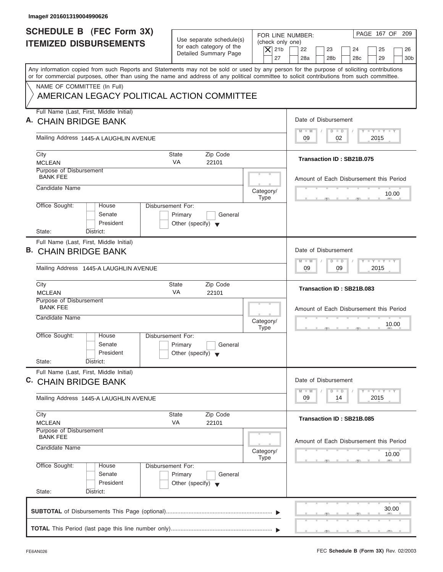| Image# 201601319004990626                                                                                                                                                                                                                                                               |                                                                                 |                                                                  |                                                                                                                                                   |
|-----------------------------------------------------------------------------------------------------------------------------------------------------------------------------------------------------------------------------------------------------------------------------------------|---------------------------------------------------------------------------------|------------------------------------------------------------------|---------------------------------------------------------------------------------------------------------------------------------------------------|
| <b>SCHEDULE B (FEC Form 3X)</b><br><b>ITEMIZED DISBURSEMENTS</b>                                                                                                                                                                                                                        | Use separate schedule(s)<br>for each category of the<br>Detailed Summary Page   | FOR LINE NUMBER:<br>(check only one)<br>$\overline{X}$ 21b<br>27 | PAGE 167 OF 209<br>22<br>23<br>24<br>25<br>26<br>28a<br>28 <sub>b</sub><br>29<br>30 <sub>b</sub><br>28 <sub>c</sub>                               |
| Any information copied from such Reports and Statements may not be sold or used by any person for the purpose of soliciting contributions<br>or for commercial purposes, other than using the name and address of any political committee to solicit contributions from such committee. |                                                                                 |                                                                  |                                                                                                                                                   |
| NAME OF COMMITTEE (In Full)<br>AMERICAN LEGACY POLITICAL ACTION COMMITTEE                                                                                                                                                                                                               |                                                                                 |                                                                  |                                                                                                                                                   |
| Full Name (Last, First, Middle Initial)<br><b>CHAIN BRIDGE BANK</b>                                                                                                                                                                                                                     |                                                                                 |                                                                  | Date of Disbursement                                                                                                                              |
| Mailing Address 1445-A LAUGHLIN AVENUE                                                                                                                                                                                                                                                  |                                                                                 |                                                                  | $T - Y = T - Y = T - Y$<br>$M - M$<br>$D$ $D$<br>02<br>2015<br>09                                                                                 |
| City<br><b>MCLEAN</b>                                                                                                                                                                                                                                                                   | Zip Code<br>State<br><b>VA</b><br>22101                                         |                                                                  | Transaction ID: SB21B.075                                                                                                                         |
| Purpose of Disbursement<br><b>BANK FEE</b><br>Candidate Name                                                                                                                                                                                                                            |                                                                                 |                                                                  | Amount of Each Disbursement this Period                                                                                                           |
| Office Sought:<br>House                                                                                                                                                                                                                                                                 | Disbursement For:                                                               | Category/<br>Type                                                | 10.00                                                                                                                                             |
| Senate<br>President<br>State:<br>District:                                                                                                                                                                                                                                              | Primary<br>General<br>Other (specify) $\blacktriangledown$                      |                                                                  |                                                                                                                                                   |
| Full Name (Last, First, Middle Initial)<br>В.<br><b>CHAIN BRIDGE BANK</b>                                                                                                                                                                                                               |                                                                                 |                                                                  | Date of Disbursement<br><b>LEYTEY LEY</b><br>$M - M$<br>$D$ $D$                                                                                   |
| Mailing Address 1445-A LAUGHLIN AVENUE                                                                                                                                                                                                                                                  |                                                                                 |                                                                  | 09<br>2015<br>09                                                                                                                                  |
| City<br><b>MCLEAN</b>                                                                                                                                                                                                                                                                   | <b>State</b><br>Zip Code<br>VA<br>22101                                         |                                                                  | Transaction ID: SB21B.083                                                                                                                         |
| Purpose of Disbursement<br><b>BANK FEE</b><br>Candidate Name                                                                                                                                                                                                                            |                                                                                 | Category/<br><b>Type</b>                                         | Amount of Each Disbursement this Period<br>10.00<br>$-7$                                                                                          |
| Office Sought:<br>House<br>Senate<br>President<br>State:<br>District:                                                                                                                                                                                                                   | Disbursement For:<br>Primary<br>General<br>Other (specify) $\blacktriangledown$ |                                                                  |                                                                                                                                                   |
| Full Name (Last, First, Middle Initial)<br>C. CHAIN BRIDGE BANK                                                                                                                                                                                                                         |                                                                                 |                                                                  | Date of Disbursement                                                                                                                              |
| Mailing Address 1445-A LAUGHLIN AVENUE                                                                                                                                                                                                                                                  |                                                                                 |                                                                  | $\mathbf{I}$ $\mathbf{Y}$ $\mathbf{I}$ $\mathbf{Y}$ $\mathbf{I}$ $\mathbf{Y}$<br>$M - M$<br>$\overline{\mathsf{D}}$<br>$\Box$<br>2015<br>09<br>14 |
| City<br><b>MCLEAN</b>                                                                                                                                                                                                                                                                   | Zip Code<br>State<br>VA<br>22101                                                |                                                                  | Transaction ID: SB21B.085                                                                                                                         |
| Purpose of Disbursement<br><b>BANK FEE</b><br>Candidate Name                                                                                                                                                                                                                            |                                                                                 | Category/<br>Type                                                | Amount of Each Disbursement this Period<br>10.00                                                                                                  |
| Office Sought:<br>House<br>Senate<br>President<br>State:<br>District:                                                                                                                                                                                                                   | Disbursement For:<br>Primary<br>General<br>Other (specify) $\blacktriangledown$ |                                                                  |                                                                                                                                                   |
|                                                                                                                                                                                                                                                                                         |                                                                                 |                                                                  | 30.00                                                                                                                                             |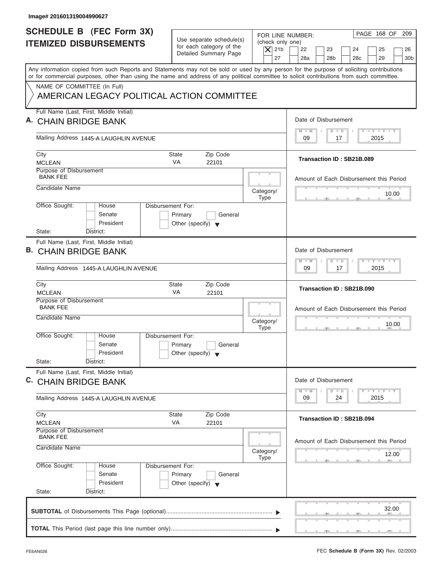| Image# 201601319004990627                                                                                                                                                                                                                                                               |                                                                                                |                                                                                                                                                                                            |
|-----------------------------------------------------------------------------------------------------------------------------------------------------------------------------------------------------------------------------------------------------------------------------------------|------------------------------------------------------------------------------------------------|--------------------------------------------------------------------------------------------------------------------------------------------------------------------------------------------|
| <b>SCHEDULE B (FEC Form 3X)</b><br><b>ITEMIZED DISBURSEMENTS</b>                                                                                                                                                                                                                        | Use separate schedule(s)<br>for each category of the<br>Detailed Summary Page                  | PAGE 168 OF<br>209<br>FOR LINE NUMBER:<br>(check only one)<br>$ \mathsf{X} $ 21b<br>22<br>23<br>24<br>25<br>26<br>29<br>27<br>28a<br>28 <sub>b</sub><br>28 <sub>c</sub><br>30 <sub>b</sub> |
| Any information copied from such Reports and Statements may not be sold or used by any person for the purpose of soliciting contributions<br>or for commercial purposes, other than using the name and address of any political committee to solicit contributions from such committee. |                                                                                                |                                                                                                                                                                                            |
| NAME OF COMMITTEE (In Full)<br>AMERICAN LEGACY POLITICAL ACTION COMMITTEE                                                                                                                                                                                                               |                                                                                                |                                                                                                                                                                                            |
| Full Name (Last, First, Middle Initial)<br>A. CHAIN BRIDGE BANK                                                                                                                                                                                                                         |                                                                                                | Date of Disbursement                                                                                                                                                                       |
| Mailing Address 1445-A LAUGHLIN AVENUE                                                                                                                                                                                                                                                  |                                                                                                | Y LY LY LY<br>$M - M$<br>$D$ $D$<br>09<br>2015<br>17                                                                                                                                       |
| City<br><b>MCLEAN</b>                                                                                                                                                                                                                                                                   | Zip Code<br>State<br><b>VA</b><br>22101                                                        | Transaction ID: SB21B.089                                                                                                                                                                  |
| Purpose of Disbursement<br><b>BANK FEE</b><br>Candidate Name                                                                                                                                                                                                                            |                                                                                                | Amount of Each Disbursement this Period                                                                                                                                                    |
|                                                                                                                                                                                                                                                                                         | Category/<br><b>Type</b><br>Disbursement For:                                                  | 10.00                                                                                                                                                                                      |
| Office Sought:<br>House<br>Senate<br>President<br>State:<br>District:                                                                                                                                                                                                                   | Primary<br>General<br>Other (specify) $\blacktriangledown$                                     |                                                                                                                                                                                            |
| Full Name (Last, First, Middle Initial)<br>В.<br><b>CHAIN BRIDGE BANK</b>                                                                                                                                                                                                               |                                                                                                | Date of Disbursement                                                                                                                                                                       |
| Mailing Address 1445-A LAUGHLIN AVENUE                                                                                                                                                                                                                                                  |                                                                                                | $-1 - Y - 1 - Y - 1 - Y$<br>$M - M$<br>$\Box$<br>$\overline{D}$<br>09<br>2015<br>17                                                                                                        |
| City<br><b>MCLEAN</b>                                                                                                                                                                                                                                                                   | Zip Code<br><b>State</b><br>VA<br>22101                                                        | Transaction ID: SB21B.090                                                                                                                                                                  |
| Purpose of Disbursement<br><b>BANK FEE</b><br>Candidate Name                                                                                                                                                                                                                            | Category/                                                                                      | Amount of Each Disbursement this Period<br>10.00                                                                                                                                           |
| Office Sought:<br>House<br>Senate<br>President<br>State:<br>District:                                                                                                                                                                                                                   | <b>Type</b><br>Disbursement For:<br>Primary<br>General<br>Other (specify) $\blacktriangledown$ | $\rightarrow$                                                                                                                                                                              |
| Full Name (Last, First, Middle Initial)<br>C. CHAIN BRIDGE BANK                                                                                                                                                                                                                         |                                                                                                | Date of Disbursement                                                                                                                                                                       |
| Mailing Address 1445-A LAUGHLIN AVENUE                                                                                                                                                                                                                                                  |                                                                                                | $T - Y$ $T - Y$<br>$M - M$<br>$\Box$<br>D<br>2015<br>09<br>24                                                                                                                              |
| City<br><b>MCLEAN</b>                                                                                                                                                                                                                                                                   | Zip Code<br>State<br>VA<br>22101                                                               | Transaction ID: SB21B.094                                                                                                                                                                  |
| Purpose of Disbursement<br><b>BANK FEE</b><br>Candidate Name                                                                                                                                                                                                                            | Category/<br><b>Type</b>                                                                       | Amount of Each Disbursement this Period<br>12.00                                                                                                                                           |
| Office Sought:<br>House<br>Senate<br>President<br>State:<br>District:                                                                                                                                                                                                                   | Disbursement For:<br>Primary<br>General<br>Other (specify) $\blacktriangledown$                |                                                                                                                                                                                            |
|                                                                                                                                                                                                                                                                                         |                                                                                                | 32.00                                                                                                                                                                                      |
|                                                                                                                                                                                                                                                                                         |                                                                                                |                                                                                                                                                                                            |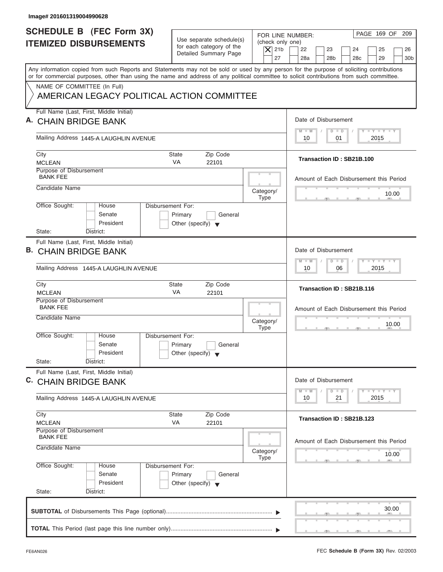| Image# 201601319004990628                                                                                                                                                                                                                                                               |                                                                                 |                                                                  |                                                                                                         |
|-----------------------------------------------------------------------------------------------------------------------------------------------------------------------------------------------------------------------------------------------------------------------------------------|---------------------------------------------------------------------------------|------------------------------------------------------------------|---------------------------------------------------------------------------------------------------------|
| <b>SCHEDULE B (FEC Form 3X)</b><br><b>ITEMIZED DISBURSEMENTS</b>                                                                                                                                                                                                                        | Use separate schedule(s)<br>for each category of the<br>Detailed Summary Page   | FOR LINE NUMBER:<br>(check only one)<br>$\overline{X}$ 21b<br>27 | PAGE 169 OF 209<br>22<br>23<br>24<br>25<br>26<br>28a<br>28 <sub>b</sub><br>29<br>30 <sub>b</sub><br>28c |
| Any information copied from such Reports and Statements may not be sold or used by any person for the purpose of soliciting contributions<br>or for commercial purposes, other than using the name and address of any political committee to solicit contributions from such committee. |                                                                                 |                                                                  |                                                                                                         |
| NAME OF COMMITTEE (In Full)<br>AMERICAN LEGACY POLITICAL ACTION COMMITTEE                                                                                                                                                                                                               |                                                                                 |                                                                  |                                                                                                         |
| Full Name (Last, First, Middle Initial)<br><b>CHAIN BRIDGE BANK</b>                                                                                                                                                                                                                     |                                                                                 |                                                                  | Date of Disbursement                                                                                    |
| Mailing Address 1445-A LAUGHLIN AVENUE                                                                                                                                                                                                                                                  |                                                                                 |                                                                  | $T - Y = T - Y = T - Y$<br>$M - M$<br>$D$ $D$<br>01<br>2015<br>10                                       |
| City<br><b>MCLEAN</b>                                                                                                                                                                                                                                                                   | Zip Code<br>State<br><b>VA</b><br>22101                                         |                                                                  | Transaction ID: SB21B.100                                                                               |
| Purpose of Disbursement<br><b>BANK FEE</b><br>Candidate Name                                                                                                                                                                                                                            |                                                                                 |                                                                  | Amount of Each Disbursement this Period                                                                 |
| Office Sought:<br>House                                                                                                                                                                                                                                                                 | Disbursement For:                                                               | Category/<br>Type                                                | 10.00                                                                                                   |
| Senate<br>President<br>State:<br>District:                                                                                                                                                                                                                                              | Primary<br>General<br>Other (specify) $\blacktriangledown$                      |                                                                  |                                                                                                         |
| Full Name (Last, First, Middle Initial)<br>В.<br><b>CHAIN BRIDGE BANK</b>                                                                                                                                                                                                               |                                                                                 |                                                                  | Date of Disbursement<br><b>LEYTEY LEY</b>                                                               |
| Mailing Address 1445-A LAUGHLIN AVENUE                                                                                                                                                                                                                                                  |                                                                                 |                                                                  | $M - M$<br>$D$ $D$<br>2015<br>10<br>06                                                                  |
| City<br><b>MCLEAN</b>                                                                                                                                                                                                                                                                   | <b>State</b><br>Zip Code<br>VA<br>22101                                         |                                                                  | Transaction ID: SB21B.116                                                                               |
| Purpose of Disbursement<br><b>BANK FEE</b><br>Candidate Name                                                                                                                                                                                                                            |                                                                                 | Category/<br><b>Type</b>                                         | Amount of Each Disbursement this Period<br>10.00                                                        |
| Office Sought:<br>House<br>Senate<br>President<br>State:<br>District:                                                                                                                                                                                                                   | Disbursement For:<br>Primary<br>General<br>Other (specify) $\blacktriangledown$ |                                                                  | $-5$                                                                                                    |
| Full Name (Last, First, Middle Initial)<br>C. CHAIN BRIDGE BANK                                                                                                                                                                                                                         |                                                                                 |                                                                  | Date of Disbursement                                                                                    |
| Mailing Address 1445-A LAUGHLIN AVENUE                                                                                                                                                                                                                                                  |                                                                                 |                                                                  | $T - Y$ $T - Y$<br>$M - M$<br>$\overline{D}$<br>$\Box$<br>2015<br>10<br>21                              |
| City<br><b>MCLEAN</b>                                                                                                                                                                                                                                                                   | Zip Code<br>State<br>VA<br>22101                                                |                                                                  | Transaction ID: SB21B.123                                                                               |
| Purpose of Disbursement<br><b>BANK FEE</b><br>Candidate Name                                                                                                                                                                                                                            |                                                                                 | Category/<br>Type                                                | Amount of Each Disbursement this Period<br>10.00                                                        |
| Office Sought:<br>House<br>Senate<br>President<br>State:<br>District:                                                                                                                                                                                                                   | Disbursement For:<br>Primary<br>General<br>Other (specify) $\blacktriangledown$ |                                                                  |                                                                                                         |
|                                                                                                                                                                                                                                                                                         |                                                                                 |                                                                  | 30.00                                                                                                   |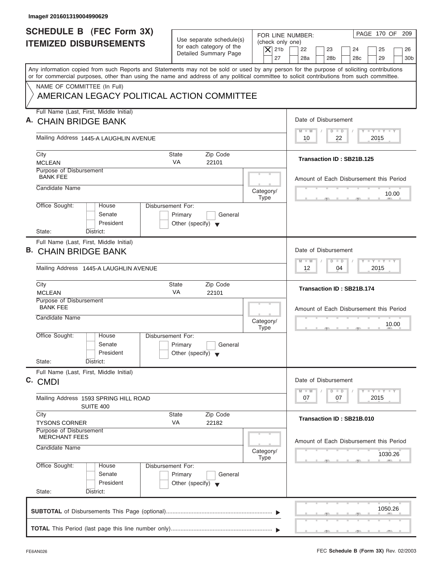| Image# 201601319004990629                                                                                                                                                                                                                                                               |                                                                                 |                                                                                                                                                                                                               |                       |
|-----------------------------------------------------------------------------------------------------------------------------------------------------------------------------------------------------------------------------------------------------------------------------------------|---------------------------------------------------------------------------------|---------------------------------------------------------------------------------------------------------------------------------------------------------------------------------------------------------------|-----------------------|
| <b>SCHEDULE B (FEC Form 3X)</b><br><b>ITEMIZED DISBURSEMENTS</b>                                                                                                                                                                                                                        | Use separate schedule(s)<br>for each category of the<br>Detailed Summary Page   | PAGE 170 OF 209<br>FOR LINE NUMBER:<br>(check only one)<br>$\overline{X}$ 21b<br>22<br>23<br>24<br>25<br>27<br>28a<br>28 <sub>b</sub><br>29<br>28 <sub>c</sub>                                                | 26<br>30 <sub>b</sub> |
| Any information copied from such Reports and Statements may not be sold or used by any person for the purpose of soliciting contributions<br>or for commercial purposes, other than using the name and address of any political committee to solicit contributions from such committee. |                                                                                 |                                                                                                                                                                                                               |                       |
| NAME OF COMMITTEE (In Full)<br>AMERICAN LEGACY POLITICAL ACTION COMMITTEE                                                                                                                                                                                                               |                                                                                 |                                                                                                                                                                                                               |                       |
| Full Name (Last, First, Middle Initial)<br><b>CHAIN BRIDGE BANK</b>                                                                                                                                                                                                                     |                                                                                 | Date of Disbursement                                                                                                                                                                                          |                       |
| Mailing Address 1445-A LAUGHLIN AVENUE                                                                                                                                                                                                                                                  |                                                                                 | $T - Y = T - Y = T - Y$<br>$M - M$<br>$D$ $D$<br>22<br>2015<br>10                                                                                                                                             |                       |
| City<br><b>MCLEAN</b>                                                                                                                                                                                                                                                                   | Zip Code<br>State<br><b>VA</b><br>22101                                         | Transaction ID: SB21B.125                                                                                                                                                                                     |                       |
| Purpose of Disbursement<br><b>BANK FEE</b><br>Candidate Name                                                                                                                                                                                                                            |                                                                                 | Amount of Each Disbursement this Period                                                                                                                                                                       |                       |
|                                                                                                                                                                                                                                                                                         | Disbursement For:                                                               | Category/<br>Type                                                                                                                                                                                             | 10.00                 |
| Office Sought:<br>House<br>Senate<br>President<br>State:<br>District:                                                                                                                                                                                                                   | Primary<br>General<br>Other (specify) $\blacktriangledown$                      |                                                                                                                                                                                                               |                       |
| Full Name (Last, First, Middle Initial)<br>В.<br><b>CHAIN BRIDGE BANK</b>                                                                                                                                                                                                               |                                                                                 | Date of Disbursement<br><b>LEYTEY LEY</b>                                                                                                                                                                     |                       |
| Mailing Address 1445-A LAUGHLIN AVENUE                                                                                                                                                                                                                                                  |                                                                                 | $M - M$<br>$D$ $D$<br>2015<br>12<br>04                                                                                                                                                                        |                       |
| City<br><b>MCLEAN</b>                                                                                                                                                                                                                                                                   | <b>State</b><br>Zip Code<br>VA<br>22101                                         | Transaction ID: SB21B.174                                                                                                                                                                                     |                       |
| Purpose of Disbursement<br><b>BANK FEE</b><br>Candidate Name                                                                                                                                                                                                                            |                                                                                 | Amount of Each Disbursement this Period<br>Category/<br><b>Type</b><br>$-5$                                                                                                                                   | 10.00                 |
| Office Sought:<br>House<br>Senate<br>President<br>State:<br>District:                                                                                                                                                                                                                   | Disbursement For:<br>Primary<br>General<br>Other (specify) $\blacktriangledown$ |                                                                                                                                                                                                               |                       |
| Full Name (Last, First, Middle Initial)<br>C. CMDI                                                                                                                                                                                                                                      |                                                                                 | Date of Disbursement<br>$\frac{1}{2}$ $\frac{1}{2}$ $\frac{1}{2}$ $\frac{1}{2}$ $\frac{1}{2}$ $\frac{1}{2}$ $\frac{1}{2}$ $\frac{1}{2}$ $\frac{1}{2}$ $\frac{1}{2}$ $\frac{1}{2}$ $\frac{1}{2}$ $\frac{1}{2}$ |                       |
| Mailing Address 1593 SPRING HILL ROAD<br>SUITE 400                                                                                                                                                                                                                                      |                                                                                 | $M - M$<br>$\overline{D}$<br>$\Box$<br>2015<br>07<br>07                                                                                                                                                       |                       |
| City<br><b>TYSONS CORNER</b>                                                                                                                                                                                                                                                            | Zip Code<br>State<br>VA<br>22182                                                | Transaction ID: SB21B.010                                                                                                                                                                                     |                       |
| Purpose of Disbursement<br><b>MERCHANT FEES</b><br>Candidate Name                                                                                                                                                                                                                       |                                                                                 | Amount of Each Disbursement this Period<br>Category/                                                                                                                                                          |                       |
| Office Sought:<br>House<br>Senate<br>President<br>State:<br>District:                                                                                                                                                                                                                   | Disbursement For:<br>Primary<br>General<br>Other (specify) $\blacktriangledown$ | Type                                                                                                                                                                                                          | 1030.26               |
|                                                                                                                                                                                                                                                                                         |                                                                                 |                                                                                                                                                                                                               | 1050.26               |
|                                                                                                                                                                                                                                                                                         |                                                                                 |                                                                                                                                                                                                               |                       |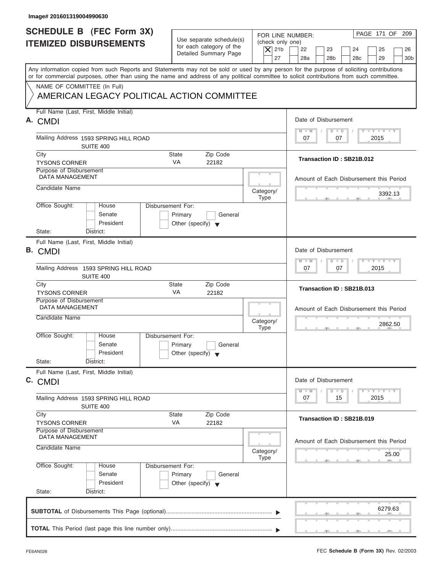| <b>SCHEDULE B (FEC Form 3X)</b>                                                                                                                                           | Use separate schedule(s)                                                        | FOR LINE NUMBER:<br>(check only one) | PAGE 171 OF 209                                                                      |
|---------------------------------------------------------------------------------------------------------------------------------------------------------------------------|---------------------------------------------------------------------------------|--------------------------------------|--------------------------------------------------------------------------------------|
| <b>ITEMIZED DISBURSEMENTS</b>                                                                                                                                             | for each category of the<br>Detailed Summary Page                               | $\vert$ $\chi$ 21b<br>27             | 22<br>23<br>24<br>25<br>26<br>28a<br>28 <sub>b</sub><br>28c<br>29<br>30 <sub>b</sub> |
| Any information copied from such Reports and Statements may not be sold or used by any person for the purpose of soliciting contributions                                 |                                                                                 |                                      |                                                                                      |
| or for commercial purposes, other than using the name and address of any political committee to solicit contributions from such committee.<br>NAME OF COMMITTEE (In Full) |                                                                                 |                                      |                                                                                      |
| AMERICAN LEGACY POLITICAL ACTION COMMITTEE                                                                                                                                |                                                                                 |                                      |                                                                                      |
| Full Name (Last, First, Middle Initial)<br>A. CMDI                                                                                                                        |                                                                                 |                                      | Date of Disbursement                                                                 |
| Mailing Address 1593 SPRING HILL ROAD                                                                                                                                     |                                                                                 |                                      | $T - Y = T - Y = T - Y$<br>$M - M$<br>$D$ $D$<br>07<br>2015<br>07                    |
| SUITE 400                                                                                                                                                                 |                                                                                 |                                      |                                                                                      |
| City<br><b>TYSONS CORNER</b>                                                                                                                                              | Zip Code<br><b>State</b><br><b>VA</b><br>22182                                  |                                      | Transaction ID: SB21B.012                                                            |
| Purpose of Disbursement<br><b>DATA MANAGEMENT</b>                                                                                                                         |                                                                                 |                                      | Amount of Each Disbursement this Period                                              |
| Candidate Name                                                                                                                                                            |                                                                                 | Category/<br><b>Type</b>             | 3392.13                                                                              |
| Office Sought:<br>House<br>Senate<br>President                                                                                                                            | Disbursement For:<br>Primary<br>General<br>Other (specify) $\blacktriangledown$ |                                      |                                                                                      |
| State:<br>District:                                                                                                                                                       |                                                                                 |                                      |                                                                                      |
| Full Name (Last, First, Middle Initial)<br><b>B.</b> CMDI                                                                                                                 |                                                                                 |                                      | Date of Disbursement                                                                 |
| Mailing Address 1593 SPRING HILL ROAD<br>SUITE 400                                                                                                                        |                                                                                 |                                      | $-1 - Y - 1 - Y - 1 - Y$<br>$M - M$<br>$\Box$<br>$\overline{D}$<br>07<br>07<br>2015  |
| City<br><b>TYSONS CORNER</b>                                                                                                                                              | Zip Code<br><b>State</b><br>VA<br>22182                                         |                                      | Transaction ID: SB21B.013                                                            |
| Purpose of Disbursement<br><b>DATA MANAGEMENT</b>                                                                                                                         |                                                                                 |                                      | Amount of Each Disbursement this Period                                              |
| Candidate Name                                                                                                                                                            |                                                                                 | Category/<br><b>Type</b>             | 2862.50                                                                              |
| Office Sought:<br>House<br>Senate<br>President                                                                                                                            | Disbursement For:<br>Primary<br>General<br>Other (specify) $\blacktriangledown$ |                                      | $\sim$                                                                               |
| State:<br>District:                                                                                                                                                       |                                                                                 |                                      |                                                                                      |
| Full Name (Last, First, Middle Initial)<br>C. CMDI                                                                                                                        |                                                                                 |                                      | Date of Disbursement                                                                 |
| Mailing Address 1593 SPRING HILL ROAD<br>SUITE 400                                                                                                                        |                                                                                 |                                      | $T - Y$ $T - Y$<br>$M - M$<br>$\overline{D}$<br>$\Box$<br>2015<br>07<br>15           |
| City<br><b>TYSONS CORNER</b>                                                                                                                                              | Zip Code<br><b>State</b><br>VA<br>22182                                         |                                      | Transaction ID: SB21B.019                                                            |
| Purpose of Disbursement<br><b>DATA MANAGEMENT</b>                                                                                                                         |                                                                                 |                                      | Amount of Each Disbursement this Period                                              |
| Candidate Name                                                                                                                                                            |                                                                                 | Category/<br><b>Type</b>             | 25.00                                                                                |
| Office Sought:<br>House<br>Senate<br>President<br>State:<br>District:                                                                                                     | Disbursement For:<br>Primary<br>General<br>Other (specify) $\blacktriangledown$ |                                      |                                                                                      |
|                                                                                                                                                                           |                                                                                 |                                      |                                                                                      |
|                                                                                                                                                                           |                                                                                 |                                      |                                                                                      |
|                                                                                                                                                                           |                                                                                 |                                      | 6279.63                                                                              |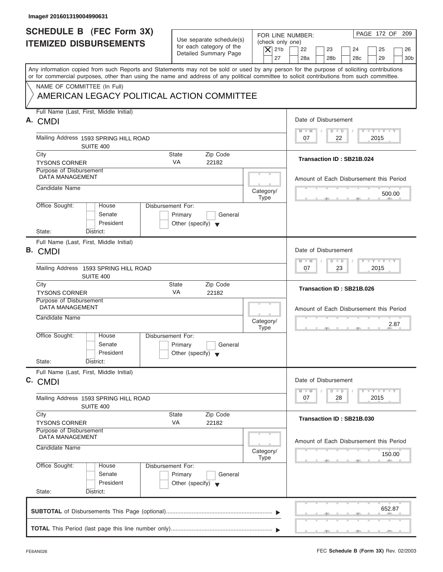| Image# 201601319004990631                                                                                                                                                                                                                                                               |                                                                               |                                                                  |                                                                                                            |
|-----------------------------------------------------------------------------------------------------------------------------------------------------------------------------------------------------------------------------------------------------------------------------------------|-------------------------------------------------------------------------------|------------------------------------------------------------------|------------------------------------------------------------------------------------------------------------|
| <b>SCHEDULE B</b> (FEC Form 3X)<br><b>ITEMIZED DISBURSEMENTS</b>                                                                                                                                                                                                                        | Use separate schedule(s)<br>for each category of the<br>Detailed Summary Page | FOR LINE NUMBER:<br>(check only one)<br>$\overline{X}$ 21b<br>27 | PAGE 172 OF<br>209<br>22<br>23<br>24<br>25<br>26<br>28a<br>28 <sub>b</sub><br>28c<br>29<br>30 <sub>b</sub> |
| Any information copied from such Reports and Statements may not be sold or used by any person for the purpose of soliciting contributions<br>or for commercial purposes, other than using the name and address of any political committee to solicit contributions from such committee. |                                                                               |                                                                  |                                                                                                            |
| NAME OF COMMITTEE (In Full)<br>AMERICAN LEGACY POLITICAL ACTION COMMITTEE                                                                                                                                                                                                               |                                                                               |                                                                  |                                                                                                            |
| Full Name (Last, First, Middle Initial)<br>A. CMDI                                                                                                                                                                                                                                      |                                                                               |                                                                  | Date of Disbursement                                                                                       |
| Mailing Address 1593 SPRING HILL ROAD<br>SUITE 400                                                                                                                                                                                                                                      |                                                                               |                                                                  | $\mathbf{I} \mathbf{Y} \mathbf{I} \mathbf{Y}$<br>$M - M$<br>$D$ $D$<br>07<br>22<br>2015                    |
| City<br><b>TYSONS CORNER</b>                                                                                                                                                                                                                                                            | <b>State</b><br>Zip Code<br><b>VA</b><br>22182                                |                                                                  | Transaction ID: SB21B.024                                                                                  |
| Purpose of Disbursement<br><b>DATA MANAGEMENT</b>                                                                                                                                                                                                                                       |                                                                               |                                                                  | Amount of Each Disbursement this Period                                                                    |
| Candidate Name                                                                                                                                                                                                                                                                          |                                                                               | Category/<br><b>Type</b>                                         | 500.00                                                                                                     |
| Office Sought:<br>Disbursement For:<br>House<br>Senate<br>President<br>State:<br>District:                                                                                                                                                                                              | Primary<br>General<br>Other (specify) $\blacktriangledown$                    |                                                                  |                                                                                                            |
| Full Name (Last, First, Middle Initial)<br><b>B.</b> CMDI                                                                                                                                                                                                                               |                                                                               |                                                                  | Date of Disbursement                                                                                       |
| Mailing Address 1593 SPRING HILL ROAD<br>SUITE 400                                                                                                                                                                                                                                      |                                                                               |                                                                  | $T - Y = T - Y = T - Y$<br>$M - M$<br>$D$ $D$<br>23<br>2015<br>07                                          |
| City<br><b>TYSONS CORNER</b>                                                                                                                                                                                                                                                            | State<br>Zip Code<br>VA<br>22182                                              |                                                                  | Transaction ID: SB21B.026                                                                                  |
| Purpose of Disbursement<br><b>DATA MANAGEMENT</b>                                                                                                                                                                                                                                       |                                                                               |                                                                  | Amount of Each Disbursement this Period                                                                    |
| Candidate Name                                                                                                                                                                                                                                                                          |                                                                               | Category/<br><b>Type</b>                                         | 2.87<br>$-5$                                                                                               |
| Office Sought:<br>House<br>Disbursement For:<br>Senate<br>President                                                                                                                                                                                                                     | Primary<br>General<br>Other (specify) $\blacktriangledown$                    |                                                                  |                                                                                                            |
| State:<br>District:<br>Full Name (Last, First, Middle Initial)                                                                                                                                                                                                                          |                                                                               |                                                                  |                                                                                                            |
| C. CMDI                                                                                                                                                                                                                                                                                 |                                                                               |                                                                  | Date of Disbursement                                                                                       |
| Mailing Address 1593 SPRING HILL ROAD<br>SUITE 400                                                                                                                                                                                                                                      |                                                                               |                                                                  | $T - Y$ $T - Y$<br>$M - M$<br>$\overline{D}$<br>$\Box$<br>2015<br>07<br>28                                 |
| City<br><b>TYSONS CORNER</b>                                                                                                                                                                                                                                                            | Zip Code<br>State<br>VA<br>22182                                              |                                                                  | Transaction ID: SB21B.030                                                                                  |
| Purpose of Disbursement<br><b>DATA MANAGEMENT</b><br>Candidate Name                                                                                                                                                                                                                     |                                                                               | Category/                                                        | Amount of Each Disbursement this Period                                                                    |
| Office Sought:<br>Disbursement For:<br>House<br>Senate<br>President<br>State:<br>District:                                                                                                                                                                                              | Primary<br>General<br>Other (specify) $\blacktriangledown$                    | <b>Type</b>                                                      | 150.00                                                                                                     |
|                                                                                                                                                                                                                                                                                         |                                                                               |                                                                  | 652.87                                                                                                     |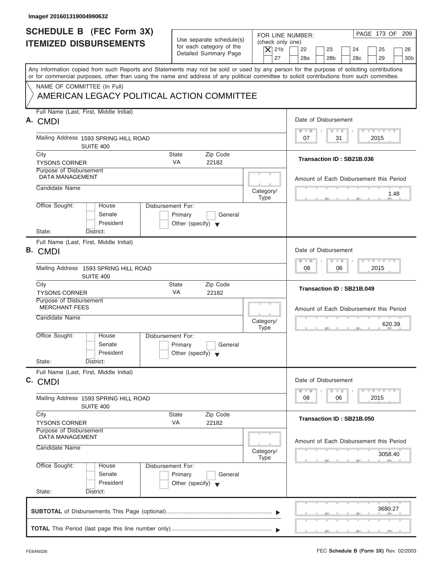| Image# 201601319004990632                                                                                                                                                                                                                                                               |                                                                                 |                                                                  |                                                                                                                                                                                                                                                      |
|-----------------------------------------------------------------------------------------------------------------------------------------------------------------------------------------------------------------------------------------------------------------------------------------|---------------------------------------------------------------------------------|------------------------------------------------------------------|------------------------------------------------------------------------------------------------------------------------------------------------------------------------------------------------------------------------------------------------------|
| <b>SCHEDULE B (FEC Form 3X)</b><br><b>ITEMIZED DISBURSEMENTS</b>                                                                                                                                                                                                                        | Use separate schedule(s)<br>for each category of the<br>Detailed Summary Page   | FOR LINE NUMBER:<br>(check only one)<br>$\overline{X}$ 21b<br>27 | PAGE 173 OF 209<br>22<br>23<br>24<br>25<br>26<br>28a<br>28 <sub>b</sub><br>29<br>30 <sub>b</sub><br>28 <sub>c</sub>                                                                                                                                  |
| Any information copied from such Reports and Statements may not be sold or used by any person for the purpose of soliciting contributions<br>or for commercial purposes, other than using the name and address of any political committee to solicit contributions from such committee. |                                                                                 |                                                                  |                                                                                                                                                                                                                                                      |
| NAME OF COMMITTEE (In Full)<br>AMERICAN LEGACY POLITICAL ACTION COMMITTEE                                                                                                                                                                                                               |                                                                                 |                                                                  |                                                                                                                                                                                                                                                      |
| Full Name (Last, First, Middle Initial)<br>А.<br><b>CMDI</b>                                                                                                                                                                                                                            |                                                                                 |                                                                  | Date of Disbursement                                                                                                                                                                                                                                 |
| Mailing Address 1593 SPRING HILL ROAD<br>SUITE 400                                                                                                                                                                                                                                      |                                                                                 |                                                                  | $T - Y = T - Y = T - Y$<br>$M - M$<br>$D$ $D$<br>31<br>2015<br>07                                                                                                                                                                                    |
| City<br><b>TYSONS CORNER</b>                                                                                                                                                                                                                                                            | <b>State</b><br>Zip Code<br><b>VA</b><br>22182                                  |                                                                  | Transaction ID: SB21B.036                                                                                                                                                                                                                            |
| Purpose of Disbursement<br><b>DATA MANAGEMENT</b><br>Candidate Name                                                                                                                                                                                                                     |                                                                                 |                                                                  | Amount of Each Disbursement this Period                                                                                                                                                                                                              |
|                                                                                                                                                                                                                                                                                         |                                                                                 | Category/<br><b>Type</b>                                         | 1.48                                                                                                                                                                                                                                                 |
| Office Sought:<br>House<br>Senate<br>President<br>State:<br>District:                                                                                                                                                                                                                   | Disbursement For:<br>Primary<br>General<br>Other (specify) $\blacktriangledown$ |                                                                  |                                                                                                                                                                                                                                                      |
| Full Name (Last, First, Middle Initial)<br>B. CMDI                                                                                                                                                                                                                                      |                                                                                 |                                                                  | Date of Disbursement                                                                                                                                                                                                                                 |
| Mailing Address 1593 SPRING HILL ROAD<br>SUITE 400                                                                                                                                                                                                                                      |                                                                                 |                                                                  | <b>LEYTEY LEY</b><br>$M - M$<br>$D$ $D$<br>2015<br>08<br>06                                                                                                                                                                                          |
| City<br><b>TYSONS CORNER</b>                                                                                                                                                                                                                                                            | <b>State</b><br>Zip Code<br>VA<br>22182                                         |                                                                  | Transaction ID: SB21B.049                                                                                                                                                                                                                            |
| Purpose of Disbursement<br><b>MERCHANT FEES</b><br>Candidate Name                                                                                                                                                                                                                       |                                                                                 | Category/<br><b>Type</b>                                         | Amount of Each Disbursement this Period<br>620.39                                                                                                                                                                                                    |
| Office Sought:<br>House<br>Senate<br>President<br>State:<br>District:                                                                                                                                                                                                                   | Disbursement For:<br>Primary<br>General<br>Other (specify) $\blacktriangledown$ |                                                                  |                                                                                                                                                                                                                                                      |
| Full Name (Last, First, Middle Initial)<br>C. CMDI                                                                                                                                                                                                                                      |                                                                                 |                                                                  | Date of Disbursement<br>$\frac{1}{2}$ $\frac{1}{2}$ $\frac{1}{2}$ $\frac{1}{2}$ $\frac{1}{2}$ $\frac{1}{2}$ $\frac{1}{2}$ $\frac{1}{2}$ $\frac{1}{2}$ $\frac{1}{2}$ $\frac{1}{2}$ $\frac{1}{2}$ $\frac{1}{2}$<br>$M - M$<br>$\overline{D}$<br>$\Box$ |
| Mailing Address 1593 SPRING HILL ROAD<br>SUITE 400                                                                                                                                                                                                                                      |                                                                                 |                                                                  | 2015<br>08<br>06                                                                                                                                                                                                                                     |
| City<br><b>TYSONS CORNER</b>                                                                                                                                                                                                                                                            | Zip Code<br>State<br>VA<br>22182                                                |                                                                  | Transaction ID: SB21B.050                                                                                                                                                                                                                            |
| Purpose of Disbursement<br>DATA MANAGEMENT<br>Candidate Name                                                                                                                                                                                                                            |                                                                                 | Category/                                                        | Amount of Each Disbursement this Period<br>3058.40                                                                                                                                                                                                   |
| Office Sought:<br>House<br>Senate<br>President<br>State:<br>District:                                                                                                                                                                                                                   | Disbursement For:<br>Primary<br>General<br>Other (specify) $\blacktriangledown$ | Type                                                             |                                                                                                                                                                                                                                                      |
|                                                                                                                                                                                                                                                                                         |                                                                                 |                                                                  | 3680.27                                                                                                                                                                                                                                              |
|                                                                                                                                                                                                                                                                                         |                                                                                 |                                                                  |                                                                                                                                                                                                                                                      |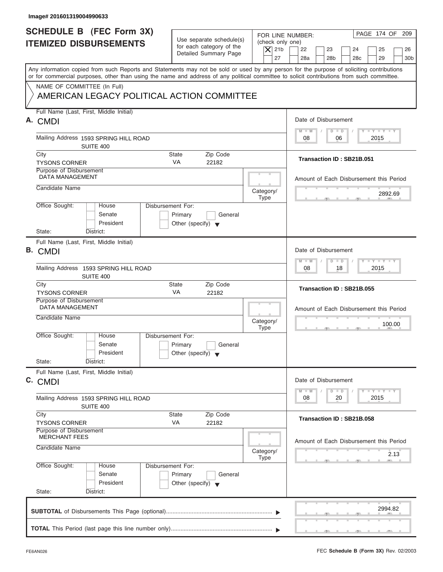| Image# 201601319004990633                                                                                                                                                                                                                                                               |                                                                           |                                                                                                                  |
|-----------------------------------------------------------------------------------------------------------------------------------------------------------------------------------------------------------------------------------------------------------------------------------------|---------------------------------------------------------------------------|------------------------------------------------------------------------------------------------------------------|
| <b>SCHEDULE B (FEC Form 3X)</b><br><b>ITEMIZED DISBURSEMENTS</b>                                                                                                                                                                                                                        | Use separate schedule(s)                                                  | PAGE 174 OF 209<br>FOR LINE NUMBER:<br>(check only one)                                                          |
|                                                                                                                                                                                                                                                                                         | for each category of the<br>Detailed Summary Page                         | $\vert$ $\chi$ 21b<br>22<br>23<br>24<br>25<br>26<br>27<br>28a<br>28 <sub>b</sub><br>28c<br>29<br>30 <sub>b</sub> |
| Any information copied from such Reports and Statements may not be sold or used by any person for the purpose of soliciting contributions<br>or for commercial purposes, other than using the name and address of any political committee to solicit contributions from such committee. |                                                                           |                                                                                                                  |
| NAME OF COMMITTEE (In Full)<br>AMERICAN LEGACY POLITICAL ACTION COMMITTEE                                                                                                                                                                                                               |                                                                           |                                                                                                                  |
| Full Name (Last, First, Middle Initial)<br>A. CMDI                                                                                                                                                                                                                                      |                                                                           | Date of Disbursement                                                                                             |
| Mailing Address 1593 SPRING HILL ROAD<br>SUITE 400                                                                                                                                                                                                                                      |                                                                           | $T - Y = T - Y = T - Y$<br>$M - M$<br>$D$ $D$<br>2015<br>08<br>06                                                |
| City<br><b>TYSONS CORNER</b><br>Purpose of Disbursement                                                                                                                                                                                                                                 | Zip Code<br><b>State</b><br><b>VA</b><br>22182                            | Transaction ID: SB21B.051                                                                                        |
| <b>DATA MANAGEMENT</b><br>Candidate Name                                                                                                                                                                                                                                                |                                                                           | Amount of Each Disbursement this Period                                                                          |
| Office Sought:<br>Disbursement For:<br>House                                                                                                                                                                                                                                            | Category/<br><b>Type</b>                                                  | 2892.69                                                                                                          |
| Senate<br>President<br>State:<br>District:                                                                                                                                                                                                                                              | Primary<br>General<br>Other (specify) $\blacktriangledown$                |                                                                                                                  |
| Full Name (Last, First, Middle Initial)<br><b>B.</b> CMDI                                                                                                                                                                                                                               |                                                                           | Date of Disbursement                                                                                             |
| Mailing Address 1593 SPRING HILL ROAD<br>SUITE 400                                                                                                                                                                                                                                      |                                                                           | $-1 - Y - 1 - Y - 1 - Y$<br>$M - M$<br>$\Box$<br>$\overline{D}$<br>2015<br>08<br>18                              |
| City<br><b>TYSONS CORNER</b><br>Purpose of Disbursement                                                                                                                                                                                                                                 | Zip Code<br><b>State</b><br>VA<br>22182                                   | Transaction ID: SB21B.055                                                                                        |
| <b>DATA MANAGEMENT</b><br>Candidate Name                                                                                                                                                                                                                                                | Category/                                                                 | Amount of Each Disbursement this Period<br>100.00                                                                |
| Office Sought:<br>House<br>Disbursement For:<br>Senate<br>President                                                                                                                                                                                                                     | <b>Type</b><br>Primary<br>General<br>Other (specify) $\blacktriangledown$ | $-7$                                                                                                             |
| State:<br>District:<br>Full Name (Last, First, Middle Initial)                                                                                                                                                                                                                          |                                                                           |                                                                                                                  |
| C. CMDI<br>Mailing Address 1593 SPRING HILL ROAD                                                                                                                                                                                                                                        |                                                                           | Date of Disbursement<br>$T - Y$ $T - Y$<br>$M - M$<br>$\overline{D}$<br>$\Box$<br>2015<br>08<br>20               |
| SUITE 400<br>City<br><b>TYSONS CORNER</b><br>Purpose of Disbursement                                                                                                                                                                                                                    | Zip Code<br><b>State</b><br>VA<br>22182                                   | Transaction ID: SB21B.058                                                                                        |
| <b>MERCHANT FEES</b><br>Candidate Name                                                                                                                                                                                                                                                  | Category/<br><b>Type</b>                                                  | Amount of Each Disbursement this Period<br>2.13                                                                  |
| Office Sought:<br>Disbursement For:<br>House<br>Senate<br>President<br>State:<br>District:                                                                                                                                                                                              | Primary<br>General<br>Other (specify) $\blacktriangledown$                |                                                                                                                  |
|                                                                                                                                                                                                                                                                                         |                                                                           | 2994.82                                                                                                          |
|                                                                                                                                                                                                                                                                                         |                                                                           |                                                                                                                  |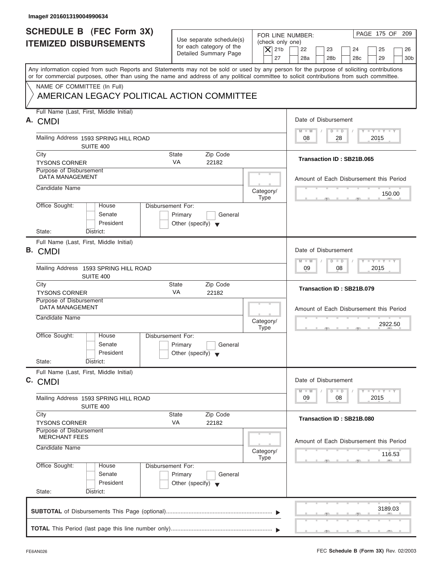| Image# 201601319004990634                                                                                                                                                 |                                                                               |                                                            |                                                                                     |
|---------------------------------------------------------------------------------------------------------------------------------------------------------------------------|-------------------------------------------------------------------------------|------------------------------------------------------------|-------------------------------------------------------------------------------------|
| <b>SCHEDULE B (FEC Form 3X)</b><br><b>ITEMIZED DISBURSEMENTS</b>                                                                                                          | Use separate schedule(s)<br>for each category of the<br>Detailed Summary Page | FOR LINE NUMBER:<br>(check only one)<br>$\vert$ $\chi$ 21b | PAGE 175 OF 209<br>22<br>23<br>24<br>25<br>26                                       |
| Any information copied from such Reports and Statements may not be sold or used by any person for the purpose of soliciting contributions                                 |                                                                               | 27                                                         | 28a<br>28 <sub>b</sub><br>28c<br>29<br>30 <sub>b</sub>                              |
| or for commercial purposes, other than using the name and address of any political committee to solicit contributions from such committee.<br>NAME OF COMMITTEE (In Full) |                                                                               |                                                            |                                                                                     |
| AMERICAN LEGACY POLITICAL ACTION COMMITTEE                                                                                                                                |                                                                               |                                                            |                                                                                     |
| Full Name (Last, First, Middle Initial)<br>A. CMDI                                                                                                                        |                                                                               |                                                            | Date of Disbursement                                                                |
| Mailing Address 1593 SPRING HILL ROAD<br>SUITE 400                                                                                                                        |                                                                               |                                                            | $T - Y = T - Y = T - Y$<br>$M - M$<br>$D$ $D$<br>2015<br>08<br>28                   |
| City<br><b>TYSONS CORNER</b>                                                                                                                                              | Zip Code<br><b>State</b><br><b>VA</b><br>22182                                |                                                            | Transaction ID: SB21B.065                                                           |
| Purpose of Disbursement<br><b>DATA MANAGEMENT</b>                                                                                                                         |                                                                               |                                                            | Amount of Each Disbursement this Period                                             |
| Candidate Name                                                                                                                                                            |                                                                               | Category/<br><b>Type</b>                                   | 150.00                                                                              |
| Office Sought:<br>Disbursement For:<br>House<br>Senate<br>President                                                                                                       | Primary<br>General<br>Other (specify) $\blacktriangledown$                    |                                                            |                                                                                     |
| State:<br>District:<br>Full Name (Last, First, Middle Initial)<br><b>B.</b> CMDI                                                                                          |                                                                               |                                                            | Date of Disbursement                                                                |
| Mailing Address 1593 SPRING HILL ROAD<br>SUITE 400                                                                                                                        |                                                                               |                                                            | $-1 - Y - 1 - Y - 1 - Y$<br>$M - M$<br>$\Box$<br>$\overline{D}$<br>08<br>2015<br>09 |
| City<br><b>TYSONS CORNER</b>                                                                                                                                              | Zip Code<br><b>State</b><br>VA<br>22182                                       |                                                            | Transaction ID: SB21B.079                                                           |
| Purpose of Disbursement<br><b>DATA MANAGEMENT</b><br>Candidate Name                                                                                                       |                                                                               | Category/                                                  | Amount of Each Disbursement this Period<br>2922.50                                  |
| Office Sought:<br>House<br>Disbursement For:<br>Senate<br>President<br>State:<br>District:                                                                                | Primary<br>General<br>Other (specify) $\blacktriangledown$                    | <b>Type</b>                                                | $-7$                                                                                |
| Full Name (Last, First, Middle Initial)<br>C. CMDI                                                                                                                        |                                                                               |                                                            | Date of Disbursement<br>$T - Y$ $T - Y$<br>$M - M$<br>$\overline{D}$<br>$\Box$      |
| Mailing Address 1593 SPRING HILL ROAD<br>SUITE 400                                                                                                                        |                                                                               |                                                            | 09<br>2015<br>08                                                                    |
| City<br><b>TYSONS CORNER</b>                                                                                                                                              | Zip Code<br><b>State</b><br>VA<br>22182                                       |                                                            | Transaction ID: SB21B.080                                                           |
| Purpose of Disbursement<br><b>MERCHANT FEES</b>                                                                                                                           |                                                                               |                                                            | Amount of Each Disbursement this Period                                             |
| Candidate Name                                                                                                                                                            |                                                                               | Category/<br><b>Type</b>                                   | 116.53                                                                              |
| Office Sought:<br>Disbursement For:<br>House<br>Senate<br>President<br>State:<br>District:                                                                                | Primary<br>General<br>Other (specify) $\blacktriangledown$                    |                                                            |                                                                                     |
|                                                                                                                                                                           |                                                                               |                                                            | 3189.03                                                                             |
|                                                                                                                                                                           |                                                                               |                                                            |                                                                                     |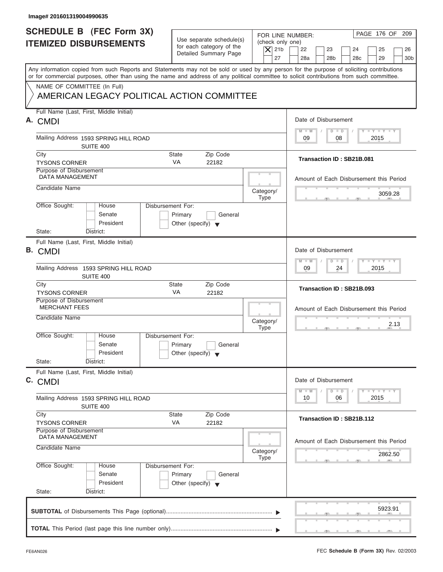| Image# 201601319004990635                                                                                                                                                                                                                                                               |                                                                                 |                                       |                                                                              |
|-----------------------------------------------------------------------------------------------------------------------------------------------------------------------------------------------------------------------------------------------------------------------------------------|---------------------------------------------------------------------------------|---------------------------------------|------------------------------------------------------------------------------|
| <b>SCHEDULE B (FEC Form 3X)</b><br><b>ITEMIZED DISBURSEMENTS</b>                                                                                                                                                                                                                        | Use separate schedule(s)<br>for each category of the                            | FOR LINE NUMBER:<br>(check only one)  | PAGE 176 OF 209                                                              |
|                                                                                                                                                                                                                                                                                         | Detailed Summary Page                                                           | $\vert$ $\chi$ 21b<br>22<br>27<br>28a | 23<br>24<br>25<br>26<br>28 <sub>b</sub><br>28c<br>29<br>30 <sub>b</sub>      |
| Any information copied from such Reports and Statements may not be sold or used by any person for the purpose of soliciting contributions<br>or for commercial purposes, other than using the name and address of any political committee to solicit contributions from such committee. |                                                                                 |                                       |                                                                              |
| NAME OF COMMITTEE (In Full)<br>AMERICAN LEGACY POLITICAL ACTION COMMITTEE                                                                                                                                                                                                               |                                                                                 |                                       |                                                                              |
| Full Name (Last, First, Middle Initial)<br>A. CMDI                                                                                                                                                                                                                                      |                                                                                 |                                       | Date of Disbursement                                                         |
| Mailing Address 1593 SPRING HILL ROAD<br>SUITE 400                                                                                                                                                                                                                                      |                                                                                 | $M - M$<br>09                         | $T - Y = T - Y = T - Y$<br>$D$ $D$<br>08<br>2015                             |
| City<br><b>TYSONS CORNER</b><br>Purpose of Disbursement                                                                                                                                                                                                                                 | Zip Code<br><b>State</b><br><b>VA</b><br>22182                                  |                                       | Transaction ID: SB21B.081                                                    |
| <b>DATA MANAGEMENT</b>                                                                                                                                                                                                                                                                  |                                                                                 |                                       | Amount of Each Disbursement this Period                                      |
| Candidate Name                                                                                                                                                                                                                                                                          |                                                                                 | Category/<br><b>Type</b>              | 3059.28                                                                      |
| Office Sought:<br>House<br>Senate<br>President                                                                                                                                                                                                                                          | Disbursement For:<br>Primary<br>General<br>Other (specify) $\blacktriangledown$ |                                       |                                                                              |
| State:<br>District:<br>Full Name (Last, First, Middle Initial)                                                                                                                                                                                                                          |                                                                                 |                                       |                                                                              |
| <b>B.</b> CMDI                                                                                                                                                                                                                                                                          |                                                                                 | $M - M$                               | Date of Disbursement<br>$-1 - Y - 1 - Y - 1 - Y$<br>$\Box$<br>$\overline{D}$ |
| Mailing Address 1593 SPRING HILL ROAD<br>SUITE 400                                                                                                                                                                                                                                      |                                                                                 | 09                                    | 2015<br>24                                                                   |
| City<br><b>TYSONS CORNER</b>                                                                                                                                                                                                                                                            | Zip Code<br><b>State</b><br>VA<br>22182                                         |                                       | Transaction ID: SB21B.093                                                    |
| Purpose of Disbursement<br><b>MERCHANT FEES</b><br>Candidate Name                                                                                                                                                                                                                       |                                                                                 |                                       | Amount of Each Disbursement this Period                                      |
|                                                                                                                                                                                                                                                                                         |                                                                                 | Category/<br><b>Type</b>              | 2.13                                                                         |
| Office Sought:<br>House<br>Senate<br>President                                                                                                                                                                                                                                          | Disbursement For:<br>Primary<br>General<br>Other (specify) $\blacktriangledown$ |                                       |                                                                              |
| State:<br>District:                                                                                                                                                                                                                                                                     |                                                                                 |                                       |                                                                              |
| Full Name (Last, First, Middle Initial)<br>C. CMDI                                                                                                                                                                                                                                      |                                                                                 |                                       | Date of Disbursement                                                         |
| Mailing Address 1593 SPRING HILL ROAD<br>SUITE 400                                                                                                                                                                                                                                      |                                                                                 | $M - M$<br>10                         | $T - Y$ $T - Y$<br>$\overline{D}$<br>$\Box$<br>2015<br>06                    |
| City<br><b>TYSONS CORNER</b><br>Purpose of Disbursement                                                                                                                                                                                                                                 | Zip Code<br><b>State</b><br>VA<br>22182                                         |                                       | Transaction ID: SB21B.112                                                    |
| <b>DATA MANAGEMENT</b><br>Candidate Name                                                                                                                                                                                                                                                |                                                                                 | Category/<br><b>Type</b>              | Amount of Each Disbursement this Period<br>2862.50                           |
| Office Sought:<br>House<br>Senate<br>President                                                                                                                                                                                                                                          | Disbursement For:<br>Primary<br>General<br>Other (specify) $\blacktriangledown$ |                                       |                                                                              |
| State:<br>District:                                                                                                                                                                                                                                                                     |                                                                                 |                                       |                                                                              |
|                                                                                                                                                                                                                                                                                         |                                                                                 |                                       | 5923.91                                                                      |
|                                                                                                                                                                                                                                                                                         |                                                                                 |                                       |                                                                              |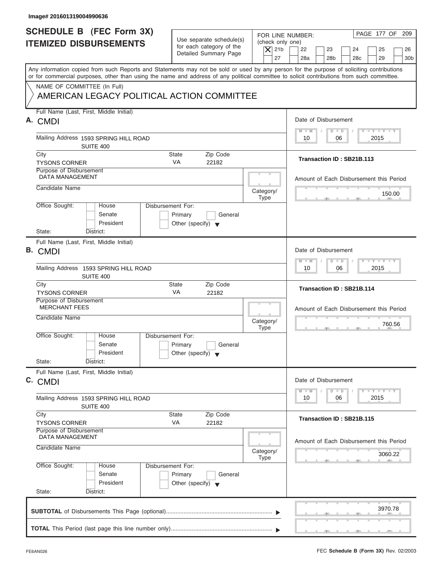| Image# 201601319004990636                                                                                                                                                                                                                                                               |                                                                                 |                                                                  |                                                                                                         |
|-----------------------------------------------------------------------------------------------------------------------------------------------------------------------------------------------------------------------------------------------------------------------------------------|---------------------------------------------------------------------------------|------------------------------------------------------------------|---------------------------------------------------------------------------------------------------------|
| <b>SCHEDULE B (FEC Form 3X)</b><br><b>ITEMIZED DISBURSEMENTS</b>                                                                                                                                                                                                                        | Use separate schedule(s)<br>for each category of the<br>Detailed Summary Page   | FOR LINE NUMBER:<br>(check only one)<br>$\vert$ $\chi$ 21b<br>27 | PAGE 177 OF 209<br>22<br>23<br>24<br>25<br>26<br>28a<br>28 <sub>b</sub><br>28c<br>29<br>30 <sub>b</sub> |
| Any information copied from such Reports and Statements may not be sold or used by any person for the purpose of soliciting contributions<br>or for commercial purposes, other than using the name and address of any political committee to solicit contributions from such committee. |                                                                                 |                                                                  |                                                                                                         |
| NAME OF COMMITTEE (In Full)<br>AMERICAN LEGACY POLITICAL ACTION COMMITTEE                                                                                                                                                                                                               |                                                                                 |                                                                  |                                                                                                         |
| Full Name (Last, First, Middle Initial)<br>A. CMDI                                                                                                                                                                                                                                      |                                                                                 |                                                                  | Date of Disbursement                                                                                    |
| Mailing Address 1593 SPRING HILL ROAD<br>SUITE 400                                                                                                                                                                                                                                      |                                                                                 |                                                                  | $T - Y = T - Y = T - Y$<br>$M - M$<br>$D$ $D$<br>2015<br>10<br>06                                       |
| City<br><b>TYSONS CORNER</b>                                                                                                                                                                                                                                                            | Zip Code<br><b>State</b><br><b>VA</b><br>22182                                  |                                                                  | Transaction ID: SB21B.113                                                                               |
| Purpose of Disbursement<br><b>DATA MANAGEMENT</b>                                                                                                                                                                                                                                       |                                                                                 |                                                                  | Amount of Each Disbursement this Period                                                                 |
| Candidate Name                                                                                                                                                                                                                                                                          |                                                                                 | Category/<br><b>Type</b>                                         | 150.00                                                                                                  |
| Office Sought:<br>House<br>Senate<br>President<br>State:<br>District:                                                                                                                                                                                                                   | Disbursement For:<br>Primary<br>General<br>Other (specify) $\blacktriangledown$ |                                                                  |                                                                                                         |
| Full Name (Last, First, Middle Initial)<br><b>B.</b> CMDI                                                                                                                                                                                                                               |                                                                                 |                                                                  | Date of Disbursement                                                                                    |
| Mailing Address 1593 SPRING HILL ROAD<br>SUITE 400                                                                                                                                                                                                                                      |                                                                                 |                                                                  | $-1 - Y - 1 - Y - 1 - Y$<br>$M - M$<br>$D$ $D$<br>2015<br>10<br>06                                      |
| City<br><b>TYSONS CORNER</b>                                                                                                                                                                                                                                                            | Zip Code<br><b>State</b><br>VA<br>22182                                         |                                                                  | Transaction ID: SB21B.114                                                                               |
| Purpose of Disbursement<br><b>MERCHANT FEES</b><br>Candidate Name                                                                                                                                                                                                                       |                                                                                 | Category/<br><b>Type</b>                                         | Amount of Each Disbursement this Period<br>760.56<br>$-7$                                               |
| Office Sought:<br>House<br>Senate<br>President<br>State:<br>District:                                                                                                                                                                                                                   | Disbursement For:<br>Primary<br>General<br>Other (specify) $\blacktriangledown$ |                                                                  |                                                                                                         |
| Full Name (Last, First, Middle Initial)<br>C. CMDI                                                                                                                                                                                                                                      |                                                                                 |                                                                  | Date of Disbursement<br>$T - Y$ $T - Y$<br>$M - M$<br>$\overline{D}$<br>$\Box$                          |
| Mailing Address 1593 SPRING HILL ROAD<br>SUITE 400                                                                                                                                                                                                                                      |                                                                                 |                                                                  | 2015<br>10<br>06                                                                                        |
| City<br><b>TYSONS CORNER</b>                                                                                                                                                                                                                                                            | Zip Code<br><b>State</b><br>VA<br>22182                                         |                                                                  | Transaction ID: SB21B.115                                                                               |
| Purpose of Disbursement<br><b>DATA MANAGEMENT</b><br>Candidate Name                                                                                                                                                                                                                     |                                                                                 | Category/                                                        | Amount of Each Disbursement this Period                                                                 |
| Office Sought:<br>House<br>Senate<br>President<br>State:<br>District:                                                                                                                                                                                                                   | Disbursement For:<br>Primary<br>General<br>Other (specify) $\blacktriangledown$ | <b>Type</b>                                                      | 3060.22                                                                                                 |
|                                                                                                                                                                                                                                                                                         |                                                                                 |                                                                  | 3970.78                                                                                                 |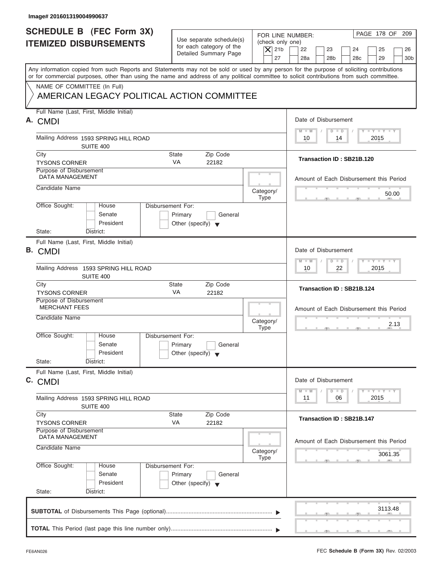| Image# 201601319004990637                                                                                                                                                                                                                                                               |                                                                                 |                                                                  |                                                                                                            |
|-----------------------------------------------------------------------------------------------------------------------------------------------------------------------------------------------------------------------------------------------------------------------------------------|---------------------------------------------------------------------------------|------------------------------------------------------------------|------------------------------------------------------------------------------------------------------------|
| <b>SCHEDULE B</b> (FEC Form 3X)<br><b>ITEMIZED DISBURSEMENTS</b>                                                                                                                                                                                                                        | Use separate schedule(s)<br>for each category of the<br>Detailed Summary Page   | FOR LINE NUMBER:<br>(check only one)<br>$\overline{X}$ 21b<br>27 | PAGE 178 OF<br>209<br>22<br>23<br>24<br>25<br>26<br>28a<br>28 <sub>b</sub><br>28c<br>29<br>30 <sub>b</sub> |
| Any information copied from such Reports and Statements may not be sold or used by any person for the purpose of soliciting contributions<br>or for commercial purposes, other than using the name and address of any political committee to solicit contributions from such committee. |                                                                                 |                                                                  |                                                                                                            |
| NAME OF COMMITTEE (In Full)<br>AMERICAN LEGACY POLITICAL ACTION COMMITTEE                                                                                                                                                                                                               |                                                                                 |                                                                  |                                                                                                            |
| Full Name (Last, First, Middle Initial)<br>A. CMDI                                                                                                                                                                                                                                      |                                                                                 |                                                                  | Date of Disbursement                                                                                       |
| Mailing Address 1593 SPRING HILL ROAD<br>SUITE 400                                                                                                                                                                                                                                      |                                                                                 |                                                                  | $\mathbf{I} \mathbf{Y} \mathbf{I} \mathbf{Y}$<br>$M - M$<br>$D$ $D$<br>2015<br>10<br>14                    |
| City<br><b>TYSONS CORNER</b>                                                                                                                                                                                                                                                            | <b>State</b><br>Zip Code<br><b>VA</b><br>22182                                  |                                                                  | Transaction ID: SB21B.120                                                                                  |
| Purpose of Disbursement<br><b>DATA MANAGEMENT</b>                                                                                                                                                                                                                                       |                                                                                 |                                                                  | Amount of Each Disbursement this Period                                                                    |
| Candidate Name                                                                                                                                                                                                                                                                          |                                                                                 | Category/<br><b>Type</b>                                         | 50.00                                                                                                      |
| Office Sought:<br>House<br>Senate<br>President<br>State:<br>District:                                                                                                                                                                                                                   | Disbursement For:<br>Primary<br>General<br>Other (specify) $\blacktriangledown$ |                                                                  |                                                                                                            |
| Full Name (Last, First, Middle Initial)<br><b>B.</b> CMDI                                                                                                                                                                                                                               |                                                                                 |                                                                  | Date of Disbursement                                                                                       |
| Mailing Address 1593 SPRING HILL ROAD<br>SUITE 400                                                                                                                                                                                                                                      |                                                                                 |                                                                  | $-1 - Y - 1 - Y - 1 - Y$<br>$M - M$<br>$D$ $D$<br>22<br>2015<br>10                                         |
| City<br><b>TYSONS CORNER</b>                                                                                                                                                                                                                                                            | State<br>Zip Code<br>VA<br>22182                                                |                                                                  | Transaction ID: SB21B.124                                                                                  |
| Purpose of Disbursement<br><b>MERCHANT FEES</b><br>Candidate Name                                                                                                                                                                                                                       |                                                                                 |                                                                  | Amount of Each Disbursement this Period                                                                    |
| Office Sought:<br>House                                                                                                                                                                                                                                                                 | Disbursement For:                                                               | Category/<br><b>Type</b>                                         | 2.13<br>$-7$                                                                                               |
| Senate<br>President                                                                                                                                                                                                                                                                     | Primary<br>General<br>Other (specify) $\blacktriangledown$                      |                                                                  |                                                                                                            |
| State:<br>District:<br>Full Name (Last, First, Middle Initial)                                                                                                                                                                                                                          |                                                                                 |                                                                  |                                                                                                            |
| C. CMDI                                                                                                                                                                                                                                                                                 |                                                                                 |                                                                  | Date of Disbursement                                                                                       |
| Mailing Address 1593 SPRING HILL ROAD<br>SUITE 400                                                                                                                                                                                                                                      |                                                                                 |                                                                  | $T - Y$ $T - Y$<br>$M - M$<br>$\overline{D}$<br>$\Box$<br>2015<br>11<br>06                                 |
| City<br><b>TYSONS CORNER</b>                                                                                                                                                                                                                                                            | Zip Code<br>State<br>VA<br>22182                                                |                                                                  | <b>Transaction ID: SB21B.147</b>                                                                           |
| Purpose of Disbursement<br><b>DATA MANAGEMENT</b><br>Candidate Name                                                                                                                                                                                                                     |                                                                                 |                                                                  | Amount of Each Disbursement this Period                                                                    |
|                                                                                                                                                                                                                                                                                         |                                                                                 | Category/<br><b>Type</b>                                         | 3061.35                                                                                                    |
| Office Sought:<br>House<br>Senate<br>President                                                                                                                                                                                                                                          | Disbursement For:<br>Primary<br>General<br>Other (specify) $\blacktriangledown$ |                                                                  |                                                                                                            |
| State:<br>District:                                                                                                                                                                                                                                                                     |                                                                                 |                                                                  |                                                                                                            |
|                                                                                                                                                                                                                                                                                         |                                                                                 |                                                                  | 3113.48                                                                                                    |
|                                                                                                                                                                                                                                                                                         |                                                                                 |                                                                  |                                                                                                            |

ı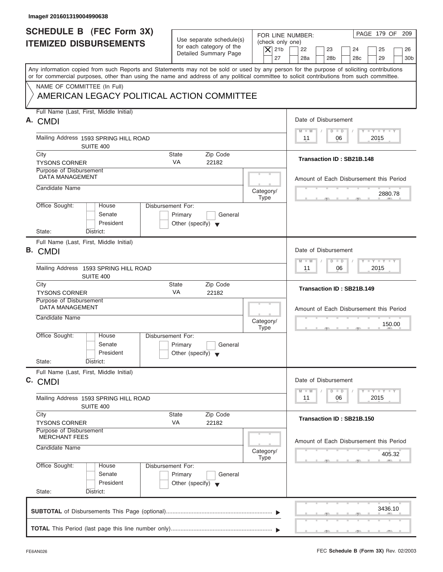| <b>SCHEDULE B (FEC Form 3X)</b><br><b>ITEMIZED DISBURSEMENTS</b>                                                                                                                                                                                                                        | Use separate schedule(s)<br>for each category of the                            | FOR LINE NUMBER:<br>(check only one) | PAGE 179 OF 209                                                                      |
|-----------------------------------------------------------------------------------------------------------------------------------------------------------------------------------------------------------------------------------------------------------------------------------------|---------------------------------------------------------------------------------|--------------------------------------|--------------------------------------------------------------------------------------|
|                                                                                                                                                                                                                                                                                         | Detailed Summary Page                                                           | $\vert$ $\chi$ 21b<br>27             | 22<br>23<br>24<br>25<br>26<br>28a<br>28 <sub>b</sub><br>28c<br>29<br>30 <sub>b</sub> |
| Any information copied from such Reports and Statements may not be sold or used by any person for the purpose of soliciting contributions<br>or for commercial purposes, other than using the name and address of any political committee to solicit contributions from such committee. |                                                                                 |                                      |                                                                                      |
| NAME OF COMMITTEE (In Full)<br>AMERICAN LEGACY POLITICAL ACTION COMMITTEE                                                                                                                                                                                                               |                                                                                 |                                      |                                                                                      |
| Full Name (Last, First, Middle Initial)                                                                                                                                                                                                                                                 |                                                                                 |                                      | Date of Disbursement                                                                 |
| A. CMDI                                                                                                                                                                                                                                                                                 |                                                                                 |                                      | $T - Y = T - Y = T - Y$<br>$D$ $D$<br>$M - M$                                        |
| Mailing Address 1593 SPRING HILL ROAD<br>SUITE 400                                                                                                                                                                                                                                      |                                                                                 |                                      | 2015<br>11<br>06                                                                     |
| City<br><b>TYSONS CORNER</b>                                                                                                                                                                                                                                                            | Zip Code<br><b>State</b><br><b>VA</b><br>22182                                  |                                      | Transaction ID: SB21B.148                                                            |
| Purpose of Disbursement<br><b>DATA MANAGEMENT</b>                                                                                                                                                                                                                                       |                                                                                 |                                      | Amount of Each Disbursement this Period                                              |
| Candidate Name                                                                                                                                                                                                                                                                          |                                                                                 | Category/<br><b>Type</b>             | 2880.78                                                                              |
| Office Sought:<br>House<br>Senate<br>President                                                                                                                                                                                                                                          | Disbursement For:<br>Primary<br>General<br>Other (specify) $\blacktriangledown$ |                                      |                                                                                      |
| State:<br>District:                                                                                                                                                                                                                                                                     |                                                                                 |                                      |                                                                                      |
| Full Name (Last, First, Middle Initial)<br><b>B.</b> CMDI                                                                                                                                                                                                                               |                                                                                 |                                      | Date of Disbursement                                                                 |
| Mailing Address 1593 SPRING HILL ROAD<br>SUITE 400                                                                                                                                                                                                                                      |                                                                                 |                                      | $-1 - Y - 1 - Y - 1 - Y$<br>$D$ $D$<br>$M - M$<br>2015<br>11<br>06                   |
| City<br><b>TYSONS CORNER</b>                                                                                                                                                                                                                                                            | Zip Code<br><b>State</b><br>VA<br>22182                                         |                                      | Transaction ID: SB21B.149                                                            |
| Purpose of Disbursement<br><b>DATA MANAGEMENT</b>                                                                                                                                                                                                                                       |                                                                                 |                                      | Amount of Each Disbursement this Period                                              |
| Candidate Name                                                                                                                                                                                                                                                                          |                                                                                 | Category/<br><b>Type</b>             | 150.00<br>$-7$                                                                       |
| Office Sought:<br>House<br>Senate<br>President                                                                                                                                                                                                                                          | Disbursement For:<br>Primary<br>General<br>Other (specify) $\blacktriangledown$ |                                      |                                                                                      |
| State:<br>District:                                                                                                                                                                                                                                                                     |                                                                                 |                                      |                                                                                      |
| Full Name (Last, First, Middle Initial)<br>C. CMDI                                                                                                                                                                                                                                      |                                                                                 |                                      | Date of Disbursement<br>$T - Y$ $T - Y$<br>$\Box$                                    |
| Mailing Address 1593 SPRING HILL ROAD<br>SUITE 400                                                                                                                                                                                                                                      |                                                                                 |                                      | $M - M$<br>$\overline{D}$<br>2015<br>11<br>06                                        |
| City<br><b>TYSONS CORNER</b>                                                                                                                                                                                                                                                            | Zip Code<br><b>State</b><br>VA<br>22182                                         |                                      | Transaction ID: SB21B.150                                                            |
| Purpose of Disbursement<br><b>MERCHANT FEES</b>                                                                                                                                                                                                                                         |                                                                                 |                                      | Amount of Each Disbursement this Period                                              |
|                                                                                                                                                                                                                                                                                         |                                                                                 | Category/                            | 405.32                                                                               |
| Candidate Name                                                                                                                                                                                                                                                                          |                                                                                 | <b>Type</b>                          |                                                                                      |
| Office Sought:<br>House<br>Senate<br>President                                                                                                                                                                                                                                          | Disbursement For:<br>Primary<br>General<br>Other (specify) $\blacktriangledown$ |                                      |                                                                                      |
| State:<br>District:                                                                                                                                                                                                                                                                     |                                                                                 |                                      | 3436.10                                                                              |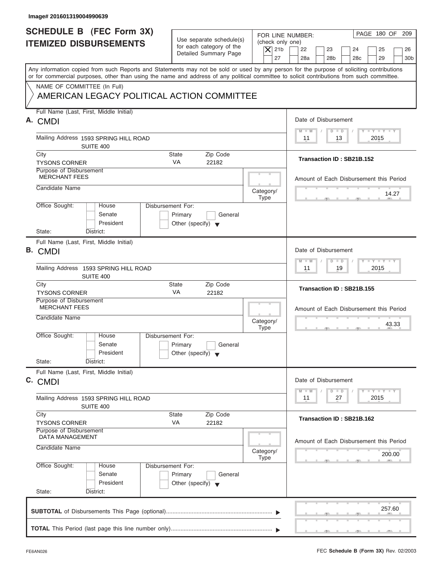| Image# 201601319004990639                                                                                                                                                                                                                                                               |                                                                                 |                                                                  |                                                                                                         |
|-----------------------------------------------------------------------------------------------------------------------------------------------------------------------------------------------------------------------------------------------------------------------------------------|---------------------------------------------------------------------------------|------------------------------------------------------------------|---------------------------------------------------------------------------------------------------------|
| <b>SCHEDULE B (FEC Form 3X)</b><br><b>ITEMIZED DISBURSEMENTS</b>                                                                                                                                                                                                                        | Use separate schedule(s)<br>for each category of the<br>Detailed Summary Page   | FOR LINE NUMBER:<br>(check only one)<br>$\vert$ $\chi$ 21b<br>27 | PAGE 180 OF 209<br>22<br>23<br>24<br>25<br>26<br>28a<br>28 <sub>b</sub><br>28c<br>29<br>30 <sub>b</sub> |
| Any information copied from such Reports and Statements may not be sold or used by any person for the purpose of soliciting contributions<br>or for commercial purposes, other than using the name and address of any political committee to solicit contributions from such committee. |                                                                                 |                                                                  |                                                                                                         |
| NAME OF COMMITTEE (In Full)<br>AMERICAN LEGACY POLITICAL ACTION COMMITTEE                                                                                                                                                                                                               |                                                                                 |                                                                  |                                                                                                         |
| Full Name (Last, First, Middle Initial)<br>A. CMDI                                                                                                                                                                                                                                      |                                                                                 |                                                                  | Date of Disbursement                                                                                    |
| Mailing Address 1593 SPRING HILL ROAD<br>SUITE 400                                                                                                                                                                                                                                      |                                                                                 |                                                                  | $T - Y = T - Y = T - Y$<br>$D$ $D$<br>$M - M$<br>2015<br>11<br>13                                       |
| City<br><b>TYSONS CORNER</b>                                                                                                                                                                                                                                                            | Zip Code<br><b>State</b><br><b>VA</b><br>22182                                  |                                                                  | Transaction ID: SB21B.152                                                                               |
| Purpose of Disbursement<br><b>MERCHANT FEES</b><br>Candidate Name                                                                                                                                                                                                                       |                                                                                 |                                                                  | Amount of Each Disbursement this Period                                                                 |
|                                                                                                                                                                                                                                                                                         |                                                                                 | Category/<br><b>Type</b>                                         | 14.27                                                                                                   |
| Office Sought:<br>Disbursement For:<br>House<br>Senate<br>President<br>State:<br>District:                                                                                                                                                                                              | Primary<br>General<br>Other (specify) $\blacktriangledown$                      |                                                                  |                                                                                                         |
| Full Name (Last, First, Middle Initial)<br>B. CMDI                                                                                                                                                                                                                                      |                                                                                 |                                                                  | Date of Disbursement                                                                                    |
| Mailing Address 1593 SPRING HILL ROAD<br>SUITE 400                                                                                                                                                                                                                                      |                                                                                 |                                                                  | $-1 - Y - 1 - Y - 1 - Y$<br>$M - M$<br>$D$ $D$<br>19<br>2015<br>11                                      |
| City<br><b>TYSONS CORNER</b>                                                                                                                                                                                                                                                            | Zip Code<br><b>State</b><br>VA<br>22182                                         |                                                                  | Transaction ID: SB21B.155                                                                               |
| Purpose of Disbursement<br><b>MERCHANT FEES</b><br>Candidate Name                                                                                                                                                                                                                       |                                                                                 | Category/<br><b>Type</b>                                         | Amount of Each Disbursement this Period<br>43.33<br>$-7$<br>$\sim$                                      |
| Office Sought:<br>House<br>Senate<br>President<br>State:<br>District:                                                                                                                                                                                                                   | Disbursement For:<br>Primary<br>General<br>Other (specify) $\blacktriangledown$ |                                                                  |                                                                                                         |
| Full Name (Last, First, Middle Initial)<br>C. CMDI                                                                                                                                                                                                                                      |                                                                                 |                                                                  | Date of Disbursement<br>$T - Y$ $T - Y$<br>$\overline{D}$<br>$\Box$                                     |
| Mailing Address 1593 SPRING HILL ROAD<br>SUITE 400                                                                                                                                                                                                                                      |                                                                                 |                                                                  | $M - M$<br>2015<br>11<br>27                                                                             |
| City<br><b>TYSONS CORNER</b>                                                                                                                                                                                                                                                            | Zip Code<br><b>State</b><br>VA<br>22182                                         |                                                                  | Transaction ID: SB21B.162                                                                               |
| Purpose of Disbursement<br><b>DATA MANAGEMENT</b><br>Candidate Name                                                                                                                                                                                                                     |                                                                                 | Category/                                                        | Amount of Each Disbursement this Period<br>200.00                                                       |
| Office Sought:<br>Disbursement For:<br>House<br>Senate<br>President<br>State:<br>District:                                                                                                                                                                                              | Primary<br>General<br>Other (specify) $\blacktriangledown$                      | <b>Type</b>                                                      |                                                                                                         |
|                                                                                                                                                                                                                                                                                         |                                                                                 |                                                                  | 257.60                                                                                                  |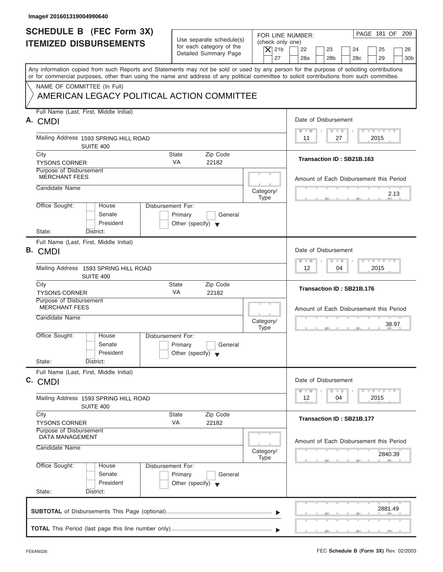| Image# 201601319004990640                                                                                                                                                                                                                                                               |                                                                                 |                                                                  |                                                                                                         |
|-----------------------------------------------------------------------------------------------------------------------------------------------------------------------------------------------------------------------------------------------------------------------------------------|---------------------------------------------------------------------------------|------------------------------------------------------------------|---------------------------------------------------------------------------------------------------------|
| <b>SCHEDULE B (FEC Form 3X)</b><br><b>ITEMIZED DISBURSEMENTS</b>                                                                                                                                                                                                                        | Use separate schedule(s)<br>for each category of the<br>Detailed Summary Page   | FOR LINE NUMBER:<br>(check only one)<br>$\vert$ $\chi$ 21b<br>27 | PAGE 181 OF 209<br>22<br>23<br>24<br>25<br>26<br>28a<br>28 <sub>b</sub><br>28c<br>29<br>30 <sub>b</sub> |
| Any information copied from such Reports and Statements may not be sold or used by any person for the purpose of soliciting contributions<br>or for commercial purposes, other than using the name and address of any political committee to solicit contributions from such committee. |                                                                                 |                                                                  |                                                                                                         |
| NAME OF COMMITTEE (In Full)<br>AMERICAN LEGACY POLITICAL ACTION COMMITTEE                                                                                                                                                                                                               |                                                                                 |                                                                  |                                                                                                         |
| Full Name (Last, First, Middle Initial)<br>A. CMDI                                                                                                                                                                                                                                      |                                                                                 |                                                                  | Date of Disbursement                                                                                    |
| Mailing Address 1593 SPRING HILL ROAD<br>SUITE 400                                                                                                                                                                                                                                      |                                                                                 |                                                                  | $T - Y = T - Y = T - Y$<br>$M - M$<br>$D$ $D$<br>2015<br>11<br>27                                       |
| City<br><b>TYSONS CORNER</b>                                                                                                                                                                                                                                                            | Zip Code<br><b>State</b><br><b>VA</b><br>22182                                  |                                                                  | Transaction ID: SB21B.163                                                                               |
| Purpose of Disbursement<br><b>MERCHANT FEES</b>                                                                                                                                                                                                                                         |                                                                                 |                                                                  | Amount of Each Disbursement this Period                                                                 |
| Candidate Name                                                                                                                                                                                                                                                                          |                                                                                 | Category/<br><b>Type</b>                                         | 2.13                                                                                                    |
| Office Sought:<br>House<br>Senate<br>President<br>State:<br>District:                                                                                                                                                                                                                   | Disbursement For:<br>Primary<br>General<br>Other (specify) $\blacktriangledown$ |                                                                  |                                                                                                         |
| Full Name (Last, First, Middle Initial)<br>B. CMDI                                                                                                                                                                                                                                      |                                                                                 |                                                                  | Date of Disbursement                                                                                    |
| Mailing Address 1593 SPRING HILL ROAD<br>SUITE 400                                                                                                                                                                                                                                      |                                                                                 |                                                                  | $-1 - Y - 1 - Y - 1 - Y$<br>$M - M$<br>$D$ $D$<br>12 <sup>°</sup><br>04<br>2015                         |
| City<br><b>TYSONS CORNER</b>                                                                                                                                                                                                                                                            | Zip Code<br><b>State</b><br>VA<br>22182                                         |                                                                  | Transaction ID: SB21B.176                                                                               |
| Purpose of Disbursement<br><b>MERCHANT FEES</b><br>Candidate Name                                                                                                                                                                                                                       |                                                                                 | Category/<br><b>Type</b>                                         | Amount of Each Disbursement this Period<br>38.97<br>$\mathcal{F}$<br>$-7$                               |
| Office Sought:<br>House<br>Senate<br>President<br>State:<br>District:                                                                                                                                                                                                                   | Disbursement For:<br>Primary<br>General<br>Other (specify) $\blacktriangledown$ |                                                                  |                                                                                                         |
| Full Name (Last, First, Middle Initial)<br>C. CMDI                                                                                                                                                                                                                                      |                                                                                 |                                                                  | Date of Disbursement<br>$T - Y$ $T - Y$<br>$M - M$<br>$\overline{D}$<br>$\Box$                          |
| Mailing Address 1593 SPRING HILL ROAD<br>SUITE 400                                                                                                                                                                                                                                      |                                                                                 |                                                                  | 2015<br>12<br>04                                                                                        |
| City<br><b>TYSONS CORNER</b>                                                                                                                                                                                                                                                            | Zip Code<br><b>State</b><br>VA<br>22182                                         |                                                                  | Transaction ID: SB21B.177                                                                               |
| Purpose of Disbursement<br><b>DATA MANAGEMENT</b><br>Candidate Name                                                                                                                                                                                                                     |                                                                                 |                                                                  | Amount of Each Disbursement this Period                                                                 |
| Office Sought:<br>House                                                                                                                                                                                                                                                                 | Disbursement For:                                                               | Category/<br><b>Type</b>                                         | 2840.39                                                                                                 |
| Senate<br>President<br>State:<br>District:                                                                                                                                                                                                                                              | Primary<br>General<br>Other (specify) $\blacktriangledown$                      |                                                                  |                                                                                                         |
|                                                                                                                                                                                                                                                                                         |                                                                                 |                                                                  | 2881.49                                                                                                 |
|                                                                                                                                                                                                                                                                                         |                                                                                 |                                                                  |                                                                                                         |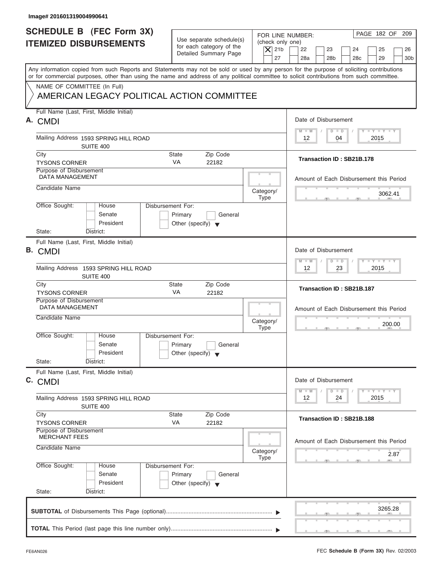| Image# 201601319004990641                                                                                                                                                                                                                                                               |                                                                               |                                                                  |                                                                                                            |
|-----------------------------------------------------------------------------------------------------------------------------------------------------------------------------------------------------------------------------------------------------------------------------------------|-------------------------------------------------------------------------------|------------------------------------------------------------------|------------------------------------------------------------------------------------------------------------|
| <b>SCHEDULE B</b> (FEC Form 3X)<br><b>ITEMIZED DISBURSEMENTS</b>                                                                                                                                                                                                                        | Use separate schedule(s)<br>for each category of the<br>Detailed Summary Page | FOR LINE NUMBER:<br>(check only one)<br>$\overline{X}$ 21b<br>27 | PAGE 182 OF<br>209<br>22<br>23<br>24<br>25<br>26<br>28a<br>28 <sub>b</sub><br>28c<br>29<br>30 <sub>b</sub> |
| Any information copied from such Reports and Statements may not be sold or used by any person for the purpose of soliciting contributions<br>or for commercial purposes, other than using the name and address of any political committee to solicit contributions from such committee. |                                                                               |                                                                  |                                                                                                            |
| NAME OF COMMITTEE (In Full)<br>AMERICAN LEGACY POLITICAL ACTION COMMITTEE                                                                                                                                                                                                               |                                                                               |                                                                  |                                                                                                            |
| Full Name (Last, First, Middle Initial)<br>A. CMDI                                                                                                                                                                                                                                      |                                                                               |                                                                  | Date of Disbursement                                                                                       |
| Mailing Address 1593 SPRING HILL ROAD<br>SUITE 400                                                                                                                                                                                                                                      |                                                                               |                                                                  | $L - Y = L - Y = L - Y$<br>$M - M$<br>$D$ $D$<br>$12 \overline{ }$<br>04<br>2015                           |
| City<br><b>TYSONS CORNER</b>                                                                                                                                                                                                                                                            | <b>State</b><br>Zip Code<br><b>VA</b><br>22182                                |                                                                  | Transaction ID: SB21B.178                                                                                  |
| Purpose of Disbursement<br><b>DATA MANAGEMENT</b>                                                                                                                                                                                                                                       |                                                                               |                                                                  | Amount of Each Disbursement this Period                                                                    |
| Candidate Name                                                                                                                                                                                                                                                                          |                                                                               | Category/<br><b>Type</b>                                         | 3062.41                                                                                                    |
| Office Sought:<br>Disbursement For:<br>House<br>Senate<br>President<br>State:<br>District:                                                                                                                                                                                              | Primary<br>General<br>Other (specify) $\blacktriangledown$                    |                                                                  |                                                                                                            |
| Full Name (Last, First, Middle Initial)<br><b>B.</b> CMDI                                                                                                                                                                                                                               |                                                                               |                                                                  | Date of Disbursement                                                                                       |
| Mailing Address 1593 SPRING HILL ROAD<br>SUITE 400                                                                                                                                                                                                                                      |                                                                               |                                                                  | $T - Y = T - Y = T - Y$<br>$M - M$<br>$D$ $D$<br>23<br>2015<br>12                                          |
| City<br><b>TYSONS CORNER</b>                                                                                                                                                                                                                                                            | <b>State</b><br>Zip Code<br>VA<br>22182                                       |                                                                  | Transaction ID: SB21B.187                                                                                  |
| Purpose of Disbursement<br><b>DATA MANAGEMENT</b><br>Candidate Name                                                                                                                                                                                                                     |                                                                               |                                                                  | Amount of Each Disbursement this Period                                                                    |
|                                                                                                                                                                                                                                                                                         |                                                                               | Category/<br><b>Type</b>                                         | 200.00<br>$\sim$                                                                                           |
| Office Sought:<br>House<br>Disbursement For:<br>Senate<br>President                                                                                                                                                                                                                     | Primary<br>General<br>Other (specify) $\blacktriangledown$                    |                                                                  |                                                                                                            |
| State:<br>District:<br>Full Name (Last, First, Middle Initial)                                                                                                                                                                                                                          |                                                                               |                                                                  |                                                                                                            |
| C. CMDI                                                                                                                                                                                                                                                                                 |                                                                               |                                                                  | Date of Disbursement                                                                                       |
| Mailing Address 1593 SPRING HILL ROAD<br>SUITE 400                                                                                                                                                                                                                                      |                                                                               |                                                                  | $T - Y$ $T - Y$<br>$M - M$<br>$\overline{D}$<br>$\Box$<br>2015<br>12<br>24                                 |
| City<br><b>TYSONS CORNER</b>                                                                                                                                                                                                                                                            | Zip Code<br><b>State</b><br>VA<br>22182                                       |                                                                  | Transaction ID: SB21B.188                                                                                  |
| Purpose of Disbursement<br><b>MERCHANT FEES</b><br>Candidate Name                                                                                                                                                                                                                       |                                                                               | Category/                                                        | Amount of Each Disbursement this Period                                                                    |
| Office Sought:<br>Disbursement For:<br>House<br>Senate<br>President<br>State:<br>District:                                                                                                                                                                                              | Primary<br>General<br>Other (specify) $\blacktriangledown$                    | <b>Type</b>                                                      | 2.87                                                                                                       |
|                                                                                                                                                                                                                                                                                         |                                                                               |                                                                  | 3265.28                                                                                                    |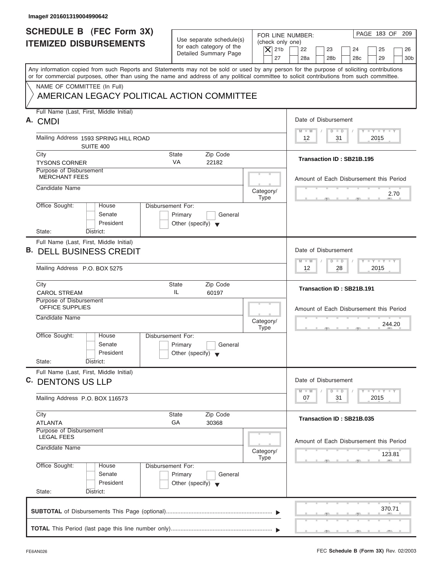| Image# 201601319004990642                                                                                                                                                                                                                                                               |                                                                                 |                                                                                                                                                                             |
|-----------------------------------------------------------------------------------------------------------------------------------------------------------------------------------------------------------------------------------------------------------------------------------------|---------------------------------------------------------------------------------|-----------------------------------------------------------------------------------------------------------------------------------------------------------------------------|
| <b>SCHEDULE B (FEC Form 3X)</b><br><b>ITEMIZED DISBURSEMENTS</b>                                                                                                                                                                                                                        | Use separate schedule(s)<br>for each category of the<br>Detailed Summary Page   | PAGE 183 OF 209<br>FOR LINE NUMBER:<br>(check only one)<br>$\vert$ $\chi$ 21b<br>22<br>23<br>24<br>25<br>26<br>27<br>28a<br>28 <sub>b</sub><br>28c<br>29<br>30 <sub>b</sub> |
| Any information copied from such Reports and Statements may not be sold or used by any person for the purpose of soliciting contributions<br>or for commercial purposes, other than using the name and address of any political committee to solicit contributions from such committee. |                                                                                 |                                                                                                                                                                             |
| NAME OF COMMITTEE (In Full)<br>AMERICAN LEGACY POLITICAL ACTION COMMITTEE                                                                                                                                                                                                               |                                                                                 |                                                                                                                                                                             |
| Full Name (Last, First, Middle Initial)<br>A. CMDI                                                                                                                                                                                                                                      |                                                                                 | Date of Disbursement                                                                                                                                                        |
| Mailing Address 1593 SPRING HILL ROAD<br>SUITE 400                                                                                                                                                                                                                                      |                                                                                 | $T - Y = T - Y = T - Y$<br>$M - M$<br>$D$ $D$<br>31<br>2015<br>12                                                                                                           |
| City<br><b>TYSONS CORNER</b>                                                                                                                                                                                                                                                            | Zip Code<br><b>State</b><br><b>VA</b><br>22182                                  | Transaction ID: SB21B.195                                                                                                                                                   |
| Purpose of Disbursement<br><b>MERCHANT FEES</b>                                                                                                                                                                                                                                         |                                                                                 | Amount of Each Disbursement this Period                                                                                                                                     |
| Candidate Name                                                                                                                                                                                                                                                                          |                                                                                 | Category/<br>2.70<br><b>Type</b>                                                                                                                                            |
| Office Sought:<br>House<br>Senate<br>President                                                                                                                                                                                                                                          | Disbursement For:<br>Primary<br>General<br>Other (specify) $\blacktriangledown$ |                                                                                                                                                                             |
| State:<br>District:<br>Full Name (Last, First, Middle Initial)                                                                                                                                                                                                                          |                                                                                 |                                                                                                                                                                             |
| <b>B. DELL BUSINESS CREDIT</b>                                                                                                                                                                                                                                                          |                                                                                 | Date of Disbursement<br>$-1 - Y - 1 - Y - 1 - Y$                                                                                                                            |
| Mailing Address P.O. BOX 5275                                                                                                                                                                                                                                                           |                                                                                 | $M - M$<br>$D$ $D$<br>12<br>2015<br>28                                                                                                                                      |
| City<br><b>CAROL STREAM</b>                                                                                                                                                                                                                                                             | Zip Code<br><b>State</b><br>IL<br>60197                                         | Transaction ID: SB21B.191                                                                                                                                                   |
| Purpose of Disbursement<br><b>OFFICE SUPPLIES</b><br>Candidate Name                                                                                                                                                                                                                     |                                                                                 | Amount of Each Disbursement this Period<br>Category/<br>244.20<br><b>Type</b>                                                                                               |
| Office Sought:<br>House<br>Senate<br>President<br>State:<br>District:                                                                                                                                                                                                                   | Disbursement For:<br>Primary<br>General<br>Other (specify) $\blacktriangledown$ |                                                                                                                                                                             |
| Full Name (Last, First, Middle Initial)<br>C. DENTONS US LLP                                                                                                                                                                                                                            |                                                                                 | Date of Disbursement                                                                                                                                                        |
| Mailing Address P.O. BOX 116573                                                                                                                                                                                                                                                         |                                                                                 | $T - Y$ $T - Y$<br>$M - M$<br>$\overline{D}$<br>$\Box$<br>2015<br>07<br>31                                                                                                  |
| City<br><b>ATLANTA</b>                                                                                                                                                                                                                                                                  | Zip Code<br><b>State</b><br>GA<br>30368                                         | Transaction ID: SB21B.035                                                                                                                                                   |
| Purpose of Disbursement<br><b>LEGAL FEES</b><br>Candidate Name                                                                                                                                                                                                                          |                                                                                 | Amount of Each Disbursement this Period<br>Category/<br>123.81                                                                                                              |
| Office Sought:<br>House<br>Senate<br>President<br>State:<br>District:                                                                                                                                                                                                                   | Disbursement For:<br>Primary<br>General<br>Other (specify) $\blacktriangledown$ | <b>Type</b>                                                                                                                                                                 |
|                                                                                                                                                                                                                                                                                         |                                                                                 | 370.71                                                                                                                                                                      |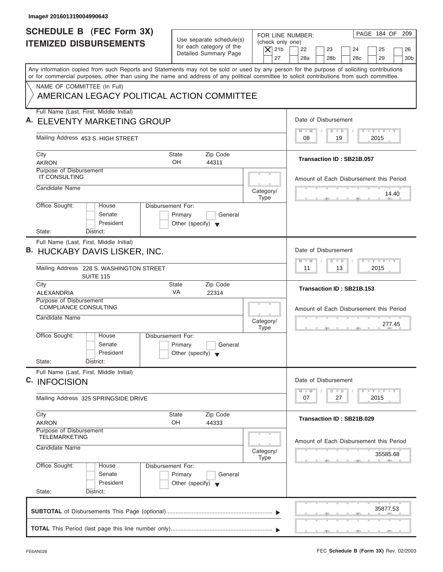| <b>SCHEDULE B (FEC Form 3X)</b><br><b>ITEMIZED DISBURSEMENTS</b><br>Any information copied from such Reports and Statements may not be sold or used by any person for the purpose of soliciting contributions<br>or for commercial purposes, other than using the name and address of any political committee to solicit contributions from such committee.<br>NAME OF COMMITTEE (In Full)<br>AMERICAN LEGACY POLITICAL ACTION COMMITTEE | Use separate schedule(s)<br>for each category of the<br>Detailed Summary Page   | FOR LINE NUMBER:<br>(check only one)<br>$\overline{X}$ 21b | PAGE 184 OF 209                                                                                  |
|------------------------------------------------------------------------------------------------------------------------------------------------------------------------------------------------------------------------------------------------------------------------------------------------------------------------------------------------------------------------------------------------------------------------------------------|---------------------------------------------------------------------------------|------------------------------------------------------------|--------------------------------------------------------------------------------------------------|
|                                                                                                                                                                                                                                                                                                                                                                                                                                          |                                                                                 | 27                                                         | 22<br>23<br>24<br>25<br>26<br>28a<br>28 <sub>b</sub><br>29<br>30 <sub>b</sub><br>28 <sub>c</sub> |
|                                                                                                                                                                                                                                                                                                                                                                                                                                          |                                                                                 |                                                            |                                                                                                  |
|                                                                                                                                                                                                                                                                                                                                                                                                                                          |                                                                                 |                                                            |                                                                                                  |
| Full Name (Last, First, Middle Initial)<br>A. ELEVENTY MARKETING GROUP                                                                                                                                                                                                                                                                                                                                                                   |                                                                                 |                                                            | Date of Disbursement                                                                             |
| Mailing Address 453 S. HIGH STREET                                                                                                                                                                                                                                                                                                                                                                                                       |                                                                                 |                                                            | $T - Y = T - Y = T - Y$<br>$M - M$<br>$D$ $D$<br>19<br>2015<br>08                                |
| City<br><b>AKRON</b>                                                                                                                                                                                                                                                                                                                                                                                                                     | State<br>Zip Code<br>OH<br>44311                                                |                                                            | Transaction ID: SB21B.057                                                                        |
| Purpose of Disbursement<br><b>IT CONSULTING</b>                                                                                                                                                                                                                                                                                                                                                                                          |                                                                                 |                                                            | Amount of Each Disbursement this Period                                                          |
| Candidate Name<br>Office Sought:<br>House                                                                                                                                                                                                                                                                                                                                                                                                | Disbursement For:                                                               | Category/<br><b>Type</b>                                   | 14.40                                                                                            |
| Senate<br>President<br>State:<br>District:                                                                                                                                                                                                                                                                                                                                                                                               | Primary<br>General<br>Other (specify) $\blacktriangledown$                      |                                                            |                                                                                                  |
| Full Name (Last, First, Middle Initial)<br>B. HUCKABY DAVIS LISKER, INC.                                                                                                                                                                                                                                                                                                                                                                 |                                                                                 |                                                            | Date of Disbursement<br><b>LEYTEY LEY</b><br>$M - M$<br>$D$ $D$                                  |
| Mailing Address 228 S. WASHINGTON STREET<br><b>SUITE 115</b>                                                                                                                                                                                                                                                                                                                                                                             |                                                                                 |                                                            | 2015<br>11<br>13                                                                                 |
| City<br><b>ALEXANDRIA</b>                                                                                                                                                                                                                                                                                                                                                                                                                | <b>State</b><br>Zip Code<br>VA<br>22314                                         |                                                            | Transaction ID: SB21B.153                                                                        |
| Purpose of Disbursement<br><b>COMPLIANCE CONSULTING</b><br>Candidate Name                                                                                                                                                                                                                                                                                                                                                                |                                                                                 | Category/<br><b>Type</b>                                   | Amount of Each Disbursement this Period<br>277.45                                                |
| Office Sought:<br>House<br>Senate<br>President<br>State:<br>District:                                                                                                                                                                                                                                                                                                                                                                    | Disbursement For:<br>Primary<br>General<br>Other (specify) $\blacktriangledown$ |                                                            | . .                                                                                              |
| Full Name (Last, First, Middle Initial)<br>C. INFOCISION                                                                                                                                                                                                                                                                                                                                                                                 |                                                                                 |                                                            | Date of Disbursement                                                                             |
| Mailing Address 325 SPRINGSIDE DRIVE                                                                                                                                                                                                                                                                                                                                                                                                     |                                                                                 |                                                            | $T - Y$ $T - Y$<br>$M - M$<br>$\overline{D}$<br>$\Box$<br>2015<br>07<br>27                       |
| City<br><b>AKRON</b>                                                                                                                                                                                                                                                                                                                                                                                                                     | Zip Code<br><b>State</b><br>OH<br>44333                                         |                                                            | Transaction ID: SB21B.029                                                                        |
| Purpose of Disbursement<br><b>TELEMARKETING</b><br>Candidate Name                                                                                                                                                                                                                                                                                                                                                                        |                                                                                 | Category/<br>Type                                          | Amount of Each Disbursement this Period<br>35585.68                                              |
| Office Sought:<br>House<br>Senate<br>President<br>State:<br>District:                                                                                                                                                                                                                                                                                                                                                                    | Disbursement For:<br>Primary<br>General<br>Other (specify) $\blacktriangledown$ |                                                            |                                                                                                  |
|                                                                                                                                                                                                                                                                                                                                                                                                                                          |                                                                                 |                                                            | 35877.53                                                                                         |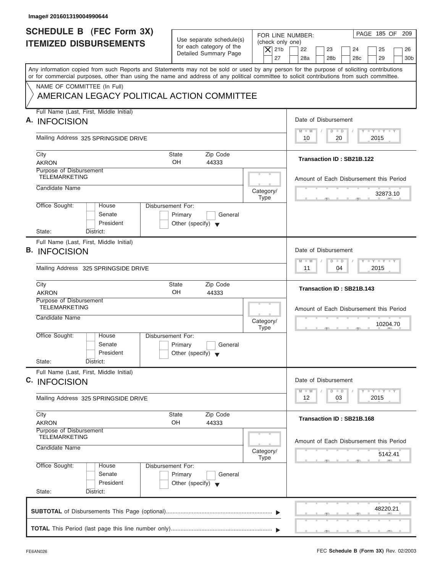| SCHEDULE B (FEC Form 3X)                                                                                                                                                                                                                                                                |                                                            |                                              |                                                                                      |
|-----------------------------------------------------------------------------------------------------------------------------------------------------------------------------------------------------------------------------------------------------------------------------------------|------------------------------------------------------------|----------------------------------------------|--------------------------------------------------------------------------------------|
|                                                                                                                                                                                                                                                                                         | Use separate schedule(s)                                   | FOR LINE NUMBER:                             | PAGE 185 OF 209                                                                      |
| <b>ITEMIZED DISBURSEMENTS</b>                                                                                                                                                                                                                                                           | for each category of the<br>Detailed Summary Page          | (check only one)<br>$\overline{X}$ 21b<br>27 | 22<br>23<br>24<br>25<br>26<br>28a<br>28 <sub>b</sub><br>28c<br>29<br>30 <sub>b</sub> |
| Any information copied from such Reports and Statements may not be sold or used by any person for the purpose of soliciting contributions<br>or for commercial purposes, other than using the name and address of any political committee to solicit contributions from such committee. |                                                            |                                              |                                                                                      |
| NAME OF COMMITTEE (In Full)                                                                                                                                                                                                                                                             |                                                            |                                              |                                                                                      |
| AMERICAN LEGACY POLITICAL ACTION COMMITTEE                                                                                                                                                                                                                                              |                                                            |                                              |                                                                                      |
| Full Name (Last, First, Middle Initial)<br>A. INFOCISION                                                                                                                                                                                                                                |                                                            |                                              | Date of Disbursement                                                                 |
| Mailing Address 325 SPRINGSIDE DRIVE                                                                                                                                                                                                                                                    |                                                            |                                              | $T - Y = T - Y = T - Y$<br>$M - M$<br>$D$ $D$<br>20<br>2015<br>10                    |
| City                                                                                                                                                                                                                                                                                    | <b>State</b><br>Zip Code                                   |                                              |                                                                                      |
| <b>AKRON</b>                                                                                                                                                                                                                                                                            | OH<br>44333                                                |                                              | Transaction ID: SB21B.122                                                            |
| Purpose of Disbursement<br><b>TELEMARKETING</b>                                                                                                                                                                                                                                         |                                                            |                                              | Amount of Each Disbursement this Period                                              |
| Candidate Name                                                                                                                                                                                                                                                                          |                                                            | Category/                                    | 32873.10                                                                             |
| Office Sought:<br>House                                                                                                                                                                                                                                                                 | Disbursement For:                                          | <b>Type</b>                                  |                                                                                      |
| Senate                                                                                                                                                                                                                                                                                  | Primary<br>General                                         |                                              |                                                                                      |
| President<br>State:<br>District:                                                                                                                                                                                                                                                        | Other (specify) $\blacktriangledown$                       |                                              |                                                                                      |
| Full Name (Last, First, Middle Initial)                                                                                                                                                                                                                                                 |                                                            |                                              |                                                                                      |
| <b>B. INFOCISION</b>                                                                                                                                                                                                                                                                    |                                                            |                                              | Date of Disbursement                                                                 |
|                                                                                                                                                                                                                                                                                         |                                                            |                                              | <b>LEYTEY LEY</b><br>$M - M$<br>$D$ $D$                                              |
| Mailing Address 325 SPRINGSIDE DRIVE                                                                                                                                                                                                                                                    |                                                            |                                              | 04<br>2015<br>11                                                                     |
| City<br><b>AKRON</b>                                                                                                                                                                                                                                                                    | Zip Code<br><b>State</b><br>OH<br>44333                    |                                              | Transaction ID: SB21B.143                                                            |
| Purpose of Disbursement<br><b>TELEMARKETING</b>                                                                                                                                                                                                                                         |                                                            |                                              | Amount of Each Disbursement this Period                                              |
| Candidate Name                                                                                                                                                                                                                                                                          |                                                            |                                              |                                                                                      |
|                                                                                                                                                                                                                                                                                         |                                                            | Category/<br><b>Type</b>                     | 10204.70<br>$-7$                                                                     |
| Office Sought:<br>House                                                                                                                                                                                                                                                                 | Disbursement For:                                          |                                              |                                                                                      |
| Senate<br>President                                                                                                                                                                                                                                                                     | Primary<br>General<br>Other (specify) $\blacktriangledown$ |                                              |                                                                                      |
| State:<br>District:                                                                                                                                                                                                                                                                     |                                                            |                                              |                                                                                      |
| Full Name (Last, First, Middle Initial)                                                                                                                                                                                                                                                 |                                                            |                                              |                                                                                      |
| C. INFOCISION                                                                                                                                                                                                                                                                           |                                                            |                                              | Date of Disbursement                                                                 |
| Mailing Address 325 SPRINGSIDE DRIVE                                                                                                                                                                                                                                                    |                                                            |                                              | $T - Y$ $T - Y$<br>$M - M$<br>$\overline{D}$<br>$\Box$<br>2015<br>12<br>03           |
| City                                                                                                                                                                                                                                                                                    | Zip Code<br><b>State</b>                                   |                                              | Transaction ID: SB21B.168                                                            |
| <b>AKRON</b><br>Purpose of Disbursement                                                                                                                                                                                                                                                 | OH<br>44333                                                |                                              |                                                                                      |
| <b>TELEMARKETING</b>                                                                                                                                                                                                                                                                    |                                                            |                                              | Amount of Each Disbursement this Period                                              |
| Candidate Name                                                                                                                                                                                                                                                                          |                                                            | Category/                                    | 5142.41                                                                              |
| Office Sought:                                                                                                                                                                                                                                                                          | Disbursement For:                                          | <b>Type</b>                                  |                                                                                      |
| House                                                                                                                                                                                                                                                                                   | Primary<br>General                                         |                                              |                                                                                      |
| Senate                                                                                                                                                                                                                                                                                  |                                                            |                                              |                                                                                      |
| President                                                                                                                                                                                                                                                                               | Other (specify) $\blacktriangledown$                       |                                              |                                                                                      |
| State:<br>District:                                                                                                                                                                                                                                                                     |                                                            |                                              |                                                                                      |
|                                                                                                                                                                                                                                                                                         |                                                            |                                              | 48220.21                                                                             |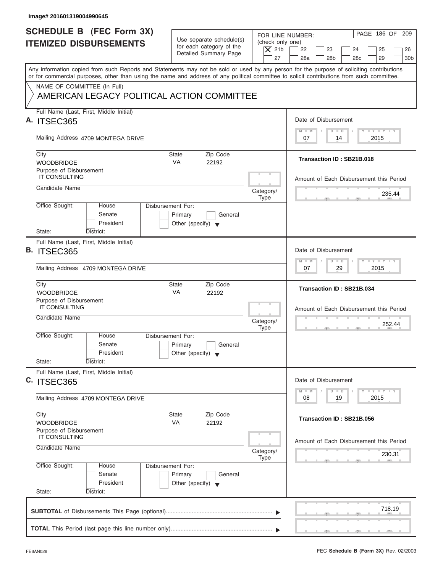| FOR LINE NUMBER:<br>Use separate schedule(s)<br>(check only one)<br>for each category of the<br>$\overline{X}$ 21b<br>22<br>23<br>24<br>25<br>Detailed Summary Page<br>27<br>28a<br>28 <sub>b</sub><br>29<br>28 <sub>c</sub><br>Any information copied from such Reports and Statements may not be sold or used by any person for the purpose of soliciting contributions<br>or for commercial purposes, other than using the name and address of any political committee to solicit contributions from such committee.<br>NAME OF COMMITTEE (In Full)<br>AMERICAN LEGACY POLITICAL ACTION COMMITTEE<br>Full Name (Last, First, Middle Initial)<br>Date of Disbursement<br>A. ITSEC365<br>$T - Y = T - Y = T - Y$<br>$M - M$<br>$D$ $D$<br>Mailing Address 4709 MONTEGA DRIVE<br>2015<br>07<br>14<br>City<br><b>State</b><br>Zip Code<br>Transaction ID: SB21B.018<br><b>VA</b><br><b>WOODBRIDGE</b><br>22192<br>Purpose of Disbursement<br><b>IT CONSULTING</b><br>Candidate Name<br>Category/<br>235.44<br><b>Type</b><br>Office Sought:<br>Disbursement For:<br>House<br>Senate<br>Primary<br>General<br>President<br>Other (specify) $\blacktriangledown$<br>State:<br>District:<br>Full Name (Last, First, Middle Initial)<br><b>B. ITSEC365</b><br>Date of Disbursement<br><b>LEYTEY LEY</b><br>$M - M$<br>$D$ $D$<br>29<br>2015<br>Mailing Address 4709 MONTEGA DRIVE<br>07<br>City<br><b>State</b><br>Zip Code<br>Transaction ID: SB21B.034<br>VA<br><b>WOODBRIDGE</b><br>22192<br>Purpose of Disbursement<br><b>IT CONSULTING</b><br>Amount of Each Disbursement this Period<br>Candidate Name<br>Category/<br>252.44<br><b>Type</b><br>. .<br>Office Sought:<br>House<br>Disbursement For:<br>Senate<br>Primary<br>General<br>President<br>Other (specify) $\blacktriangledown$<br>State:<br>District:<br>Full Name (Last, First, Middle Initial)<br>Date of Disbursement<br>C. ITSEC365<br>$\frac{1}{2}$ $\frac{1}{2}$ $\frac{1}{2}$ $\frac{1}{2}$ $\frac{1}{2}$ $\frac{1}{2}$ $\frac{1}{2}$ $\frac{1}{2}$ $\frac{1}{2}$ $\frac{1}{2}$ $\frac{1}{2}$ $\frac{1}{2}$ $\frac{1}{2}$<br>$M - M$<br>$\overline{D}$<br>$\Box$<br>2015<br>08<br>19<br>Mailing Address 4709 MONTEGA DRIVE<br>Zip Code<br>City<br>State<br>Transaction ID: SB21B.056<br>VA<br>22192<br><b>WOODBRIDGE</b><br>Purpose of Disbursement<br>IT CONSULTING<br>Candidate Name<br>Category/<br>230.31<br>Type<br>Office Sought:<br>Disbursement For:<br>House<br>Senate<br>Primary<br>General<br>President<br>Other (specify) $\blacktriangledown$<br>State:<br>District:<br>718.19 | Image# 201601319004990645                                        |  |                                          |
|---------------------------------------------------------------------------------------------------------------------------------------------------------------------------------------------------------------------------------------------------------------------------------------------------------------------------------------------------------------------------------------------------------------------------------------------------------------------------------------------------------------------------------------------------------------------------------------------------------------------------------------------------------------------------------------------------------------------------------------------------------------------------------------------------------------------------------------------------------------------------------------------------------------------------------------------------------------------------------------------------------------------------------------------------------------------------------------------------------------------------------------------------------------------------------------------------------------------------------------------------------------------------------------------------------------------------------------------------------------------------------------------------------------------------------------------------------------------------------------------------------------------------------------------------------------------------------------------------------------------------------------------------------------------------------------------------------------------------------------------------------------------------------------------------------------------------------------------------------------------------------------------------------------------------------------------------------------------------------------------------------------------------------------------------------------------------------------------------------------------------------------------------------------------------------------------------------------------------------------------------------------------------------------------------------------------------------------------------------------------------------------------------------------------------------------------------------------------------------------------------------------------------------------------------------------|------------------------------------------------------------------|--|------------------------------------------|
|                                                                                                                                                                                                                                                                                                                                                                                                                                                                                                                                                                                                                                                                                                                                                                                                                                                                                                                                                                                                                                                                                                                                                                                                                                                                                                                                                                                                                                                                                                                                                                                                                                                                                                                                                                                                                                                                                                                                                                                                                                                                                                                                                                                                                                                                                                                                                                                                                                                                                                                                                               | <b>SCHEDULE B (FEC Form 3X)</b><br><b>ITEMIZED DISBURSEMENTS</b> |  | PAGE 186 OF 209<br>26<br>30 <sub>b</sub> |
|                                                                                                                                                                                                                                                                                                                                                                                                                                                                                                                                                                                                                                                                                                                                                                                                                                                                                                                                                                                                                                                                                                                                                                                                                                                                                                                                                                                                                                                                                                                                                                                                                                                                                                                                                                                                                                                                                                                                                                                                                                                                                                                                                                                                                                                                                                                                                                                                                                                                                                                                                               |                                                                  |  |                                          |
|                                                                                                                                                                                                                                                                                                                                                                                                                                                                                                                                                                                                                                                                                                                                                                                                                                                                                                                                                                                                                                                                                                                                                                                                                                                                                                                                                                                                                                                                                                                                                                                                                                                                                                                                                                                                                                                                                                                                                                                                                                                                                                                                                                                                                                                                                                                                                                                                                                                                                                                                                               |                                                                  |  |                                          |
|                                                                                                                                                                                                                                                                                                                                                                                                                                                                                                                                                                                                                                                                                                                                                                                                                                                                                                                                                                                                                                                                                                                                                                                                                                                                                                                                                                                                                                                                                                                                                                                                                                                                                                                                                                                                                                                                                                                                                                                                                                                                                                                                                                                                                                                                                                                                                                                                                                                                                                                                                               |                                                                  |  |                                          |
|                                                                                                                                                                                                                                                                                                                                                                                                                                                                                                                                                                                                                                                                                                                                                                                                                                                                                                                                                                                                                                                                                                                                                                                                                                                                                                                                                                                                                                                                                                                                                                                                                                                                                                                                                                                                                                                                                                                                                                                                                                                                                                                                                                                                                                                                                                                                                                                                                                                                                                                                                               |                                                                  |  |                                          |
|                                                                                                                                                                                                                                                                                                                                                                                                                                                                                                                                                                                                                                                                                                                                                                                                                                                                                                                                                                                                                                                                                                                                                                                                                                                                                                                                                                                                                                                                                                                                                                                                                                                                                                                                                                                                                                                                                                                                                                                                                                                                                                                                                                                                                                                                                                                                                                                                                                                                                                                                                               |                                                                  |  |                                          |
|                                                                                                                                                                                                                                                                                                                                                                                                                                                                                                                                                                                                                                                                                                                                                                                                                                                                                                                                                                                                                                                                                                                                                                                                                                                                                                                                                                                                                                                                                                                                                                                                                                                                                                                                                                                                                                                                                                                                                                                                                                                                                                                                                                                                                                                                                                                                                                                                                                                                                                                                                               |                                                                  |  |                                          |
|                                                                                                                                                                                                                                                                                                                                                                                                                                                                                                                                                                                                                                                                                                                                                                                                                                                                                                                                                                                                                                                                                                                                                                                                                                                                                                                                                                                                                                                                                                                                                                                                                                                                                                                                                                                                                                                                                                                                                                                                                                                                                                                                                                                                                                                                                                                                                                                                                                                                                                                                                               |                                                                  |  | Amount of Each Disbursement this Period  |
|                                                                                                                                                                                                                                                                                                                                                                                                                                                                                                                                                                                                                                                                                                                                                                                                                                                                                                                                                                                                                                                                                                                                                                                                                                                                                                                                                                                                                                                                                                                                                                                                                                                                                                                                                                                                                                                                                                                                                                                                                                                                                                                                                                                                                                                                                                                                                                                                                                                                                                                                                               |                                                                  |  |                                          |
|                                                                                                                                                                                                                                                                                                                                                                                                                                                                                                                                                                                                                                                                                                                                                                                                                                                                                                                                                                                                                                                                                                                                                                                                                                                                                                                                                                                                                                                                                                                                                                                                                                                                                                                                                                                                                                                                                                                                                                                                                                                                                                                                                                                                                                                                                                                                                                                                                                                                                                                                                               |                                                                  |  |                                          |
|                                                                                                                                                                                                                                                                                                                                                                                                                                                                                                                                                                                                                                                                                                                                                                                                                                                                                                                                                                                                                                                                                                                                                                                                                                                                                                                                                                                                                                                                                                                                                                                                                                                                                                                                                                                                                                                                                                                                                                                                                                                                                                                                                                                                                                                                                                                                                                                                                                                                                                                                                               |                                                                  |  |                                          |
|                                                                                                                                                                                                                                                                                                                                                                                                                                                                                                                                                                                                                                                                                                                                                                                                                                                                                                                                                                                                                                                                                                                                                                                                                                                                                                                                                                                                                                                                                                                                                                                                                                                                                                                                                                                                                                                                                                                                                                                                                                                                                                                                                                                                                                                                                                                                                                                                                                                                                                                                                               |                                                                  |  |                                          |
|                                                                                                                                                                                                                                                                                                                                                                                                                                                                                                                                                                                                                                                                                                                                                                                                                                                                                                                                                                                                                                                                                                                                                                                                                                                                                                                                                                                                                                                                                                                                                                                                                                                                                                                                                                                                                                                                                                                                                                                                                                                                                                                                                                                                                                                                                                                                                                                                                                                                                                                                                               |                                                                  |  |                                          |
|                                                                                                                                                                                                                                                                                                                                                                                                                                                                                                                                                                                                                                                                                                                                                                                                                                                                                                                                                                                                                                                                                                                                                                                                                                                                                                                                                                                                                                                                                                                                                                                                                                                                                                                                                                                                                                                                                                                                                                                                                                                                                                                                                                                                                                                                                                                                                                                                                                                                                                                                                               |                                                                  |  |                                          |
|                                                                                                                                                                                                                                                                                                                                                                                                                                                                                                                                                                                                                                                                                                                                                                                                                                                                                                                                                                                                                                                                                                                                                                                                                                                                                                                                                                                                                                                                                                                                                                                                                                                                                                                                                                                                                                                                                                                                                                                                                                                                                                                                                                                                                                                                                                                                                                                                                                                                                                                                                               |                                                                  |  |                                          |
|                                                                                                                                                                                                                                                                                                                                                                                                                                                                                                                                                                                                                                                                                                                                                                                                                                                                                                                                                                                                                                                                                                                                                                                                                                                                                                                                                                                                                                                                                                                                                                                                                                                                                                                                                                                                                                                                                                                                                                                                                                                                                                                                                                                                                                                                                                                                                                                                                                                                                                                                                               |                                                                  |  |                                          |
|                                                                                                                                                                                                                                                                                                                                                                                                                                                                                                                                                                                                                                                                                                                                                                                                                                                                                                                                                                                                                                                                                                                                                                                                                                                                                                                                                                                                                                                                                                                                                                                                                                                                                                                                                                                                                                                                                                                                                                                                                                                                                                                                                                                                                                                                                                                                                                                                                                                                                                                                                               |                                                                  |  |                                          |
|                                                                                                                                                                                                                                                                                                                                                                                                                                                                                                                                                                                                                                                                                                                                                                                                                                                                                                                                                                                                                                                                                                                                                                                                                                                                                                                                                                                                                                                                                                                                                                                                                                                                                                                                                                                                                                                                                                                                                                                                                                                                                                                                                                                                                                                                                                                                                                                                                                                                                                                                                               |                                                                  |  |                                          |
|                                                                                                                                                                                                                                                                                                                                                                                                                                                                                                                                                                                                                                                                                                                                                                                                                                                                                                                                                                                                                                                                                                                                                                                                                                                                                                                                                                                                                                                                                                                                                                                                                                                                                                                                                                                                                                                                                                                                                                                                                                                                                                                                                                                                                                                                                                                                                                                                                                                                                                                                                               |                                                                  |  |                                          |
|                                                                                                                                                                                                                                                                                                                                                                                                                                                                                                                                                                                                                                                                                                                                                                                                                                                                                                                                                                                                                                                                                                                                                                                                                                                                                                                                                                                                                                                                                                                                                                                                                                                                                                                                                                                                                                                                                                                                                                                                                                                                                                                                                                                                                                                                                                                                                                                                                                                                                                                                                               |                                                                  |  |                                          |
|                                                                                                                                                                                                                                                                                                                                                                                                                                                                                                                                                                                                                                                                                                                                                                                                                                                                                                                                                                                                                                                                                                                                                                                                                                                                                                                                                                                                                                                                                                                                                                                                                                                                                                                                                                                                                                                                                                                                                                                                                                                                                                                                                                                                                                                                                                                                                                                                                                                                                                                                                               |                                                                  |  |                                          |
|                                                                                                                                                                                                                                                                                                                                                                                                                                                                                                                                                                                                                                                                                                                                                                                                                                                                                                                                                                                                                                                                                                                                                                                                                                                                                                                                                                                                                                                                                                                                                                                                                                                                                                                                                                                                                                                                                                                                                                                                                                                                                                                                                                                                                                                                                                                                                                                                                                                                                                                                                               |                                                                  |  | Amount of Each Disbursement this Period  |
|                                                                                                                                                                                                                                                                                                                                                                                                                                                                                                                                                                                                                                                                                                                                                                                                                                                                                                                                                                                                                                                                                                                                                                                                                                                                                                                                                                                                                                                                                                                                                                                                                                                                                                                                                                                                                                                                                                                                                                                                                                                                                                                                                                                                                                                                                                                                                                                                                                                                                                                                                               |                                                                  |  |                                          |
|                                                                                                                                                                                                                                                                                                                                                                                                                                                                                                                                                                                                                                                                                                                                                                                                                                                                                                                                                                                                                                                                                                                                                                                                                                                                                                                                                                                                                                                                                                                                                                                                                                                                                                                                                                                                                                                                                                                                                                                                                                                                                                                                                                                                                                                                                                                                                                                                                                                                                                                                                               |                                                                  |  |                                          |
|                                                                                                                                                                                                                                                                                                                                                                                                                                                                                                                                                                                                                                                                                                                                                                                                                                                                                                                                                                                                                                                                                                                                                                                                                                                                                                                                                                                                                                                                                                                                                                                                                                                                                                                                                                                                                                                                                                                                                                                                                                                                                                                                                                                                                                                                                                                                                                                                                                                                                                                                                               |                                                                  |  |                                          |
|                                                                                                                                                                                                                                                                                                                                                                                                                                                                                                                                                                                                                                                                                                                                                                                                                                                                                                                                                                                                                                                                                                                                                                                                                                                                                                                                                                                                                                                                                                                                                                                                                                                                                                                                                                                                                                                                                                                                                                                                                                                                                                                                                                                                                                                                                                                                                                                                                                                                                                                                                               |                                                                  |  |                                          |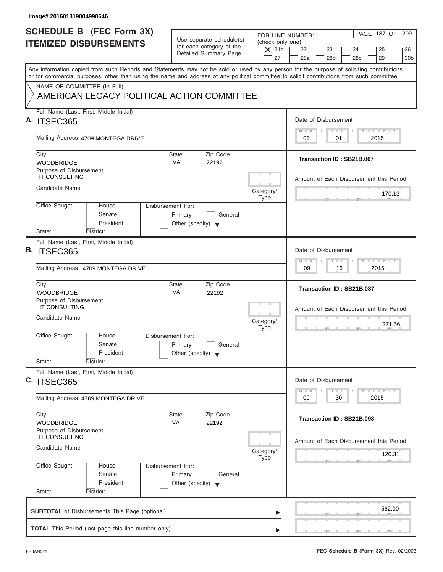| Image# 201601319004990646                                                                                                                                                                                                                                                               |                                                                                 |                                                                  |                                                                                                                                                                                                                                                      |
|-----------------------------------------------------------------------------------------------------------------------------------------------------------------------------------------------------------------------------------------------------------------------------------------|---------------------------------------------------------------------------------|------------------------------------------------------------------|------------------------------------------------------------------------------------------------------------------------------------------------------------------------------------------------------------------------------------------------------|
| <b>SCHEDULE B (FEC Form 3X)</b><br><b>ITEMIZED DISBURSEMENTS</b>                                                                                                                                                                                                                        | Use separate schedule(s)<br>for each category of the<br>Detailed Summary Page   | FOR LINE NUMBER:<br>(check only one)<br>$\overline{X}$ 21b<br>27 | PAGE 187 OF 209<br>22<br>23<br>24<br>25<br>26<br>28a<br>28 <sub>b</sub><br>29<br>30 <sub>b</sub><br>28 <sub>c</sub>                                                                                                                                  |
| Any information copied from such Reports and Statements may not be sold or used by any person for the purpose of soliciting contributions<br>or for commercial purposes, other than using the name and address of any political committee to solicit contributions from such committee. |                                                                                 |                                                                  |                                                                                                                                                                                                                                                      |
| NAME OF COMMITTEE (In Full)<br>AMERICAN LEGACY POLITICAL ACTION COMMITTEE                                                                                                                                                                                                               |                                                                                 |                                                                  |                                                                                                                                                                                                                                                      |
| Full Name (Last, First, Middle Initial)                                                                                                                                                                                                                                                 |                                                                                 |                                                                  | Date of Disbursement                                                                                                                                                                                                                                 |
| A. ITSEC365                                                                                                                                                                                                                                                                             |                                                                                 |                                                                  | $T - Y = T - Y = T - Y$<br>$M - M$<br>$D$ $D$                                                                                                                                                                                                        |
| Mailing Address 4709 MONTEGA DRIVE                                                                                                                                                                                                                                                      |                                                                                 |                                                                  | 01<br>2015<br>09                                                                                                                                                                                                                                     |
| City<br><b>WOODBRIDGE</b>                                                                                                                                                                                                                                                               | <b>State</b><br>Zip Code<br><b>VA</b><br>22192                                  |                                                                  | Transaction ID: SB21B.067                                                                                                                                                                                                                            |
| Purpose of Disbursement<br><b>IT CONSULTING</b>                                                                                                                                                                                                                                         |                                                                                 |                                                                  | Amount of Each Disbursement this Period                                                                                                                                                                                                              |
| Candidate Name                                                                                                                                                                                                                                                                          |                                                                                 | Category/<br><b>Type</b>                                         | 170.13                                                                                                                                                                                                                                               |
| Office Sought:<br>House<br>Senate<br>President                                                                                                                                                                                                                                          | Disbursement For:<br>Primary<br>General<br>Other (specify) $\blacktriangledown$ |                                                                  |                                                                                                                                                                                                                                                      |
| State:<br>District:<br>Full Name (Last, First, Middle Initial)                                                                                                                                                                                                                          |                                                                                 |                                                                  |                                                                                                                                                                                                                                                      |
| <b>B. ITSEC365</b>                                                                                                                                                                                                                                                                      |                                                                                 |                                                                  | Date of Disbursement                                                                                                                                                                                                                                 |
| Mailing Address 4709 MONTEGA DRIVE                                                                                                                                                                                                                                                      |                                                                                 |                                                                  | <b>LEYTEY LEY</b><br>$M - M$<br>$D$ $D$<br>2015<br>09<br>16                                                                                                                                                                                          |
| City<br><b>WOODBRIDGE</b>                                                                                                                                                                                                                                                               | <b>State</b><br>Zip Code<br>VA<br>22192                                         |                                                                  | Transaction ID: SB21B.087                                                                                                                                                                                                                            |
| Purpose of Disbursement<br><b>IT CONSULTING</b>                                                                                                                                                                                                                                         |                                                                                 |                                                                  | Amount of Each Disbursement this Period                                                                                                                                                                                                              |
| Candidate Name                                                                                                                                                                                                                                                                          |                                                                                 | Category/<br><b>Type</b>                                         | 271.56<br>. .                                                                                                                                                                                                                                        |
| Office Sought:<br>House<br>Senate<br>President                                                                                                                                                                                                                                          | Disbursement For:<br>Primary<br>General<br>Other (specify) $\blacktriangledown$ |                                                                  |                                                                                                                                                                                                                                                      |
| State:<br>District:<br>Full Name (Last, First, Middle Initial)                                                                                                                                                                                                                          |                                                                                 |                                                                  |                                                                                                                                                                                                                                                      |
| C. ITSEC365                                                                                                                                                                                                                                                                             |                                                                                 |                                                                  | Date of Disbursement<br>$\frac{1}{2}$ $\frac{1}{2}$ $\frac{1}{2}$ $\frac{1}{2}$ $\frac{1}{2}$ $\frac{1}{2}$ $\frac{1}{2}$ $\frac{1}{2}$ $\frac{1}{2}$ $\frac{1}{2}$ $\frac{1}{2}$ $\frac{1}{2}$ $\frac{1}{2}$<br>$M - M$<br>$\overline{D}$<br>$\Box$ |
| Mailing Address 4709 MONTEGA DRIVE                                                                                                                                                                                                                                                      |                                                                                 |                                                                  | 2015<br>09<br>30                                                                                                                                                                                                                                     |
| City<br><b>WOODBRIDGE</b>                                                                                                                                                                                                                                                               | Zip Code<br>State<br>VA<br>22192                                                |                                                                  | Transaction ID: SB21B.098                                                                                                                                                                                                                            |
| Purpose of Disbursement<br>IT CONSULTING                                                                                                                                                                                                                                                |                                                                                 |                                                                  | Amount of Each Disbursement this Period                                                                                                                                                                                                              |
| Candidate Name                                                                                                                                                                                                                                                                          |                                                                                 | Category/<br>Type                                                | 120.31                                                                                                                                                                                                                                               |
| Office Sought:<br>House<br>Senate<br>President<br>State:<br>District:                                                                                                                                                                                                                   | Disbursement For:<br>Primary<br>General<br>Other (specify) $\blacktriangledown$ |                                                                  |                                                                                                                                                                                                                                                      |
|                                                                                                                                                                                                                                                                                         |                                                                                 |                                                                  | 562.00                                                                                                                                                                                                                                               |
|                                                                                                                                                                                                                                                                                         |                                                                                 |                                                                  |                                                                                                                                                                                                                                                      |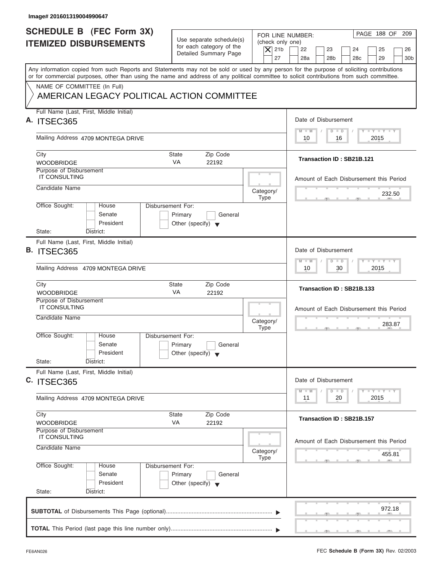| Image# 201601319004990647                                                                                                                                                                                                                                                               |                                                                                 |                                                                  |                                                                                                                        |
|-----------------------------------------------------------------------------------------------------------------------------------------------------------------------------------------------------------------------------------------------------------------------------------------|---------------------------------------------------------------------------------|------------------------------------------------------------------|------------------------------------------------------------------------------------------------------------------------|
| <b>SCHEDULE B</b> (FEC Form 3X)<br><b>ITEMIZED DISBURSEMENTS</b>                                                                                                                                                                                                                        | Use separate schedule(s)<br>for each category of the<br>Detailed Summary Page   | FOR LINE NUMBER:<br>(check only one)<br>$\overline{X}$ 21b<br>27 | PAGE 188 OF<br>209<br>22<br>23<br>24<br>25<br>26<br>28a<br>28 <sub>b</sub><br>28 <sub>c</sub><br>29<br>30 <sub>b</sub> |
| Any information copied from such Reports and Statements may not be sold or used by any person for the purpose of soliciting contributions<br>or for commercial purposes, other than using the name and address of any political committee to solicit contributions from such committee. |                                                                                 |                                                                  |                                                                                                                        |
| NAME OF COMMITTEE (In Full)<br>AMERICAN LEGACY POLITICAL ACTION COMMITTEE                                                                                                                                                                                                               |                                                                                 |                                                                  |                                                                                                                        |
| Full Name (Last, First, Middle Initial)<br>A. ITSEC365                                                                                                                                                                                                                                  |                                                                                 |                                                                  | Date of Disbursement                                                                                                   |
| Mailing Address 4709 MONTEGA DRIVE                                                                                                                                                                                                                                                      |                                                                                 |                                                                  | $\mathbf{I} \mathbf{Y} \mathbf{I} \mathbf{Y}$<br>$M - M$<br>$D$ $D$<br>2015<br>10<br>16                                |
| City                                                                                                                                                                                                                                                                                    | Zip Code<br>State                                                               |                                                                  | Transaction ID: SB21B.121                                                                                              |
| <b>WOODBRIDGE</b><br>Purpose of Disbursement<br><b>IT CONSULTING</b>                                                                                                                                                                                                                    | <b>VA</b><br>22192                                                              |                                                                  |                                                                                                                        |
| Candidate Name                                                                                                                                                                                                                                                                          |                                                                                 | Category/<br><b>Type</b>                                         | Amount of Each Disbursement this Period<br>232.50                                                                      |
| Office Sought:<br>House<br>Senate<br>President<br>State:                                                                                                                                                                                                                                | Disbursement For:<br>Primary<br>General<br>Other (specify) $\blacktriangledown$ |                                                                  |                                                                                                                        |
| District:<br>Full Name (Last, First, Middle Initial)<br><b>B. ITSEC365</b>                                                                                                                                                                                                              |                                                                                 |                                                                  | Date of Disbursement                                                                                                   |
| Mailing Address 4709 MONTEGA DRIVE                                                                                                                                                                                                                                                      |                                                                                 |                                                                  | $-1 - Y - 1 - Y - 1 - Y$<br>$M - M$<br>$D$ $D$<br>30<br>2015<br>10                                                     |
| City<br><b>WOODBRIDGE</b>                                                                                                                                                                                                                                                               | State<br>Zip Code<br>VA<br>22192                                                |                                                                  | Transaction ID: SB21B.133                                                                                              |
| Purpose of Disbursement<br><b>IT CONSULTING</b><br>Candidate Name                                                                                                                                                                                                                       |                                                                                 | Category/                                                        | Amount of Each Disbursement this Period                                                                                |
| Office Sought:<br>House<br>Senate<br>President<br>State:<br>District:                                                                                                                                                                                                                   | Disbursement For:<br>Primary<br>General<br>Other (specify) $\blacktriangledown$ | <b>Type</b>                                                      | 283.87<br>$-7$                                                                                                         |
| Full Name (Last, First, Middle Initial)<br>C. ITSEC365                                                                                                                                                                                                                                  |                                                                                 |                                                                  | Date of Disbursement                                                                                                   |
| Mailing Address 4709 MONTEGA DRIVE                                                                                                                                                                                                                                                      |                                                                                 |                                                                  | $T - Y$ $T - Y$<br>$M - M$<br>$\overline{D}$<br>$\Box$<br>2015<br>11<br>20                                             |
| City<br><b>WOODBRIDGE</b>                                                                                                                                                                                                                                                               | State<br>Zip Code<br>VA<br>22192                                                |                                                                  | Transaction ID: SB21B.157                                                                                              |
| Purpose of Disbursement<br><b>IT CONSULTING</b><br>Candidate Name                                                                                                                                                                                                                       |                                                                                 | Category/                                                        | Amount of Each Disbursement this Period<br>455.81                                                                      |
| Office Sought:<br>House<br>Senate<br>President<br>State:<br>District:                                                                                                                                                                                                                   | Disbursement For:<br>Primary<br>General<br>Other (specify) $\blacktriangledown$ | <b>Type</b>                                                      |                                                                                                                        |
|                                                                                                                                                                                                                                                                                         |                                                                                 |                                                                  | 972.18                                                                                                                 |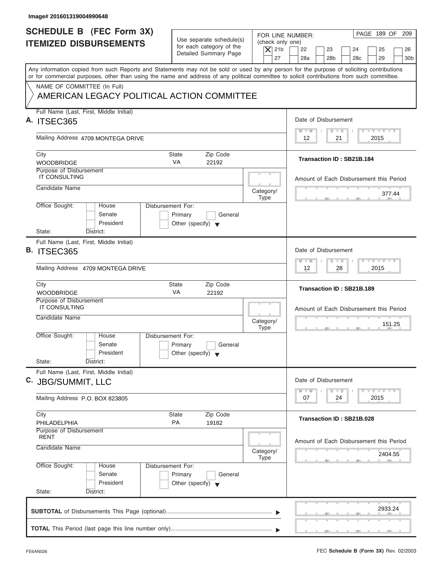| <b>SCHEDULE B (FEC Form 3X)</b><br>FOR LINE NUMBER:<br>Use separate schedule(s)<br>(check only one)<br><b>ITEMIZED DISBURSEMENTS</b><br>for each category of the<br>$\overline{X}$ 21b<br>22<br>23<br>Detailed Summary Page<br>27<br>28a<br>28 <sub>b</sub><br>Any information copied from such Reports and Statements may not be sold or used by any person for the purpose of soliciting contributions<br>or for commercial purposes, other than using the name and address of any political committee to solicit contributions from such committee.<br>NAME OF COMMITTEE (In Full)<br>AMERICAN LEGACY POLITICAL ACTION COMMITTEE<br>Full Name (Last, First, Middle Initial)<br>Date of Disbursement<br>$M - M$<br>$D$ $D$<br>Mailing Address 4709 MONTEGA DRIVE<br>21<br>12<br>City<br><b>State</b><br>Zip Code<br>Transaction ID: SB21B.184<br><b>VA</b><br><b>WOODBRIDGE</b><br>22192<br>Purpose of Disbursement<br><b>IT CONSULTING</b><br>Candidate Name<br>Category/<br><b>Type</b><br>Office Sought:<br>Disbursement For:<br>House<br>Senate<br>Primary<br>General<br>President<br>Other (specify) $\blacktriangledown$<br>State:<br>District:<br>Full Name (Last, First, Middle Initial)<br>Date of Disbursement<br>$M - M$<br>$D$ $D$<br>Mailing Address 4709 MONTEGA DRIVE<br>12<br>City<br><b>State</b><br>Zip Code<br>Transaction ID: SB21B.189<br>VA<br><b>WOODBRIDGE</b><br>22192<br>Purpose of Disbursement<br><b>IT CONSULTING</b><br>Candidate Name<br>Category/<br><b>Type</b><br>Office Sought:<br>House<br>Disbursement For:<br>Senate<br>Primary<br>General<br>President<br>Other (specify) $\blacktriangledown$<br>State:<br>District:<br>Full Name (Last, First, Middle Initial)<br>Date of Disbursement<br>$M - M$<br>$\overline{D}$<br>07<br>24<br>Mailing Address P.O. BOX 823805<br>Zip Code<br>City<br>State<br>Transaction ID: SB21B.028<br>PA<br>19182<br>PHILADELPHIA<br>Purpose of Disbursement<br><b>RENT</b><br>Candidate Name<br>Category/<br>Type<br>Office Sought:<br>Disbursement For:<br>House<br>Senate<br>Primary<br>General<br>President<br>Other (specify) $\blacktriangledown$ |                                                                                                                                                                                                         |
|------------------------------------------------------------------------------------------------------------------------------------------------------------------------------------------------------------------------------------------------------------------------------------------------------------------------------------------------------------------------------------------------------------------------------------------------------------------------------------------------------------------------------------------------------------------------------------------------------------------------------------------------------------------------------------------------------------------------------------------------------------------------------------------------------------------------------------------------------------------------------------------------------------------------------------------------------------------------------------------------------------------------------------------------------------------------------------------------------------------------------------------------------------------------------------------------------------------------------------------------------------------------------------------------------------------------------------------------------------------------------------------------------------------------------------------------------------------------------------------------------------------------------------------------------------------------------------------------------------------------------------------------------------------------------------------------------------------------------------------------------------------------------------------------------------------------------------------------------------------------------------------------------------------------------------------------------------------------------------------------------------------------------------------------------------------------------------------------------------------------------|---------------------------------------------------------------------------------------------------------------------------------------------------------------------------------------------------------|
| A. ITSEC365<br><b>B. ITSEC365</b><br>C. JBG/SUMMIT, LLC                                                                                                                                                                                                                                                                                                                                                                                                                                                                                                                                                                                                                                                                                                                                                                                                                                                                                                                                                                                                                                                                                                                                                                                                                                                                                                                                                                                                                                                                                                                                                                                                                                                                                                                                                                                                                                                                                                                                                                                                                                                                      | PAGE 189 OF 209<br>24<br>25<br>26<br>29<br>30 <sub>b</sub><br>28 <sub>c</sub>                                                                                                                           |
|                                                                                                                                                                                                                                                                                                                                                                                                                                                                                                                                                                                                                                                                                                                                                                                                                                                                                                                                                                                                                                                                                                                                                                                                                                                                                                                                                                                                                                                                                                                                                                                                                                                                                                                                                                                                                                                                                                                                                                                                                                                                                                                              |                                                                                                                                                                                                         |
|                                                                                                                                                                                                                                                                                                                                                                                                                                                                                                                                                                                                                                                                                                                                                                                                                                                                                                                                                                                                                                                                                                                                                                                                                                                                                                                                                                                                                                                                                                                                                                                                                                                                                                                                                                                                                                                                                                                                                                                                                                                                                                                              |                                                                                                                                                                                                         |
|                                                                                                                                                                                                                                                                                                                                                                                                                                                                                                                                                                                                                                                                                                                                                                                                                                                                                                                                                                                                                                                                                                                                                                                                                                                                                                                                                                                                                                                                                                                                                                                                                                                                                                                                                                                                                                                                                                                                                                                                                                                                                                                              |                                                                                                                                                                                                         |
|                                                                                                                                                                                                                                                                                                                                                                                                                                                                                                                                                                                                                                                                                                                                                                                                                                                                                                                                                                                                                                                                                                                                                                                                                                                                                                                                                                                                                                                                                                                                                                                                                                                                                                                                                                                                                                                                                                                                                                                                                                                                                                                              | $T - Y = T - Y = T - Y$<br>2015                                                                                                                                                                         |
|                                                                                                                                                                                                                                                                                                                                                                                                                                                                                                                                                                                                                                                                                                                                                                                                                                                                                                                                                                                                                                                                                                                                                                                                                                                                                                                                                                                                                                                                                                                                                                                                                                                                                                                                                                                                                                                                                                                                                                                                                                                                                                                              |                                                                                                                                                                                                         |
|                                                                                                                                                                                                                                                                                                                                                                                                                                                                                                                                                                                                                                                                                                                                                                                                                                                                                                                                                                                                                                                                                                                                                                                                                                                                                                                                                                                                                                                                                                                                                                                                                                                                                                                                                                                                                                                                                                                                                                                                                                                                                                                              | Amount of Each Disbursement this Period                                                                                                                                                                 |
|                                                                                                                                                                                                                                                                                                                                                                                                                                                                                                                                                                                                                                                                                                                                                                                                                                                                                                                                                                                                                                                                                                                                                                                                                                                                                                                                                                                                                                                                                                                                                                                                                                                                                                                                                                                                                                                                                                                                                                                                                                                                                                                              | 377.44                                                                                                                                                                                                  |
|                                                                                                                                                                                                                                                                                                                                                                                                                                                                                                                                                                                                                                                                                                                                                                                                                                                                                                                                                                                                                                                                                                                                                                                                                                                                                                                                                                                                                                                                                                                                                                                                                                                                                                                                                                                                                                                                                                                                                                                                                                                                                                                              |                                                                                                                                                                                                         |
|                                                                                                                                                                                                                                                                                                                                                                                                                                                                                                                                                                                                                                                                                                                                                                                                                                                                                                                                                                                                                                                                                                                                                                                                                                                                                                                                                                                                                                                                                                                                                                                                                                                                                                                                                                                                                                                                                                                                                                                                                                                                                                                              |                                                                                                                                                                                                         |
|                                                                                                                                                                                                                                                                                                                                                                                                                                                                                                                                                                                                                                                                                                                                                                                                                                                                                                                                                                                                                                                                                                                                                                                                                                                                                                                                                                                                                                                                                                                                                                                                                                                                                                                                                                                                                                                                                                                                                                                                                                                                                                                              | <b>LEYTEY LEY</b><br>28<br>2015                                                                                                                                                                         |
|                                                                                                                                                                                                                                                                                                                                                                                                                                                                                                                                                                                                                                                                                                                                                                                                                                                                                                                                                                                                                                                                                                                                                                                                                                                                                                                                                                                                                                                                                                                                                                                                                                                                                                                                                                                                                                                                                                                                                                                                                                                                                                                              |                                                                                                                                                                                                         |
|                                                                                                                                                                                                                                                                                                                                                                                                                                                                                                                                                                                                                                                                                                                                                                                                                                                                                                                                                                                                                                                                                                                                                                                                                                                                                                                                                                                                                                                                                                                                                                                                                                                                                                                                                                                                                                                                                                                                                                                                                                                                                                                              | Amount of Each Disbursement this Period<br>151.25                                                                                                                                                       |
|                                                                                                                                                                                                                                                                                                                                                                                                                                                                                                                                                                                                                                                                                                                                                                                                                                                                                                                                                                                                                                                                                                                                                                                                                                                                                                                                                                                                                                                                                                                                                                                                                                                                                                                                                                                                                                                                                                                                                                                                                                                                                                                              | $-7$                                                                                                                                                                                                    |
|                                                                                                                                                                                                                                                                                                                                                                                                                                                                                                                                                                                                                                                                                                                                                                                                                                                                                                                                                                                                                                                                                                                                                                                                                                                                                                                                                                                                                                                                                                                                                                                                                                                                                                                                                                                                                                                                                                                                                                                                                                                                                                                              |                                                                                                                                                                                                         |
|                                                                                                                                                                                                                                                                                                                                                                                                                                                                                                                                                                                                                                                                                                                                                                                                                                                                                                                                                                                                                                                                                                                                                                                                                                                                                                                                                                                                                                                                                                                                                                                                                                                                                                                                                                                                                                                                                                                                                                                                                                                                                                                              | $\frac{1}{2}$ $\frac{1}{2}$ $\frac{1}{2}$ $\frac{1}{2}$ $\frac{1}{2}$ $\frac{1}{2}$ $\frac{1}{2}$ $\frac{1}{2}$ $\frac{1}{2}$ $\frac{1}{2}$ $\frac{1}{2}$ $\frac{1}{2}$ $\frac{1}{2}$<br>$\Box$<br>2015 |
|                                                                                                                                                                                                                                                                                                                                                                                                                                                                                                                                                                                                                                                                                                                                                                                                                                                                                                                                                                                                                                                                                                                                                                                                                                                                                                                                                                                                                                                                                                                                                                                                                                                                                                                                                                                                                                                                                                                                                                                                                                                                                                                              |                                                                                                                                                                                                         |
|                                                                                                                                                                                                                                                                                                                                                                                                                                                                                                                                                                                                                                                                                                                                                                                                                                                                                                                                                                                                                                                                                                                                                                                                                                                                                                                                                                                                                                                                                                                                                                                                                                                                                                                                                                                                                                                                                                                                                                                                                                                                                                                              | Amount of Each Disbursement this Period<br>2404.55                                                                                                                                                      |
| State:<br>District:                                                                                                                                                                                                                                                                                                                                                                                                                                                                                                                                                                                                                                                                                                                                                                                                                                                                                                                                                                                                                                                                                                                                                                                                                                                                                                                                                                                                                                                                                                                                                                                                                                                                                                                                                                                                                                                                                                                                                                                                                                                                                                          |                                                                                                                                                                                                         |
|                                                                                                                                                                                                                                                                                                                                                                                                                                                                                                                                                                                                                                                                                                                                                                                                                                                                                                                                                                                                                                                                                                                                                                                                                                                                                                                                                                                                                                                                                                                                                                                                                                                                                                                                                                                                                                                                                                                                                                                                                                                                                                                              | 2933.24                                                                                                                                                                                                 |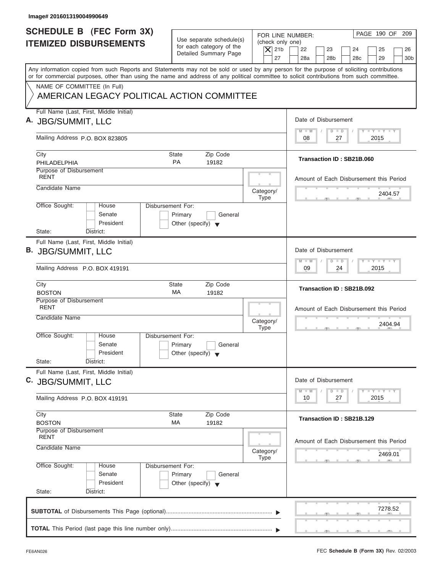| Image# 201601319004990649                                                                                                                  |                                                                                 |                                                                                                                                                                                                                                                      |
|--------------------------------------------------------------------------------------------------------------------------------------------|---------------------------------------------------------------------------------|------------------------------------------------------------------------------------------------------------------------------------------------------------------------------------------------------------------------------------------------------|
| <b>SCHEDULE B (FEC Form 3X)</b><br><b>ITEMIZED DISBURSEMENTS</b>                                                                           | Use separate schedule(s)<br>for each category of the<br>Detailed Summary Page   | PAGE 190 OF 209<br>FOR LINE NUMBER:<br>(check only one)<br>$\overline{X}$ 21b<br>22<br>23<br>24<br>25<br>26<br>27<br>28a<br>28 <sub>b</sub><br>29<br>30 <sub>b</sub><br>28 <sub>c</sub>                                                              |
| or for commercial purposes, other than using the name and address of any political committee to solicit contributions from such committee. |                                                                                 | Any information copied from such Reports and Statements may not be sold or used by any person for the purpose of soliciting contributions                                                                                                            |
| NAME OF COMMITTEE (In Full)<br>AMERICAN LEGACY POLITICAL ACTION COMMITTEE                                                                  |                                                                                 |                                                                                                                                                                                                                                                      |
| Full Name (Last, First, Middle Initial)<br>A. JBG/SUMMIT, LLC                                                                              |                                                                                 | Date of Disbursement                                                                                                                                                                                                                                 |
| Mailing Address P.O. BOX 823805                                                                                                            |                                                                                 | $T - Y = T - Y = T - Y$<br>$M - M$<br>$D$ $D$<br>2015<br>08<br>27                                                                                                                                                                                    |
| City<br>PHILADELPHIA                                                                                                                       | State<br>Zip Code<br><b>PA</b><br>19182                                         | Transaction ID: SB21B.060                                                                                                                                                                                                                            |
| Purpose of Disbursement<br><b>RENT</b>                                                                                                     |                                                                                 | Amount of Each Disbursement this Period                                                                                                                                                                                                              |
| Candidate Name                                                                                                                             |                                                                                 | Category/<br>2404.57<br><b>Type</b>                                                                                                                                                                                                                  |
| Office Sought:<br>House<br>Senate<br>President<br>State:<br>District:                                                                      | Disbursement For:<br>Primary<br>General<br>Other (specify) $\blacktriangledown$ |                                                                                                                                                                                                                                                      |
| Full Name (Last, First, Middle Initial)<br>B. JBG/SUMMIT, LLC                                                                              |                                                                                 | Date of Disbursement                                                                                                                                                                                                                                 |
| Mailing Address P.O. BOX 419191                                                                                                            |                                                                                 | <b>LEYTEY LEY</b><br>$M - M$<br>$D$ $D$<br>2015<br>09<br>24                                                                                                                                                                                          |
| City<br><b>BOSTON</b>                                                                                                                      | Zip Code<br><b>State</b><br>МA<br>19182                                         | Transaction ID: SB21B.092                                                                                                                                                                                                                            |
| Purpose of Disbursement<br><b>RENT</b><br>Candidate Name                                                                                   |                                                                                 | Amount of Each Disbursement this Period<br>Category/<br>2404.94<br><b>Type</b><br>__                                                                                                                                                                 |
| Office Sought:<br>House<br>Senate<br>President<br>State:<br>District:                                                                      | Disbursement For:<br>Primary<br>General<br>Other (specify) $\blacktriangledown$ |                                                                                                                                                                                                                                                      |
| Full Name (Last, First, Middle Initial)<br>C. JBG/SUMMIT, LLC                                                                              |                                                                                 | Date of Disbursement<br>$\frac{1}{2}$ $\frac{1}{2}$ $\frac{1}{2}$ $\frac{1}{2}$ $\frac{1}{2}$ $\frac{1}{2}$ $\frac{1}{2}$ $\frac{1}{2}$ $\frac{1}{2}$ $\frac{1}{2}$ $\frac{1}{2}$ $\frac{1}{2}$ $\frac{1}{2}$<br>$M - M$<br>$\overline{D}$<br>$\Box$ |
| Mailing Address P.O. BOX 419191                                                                                                            |                                                                                 | 2015<br>10<br>27                                                                                                                                                                                                                                     |
| City<br><b>BOSTON</b>                                                                                                                      | Zip Code<br>State<br>МA<br>19182                                                | Transaction ID: SB21B.129                                                                                                                                                                                                                            |
| Purpose of Disbursement<br><b>RENT</b><br>Candidate Name                                                                                   |                                                                                 | Amount of Each Disbursement this Period<br>Category/<br>2469.01<br>Type                                                                                                                                                                              |
| Office Sought:<br>House<br>Senate<br>President<br>State:<br>District:                                                                      | Disbursement For:<br>Primary<br>General<br>Other (specify) $\blacktriangledown$ |                                                                                                                                                                                                                                                      |
|                                                                                                                                            |                                                                                 | 7278.52                                                                                                                                                                                                                                              |
|                                                                                                                                            |                                                                                 |                                                                                                                                                                                                                                                      |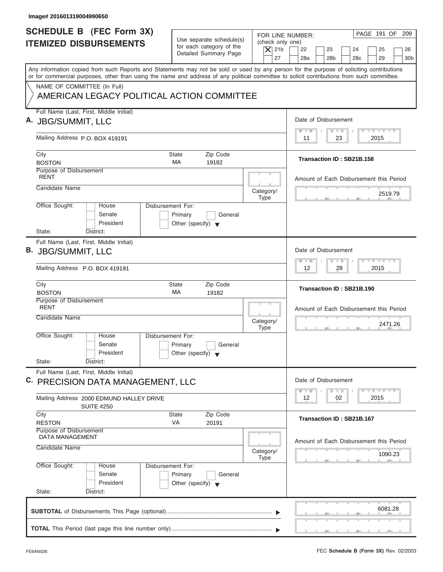| Image# 201601319004990650                                                                                                                                                                                                                                                               |                                                            |                                                                                                                                          |
|-----------------------------------------------------------------------------------------------------------------------------------------------------------------------------------------------------------------------------------------------------------------------------------------|------------------------------------------------------------|------------------------------------------------------------------------------------------------------------------------------------------|
| <b>SCHEDULE B (FEC Form 3X)</b><br><b>ITEMIZED DISBURSEMENTS</b>                                                                                                                                                                                                                        | Use separate schedule(s)<br>for each category of the       | PAGE 191 OF 209<br>FOR LINE NUMBER:<br>(check only one)                                                                                  |
|                                                                                                                                                                                                                                                                                         | Detailed Summary Page                                      | $\vert$ $\chi$ 21b<br>22<br>23<br>24<br>25<br>26<br>27<br>28a<br>28 <sub>b</sub><br>28c<br>29<br>30 <sub>b</sub>                         |
| Any information copied from such Reports and Statements may not be sold or used by any person for the purpose of soliciting contributions<br>or for commercial purposes, other than using the name and address of any political committee to solicit contributions from such committee. |                                                            |                                                                                                                                          |
| NAME OF COMMITTEE (In Full)<br>AMERICAN LEGACY POLITICAL ACTION COMMITTEE                                                                                                                                                                                                               |                                                            |                                                                                                                                          |
| Full Name (Last, First, Middle Initial)<br>A. JBG/SUMMIT, LLC                                                                                                                                                                                                                           |                                                            | Date of Disbursement                                                                                                                     |
| Mailing Address P.O. BOX 419191                                                                                                                                                                                                                                                         |                                                            | $T - Y = T - Y = T - Y$<br>$D$ $D$<br>$M - M$<br>2015<br>11<br>23                                                                        |
| City<br><b>BOSTON</b>                                                                                                                                                                                                                                                                   | Zip Code<br>State<br>MA<br>19182                           | Transaction ID: SB21B.158                                                                                                                |
| Purpose of Disbursement<br><b>RENT</b><br>Candidate Name                                                                                                                                                                                                                                |                                                            | Amount of Each Disbursement this Period                                                                                                  |
| Office Sought:<br><b>Disbursement For:</b><br>House                                                                                                                                                                                                                                     | Category/<br><b>Type</b>                                   | 2519.79                                                                                                                                  |
| Senate<br>President<br>State:<br>District:                                                                                                                                                                                                                                              | Primary<br>General<br>Other (specify) $\blacktriangledown$ |                                                                                                                                          |
| Full Name (Last, First, Middle Initial)<br>B. JBG/SUMMIT, LLC                                                                                                                                                                                                                           |                                                            | Date of Disbursement                                                                                                                     |
| Mailing Address P.O. BOX 419191                                                                                                                                                                                                                                                         |                                                            | $-1 - Y - 1 - Y - 1 - Y$<br>$D$ $D$<br>$M - M$<br>2015<br>12<br>28                                                                       |
| City<br><b>BOSTON</b>                                                                                                                                                                                                                                                                   | Zip Code<br><b>State</b><br>МA<br>19182                    | Transaction ID: SB21B.190                                                                                                                |
| Purpose of Disbursement<br><b>RENT</b><br>Candidate Name                                                                                                                                                                                                                                | Category/<br><b>Type</b>                                   | Amount of Each Disbursement this Period<br>2471.26<br>__                                                                                 |
| Office Sought:<br>House<br>Disbursement For:<br>Senate<br>President                                                                                                                                                                                                                     | Primary<br>General<br>Other (specify) $\blacktriangledown$ |                                                                                                                                          |
| State:<br>District:<br>Full Name (Last, First, Middle Initial)<br>C. PRECISION DATA MANAGEMENT, LLC                                                                                                                                                                                     |                                                            | Date of Disbursement                                                                                                                     |
| Mailing Address 2000 EDMUND HALLEY DRIVE<br><b>SUITE #250</b>                                                                                                                                                                                                                           |                                                            | $\mathbf{I}$ $\mathbf{Y}$ $\mathbf{I}$ $\mathbf{Y}$ $\mathbf{I}$ $\mathbf{Y}$<br>$M - M$<br>$\overline{D}$<br>$\Box$<br>2015<br>12<br>02 |
| City<br><b>RESTON</b><br>Purpose of Disbursement                                                                                                                                                                                                                                        | Zip Code<br><b>State</b><br>VA<br>20191                    | Transaction ID: SB21B.167                                                                                                                |
| DATA MANAGEMENT<br>Candidate Name                                                                                                                                                                                                                                                       | Category/<br><b>Type</b>                                   | Amount of Each Disbursement this Period<br>1090.23                                                                                       |
| Office Sought:<br>Disbursement For:<br>House<br>Senate<br>President                                                                                                                                                                                                                     | Primary<br>General<br>Other (specify) $\blacktriangledown$ |                                                                                                                                          |
| State:<br>District:                                                                                                                                                                                                                                                                     |                                                            | 6081.28                                                                                                                                  |
|                                                                                                                                                                                                                                                                                         |                                                            |                                                                                                                                          |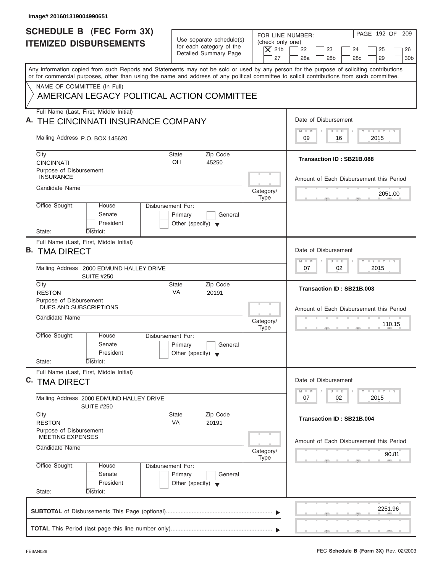| Image# 201601319004990651                                                      |                                                                                 |                                                                  |                                                                                                                                                                                                                                                                                         |
|--------------------------------------------------------------------------------|---------------------------------------------------------------------------------|------------------------------------------------------------------|-----------------------------------------------------------------------------------------------------------------------------------------------------------------------------------------------------------------------------------------------------------------------------------------|
| <b>SCHEDULE B (FEC Form 3X)</b><br><b>ITEMIZED DISBURSEMENTS</b>               | Use separate schedule(s)<br>for each category of the<br>Detailed Summary Page   | FOR LINE NUMBER:<br>(check only one)<br>$\overline{X}$ 21b<br>27 | PAGE 192 OF<br>209<br>22<br>23<br>24<br>25<br>26<br>28a<br>28 <sub>b</sub><br>28 <sub>c</sub><br>29<br>30 <sub>b</sub>                                                                                                                                                                  |
|                                                                                |                                                                                 |                                                                  | Any information copied from such Reports and Statements may not be sold or used by any person for the purpose of soliciting contributions<br>or for commercial purposes, other than using the name and address of any political committee to solicit contributions from such committee. |
| NAME OF COMMITTEE (In Full)                                                    | AMERICAN LEGACY POLITICAL ACTION COMMITTEE                                      |                                                                  |                                                                                                                                                                                                                                                                                         |
| Full Name (Last, First, Middle Initial)<br>A. THE CINCINNATI INSURANCE COMPANY |                                                                                 |                                                                  | Date of Disbursement                                                                                                                                                                                                                                                                    |
| Mailing Address P.O. BOX 145620                                                |                                                                                 |                                                                  | $\mathbf{I} \mathbf{Y} \mathbf{I} \mathbf{Y}$<br>$M - M$<br>$D$ $D$<br>09<br>2015<br>16                                                                                                                                                                                                 |
| City<br><b>CINCINNATI</b><br>Purpose of Disbursement                           | <b>State</b><br>Zip Code<br>OH<br>45250                                         |                                                                  | Transaction ID: SB21B.088                                                                                                                                                                                                                                                               |
| <b>INSURANCE</b><br>Candidate Name                                             |                                                                                 | Category/                                                        | Amount of Each Disbursement this Period<br>2051.00                                                                                                                                                                                                                                      |
| Office Sought:<br>House<br>Senate<br>President                                 | Disbursement For:<br>Primary<br>General<br>Other (specify) $\blacktriangledown$ | <b>Type</b>                                                      |                                                                                                                                                                                                                                                                                         |
| State:<br>District:<br>Full Name (Last, First, Middle Initial)                 |                                                                                 |                                                                  |                                                                                                                                                                                                                                                                                         |
| <b>B. TMA DIRECT</b>                                                           |                                                                                 |                                                                  | Date of Disbursement<br>$-Y$ $Y$ $Y$ $Y$<br>$M - M$<br>$D$ $D$                                                                                                                                                                                                                          |
| Mailing Address 2000 EDMUND HALLEY DRIVE<br><b>SUITE #250</b>                  |                                                                                 |                                                                  | 02<br>2015<br>07                                                                                                                                                                                                                                                                        |
| City<br><b>RESTON</b>                                                          | Zip Code<br><b>State</b><br>VA<br>20191                                         |                                                                  | Transaction ID: SB21B.003                                                                                                                                                                                                                                                               |
| Purpose of Disbursement<br>DUES AND SUBSCRIPTIONS<br>Candidate Name            |                                                                                 | Category/<br><b>Type</b>                                         | Amount of Each Disbursement this Period<br>110.15<br>$-7$                                                                                                                                                                                                                               |
| Office Sought:<br>House<br>Senate<br>President                                 | Disbursement For:<br>Primary<br>General<br>Other (specify) $\blacktriangledown$ |                                                                  |                                                                                                                                                                                                                                                                                         |
| State:<br>District:<br>Full Name (Last, First, Middle Initial)                 |                                                                                 |                                                                  |                                                                                                                                                                                                                                                                                         |
| C. TMA DIRECT                                                                  |                                                                                 |                                                                  | Date of Disbursement<br>$T - Y$ $T - Y$<br>$M - M$<br>$\overline{D}$<br>$\Box$                                                                                                                                                                                                          |
| Mailing Address 2000 EDMUND HALLEY DRIVE<br><b>SUITE #250</b>                  |                                                                                 |                                                                  | 2015<br>07<br>02                                                                                                                                                                                                                                                                        |
| City<br><b>RESTON</b>                                                          | Zip Code<br><b>State</b><br>VA<br>20191                                         |                                                                  | Transaction ID: SB21B.004                                                                                                                                                                                                                                                               |
| Purpose of Disbursement<br><b>MEETING EXPENSES</b><br>Candidate Name           |                                                                                 | Category/                                                        | Amount of Each Disbursement this Period                                                                                                                                                                                                                                                 |
|                                                                                | Disbursement For:                                                               | Type                                                             | 90.81                                                                                                                                                                                                                                                                                   |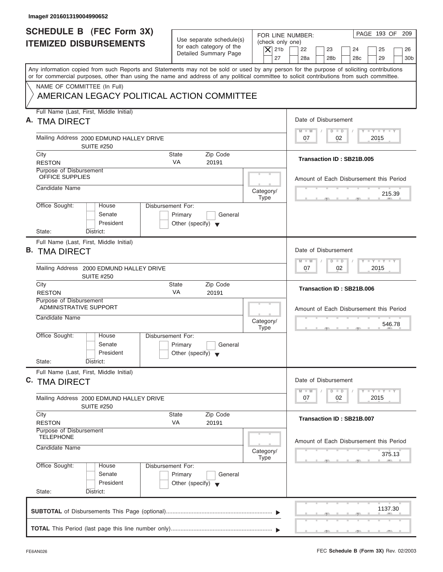| Image# 201601319004990652                                                                                                                                                                                                                                                               |                                                                                 |                                                                  |                                                                                                                     |
|-----------------------------------------------------------------------------------------------------------------------------------------------------------------------------------------------------------------------------------------------------------------------------------------|---------------------------------------------------------------------------------|------------------------------------------------------------------|---------------------------------------------------------------------------------------------------------------------|
| <b>SCHEDULE B (FEC Form 3X)</b><br><b>ITEMIZED DISBURSEMENTS</b>                                                                                                                                                                                                                        | Use separate schedule(s)<br>for each category of the<br>Detailed Summary Page   | FOR LINE NUMBER:<br>(check only one)<br>$\overline{X}$ 21b<br>27 | PAGE 193 OF 209<br>22<br>23<br>24<br>25<br>26<br>28a<br>28 <sub>b</sub><br>29<br>30 <sub>b</sub><br>28 <sub>c</sub> |
| Any information copied from such Reports and Statements may not be sold or used by any person for the purpose of soliciting contributions<br>or for commercial purposes, other than using the name and address of any political committee to solicit contributions from such committee. |                                                                                 |                                                                  |                                                                                                                     |
| NAME OF COMMITTEE (In Full)<br>AMERICAN LEGACY POLITICAL ACTION COMMITTEE                                                                                                                                                                                                               |                                                                                 |                                                                  |                                                                                                                     |
| Full Name (Last, First, Middle Initial)<br>A. TMA DIRECT                                                                                                                                                                                                                                |                                                                                 |                                                                  | Date of Disbursement                                                                                                |
| Mailing Address 2000 EDMUND HALLEY DRIVE<br><b>SUITE #250</b>                                                                                                                                                                                                                           |                                                                                 |                                                                  | $T - Y = T - Y = T - Y$<br>$D$ $D$<br>$M - M$<br>02<br>2015<br>07                                                   |
| City<br><b>RESTON</b>                                                                                                                                                                                                                                                                   | Zip Code<br>State<br><b>VA</b><br>20191                                         |                                                                  | Transaction ID: SB21B.005                                                                                           |
| Purpose of Disbursement<br><b>OFFICE SUPPLIES</b>                                                                                                                                                                                                                                       |                                                                                 |                                                                  | Amount of Each Disbursement this Period                                                                             |
| Candidate Name                                                                                                                                                                                                                                                                          |                                                                                 | Category/<br><b>Type</b>                                         | 215.39                                                                                                              |
| Office Sought:<br>House<br>Senate<br>President<br>State:<br>District:                                                                                                                                                                                                                   | Disbursement For:<br>Primary<br>General<br>Other (specify) $\blacktriangledown$ |                                                                  |                                                                                                                     |
| Full Name (Last, First, Middle Initial)<br><b>B. TMA DIRECT</b>                                                                                                                                                                                                                         |                                                                                 |                                                                  | Date of Disbursement                                                                                                |
| Mailing Address 2000 EDMUND HALLEY DRIVE<br><b>SUITE #250</b>                                                                                                                                                                                                                           |                                                                                 |                                                                  | <b>LEYTEY LEY</b><br>$M - M$<br>$D$ $D$<br>02<br>2015<br>07                                                         |
| City<br><b>RESTON</b>                                                                                                                                                                                                                                                                   | Zip Code<br><b>State</b><br>VA<br>20191                                         |                                                                  | Transaction ID: SB21B.006                                                                                           |
| Purpose of Disbursement<br>ADMINISTRATIVE SUPPORT<br>Candidate Name                                                                                                                                                                                                                     |                                                                                 | Category/<br><b>Type</b>                                         | Amount of Each Disbursement this Period<br>546.78<br>- 51                                                           |
| Office Sought:<br>House<br>Senate<br>President<br>State:<br>District:                                                                                                                                                                                                                   | Disbursement For:<br>Primary<br>General<br>Other (specify) $\blacktriangledown$ |                                                                  |                                                                                                                     |
| Full Name (Last, First, Middle Initial)<br>C. TMA DIRECT                                                                                                                                                                                                                                |                                                                                 |                                                                  | Date of Disbursement<br>$T - Y$ $T - Y$<br>$M - M$<br>$\overline{D}$<br>$\Box$                                      |
| Mailing Address 2000 EDMUND HALLEY DRIVE<br><b>SUITE #250</b>                                                                                                                                                                                                                           |                                                                                 |                                                                  | 2015<br>07<br>02                                                                                                    |
| City<br><b>RESTON</b>                                                                                                                                                                                                                                                                   | Zip Code<br>State<br>VA<br>20191                                                |                                                                  | Transaction ID: SB21B.007                                                                                           |
| Purpose of Disbursement<br><b>TELEPHONE</b><br>Candidate Name                                                                                                                                                                                                                           |                                                                                 | Category/                                                        | Amount of Each Disbursement this Period                                                                             |
| Office Sought:<br>House                                                                                                                                                                                                                                                                 | Disbursement For:                                                               | Type                                                             | 375.13                                                                                                              |
| Senate<br>President<br>State:<br>District:                                                                                                                                                                                                                                              | Primary<br>General<br>Other (specify) $\blacktriangledown$                      |                                                                  |                                                                                                                     |
|                                                                                                                                                                                                                                                                                         |                                                                                 |                                                                  | 1137.30                                                                                                             |
|                                                                                                                                                                                                                                                                                         |                                                                                 |                                                                  |                                                                                                                     |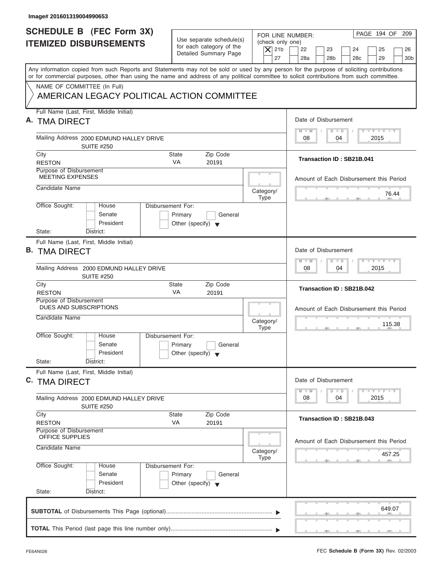| Image# 201601319004990653                                                                                                                                                                                                                                                               |                                                                               |                                                                  |                                                                                                            |
|-----------------------------------------------------------------------------------------------------------------------------------------------------------------------------------------------------------------------------------------------------------------------------------------|-------------------------------------------------------------------------------|------------------------------------------------------------------|------------------------------------------------------------------------------------------------------------|
| <b>SCHEDULE B</b> (FEC Form 3X)<br><b>ITEMIZED DISBURSEMENTS</b>                                                                                                                                                                                                                        | Use separate schedule(s)<br>for each category of the<br>Detailed Summary Page | FOR LINE NUMBER:<br>(check only one)<br>$\overline{X}$ 21b<br>27 | PAGE 194 OF<br>209<br>22<br>23<br>24<br>25<br>26<br>28a<br>28 <sub>b</sub><br>28c<br>29<br>30 <sub>b</sub> |
| Any information copied from such Reports and Statements may not be sold or used by any person for the purpose of soliciting contributions<br>or for commercial purposes, other than using the name and address of any political committee to solicit contributions from such committee. |                                                                               |                                                                  |                                                                                                            |
| NAME OF COMMITTEE (In Full)<br>AMERICAN LEGACY POLITICAL ACTION COMMITTEE                                                                                                                                                                                                               |                                                                               |                                                                  |                                                                                                            |
| Full Name (Last, First, Middle Initial)<br>A. TMA DIRECT                                                                                                                                                                                                                                |                                                                               |                                                                  | Date of Disbursement                                                                                       |
| Mailing Address 2000 EDMUND HALLEY DRIVE<br><b>SUITE #250</b>                                                                                                                                                                                                                           |                                                                               |                                                                  | $L - Y = L - Y = L - Y$<br>$M - M$<br>$D$ $D$<br>08<br>04<br>2015                                          |
| City<br><b>RESTON</b>                                                                                                                                                                                                                                                                   | Zip Code<br>State<br><b>VA</b><br>20191                                       |                                                                  | Transaction ID: SB21B.041                                                                                  |
| Purpose of Disbursement<br><b>MEETING EXPENSES</b>                                                                                                                                                                                                                                      |                                                                               |                                                                  | Amount of Each Disbursement this Period                                                                    |
| Candidate Name                                                                                                                                                                                                                                                                          |                                                                               | Category/<br><b>Type</b>                                         | 76.44                                                                                                      |
| Office Sought:<br>Disbursement For:<br>House<br>Senate<br>President<br>State:<br>District:                                                                                                                                                                                              | Primary<br>General<br>Other (specify) $\blacktriangledown$                    |                                                                  |                                                                                                            |
| Full Name (Last, First, Middle Initial)<br><b>B. TMA DIRECT</b>                                                                                                                                                                                                                         |                                                                               |                                                                  | Date of Disbursement                                                                                       |
| Mailing Address 2000 EDMUND HALLEY DRIVE<br><b>SUITE #250</b>                                                                                                                                                                                                                           |                                                                               |                                                                  | <b>LY LY LY</b><br>$M - M$<br>$D$ $D$<br>04<br>2015<br>08                                                  |
| City<br><b>RESTON</b>                                                                                                                                                                                                                                                                   | Zip Code<br>State<br>VA<br>20191                                              |                                                                  | Transaction ID: SB21B.042                                                                                  |
| Purpose of Disbursement<br>DUES AND SUBSCRIPTIONS<br>Candidate Name                                                                                                                                                                                                                     |                                                                               |                                                                  | Amount of Each Disbursement this Period                                                                    |
|                                                                                                                                                                                                                                                                                         |                                                                               | Category/<br><b>Type</b>                                         | 115.38<br>$-7$                                                                                             |
| Office Sought:<br>House<br>Disbursement For:<br>Senate<br>President                                                                                                                                                                                                                     | Primary<br>General<br>Other (specify) $\blacktriangledown$                    |                                                                  |                                                                                                            |
| State:<br>District:<br>Full Name (Last, First, Middle Initial)                                                                                                                                                                                                                          |                                                                               |                                                                  |                                                                                                            |
| C. TMA DIRECT                                                                                                                                                                                                                                                                           |                                                                               |                                                                  | Date of Disbursement<br>$T - Y$ $T - Y$<br>$M - M$<br>$\overline{D}$<br>$\Box$                             |
| Mailing Address 2000 EDMUND HALLEY DRIVE<br><b>SUITE #250</b>                                                                                                                                                                                                                           |                                                                               |                                                                  | 2015<br>08<br>04                                                                                           |
| City<br><b>RESTON</b>                                                                                                                                                                                                                                                                   | Zip Code<br>State<br>VA<br>20191                                              |                                                                  | Transaction ID: SB21B.043                                                                                  |
| Purpose of Disbursement<br><b>OFFICE SUPPLIES</b><br>Candidate Name                                                                                                                                                                                                                     |                                                                               |                                                                  | Amount of Each Disbursement this Period                                                                    |
|                                                                                                                                                                                                                                                                                         |                                                                               | Category/<br><b>Type</b>                                         | 457.25                                                                                                     |
| Office Sought:<br>Disbursement For:<br>House<br>Senate<br>President                                                                                                                                                                                                                     | Primary<br>General<br>Other (specify) $\blacktriangledown$                    |                                                                  |                                                                                                            |
| State:<br>District:                                                                                                                                                                                                                                                                     |                                                                               |                                                                  |                                                                                                            |
|                                                                                                                                                                                                                                                                                         |                                                                               |                                                                  | 649.07                                                                                                     |
|                                                                                                                                                                                                                                                                                         |                                                                               |                                                                  |                                                                                                            |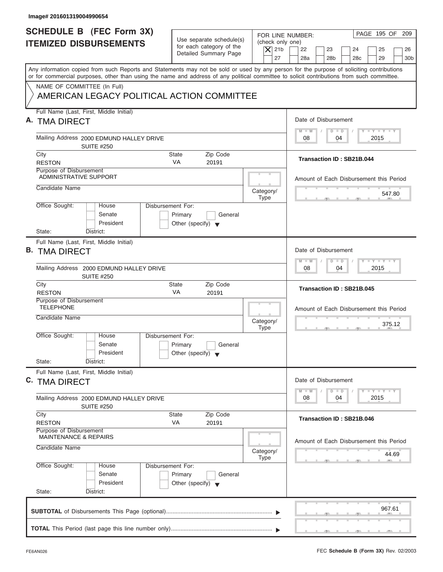| Image# 201601319004990654                                                                                                                                                                                                                                                               |                                                                               |                                                                  |                                                                                                         |
|-----------------------------------------------------------------------------------------------------------------------------------------------------------------------------------------------------------------------------------------------------------------------------------------|-------------------------------------------------------------------------------|------------------------------------------------------------------|---------------------------------------------------------------------------------------------------------|
| <b>SCHEDULE B (FEC Form 3X)</b><br><b>ITEMIZED DISBURSEMENTS</b>                                                                                                                                                                                                                        | Use separate schedule(s)<br>for each category of the<br>Detailed Summary Page | FOR LINE NUMBER:<br>(check only one)<br>$\vert$ $\chi$ 21b<br>27 | PAGE 195 OF 209<br>22<br>23<br>24<br>25<br>26<br>28a<br>28 <sub>b</sub><br>28c<br>29<br>30 <sub>b</sub> |
| Any information copied from such Reports and Statements may not be sold or used by any person for the purpose of soliciting contributions<br>or for commercial purposes, other than using the name and address of any political committee to solicit contributions from such committee. |                                                                               |                                                                  |                                                                                                         |
| NAME OF COMMITTEE (In Full)<br>AMERICAN LEGACY POLITICAL ACTION COMMITTEE                                                                                                                                                                                                               |                                                                               |                                                                  |                                                                                                         |
| Full Name (Last, First, Middle Initial)<br>A. TMA DIRECT                                                                                                                                                                                                                                |                                                                               |                                                                  | Date of Disbursement                                                                                    |
| Mailing Address 2000 EDMUND HALLEY DRIVE<br><b>SUITE #250</b>                                                                                                                                                                                                                           |                                                                               |                                                                  | $T - Y = T - Y = T - Y$<br>$D$ $D$<br>$M - M$<br>04<br>2015<br>08                                       |
| City<br><b>RESTON</b>                                                                                                                                                                                                                                                                   | Zip Code<br>State<br><b>VA</b><br>20191                                       |                                                                  | Transaction ID: SB21B.044                                                                               |
| Purpose of Disbursement<br><b>ADMINISTRATIVE SUPPORT</b>                                                                                                                                                                                                                                |                                                                               |                                                                  | Amount of Each Disbursement this Period                                                                 |
| Candidate Name                                                                                                                                                                                                                                                                          |                                                                               | Category/<br><b>Type</b>                                         | 547.80                                                                                                  |
| Office Sought:<br>Disbursement For:<br>House<br>Senate<br>President<br>State:<br>District:                                                                                                                                                                                              | Primary<br>General<br>Other (specify) $\blacktriangledown$                    |                                                                  |                                                                                                         |
| Full Name (Last, First, Middle Initial)<br><b>B. TMA DIRECT</b>                                                                                                                                                                                                                         |                                                                               |                                                                  | Date of Disbursement                                                                                    |
| Mailing Address 2000 EDMUND HALLEY DRIVE<br><b>SUITE #250</b>                                                                                                                                                                                                                           |                                                                               |                                                                  | $-1 - Y - 1 - Y - 1 - Y$<br>$M - M$<br>$D$ $D$<br>04<br>2015<br>08                                      |
| City<br><b>RESTON</b>                                                                                                                                                                                                                                                                   | Zip Code<br><b>State</b><br>VA<br>20191                                       |                                                                  | Transaction ID: SB21B.045                                                                               |
| Purpose of Disbursement<br><b>TELEPHONE</b><br>Candidate Name                                                                                                                                                                                                                           |                                                                               | Category/<br><b>Type</b>                                         | Amount of Each Disbursement this Period<br>375.12<br>. .                                                |
| Office Sought:<br>House<br>Disbursement For:<br>Senate<br>President<br>State:<br>District:                                                                                                                                                                                              | Primary<br>General<br>Other (specify) $\blacktriangledown$                    |                                                                  |                                                                                                         |
| Full Name (Last, First, Middle Initial)<br>C. TMA DIRECT                                                                                                                                                                                                                                |                                                                               |                                                                  | Date of Disbursement<br>$T - Y$ $T - Y$<br>$M - M$<br>$\overline{D}$<br>$\Box$                          |
| Mailing Address 2000 EDMUND HALLEY DRIVE<br><b>SUITE #250</b>                                                                                                                                                                                                                           |                                                                               |                                                                  | 2015<br>08<br>04                                                                                        |
| City<br><b>RESTON</b>                                                                                                                                                                                                                                                                   | Zip Code<br><b>State</b><br>VA<br>20191                                       |                                                                  | Transaction ID: SB21B.046                                                                               |
| Purpose of Disbursement<br><b>MAINTENANCE &amp; REPAIRS</b><br>Candidate Name                                                                                                                                                                                                           |                                                                               | Category/                                                        | Amount of Each Disbursement this Period<br>44.69                                                        |
| Office Sought:<br>Disbursement For:<br>House<br>Senate<br>President<br>State:<br>District:                                                                                                                                                                                              | Primary<br>General<br>Other (specify) $\blacktriangledown$                    | <b>Type</b>                                                      |                                                                                                         |
|                                                                                                                                                                                                                                                                                         |                                                                               |                                                                  | 967.61                                                                                                  |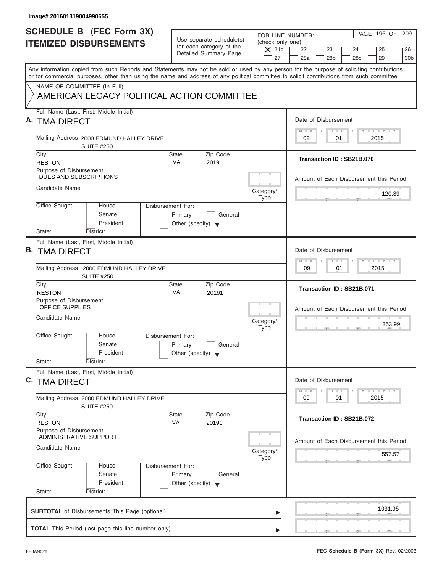| Image# 201601319004990655                                                                                                                                                                                                                                                               |                                                            |                                                                                                             |
|-----------------------------------------------------------------------------------------------------------------------------------------------------------------------------------------------------------------------------------------------------------------------------------------|------------------------------------------------------------|-------------------------------------------------------------------------------------------------------------|
| <b>SCHEDULE B (FEC Form 3X)</b><br><b>ITEMIZED DISBURSEMENTS</b>                                                                                                                                                                                                                        | Use separate schedule(s)<br>for each category of the       | PAGE 196 OF 209<br>FOR LINE NUMBER:<br>(check only one)<br>$\vert$ $\chi$ 21b<br>22<br>23<br>24<br>25<br>26 |
|                                                                                                                                                                                                                                                                                         | Detailed Summary Page                                      | 27<br>28a<br>28 <sub>b</sub><br>28c<br>29<br>30 <sub>b</sub>                                                |
| Any information copied from such Reports and Statements may not be sold or used by any person for the purpose of soliciting contributions<br>or for commercial purposes, other than using the name and address of any political committee to solicit contributions from such committee. |                                                            |                                                                                                             |
| NAME OF COMMITTEE (In Full)<br>AMERICAN LEGACY POLITICAL ACTION COMMITTEE                                                                                                                                                                                                               |                                                            |                                                                                                             |
|                                                                                                                                                                                                                                                                                         |                                                            |                                                                                                             |
| Full Name (Last, First, Middle Initial)<br>A. TMA DIRECT                                                                                                                                                                                                                                |                                                            | Date of Disbursement                                                                                        |
| Mailing Address 2000 EDMUND HALLEY DRIVE<br><b>SUITE #250</b>                                                                                                                                                                                                                           |                                                            | $T - Y = T - Y = T - Y$<br>$M - M$<br>$D$ $D$<br>09<br>01<br>2015                                           |
| City<br><b>RESTON</b>                                                                                                                                                                                                                                                                   | Zip Code<br>State<br><b>VA</b><br>20191                    | Transaction ID: SB21B.070                                                                                   |
| Purpose of Disbursement<br>DUES AND SUBSCRIPTIONS                                                                                                                                                                                                                                       |                                                            | Amount of Each Disbursement this Period                                                                     |
| Candidate Name                                                                                                                                                                                                                                                                          |                                                            | Category/<br>120.39<br><b>Type</b>                                                                          |
| Office Sought:<br>Disbursement For:<br>House<br>Senate<br>President                                                                                                                                                                                                                     | Primary<br>General<br>Other (specify) $\blacktriangledown$ |                                                                                                             |
| State:<br>District:                                                                                                                                                                                                                                                                     |                                                            |                                                                                                             |
| Full Name (Last, First, Middle Initial)<br><b>B. TMA DIRECT</b>                                                                                                                                                                                                                         |                                                            | Date of Disbursement                                                                                        |
| Mailing Address 2000 EDMUND HALLEY DRIVE<br><b>SUITE #250</b>                                                                                                                                                                                                                           |                                                            | $-1 - Y - 1 - Y - 1 - Y$<br>$M - M$<br>$\Box$<br>$\overline{D}$<br>2015<br>09<br>01                         |
| City<br><b>RESTON</b>                                                                                                                                                                                                                                                                   | Zip Code<br><b>State</b><br>VA<br>20191                    | Transaction ID: SB21B.071                                                                                   |
| Purpose of Disbursement<br>OFFICE SUPPLIES                                                                                                                                                                                                                                              |                                                            | Amount of Each Disbursement this Period                                                                     |
| Candidate Name                                                                                                                                                                                                                                                                          |                                                            | Category/<br>353.99<br><b>Type</b><br>__                                                                    |
| Office Sought:<br>House<br>Disbursement For:<br>Senate<br>President                                                                                                                                                                                                                     | Primary<br>General<br>Other (specify) $\blacktriangledown$ |                                                                                                             |
| State:<br>District:                                                                                                                                                                                                                                                                     |                                                            |                                                                                                             |
| Full Name (Last, First, Middle Initial)<br>C. TMA DIRECT                                                                                                                                                                                                                                |                                                            | Date of Disbursement                                                                                        |
| Mailing Address 2000 EDMUND HALLEY DRIVE<br><b>SUITE #250</b>                                                                                                                                                                                                                           |                                                            | $T - Y$ $T - Y$<br>$M - M$<br>$\overline{D}$<br>$\Box$<br>09<br>2015<br>01                                  |
| City<br><b>RESTON</b>                                                                                                                                                                                                                                                                   | Zip Code<br><b>State</b><br>VA<br>20191                    | Transaction ID: SB21B.072                                                                                   |
| Purpose of Disbursement<br>ADMINISTRATIVE SUPPORT                                                                                                                                                                                                                                       |                                                            | Amount of Each Disbursement this Period                                                                     |
| Candidate Name                                                                                                                                                                                                                                                                          |                                                            | Category/<br>557.57<br><b>Type</b>                                                                          |
| Office Sought:<br>Disbursement For:<br>House<br>Senate<br>President                                                                                                                                                                                                                     | Primary<br>General<br>Other (specify) $\blacktriangledown$ |                                                                                                             |
| State:<br>District:                                                                                                                                                                                                                                                                     |                                                            |                                                                                                             |
|                                                                                                                                                                                                                                                                                         |                                                            | 1031.95                                                                                                     |
|                                                                                                                                                                                                                                                                                         |                                                            |                                                                                                             |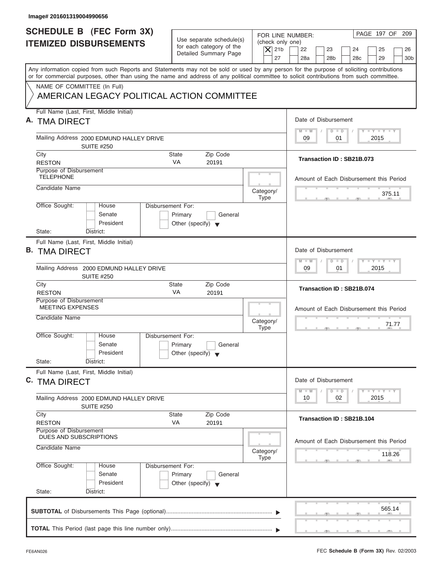| Image# 201601319004990656                                                                                                                                                                                                                                                               |                                                                               |                                                                  |                                                                                                         |
|-----------------------------------------------------------------------------------------------------------------------------------------------------------------------------------------------------------------------------------------------------------------------------------------|-------------------------------------------------------------------------------|------------------------------------------------------------------|---------------------------------------------------------------------------------------------------------|
| <b>SCHEDULE B (FEC Form 3X)</b><br><b>ITEMIZED DISBURSEMENTS</b>                                                                                                                                                                                                                        | Use separate schedule(s)<br>for each category of the<br>Detailed Summary Page | FOR LINE NUMBER:<br>(check only one)<br>$\vert$ $\chi$ 21b<br>27 | PAGE 197 OF 209<br>22<br>23<br>24<br>25<br>26<br>28a<br>28 <sub>b</sub><br>28c<br>29<br>30 <sub>b</sub> |
| Any information copied from such Reports and Statements may not be sold or used by any person for the purpose of soliciting contributions<br>or for commercial purposes, other than using the name and address of any political committee to solicit contributions from such committee. |                                                                               |                                                                  |                                                                                                         |
| NAME OF COMMITTEE (In Full)<br>AMERICAN LEGACY POLITICAL ACTION COMMITTEE                                                                                                                                                                                                               |                                                                               |                                                                  |                                                                                                         |
| Full Name (Last, First, Middle Initial)<br>A. TMA DIRECT                                                                                                                                                                                                                                |                                                                               |                                                                  | Date of Disbursement                                                                                    |
| Mailing Address 2000 EDMUND HALLEY DRIVE<br><b>SUITE #250</b>                                                                                                                                                                                                                           |                                                                               |                                                                  | $T - Y = T - Y = T - Y$<br>$M - M$<br>$D$ $D$<br>09<br>01<br>2015                                       |
| City<br><b>RESTON</b>                                                                                                                                                                                                                                                                   | Zip Code<br>State<br><b>VA</b><br>20191                                       |                                                                  | Transaction ID: SB21B.073                                                                               |
| Purpose of Disbursement<br><b>TELEPHONE</b>                                                                                                                                                                                                                                             |                                                                               |                                                                  | Amount of Each Disbursement this Period                                                                 |
| Candidate Name                                                                                                                                                                                                                                                                          |                                                                               | Category/<br><b>Type</b>                                         | 375.11                                                                                                  |
| Office Sought:<br><b>Disbursement For:</b><br>House<br>Senate<br>President<br>State:<br>District:                                                                                                                                                                                       | Primary<br>General<br>Other (specify) $\blacktriangledown$                    |                                                                  |                                                                                                         |
| Full Name (Last, First, Middle Initial)<br><b>B. TMA DIRECT</b>                                                                                                                                                                                                                         |                                                                               |                                                                  | Date of Disbursement                                                                                    |
| Mailing Address 2000 EDMUND HALLEY DRIVE<br><b>SUITE #250</b>                                                                                                                                                                                                                           |                                                                               |                                                                  | $-1 - Y - 1 - Y - 1 - Y$<br>$M - M$<br>$D$ $D$<br>2015<br>09<br>01                                      |
| City<br><b>RESTON</b>                                                                                                                                                                                                                                                                   | Zip Code<br><b>State</b><br>VA<br>20191                                       |                                                                  | Transaction ID: SB21B.074                                                                               |
| Purpose of Disbursement<br><b>MEETING EXPENSES</b><br>Candidate Name                                                                                                                                                                                                                    |                                                                               | Category/<br><b>Type</b>                                         | Amount of Each Disbursement this Period<br>71.77<br>$-7$                                                |
| Office Sought:<br>House<br>Disbursement For:<br>Senate<br>President<br>State:<br>District:                                                                                                                                                                                              | Primary<br>General<br>Other (specify) $\blacktriangledown$                    |                                                                  |                                                                                                         |
| Full Name (Last, First, Middle Initial)<br>C. TMA DIRECT                                                                                                                                                                                                                                |                                                                               |                                                                  | Date of Disbursement<br>$T - Y$ $T - Y$<br>$M - M$<br>$\overline{D}$<br>$\Box$                          |
| Mailing Address 2000 EDMUND HALLEY DRIVE<br><b>SUITE #250</b>                                                                                                                                                                                                                           |                                                                               |                                                                  | 2015<br>10<br>02                                                                                        |
| City<br><b>RESTON</b>                                                                                                                                                                                                                                                                   | Zip Code<br><b>State</b><br>VA<br>20191                                       |                                                                  | Transaction ID: SB21B.104                                                                               |
| Purpose of Disbursement<br>DUES AND SUBSCRIPTIONS<br>Candidate Name                                                                                                                                                                                                                     |                                                                               | Category/                                                        | Amount of Each Disbursement this Period<br>118.26                                                       |
| Office Sought:<br>Disbursement For:<br>House<br>Senate<br>President<br>State:<br>District:                                                                                                                                                                                              | Primary<br>General<br>Other (specify) $\blacktriangledown$                    | <b>Type</b>                                                      |                                                                                                         |
|                                                                                                                                                                                                                                                                                         |                                                                               |                                                                  | 565.14                                                                                                  |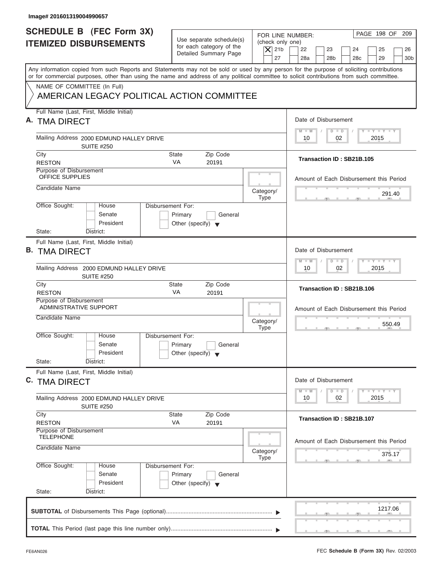| <b>SCHEDULE B</b> (FEC Form 3X)<br>FOR LINE NUMBER:<br>Use separate schedule(s)<br>(check only one)<br><b>ITEMIZED DISBURSEMENTS</b><br>for each category of the<br>$\overline{X}$ 21b<br>22<br>Detailed Summary Page<br>27<br>28a<br>Any information copied from such Reports and Statements may not be sold or used by any person for the purpose of soliciting contributions<br>or for commercial purposes, other than using the name and address of any political committee to solicit contributions from such committee.<br>NAME OF COMMITTEE (In Full)<br>AMERICAN LEGACY POLITICAL ACTION COMMITTEE<br>Full Name (Last, First, Middle Initial)<br>$M - M$<br>Mailing Address 2000 EDMUND HALLEY DRIVE<br>10<br><b>SUITE #250</b><br>City<br>Zip Code<br>State<br><b>VA</b><br><b>RESTON</b><br>20191<br>Purpose of Disbursement<br><b>OFFICE SUPPLIES</b><br>Candidate Name<br>Category/<br><b>Type</b><br>Office Sought:<br>Disbursement For:<br>House<br>Senate<br>Primary<br>General<br>President<br>Other (specify) $\blacktriangledown$<br>State:<br>District:<br>Full Name (Last, First, Middle Initial)<br>$M - M$<br>Mailing Address 2000 EDMUND HALLEY DRIVE<br>10<br><b>SUITE #250</b><br>Zip Code<br>City<br>State<br>VA<br><b>RESTON</b><br>20191<br>Purpose of Disbursement<br>ADMINISTRATIVE SUPPORT<br>Candidate Name<br>Category/<br><b>Type</b><br>Office Sought:<br>House<br>Disbursement For:<br>Senate<br>Primary<br>General<br>President<br>Other (specify) $\blacktriangledown$<br>State:<br>District:<br>Full Name (Last, First, Middle Initial)<br>$M - M$<br>10<br>Mailing Address 2000 EDMUND HALLEY DRIVE<br><b>SUITE #250</b><br>Zip Code<br>City<br>State<br><b>RESTON</b><br>VA<br>20191<br>Purpose of Disbursement<br><b>TELEPHONE</b><br>Candidate Name |                                                                                               |
|------------------------------------------------------------------------------------------------------------------------------------------------------------------------------------------------------------------------------------------------------------------------------------------------------------------------------------------------------------------------------------------------------------------------------------------------------------------------------------------------------------------------------------------------------------------------------------------------------------------------------------------------------------------------------------------------------------------------------------------------------------------------------------------------------------------------------------------------------------------------------------------------------------------------------------------------------------------------------------------------------------------------------------------------------------------------------------------------------------------------------------------------------------------------------------------------------------------------------------------------------------------------------------------------------------------------------------------------------------------------------------------------------------------------------------------------------------------------------------------------------------------------------------------------------------------------------------------------------------------------------------------------------------------------------------------------------------------------------------------------------------------------------------------------|-----------------------------------------------------------------------------------------------|
| A. TMA DIRECT<br><b>B. TMA DIRECT</b><br>C. TMA DIRECT                                                                                                                                                                                                                                                                                                                                                                                                                                                                                                                                                                                                                                                                                                                                                                                                                                                                                                                                                                                                                                                                                                                                                                                                                                                                                                                                                                                                                                                                                                                                                                                                                                                                                                                                         | PAGE 198 OF<br>209<br>23<br>24<br>25<br>26<br>28 <sub>b</sub><br>28c<br>29<br>30 <sub>b</sub> |
|                                                                                                                                                                                                                                                                                                                                                                                                                                                                                                                                                                                                                                                                                                                                                                                                                                                                                                                                                                                                                                                                                                                                                                                                                                                                                                                                                                                                                                                                                                                                                                                                                                                                                                                                                                                                |                                                                                               |
|                                                                                                                                                                                                                                                                                                                                                                                                                                                                                                                                                                                                                                                                                                                                                                                                                                                                                                                                                                                                                                                                                                                                                                                                                                                                                                                                                                                                                                                                                                                                                                                                                                                                                                                                                                                                |                                                                                               |
|                                                                                                                                                                                                                                                                                                                                                                                                                                                                                                                                                                                                                                                                                                                                                                                                                                                                                                                                                                                                                                                                                                                                                                                                                                                                                                                                                                                                                                                                                                                                                                                                                                                                                                                                                                                                | Date of Disbursement                                                                          |
|                                                                                                                                                                                                                                                                                                                                                                                                                                                                                                                                                                                                                                                                                                                                                                                                                                                                                                                                                                                                                                                                                                                                                                                                                                                                                                                                                                                                                                                                                                                                                                                                                                                                                                                                                                                                | $\mathbf{I} \mathbf{Y} \mathbf{I} \mathbf{Y}$<br>$D$ $D$<br>02<br>2015                        |
|                                                                                                                                                                                                                                                                                                                                                                                                                                                                                                                                                                                                                                                                                                                                                                                                                                                                                                                                                                                                                                                                                                                                                                                                                                                                                                                                                                                                                                                                                                                                                                                                                                                                                                                                                                                                | Transaction ID: SB21B.105                                                                     |
|                                                                                                                                                                                                                                                                                                                                                                                                                                                                                                                                                                                                                                                                                                                                                                                                                                                                                                                                                                                                                                                                                                                                                                                                                                                                                                                                                                                                                                                                                                                                                                                                                                                                                                                                                                                                | Amount of Each Disbursement this Period                                                       |
|                                                                                                                                                                                                                                                                                                                                                                                                                                                                                                                                                                                                                                                                                                                                                                                                                                                                                                                                                                                                                                                                                                                                                                                                                                                                                                                                                                                                                                                                                                                                                                                                                                                                                                                                                                                                | 291.40                                                                                        |
|                                                                                                                                                                                                                                                                                                                                                                                                                                                                                                                                                                                                                                                                                                                                                                                                                                                                                                                                                                                                                                                                                                                                                                                                                                                                                                                                                                                                                                                                                                                                                                                                                                                                                                                                                                                                |                                                                                               |
|                                                                                                                                                                                                                                                                                                                                                                                                                                                                                                                                                                                                                                                                                                                                                                                                                                                                                                                                                                                                                                                                                                                                                                                                                                                                                                                                                                                                                                                                                                                                                                                                                                                                                                                                                                                                | Date of Disbursement                                                                          |
|                                                                                                                                                                                                                                                                                                                                                                                                                                                                                                                                                                                                                                                                                                                                                                                                                                                                                                                                                                                                                                                                                                                                                                                                                                                                                                                                                                                                                                                                                                                                                                                                                                                                                                                                                                                                | <b>LY LY LY</b><br>$D$ $D$<br>02<br>2015                                                      |
|                                                                                                                                                                                                                                                                                                                                                                                                                                                                                                                                                                                                                                                                                                                                                                                                                                                                                                                                                                                                                                                                                                                                                                                                                                                                                                                                                                                                                                                                                                                                                                                                                                                                                                                                                                                                | Transaction ID: SB21B.106                                                                     |
|                                                                                                                                                                                                                                                                                                                                                                                                                                                                                                                                                                                                                                                                                                                                                                                                                                                                                                                                                                                                                                                                                                                                                                                                                                                                                                                                                                                                                                                                                                                                                                                                                                                                                                                                                                                                | Amount of Each Disbursement this Period                                                       |
|                                                                                                                                                                                                                                                                                                                                                                                                                                                                                                                                                                                                                                                                                                                                                                                                                                                                                                                                                                                                                                                                                                                                                                                                                                                                                                                                                                                                                                                                                                                                                                                                                                                                                                                                                                                                | 550.49<br>$\sim$                                                                              |
|                                                                                                                                                                                                                                                                                                                                                                                                                                                                                                                                                                                                                                                                                                                                                                                                                                                                                                                                                                                                                                                                                                                                                                                                                                                                                                                                                                                                                                                                                                                                                                                                                                                                                                                                                                                                | Date of Disbursement                                                                          |
|                                                                                                                                                                                                                                                                                                                                                                                                                                                                                                                                                                                                                                                                                                                                                                                                                                                                                                                                                                                                                                                                                                                                                                                                                                                                                                                                                                                                                                                                                                                                                                                                                                                                                                                                                                                                | $T - Y$ $T - Y$<br>$\overline{D}$<br>$\Box$<br>02<br>2015                                     |
|                                                                                                                                                                                                                                                                                                                                                                                                                                                                                                                                                                                                                                                                                                                                                                                                                                                                                                                                                                                                                                                                                                                                                                                                                                                                                                                                                                                                                                                                                                                                                                                                                                                                                                                                                                                                | Transaction ID: SB21B.107                                                                     |
| Category/                                                                                                                                                                                                                                                                                                                                                                                                                                                                                                                                                                                                                                                                                                                                                                                                                                                                                                                                                                                                                                                                                                                                                                                                                                                                                                                                                                                                                                                                                                                                                                                                                                                                                                                                                                                      | Amount of Each Disbursement this Period<br>375.17                                             |
| <b>Type</b><br>Office Sought:<br>Disbursement For:<br>House<br>Senate<br>Primary<br>General<br>President<br>Other (specify) $\blacktriangledown$<br>State:<br>District:                                                                                                                                                                                                                                                                                                                                                                                                                                                                                                                                                                                                                                                                                                                                                                                                                                                                                                                                                                                                                                                                                                                                                                                                                                                                                                                                                                                                                                                                                                                                                                                                                        |                                                                                               |
|                                                                                                                                                                                                                                                                                                                                                                                                                                                                                                                                                                                                                                                                                                                                                                                                                                                                                                                                                                                                                                                                                                                                                                                                                                                                                                                                                                                                                                                                                                                                                                                                                                                                                                                                                                                                | 1217.06                                                                                       |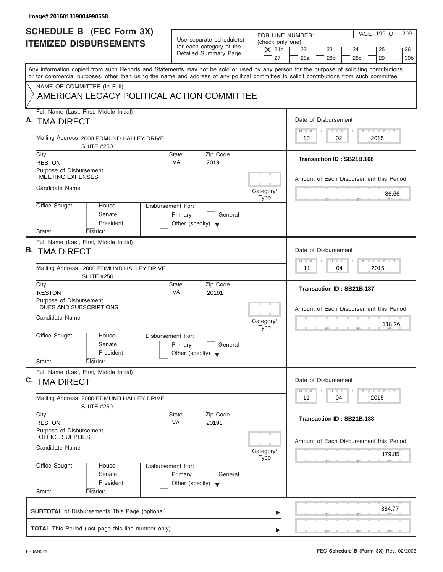| Image# 201601319004990658                                                                                                                                                                                                                                                               |                                                                                 |                                              |                                                                                                                                         |
|-----------------------------------------------------------------------------------------------------------------------------------------------------------------------------------------------------------------------------------------------------------------------------------------|---------------------------------------------------------------------------------|----------------------------------------------|-----------------------------------------------------------------------------------------------------------------------------------------|
| <b>SCHEDULE B</b> (FEC Form 3X)<br><b>ITEMIZED DISBURSEMENTS</b>                                                                                                                                                                                                                        | Use separate schedule(s)<br>for each category of the<br>Detailed Summary Page   | (check only one)<br>$\overline{X}$ 21b<br>27 | PAGE 199 OF 209<br>FOR LINE NUMBER:<br>22<br>23<br>24<br>25<br>26<br>28a<br>28 <sub>b</sub><br>29<br>30 <sub>b</sub><br>28 <sub>c</sub> |
| Any information copied from such Reports and Statements may not be sold or used by any person for the purpose of soliciting contributions<br>or for commercial purposes, other than using the name and address of any political committee to solicit contributions from such committee. |                                                                                 |                                              |                                                                                                                                         |
| NAME OF COMMITTEE (In Full)<br>AMERICAN LEGACY POLITICAL ACTION COMMITTEE                                                                                                                                                                                                               |                                                                                 |                                              |                                                                                                                                         |
| Full Name (Last, First, Middle Initial)<br>A. TMA DIRECT                                                                                                                                                                                                                                |                                                                                 |                                              | Date of Disbursement                                                                                                                    |
| Mailing Address 2000 EDMUND HALLEY DRIVE<br><b>SUITE #250</b>                                                                                                                                                                                                                           |                                                                                 |                                              | $T - Y = T - Y = T - Y$<br>$M - M$<br>$D$ $D$<br>02<br>2015<br>10                                                                       |
| City<br><b>RESTON</b>                                                                                                                                                                                                                                                                   | Zip Code<br>State<br><b>VA</b><br>20191                                         |                                              | Transaction ID: SB21B.108                                                                                                               |
| Purpose of Disbursement<br><b>MEETING EXPENSES</b>                                                                                                                                                                                                                                      |                                                                                 |                                              | Amount of Each Disbursement this Period                                                                                                 |
| Candidate Name                                                                                                                                                                                                                                                                          |                                                                                 | Category/<br><b>Type</b>                     | 86.66                                                                                                                                   |
| Office Sought:<br>House<br>Senate<br>President<br>State:<br>District:                                                                                                                                                                                                                   | Disbursement For:<br>Primary<br>General<br>Other (specify) $\blacktriangledown$ |                                              |                                                                                                                                         |
| Full Name (Last, First, Middle Initial)<br><b>B. TMA DIRECT</b>                                                                                                                                                                                                                         |                                                                                 |                                              | Date of Disbursement<br><b>LEYTEY LEY</b><br>$M - M$<br>$D$ $D$                                                                         |
| Mailing Address 2000 EDMUND HALLEY DRIVE<br><b>SUITE #250</b>                                                                                                                                                                                                                           |                                                                                 |                                              | 2015<br>11<br>04                                                                                                                        |
| City<br><b>RESTON</b>                                                                                                                                                                                                                                                                   | Zip Code<br><b>State</b><br>VA<br>20191                                         |                                              | Transaction ID: SB21B.137                                                                                                               |
| Purpose of Disbursement<br>DUES AND SUBSCRIPTIONS<br>Candidate Name                                                                                                                                                                                                                     |                                                                                 | Category/<br><b>Type</b>                     | Amount of Each Disbursement this Period<br>118.26<br>__                                                                                 |
| Office Sought:<br>House<br>Senate<br>President<br>State:<br>District:                                                                                                                                                                                                                   | Disbursement For:<br>Primary<br>General<br>Other (specify) $\blacktriangledown$ |                                              |                                                                                                                                         |
| Full Name (Last, First, Middle Initial)<br>C. TMA DIRECT                                                                                                                                                                                                                                |                                                                                 |                                              | Date of Disbursement<br>$T - Y$ $T - Y$<br>$M - M$<br>$\overline{D}$<br>$\Box$                                                          |
| Mailing Address 2000 EDMUND HALLEY DRIVE<br><b>SUITE #250</b>                                                                                                                                                                                                                           |                                                                                 |                                              | 2015<br>11<br>04                                                                                                                        |
| City<br><b>RESTON</b>                                                                                                                                                                                                                                                                   | Zip Code<br><b>State</b><br>VA<br>20191                                         |                                              | Transaction ID: SB21B.138                                                                                                               |
| Purpose of Disbursement<br>OFFICE SUPPLIES<br>Candidate Name                                                                                                                                                                                                                            |                                                                                 |                                              | Amount of Each Disbursement this Period                                                                                                 |
|                                                                                                                                                                                                                                                                                         |                                                                                 | Category/<br>Type                            | 179.85                                                                                                                                  |
| Office Sought:<br>House<br>Senate<br>President<br>State:<br>District:                                                                                                                                                                                                                   | Disbursement For:<br>Primary<br>General<br>Other (specify) $\blacktriangledown$ |                                              |                                                                                                                                         |
|                                                                                                                                                                                                                                                                                         |                                                                                 |                                              | 384.77                                                                                                                                  |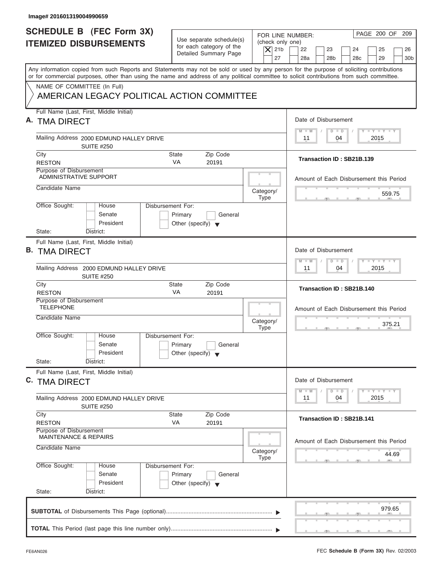| Image# 201601319004990659                                                                                                                                                                                                                                                               |                                                                               |                                                                  |                                                                                                         |
|-----------------------------------------------------------------------------------------------------------------------------------------------------------------------------------------------------------------------------------------------------------------------------------------|-------------------------------------------------------------------------------|------------------------------------------------------------------|---------------------------------------------------------------------------------------------------------|
| <b>SCHEDULE B (FEC Form 3X)</b><br><b>ITEMIZED DISBURSEMENTS</b>                                                                                                                                                                                                                        | Use separate schedule(s)<br>for each category of the<br>Detailed Summary Page | FOR LINE NUMBER:<br>(check only one)<br>$\vert$ $\chi$ 21b<br>27 | PAGE 200 OF 209<br>22<br>23<br>24<br>25<br>26<br>28a<br>28 <sub>b</sub><br>28c<br>29<br>30 <sub>b</sub> |
| Any information copied from such Reports and Statements may not be sold or used by any person for the purpose of soliciting contributions<br>or for commercial purposes, other than using the name and address of any political committee to solicit contributions from such committee. |                                                                               |                                                                  |                                                                                                         |
| NAME OF COMMITTEE (In Full)<br>AMERICAN LEGACY POLITICAL ACTION COMMITTEE                                                                                                                                                                                                               |                                                                               |                                                                  |                                                                                                         |
| Full Name (Last, First, Middle Initial)<br>A. TMA DIRECT                                                                                                                                                                                                                                |                                                                               |                                                                  | Date of Disbursement                                                                                    |
| Mailing Address 2000 EDMUND HALLEY DRIVE<br><b>SUITE #250</b>                                                                                                                                                                                                                           |                                                                               |                                                                  | $T - Y = T - Y = T - Y$<br>$D$ $D$<br>$M - M$<br>04<br>2015<br>11                                       |
| City<br><b>RESTON</b>                                                                                                                                                                                                                                                                   | Zip Code<br>State<br><b>VA</b><br>20191                                       |                                                                  | Transaction ID: SB21B.139                                                                               |
| Purpose of Disbursement<br><b>ADMINISTRATIVE SUPPORT</b>                                                                                                                                                                                                                                |                                                                               |                                                                  | Amount of Each Disbursement this Period                                                                 |
| Candidate Name                                                                                                                                                                                                                                                                          |                                                                               | Category/<br><b>Type</b>                                         | 559.75                                                                                                  |
| Office Sought:<br>Disbursement For:<br>House<br>Senate<br>President<br>State:<br>District:                                                                                                                                                                                              | Primary<br>General<br>Other (specify) $\blacktriangledown$                    |                                                                  |                                                                                                         |
| Full Name (Last, First, Middle Initial)<br><b>B. TMA DIRECT</b>                                                                                                                                                                                                                         |                                                                               |                                                                  | Date of Disbursement<br>$-1 - Y - 1 - Y - 1 - Y$                                                        |
| Mailing Address 2000 EDMUND HALLEY DRIVE<br><b>SUITE #250</b>                                                                                                                                                                                                                           |                                                                               |                                                                  | $D$ $D$<br>$M - M$<br>04<br>2015<br>11                                                                  |
| City<br><b>RESTON</b>                                                                                                                                                                                                                                                                   | Zip Code<br><b>State</b><br>VA<br>20191                                       |                                                                  | Transaction ID: SB21B.140                                                                               |
| Purpose of Disbursement<br><b>TELEPHONE</b><br>Candidate Name                                                                                                                                                                                                                           |                                                                               | Category/<br><b>Type</b>                                         | Amount of Each Disbursement this Period<br>375.21<br>. .                                                |
| Office Sought:<br>House<br>Disbursement For:<br>Senate<br>President<br>State:<br>District:                                                                                                                                                                                              | Primary<br>General<br>Other (specify) $\blacktriangledown$                    |                                                                  |                                                                                                         |
| Full Name (Last, First, Middle Initial)<br>C. TMA DIRECT                                                                                                                                                                                                                                |                                                                               |                                                                  | Date of Disbursement<br>$T - Y$ $T - Y$<br>$M - M$<br>$\overline{D}$<br>$\Box$                          |
| Mailing Address 2000 EDMUND HALLEY DRIVE<br><b>SUITE #250</b>                                                                                                                                                                                                                           |                                                                               |                                                                  | 2015<br>11<br>04                                                                                        |
| City<br><b>RESTON</b>                                                                                                                                                                                                                                                                   | Zip Code<br><b>State</b><br>VA<br>20191                                       |                                                                  | Transaction ID: SB21B.141                                                                               |
| Purpose of Disbursement<br><b>MAINTENANCE &amp; REPAIRS</b><br>Candidate Name                                                                                                                                                                                                           |                                                                               | Category/                                                        | Amount of Each Disbursement this Period<br>44.69                                                        |
| Office Sought:<br>Disbursement For:<br>House<br>Senate<br>President<br>State:<br>District:                                                                                                                                                                                              | Primary<br>General<br>Other (specify) $\blacktriangledown$                    | <b>Type</b>                                                      |                                                                                                         |
|                                                                                                                                                                                                                                                                                         |                                                                               |                                                                  | 979.65                                                                                                  |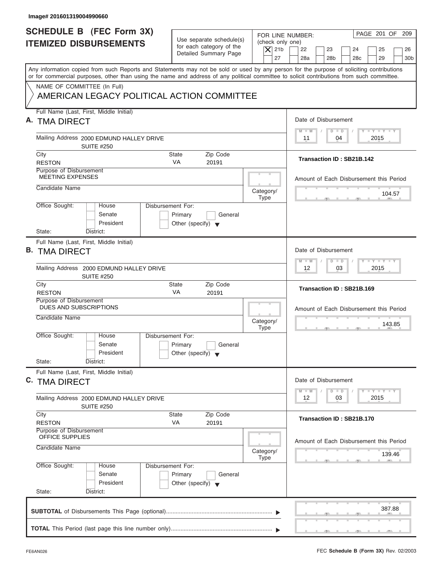| Image# 201601319004990660                                                                                                                                                                                                                                                               |                                                                               |                                                                  |                                                                                                                     |
|-----------------------------------------------------------------------------------------------------------------------------------------------------------------------------------------------------------------------------------------------------------------------------------------|-------------------------------------------------------------------------------|------------------------------------------------------------------|---------------------------------------------------------------------------------------------------------------------|
| <b>SCHEDULE B</b> (FEC Form 3X)<br><b>ITEMIZED DISBURSEMENTS</b>                                                                                                                                                                                                                        | Use separate schedule(s)<br>for each category of the<br>Detailed Summary Page | FOR LINE NUMBER:<br>(check only one)<br>$\overline{X}$ 21b<br>27 | PAGE 201 OF 209<br>22<br>23<br>24<br>25<br>26<br>28a<br>28 <sub>b</sub><br>29<br>30 <sub>b</sub><br>28 <sub>c</sub> |
| Any information copied from such Reports and Statements may not be sold or used by any person for the purpose of soliciting contributions<br>or for commercial purposes, other than using the name and address of any political committee to solicit contributions from such committee. |                                                                               |                                                                  |                                                                                                                     |
| NAME OF COMMITTEE (In Full)<br>AMERICAN LEGACY POLITICAL ACTION COMMITTEE                                                                                                                                                                                                               |                                                                               |                                                                  |                                                                                                                     |
| Full Name (Last, First, Middle Initial)<br>A. TMA DIRECT                                                                                                                                                                                                                                |                                                                               |                                                                  | Date of Disbursement                                                                                                |
| Mailing Address 2000 EDMUND HALLEY DRIVE<br><b>SUITE #250</b>                                                                                                                                                                                                                           |                                                                               |                                                                  | $T - Y = T - Y = T - Y$<br>$D$ $D$<br>$M - M$<br>04<br>2015<br>11                                                   |
| City<br><b>RESTON</b><br>Purpose of Disbursement                                                                                                                                                                                                                                        | Zip Code<br>State<br><b>VA</b><br>20191                                       |                                                                  | Transaction ID: SB21B.142                                                                                           |
| <b>MEETING EXPENSES</b><br>Candidate Name                                                                                                                                                                                                                                               |                                                                               | Category/                                                        | Amount of Each Disbursement this Period                                                                             |
| Office Sought:<br>Disbursement For:<br>House<br>Senate                                                                                                                                                                                                                                  | Primary<br>General                                                            | <b>Type</b>                                                      | 104.57                                                                                                              |
| President<br>State:<br>District:                                                                                                                                                                                                                                                        | Other (specify) $\blacktriangledown$                                          |                                                                  |                                                                                                                     |
| Full Name (Last, First, Middle Initial)<br><b>B. TMA DIRECT</b>                                                                                                                                                                                                                         |                                                                               |                                                                  | Date of Disbursement                                                                                                |
| Mailing Address 2000 EDMUND HALLEY DRIVE<br><b>SUITE #250</b>                                                                                                                                                                                                                           |                                                                               |                                                                  | <b>LEYTEY LEY</b><br>$M - M$<br>$D$ $D$<br>2015<br>12<br>03                                                         |
| City<br><b>RESTON</b>                                                                                                                                                                                                                                                                   | Zip Code<br><b>State</b><br>VA<br>20191                                       |                                                                  | Transaction ID: SB21B.169                                                                                           |
| Purpose of Disbursement<br>DUES AND SUBSCRIPTIONS<br>Candidate Name                                                                                                                                                                                                                     |                                                                               | Category/<br><b>Type</b>                                         | Amount of Each Disbursement this Period<br>143.85<br>. .                                                            |
| Office Sought:<br>House<br>Disbursement For:<br>Senate<br>President<br>State:<br>District:                                                                                                                                                                                              | Primary<br>General<br>Other (specify) $\blacktriangledown$                    |                                                                  |                                                                                                                     |
| Full Name (Last, First, Middle Initial)<br>C. TMA DIRECT                                                                                                                                                                                                                                |                                                                               |                                                                  | Date of Disbursement                                                                                                |
| Mailing Address 2000 EDMUND HALLEY DRIVE<br><b>SUITE #250</b>                                                                                                                                                                                                                           |                                                                               |                                                                  | $T - Y$ $T - Y$ $T - Y$<br>$M - M$<br>$\overline{D}$<br>$\Box$<br>2015<br>12<br>03                                  |
| City<br><b>RESTON</b><br>Purpose of Disbursement                                                                                                                                                                                                                                        | Zip Code<br><b>State</b><br>VA<br>20191                                       |                                                                  | Transaction ID: SB21B.170                                                                                           |
| OFFICE SUPPLIES<br>Candidate Name                                                                                                                                                                                                                                                       |                                                                               | Category/<br>Type                                                | Amount of Each Disbursement this Period<br>139.46                                                                   |
| Office Sought:<br>Disbursement For:<br>House<br>Senate<br>President                                                                                                                                                                                                                     | Primary<br>General<br>Other (specify) $\blacktriangledown$                    |                                                                  |                                                                                                                     |
| State:<br>District:                                                                                                                                                                                                                                                                     |                                                                               |                                                                  | 387.88                                                                                                              |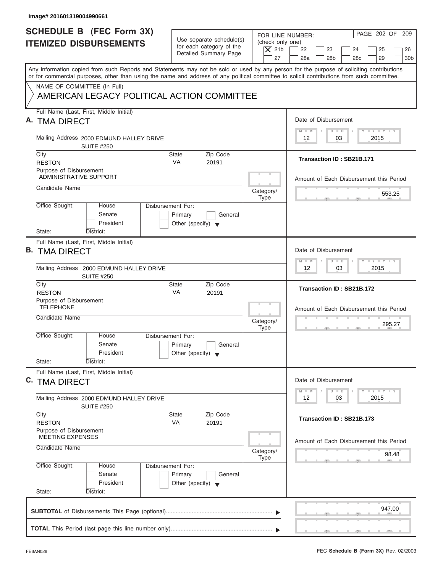| Image# 201601319004990661                                                                                                                                                                                                                                                               |                                                                               |                                                                                                                                                                                            |
|-----------------------------------------------------------------------------------------------------------------------------------------------------------------------------------------------------------------------------------------------------------------------------------------|-------------------------------------------------------------------------------|--------------------------------------------------------------------------------------------------------------------------------------------------------------------------------------------|
| <b>SCHEDULE B</b> (FEC Form 3X)<br><b>ITEMIZED DISBURSEMENTS</b>                                                                                                                                                                                                                        | Use separate schedule(s)<br>for each category of the<br>Detailed Summary Page | PAGE 202 OF<br>209<br>FOR LINE NUMBER:<br>(check only one)<br>$ \mathsf{X} $ 21b<br>22<br>23<br>24<br>25<br>26<br>29<br>27<br>28a<br>28 <sub>b</sub><br>28 <sub>c</sub><br>30 <sub>b</sub> |
| Any information copied from such Reports and Statements may not be sold or used by any person for the purpose of soliciting contributions<br>or for commercial purposes, other than using the name and address of any political committee to solicit contributions from such committee. |                                                                               |                                                                                                                                                                                            |
| NAME OF COMMITTEE (In Full)<br>AMERICAN LEGACY POLITICAL ACTION COMMITTEE                                                                                                                                                                                                               |                                                                               |                                                                                                                                                                                            |
| Full Name (Last, First, Middle Initial)<br>A. TMA DIRECT                                                                                                                                                                                                                                |                                                                               | Date of Disbursement                                                                                                                                                                       |
| Mailing Address 2000 EDMUND HALLEY DRIVE<br><b>SUITE #250</b>                                                                                                                                                                                                                           |                                                                               | $T - Y = T - Y = T - Y$<br>$M - M$<br>$D$ $D$<br>$12 \overline{ }$<br>03<br>2015                                                                                                           |
| City<br><b>RESTON</b>                                                                                                                                                                                                                                                                   | Zip Code<br>State<br><b>VA</b><br>20191                                       | Transaction ID: SB21B.171                                                                                                                                                                  |
| Purpose of Disbursement<br><b>ADMINISTRATIVE SUPPORT</b>                                                                                                                                                                                                                                |                                                                               | Amount of Each Disbursement this Period                                                                                                                                                    |
| Candidate Name                                                                                                                                                                                                                                                                          |                                                                               | Category/<br>553.25<br><b>Type</b>                                                                                                                                                         |
| Office Sought:<br>Disbursement For:<br>House<br>Senate<br>President<br>State:<br>District:                                                                                                                                                                                              | Primary<br>General<br>Other (specify) $\blacktriangledown$                    |                                                                                                                                                                                            |
| Full Name (Last, First, Middle Initial)<br><b>B. TMA DIRECT</b>                                                                                                                                                                                                                         |                                                                               | Date of Disbursement                                                                                                                                                                       |
| Mailing Address 2000 EDMUND HALLEY DRIVE<br><b>SUITE #250</b>                                                                                                                                                                                                                           |                                                                               | $\mathbf{I} = \mathbf{Y} - \mathbf{I} - \mathbf{Y} - \mathbf{I} - \mathbf{Y}$<br>$M - M$<br>$\Box$<br>$\overline{D}$<br>03<br>2015<br>12                                                   |
| City<br><b>RESTON</b>                                                                                                                                                                                                                                                                   | Zip Code<br><b>State</b><br>VA<br>20191                                       | Transaction ID: SB21B.172                                                                                                                                                                  |
| Purpose of Disbursement<br><b>TELEPHONE</b><br>Candidate Name                                                                                                                                                                                                                           |                                                                               | Amount of Each Disbursement this Period<br>Category/<br>295.27                                                                                                                             |
| Office Sought:<br>House<br>Disbursement For:<br>Senate<br>President<br>State:<br>District:                                                                                                                                                                                              | Primary<br>General<br>Other (specify) $\blacktriangledown$                    | <b>Type</b><br>$-7$                                                                                                                                                                        |
| Full Name (Last, First, Middle Initial)<br>C. TMA DIRECT                                                                                                                                                                                                                                |                                                                               | Date of Disbursement                                                                                                                                                                       |
| Mailing Address 2000 EDMUND HALLEY DRIVE<br><b>SUITE #250</b>                                                                                                                                                                                                                           |                                                                               | $T - Y$ $T - Y$<br>$M - M$<br>$\overline{D}$<br>$\Box$<br>2015<br>12<br>03                                                                                                                 |
| City<br><b>RESTON</b>                                                                                                                                                                                                                                                                   | Zip Code<br><b>State</b><br>VA<br>20191                                       | Transaction ID: SB21B.173                                                                                                                                                                  |
| Purpose of Disbursement<br><b>MEETING EXPENSES</b><br>Candidate Name                                                                                                                                                                                                                    |                                                                               | Amount of Each Disbursement this Period<br>Category/<br>98.48                                                                                                                              |
| Office Sought:<br>Disbursement For:<br>House<br>Senate<br>President<br>State:<br>District:                                                                                                                                                                                              | Primary<br>General<br>Other (specify) $\blacktriangledown$                    | <b>Type</b>                                                                                                                                                                                |
|                                                                                                                                                                                                                                                                                         |                                                                               | 947.00                                                                                                                                                                                     |
|                                                                                                                                                                                                                                                                                         |                                                                               |                                                                                                                                                                                            |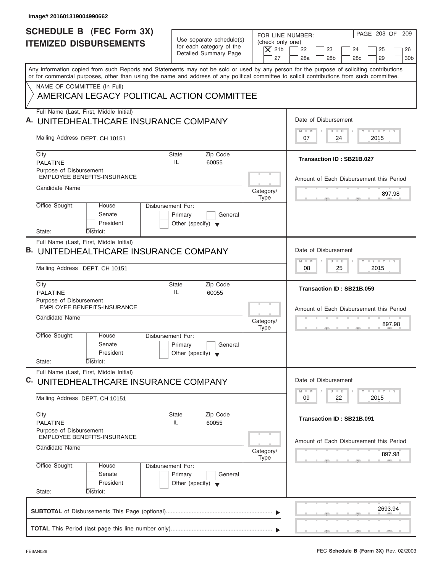| Image# 201601319004990662                                                                                                                                                                                                                                                               |                                                                               |                                                                                                                                                                                         |
|-----------------------------------------------------------------------------------------------------------------------------------------------------------------------------------------------------------------------------------------------------------------------------------------|-------------------------------------------------------------------------------|-----------------------------------------------------------------------------------------------------------------------------------------------------------------------------------------|
| <b>SCHEDULE B</b> (FEC Form 3X)<br><b>ITEMIZED DISBURSEMENTS</b>                                                                                                                                                                                                                        | Use separate schedule(s)<br>for each category of the<br>Detailed Summary Page | PAGE 203 OF 209<br>FOR LINE NUMBER:<br>(check only one)<br>$\overline{X}$ 21b<br>22<br>23<br>24<br>25<br>26<br>27<br>28a<br>28 <sub>b</sub><br>28 <sub>c</sub><br>29<br>30 <sub>b</sub> |
| Any information copied from such Reports and Statements may not be sold or used by any person for the purpose of soliciting contributions<br>or for commercial purposes, other than using the name and address of any political committee to solicit contributions from such committee. |                                                                               |                                                                                                                                                                                         |
| NAME OF COMMITTEE (In Full)<br>AMERICAN LEGACY POLITICAL ACTION COMMITTEE                                                                                                                                                                                                               |                                                                               |                                                                                                                                                                                         |
| Full Name (Last, First, Middle Initial)<br>A. UNITEDHEALTHCARE INSURANCE COMPANY                                                                                                                                                                                                        |                                                                               | Date of Disbursement                                                                                                                                                                    |
| Mailing Address DEPT. CH 10151                                                                                                                                                                                                                                                          |                                                                               | $T - Y = T - Y = T - Y$<br>$D$ $D$<br>$M - M$<br>07<br>2015<br>24                                                                                                                       |
| City<br><b>PALATINE</b>                                                                                                                                                                                                                                                                 | Zip Code<br><b>State</b><br>IL<br>60055                                       | Transaction ID: SB21B.027                                                                                                                                                               |
| Purpose of Disbursement<br><b>EMPLOYEE BENEFITS-INSURANCE</b>                                                                                                                                                                                                                           |                                                                               | Amount of Each Disbursement this Period                                                                                                                                                 |
| Candidate Name                                                                                                                                                                                                                                                                          | Category/<br><b>Type</b>                                                      | 897.98                                                                                                                                                                                  |
| Office Sought:<br>Disbursement For:<br>House<br>Senate<br>President<br>State:<br>District:                                                                                                                                                                                              | Primary<br>General<br>Other (specify) $\blacktriangledown$                    |                                                                                                                                                                                         |
| Full Name (Last, First, Middle Initial)<br><b>B. UNITEDHEALTHCARE INSURANCE COMPANY</b>                                                                                                                                                                                                 |                                                                               | Date of Disbursement                                                                                                                                                                    |
| Mailing Address DEPT. CH 10151                                                                                                                                                                                                                                                          |                                                                               | <b>LY LY LY</b><br>$M - M$<br>$\Box$<br>$\overline{D}$<br>2015<br>08<br>25                                                                                                              |
| City<br><b>PALATINE</b>                                                                                                                                                                                                                                                                 | Zip Code<br><b>State</b><br>IL<br>60055                                       | Transaction ID: SB21B.059                                                                                                                                                               |
| Purpose of Disbursement<br><b>EMPLOYEE BENEFITS-INSURANCE</b>                                                                                                                                                                                                                           |                                                                               | Amount of Each Disbursement this Period                                                                                                                                                 |
| Candidate Name                                                                                                                                                                                                                                                                          | Category/<br><b>Type</b>                                                      | 897.98                                                                                                                                                                                  |
| Office Sought:<br>House<br>Disbursement For:<br>Senate<br>President<br>State:<br>District:                                                                                                                                                                                              | Primary<br>General<br>Other (specify) $\blacktriangledown$                    |                                                                                                                                                                                         |
| Full Name (Last, First, Middle Initial)                                                                                                                                                                                                                                                 |                                                                               |                                                                                                                                                                                         |
| C. UNITEDHEALTHCARE INSURANCE COMPANY<br>Mailing Address DEPT. CH 10151                                                                                                                                                                                                                 |                                                                               | Date of Disbursement<br>$T - Y$ $T - Y$<br>$M - M$<br>$\Box$<br>D<br>09<br>2015<br>22                                                                                                   |
| City<br><b>PALATINE</b>                                                                                                                                                                                                                                                                 | Zip Code<br>State<br>60055<br>IL                                              | Transaction ID: SB21B.091                                                                                                                                                               |
| Purpose of Disbursement<br><b>EMPLOYEE BENEFITS-INSURANCE</b>                                                                                                                                                                                                                           |                                                                               | Amount of Each Disbursement this Period                                                                                                                                                 |
| Candidate Name                                                                                                                                                                                                                                                                          | Category/<br><b>Type</b>                                                      | 897.98                                                                                                                                                                                  |
| Office Sought:<br>Disbursement For:<br>House<br>Senate<br>President                                                                                                                                                                                                                     | Primary<br>General<br>Other (specify) $\blacktriangledown$                    |                                                                                                                                                                                         |
| State:<br>District:                                                                                                                                                                                                                                                                     |                                                                               |                                                                                                                                                                                         |
|                                                                                                                                                                                                                                                                                         |                                                                               | 2693.94                                                                                                                                                                                 |
|                                                                                                                                                                                                                                                                                         |                                                                               | $\mathcal{F}$ and $\mathcal{F}$ and $\mathcal{F}$ and $\mathcal{F}$                                                                                                                     |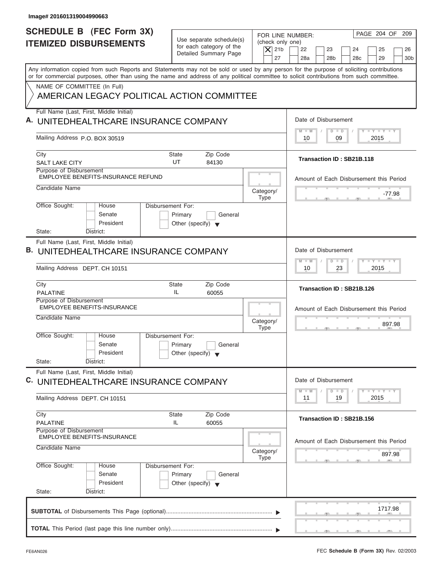| Image# 201601319004990663                                                                                                                                                                                                                                                               |                                                                                                |                                                                                                                                                                             |
|-----------------------------------------------------------------------------------------------------------------------------------------------------------------------------------------------------------------------------------------------------------------------------------------|------------------------------------------------------------------------------------------------|-----------------------------------------------------------------------------------------------------------------------------------------------------------------------------|
| <b>SCHEDULE B</b> (FEC Form 3X)<br><b>ITEMIZED DISBURSEMENTS</b>                                                                                                                                                                                                                        | Use separate schedule(s)<br>for each category of the<br>Detailed Summary Page                  | PAGE 204 OF 209<br>FOR LINE NUMBER:<br>(check only one)<br>$\overline{X}$ 21b<br>22<br>23<br>24<br>25<br>26<br>27<br>28a<br>28 <sub>b</sub><br>28c<br>29<br>30 <sub>b</sub> |
| Any information copied from such Reports and Statements may not be sold or used by any person for the purpose of soliciting contributions<br>or for commercial purposes, other than using the name and address of any political committee to solicit contributions from such committee. |                                                                                                |                                                                                                                                                                             |
| NAME OF COMMITTEE (In Full)<br>AMERICAN LEGACY POLITICAL ACTION COMMITTEE                                                                                                                                                                                                               |                                                                                                |                                                                                                                                                                             |
| Full Name (Last, First, Middle Initial)<br>A. UNITEDHEALTHCARE INSURANCE COMPANY                                                                                                                                                                                                        |                                                                                                | Date of Disbursement                                                                                                                                                        |
| Mailing Address P.O. BOX 30519                                                                                                                                                                                                                                                          |                                                                                                | $T - Y = T - Y = T - Y$<br>$D$ $D$<br>$M$ $M$<br>09<br>2015<br>10                                                                                                           |
| City<br><b>SALT LAKE CITY</b>                                                                                                                                                                                                                                                           | Zip Code<br>State<br>UT<br>84130                                                               | Transaction ID: SB21B.118                                                                                                                                                   |
| Purpose of Disbursement<br><b>EMPLOYEE BENEFITS-INSURANCE REFUND</b><br>Candidate Name                                                                                                                                                                                                  |                                                                                                | Amount of Each Disbursement this Period                                                                                                                                     |
|                                                                                                                                                                                                                                                                                         | Category/<br><b>Type</b><br>Disbursement For:                                                  | $-77.98$                                                                                                                                                                    |
| Office Sought:<br>House<br>Senate<br>President                                                                                                                                                                                                                                          | Primary<br>General<br>Other (specify) $\blacktriangledown$                                     |                                                                                                                                                                             |
| State:<br>District:<br>Full Name (Last, First, Middle Initial)                                                                                                                                                                                                                          |                                                                                                |                                                                                                                                                                             |
| <b>B. UNITEDHEALTHCARE INSURANCE COMPANY</b>                                                                                                                                                                                                                                            |                                                                                                | Date of Disbursement                                                                                                                                                        |
| Mailing Address DEPT. CH 10151                                                                                                                                                                                                                                                          |                                                                                                | <b>LY LY LY</b><br>$M - M$<br>$\Box$<br>$\overline{D}$<br>2015<br>10<br>23                                                                                                  |
| City<br><b>PALATINE</b>                                                                                                                                                                                                                                                                 | Zip Code<br><b>State</b><br>IL<br>60055                                                        | Transaction ID: SB21B.126                                                                                                                                                   |
| Purpose of Disbursement<br><b>EMPLOYEE BENEFITS-INSURANCE</b><br>Candidate Name                                                                                                                                                                                                         | Category/                                                                                      | Amount of Each Disbursement this Period                                                                                                                                     |
| Office Sought:<br>House<br>Senate<br>President<br>State:<br>District:                                                                                                                                                                                                                   | <b>Type</b><br>Disbursement For:<br>Primary<br>General<br>Other (specify) $\blacktriangledown$ | 897.98                                                                                                                                                                      |
| Full Name (Last, First, Middle Initial)<br>C. UNITEDHEALTHCARE INSURANCE COMPANY                                                                                                                                                                                                        |                                                                                                | Date of Disbursement                                                                                                                                                        |
| Mailing Address DEPT. CH 10151                                                                                                                                                                                                                                                          |                                                                                                | $\bot$ $\gamma$ $\bot$ $\gamma$ $\bot$ $\gamma$<br>$M - M$<br>$\Box$<br>D<br>2015<br>11<br>19                                                                               |
| City<br><b>PALATINE</b>                                                                                                                                                                                                                                                                 | Zip Code<br>State<br>60055<br>IL                                                               | Transaction ID: SB21B.156                                                                                                                                                   |
| Purpose of Disbursement<br><b>EMPLOYEE BENEFITS-INSURANCE</b><br>Candidate Name                                                                                                                                                                                                         | Category/                                                                                      | Amount of Each Disbursement this Period                                                                                                                                     |
| Office Sought:<br>House                                                                                                                                                                                                                                                                 | <b>Type</b><br>Disbursement For:                                                               | 897.98                                                                                                                                                                      |
| Senate<br>President                                                                                                                                                                                                                                                                     | Primary<br>General<br>Other (specify) $\blacktriangledown$                                     |                                                                                                                                                                             |
| State:<br>District:                                                                                                                                                                                                                                                                     |                                                                                                |                                                                                                                                                                             |
|                                                                                                                                                                                                                                                                                         |                                                                                                | 1717.98                                                                                                                                                                     |
|                                                                                                                                                                                                                                                                                         |                                                                                                |                                                                                                                                                                             |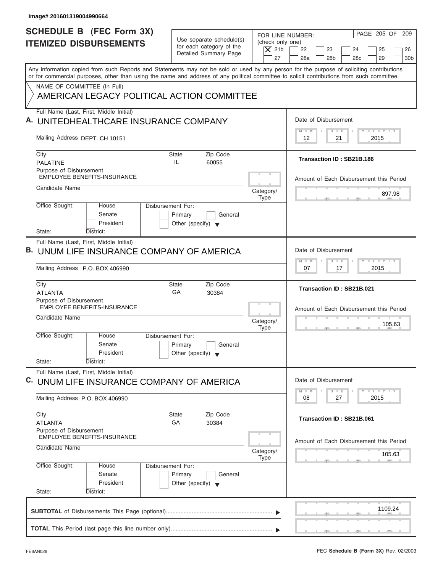| Image# 201601319004990664                                                                                                                                                                                                                                                               |                                                                                 |                                                                  |                                                                                                            |
|-----------------------------------------------------------------------------------------------------------------------------------------------------------------------------------------------------------------------------------------------------------------------------------------|---------------------------------------------------------------------------------|------------------------------------------------------------------|------------------------------------------------------------------------------------------------------------|
| <b>SCHEDULE B</b> (FEC Form 3X)<br><b>ITEMIZED DISBURSEMENTS</b>                                                                                                                                                                                                                        | Use separate schedule(s)<br>for each category of the<br>Detailed Summary Page   | FOR LINE NUMBER:<br>(check only one)<br>$\overline{X}$ 21b<br>27 | PAGE 205 OF<br>209<br>22<br>23<br>24<br>25<br>26<br>28a<br>28 <sub>b</sub><br>28c<br>29<br>30 <sub>b</sub> |
| Any information copied from such Reports and Statements may not be sold or used by any person for the purpose of soliciting contributions<br>or for commercial purposes, other than using the name and address of any political committee to solicit contributions from such committee. |                                                                                 |                                                                  |                                                                                                            |
| NAME OF COMMITTEE (In Full)<br>AMERICAN LEGACY POLITICAL ACTION COMMITTEE                                                                                                                                                                                                               |                                                                                 |                                                                  |                                                                                                            |
| Full Name (Last, First, Middle Initial)<br>A. UNITEDHEALTHCARE INSURANCE COMPANY                                                                                                                                                                                                        |                                                                                 |                                                                  | Date of Disbursement                                                                                       |
| Mailing Address DEPT. CH 10151                                                                                                                                                                                                                                                          |                                                                                 |                                                                  | $\mathbf{I} \mathbf{Y} \mathbf{I} \mathbf{Y}$<br>$M - M$<br>$D$ $D$<br>$12 \overline{ }$<br>2015<br>21     |
| City<br><b>PALATINE</b>                                                                                                                                                                                                                                                                 | Zip Code<br><b>State</b><br>IL<br>60055                                         |                                                                  | Transaction ID: SB21B.186                                                                                  |
| Purpose of Disbursement<br><b>EMPLOYEE BENEFITS-INSURANCE</b>                                                                                                                                                                                                                           |                                                                                 |                                                                  | Amount of Each Disbursement this Period                                                                    |
| Candidate Name                                                                                                                                                                                                                                                                          |                                                                                 | Category/<br><b>Type</b>                                         | 897.98                                                                                                     |
| Office Sought:<br>House<br>Senate<br>President<br>State:<br>District:                                                                                                                                                                                                                   | Disbursement For:<br>Primary<br>General<br>Other (specify) $\blacktriangledown$ |                                                                  |                                                                                                            |
| Full Name (Last, First, Middle Initial)                                                                                                                                                                                                                                                 |                                                                                 |                                                                  |                                                                                                            |
| <b>B. UNUM LIFE INSURANCE COMPANY OF AMERICA</b>                                                                                                                                                                                                                                        |                                                                                 |                                                                  | Date of Disbursement<br>$-$ Y $-$ Y $-$ Y<br>$M - M$<br>$\Box$<br>$\overline{D}$                           |
| Mailing Address P.O. BOX 406990                                                                                                                                                                                                                                                         |                                                                                 |                                                                  | 07<br>2015<br>17                                                                                           |
| City<br><b>ATLANTA</b>                                                                                                                                                                                                                                                                  | State<br>Zip Code<br>GA<br>30384                                                |                                                                  | Transaction ID: SB21B.021                                                                                  |
| Purpose of Disbursement<br><b>EMPLOYEE BENEFITS-INSURANCE</b>                                                                                                                                                                                                                           |                                                                                 |                                                                  | Amount of Each Disbursement this Period                                                                    |
| Candidate Name                                                                                                                                                                                                                                                                          |                                                                                 | Category/<br><b>Type</b>                                         | 105.63<br>- -                                                                                              |
| Office Sought:<br>House<br>Disbursement For:<br>Senate<br>President                                                                                                                                                                                                                     | Primary<br>General<br>Other (specify) $\blacktriangledown$                      |                                                                  |                                                                                                            |
| State:<br>District:<br>Full Name (Last, First, Middle Initial)                                                                                                                                                                                                                          |                                                                                 |                                                                  |                                                                                                            |
| C. UNUM LIFE INSURANCE COMPANY OF AMERICA                                                                                                                                                                                                                                               |                                                                                 |                                                                  | Date of Disbursement<br>$T - Y$ $T - Y$<br>$M - M$<br>$\Box$<br>D                                          |
| Mailing Address P.O. BOX 406990                                                                                                                                                                                                                                                         |                                                                                 |                                                                  | 08<br>27<br>2015                                                                                           |
| City<br><b>ATLANTA</b>                                                                                                                                                                                                                                                                  | State<br>Zip Code<br>GA<br>30384                                                |                                                                  | Transaction ID: SB21B.061                                                                                  |
| Purpose of Disbursement<br>EMPLOYEE BENEFITS-INSURANCE<br>Candidate Name                                                                                                                                                                                                                |                                                                                 |                                                                  | Amount of Each Disbursement this Period                                                                    |
|                                                                                                                                                                                                                                                                                         |                                                                                 | Category/<br><b>Type</b>                                         | 105.63                                                                                                     |
| Office Sought:<br>House<br>Senate<br>President                                                                                                                                                                                                                                          | Disbursement For:<br>Primary<br>General<br>Other (specify) $\blacktriangledown$ |                                                                  |                                                                                                            |
| State:<br>District:                                                                                                                                                                                                                                                                     |                                                                                 |                                                                  |                                                                                                            |
|                                                                                                                                                                                                                                                                                         |                                                                                 |                                                                  | 1109.24                                                                                                    |
|                                                                                                                                                                                                                                                                                         |                                                                                 |                                                                  |                                                                                                            |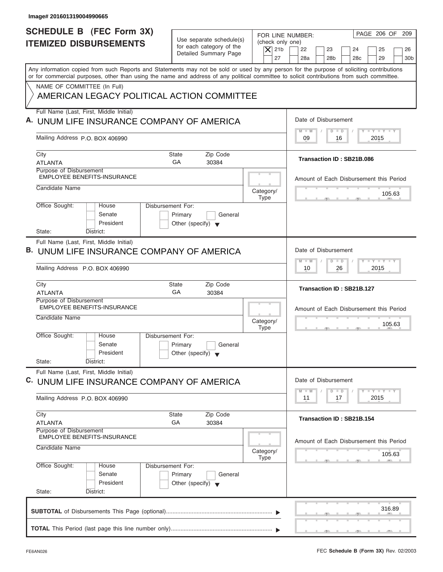| Image# 201601319004990665                                                                                                                                                                                                                                                               |                                                                               |                                                                  |                                                                                                            |
|-----------------------------------------------------------------------------------------------------------------------------------------------------------------------------------------------------------------------------------------------------------------------------------------|-------------------------------------------------------------------------------|------------------------------------------------------------------|------------------------------------------------------------------------------------------------------------|
| <b>SCHEDULE B (FEC Form 3X)</b><br><b>ITEMIZED DISBURSEMENTS</b>                                                                                                                                                                                                                        | Use separate schedule(s)<br>for each category of the<br>Detailed Summary Page | FOR LINE NUMBER:<br>(check only one)<br>$ \mathsf{X} $ 21b<br>27 | PAGE 206 OF<br>209<br>22<br>23<br>24<br>25<br>26<br>28a<br>28 <sub>b</sub><br>28c<br>29<br>30 <sub>b</sub> |
| Any information copied from such Reports and Statements may not be sold or used by any person for the purpose of soliciting contributions<br>or for commercial purposes, other than using the name and address of any political committee to solicit contributions from such committee. |                                                                               |                                                                  |                                                                                                            |
| NAME OF COMMITTEE (In Full)<br>AMERICAN LEGACY POLITICAL ACTION COMMITTEE                                                                                                                                                                                                               |                                                                               |                                                                  |                                                                                                            |
| Full Name (Last, First, Middle Initial)<br>A. UNUM LIFE INSURANCE COMPANY OF AMERICA                                                                                                                                                                                                    |                                                                               |                                                                  | Date of Disbursement                                                                                       |
| Mailing Address P.O. BOX 406990                                                                                                                                                                                                                                                         |                                                                               |                                                                  | $T - Y = T - Y = T - Y$<br>$D$ $D$<br>$M - M$<br>09<br>2015<br>16                                          |
| City<br><b>ATLANTA</b>                                                                                                                                                                                                                                                                  | Zip Code<br><b>State</b><br>GA<br>30384                                       |                                                                  | Transaction ID: SB21B.086                                                                                  |
| Purpose of Disbursement<br><b>EMPLOYEE BENEFITS-INSURANCE</b>                                                                                                                                                                                                                           |                                                                               |                                                                  | Amount of Each Disbursement this Period                                                                    |
| Candidate Name                                                                                                                                                                                                                                                                          |                                                                               | Category/<br><b>Type</b>                                         | 105.63                                                                                                     |
| Office Sought:<br>Disbursement For:<br>House<br>Senate<br>President<br>State:<br>District:                                                                                                                                                                                              | Primary<br>General<br>Other (specify) $\blacktriangledown$                    |                                                                  |                                                                                                            |
| Full Name (Last, First, Middle Initial)<br><b>B. UNUM LIFE INSURANCE COMPANY OF AMERICA</b>                                                                                                                                                                                             |                                                                               |                                                                  | Date of Disbursement                                                                                       |
| Mailing Address P.O. BOX 406990                                                                                                                                                                                                                                                         |                                                                               |                                                                  | $-1 - Y - 1 - Y - 1 - Y$<br>$D$ $D$<br>$M - M$<br>2015<br>10<br>26                                         |
| City<br><b>ATLANTA</b>                                                                                                                                                                                                                                                                  | Zip Code<br><b>State</b><br>GA<br>30384                                       |                                                                  | Transaction ID: SB21B.127                                                                                  |
| Purpose of Disbursement<br><b>EMPLOYEE BENEFITS-INSURANCE</b><br>Candidate Name                                                                                                                                                                                                         |                                                                               | Category/                                                        | Amount of Each Disbursement this Period                                                                    |
| Office Sought:<br>House<br>Disbursement For:<br>Senate<br>President<br>State:<br>District:                                                                                                                                                                                              | Primary<br>General<br>Other (specify)                                         | <b>Type</b>                                                      | 105.63                                                                                                     |
| Full Name (Last, First, Middle Initial)<br>C. UNUM LIFE INSURANCE COMPANY OF AMERICA                                                                                                                                                                                                    |                                                                               |                                                                  | Date of Disbursement                                                                                       |
| Mailing Address P.O. BOX 406990                                                                                                                                                                                                                                                         |                                                                               |                                                                  | <b>LY LY LY</b><br>$M - M$<br>$\overline{D}$<br>$\Box$<br>2015<br>11<br>17                                 |
| City<br><b>ATLANTA</b>                                                                                                                                                                                                                                                                  | Zip Code<br><b>State</b><br>GA<br>30384                                       |                                                                  | Transaction ID: SB21B.154                                                                                  |
| Purpose of Disbursement<br>EMPLOYEE BENEFITS-INSURANCE<br>Candidate Name                                                                                                                                                                                                                |                                                                               | Category/<br><b>Type</b>                                         | Amount of Each Disbursement this Period<br>105.63                                                          |
| Office Sought:<br>Disbursement For:<br>House<br>Senate<br>President<br>State:<br>District:                                                                                                                                                                                              | Primary<br>General<br>Other (specify) $\blacktriangledown$                    |                                                                  |                                                                                                            |
|                                                                                                                                                                                                                                                                                         |                                                                               |                                                                  | 316.89                                                                                                     |
|                                                                                                                                                                                                                                                                                         |                                                                               |                                                                  |                                                                                                            |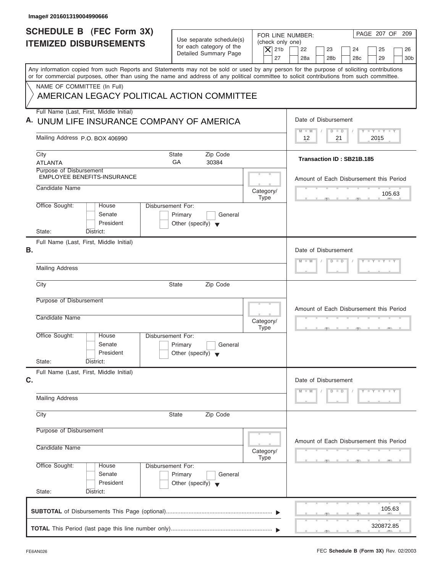| Image# 201601319004990666                                                                                                                                                                                                                                                               |                                                                                      |                                                            |                                                                               |                 |
|-----------------------------------------------------------------------------------------------------------------------------------------------------------------------------------------------------------------------------------------------------------------------------------------|--------------------------------------------------------------------------------------|------------------------------------------------------------|-------------------------------------------------------------------------------|-----------------|
| SCHEDULE B (FEC Form 3X)<br><b>ITEMIZED DISBURSEMENTS</b>                                                                                                                                                                                                                               | Use separate schedule(s)<br>for each category of the<br><b>Detailed Summary Page</b> | FOR LINE NUMBER:<br>(check only one)<br>$\vert$ $\chi$ 21b | PAGE 207 OF 209<br>22<br>23<br>24<br>25<br>28c                                | 26              |
| Any information copied from such Reports and Statements may not be sold or used by any person for the purpose of soliciting contributions<br>or for commercial purposes, other than using the name and address of any political committee to solicit contributions from such committee. |                                                                                      | 27                                                         | 28a<br>28 <sub>b</sub><br>29                                                  | 30 <sub>b</sub> |
| NAME OF COMMITTEE (In Full)<br>AMERICAN LEGACY POLITICAL ACTION COMMITTEE                                                                                                                                                                                                               |                                                                                      |                                                            |                                                                               |                 |
| Full Name (Last, First, Middle Initial)<br>A. UNUM LIFE INSURANCE COMPANY OF AMERICA                                                                                                                                                                                                    |                                                                                      |                                                            | Date of Disbursement                                                          |                 |
| Mailing Address P.O. BOX 406990                                                                                                                                                                                                                                                         |                                                                                      |                                                            | $T - Y = T - Y = T - Y$<br>$D$ $D$<br>$M - M$<br>2015<br>12<br>21             |                 |
| City<br><b>ATLANTA</b>                                                                                                                                                                                                                                                                  | Zip Code<br><b>State</b><br>GA<br>30384                                              |                                                            | Transaction ID: SB21B.185                                                     |                 |
| Purpose of Disbursement<br><b>EMPLOYEE BENEFITS-INSURANCE</b><br>Candidate Name                                                                                                                                                                                                         |                                                                                      |                                                            | Amount of Each Disbursement this Period                                       |                 |
| Office Sought:<br>Disbursement For:<br>House                                                                                                                                                                                                                                            |                                                                                      | Category/<br><b>Type</b>                                   | 105.63                                                                        |                 |
| Senate<br>President<br>State:<br>District:                                                                                                                                                                                                                                              | Primary<br>General<br>Other (specify) $\blacktriangledown$                           |                                                            |                                                                               |                 |
| Full Name (Last, First, Middle Initial)<br>В.                                                                                                                                                                                                                                           |                                                                                      |                                                            | Date of Disbursement                                                          |                 |
| <b>Mailing Address</b>                                                                                                                                                                                                                                                                  |                                                                                      |                                                            | $Y = Y = Y = Y = Y$<br>$D$ $D$<br>$M - M$                                     |                 |
| City                                                                                                                                                                                                                                                                                    | <b>State</b><br>Zip Code                                                             |                                                            |                                                                               |                 |
| Purpose of Disbursement<br>Candidate Name                                                                                                                                                                                                                                               |                                                                                      | Category/<br><b>Type</b>                                   | Amount of Each Disbursement this Period<br>$\sigma$ and $\sigma$ and $\sigma$ |                 |
| Office Sought:<br>House<br>Disbursement For:<br>Senate<br>President                                                                                                                                                                                                                     | Primary<br>General<br>Other (specify)                                                |                                                            |                                                                               |                 |
| State:<br>District:<br>Full Name (Last, First, Middle Initial)<br>C.                                                                                                                                                                                                                    |                                                                                      |                                                            | Date of Disbursement                                                          |                 |
| <b>Mailing Address</b>                                                                                                                                                                                                                                                                  |                                                                                      |                                                            | $D$ $D$<br>$Y = Y = Y = Y$<br>$M - M$                                         |                 |
| City                                                                                                                                                                                                                                                                                    | Zip Code<br><b>State</b>                                                             |                                                            |                                                                               |                 |
| Purpose of Disbursement<br>Candidate Name                                                                                                                                                                                                                                               |                                                                                      | Category/<br><b>Type</b>                                   | Amount of Each Disbursement this Period                                       |                 |
| Office Sought:<br>Disbursement For:<br>House<br>Senate<br>President<br>State:<br>District:                                                                                                                                                                                              | Primary<br>General<br>Other (specify) $\blacktriangledown$                           |                                                            |                                                                               |                 |
|                                                                                                                                                                                                                                                                                         |                                                                                      |                                                            | 105.63                                                                        |                 |
|                                                                                                                                                                                                                                                                                         |                                                                                      |                                                            | 320872.85                                                                     |                 |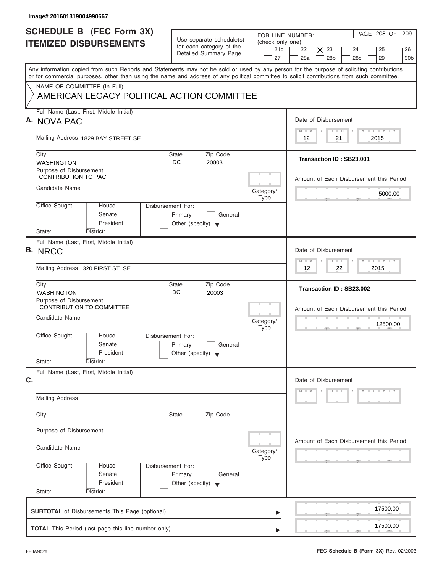| Image# 201601319004990667                                                                                                                                                                                                                                                               |                                                                                                                            |                                                                                                                                                                  |
|-----------------------------------------------------------------------------------------------------------------------------------------------------------------------------------------------------------------------------------------------------------------------------------------|----------------------------------------------------------------------------------------------------------------------------|------------------------------------------------------------------------------------------------------------------------------------------------------------------|
| <b>SCHEDULE B</b> (FEC Form 3X)<br><b>ITEMIZED DISBURSEMENTS</b>                                                                                                                                                                                                                        | Use separate schedule(s)<br>(check only one)<br>for each category of the<br>21 <sub>b</sub><br>Detailed Summary Page<br>27 | PAGE 208 OF 209<br>FOR LINE NUMBER:<br>22<br>23<br>$\boldsymbol{\times}$<br>24<br>25<br>26<br>28a<br>28 <sub>b</sub><br>29<br>30 <sub>b</sub><br>28 <sub>c</sub> |
| Any information copied from such Reports and Statements may not be sold or used by any person for the purpose of soliciting contributions<br>or for commercial purposes, other than using the name and address of any political committee to solicit contributions from such committee. |                                                                                                                            |                                                                                                                                                                  |
| NAME OF COMMITTEE (In Full)<br>AMERICAN LEGACY POLITICAL ACTION COMMITTEE                                                                                                                                                                                                               |                                                                                                                            |                                                                                                                                                                  |
| Full Name (Last, First, Middle Initial)<br>A. NOVA PAC                                                                                                                                                                                                                                  |                                                                                                                            | Date of Disbursement                                                                                                                                             |
| Mailing Address 1829 BAY STREET SE                                                                                                                                                                                                                                                      |                                                                                                                            | $T - Y = T - Y = T - Y$<br>$M - M$<br>$D$ $D$<br>21<br>2015<br>12                                                                                                |
| City<br><b>WASHINGTON</b>                                                                                                                                                                                                                                                               | Zip Code<br>State<br>DC<br>20003                                                                                           | Transaction ID: SB23.001                                                                                                                                         |
| Purpose of Disbursement<br><b>CONTRIBUTION TO PAC</b><br>Candidate Name                                                                                                                                                                                                                 |                                                                                                                            | Amount of Each Disbursement this Period                                                                                                                          |
| Office Sought:<br>House                                                                                                                                                                                                                                                                 | Category/<br><b>Type</b><br><b>Disbursement For:</b>                                                                       | 5000.00                                                                                                                                                          |
| Senate<br>President<br>State:<br>District:                                                                                                                                                                                                                                              | Primary<br>General<br>Other (specify) $\blacktriangledown$                                                                 |                                                                                                                                                                  |
| Full Name (Last, First, Middle Initial)<br><b>B. NRCC</b>                                                                                                                                                                                                                               |                                                                                                                            | Date of Disbursement                                                                                                                                             |
| Mailing Address 320 FIRST ST. SE                                                                                                                                                                                                                                                        |                                                                                                                            | <b>LEYTEY LEY</b><br>$M - M$<br>$D$ $D$<br>2015<br>12<br>22                                                                                                      |
| City<br><b>WASHINGTON</b>                                                                                                                                                                                                                                                               | Zip Code<br><b>State</b><br>DC<br>20003                                                                                    | Transaction ID: SB23.002                                                                                                                                         |
| Purpose of Disbursement<br><b>CONTRIBUTION TO COMMITTEE</b><br>Candidate Name                                                                                                                                                                                                           | Category/<br><b>Type</b>                                                                                                   | Amount of Each Disbursement this Period<br>12500.00<br>$-7$                                                                                                      |
| Office Sought:<br>House<br>Senate<br>President                                                                                                                                                                                                                                          | Disbursement For:<br>Primary<br>General<br>Other (specify) $\blacktriangledown$                                            |                                                                                                                                                                  |
| State:<br>District:<br>Full Name (Last, First, Middle Initial)                                                                                                                                                                                                                          |                                                                                                                            |                                                                                                                                                                  |
| C.<br><b>Mailing Address</b>                                                                                                                                                                                                                                                            |                                                                                                                            | Date of Disbursement<br>$D$ $D$<br>$Y - Y - Y - Y - Y$<br>$M - M$                                                                                                |
| City                                                                                                                                                                                                                                                                                    | Zip Code<br><b>State</b>                                                                                                   |                                                                                                                                                                  |
| Purpose of Disbursement                                                                                                                                                                                                                                                                 |                                                                                                                            |                                                                                                                                                                  |
| Candidate Name                                                                                                                                                                                                                                                                          | Category/<br>Type                                                                                                          | Amount of Each Disbursement this Period                                                                                                                          |
| Office Sought:<br>House<br>Senate<br>President<br>State:<br>District:                                                                                                                                                                                                                   | Disbursement For:<br>Primary<br>General<br>Other (specify) $\blacktriangledown$                                            |                                                                                                                                                                  |
|                                                                                                                                                                                                                                                                                         |                                                                                                                            | 17500.00                                                                                                                                                         |
|                                                                                                                                                                                                                                                                                         |                                                                                                                            | 17500.00                                                                                                                                                         |